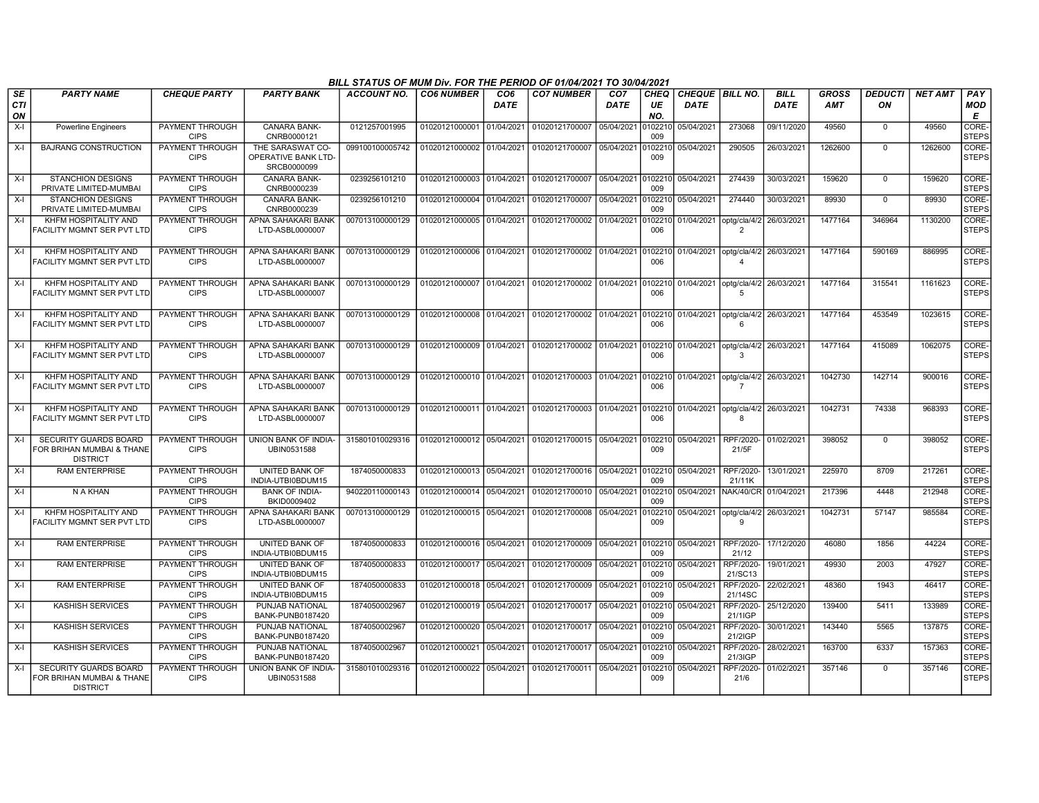|                        |                                                                              |                                       |                                                               | BILL STATUS OF MUM Div. FOR THE PERIOD OF 01/04/2021 TO 30/04/2021 |                           |                         |                                                             |                                |                          |                                |                                                    |                            |              |                      |                |                       |
|------------------------|------------------------------------------------------------------------------|---------------------------------------|---------------------------------------------------------------|--------------------------------------------------------------------|---------------------------|-------------------------|-------------------------------------------------------------|--------------------------------|--------------------------|--------------------------------|----------------------------------------------------|----------------------------|--------------|----------------------|----------------|-----------------------|
| <b>SE</b><br>CTI<br>ON | <b>PARTY NAME</b>                                                            | <b>CHEQUE PARTY</b>                   | <b>PARTY BANK</b>                                             | ACCOUNT NO.                                                        | <b>CO6 NUMBER</b>         | CO <sub>6</sub><br>DATE | <b>CO7 NUMBER</b>                                           | CO <sub>7</sub><br><b>DATE</b> | <b>CHEQ</b><br>UE<br>NO. | CHEQUE BILL NO.<br><b>DATE</b> |                                                    | <b>BILL</b><br><b>DATE</b> | GROSS<br>AMT | <b>DEDUCTI</b><br>ON | <b>NET AMT</b> | PAY<br>MOD<br>E       |
| $X-I$                  | Powerline Engineers                                                          | PAYMENT THROUGH<br><b>CIPS</b>        | <b>CANARA BANK-</b><br>CNRB0000121                            | 0121257001995                                                      | 01020121000001            | 01/04/2021              | 01020121700007                                              | 05/04/2021                     | 010221<br>009            | 05/04/2021                     | 273068                                             | 09/11/2020                 | 49560        | $\mathbf 0$          | 49560          | CORE-<br><b>STEPS</b> |
| $X-I$                  | <b>BAJRANG CONSTRUCTION</b>                                                  | PAYMENT THROUGH<br><b>CIPS</b>        | THE SARASWAT CO-<br><b>OPERATIVE BANK LTD-</b><br>SRCB0000099 | 099100100005742                                                    | 01020121000002 01/04/2021 |                         | 01020121700007 05/04/2021                                   |                                | 102210<br>009            | 05/04/2021                     | 290505                                             | 26/03/2021                 | 1262600      | $\mathbf 0$          | 1262600        | CORE-<br><b>STEPS</b> |
| $X-I$                  | <b>STANCHION DESIGNS</b><br>PRIVATE LIMITED-MUMBAI                           | PAYMENT THROUGH<br><b>CIPS</b>        | CANARA BANK-<br>CNRB0000239                                   | 0239256101210                                                      | 01020121000003 01/04/2021 |                         | 01020121700007 05/04/2021                                   |                                | 0102210<br>009           | 05/04/2021                     | 274439                                             | 30/03/2021                 | 159620       | $\mathbf 0$          | 159620         | CORE-<br><b>STEPS</b> |
| $X-I$                  | <b>STANCHION DESIGNS</b><br>PRIVATE LIMITED-MUMBAI                           | PAYMENT THROUGH<br><b>CIPS</b>        | <b>CANARA BANK-</b><br>CNRB0000239                            | 0239256101210                                                      | 01020121000004            | 01/04/2021              | 01020121700007                                              | 05/04/2021                     | 0102210<br>009           | 05/04/2021                     | 274440                                             | 30/03/2021                 | 89930        | $\mathbf 0$          | 89930          | CORE-<br><b>STEPS</b> |
| $X-I$                  | KHFM HOSPITALITY AND<br>FACILITY MGMNT SER PVT LTD                           | PAYMENT THROUGH<br><b>CIPS</b>        | <b>APNA SAHAKARI BANK</b><br>LTD-ASBL0000007                  | 007013100000129                                                    | 01020121000005 01/04/2021 |                         | 01020121700002 01/04/2021                                   |                                | 102210<br>006            | 01/04/2021                     | optg/cla/4/2<br>$\overline{2}$                     | 26/03/2021                 | 1477164      | 346964               | 1130200        | CORE-<br><b>STEPS</b> |
| $X-I$                  | KHFM HOSPITALITY AND<br>FACILITY MGMNT SER PVT LTD                           | <b>PAYMENT THROUGH</b><br><b>CIPS</b> | APNA SAHAKARI BANK<br>LTD-ASBL0000007                         | 007013100000129                                                    | 01020121000006 01/04/2021 |                         | 01020121700002 01/04/2021 0102210                           |                                | 006                      |                                | 01/04/2021 optg/cla/4/2<br>$\Delta$                | 26/03/2021                 | 1477164      | 590169               | 886995         | CORE-<br><b>STEPS</b> |
| $X-I$                  | KHFM HOSPITALITY AND<br>FACILITY MGMNT SER PVT LTD                           | PAYMENT THROUGH<br><b>CIPS</b>        | APNA SAHAKARI BANK<br>LTD-ASBL0000007                         | 007013100000129                                                    | 01020121000007 01/04/2021 |                         | 01020121700002 01/04/2021 010221                            |                                | 006                      | 01/04/2021                     | optg/cla/4/2<br>-5                                 | 26/03/2021                 | 1477164      | 315541               | 1161623        | CORE-<br><b>STEPS</b> |
| X-I                    | KHFM HOSPITALITY AND<br>FACILITY MGMNT SER PVT LTD                           | PAYMENT THROUGH<br><b>CIPS</b>        | APNA SAHAKARI BANK<br>LTD-ASBL0000007                         | 007013100000129                                                    |                           |                         | 01020121000008 01/04/2021 01020121700002 01/04/2021 0102210 |                                | 006                      |                                | 01/04/2021   optg/cla/4/2<br>6                     | 26/03/2021                 | 1477164      | 453549               | 1023615        | CORE-<br><b>STEPS</b> |
| $X-I$                  | KHFM HOSPITALITY AND<br><b>FACILITY MGMNT SER PVT LTD</b>                    | PAYMENT THROUGH<br><b>CIPS</b>        | APNA SAHAKARI BANK<br>LTD-ASBL0000007                         | 007013100000129                                                    | 01020121000009 01/04/2021 |                         | 01020121700002 01/04/2021                                   |                                | 0102210<br>006           | 01/04/2021 optg/cla/4/2        | $\mathbf{3}$                                       | 26/03/2021                 | 1477164      | 415089               | 1062075        | CORE-<br><b>STEPS</b> |
| $X-I$                  | KHFM HOSPITALITY AND<br><b>FACILITY MGMNT SER PVT LTD</b>                    | PAYMENT THROUGH<br><b>CIPS</b>        | APNA SAHAKARI BANK<br>LTD-ASBL0000007                         | 007013100000129                                                    | 01020121000010 01/04/2021 |                         | 01020121700003 01/04/2021                                   |                                | 102210<br>006            | 01/04/2021                     | optg/cla/4/2<br>$\overline{7}$                     | 26/03/2021                 | 1042730      | 142714               | 900016         | CORE-<br><b>STEPS</b> |
| $X-I$                  | KHFM HOSPITALITY AND<br><b>FACILITY MGMNT SER PVT LTD</b>                    | PAYMENT THROUGH<br><b>CIPS</b>        | APNA SAHAKARI BANK<br>LTD-ASBL0000007                         | 007013100000129                                                    | 01020121000011 01/04/2021 |                         | 01020121700003 01/04/2021                                   |                                | 0102210<br>006           | 01/04/2021   optg/cla/4/2      | -8                                                 | 26/03/2021                 | 1042731      | 74338                | 968393         | CORE-<br><b>STEPS</b> |
| $X-I$                  | <b>SECURITY GUARDS BOARD</b><br>FOR BRIHAN MUMBAI & THANE<br><b>DISTRICT</b> | PAYMENT THROUGH<br><b>CIPS</b>        | UNION BANK OF INDIA-<br>UBIN0531588                           | 315801010029316                                                    | 01020121000012 05/04/2021 |                         | 01020121700015 05/04/2021                                   |                                | 0102210<br>009           | 05/04/2021                     | RPF/2020-<br>21/5F                                 | 01/02/2021                 | 398052       | $\Omega$             | 398052         | CORE-<br><b>STEPS</b> |
| $X-I$                  | <b>RAM ENTERPRISE</b>                                                        | PAYMENT THROUGH<br><b>CIPS</b>        | UNITED BANK OF<br>INDIA-UTBI0BDUM15                           | 1874050000833                                                      | 01020121000013            | 05/04/2021              | 01020121700016 05/04/2021                                   |                                | 0102210<br>009           | 05/04/2021                     | RPF/2020<br>21/11K                                 | 13/01/2021                 | 225970       | 8709                 | 217261         | CORE-<br><b>STEPS</b> |
| $X-I$                  | N A KHAN                                                                     | <b>PAYMENT THROUGH</b><br><b>CIPS</b> | <b>BANK OF INDIA-</b><br>BKID0009402                          | 940220110000143                                                    | 01020121000014            | 05/04/2021              | 01020121700010 05/04/2021                                   |                                | 0102210<br>009           |                                | 05/04/2021 NAK/40/CR                               | 01/04/202                  | 217396       | 4448                 | 212948         | CORE-<br><b>STEPS</b> |
| $X-I$                  | KHFM HOSPITALITY AND<br>FACILITY MGMNT SER PVT LTD                           | <b>PAYMENT THROUGH</b><br><b>CIPS</b> | APNA SAHAKARI BANK<br>LTD-ASBL0000007                         | 007013100000129                                                    | 01020121000015 05/04/2021 |                         | 01020121700008 05/04/2021                                   |                                | 0102210<br>009           |                                | 05/04/2021   optg/cla/4/2   26/03/2021<br>$\alpha$ |                            | 1042731      | 57147                | 985584         | CORE-<br><b>STEPS</b> |
| $X-I$                  | <b>RAM ENTERPRISE</b>                                                        | PAYMENT THROUGH<br><b>CIPS</b>        | UNITED BANK OF<br>INDIA-UTBI0BDUM15                           | 1874050000833                                                      | 01020121000016            | 05/04/2021              | 01020121700009 05/04/2021                                   |                                | 0102210<br>009           | 05/04/2021                     | RPF/2020-<br>21/12                                 | 17/12/2020                 | 46080        | 1856                 | 44224          | CORE-<br><b>STEPS</b> |
| $X-I$                  | <b>RAM ENTERPRISE</b>                                                        | PAYMENT THROUGH<br><b>CIPS</b>        | UNITED BANK OF<br>INDIA-UTBI0BDUM15                           | 1874050000833                                                      | 01020121000017            | 05/04/2021              | 01020121700009                                              | 05/04/2021                     | 010221<br>009            | 05/04/2021                     | RPF/2020-<br>21/SC13                               | 19/01/2021                 | 49930        | 2003                 | 47927          | CORE-<br><b>STEPS</b> |
| X-I                    | <b>RAM ENTERPRISE</b>                                                        | PAYMENT THROUGH<br><b>CIPS</b>        | UNITED BANK OF<br>INDIA-UTBI0BDUM15                           | 1874050000833                                                      | 01020121000018            | 05/04/2021              | 01020121700009                                              | 05/04/2021                     | 10221<br>009             | 05/04/2021                     | RPF/2020-<br>21/14SC                               | 22/02/2021                 | 48360        | 1943                 | 46417          | CORE-<br><b>STEPS</b> |
| X-I                    | <b>KASHISH SERVICES</b>                                                      | PAYMENT THROUGH<br><b>CIPS</b>        | PUNJAB NATIONAL<br>BANK-PUNB0187420                           | 1874050002967                                                      | 01020121000019            | 05/04/2021              | 01020121700017 05/04/2021                                   |                                | 010221<br>009            | 05/04/2021                     | RPF/2020<br>21/1IGP                                | 25/12/2020                 | 139400       | 5411                 | 133989         | CORE-<br><b>STEPS</b> |
| X-I                    | <b>KASHISH SERVICES</b>                                                      | PAYMENT THROUGH<br><b>CIPS</b>        | PUNJAB NATIONAL<br>BANK-PUNB0187420                           | 1874050002967                                                      | 01020121000020            | 05/04/2021              | 01020121700017 05/04/2021                                   |                                | 10221<br>009             | 05/04/2021                     | RPF/2020<br>21/2IGP                                | 30/01/2021                 | 143440       | 5565                 | 137875         | CORE-<br><b>STEPS</b> |
| $X-I$                  | <b>KASHISH SERVICES</b>                                                      | PAYMENT THROUGH<br><b>CIPS</b>        | PUNJAB NATIONAL<br>BANK-PUNB0187420                           | 1874050002967                                                      | 01020121000021            | 05/04/2021              | 01020121700017 05/04/2021                                   |                                | 010221<br>009            | 05/04/2021                     | RPF/2020<br>21/3IGP                                | 28/02/2021                 | 163700       | 6337                 | 157363         | CORE-<br><b>STEPS</b> |
| $X-I$                  | <b>SECURITY GUARDS BOARD</b><br>FOR BRIHAN MUMBAI & THANE<br><b>DISTRICT</b> | <b>PAYMENT THROUGH</b><br><b>CIPS</b> | UNION BANK OF INDIA-<br>UBIN0531588                           | 315801010029316                                                    | 01020121000022            | 05/04/2021              | 01020121700011 05/04/2021                                   |                                | 10221<br>009             | 05/04/2021                     | RPF/2020<br>21/6                                   | 01/02/2021                 | 357146       | $\mathbf 0$          | 357146         | CORE-<br><b>STEPS</b> |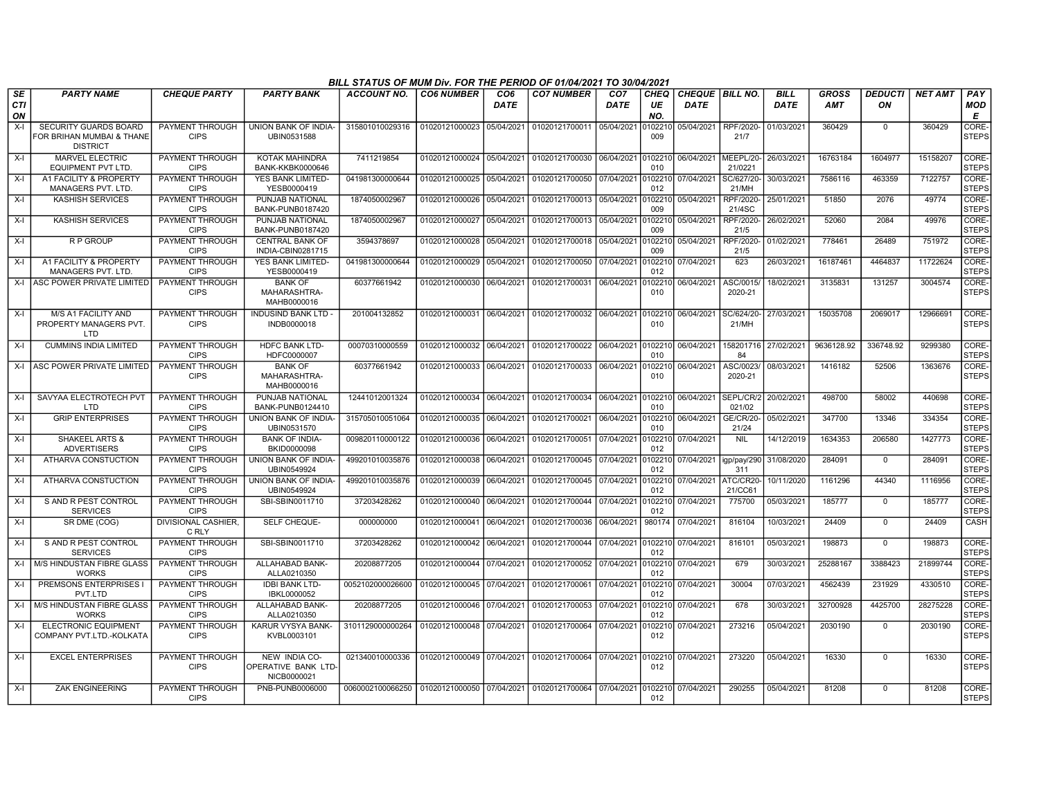|                        |                                                                              |                                       |                                                         | BILL STATUS OF MUM Div. FOR THE PERIOD OF 01/04/2021 TO 30/04/2021           |                           |                         |                                                     |                                |                   |                                  |                            |                            |                            |                      |                |                        |
|------------------------|------------------------------------------------------------------------------|---------------------------------------|---------------------------------------------------------|------------------------------------------------------------------------------|---------------------------|-------------------------|-----------------------------------------------------|--------------------------------|-------------------|----------------------------------|----------------------------|----------------------------|----------------------------|----------------------|----------------|------------------------|
| SE<br><b>CTI</b><br>ON | <b>PARTY NAME</b>                                                            | <b>CHEQUE PARTY</b>                   | <b>PARTY BANK</b>                                       | <b>ACCOUNT NO.</b>                                                           | <b>CO6 NUMBER</b>         | CO <sub>6</sub><br>DATE | <b>CO7 NUMBER</b>                                   | CO <sub>7</sub><br><b>DATE</b> | CHEQ<br>UE<br>NO. | CHEQUE   BILL NO.<br><b>DATE</b> |                            | <b>BILL</b><br><b>DATE</b> | <b>GROSS</b><br><b>AMT</b> | <b>DEDUCTI</b><br>ΟN | <b>NET AMT</b> | PAY<br><b>MOD</b><br>Е |
| $X-I$                  | <b>SECURITY GUARDS BOARD</b><br>FOR BRIHAN MUMBAI & THANE<br><b>DISTRICT</b> | <b>PAYMENT THROUGH</b><br><b>CIPS</b> | UNION BANK OF INDIA-<br>UBIN0531588                     | 315801010029316                                                              | 01020121000023 05/04/2021 |                         | 01020121700011 05/04/2021                           |                                | 0102210<br>009    | 05/04/2021                       | RPF/2020-<br>21/7          | 01/03/2021                 | 360429                     | $\Omega$             | 360429         | CORE-<br><b>STEPS</b>  |
| $X-I$                  | MARVEL ELECTRIC<br><b>EQUIPMENT PVT LTD</b>                                  | PAYMENT THROUGH<br><b>CIPS</b>        | <b>KOTAK MAHINDRA</b><br><b>BANK-KKBK0000646</b>        | 7411219854                                                                   | 01020121000024            | 05/04/2021              | 01020121700030 06/04/2021 0102210                   |                                | 010               | 06/04/2021 MEEPL/20-             | 21/0221                    | 26/03/2021                 | 16763184                   | 1604977              | 15158207       | CORE-<br><b>STEPS</b>  |
| $X-I$                  | A1 FACILITY & PROPERTY<br>MANAGERS PVT. LTD.                                 | PAYMENT THROUGH<br><b>CIPS</b>        | YES BANK LIMITED-<br>YESB0000419                        | 041981300000644                                                              | 01020121000025            | 05/04/2021              | 01020121700050 07/04/2021                           |                                | 0102210<br>012    | 07/04/2021                       | SC/627/20-<br>21/MH        | 30/03/2021                 | 7586116                    | 463359               | 7122757        | CORE-<br><b>STEPS</b>  |
| $X-I$                  | <b>KASHISH SERVICES</b>                                                      | <b>PAYMENT THROUGH</b><br><b>CIPS</b> | PUNJAB NATIONAL<br>BANK-PUNB0187420                     | 1874050002967                                                                | 01020121000026            | 05/04/2021              | 01020121700013 05/04/2021                           |                                | 102210<br>009     | 05/04/2021                       | RPF/2020-<br>21/4SC        | 25/01/2021                 | 51850                      | 2076                 | 49774          | CORE-<br><b>STEPS</b>  |
| $X-I$                  | <b>KASHISH SERVICES</b>                                                      | <b>PAYMENT THROUGH</b><br><b>CIPS</b> | PUNJAB NATIONAL<br>BANK-PUNB0187420                     | 1874050002967                                                                | 01020121000027            | 05/04/2021              | 01020121700013 05/04/2021                           |                                | 102210<br>009     | 05/04/2021                       | RPF/2020-<br>21/5          | 26/02/2021                 | 52060                      | 2084                 | 49976          | CORE-<br><b>STEPS</b>  |
| $X-I$                  | R P GROUP                                                                    | PAYMENT THROUGH<br><b>CIPS</b>        | <b>CENTRAL BANK OF</b><br>INDIA-CBIN0281715             | 3594378697                                                                   | 01020121000028            | 05/04/2021              | 01020121700018                                      | 05/04/2021                     | 102210<br>009     | 05/04/2021                       | RPF/2020<br>21/5           | 01/02/2021                 | 778461                     | 26489                | 751972         | CORE-<br><b>STEPS</b>  |
| $X-I$                  | A1 FACILITY & PROPERTY<br><b>MANAGERS PVT. LTD</b>                           | PAYMENT THROUGH<br><b>CIPS</b>        | YES BANK LIMITED-<br>YESB0000419                        | 041981300000644                                                              | 01020121000029            | 05/04/2021              | 01020121700050                                      | 07/04/2021                     | 102210<br>012     | 07/04/2021                       | 623                        | 26/03/202                  | 16187461                   | 4464837              | 11722624       | CORE-<br><b>STEPS</b>  |
|                        | X-L ASC POWER PRIVATE LIMITED                                                | PAYMENT THROUGH<br><b>CIPS</b>        | <b>BANK OF</b><br>MAHARASHTRA-<br>MAHB0000016           | 60377661942                                                                  | 01020121000030            | 06/04/2021              | 01020121700031 06/04/2021                           |                                | 0102210<br>010    | 06/04/2021                       | ASC/0015<br>2020-21        | 18/02/2021                 | 3135831                    | 131257               | 3004574        | CORE-<br><b>STEPS</b>  |
| X-I                    | M/S A1 FACILITY AND<br>PROPERTY MANAGERS PVT.<br>LTD.                        | PAYMENT THROUGH<br><b>CIPS</b>        | <b>INDUSIND BANK LTD -</b><br>INDB0000018               | 201004132852                                                                 | 01020121000031            | 06/04/2021              | 01020121700032 06/04/2021                           |                                | 0102210<br>010    | 06/04/2021                       | SC/624/20-<br>21/MH        | 27/03/2021                 | 15035708                   | 2069017              | 12966691       | CORE-<br><b>STEPS</b>  |
| X-I                    | <b>CUMMINS INDIA LIMITED</b>                                                 | PAYMENT THROUGH<br><b>CIPS</b>        | <b>HDFC BANK LTD-</b><br>HDFC0000007                    | 00070310000559                                                               |                           |                         | 01020121000032 06/04/2021 01020121700022 06/04/2021 |                                | 0102210<br>010    | 06/04/2021                       | 158201716 27/02/2021<br>84 |                            | 9636128.92                 | 336748.92            | 9299380        | CORE-<br><b>STEPS</b>  |
|                        | X-I ASC POWER PRIVATE LIMITED                                                | PAYMENT THROUGH<br><b>CIPS</b>        | <b>BANK OF</b><br>MAHARASHTRA-<br>MAHB0000016           | 60377661942                                                                  | 01020121000033            | 06/04/2021              | 01020121700033                                      | 06/04/2021                     | 102210<br>010     | 06/04/2021                       | ASC/0023/<br>2020-21       | 08/03/2021                 | 1416182                    | 52506                | 1363676        | CORE-<br><b>STEPS</b>  |
| $X-I$                  | SAVYAA ELECTROTECH PVT<br>LTD                                                | <b>PAYMENT THROUGH</b><br><b>CIPS</b> | PUNJAB NATIONAL<br>BANK-PUNB0124410                     | 12441012001324                                                               | 01020121000034            | 06/04/2021              | 01020121700034 06/04/2021                           |                                | 0102210<br>010    | 06/04/2021                       | SEPL/CR/2<br>021/02        | 20/02/2021                 | 498700                     | 58002                | 440698         | CORE-<br><b>STEPS</b>  |
| $X-I$                  | <b>GRIP ENTERPRISES</b>                                                      | PAYMENT THROUGH<br><b>CIPS</b>        | UNION BANK OF INDIA-<br>UBIN0531570                     | 315705010051064                                                              | 01020121000035 06/04/2021 |                         | 01020121700021                                      | 06/04/2021                     | 102210<br>010     | 06/04/2021                       | GE/CR/20-<br>21/24         | 05/02/2021                 | 347700                     | 13346                | 334354         | CORE-<br><b>STEPS</b>  |
| $X-I$                  | <b>SHAKEEL ARTS &amp;</b><br><b>ADVERTISERS</b>                              | PAYMENT THROUGH<br><b>CIPS</b>        | <b>BANK OF INDIA-</b><br>BKID0000098                    | 009820110000122                                                              | 01020121000036            | 06/04/2021              | 01020121700051                                      | 07/04/2021                     | 102210<br>012     | 07/04/2021                       | <b>NIL</b>                 | 14/12/2019                 | 1634353                    | 206580               | 1427773        | CORE-<br><b>STEPS</b>  |
| $X-I$                  | ATHARVA CONSTUCTION                                                          | PAYMENT THROUGH<br><b>CIPS</b>        | <b>UNION BANK OF INDIA-</b><br>UBIN0549924              | 499201010035876                                                              | 01020121000038            | 06/04/2021              | 01020121700045 07/04/2021                           |                                | 102210<br>012     | 07/04/2021                       | igp/pay/290<br>311         | 31/08/2020                 | 284091                     | $\Omega$             | 284091         | CORE-<br><b>STEPS</b>  |
| $X-I$                  | ATHARVA CONSTUCTION                                                          | PAYMENT THROUGH<br><b>CIPS</b>        | <b>UNION BANK OF INDIA-</b><br>UBIN0549924              | 499201010035876                                                              | 01020121000039            | 06/04/2021              | 01020121700045 07/04/2021                           |                                | 0102210<br>012    | 07/04/2021 ATC/CR20              | 21/CC61                    | 10/11/2020                 | 1161296                    | 44340                | 1116956        | CORE-<br><b>STEPS</b>  |
| $X-I$                  | S AND R PEST CONTROL<br><b>SERVICES</b>                                      | PAYMENT THROUGH<br><b>CIPS</b>        | SBI-SBIN0011710                                         | 37203428262                                                                  | 01020121000040            | 06/04/2021              | 01020121700044 07/04/2021                           |                                | 102210<br>012     | 07/04/2021                       | 775700                     | 05/03/2021                 | 185777                     | $\mathbf 0$          | 185777         | CORE-<br><b>STEPS</b>  |
| $X-I$                  | SR DME (COG)                                                                 | DIVISIONAL CASHIER,<br>C RLY          | SELF CHEQUE-                                            | 000000000                                                                    | 01020121000041            | 06/04/2021              | 01020121700036                                      | 06/04/2021                     | 980174            | 07/04/2021                       | 816104                     | 10/03/2021                 | 24409                      | $\mathbf 0$          | 24409          | CASH                   |
| $X-I$                  | S AND R PEST CONTROL<br><b>SERVICES</b>                                      | PAYMENT THROUGH<br><b>CIPS</b>        | SBI-SBIN0011710                                         | 37203428262                                                                  | 01020121000042            | 06/04/2021              | 01020121700044 07/04/2021                           |                                | 0102210<br>012    | 07/04/2021                       | 816101                     | 05/03/2021                 | 198873                     | $\overline{0}$       | 198873         | CORE-<br><b>STEPS</b>  |
| X-I                    | M/S HINDUSTAN FIBRE GLASS<br><b>WORKS</b>                                    | PAYMENT THROUGH<br><b>CIPS</b>        | ALLAHABAD BANK-<br>ALLA0210350                          | 20208877205                                                                  | 01020121000044 07/04/2021 |                         | 01020121700052 07/04/2021                           |                                | 012               | 0102210 07/04/2021               | 679                        | 30/03/2021                 | 25288167                   | 3388423              | 21899744       | CORE-<br><b>STEPS</b>  |
| $X-I$                  | PREMSONS ENTERPRISES<br>PVT.LTD                                              | PAYMENT THROUGH<br><b>CIPS</b>        | <b>IDBI BANK LTD-</b><br>IBKL0000052<br>ALLAHABAD BANK- | 0052102000026600                                                             | 01020121000045            | 07/04/2021              | 01020121700061                                      | 07/04/2021                     | 012               | 102210 07/04/2021                | 30004<br>678               | 07/03/2021                 | 4562439                    | 231929               | 4330510        | CORE-<br><b>STEPS</b>  |
| $X-I$                  | M/S HINDUSTAN FIBRE GLASS<br><b>WORKS</b>                                    | PAYMENT THROUGH<br><b>CIPS</b>        | ALLA0210350                                             | 20208877205                                                                  | 01020121000046            | 07/04/2021              | 01020121700053 07/04/2021                           |                                | 0102210<br>012    | 07/04/2021                       |                            | 30/03/2021                 | 32700928                   | 4425700              | 28275228       | CORE-<br><b>STEPS</b>  |
| $X-I$                  | <b>ELECTRONIC EQUIPMENT</b><br>COMPANY PVT.LTD.-KOLKATA                      | <b>PAYMENT THROUGH</b><br><b>CIPS</b> | KARUR VYSYA BANK-<br>KVBL0003101                        | 3101129000000264                                                             | 01020121000048 07/04/2021 |                         | 01020121700064 07/04/2021                           |                                | 102210<br>012     | 07/04/2021                       | 273216                     | 05/04/2021                 | 2030190                    | $\mathbf 0$          | 2030190        | CORE-<br><b>STEPS</b>  |
| $X-I$                  | <b>EXCEL ENTERPRISES</b>                                                     | PAYMENT THROUGH<br><b>CIPS</b>        | NEW INDIA CO-<br>OPERATIVE BANK LTD-<br>NICB0000021     | 021340010000336                                                              | 01020121000049 07/04/2021 |                         | 01020121700064 07/04/2021                           |                                | 0102210<br>012    | 07/04/2021                       | 273220                     | 05/04/2021                 | 16330                      | $\Omega$             | 16330          | CORE-<br><b>STEPS</b>  |
| $X-I$                  | <b>ZAK ENGINEERING</b>                                                       | <b>PAYMENT THROUGH</b><br><b>CIPS</b> | PNB-PUNB0006000                                         | 0060002100066250   01020121000050   07/04/2021   01020121700064   07/04/2021 |                           |                         |                                                     |                                | 012               | 0102210 07/04/2021               | 290255                     | 05/04/2021                 | 81208                      | $\Omega$             | 81208          | CORE-<br><b>STEPS</b>  |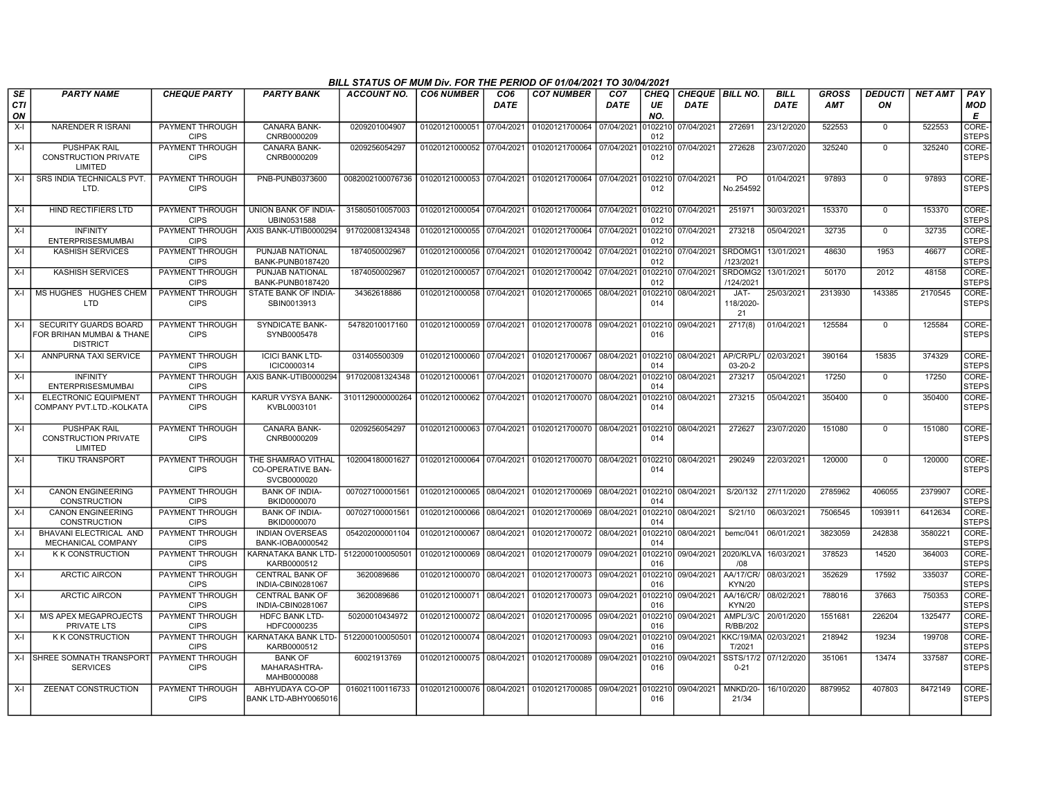|                               |                                                                       |                                       |                                                        | BILL STATUS OF MUM Div. FOR THE PERIOD OF 01/04/2021 TO 30/04/2021 |                           |                         |                                   |                                |                   |                                |                                   |                            |                            |                      |                |                        |
|-------------------------------|-----------------------------------------------------------------------|---------------------------------------|--------------------------------------------------------|--------------------------------------------------------------------|---------------------------|-------------------------|-----------------------------------|--------------------------------|-------------------|--------------------------------|-----------------------------------|----------------------------|----------------------------|----------------------|----------------|------------------------|
| <b>SE</b><br><b>CTI</b><br>ON | <b>PARTY NAME</b>                                                     | <b>CHEQUE PARTY</b>                   | <b>PARTY BANK</b>                                      | ACCOUNT NO.                                                        | <b>CO6 NUMBER</b>         | CO <sub>6</sub><br>DATE | <b>CO7 NUMBER</b>                 | CO <sub>7</sub><br><b>DATE</b> | CHEQ<br>UE<br>NO. | CHEQUE BILL NO.<br><b>DATE</b> |                                   | <b>BILL</b><br><b>DATE</b> | <b>GROSS</b><br><b>AMT</b> | <b>DEDUCTI</b><br>ON | <b>NET AMT</b> | PAY<br><b>MOD</b><br>Е |
| $X-I$                         | <b>NARENDER R ISRANI</b>                                              | PAYMENT THROUGH<br><b>CIPS</b>        | <b>CANARA BANK-</b><br>CNRB0000209                     | 0209201004907                                                      | 01020121000051            | 07/04/2021              | 01020121700064 07/04/2021         |                                | 010221<br>012     | 07/04/2021                     | 272691                            | 23/12/2020                 | 522553                     | 0                    | 522553         | CORE-<br><b>STEPS</b>  |
| $X-I$                         | <b>PUSHPAK RAIL</b><br><b>CONSTRUCTION PRIVATE</b><br>LIMITED         | PAYMENT THROUGH<br><b>CIPS</b>        | <b>CANARA BANK-</b><br>CNRB0000209                     | 0209256054297                                                      | 01020121000052 07/04/2021 |                         | 01020121700064 07/04/2021         |                                | 102210<br>012     | 07/04/2021                     | 272628                            | 23/07/2020                 | 325240                     | $\overline{0}$       | 325240         | CORE-<br><b>STEPS</b>  |
| $X-I$                         | SRS INDIA TECHNICALS PVT<br>LTD.                                      | PAYMENT THROUGH<br><b>CIPS</b>        | PNB-PUNB0373600                                        | 0082002100076736 01020121000053                                    |                           | 07/04/2021              | 01020121700064 07/04/2021 010221  |                                | 012               | 07/04/2021                     | <b>PO</b><br>No.254592            | 01/04/2021                 | 97893                      | $\Omega$             | 97893          | CORE-<br><b>STEPS</b>  |
| $X-I$                         | <b>HIND RECTIFIERS LTD</b>                                            | PAYMENT THROUGH<br><b>CIPS</b>        | UNION BANK OF INDIA-<br>UBIN0531588                    | 315805010057003                                                    | 01020121000054 07/04/2021 |                         | 01020121700064 07/04/2021 0102210 |                                | 012               | 07/04/2021                     | 251971                            | 30/03/2021                 | 153370                     | $\mathbf 0$          | 153370         | CORE-<br><b>STEPS</b>  |
| $X-I$                         | <b>INFINITY</b><br><b>ENTERPRISESMUMBAI</b>                           | PAYMENT THROUGH<br><b>CIPS</b>        | AXIS BANK-UTIB0000294                                  | 917020081324348                                                    | 01020121000055            | 07/04/2021              | 01020121700064                    | 07/04/2021                     | 0102210<br>012    | 07/04/2021                     | 273218                            | 05/04/2021                 | 32735                      | $\overline{0}$       | 32735          | CORE-<br><b>STEPS</b>  |
| $X-I$                         | <b>KASHISH SERVICES</b>                                               | PAYMENT THROUGH<br><b>CIPS</b>        | PUNJAB NATIONAL<br>BANK-PUNB0187420                    | 1874050002967                                                      | 01020121000056            | 07/04/2021              | 01020121700042 07/04/2021         |                                | 102210<br>012     | 07/04/2021                     | SRDOMG <sup>®</sup><br>/123/2021  | 13/01/2021                 | 48630                      | 1953                 | 46677          | CORE-<br><b>STEPS</b>  |
| $X-I$                         | <b>KASHISH SERVICES</b>                                               | PAYMENT THROUGH<br><b>CIPS</b>        | PUNJAB NATIONAL<br>BANK-PUNB0187420                    | 1874050002967                                                      | 01020121000057 07/04/2021 |                         | 01020121700042 07/04/2021         |                                | 0102210<br>012    | 07/04/2021                     | SRDOMG2<br>/124/2021              | 13/01/2021                 | 50170                      | 2012                 | 48158          | CORE-<br><b>STEPS</b>  |
| $X-I$                         | MS HUGHES HUGHES CHEM<br><b>LTD</b>                                   | PAYMENT THROUGH<br><b>CIPS</b>        | STATE BANK OF INDIA-<br>SBIN0013913                    | 34362618886                                                        | 01020121000058 07/04/2021 |                         | 01020121700065                    | 08/04/2021                     | 010221<br>014     | 08/04/2021                     | JAT-<br>118/2020-<br>21           | 25/03/2021                 | 2313930                    | 143385               | 2170545        | CORE-<br>STEPS         |
| $X-I$                         | SECURITY GUARDS BOARD<br>FOR BRIHAN MUMBAI & THANE<br><b>DISTRICT</b> | PAYMENT THROUGH<br><b>CIPS</b>        | <b>SYNDICATE BANK-</b><br>SYNB0005478                  | 54782010017160                                                     | 01020121000059 07/04/2021 |                         | 01020121700078 09/04/2021         |                                | 010221<br>016     | 09/04/2021                     | 2717(8)                           | 01/04/2021                 | 125584                     | $\mathbf 0$          | 125584         | CORE-<br><b>STEPS</b>  |
| $X-I$                         | ANNPURNA TAXI SERVICE                                                 | PAYMENT THROUGH<br><b>CIPS</b>        | <b>ICICI BANK LTD-</b><br>ICIC0000314                  | 031405500309                                                       | 01020121000060 07/04/2021 |                         | 01020121700067 08/04/2021         |                                | 0102210<br>014    | 08/04/2021                     | AP/CR/PL/<br>$03-20-2$            | 02/03/2021                 | 390164                     | 15835                | 374329         | CORE-<br><b>STEPS</b>  |
| $X-I$                         | <b>INFINITY</b><br><b>ENTERPRISESMUMBAI</b>                           | PAYMENT THROUGH<br><b>CIPS</b>        | AXIS BANK-UTIB0000294                                  | 917020081324348                                                    | 01020121000061            | 07/04/2021              | 01020121700070 08/04/2021         |                                | 010221<br>014     | 08/04/2021                     | 273217                            | 05/04/2021                 | 17250                      | $\mathbf 0$          | 17250          | CORE-<br><b>STEPS</b>  |
| $X-I$                         | <b>ELECTRONIC EQUIPMENT</b><br>COMPANY PVT.LTD.-KOLKATA               | <b>PAYMENT THROUGH</b><br><b>CIPS</b> | KARUR VYSYA BANK-<br>KVBL0003101                       | 3101129000000264                                                   | 01020121000062 07/04/2021 |                         | 01020121700070 08/04/2021         |                                | 0102210<br>014    | 08/04/2021                     | 273215                            | 05/04/2021                 | 350400                     | $\Omega$             | 350400         | CORE-<br>STEPS         |
| $X-I$                         | <b>PUSHPAK RAIL</b><br><b>CONSTRUCTION PRIVATE</b><br>LIMITED         | PAYMENT THROUGH<br><b>CIPS</b>        | <b>CANARA BANK-</b><br>CNRB0000209                     | 0209256054297                                                      | 01020121000063 07/04/2021 |                         | 01020121700070 08/04/2021         |                                | 0102210<br>014    | 08/04/2021                     | 272627                            | 23/07/2020                 | 151080                     | $\Omega$             | 151080         | CORE-<br><b>STEPS</b>  |
| $X-I$                         | <b>TIKU TRANSPORT</b>                                                 | PAYMENT THROUGH<br><b>CIPS</b>        | THE SHAMRAO VITHAL<br>CO-OPERATIVE BAN-<br>SVCB0000020 | 102004180001627                                                    | 01020121000064 07/04/2021 |                         | 01020121700070 08/04/2021 010221  |                                | 014               | 08/04/2021                     | 290249                            | 22/03/2021                 | 120000                     | $\Omega$             | 120000         | CORE-<br><b>STEPS</b>  |
| $X-I$                         | <b>CANON ENGINEERING</b><br><b>CONSTRUCTION</b>                       | PAYMENT THROUGH<br><b>CIPS</b>        | <b>BANK OF INDIA-</b><br>BKID0000070                   | 007027100001561                                                    | 01020121000065 08/04/2021 |                         | 01020121700069 08/04/2021         |                                | 0102210<br>014    | 08/04/2021                     | S/20/132                          | 27/11/2020                 | 2785962                    | 406055               | 2379907        | CORE-<br><b>STEPS</b>  |
| $X-I$                         | <b>CANON ENGINEERING</b><br><b>CONSTRUCTION</b>                       | PAYMENT THROUGH<br><b>CIPS</b>        | <b>BANK OF INDIA-</b><br>BKID0000070                   | 007027100001561                                                    | 01020121000066            | 08/04/2021              | 01020121700069                    | 08/04/2021                     | 10221<br>014      | 08/04/2021                     | S/21/10                           | 06/03/202                  | 7506545                    | 1093911              | 6412634        | CORE-<br><b>STEPS</b>  |
| $X-I$                         | BHAVANI ELECTRICAL AND<br>MECHANICAL COMPANY                          | PAYMENT THROUGH<br><b>CIPS</b>        | <b>INDIAN OVERSEAS</b><br>BANK-IOBA0000542             | 054202000001104                                                    | 01020121000067            | 08/04/2021              | 01020121700072 08/04/2021         |                                | 10221<br>014      | 08/04/2021                     | bemc/041                          | 06/01/2021                 | 3823059                    | 242838               | 3580221        | CORE-<br><b>STEPS</b>  |
| $X-I$                         | <b>K K CONSTRUCTION</b>                                               | PAYMENT THROUGH<br><b>CIPS</b>        | KARNATAKA BANK LTD-<br>KARB0000512                     | 5122000100050501                                                   | 01020121000069            | 08/04/2021              | 01020121700079 09/04/2021         |                                | 0102210<br>016    | 09/04/2021                     | 2020/KLVA<br>/08                  | 16/03/2021                 | 378523                     | 14520                | 364003         | CORE-<br><b>STEPS</b>  |
| $X-I$                         | <b>ARCTIC AIRCON</b>                                                  | PAYMENT THROUGH<br><b>CIPS</b>        | <b>CENTRAL BANK OF</b><br>INDIA-CBIN0281067            | 3620089686                                                         | 01020121000070 08/04/2021 |                         | 01020121700073 09/04/2021         |                                | 0102210<br>016    | 09/04/2021                     | <b>AA/17/CR/</b><br><b>KYN/20</b> | 08/03/2021                 | 352629                     | 17592                | 335037         | CORE-<br><b>STEPS</b>  |
| X-I                           | <b>ARCTIC AIRCON</b>                                                  | PAYMENT THROUGH<br><b>CIPS</b>        | <b>CENTRAL BANK OF</b><br>INDIA-CBIN0281067            | 3620089686                                                         | 01020121000071            | 08/04/2021              | 01020121700073 09/04/2021         |                                | 102210<br>016     | 09/04/2021                     | AA/16/CR/<br><b>KYN/20</b>        | 08/02/2021                 | 788016                     | 37663                | 750353         | CORE-<br><b>STEPS</b>  |
| $X-I$                         | M/S APEX MEGAPROJECTS<br>PRIVATE LTS                                  | PAYMENT THROUGH<br><b>CIPS</b>        | <b>HDFC BANK LTD-</b><br>HDFC0000235                   | 50200010434972                                                     | 01020121000072            | 08/04/2021              | 01020121700095                    | 09/04/2021                     | 102210<br>016     | 09/04/2021                     | AMPL/3/C<br>R/BB/202              | 20/01/2020                 | 1551681                    | 226204               | 1325477        | CORE-<br><b>STEPS</b>  |
| $X-I$                         | <b>K K CONSTRUCTION</b>                                               | <b>CIPS</b>                           | PAYMENT THROUGH   KARNATAKA BANK LTD-<br>KARB0000512   | 5122000100050501                                                   | 01020121000074 08/04/2021 |                         | 01020121700093 09/04/2021         |                                | 0102210<br>016    | 09/04/2021                     | KKC/19/MA<br>T/2021               | 02/03/2021                 | 218942                     | 19234                | 199708         | CORE-<br><b>STEPS</b>  |
|                               | X-I SHREE SOMNATH TRANSPORT<br><b>SERVICES</b>                        | <b>PAYMENT THROUGH</b><br><b>CIPS</b> | <b>BANK OF</b><br>MAHARASHTRA-<br>MAHB0000088          | 60021913769                                                        | 01020121000075 08/04/2021 |                         | 01020121700089 09/04/2021         |                                | 10221<br>016      | 09/04/2021                     | SSTS/17/2<br>$0 - 21$             | 07/12/2020                 | 351061                     | 13474                | 337587         | CORE-<br><b>STEPS</b>  |
| X-I                           | <b>ZEENAT CONSTRUCTION</b>                                            | PAYMENT THROUGH<br><b>CIPS</b>        | ABHYUDAYA CO-OP<br>BANK LTD-ABHY0065016                | 016021100116733                                                    | 01020121000076 08/04/2021 |                         | 01020121700085 09/04/2021 0102210 |                                | 016               | 09/04/2021                     | MNKD/20-<br>21/34                 | 16/10/2020                 | 8879952                    | 407803               | 8472149        | CORE-<br><b>STEPS</b>  |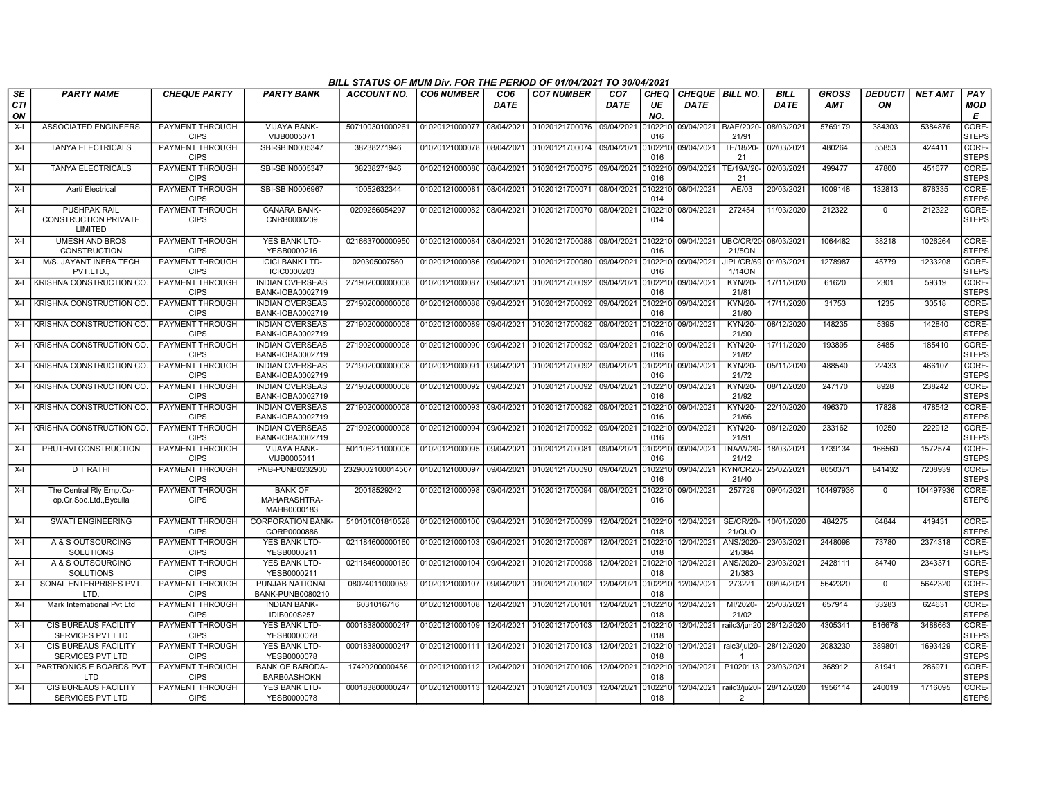|                        |                                                               |                                       |                                               | BILL STATUS OF MUM Div. FOR THE PERIOD OF 01/04/2021 TO 30/04/2021 |                           |                                |                   |                                |                   |                                         |                                   |                            |                            |                      |                |                        |
|------------------------|---------------------------------------------------------------|---------------------------------------|-----------------------------------------------|--------------------------------------------------------------------|---------------------------|--------------------------------|-------------------|--------------------------------|-------------------|-----------------------------------------|-----------------------------------|----------------------------|----------------------------|----------------------|----------------|------------------------|
| SE<br><b>CTI</b><br>ON | <b>PARTY NAME</b>                                             | <b>CHEQUE PARTY</b>                   | <b>PARTY BANK</b>                             | ACCOUNT NO.                                                        | <b>CO6 NUMBER</b>         | CO <sub>6</sub><br><b>DATE</b> | <b>CO7 NUMBER</b> | CO <sub>7</sub><br><b>DATE</b> | CHEQ<br>UE<br>NO. | <b>CHEQUE   BILL NO.</b><br><b>DATE</b> |                                   | <b>BILL</b><br><b>DATE</b> | <b>GROSS</b><br><b>AMT</b> | <b>DEDUCTI</b><br>ΟN | <b>NET AMT</b> | PAY<br><b>MOD</b><br>Е |
| $X-I$                  | <b>ASSOCIATED ENGINEERS</b>                                   | PAYMENT THROUGH<br><b>CIPS</b>        | <b>VIJAYA BANK-</b><br>VIJB0005071            | 507100301000261                                                    | 01020121000077 08/04/2021 |                                | 01020121700076    | 09/04/2021                     | 010221<br>016     | 09/04/2021 B/AE/2020-                   | 21/91                             | 08/03/2021                 | 5769179                    | 384303               | 5384876        | CORE-<br><b>STEPS</b>  |
| X-I                    | <b>TANYA ELECTRICALS</b>                                      | PAYMENT THROUGH<br><b>CIPS</b>        | SBI-SBIN0005347                               | 38238271946                                                        | 01020121000078 08/04/2021 |                                | 01020121700074    | 09/04/2021                     | 102210<br>016     | 09/04/2021                              | TE/18/20-<br>21                   | 02/03/2021                 | 480264                     | 55853                | 424411         | CORE-<br><b>STEPS</b>  |
| X-I                    | <b>TANYA ELECTRICALS</b>                                      | PAYMENT THROUGH<br><b>CIPS</b>        | SBI-SBIN0005347                               | 38238271946                                                        | 01020121000080 08/04/2021 |                                | 01020121700075    | 09/04/2021                     | 102210<br>016     | 09/04/2021                              | TE/19A/20-<br>21                  | 02/03/2021                 | 499477                     | 47800                | 451677         | CORE-<br><b>STEPS</b>  |
| $X-I$                  | Aarti Electrica                                               | PAYMENT THROUGH<br><b>CIPS</b>        | SBI-SBIN0006967                               | 10052632344                                                        | 01020121000081            | 08/04/2021                     | 01020121700071    | 08/04/2021                     | 102210<br>014     | 08/04/2021                              | AE/03                             | 20/03/2021                 | 1009148                    | 132813               | 876335         | CORE-<br><b>STEPS</b>  |
| X-I                    | <b>PUSHPAK RAIL</b><br><b>CONSTRUCTION PRIVATE</b><br>LIMITED | PAYMENT THROUGH<br><b>CIPS</b>        | CANARA BANK-<br>CNRB0000209                   | 0209256054297                                                      | 01020121000082            | 08/04/2021                     | 01020121700070    | 08/04/2021                     | 102210<br>014     | 08/04/2021                              | 272454                            | 11/03/2020                 | 212322                     | $\Omega$             | 212322         | CORE-<br><b>STEPS</b>  |
| X-I                    | <b>UMESH AND BROS</b><br><b>CONSTRUCTION</b>                  | <b>PAYMENT THROUGH</b><br><b>CIPS</b> | <b>YES BANK LTD-</b><br>YESB0000216           | 021663700000950                                                    | 01020121000084            | 08/04/2021                     | 01020121700088    | 09/04/2021                     | 0102210<br>016    | 09/04/2021                              | UBC/CR/20<br>21/5ON               | 08/03/2021                 | 1064482                    | 38218                | 1026264        | CORE-<br><b>STEPS</b>  |
| $X-I$                  | M/S. JAYANT INFRA TECH<br>PVT.LTD.                            | PAYMENT THROUGH<br><b>CIPS</b>        | <b>ICICI BANK LTD-</b><br>ICIC0000203         | 020305007560                                                       | 01020121000086            | 09/04/2021                     | 01020121700080    | 09/04/2021                     | 102210<br>016     | 09/04/2021                              | JIPL/CR/69<br>1/14ON              | 01/03/202                  | 1278987                    | 45779                | 1233208        | CORE-<br><b>STEPS</b>  |
| $X-I$                  | KRISHNA CONSTRUCTION CO                                       | <b>PAYMENT THROUGH</b><br><b>CIPS</b> | <b>INDIAN OVERSEAS</b><br>BANK-IOBA0002719    | 271902000000008                                                    | 01020121000087            | 09/04/2021                     | 01020121700092    | 09/04/2021                     | 102210<br>016     | 09/04/2021                              | <b>KYN/20-</b><br>21/81           | 17/11/2020                 | 61620                      | 2301                 | 59319          | CORE-<br><b>STEPS</b>  |
| X-I                    | KRISHNA CONSTRUCTION CO                                       | PAYMENT THROUGH<br><b>CIPS</b>        | <b>INDIAN OVERSEAS</b><br>BANK-IOBA0002719    | 271902000000008                                                    | 01020121000088            | 09/04/2021                     | 01020121700092    | 09/04/2021                     | 0102210<br>016    | 09/04/2021                              | <b>KYN/20-</b><br>21/80           | 17/11/2020                 | 31753                      | 1235                 | 30518          | CORE-<br><b>STEPS</b>  |
| $X-I$                  | KRISHNA CONSTRUCTION CO                                       | PAYMENT THROUGH<br><b>CIPS</b>        | <b>INDIAN OVERSEAS</b><br>BANK-IOBA0002719    | 271902000000008                                                    | 01020121000089            | 09/04/2021                     | 01020121700092    | 09/04/2021                     | 102210<br>016     | 09/04/2021                              | <b>KYN/20-</b><br>21/90           | 08/12/2020                 | 148235                     | 5395                 | 142840         | CORE-<br><b>STEPS</b>  |
| $X-I$                  | KRISHNA CONSTRUCTION CO                                       | PAYMENT THROUGH<br><b>CIPS</b>        | <b>INDIAN OVERSEAS</b><br>BANK-IOBA0002719    | 271902000000008                                                    | 01020121000090            | 09/04/2021                     | 01020121700092    | 09/04/2021                     | 102210<br>016     | 09/04/2021                              | <b>KYN/20-</b><br>21/82           | 17/11/2020                 | 193895                     | 8485                 | 185410         | CORE-<br><b>STEPS</b>  |
| X-I                    | KRISHNA CONSTRUCTION CO                                       | PAYMENT THROUGH<br><b>CIPS</b>        | <b>INDIAN OVERSEAS</b><br>BANK-IOBA0002719    | 271902000000008                                                    | 01020121000091            | 09/04/2021                     | 01020121700092    | 09/04/2021                     | 102210<br>016     | 09/04/2021                              | <b>KYN/20-</b><br>21/72           | 05/11/2020                 | 488540                     | 22433                | 466107         | CORE-<br><b>STEPS</b>  |
| X-I                    | KRISHNA CONSTRUCTION CO.                                      | <b>PAYMENT THROUGH</b><br><b>CIPS</b> | <b>INDIAN OVERSEAS</b><br>BANK-IOBA0002719    | 271902000000008                                                    | 01020121000092            | 09/04/2021                     | 01020121700092    | 09/04/2021                     | 102210<br>016     | 09/04/2021                              | <b>KYN/20-</b><br>21/92           | 08/12/2020                 | 247170                     | 8928                 | 238242         | CORE-<br><b>STEPS</b>  |
| $X-I$                  | KRISHNA CONSTRUCTION CO                                       | <b>PAYMENT THROUGH</b><br><b>CIPS</b> | <b>INDIAN OVERSEAS</b><br>BANK-IOBA0002719    | 271902000000008                                                    | 01020121000093            | 09/04/2021                     | 01020121700092    | 09/04/2021                     | 102210<br>016     | 09/04/2021                              | <b>KYN/20-</b><br>21/66           | 22/10/2020                 | 496370                     | 17828                | 478542         | CORE-<br><b>STEPS</b>  |
| X-I                    | KRISHNA CONSTRUCTION CO                                       | PAYMENT THROUGH<br><b>CIPS</b>        | <b>INDIAN OVERSEAS</b><br>BANK-IOBA0002719    | 271902000000008                                                    | 01020121000094            | 09/04/2021                     | 01020121700092    | 09/04/2021                     | 102210<br>016     | 09/04/2021                              | <b>KYN/20-</b><br>21/91           | 08/12/2020                 | 233162                     | 10250                | 222912         | CORE-<br><b>STEPS</b>  |
| $X-I$                  | PRUTHVI CONSTRUCTION                                          | <b>PAYMENT THROUGH</b><br><b>CIPS</b> | VIJAYA BANK-<br>VIJB0005011                   | 501106211000006                                                    | 01020121000095            | 09/04/2021                     | 01020121700081    | 09/04/2021                     | 102210<br>016     | 09/04/2021                              | <b>TNA/W/20</b><br>21/12          | 18/03/2021                 | 1739134                    | 166560               | 1572574        | CORE-<br><b>STEPS</b>  |
| X-I                    | D T RATHI                                                     | PAYMENT THROUGH<br><b>CIPS</b>        | PNB-PUNB0232900                               | 2329002100014507                                                   | 01020121000097            | 09/04/2021                     | 01020121700090    | 09/04/2021                     | 0102210<br>016    | 09/04/2021                              | <b>KYN/CR20</b><br>21/40          | 25/02/2021                 | 8050371                    | 841432               | 7208939        | CORE-<br><b>STEPS</b>  |
| X-I                    | The Central Rly Emp.Co-<br>op.Cr.Soc.Ltd., Byculla            | PAYMENT THROUGH<br><b>CIPS</b>        | <b>BANK OF</b><br>MAHARASHTRA-<br>MAHB0000183 | 20018529242                                                        | 01020121000098            | 09/04/2021                     | 01020121700094    | 09/04/2021                     | 102210<br>016     | 09/04/2021                              | 257729                            | 09/04/2021                 | 104497936                  | $\mathbf 0$          | 104497936      | CORE-<br><b>STEPS</b>  |
| X-I                    | SWATI ENGINEERING                                             | PAYMENT THROUGH<br><b>CIPS</b>        | <b>CORPORATION BANK-</b><br>CORP0000886       | 510101001810528                                                    | 01020121000100 09/04/2021 |                                | 01020121700099    | 12/04/2021                     | 0102210<br>018    | 12/04/2021                              | <b>SE/CR/20-</b><br><b>21/QUO</b> | 10/01/2020                 | 484275                     | 64844                | 419431         | CORE-<br><b>STEPS</b>  |
| X-I                    | A & S OUTSOURCING<br><b>SOLUTIONS</b>                         | PAYMENT THROUGH<br><b>CIPS</b>        | YES BANK LTD-<br>YESB0000211                  | 021184600000160                                                    | 01020121000103            | 09/04/2021                     | 01020121700097    | 12/04/2021                     | 102210<br>018     | 12/04/2021                              | ANS/2020-<br>21/384               | 23/03/2021                 | 2448098                    | 73780                | 2374318        | CORE-<br><b>STEPS</b>  |
| $X-I$                  | A & S OUTSOURCING<br><b>SOLUTIONS</b>                         | PAYMENT THROUGH<br><b>CIPS</b>        | <b>YES BANK LTD-</b><br>YESB0000211           | 021184600000160                                                    | 01020121000104 09/04/2021 |                                | 01020121700098    | 12/04/2021                     | 0102210<br>018    | 12/04/2021                              | ANS/2020-<br>21/383               | 23/03/2021                 | 2428111                    | 84740                | 2343371        | CORE-<br><b>STEPS</b>  |
| X-I                    | SONAL ENTERPRISES PVT.<br>LTD                                 | PAYMENT THROUGH<br><b>CIPS</b>        | PUNJAB NATIONAL<br>BANK-PUNB0080210           | 08024011000059                                                     | 01020121000107            | 09/04/2021                     | 01020121700102    | 12/04/2021                     | 102210<br>018     | 12/04/2021                              | 273221                            | 09/04/2021                 | 5642320                    | $\mathbf 0$          | 5642320        | CORE-<br><b>STEPS</b>  |
| X-I                    | Mark International Pvt Ltd                                    | <b>PAYMENT THROUGH</b><br><b>CIPS</b> | <b>INDIAN BANK-</b><br>IDIB000S257            | 6031016716                                                         | 01020121000108            | 12/04/2021                     | 01020121700101    | 12/04/2021                     | 102210<br>018     | 12/04/2021                              | MI/2020-<br>21/02                 | 25/03/2021                 | 657914                     | 33283                | 624631         | CORE-<br><b>STEPS</b>  |
| X-I                    | <b>CIS BUREAUS FACILITY</b><br><b>SERVICES PVT LTD</b>        | <b>PAYMENT THROUGH</b><br><b>CIPS</b> | <b>YES BANK LTD-</b><br>YESB0000078           | 000183800000247                                                    | 01020121000109            | 12/04/2021                     | 01020121700103    | 12/04/2021                     | 0102210<br>018    | 12/04/2021                              | railc3/jun20                      | 28/12/2020                 | 4305341                    | 816678               | 3488663        | CORE-<br><b>STEPS</b>  |
| $X-I$                  | <b>CIS BUREAUS FACILITY</b><br><b>SERVICES PVT LTD</b>        | PAYMENT THROUGH<br><b>CIPS</b>        | YES BANK LTD-<br>YESB0000078                  | 000183800000247                                                    | 01020121000111 12/04/2021 |                                | 01020121700103    | 12/04/2021                     | 0102210<br>018    | 12/04/2021                              | raic3/jul20-                      | 28/12/2020                 | 2083230                    | 389801               | 1693429        | CORE-<br><b>STEPS</b>  |
| X-l                    | PARTRONICS E BOARDS PVT<br>חד ו                               | <b>PAYMENT THROUGH</b><br><b>CIPS</b> | <b>BANK OF BARODA</b><br><b>BARB0ASHOKN</b>   | 17420200000456                                                     | 01020121000112            | 12/04/2021                     | 01020121700106    | 12/04/2021                     | 102210<br>018     | 12/04/2021                              | P1020113                          | 23/03/202                  | 368912                     | 81941                | 286971         | CORE-<br><b>STEPS</b>  |
| X-I                    | <b>CIS BUREAUS FACILITY</b><br>SERVICES PVT LTD               | PAYMENT THROUGH<br><b>CIPS</b>        | YES BANK LTD-<br>YESB0000078                  | 000183800000247                                                    | 01020121000113 12/04/2021 |                                | 01020121700103    | 12/04/2021                     | 0102210<br>018    | 12/04/2021                              | railc3/ju20l-<br>$\mathcal{P}$    | 28/12/2020                 | 1956114                    | 240019               | 1716095        | CORE-<br><b>STEPS</b>  |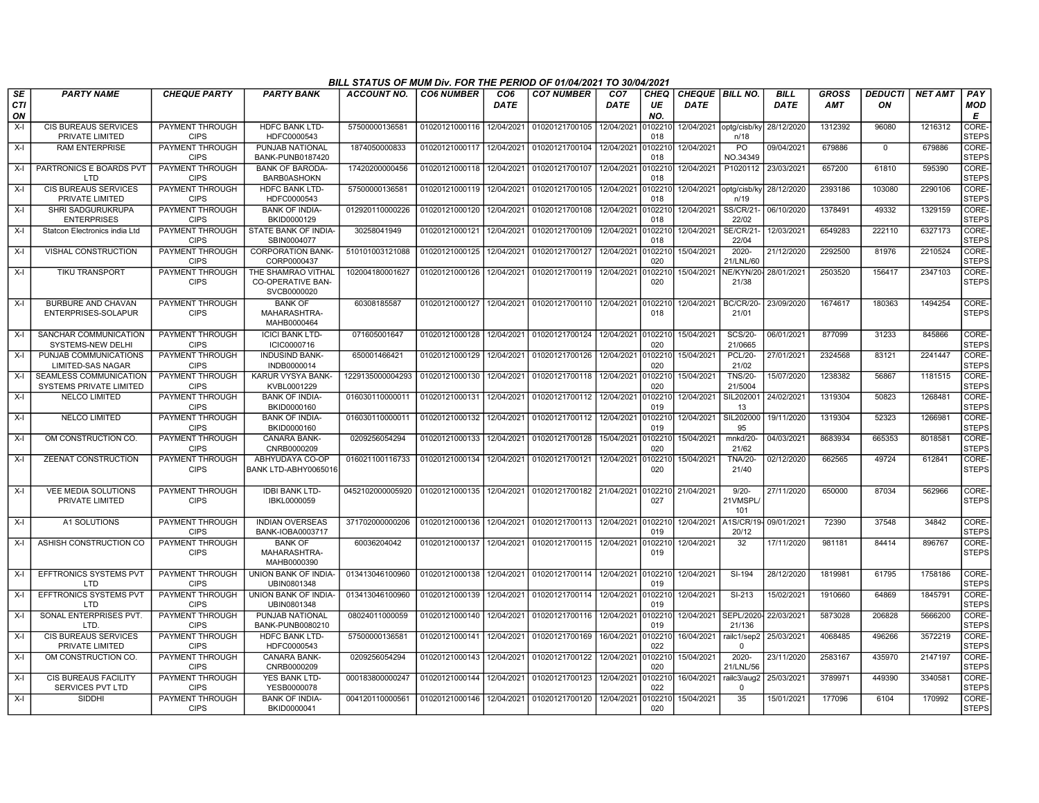|                         |                                                          |                                       |                                                               | BILL STATUS OF MUM Div. FOR THE PERIOD OF 01/04/2021 TO 30/04/2021   |                   |                                |                           |                                |                   |                                |                                   |                            |                            |                      |                |                                   |
|-------------------------|----------------------------------------------------------|---------------------------------------|---------------------------------------------------------------|----------------------------------------------------------------------|-------------------|--------------------------------|---------------------------|--------------------------------|-------------------|--------------------------------|-----------------------------------|----------------------------|----------------------------|----------------------|----------------|-----------------------------------|
| <b>SE</b><br><b>CTI</b> | <b>PARTY NAME</b>                                        | <b>CHEQUE PARTY</b>                   | <b>PARTY BANK</b>                                             | <b>ACCOUNT NO.</b>                                                   | <b>CO6 NUMBER</b> | CO <sub>6</sub><br><b>DATE</b> | <b>CO7 NUMBER</b>         | CO <sub>7</sub><br><b>DATE</b> | <b>CHEQ</b><br>UE | CHEQUE BILL NO.<br><b>DATE</b> |                                   | <b>BILL</b><br><b>DATE</b> | <b>GROSS</b><br><b>AMT</b> | <b>DEDUCTI</b><br>ON | <b>NET AMT</b> | PAY<br><b>MOD</b>                 |
| ΟN                      |                                                          |                                       |                                                               |                                                                      |                   |                                |                           |                                | NO.               |                                |                                   |                            |                            |                      |                | E                                 |
| X-I                     | CIS BUREAUS SERVICES<br>PRIVATE LIMITED                  | PAYMENT THROUGH<br><b>CIPS</b>        | <b>HDFC BANK LTD-</b><br>HDFC0000543                          | 5750000013658                                                        | 01020121000116    | 12/04/2021                     | 01020121700105            | 12/04/2021                     | 0102210<br>018    |                                | 12/04/2021 optg/cisb/ky<br>n/18   | 28/12/2020                 | 1312392                    | 96080                | 1216312        | <b>CORE</b><br><b>STEPS</b>       |
| X-I                     | <b>RAM ENTERPRISE</b>                                    | PAYMENT THROUGH                       | PUNJAB NATIONAL                                               | 1874050000833                                                        | 01020121000117    | 12/04/2021                     | 01020121700104            | 12/04/2021                     | 0102210           | 12/04/2021                     | PO                                | 09/04/2021                 | 679886                     | $\mathbf 0$          | 679886         | CORE-                             |
|                         |                                                          | <b>CIPS</b>                           | BANK-PUNB0187420                                              |                                                                      |                   |                                |                           |                                | 018               |                                | NO.34349                          |                            |                            |                      |                | <b>STEPS</b>                      |
| X-I                     | PARTRONICS E BOARDS PVT<br>LTD                           | PAYMENT THROUGH<br><b>CIPS</b>        | <b>BANK OF BARODA-</b><br><b>BARB0ASHOKN</b>                  | 17420200000456                                                       | 01020121000118    | 12/04/2021                     | 01020121700107            | 12/04/2021                     | 010221<br>018     | 12/04/2021                     | P1020112                          | 23/03/2021                 | 657200                     | 61810                | 595390         | CORE-<br><b>STEPS</b>             |
| $X-I$                   | <b>CIS BUREAUS SERVICES</b><br>PRIVATE LIMITED           | PAYMENT THROUGH<br><b>CIPS</b>        | <b>HDFC BANK LTD-</b><br>HDFC0000543                          | 5750000013658                                                        | 01020121000119    | 12/04/2021                     | 01020121700105            | 12/04/2021                     | 0102210<br>018    |                                | 12/04/2021   optg/cisb/ky<br>n/19 | 28/12/2020                 | 2393186                    | 103080               | 2290106        | <b>CORE</b><br><b>STEPS</b>       |
| X-I                     | <b>SHRI SADGURUKRUPA</b><br><b>ENTERPRISES</b>           | <b>PAYMENT THROUGH</b><br><b>CIPS</b> | <b>BANK OF INDIA-</b><br>BKID0000129                          | 012920110000226                                                      | 01020121000120    | 12/04/2021                     | 01020121700108            | 12/04/2021                     | 0102210<br>018    | 12/04/2021                     | <b>SS/CR/21-</b><br>22/02         | 06/10/2020                 | 1378491                    | 49332                | 1329159        | CORE-<br><b>STEPS</b>             |
| $X-I$                   | Statcon Electronics india Ltd                            | PAYMENT THROUGH<br><b>CIPS</b>        | STATE BANK OF INDIA-<br>SBIN0004077                           | 30258041949                                                          | 01020121000121    | 12/04/2021                     | 01020121700109            | 12/04/2021                     | 010221<br>018     | 12/04/2021                     | <b>SE/CR/21</b><br>22/04          | 12/03/2021                 | 6549283                    | 222110               | 6327173        | CORE-<br><b>STEPS</b>             |
| X-I                     | <b>VISHAL CONSTRUCTION</b>                               | <b>PAYMENT THROUGH</b><br><b>CIPS</b> | <b>CORPORATION BANK-</b><br>CORP0000437                       | 510101003121088                                                      | 01020121000125    | 12/04/2021                     | 01020121700127            | 12/04/2021                     | 010221<br>020     | 15/04/2021                     | $2020 -$<br>21/LNL/60             | 21/12/2020                 | 2292500                    | 81976                | 2210524        | CORE-<br><b>STEPS</b>             |
| X-I                     | <b>TIKU TRANSPORT</b>                                    | PAYMENT THROUGH<br><b>CIPS</b>        | THE SHAMRAO VITHAL<br><b>CO-OPERATIVE BAN-</b><br>SVCB0000020 | 102004180001627                                                      | 01020121000126    | 12/04/2021                     | 01020121700119            | 12/04/2021                     | 010221<br>020     | 15/04/2021                     | NE/KYN/20<br>21/38                | 28/01/2021                 | 2503520                    | 156417               | 2347103        | <b>CORE</b><br><b>STEPS</b>       |
| X-I                     | BURBURE AND CHAVAN<br>ENTERPRISES-SOLAPUR                | PAYMENT THROUGH<br><b>CIPS</b>        | <b>BANK OF</b><br>MAHARASHTRA-<br>MAHB0000464                 | 60308185587                                                          | 01020121000127    |                                | 12/04/2021 01020121700110 | 12/04/2021                     | 0102210<br>018    | 12/04/2021                     | <b>BC/CR/20-</b><br>21/01         | 23/09/2020                 | 1674617                    | 180363               | 1494254        | CORE-<br><b>STEPS</b>             |
| $X-I$                   | SANCHAR COMMUNICATION<br>SYSTEMS-NEW DELHI               | PAYMENT THROUGH<br><b>CIPS</b>        | <b>ICICI BANK LTD-</b><br>ICIC0000716                         | 071605001647                                                         | 01020121000128    | 12/04/2021                     | 01020121700124            | 12/04/2021 0102210             | 020               | 15/04/2021                     | <b>SCS/20-</b><br>21/0665         | 06/01/2021                 | 877099                     | 31233                | 845866         | CORE-<br>Isteps                   |
| $X-I$                   | PUNJAB COMMUNICATIONS<br>LIMITED-SAS NAGAR               | <b>PAYMENT THROUGH</b><br><b>CIPS</b> | <b>INDUSIND BANK-</b><br>INDB0000014                          | 650001466421                                                         | 01020121000129    | 12/04/2021                     | 01020121700126            | 12/04/2021                     | 0102210<br>020    | 15/04/2021                     | <b>PCL/20-</b><br>21/02           | 27/01/2021                 | 2324568                    | 83121                | 2241447        | CORE-<br><b>STEPS</b>             |
| X-I                     | SEAMLESS COMMUNICATION<br><b>SYSTEMS PRIVATE LIMITED</b> | <b>PAYMENT THROUGH</b><br><b>CIPS</b> | KARUR VYSYA BANK-<br>KVBL0001229                              | 1229135000004293                                                     | 01020121000130    | 12/04/2021                     | 01020121700118            | 12/04/2021                     | 0102210<br>020    | 15/04/2021                     | <b>TNS/20-</b><br>21/5004         | 15/07/2020                 | 1238382                    | 56867                | 1181515        | CORE-<br><b>STEPS</b>             |
| $X-I$                   | <b>NELCO LIMITED</b>                                     | PAYMENT THROUGH<br><b>CIPS</b>        | <b>BANK OF INDIA-</b><br>BKID0000160                          | 016030110000011                                                      | 01020121000131    | 12/04/2021                     | 01020121700112            | 12/04/2021                     | 010221<br>019     | 12/04/2021                     | SIL202001<br>13                   | 24/02/2021                 | 1319304                    | 50823                | 1268481        | CORE-<br><b>STEPS</b>             |
| $X-I$                   | <b>NELCO LIMITED</b>                                     | PAYMENT THROUGH<br><b>CIPS</b>        | <b>BANK OF INDIA-</b><br>BKID0000160                          | 016030110000011                                                      | 01020121000132    | 12/04/2021                     | 01020121700112            | 12/04/2021                     | 010221<br>019     | 12/04/2021                     | SIL202000<br>95                   | 19/11/2020                 | 1319304                    | 52323                | 1266981        | CORE <sub>®</sub><br><b>STEPS</b> |
| X-I                     | OM CONSTRUCTION CO.                                      | <b>PAYMENT THROUGH</b><br><b>CIPS</b> | <b>CANARA BANK-</b><br>CNRB0000209                            | 0209256054294                                                        | 01020121000133    | 12/04/2021                     | 01020121700128            | 15/04/2021                     | 0102210<br>020    | 15/04/2021                     | mnkd/20-<br>21/62                 | 04/03/2021                 | 8683934                    | 665353               | 8018581        | CORE-<br><b>STEPS</b>             |
| X-I                     | <b>ZEENAT CONSTRUCTION</b>                               | <b>PAYMENT THROUGH</b><br><b>CIPS</b> | ABHYUDAYA CO-OP<br>BANK LTD-ABHY0065016                       | 016021100116733                                                      | 01020121000134    | 12/04/2021                     | 01020121700121            | 12/04/2021                     | 0102210<br>020    | 15/04/2021                     | <b>TNA/20-</b><br>21/40           | 02/12/2020                 | 662565                     | 49724                | 612841         | CORE-<br><b>STEPS</b>             |
| $X-I$                   | <b>VEE MEDIA SOLUTIONS</b><br>PRIVATE LIMITED            | <b>PAYMENT THROUGH</b><br><b>CIPS</b> | <b>IDBI BANK LTD-</b><br>IBKL0000059                          | 0452102000005920 01020121000135 12/04/2021 01020121700182 21/04/2021 |                   |                                |                           |                                | 0102210<br>027    | 21/04/2021                     | $9/20 -$<br>21VMSPL<br>101        | 27/11/2020                 | 650000                     | 87034                | 562966         | <b>CORE</b><br><b>STEPS</b>       |
| $X-I$                   | A1 SOLUTIONS                                             | PAYMENT THROUGH<br><b>CIPS</b>        | <b>INDIAN OVERSEAS</b><br>BANK-IOBA0003717                    | 371702000000206                                                      | 01020121000136    | 12/04/2021                     | 01020121700113            | 12/04/2021                     | 0102210<br>019    | 12/04/2021                     | A1S/CR/19-<br>20/12               | 09/01/2021                 | 72390                      | 37548                | 34842          | CORE-<br><b>STEPS</b>             |
| X-I                     | ASHISH CONSTRUCTION CO                                   | PAYMENT THROUGH<br><b>CIPS</b>        | <b>BANK OF</b><br>MAHARASHTRA-<br>MAHB0000390                 | 60036204042                                                          | 01020121000137    | 12/04/2021                     | 01020121700115            | 12/04/2021                     | 010221<br>019     | 12/04/2021                     | 32                                | 17/11/2020                 | 981181                     | 84414                | 896767         | CORE-<br><b>STEPS</b>             |
| $X-I$                   | EFFTRONICS SYSTEMS PVT<br>חד ו                           | <b>PAYMENT THROUGH</b><br><b>CIPS</b> | UNION BANK OF INDIA-<br>UBIN0801348                           | 013413046100960                                                      | 01020121000138    | 12/04/2021                     | 01020121700114            | 12/04/2021                     | 0102210<br>019    | 12/04/2021                     | SI-194                            | 28/12/2020                 | 1819981                    | 61795                | 1758186        | CORE-<br><b>STEPS</b>             |
| $X-I$                   | <b>EFFTRONICS SYSTEMS PVT</b><br>LTD                     | <b>PAYMENT THROUGH</b><br><b>CIPS</b> | UNION BANK OF INDIA-<br>UBIN0801348                           | 013413046100960                                                      | 01020121000139    | 12/04/2021                     | 01020121700114            | 12/04/2021                     | 0102210<br>019    | 12/04/2021                     | $SI-213$                          | 15/02/2021                 | 1910660                    | 64869                | 1845791        | CORE-<br><b>STEPS</b>             |
| $X-I$                   | SONAL ENTERPRISES PVT.<br>LTD.                           | PAYMENT THROUGH<br><b>CIPS</b>        | PUNJAB NATIONAL<br>BANK-PUNB0080210                           | 08024011000059                                                       | 01020121000140    | 12/04/2021                     | 01020121700116            | 12/04/2021                     | 0102210<br>019    | 12/04/2021                     | <b>SEPL/2020</b><br>21/136        | 22/03/2021                 | 5873028                    | 206828               | 5666200        | CORE-<br><b>STEPS</b>             |
| $X-I$                   | <b>CIS BUREAUS SERVICES</b><br>PRIVATE LIMITED           | PAYMENT THROUGH<br><b>CIPS</b>        | <b>HDFC BANK LTD-</b><br>HDFC0000543                          | 57500000136581                                                       | 01020121000141    | 12/04/2021                     | 01020121700169            | 16/04/2021                     | 0102210<br>022    | 16/04/2021                     | railc1/sep2<br>$\Omega$           | 25/03/2021                 | 4068485                    | 496266               | 3572219        | CORE-<br><b>STEPS</b>             |
| $X-I$                   | OM CONSTRUCTION CO.                                      | PAYMENT THROUGH<br><b>CIPS</b>        | CANARA BANK-<br>CNRB0000209                                   | 0209256054294                                                        | 01020121000143    | 12/04/2021                     | 01020121700122            | 12/04/2021                     | 0102210<br>020    | 15/04/2021                     | $2020 -$<br>21/LNL/56             | 23/11/2020                 | 2583167                    | 435970               | 2147197        | <b>CORE</b><br><b>STEPS</b>       |
| X-I                     | <b>CIS BUREAUS FACILITY</b><br>SERVICES PVT LTD          | PAYMENT THROUGH<br><b>CIPS</b>        | YES BANK LTD-<br>YESB0000078                                  | 000183800000247                                                      | 01020121000144    | 12/04/2021                     | 01020121700123            | 12/04/2021                     | 0102210<br>022    | 16/04/2021                     | railc3/aug2<br>$\Omega$           | 25/03/2021                 | 3789971                    | 449390               | 3340581        | CORE-<br><b>STEPS</b>             |
| X-I                     | <b>SIDDHI</b>                                            | PAYMENT THROUGH<br><b>CIPS</b>        | <b>BANK OF INDIA-</b><br>BKID0000041                          | 004120110000561                                                      | 01020121000146    |                                | 12/04/2021 01020121700120 | 12/04/2021                     | 0102210<br>020    | 15/04/2021                     | 35                                | 15/01/2021                 | 177096                     | 6104                 | 170992         | CORE-<br><b>STEPS</b>             |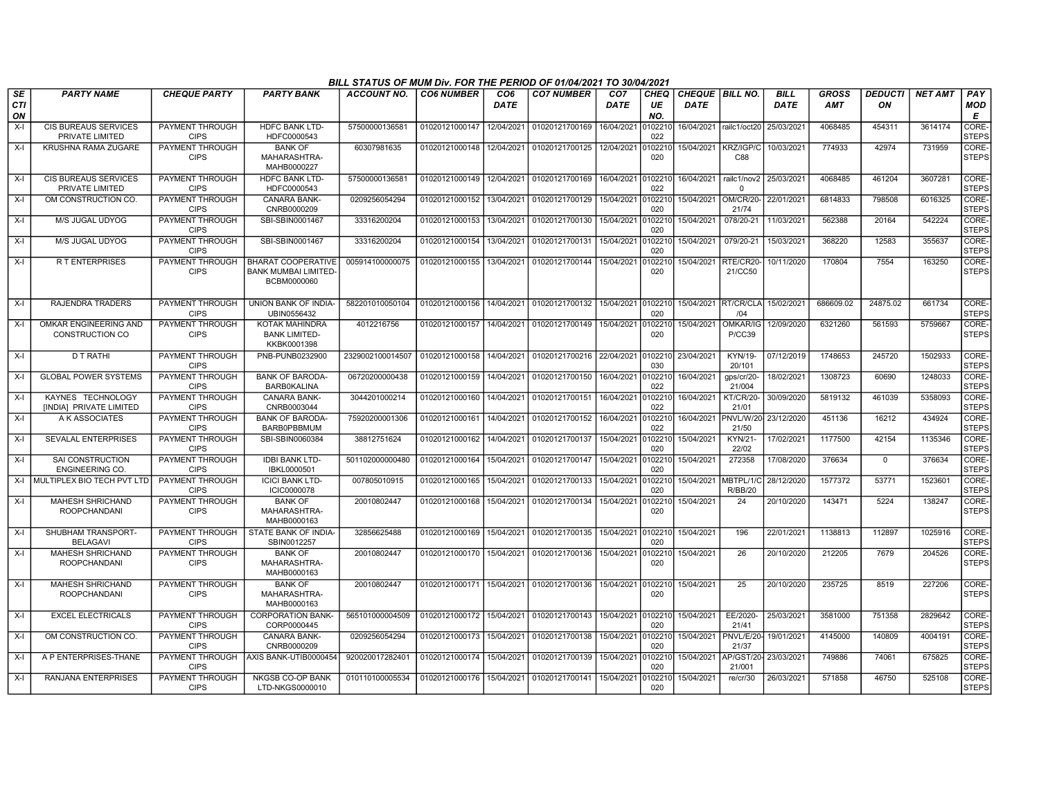|                 |                                                |                                       |                                                                        | BILL STATUS OF MUM Div. FOR THE PERIOD OF 01/04/2021 TO 30/04/2021 |                   |                         |                                   |                         |                   |                                       |                                        |                            |                            |                      |                |                             |
|-----------------|------------------------------------------------|---------------------------------------|------------------------------------------------------------------------|--------------------------------------------------------------------|-------------------|-------------------------|-----------------------------------|-------------------------|-------------------|---------------------------------------|----------------------------------------|----------------------------|----------------------------|----------------------|----------------|-----------------------------|
| SE<br>CTI<br>ON | <b>PARTY NAME</b>                              | <b>CHEQUE PARTY</b>                   | <b>PARTY BANK</b>                                                      | <b>ACCOUNT NO.</b>                                                 | <b>CO6 NUMBER</b> | CO <sub>6</sub><br>DATE | <b>CO7 NUMBER</b>                 | CO <sub>7</sub><br>DATE | CHEQ<br>UE<br>NO. | <b>CHEQUE BILL NO.</b><br><b>DATE</b> |                                        | <b>BILL</b><br><b>DATE</b> | <b>GROSS</b><br><b>AMT</b> | <b>DEDUCTI</b><br>ON | <b>NET AMT</b> | PAY<br><b>MOD</b><br>Е      |
| $X-I$           | <b>CIS BUREAUS SERVICES</b><br>PRIVATE LIMITED | <b>PAYMENT THROUGH</b><br><b>CIPS</b> | <b>HDFC BANK LTD-</b><br>HDFC0000543                                   | 57500000136581                                                     | 01020121000147    | 12/04/2021              | 01020121700169                    | 16/04/2021              | 102210<br>022     | 16/04/2021 railc1/oct20               |                                        | 25/03/2021                 | 4068485                    | 454311               | 3614174        | CORE-<br><b>STEPS</b>       |
| $X-I$           | <b>KRUSHNA RAMA ZUGARE</b>                     | <b>PAYMENT THROUGH</b><br><b>CIPS</b> | <b>BANK OF</b><br>MAHARASHTRA-<br>MAHB0000227                          | 60307981635                                                        | 01020121000148    | 12/04/2021              | 01020121700125                    | 12/04/2021              | 102210<br>020     | 15/04/2021                            | KRZ/IGP/C<br>C88                       | 10/03/2021                 | 774933                     | 42974                | 731959         | CORE-<br>STEPS              |
| $X-I$           | <b>CIS BUREAUS SERVICES</b><br>PRIVATE LIMITED | PAYMENT THROUGH<br><b>CIPS</b>        | <b>HDFC BANK LTD-</b><br>HDFC0000543                                   | 5750000013658                                                      | 01020121000149    | 12/04/2021              | 01020121700169                    | 16/04/2021              | 102210<br>022     | 16/04/2021                            | railc1/nov2<br>$\Omega$                | 25/03/2021                 | 4068485                    | 461204               | 3607281        | <b>CORE</b><br><b>STEPS</b> |
| $X-I$           | OM CONSTRUCTION CO.                            | PAYMENT THROUGH<br><b>CIPS</b>        | CANARA BANK-<br>CNRB0000209                                            | 0209256054294                                                      | 01020121000152    | 13/04/2021              | 01020121700129                    | 15/04/2021              | 102210<br>020     | 15/04/2021                            | <b>OM/CR/20-</b><br>21/74              | 22/01/2021                 | 6814833                    | 798508               | 6016325        | CORE-<br><b>STEPS</b>       |
| $X-I$           | M/S JUGAL UDYOG                                | <b>PAYMENT THROUGH</b><br><b>CIPS</b> | SBI-SBIN0001467                                                        | 33316200204                                                        | 01020121000153    | 13/04/2021              | 01020121700130                    | 15/04/2021              | 102210<br>020     | 15/04/2021                            | 078/20-21                              | 11/03/2021                 | 562388                     | 20164                | 542224         | CORE-<br><b>STEPS</b>       |
| $X-I$           | M/S JUGAL UDYOG                                | PAYMENT THROUGH<br><b>CIPS</b>        | SBI-SBIN0001467                                                        | 33316200204                                                        | 01020121000154    | 13/04/2021              | 01020121700131                    | 15/04/2021              | 102210<br>020     | 15/04/2021                            | 079/20-21                              | 15/03/2021                 | 368220                     | 12583                | 355637         | <b>CORE</b><br><b>STEPS</b> |
| X-I             | R T ENTERPRISES                                | PAYMENT THROUGH<br><b>CIPS</b>        | <b>BHARAT COOPERATIVE</b><br><b>BANK MUMBAI LIMITED</b><br>BCBM0000060 | 005914100000075                                                    | 01020121000155    | 13/04/2021              | 01020121700144                    | 15/04/2021              | 102210<br>020     | 15/04/2021                            | RTE/CR20<br>21/CC50                    | 10/11/2020                 | 170804                     | 7554                 | 163250         | CORE-<br><b>STEPS</b>       |
| $X-I$           | <b>RAJENDRA TRADERS</b>                        | PAYMENT THROUGH<br><b>CIPS</b>        | UNION BANK OF INDIA-<br>UBIN0556432                                    | 582201010050104                                                    | 01020121000156    | 14/04/2021              | 01020121700132                    | 15/04/2021              | 0102210<br>020    |                                       | 15/04/2021 RT/CR/CLA<br>/04            | 15/02/2021                 | 686609.02                  | 24875.02             | 661734         | CORE-<br><b>STEPS</b>       |
| $X-I$           | OMKAR ENGINEERING AND<br>CONSTRUCTION CO       | PAYMENT THROUGH<br><b>CIPS</b>        | <b>KOTAK MAHINDRA</b><br><b>BANK LIMITED-</b><br>KKBK0001398           | 4012216756                                                         | 01020121000157    | 14/04/2021              | 01020121700149                    | 15/04/2021              | 0102210<br>020    | 15/04/2021                            | <b>DMKAR/IG</b><br><b>P/CC39</b>       | 12/09/2020                 | 6321260                    | 561593               | 5759667        | CORE-<br><b>STEPS</b>       |
| $X-I$           | D T RATHI                                      | PAYMENT THROUGH<br><b>CIPS</b>        | PNB-PUNB0232900                                                        | 2329002100014507                                                   | 01020121000158    | 14/04/2021              | 01020121700216 22/04/2021 0102210 |                         | 030               | 23/04/2021                            | KYN/19-<br>20/101                      | 07/12/2019                 | 1748653                    | 245720               | 1502933        | CORE-<br><b>STEPS</b>       |
| $X-I$           | <b>GLOBAL POWER SYSTEMS</b>                    | PAYMENT THROUGH<br><b>CIPS</b>        | <b>BANK OF BARODA-</b><br><b>BARB0KALINA</b>                           | 06720200000438                                                     | 01020121000159    | 14/04/2021              | 01020121700150                    | 16/04/2021              | 0102210<br>022    | 16/04/2021                            | gps/cr/20-<br>21/004                   | 18/02/2021                 | 1308723                    | 60690                | 1248033        | CORE-<br>STEPS              |
| $X-I$           | KAYNES TECHNOLOGY<br>[INDIA] PRIVATE LIMITED   | <b>PAYMENT THROUGH</b><br><b>CIPS</b> | <b>CANARA BANK-</b><br>CNRB0003044                                     | 3044201000214                                                      | 01020121000160    | 14/04/2021              | 01020121700151                    | 16/04/2021              | 0102210<br>022    | 16/04/2021                            | <b>KT/CR/20-</b><br>21/01              | 30/09/2020                 | 5819132                    | 461039               | 5358093        | CORE-<br><b>STEPS</b>       |
| X-I             | A K ASSOCIATES                                 | <b>PAYMENT THROUGH</b><br><b>CIPS</b> | <b>BANK OF BARODA-</b><br>BARB0PBBMUM                                  | 75920200001306                                                     | 01020121000161    | 14/04/2021              | 01020121700152                    | 16/04/2021              | 0102210<br>022    |                                       | 16/04/2021 PNVL/W/20<br>21/50          | 23/12/2020                 | 451136                     | 16212                | 434924         | CORE-<br><b>STEPS</b>       |
| $X-I$           | SEVALAL ENTERPRISES                            | PAYMENT THROUGH<br><b>CIPS</b>        | SBI-SBIN0060384                                                        | 38812751624                                                        | 01020121000162    | 14/04/2021              | 01020121700137                    | 15/04/2021              | 102210<br>020     | 15/04/2021                            | KYN/21-<br>22/02                       | 17/02/2021                 | 1177500                    | 42154                | 1135346        | CORE-<br><b>STEPS</b>       |
| $X-I$           | SAI CONSTRUCTION<br><b>ENGINEERING CO.</b>     | PAYMENT THROUGH<br><b>CIPS</b>        | <b>IDBI BANK LTD-</b><br>IBKL0000501                                   | 501102000000480                                                    | 01020121000164    | 15/04/2021              | 01020121700147                    | 15/04/2021              | 102210<br>020     | 15/04/2021                            | 272358                                 | 17/08/2020                 | 376634                     | $\mathbf 0$          | 376634         | CORE-<br><b>STEPS</b>       |
| $X-I$           | MULTIPLEX BIO TECH PVT LTD                     | PAYMENT THROUGH<br><b>CIPS</b>        | <b>ICICI BANK LTD-</b><br><b>ICIC0000078</b>                           | 007805010915                                                       | 01020121000165    | 15/04/2021              | 01020121700133                    | 15/04/2021              | 0102210<br>020    |                                       | 15/04/2021 MBTPL/1/C<br><b>R/BB/20</b> | 28/12/2020                 | 1577372                    | 53771                | 1523601        | CORE-<br><b>STEPS</b>       |
| X-I             | MAHESH SHRICHAND<br><b>ROOPCHANDANI</b>        | <b>PAYMENT THROUGH</b><br><b>CIPS</b> | <b>BANK OF</b><br>MAHARASHTRA-<br>MAHB0000163                          | 20010802447                                                        | 01020121000168    | 15/04/2021              | 01020121700134                    | 15/04/2021              | 0102210<br>020    | 15/04/2021                            | $\overline{24}$                        | 20/10/2020                 | 143471                     | 5224                 | 138247         | CORE-<br>STEPS              |
| $X-I$           | SHUBHAM TRANSPORT-<br><b>BELAGAVI</b>          | PAYMENT THROUGH<br><b>CIPS</b>        | STATE BANK OF INDIA-<br>SBIN0012257                                    | 32856625488                                                        | 01020121000169    | 15/04/2021              | 01020121700135                    | 15/04/2021 0102210      | 020               | 15/04/2021                            | 196                                    | 22/01/2021                 | 1138813                    | 112897               | 1025916        | CORE-<br><b>STEPS</b>       |
| $X-I$           | <b>MAHESH SHRICHAND</b><br><b>ROOPCHANDANI</b> | <b>PAYMENT THROUGH</b><br><b>CIPS</b> | <b>BANK OF</b><br>MAHARASHTRA-<br>MAHB0000163                          | 20010802447                                                        | 01020121000170    | 15/04/2021              | 01020121700136                    | 15/04/2021              | 102210<br>020     | 15/04/2021                            | 26                                     | 20/10/2020                 | 212205                     | 7679                 | 204526         | CORE-<br><b>STEPS</b>       |
| X-I             | MAHESH SHRICHAND<br><b>ROOPCHANDANI</b>        | PAYMENT THROUGH<br><b>CIPS</b>        | <b>BANK OF</b><br>MAHARASHTRA-<br>MAHB0000163                          | 20010802447                                                        | 01020121000171    | 15/04/2021              | 01020121700136                    | 15/04/2021              | 102210<br>020     | 15/04/2021                            | 25                                     | 20/10/2020                 | 235725                     | 8519                 | 227206         | CORE-<br><b>STEPS</b>       |
| $X-I$           | <b>EXCEL ELECTRICALS</b>                       | PAYMENT THROUGH<br><b>CIPS</b>        | <b>CORPORATION BANK-</b><br>CORP0000445                                | 565101000004509                                                    | 01020121000172    | 15/04/2021              | 01020121700143                    | 15/04/2021              | 0102210<br>020    | 15/04/2021                            | EE/2020-<br>21/41                      | 25/03/2021                 | 3581000                    | 751358               | 2829642        | CORE-<br><b>STEPS</b>       |
| $X-I$           | OM CONSTRUCTION CO.                            | PAYMENT THROUGH<br><b>CIPS</b>        | CANARA BANK-<br>CNRB0000209                                            | 0209256054294                                                      | 01020121000173    | 15/04/2021              | 01020121700138                    | 15/04/2021              | 102210<br>020     | 15/04/2021                            | PNVL/E/20-<br>21/37                    | 19/01/2021                 | 4145000                    | 140809               | 4004191        | CORE-<br><b>STEPS</b>       |
| $X-I$           | A P ENTERPRISES-THANE                          | PAYMENT THROUGH<br><b>CIPS</b>        | AXIS BANK-UTIB0000454                                                  | 920020017282401                                                    | 01020121000174    | 15/04/2021              | 01020121700139                    | 15/04/2021              | 102210<br>020     | 15/04/2021                            | AP/GST/20<br>21/001                    | 23/03/2021                 | 749886                     | 74061                | 675825         | CORE-<br><b>STEPS</b>       |
| X-I             | RANJANA ENTERPRISES                            | <b>PAYMENT THROUGH</b><br><b>CIPS</b> | <b>NKGSB CO-OP BANK</b><br>LTD-NKGS0000010                             | 010110100005534                                                    | 01020121000176    | 15/04/2021              | 01020121700141                    | 15/04/2021              | 102210<br>020     | 15/04/2021                            | re/cr/30                               | 26/03/2021                 | 571858                     | 46750                | 525108         | CORE-<br>STEPS              |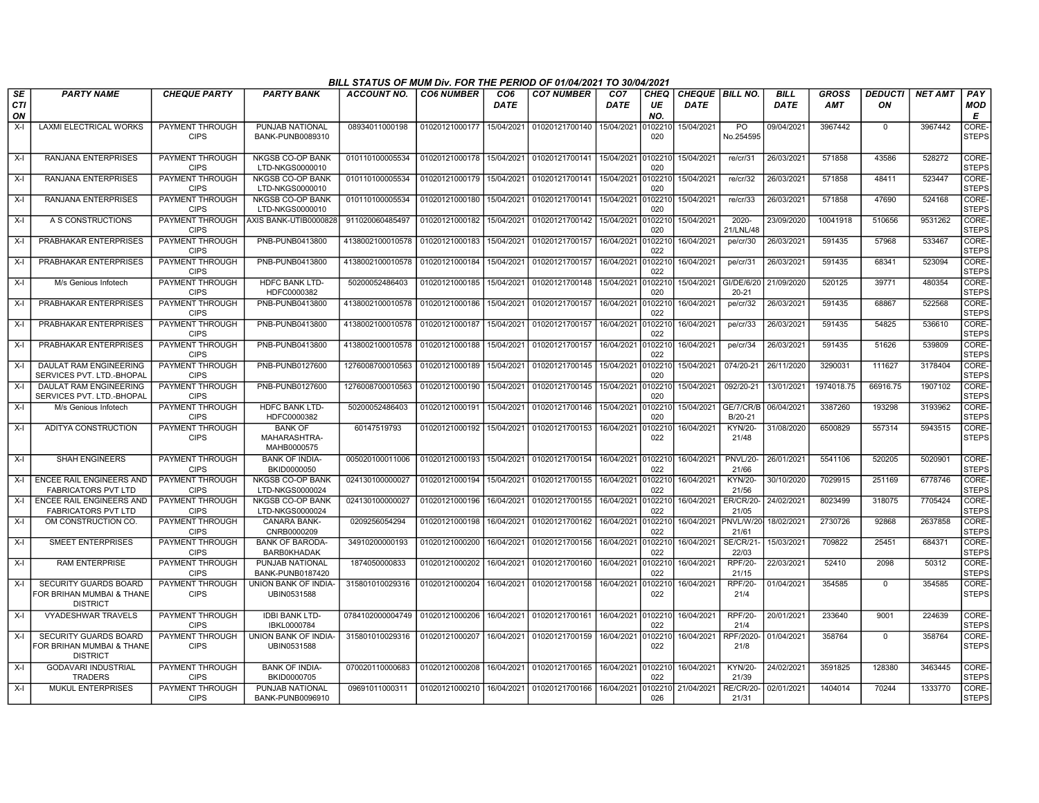|                        |                                                                              |                                       |                                               | BILL STATUS OF MUM Div. FOR THE PERIOD OF 01/04/2021 TO 30/04/2021 |                           |                         |                                    |                                |                          |                                  |                           |                            |                            |                      |                |                        |
|------------------------|------------------------------------------------------------------------------|---------------------------------------|-----------------------------------------------|--------------------------------------------------------------------|---------------------------|-------------------------|------------------------------------|--------------------------------|--------------------------|----------------------------------|---------------------------|----------------------------|----------------------------|----------------------|----------------|------------------------|
| SE<br><b>CTI</b><br>ON | <b>PARTY NAME</b>                                                            | <b>CHEQUE PARTY</b>                   | <b>PARTY BANK</b>                             | <b>ACCOUNT NO.</b>                                                 | <b>CO6 NUMBER</b>         | CO <sub>6</sub><br>DATE | <b>CO7 NUMBER</b>                  | CO <sub>7</sub><br><b>DATE</b> | <b>CHEQ</b><br>UE<br>NO. | CHEQUE   BILL NO.<br><b>DATE</b> |                           | <b>BILL</b><br><b>DATE</b> | <b>GROSS</b><br><b>AMT</b> | <b>DEDUCTI</b><br>ΟN | <b>NET AMT</b> | PAY<br><b>MOD</b><br>E |
| $X-I$                  | <b>LAXMI ELECTRICAL WORKS</b>                                                | PAYMENT THROUGH<br><b>CIPS</b>        | PUNJAB NATIONAL<br>BANK-PUNB0089310           | 08934011000198                                                     | 01020121000177            | 15/04/2021              | 01020121700140                     | 15/04/2021                     | 010221<br>020            | 15/04/2021                       | PO<br>No.254595           | 09/04/2021                 | 3967442                    | $\Omega$             | 3967442        | CORE-<br><b>STEPS</b>  |
| $X-I$                  | <b>RANJANA ENTERPRISES</b>                                                   | PAYMENT THROUGH<br><b>CIPS</b>        | NKGSB CO-OP BANK<br>LTD-NKGS0000010           | 010110100005534                                                    | 01020121000178 15/04/2021 |                         | 01020121700141 15/04/2021 0102210  |                                | 020                      | 15/04/2021                       | re/cr/31                  | 26/03/2021                 | 571858                     | 43586                | 528272         | CORE-<br>STEPS         |
| $X-I$                  | <b>RANJANA ENTERPRISES</b>                                                   | PAYMENT THROUGH<br><b>CIPS</b>        | NKGSB CO-OP BANK<br>LTD-NKGS0000010           | 010110100005534                                                    | 01020121000179            | 15/04/2021              | 01020121700141                     | 15/04/2021 010221              | 020                      | 15/04/2021                       | re/cr/32                  | 26/03/2021                 | 571858                     | 48411                | 523447         | CORE-<br><b>STEPS</b>  |
| $X-I$                  | RANJANA ENTERPRISES                                                          | PAYMENT THROUGH<br><b>CIPS</b>        | NKGSB CO-OP BANK<br>LTD-NKGS0000010           | 010110100005534                                                    | 01020121000180            | 15/04/2021              | 01020121700141                     | 15/04/2021                     | 010221<br>020            | 15/04/2021                       | re/cr/33                  | 26/03/2021                 | 571858                     | 47690                | 524168         | CORE-<br><b>STEPS</b>  |
| $X-I$                  | A S CONSTRUCTIONS                                                            | PAYMENT THROUGH<br><b>CIPS</b>        | AXIS BANK-UTIB0000828                         | 911020060485497                                                    | 01020121000182            | 15/04/2021              | 01020121700142                     | 15/04/2021 010221              | 020                      | 15/04/2021                       | $2020 -$<br>21/LNL/48     | 23/09/2020                 | 10041918                   | 510656               | 9531262        | CORE-<br><b>STEPS</b>  |
| $X-I$                  | PRABHAKAR ENTERPRISES                                                        | PAYMENT THROUGH<br><b>CIPS</b>        | PNB-PUNB0413800                               | 4138002100010578                                                   | 01020121000183            | 15/04/2021              | 01020121700157                     | 16/04/2021                     | 010221<br>022            | 16/04/2021                       | pe/cr/30                  | 26/03/2021                 | 591435                     | 57968                | 533467         | CORE-<br>STEPS         |
| $X-I$                  | PRABHAKAR ENTERPRISES                                                        | PAYMENT THROUGH<br><b>CIPS</b>        | PNB-PUNB0413800                               | 4138002100010578                                                   | 01020121000184            | 15/04/2021              | 01020121700157                     | 16/04/2021                     | 010221<br>022            | 16/04/2021                       | pe/cr/31                  | 26/03/202                  | 591435                     | 68341                | 523094         | CORE-<br><b>STEPS</b>  |
| $X-I$                  | M/s Genious Infotech                                                         | PAYMENT THROUGH<br><b>CIPS</b>        | HDFC BANK LTD-<br>HDFC0000382                 | 50200052486403                                                     | 01020121000185            | 15/04/2021              | 01020121700148                     | 15/04/2021                     | 010221<br>020            | 15/04/2021                       | GI/DE/6/20<br>$20 - 21$   | 21/09/2020                 | 520125                     | 39771                | 480354         | CORE-<br><b>STEPS</b>  |
| $X-I$                  | PRABHAKAR ENTERPRISES                                                        | PAYMENT THROUGH<br><b>CIPS</b>        | PNB-PUNB0413800                               | 4138002100010578                                                   | 01020121000186            | 15/04/2021              | 01020121700157                     | 16/04/2021 010221              | 022                      | 16/04/2021                       | pe/cr/32                  | 26/03/202                  | 591435                     | 68867                | 522568         | CORE-<br><b>STEPS</b>  |
| $X-I$                  | PRABHAKAR ENTERPRISES                                                        | PAYMENT THROUGH<br><b>CIPS</b>        | PNB-PUNB0413800                               | 4138002100010578                                                   | 01020121000187            | 15/04/2021              | 01020121700157                     | 16/04/2021                     | 010221<br>022            | 16/04/2021                       | pe/cr/33                  | 26/03/202                  | 591435                     | 54825                | 536610         | CORE-<br>STEPS         |
| $X-I$                  | PRABHAKAR ENTERPRISES                                                        | PAYMENT THROUGH<br><b>CIPS</b>        | PNB-PUNB0413800                               | 4138002100010578                                                   | 01020121000188            | 15/04/2021              | 01020121700157                     | 16/04/2021 010221              | 022                      | 16/04/2021                       | pe/cr/34                  | 26/03/202                  | 591435                     | 51626                | 539809         | CORE-<br><b>STEPS</b>  |
| $X-I$                  | DAULAT RAM ENGINEERING<br>SERVICES PVT. LTD.-BHOPAL                          | PAYMENT THROUGH<br><b>CIPS</b>        | PNB-PUNB0127600                               | 1276008700010563                                                   | 01020121000189            | 15/04/2021              | 01020121700145                     | 15/04/2021                     | 010221<br>020            | 15/04/2021                       | 074/20-21                 | 26/11/2020                 | 3290031                    | 111627               | 3178404        | CORE-<br><b>STEPS</b>  |
| $X-I$                  | DAULAT RAM ENGINEERING<br>SERVICES PVT. LTD.-BHOPAL                          | <b>PAYMENT THROUGH</b><br><b>CIPS</b> | PNB-PUNB0127600                               | 1276008700010563                                                   | 01020121000190            | 15/04/2021              | 01020121700145                     | 15/04/2021                     | 010221<br>020            | 15/04/2021                       | 092/20-21                 | 13/01/2021                 | 1974018.75                 | 66916.75             | 1907102        | CORE-<br><b>STEPS</b>  |
| $X-I$                  | M/s Genious Infotech                                                         | PAYMENT THROUGH<br><b>CIPS</b>        | <b>HDFC BANK LTD-</b><br>HDFC0000382          | 50200052486403                                                     | 01020121000191            | 15/04/2021              | 01020121700146                     | 15/04/2021                     | 0102210<br>020           | 15/04/2021                       | GE/7/CR/B<br>B/20-21      | 06/04/2021                 | 3387260                    | 193298               | 3193962        | CORE-<br>STEPS         |
| $X-I$                  | ADITYA CONSTRUCTION                                                          | PAYMENT THROUGH<br><b>CIPS</b>        | <b>BANK OF</b><br>MAHARASHTRA-<br>MAHB0000575 | 60147519793                                                        | 01020121000192            | 15/04/2021              | 01020121700153                     | 16/04/2021                     | 010221<br>022            | 16/04/2021                       | KYN/20-<br>21/48          | 31/08/2020                 | 6500829                    | 557314               | 5943515        | CORE-<br><b>STEPS</b>  |
| $X-I$                  | <b>SHAH ENGINEERS</b>                                                        | <b>PAYMENT THROUGH</b><br><b>CIPS</b> | <b>BANK OF INDIA-</b><br>BKID0000050          | 005020100011006                                                    | 01020121000193            | 15/04/2021              | 01020121700154 16/04/2021 010221   |                                | 022                      | 16/04/2021                       | <b>PNVL/20-</b><br>21/66  | 26/01/2021                 | 5541106                    | 520205               | 5020901        | CORE-<br><b>STEPS</b>  |
| $X-I$                  | ENCEE RAIL ENGINEERS AND<br><b>FABRICATORS PVT LTD</b>                       | PAYMENT THROUGH<br><b>CIPS</b>        | <b>NKGSB CO-OP BANK</b><br>LTD-NKGS0000024    | 024130100000027                                                    | 01020121000194            | 15/04/2021              | 01020121700155   16/04/2021 010221 |                                | 022                      | 16/04/2021                       | KYN/20-<br>21/56          | 30/10/2020                 | 7029915                    | 251169               | 6778746        | CORE-<br><b>STEPS</b>  |
| $X-I$                  | ENCEE RAIL ENGINEERS AND<br><b>FABRICATORS PVT LTD</b>                       | PAYMENT THROUGH<br><b>CIPS</b>        | NKGSB CO-OP BANK<br>LTD-NKGS0000024           | 024130100000027                                                    | 01020121000196            | 16/04/2021              | 01020121700155                     | 16/04/2021                     | 010221<br>022            | 16/04/2021                       | <b>ER/CR/20-</b><br>21/05 | 24/02/2021                 | 8023499                    | 318075               | 7705424        | CORE-<br><b>STEPS</b>  |
| X-I                    | OM CONSTRUCTION CO                                                           | PAYMENT THROUGH<br><b>CIPS</b>        | <b>CANARA BANK-</b><br>CNRB0000209            | 0209256054294                                                      | 01020121000198            | 16/04/2021              | 01020121700162                     | 16/04/2021                     | 010221<br>022            | 16/04/2021                       | PNVL/W/20<br>21/61        | 18/02/2021                 | 2730726                    | 92868                | 2637858        | CORE-<br><b>STEPS</b>  |
| $X-I$                  | <b>SMEET ENTERPRISES</b>                                                     | PAYMENT THROUGH<br><b>CIPS</b>        | <b>BANK OF BARODA-</b><br><b>BARB0KHADAK</b>  | 34910200000193                                                     | 01020121000200            | 16/04/2021              | 01020121700156                     | 16/04/2021                     | 010221<br>022            | 16/04/2021                       | <b>SE/CR/21-</b><br>22/03 | 15/03/2021                 | 709822                     | 25451                | 684371         | CORE-<br><b>STEPS</b>  |
| $X-I$                  | <b>RAM ENTERPRISE</b>                                                        | PAYMENT THROUGH<br><b>CIPS</b>        | PUNJAB NATIONAL<br>BANK-PUNB0187420           | 1874050000833                                                      | 01020121000202            | 16/04/2021              | 01020121700160                     | 16/04/2021                     | 010221<br>022            | 16/04/2021                       | <b>RPF/20-</b><br>21/15   | 22/03/2021                 | 52410                      | 2098                 | 50312          | CORE-<br><b>STEPS</b>  |
| $X-I$                  | SECURITY GUARDS BOARD<br>FOR BRIHAN MUMBAI & THANE<br><b>DISTRICT</b>        | PAYMENT THROUGH<br><b>CIPS</b>        | UNION BANK OF INDIA-<br>UBIN0531588           | 315801010029316                                                    | 01020121000204            | 16/04/2021              | 01020121700158                     | 16/04/2021                     | 0102210<br>022           | 16/04/2021                       | <b>RPF/20-</b><br>21/4    | 01/04/2021                 | 354585                     | $\mathbf 0$          | 354585         | CORE-<br><b>STEPS</b>  |
| $X-I$                  | VYADESHWAR TRAVELS                                                           | PAYMENT THROUGH<br><b>CIPS</b>        | <b>IDBI BANK LTD-</b><br>IBKL0000784          | 0784102000004749                                                   | 01020121000206            | 16/04/2021              | 01020121700161                     | 16/04/2021                     | 010221<br>022            | 16/04/2021                       | <b>RPF/20-</b><br>21/4    | 20/01/202                  | 233640                     | 9001                 | 224639         | CORE-<br><b>STEPS</b>  |
| $X-I$                  | <b>SECURITY GUARDS BOARD</b><br>FOR BRIHAN MUMBAI & THANE<br><b>DISTRICT</b> | PAYMENT THROUGH<br><b>CIPS</b>        | UNION BANK OF INDIA-<br>UBIN0531588           | 315801010029316                                                    | 01020121000207            | 16/04/2021              | 01020121700159                     | 16/04/2021                     | 010221<br>022            | 16/04/2021                       | RPF/2020<br>21/8          | 01/04/2021                 | 358764                     | $\mathbf 0$          | 358764         | CORE-<br>STEPS         |
| $X-I$                  | <b>GODAVARI INDUSTRIAL</b><br><b>TRADERS</b>                                 | PAYMENT THROUGH<br><b>CIPS</b>        | <b>BANK OF INDIA-</b><br>BKID0000705          | 070020110000683                                                    | 01020121000208            | 16/04/2021              | 01020121700165                     | 16/04/2021                     | 0102210<br>022           | 16/04/2021                       | KYN/20-<br>21/39          | 24/02/202                  | 3591825                    | 128380               | 3463445        | CORE-<br><b>STEPS</b>  |
| $X-I$                  | <b>MUKUL ENTERPRISES</b>                                                     | PAYMENT THROUGH<br><b>CIPS</b>        | PUNJAB NATIONAL<br>BANK-PUNB0096910           | 09691011000311                                                     | 01020121000210 16/04/2021 |                         | 01020121700166                     | 16/04/2021                     | 0102210<br>026           | 21/04/2021                       | <b>RE/CR/20-</b><br>21/31 | 02/01/2021                 | 1404014                    | 70244                | 1333770        | CORE-<br><b>STEPS</b>  |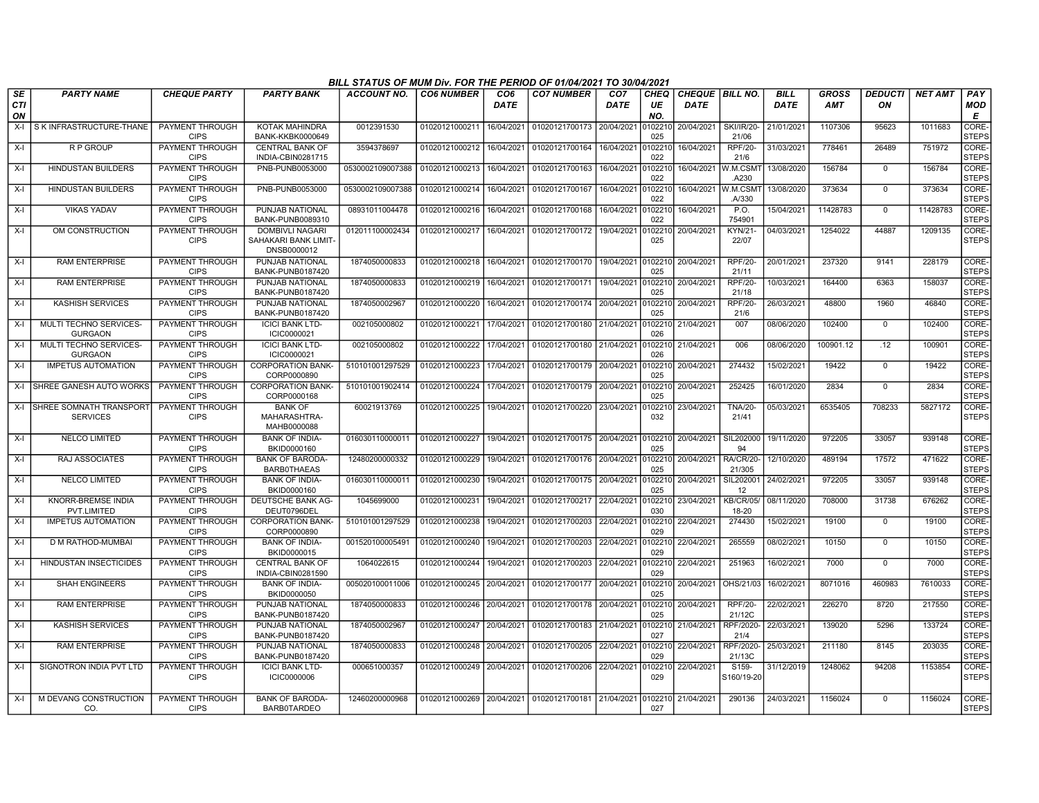|           |                                                 |                                       |                                                               | BILL STATUS OF MUM Div. FOR THE PERIOD OF 01/04/2021 TO 30/04/2021 |                           |                                |                           |                                |                   |                                         |                              |                            |                            |                      |                |                             |
|-----------|-------------------------------------------------|---------------------------------------|---------------------------------------------------------------|--------------------------------------------------------------------|---------------------------|--------------------------------|---------------------------|--------------------------------|-------------------|-----------------------------------------|------------------------------|----------------------------|----------------------------|----------------------|----------------|-----------------------------|
| SE<br>CTI | <b>PARTY NAME</b>                               | <b>CHEQUE PARTY</b>                   | <b>PARTY BANK</b>                                             | <b>ACCOUNT NO.</b>                                                 | <b>CO6 NUMBER</b>         | CO <sub>6</sub><br><b>DATE</b> | <b>CO7 NUMBER</b>         | CO <sub>7</sub><br><b>DATE</b> | <b>CHEQ</b><br>UE | <b>CHEQUE   BILL NO.</b><br><b>DATE</b> |                              | <b>BILL</b><br><b>DATE</b> | <b>GROSS</b><br><b>AMT</b> | <b>DEDUCTI</b><br>ON | <b>NET AMT</b> | PAY<br>MOD                  |
| ON        |                                                 |                                       |                                                               |                                                                    |                           |                                |                           |                                | NO.               |                                         |                              |                            |                            |                      |                | Е                           |
| $X-I$     | S K INFRASTRUCTURE-THANE                        | PAYMENT THROUGH<br><b>CIPS</b>        | <b>KOTAK MAHINDRA</b><br><b>BANK-KKBK0000649</b>              | 0012391530                                                         | 01020121000211            | 16/04/2021                     | 01020121700173            | 20/04/2021                     | 102210<br>025     | 20/04/2021                              | <b>SKI/IR/20-</b><br>21/06   | 21/01/2021                 | 1107306                    | 95623                | 1011683        | <b>CORE</b><br><b>STEPS</b> |
| X-I       | <b>RP GROUP</b>                                 | PAYMENT THROUGH<br><b>CIPS</b>        | <b>CENTRAL BANK OF</b><br>INDIA-CBIN0281715                   | 3594378697                                                         | 01020121000212 16/04/2021 |                                | 01020121700164            | 16/04/2021                     | 102210<br>022     | 16/04/2021                              | <b>RPF/20-</b><br>21/6       | 31/03/2021                 | 778461                     | 26489                | 751972         | CORE-<br><b>STEPS</b>       |
| X-I       | <b>HINDUSTAN BUILDERS</b>                       | PAYMENT THROUGH<br><b>CIPS</b>        | PNB-PUNB0053000                                               | 0530002109007388                                                   | 01020121000213            | 16/04/2021                     | 01020121700163            | 16/04/2021                     | 0102210<br>022    |                                         | 16/04/2021 W.M.CSMT<br>.A230 | 13/08/2020                 | 156784                     | $\mathbf 0$          | 156784         | CORE-<br><b>STEPS</b>       |
| $X-I$     | <b>HINDUSTAN BUILDERS</b>                       | PAYMENT THROUGH<br><b>CIPS</b>        | PNB-PUNB0053000                                               | 0530002109007388                                                   | 01020121000214            | 16/04/2021                     | 01020121700167            | 16/04/2021                     | 0102210<br>022    | 16/04/2021                              | W.M.CSM<br>.A/330            | 13/08/2020                 | 373634                     | $\mathbf 0$          | 373634         | CORE-<br><b>STEPS</b>       |
| $X-I$     | <b>VIKAS YADAV</b>                              | PAYMENT THROUGH<br><b>CIPS</b>        | PUNJAB NATIONAL<br>BANK-PUNB0089310                           | 08931011004478                                                     | 01020121000216            | 16/04/2021                     | 01020121700168            | 16/04/2021                     | 102210<br>022     | 16/04/2021                              | P.O.<br>754901               | 15/04/2021                 | 11428783                   | $\overline{0}$       | 11428783       | CORE-<br><b>STEPS</b>       |
| X-I       | OM CONSTRUCTION                                 | PAYMENT THROUGH<br><b>CIPS</b>        | <b>DOMBIVLI NAGARI</b><br>SAHAKARI BANK LIMIT-<br>DNSB0000012 | 012011100002434                                                    | 01020121000217            | 16/04/2021                     | 01020121700172            | 19/04/2021                     | 010221<br>025     | 20/04/2021                              | <b>KYN/21-</b><br>22/07      | 04/03/2021                 | 1254022                    | 44887                | 1209135        | CORE-<br><b>STEPS</b>       |
| $X-I$     | <b>RAM ENTERPRISE</b>                           | PAYMENT THROUGH<br><b>CIPS</b>        | PUNJAB NATIONAL<br><b>BANK-PUNB0187420</b>                    | 1874050000833                                                      | 01020121000218            | 16/04/2021                     | 01020121700170            | 19/04/2021                     | 0102210<br>025    | 20/04/2021                              | <b>RPF/20-</b><br>21/11      | 20/01/2021                 | 237320                     | 9141                 | 228179         | CORE-<br><b>STEPS</b>       |
| $X-I$     | <b>RAM ENTERPRISE</b>                           | PAYMENT THROUGH<br><b>CIPS</b>        | PUNJAB NATIONAL<br>BANK-PUNB0187420                           | 1874050000833                                                      | 01020121000219            | 16/04/2021                     | 01020121700171            | 19/04/2021                     | 0102210<br>025    | 20/04/2021                              | <b>RPF/20-</b><br>21/18      | 10/03/2021                 | 164400                     | 6363                 | 158037         | CORE-<br><b>STEPS</b>       |
| $X-I$     | <b>KASHISH SERVICES</b>                         | PAYMENT THROUGH<br><b>CIPS</b>        | <b>PUNJAB NATIONAL</b><br>BANK-PUNB0187420                    | 1874050002967                                                      | 01020121000220            | 16/04/2021                     | 01020121700174            | 20/04/2021                     | 102210<br>025     | 20/04/2021                              | <b>RPF/20-</b><br>21/6       | 26/03/2021                 | 48800                      | 1960                 | 46840          | CORE-<br><b>STEPS</b>       |
| $X-I$     | MULTI TECHNO SERVICES-<br><b>GURGAON</b>        | PAYMENT THROUGH<br><b>CIPS</b>        | <b>ICICI BANK LTD-</b><br>ICIC0000021                         | 002105000802                                                       | 01020121000221            | 17/04/2021                     | 01020121700180            | 21/04/2021                     | 102210<br>026     | 21/04/2021                              | 007                          | 08/06/2020                 | 102400                     | $\mathbf 0$          | 102400         | CORE-<br><b>STEPS</b>       |
| X-I       | MULTI TECHNO SERVICES-<br><b>GURGAON</b>        | PAYMENT THROUGH<br><b>CIPS</b>        | <b>ICICI BANK LTD-</b><br>ICIC0000021                         | 002105000802                                                       | 01020121000222            | 17/04/2021                     | 01020121700180            | 21/04/2021                     | 102210<br>026     | 21/04/2021                              | 006                          | 08/06/2020                 | 100901.12                  | .12                  | 100901         | CORE-<br><b>STEPS</b>       |
| $X-I$     | <b>IMPETUS AUTOMATION</b>                       | PAYMENT THROUGH<br><b>CIPS</b>        | <b>CORPORATION BANK-</b><br>CORP0000890                       | 510101001297529                                                    | 01020121000223            | 17/04/2021                     | 01020121700179 20/04/2021 |                                | 0102210<br>025    | 20/04/2021                              | 274432                       | 15/02/2021                 | 19422                      | $\mathbf 0$          | 19422          | CORE-<br><b>STEPS</b>       |
|           | X-I ISHREE GANESH AUTO WORKS                    | PAYMENT THROUGH<br><b>CIPS</b>        | <b>CORPORATION BANK-</b><br>CORP0000168                       | 510101001902414                                                    | 01020121000224            | 17/04/2021                     | 01020121700179            | 20/04/2021                     | 102210<br>025     | 20/04/2021                              | 252425                       | 16/01/2020                 | 2834                       | $\mathbf{0}$         | 2834           | CORE-<br><b>STEPS</b>       |
|           | X-I ISHREE SOMNATH TRANSPORT<br><b>SERVICES</b> | PAYMENT THROUGH<br><b>CIPS</b>        | <b>BANK OF</b><br>MAHARASHTRA-<br>MAHB0000088                 | 60021913769                                                        | 01020121000225            | 19/04/2021                     | 01020121700220            | 23/04/2021                     | 0102210<br>032    | 23/04/2021                              | <b>TNA/20-</b><br>21/41      | 05/03/2021                 | 6535405                    | 708233               | 5827172        | CORE-<br><b>STEPS</b>       |
| X-I       | <b>NELCO LIMITED</b>                            | PAYMENT THROUGH<br><b>CIPS</b>        | <b>BANK OF INDIA-</b><br>BKID0000160                          | 016030110000011                                                    | 01020121000227            | 19/04/2021                     | 01020121700175 20/04/2021 |                                | 0102210<br>025    | 20/04/2021                              | SIL202000<br>94              | 19/11/2020                 | 972205                     | 33057                | 939148         | CORE-<br><b>STEPS</b>       |
| $X-I$     | <b>RAJ ASSOCIATES</b>                           | PAYMENT THROUGH<br><b>CIPS</b>        | <b>BANK OF BARODA-</b><br><b>BARBOTHAEAS</b>                  | 12480200000332                                                     | 01020121000229            | 19/04/2021                     | 01020121700176            | 20/04/2021                     | 0102210<br>025    | 20/04/2021                              | RA/CR/20-<br>21/305          | 12/10/2020                 | 489194                     | 17572                | 471622         | CORE-<br><b>STEPS</b>       |
| X-I       | <b>NELCO LIMITED</b>                            | PAYMENT THROUGH<br><b>CIPS</b>        | <b>BANK OF INDIA-</b><br>BKID0000160                          | 016030110000011                                                    | 01020121000230            | 19/04/2021                     | 01020121700175 20/04/2021 |                                | 102210<br>025     | 20/04/2021                              | SIL202001<br>12              | 24/02/2021                 | 972205                     | 33057                | 939148         | CORE-<br><b>STEPS</b>       |
| $X-I$     | KNORR-BREMSE INDIA<br>PVT.LIMITED               | PAYMENT THROUGH<br><b>CIPS</b>        | DEUTSCHE BANK AG-<br>DEUT0796DEL                              | 1045699000                                                         | 01020121000231            | 19/04/2021                     | 01020121700217            | 22/04/2021                     | 0102210<br>030    | 23/04/2021                              | <b>KB/CR/05/</b><br>18-20    | 08/11/2020                 | 708000                     | 31738                | 676262         | CORE-<br><b>STEPS</b>       |
| $X-I$     | <b>IMPETUS AUTOMATION</b>                       | PAYMENT THROUGH<br><b>CIPS</b>        | <b>CORPORATION BANK-</b><br>CORP0000890                       | 510101001297529                                                    | 01020121000238            | 19/04/2021                     | 01020121700203            | 22/04/2021                     | 0102210<br>029    | 22/04/2021                              | 274430                       | 15/02/2021                 | 19100                      | $\mathbf 0$          | 19100          | CORE-<br><b>STEPS</b>       |
| $X-I$     | D M RATHOD-MUMBAI                               | <b>PAYMENT THROUGH</b><br><b>CIPS</b> | <b>BANK OF INDIA-</b><br>BKID0000015                          | 001520100005491                                                    | 01020121000240            | 19/04/2021                     | 01020121700203            | 22/04/2021                     | 0102210<br>029    | 22/04/2021                              | 265559                       | 08/02/2021                 | 10150                      | $\Omega$             | 10150          | CORE-<br><b>STEPS</b>       |
| $X-I$     | <b>HINDUSTAN INSECTICIDES</b>                   | PAYMENT THROUGH<br><b>CIPS</b>        | <b>CENTRAL BANK OF</b><br>INDIA-CBIN0281590                   | 1064022615                                                         | 01020121000244            | 19/04/2021                     | 01020121700203            | 22/04/2021                     | 0102210<br>029    | 22/04/2021                              | 251963                       | 16/02/2021                 | 7000                       | $\mathbf{0}$         | 7000           | CORE-<br><b>STEPS</b>       |
| $X-I$     | <b>SHAH ENGINEERS</b>                           | PAYMENT THROUGH<br><b>CIPS</b>        | <b>BANK OF INDIA-</b><br>BKID0000050                          | 005020100011006                                                    | 01020121000245            | 20/04/2021                     | 01020121700177            | 20/04/2021                     | 102210<br>025     | 20/04/2021                              | OHS/21/03                    | 16/02/2021                 | 8071016                    | 460983               | 7610033        | CORE-<br><b>STEPS</b>       |
| $X-I$     | <b>RAM ENTERPRISE</b>                           | PAYMENT THROUGH<br><b>CIPS</b>        | PUNJAB NATIONAL<br><b>BANK-PUNB0187420</b>                    | 1874050000833                                                      | 01020121000246            | 20/04/2021                     | 01020121700178 20/04/2021 |                                | 102210<br>025     | 20/04/2021                              | <b>RPF/20-</b><br>21/12C     | 22/02/2021                 | 226270                     | 8720                 | 217550         | CORE-<br><b>STEPS</b>       |
| X-I       | <b>KASHISH SERVICES</b>                         | PAYMENT THROUGH<br><b>CIPS</b>        | PUNJAB NATIONAL<br>BANK-PUNB0187420                           | 1874050002967                                                      | 01020121000247            | 20/04/2021                     | 01020121700183            | 21/04/2021                     | 102210<br>027     | 21/04/2021                              | RPF/2020-<br>21/4            | 22/03/2021                 | 139020                     | 5296                 | 133724         | CORE-<br><b>STEPS</b>       |
| $X-I$     | <b>RAM ENTERPRISE</b>                           | PAYMENT THROUGH<br><b>CIPS</b>        | PUNJAB NATIONAL<br>BANK-PUNB0187420                           | 1874050000833                                                      | 01020121000248            | 20/04/2021                     | 01020121700205            | 22/04/2021                     | 102210<br>029     | 22/04/2021                              | RPF/2020-<br>21/13C          | 25/03/2021                 | 211180                     | 8145                 | 203035         | CORE-<br><b>STEPS</b>       |
| $X-I$     | SIGNOTRON INDIA PVT LTD                         | PAYMENT THROUGH<br><b>CIPS</b>        | <b>ICICI BANK LTD-</b><br><b>ICIC0000006</b>                  | 000651000357                                                       | 01020121000249 20/04/2021 |                                | 01020121700206            | 22/04/2021                     | 102210<br>029     | 22/04/2021                              | S159-<br>S160/19-20          | 31/12/2019                 | 1248062                    | 94208                | 1153854        | CORE-<br><b>STEPS</b>       |
| $X-I$     | M DEVANG CONSTRUCTION<br>CO.                    | PAYMENT THROUGH<br><b>CIPS</b>        | <b>BANK OF BARODA</b><br>BARB0TARDEO                          | 12460200000968                                                     | 01020121000269 20/04/2021 |                                | 01020121700181 21/04/2021 |                                | 0102210<br>027    | 21/04/2021                              | 290136                       | 24/03/2021                 | 1156024                    | $\Omega$             | 1156024        | CORE-<br><b>STEPS</b>       |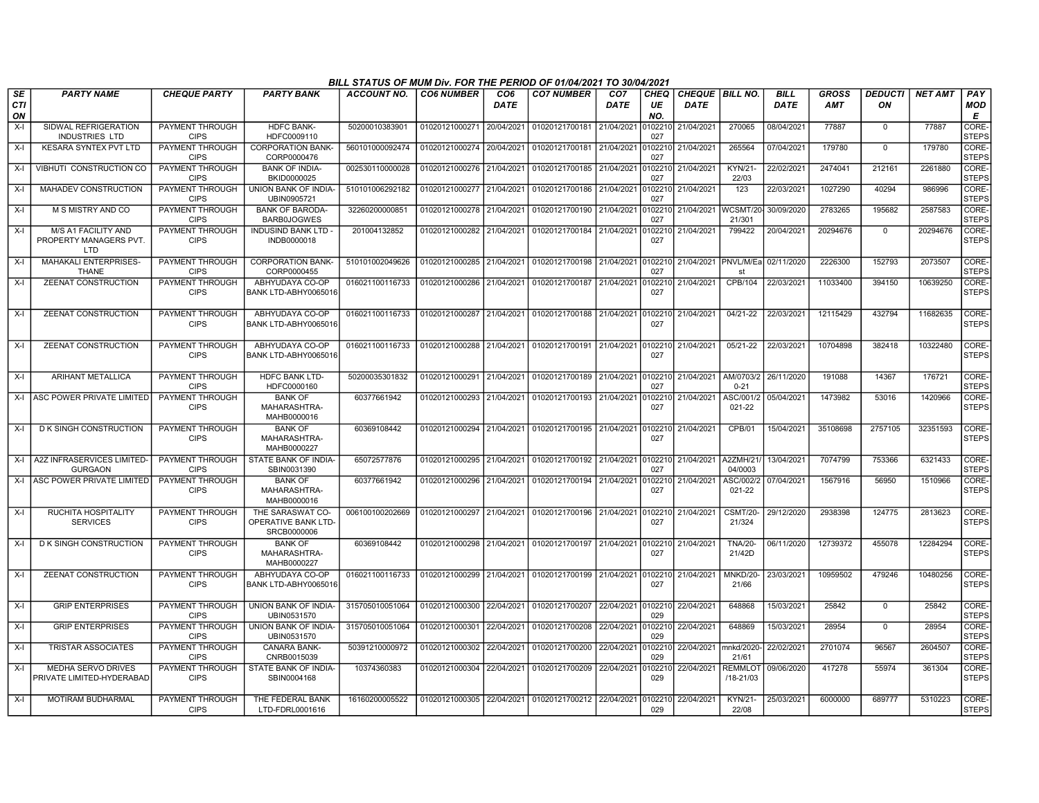|                        |                                                             |                                       |                                                        | BILL STATUS OF MUM Div. FOR THE PERIOD OF 01/04/2021 TO 30/04/2021 |                           |                         |                                                     |                                |                   |                                       |                                        |                            |                            |                      |                |                        |
|------------------------|-------------------------------------------------------------|---------------------------------------|--------------------------------------------------------|--------------------------------------------------------------------|---------------------------|-------------------------|-----------------------------------------------------|--------------------------------|-------------------|---------------------------------------|----------------------------------------|----------------------------|----------------------------|----------------------|----------------|------------------------|
| SE<br><b>CTI</b><br>ON | <b>PARTY NAME</b>                                           | <b>CHEQUE PARTY</b>                   | <b>PARTY BANK</b>                                      | <b>ACCOUNT NO.</b>                                                 | <b>CO6 NUMBER</b>         | CO <sub>6</sub><br>DATE | <b>CO7 NUMBER</b>                                   | CO <sub>7</sub><br><b>DATE</b> | CHEQ<br>UE<br>NO. | <b>CHEQUE BILL NO.</b><br><b>DATE</b> |                                        | <b>BILL</b><br><b>DATE</b> | <b>GROSS</b><br><b>AMT</b> | <b>DEDUCTI</b><br>ON | <b>NET AMT</b> | PAY<br><b>MOD</b><br>Е |
| $X-I$                  | SIDWAL REFRIGERATION<br>INDUSTRIES LTD                      | PAYMENT THROUGH<br><b>CIPS</b>        | HDFC BANK-<br>HDFC0009110                              | 50200010383901                                                     | 01020121000271            | 20/04/2021              | 01020121700181 21/04/2021                           |                                | 010221<br>027     | 21/04/2021                            | 270065                                 | 08/04/2021                 | 77887                      | $\mathbf 0$          | 77887          | CORE-<br><b>STEPS</b>  |
| X-I                    | <b>KESARA SYNTEX PVT LTD</b>                                | PAYMENT THROUGH<br><b>CIPS</b>        | <b>CORPORATION BANK-</b><br>CORP0000476                | 560101000092474                                                    | 01020121000274            | 20/04/2021              | 01020121700181 21/04/2021                           |                                | 102210<br>027     | 21/04/2021                            | 265564                                 | 07/04/2021                 | 179780                     | $\overline{0}$       | 179780         | CORE-<br><b>STEPS</b>  |
| $X-I$                  | VIBHUTI CONSTRUCTION CO                                     | PAYMENT THROUGH<br><b>CIPS</b>        | <b>BANK OF INDIA-</b><br>BKID0000025                   | 002530110000028                                                    | 01020121000276 21/04/2021 |                         | 01020121700185 21/04/2021                           |                                | 0102210<br>027    | 21/04/2021                            | KYN/21-<br>22/03                       | 22/02/2021                 | 2474041                    | 212161               | 2261880        | CORE-<br><b>STEPS</b>  |
| $X-I$                  | MAHADEV CONSTRUCTION                                        | PAYMENT THROUGH<br><b>CIPS</b>        | UNION BANK OF INDIA-<br>UBIN0905721                    | 510101006292182                                                    | 01020121000277            | 21/04/2021              | 01020121700186 21/04/2021                           |                                | 10221<br>027      | 21/04/2021                            | 123                                    | 22/03/2021                 | 1027290                    | 40294                | 986996         | CORE-<br><b>STEPS</b>  |
| $X-I$                  | M S MISTRY AND CO                                           | PAYMENT THROUGH<br><b>CIPS</b>        | <b>BANK OF BARODA-</b><br><b>BARB0JOGWES</b>           | 32260200000851                                                     | 01020121000278 21/04/2021 |                         | 01020121700190 21/04/2021                           |                                | 0102210<br>027    | 21/04/2021                            | WCSMT/20<br>21/301                     | 30/09/2020                 | 2783265                    | 195682               | 2587583        | CORE-<br><b>STEPS</b>  |
| X-I                    | <b>M/S A1 FACILITY AND</b><br>PROPERTY MANAGERS PVT.<br>LTD | <b>PAYMENT THROUGH</b><br><b>CIPS</b> | <b>INDUSIND BANK LTD</b><br>INDB0000018                | 201004132852                                                       | 01020121000282            | 21/04/2021              | 01020121700184 21/04/2021                           |                                | 10221<br>027      | 21/04/2021                            | 799422                                 | 20/04/2021                 | 20294676                   | $\mathbf 0$          | 20294676       | CORE-<br><b>STEPS</b>  |
| $X-I$                  | <b>MAHAKALI ENTERPRISES-</b><br>THANE                       | PAYMENT THROUGH<br><b>CIPS</b>        | <b>CORPORATION BANK-</b><br>CORP0000455                | 510101002049626                                                    | 01020121000285 21/04/2021 |                         | 01020121700198 21/04/2021 0102210                   |                                | 027               |                                       | 21/04/2021 PNVL/M/Eal 02/11/2020<br>st |                            | 2226300                    | 152793               | 2073507        | CORE-<br><b>STEPS</b>  |
| $X-I$                  | <b>ZEENAT CONSTRUCTION</b>                                  | PAYMENT THROUGH<br><b>CIPS</b>        | ABHYUDAYA CO-OP<br>BANK LTD-ABHY0065016                | 016021100116733                                                    | 01020121000286            | 21/04/2021              | 01020121700187 21/04/2021                           |                                | 0102210<br>027    | 21/04/2021                            | CPB/104                                | 22/03/2021                 | 11033400                   | 394150               | 10639250       | CORE-<br><b>STEPS</b>  |
| $X-I$                  | <b>ZEENAT CONSTRUCTION</b>                                  | PAYMENT THROUGH<br><b>CIPS</b>        | ABHYUDAYA CO-OP<br>BANK LTD-ABHY0065016                | 016021100116733                                                    | 01020121000287 21/04/2021 |                         | 01020121700188 21/04/2021 0102210                   |                                | 027               | 21/04/2021                            | 04/21-22                               | 22/03/2021                 | 12115429                   | 432794               | 11682635       | CORE-<br>STEPS         |
| X-I                    | <b>ZEENAT CONSTRUCTION</b>                                  | <b>PAYMENT THROUGH</b><br><b>CIPS</b> | ABHYUDAYA CO-OP<br>BANK LTD-ABHY0065016                | 016021100116733                                                    | 01020121000288 21/04/2021 |                         | 01020121700191 21/04/2021                           |                                | 0102210<br>027    | 21/04/2021                            | $05/21-22$                             | 22/03/2021                 | 10704898                   | 382418               | 10322480       | CORE-<br>STEPS         |
| $X-I$                  | <b>ARIHANT METALLICA</b>                                    | PAYMENT THROUGH<br><b>CIPS</b>        | <b>HDFC BANK LTD-</b><br>HDFC0000160                   | 50200035301832                                                     | 01020121000291 21/04/2021 |                         | 01020121700189 21/04/2021                           |                                | 0102210<br>027    | 21/04/2021                            | AM/0703/2<br>$0 - 21$                  | 26/11/2020                 | 191088                     | 14367                | 176721         | CORE-<br><b>STEPS</b>  |
|                        | X-I ASC POWER PRIVATE LIMITED                               | PAYMENT THROUGH<br><b>CIPS</b>        | <b>BANK OF</b><br>MAHARASHTRA-<br>MAHB0000016          | 60377661942                                                        | 01020121000293 21/04/2021 |                         | 01020121700193 21/04/2021                           |                                | 010221<br>027     | 21/04/2021                            | ASC/001/2<br>021-22                    | 05/04/2021                 | 1473982                    | 53016                | 1420966        | CORE-<br><b>STEPS</b>  |
| $X-I$                  | <b>DK SINGH CONSTRUCTION</b>                                | PAYMENT THROUGH<br><b>CIPS</b>        | <b>BANK OF</b><br>MAHARASHTRA-<br>MAHB0000227          | 60369108442                                                        | 01020121000294 21/04/2021 |                         | 01020121700195 21/04/2021 0102210                   |                                | 027               | 21/04/2021                            | CPB/01                                 | 15/04/2021                 | 35108698                   | 2757105              | 32351593       | CORE-<br><b>STEPS</b>  |
| $X-I$                  | A2Z INFRASERVICES LIMITED-<br><b>GURGAON</b>                | PAYMENT THROUGH<br><b>CIPS</b>        | STATE BANK OF INDIA-<br>SBIN0031390                    | 65072577876                                                        | 01020121000295 21/04/2021 |                         | 01020121700192 21/04/2021                           |                                | 0102210<br>027    | 21/04/2021                            | A2ZMH/21/<br>04/0003                   | 13/04/2021                 | 7074799                    | 753366               | 6321433        | CORE-<br><b>STEPS</b>  |
|                        | X-I ASC POWER PRIVATE LIMITED                               | <b>PAYMENT THROUGH</b><br><b>CIPS</b> | <b>BANK OF</b><br>MAHARASHTRA-<br>MAHB0000016          | 60377661942                                                        | 01020121000296 21/04/2021 |                         | 01020121700194 21/04/2021                           |                                | 0102210<br>027    | 21/04/2021                            | ASC/002/2<br>021-22                    | 07/04/2021                 | 1567916                    | 56950                | 1510966        | CORE-<br><b>STEPS</b>  |
| $X-I$                  | RUCHITA HOSPITALITY<br><b>SERVICES</b>                      | PAYMENT THROUGH<br><b>CIPS</b>        | THE SARASWAT CO-<br>OPERATIVE BANK LTD-<br>SRCB0000006 | 006100100202669                                                    | 01020121000297            | 21/04/2021              | 01020121700196 21/04/2021                           |                                | 0102210<br>027    | 21/04/2021                            | <b>CSMT/20-</b><br>21/324              | 29/12/2020                 | 2938398                    | 124775               | 2813623        | CORE-<br><b>STEPS</b>  |
| $X-I$                  | <b>DK SINGH CONSTRUCTION</b>                                | PAYMENT THROUGH<br><b>CIPS</b>        | <b>BANK OF</b><br>MAHARASHTRA-<br>MAHB0000227          | 60369108442                                                        | 01020121000298            | 21/04/2021              | 01020121700197 21/04/2021                           |                                | 010221<br>027     | 21/04/2021                            | <b>TNA/20-</b><br>21/42D               | 06/11/2020                 | 12739372                   | 455078               | 12284294       | CORE-<br><b>STEPS</b>  |
| $X-I$                  | <b>ZEENAT CONSTRUCTION</b>                                  | PAYMENT THROUGH<br><b>CIPS</b>        | ABHYUDAYA CO-OP<br>BANK LTD-ABHY0065016                | 016021100116733                                                    | 01020121000299 21/04/2021 |                         | 01020121700199 21/04/2021 0102210                   |                                | 027               | 21/04/2021                            | MNKD/20-<br>21/66                      | 23/03/2021                 | 10959502                   | 479246               | 10480256       | CORE-<br><b>STEPS</b>  |
| X-I                    | <b>GRIP ENTERPRISES</b>                                     | PAYMENT THROUGH<br><b>CIPS</b>        | UNION BANK OF INDIA-<br>UBIN0531570                    | 315705010051064                                                    | 01020121000300            | 22/04/2021              | 01020121700207 22/04/2021                           |                                | 0102210<br>029    | 22/04/2021                            | 648868                                 | 15/03/2021                 | 25842                      | $\mathbf 0$          | 25842          | CORE-<br><b>STEPS</b>  |
| $X-I$                  | <b>GRIP ENTERPRISES</b>                                     | PAYMENT THROUGH<br><b>CIPS</b>        | UNION BANK OF INDIA-<br>UBIN0531570                    | 315705010051064                                                    | 01020121000301            | 22/04/2021              | 01020121700208                                      | 22/04/2021                     | 102210<br>029     | 22/04/2021                            | 648869                                 | 15/03/2021                 | 28954                      | $\Omega$             | 28954          | CORE-<br><b>STEPS</b>  |
| $X-I$                  | <b>TRISTAR ASSOCIATES</b>                                   | PAYMENT THROUGH<br><b>CIPS</b>        | <b>CANARA BANK-</b><br>CNRB0015039                     | 50391210000972                                                     | 01020121000302 22/04/2021 |                         | 01020121700200 22/04/2021                           |                                | 102210<br>029     | 22/04/2021                            | mnkd/2020-<br>21/61                    | 22/02/2021                 | 2701074                    | 96567                | 2604507        | CORE-<br><b>STEPS</b>  |
| $X-I$                  | <b>MEDHA SERVO DRIVES</b><br>PRIVATE LIMITED-HYDERABAD      | <b>PAYMENT THROUGH</b><br><b>CIPS</b> | STATE BANK OF INDIA-<br>SBIN0004168                    | 10374360383                                                        | 01020121000304            | 22/04/2021              | 01020121700209 22/04/2021                           |                                | 0102210<br>029    | 22/04/2021                            | <b>REMMLOT</b><br>/18-21/03            | 09/06/2020                 | 417278                     | 55974                | 361304         | CORE-<br>STEPS         |
| $X-I$                  | <b>MOTIRAM BUDHARMAL</b>                                    | PAYMENT THROUGH<br><b>CIPS</b>        | THE FEDERAL BANK<br>LTD-FDRL0001616                    | 16160200005522                                                     |                           |                         | 01020121000305 22/04/2021 01020121700212 22/04/2021 |                                | 0102210<br>029    | 22/04/2021                            | <b>KYN/21-</b><br>22/08                | 25/03/2021                 | 6000000                    | 689777               | 5310223        | CORE-<br><b>STEPS</b>  |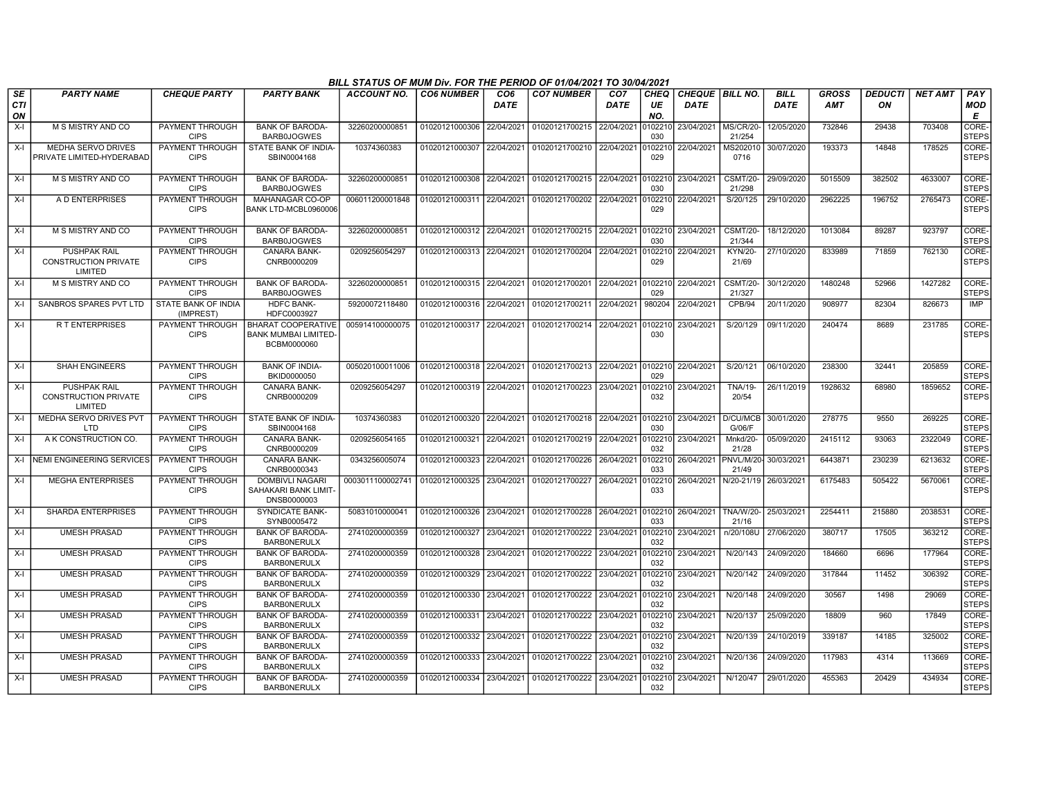|                        |                                                               |                                       |                                                                        | BILL STATUS OF MUM Div. FOR THE PERIOD OF 01/04/2021 TO 30/04/2021 |                           |                         |                                   |                                |                   |                                       |                            |                            |                            |                      |                |                             |
|------------------------|---------------------------------------------------------------|---------------------------------------|------------------------------------------------------------------------|--------------------------------------------------------------------|---------------------------|-------------------------|-----------------------------------|--------------------------------|-------------------|---------------------------------------|----------------------------|----------------------------|----------------------------|----------------------|----------------|-----------------------------|
| <b>SE</b><br>CTI<br>ON | <b>PARTY NAME</b>                                             | <b>CHEQUE PARTY</b>                   | <b>PARTY BANK</b>                                                      | <b>ACCOUNT NO.</b>                                                 | <b>CO6 NUMBER</b>         | CO <sub>6</sub><br>DATE | <b>CO7 NUMBER</b>                 | CO <sub>7</sub><br><b>DATE</b> | CHEQ<br>UE<br>NO. | <b>CHEQUE BILL NO.</b><br><b>DATE</b> |                            | <b>BILL</b><br><b>DATE</b> | <b>GROSS</b><br><b>AMT</b> | <b>DEDUCTI</b><br>ON | <b>NET AMT</b> | PAY<br><b>MOD</b><br>E      |
| $X-I$                  | M S MISTRY AND CO                                             | <b>PAYMENT THROUGH</b><br><b>CIPS</b> | <b>BANK OF BARODA-</b><br><b>BARB0JOGWES</b>                           | 32260200000851                                                     | 01020121000306            | 22/04/2021              | 01020121700215 22/04/2021         |                                | 102210<br>030     | 23/04/2021                            | <b>MS/CR/20-</b><br>21/254 | 12/05/2020                 | 732846                     | 29438                | 703408         | CORE-<br><b>STEPS</b>       |
| X-I                    | <b>MEDHA SERVO DRIVES</b><br>PRIVATE LIMITED-HYDERABAD        | PAYMENT THROUGH<br><b>CIPS</b>        | STATE BANK OF INDIA-<br>SBIN0004168                                    | 10374360383                                                        | 01020121000307            | 22/04/2021              | 01020121700210                    | 22/04/2021                     | 102210<br>029     | 22/04/2021                            | MS202010<br>0716           | 30/07/2020                 | 193373                     | 14848                | 178525         | CORE-<br>STEPS              |
| X-I                    | M S MISTRY AND CO                                             | PAYMENT THROUGH<br><b>CIPS</b>        | <b>BANK OF BARODA-</b><br><b>BARB0JOGWES</b>                           | 32260200000851                                                     | 01020121000308            | 22/04/2021              | 01020121700215 22/04/2021         |                                | 102210<br>030     | 23/04/2021                            | <b>CSMT/20-</b><br>21/298  | 29/09/2020                 | 5015509                    | 382502               | 4633007        | <b>CORE</b><br><b>STEPS</b> |
| $X-I$                  | A D ENTERPRISES                                               | PAYMENT THROUGH<br><b>CIPS</b>        | MAHANAGAR CO-OP<br>BANK LTD-MCBL0960006                                | 006011200001848                                                    | 01020121000311            | 22/04/2021              | 01020121700202                    | 22/04/2021                     | 102210<br>029     | 22/04/2021                            | S/20/125                   | 29/10/2020                 | 2962225                    | 196752               | 2765473        | CORE-<br><b>STEPS</b>       |
| $X-I$                  | M S MISTRY AND CO                                             | PAYMENT THROUGH<br><b>CIPS</b>        | <b>BANK OF BARODA-</b><br><b>BARB0JOGWES</b>                           | 32260200000851                                                     | 01020121000312 22/04/2021 |                         | 01020121700215                    | 22/04/2021                     | 0102210<br>030    | 23/04/2021                            | <b>CSMT/20-</b><br>21/344  | 18/12/2020                 | 1013084                    | 89287                | 923797         | CORE-<br><b>STEPS</b>       |
| $X-I$                  | <b>PUSHPAK RAIL</b><br><b>CONSTRUCTION PRIVATE</b><br>LIMITED | <b>PAYMENT THROUGH</b><br><b>CIPS</b> | <b>CANARA BANK-</b><br>CNRB0000209                                     | 0209256054297                                                      | 01020121000313 22/04/2021 |                         | 01020121700204 22/04/2021         |                                | 102210<br>029     | 22/04/2021                            | <b>KYN/20-</b><br>21/69    | 27/10/2020                 | 833989                     | 71859                | 762130         | CORE-<br><b>STEPS</b>       |
| $X-I$                  | M S MISTRY AND CO                                             | PAYMENT THROUGH<br><b>CIPS</b>        | <b>BANK OF BARODA</b><br><b>BARB0JOGWES</b>                            | 3226020000085                                                      | 01020121000315            | 22/04/2021              | 01020121700201                    | 22/04/2021                     | 0102210<br>029    | 22/04/2021                            | CSMT/20-<br>21/327         | 30/12/2020                 | 1480248                    | 52966                | 1427282        | CORE-<br><b>STEPS</b>       |
| $X-I$                  | SANBROS SPARES PVT LTD                                        | STATE BANK OF INDIA<br>(IMPREST)      | HDFC BANK-<br>HDFC0003927                                              | 59200072118480                                                     | 01020121000316            | 22/04/2021              | 01020121700211                    | 22/04/2021                     | 980204            | 22/04/2021                            | CPB/94                     | 20/11/2020                 | 908977                     | 82304                | 826673         | <b>IMP</b>                  |
| X-I                    | R T ENTERPRISES                                               | PAYMENT THROUGH<br><b>CIPS</b>        | <b>BHARAT COOPERATIVE</b><br><b>BANK MUMBAI LIMITED</b><br>BCBM0000060 | 005914100000075                                                    | 01020121000317            | 22/04/2021              | 01020121700214 22/04/2021 0102210 |                                | 030               | 23/04/2021                            | S/20/129                   | 09/11/2020                 | 240474                     | 8689                 | 231785         | CORE-<br>STEPS              |
| $X-I$                  | <b>SHAH ENGINEERS</b>                                         | PAYMENT THROUGH<br><b>CIPS</b>        | <b>BANK OF INDIA-</b><br>BKID0000050                                   | 005020100011006                                                    | 01020121000318            | 22/04/2021              | 01020121700213                    | 22/04/2021                     | 029               | 0102210 22/04/2021                    | S/20/121                   | 06/10/2020                 | 238300                     | 32441                | 205859         | CORE-<br><b>STEPS</b>       |
| $X-I$                  | <b>PUSHPAK RAIL</b><br><b>CONSTRUCTION PRIVATE</b><br>LIMITED | <b>PAYMENT THROUGH</b><br><b>CIPS</b> | <b>CANARA BANK-</b><br>CNRB0000209                                     | 0209256054297                                                      | 01020121000319            | 22/04/2021              | 01020121700223                    | 23/04/2021                     | 102210<br>032     | 23/04/2021                            | <b>TNA/19-</b><br>20/54    | 26/11/2019                 | 1928632                    | 68980                | 1859652        | CORE-<br><b>STEPS</b>       |
| $X-I$                  | MEDHA SERVO DRIVES PVT<br>LTD.                                | PAYMENT THROUGH<br><b>CIPS</b>        | STATE BANK OF INDIA<br>SBIN0004168                                     | 10374360383                                                        | 01020121000320            | 22/04/2021              | 01020121700218 22/04/2021         |                                | 102210<br>030     | 23/04/2021                            | D/CU/MCB<br>G/06/F         | 30/01/2020                 | 278775                     | 9550                 | 269225         | <b>CORE</b><br><b>STEPS</b> |
| $X-I$                  | A K CONSTRUCTION CO.                                          | PAYMENT THROUGH<br><b>CIPS</b>        | <b>CANARA BANK-</b><br>CNRB0000209                                     | 0209256054165                                                      | 01020121000321            | 22/04/2021              | 01020121700219 22/04/2021         |                                | 102210<br>032     | 23/04/2021                            | Mnkd/20-<br>21/28          | 05/09/2020                 | 2415112                    | 93063                | 2322049        | CORE-<br><b>STEPS</b>       |
|                        | X-I   NEMI ENGINEERING SERVICES                               | <b>PAYMENT THROUGH</b><br><b>CIPS</b> | CANARA BANK-<br>CNRB0000343                                            | 0343256005074                                                      | 01020121000323            | 22/04/2021              | 01020121700226                    | 26/04/2021                     | 102210<br>033     | 26/04/2021                            | PNVL/M/20<br>21/49         | 30/03/202                  | 6443871                    | 230239               | 6213632        | CORE-<br><b>STEPS</b>       |
| $X-I$                  | <b>MEGHA ENTERPRISES</b>                                      | PAYMENT THROUGH<br><b>CIPS</b>        | <b>DOMBIVLI NAGARI</b><br>SAHAKARI BANK LIMIT-<br>DNSB0000003          | 0003011100002741                                                   | 01020121000325            | 23/04/2021              | 01020121700227                    | 26/04/2021                     | 102210<br>033     | 26/04/2021                            | N/20-21/19 26/03/2021      |                            | 6175483                    | 505422               | 5670061        | CORE-<br>STEPS              |
| $X-I$                  | <b>SHARDA ENTERPRISES</b>                                     | <b>PAYMENT THROUGH</b><br><b>CIPS</b> | <b>SYNDICATE BANK-</b><br>SYNB0005472                                  | 50831010000041                                                     | 01020121000326            | 23/04/2021              | 01020121700228                    | 26/04/2021                     | 102210<br>033     | 26/04/2021                            | <b>TNA/W/20-</b><br>21/16  | 25/03/2021                 | 2254411                    | 215880               | 2038531        | CORE-<br><b>STEPS</b>       |
| $X-I$                  | <b>UMESH PRASAD</b>                                           | PAYMENT THROUGH<br><b>CIPS</b>        | <b>BANK OF BARODA-</b><br><b>BARBONERULX</b>                           | 27410200000359                                                     | 01020121000327            | 23/04/2021              | 01020121700222                    | 23/04/2021                     | 102210<br>032     | 23/04/2021                            | n/20/108U                  | 27/06/2020                 | 380717                     | 17505                | 363212         | CORE-<br><b>STEPS</b>       |
| $X-I$                  | <b>UMESH PRASAD</b>                                           | PAYMENT THROUGH<br><b>CIPS</b>        | <b>BANK OF BARODA</b><br><b>BARBONERULX</b>                            | 27410200000359                                                     | 01020121000328            | 23/04/2021              | 01020121700222                    | 23/04/2021                     | 102210<br>032     | 23/04/2021                            | N/20/143                   | 24/09/2020                 | 184660                     | 6696                 | 177964         | CORE-<br><b>STEPS</b>       |
| $X-I$                  | <b>UMESH PRASAD</b>                                           | <b>PAYMENT THROUGH</b><br><b>CIPS</b> | <b>BANK OF BARODA-</b><br><b>BARBONERULX</b>                           | 27410200000359                                                     | 01020121000329            | 23/04/2021              | 01020121700222                    | 23/04/2021                     | 102210<br>032     | 23/04/2021                            | N/20/142                   | 24/09/2020                 | 317844                     | 11452                | 306392         | CORE-<br><b>STEPS</b>       |
| $X-I$                  | <b>UMESH PRASAD</b>                                           | <b>PAYMENT THROUGH</b><br><b>CIPS</b> | <b>BANK OF BARODA-</b><br><b>BARBONERULX</b>                           | 27410200000359                                                     | 01020121000330            | 23/04/2021              | 01020121700222                    | 23/04/2021                     | 102210<br>032     | 23/04/2021                            | N/20/148                   | 24/09/2020                 | 30567                      | 1498                 | 29069          | CORE-<br><b>STEPS</b>       |
| $X-I$                  | <b>UMESH PRASAD</b>                                           | PAYMENT THROUGH<br><b>CIPS</b>        | <b>BANK OF BARODA-</b><br><b>BARBONERULX</b>                           | 27410200000359                                                     | 01020121000331            | 23/04/2021              | 01020121700222                    | 23/04/2021                     | 102210<br>032     | 23/04/2021                            | N/20/137                   | 25/09/2020                 | 18809                      | 960                  | 17849          | CORE-<br>STEPS              |
| $X-I$                  | <b>UMESH PRASAD</b>                                           | PAYMENT THROUGH<br><b>CIPS</b>        | <b>BANK OF BARODA-</b><br><b>BARBONERULX</b>                           | 27410200000359                                                     | 01020121000332            | 23/04/2021              | 01020121700222                    | 23/04/2021                     | 102210<br>032     | 23/04/2021                            | N/20/139                   | 24/10/2019                 | 339187                     | 14185                | 325002         | CORE-<br><b>STEPS</b>       |
| $X-I$                  | <b>UMESH PRASAD</b>                                           | PAYMENT THROUGH<br><b>CIPS</b>        | <b>BANK OF BARODA-</b><br><b>BARBONERULX</b>                           | 27410200000359                                                     | 01020121000333            | 23/04/2021              | 01020121700222                    | 23/04/2021                     | 102210<br>032     | 23/04/2021                            | N/20/136                   | 24/09/2020                 | 117983                     | 4314                 | 113669         | CORE-<br><b>STEPS</b>       |
| $X-I$                  | <b>UMESH PRASAD</b>                                           | <b>PAYMENT THROUGH</b><br><b>CIPS</b> | <b>BANK OF BARODA-</b><br><b>BARBONERULX</b>                           | 27410200000359                                                     | 01020121000334            | 23/04/2021              | 01020121700222                    | 23/04/2021                     | 102210<br>032     | 23/04/2021                            | N/120/47                   | 29/01/2020                 | 455363                     | 20429                | 434934         | CORE-<br><b>STEPS</b>       |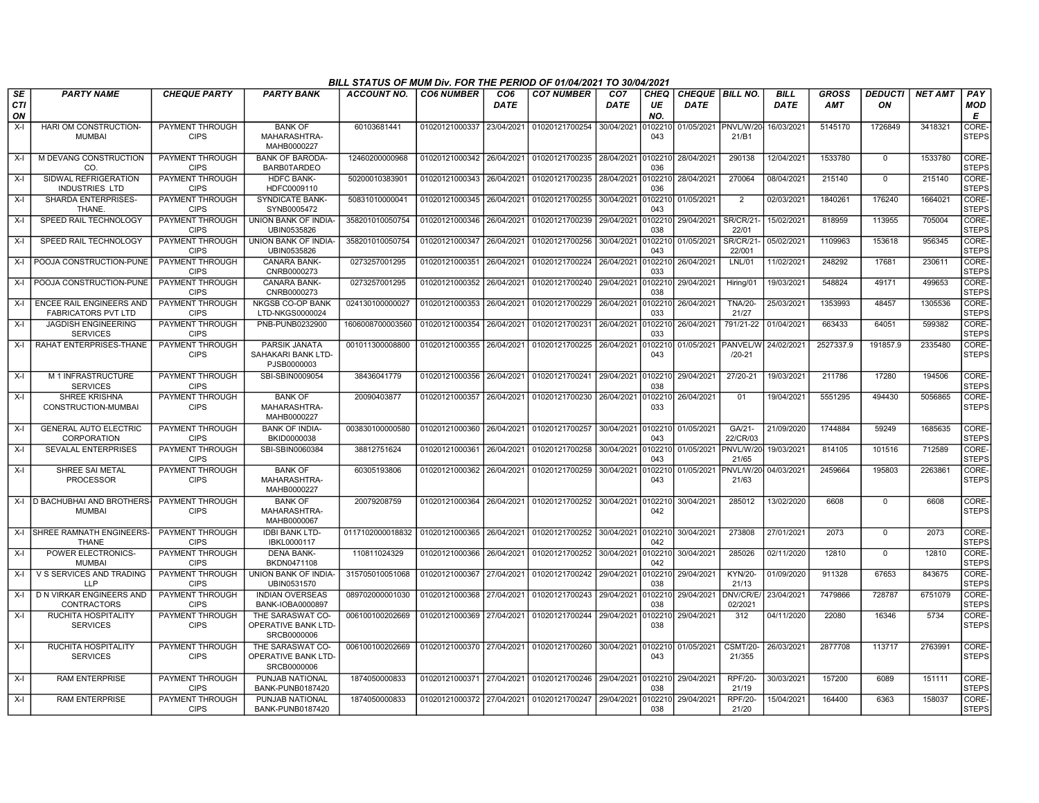|                        |                                                        |                                       |                                                           | BILL STATUS OF MUM Div. FOR THE PERIOD OF 01/04/2021 TO 30/04/2021 |                           |                         |                                   |                                |                   |                                |                            |                            |                            |                      |                |                       |
|------------------------|--------------------------------------------------------|---------------------------------------|-----------------------------------------------------------|--------------------------------------------------------------------|---------------------------|-------------------------|-----------------------------------|--------------------------------|-------------------|--------------------------------|----------------------------|----------------------------|----------------------------|----------------------|----------------|-----------------------|
| SE<br><b>CTI</b><br>ON | <b>PARTY NAME</b>                                      | <b>CHEQUE PARTY</b>                   | <b>PARTY BANK</b>                                         | <b>ACCOUNT NO.</b>                                                 | <b>CO6 NUMBER</b>         | CO <sub>6</sub><br>DATE | <b>CO7 NUMBER</b>                 | CO <sub>7</sub><br><b>DATE</b> | CHEQ<br>UE<br>NO. | CHEQUE BILL NO.<br><b>DATE</b> |                            | <b>BILL</b><br><b>DATE</b> | <b>GROSS</b><br><b>AMT</b> | <b>DEDUCTI</b><br>ΟN | <b>NET AMT</b> | PAY<br>MOD<br>Е       |
| $X-I$                  | HARI OM CONSTRUCTION-                                  | PAYMENT THROUGH                       | <b>BANK OF</b>                                            | 60103681441                                                        | 01020121000337            | 23/04/2021              | 01020121700254                    | 30/04/2021                     | 10221             | 01/05/2021                     | PNVL/W/20                  | 16/03/2021                 | 5145170                    | 1726849              | 3418321        | CORE-                 |
|                        | <b>MUMBAI</b>                                          | <b>CIPS</b>                           | MAHARASHTRA-<br>MAHB0000227                               |                                                                    |                           |                         |                                   |                                | 043               |                                | 21/B1                      |                            |                            |                      |                | <b>STEPS</b>          |
| $X-I$                  | M DEVANG CONSTRUCTION<br>CO.                           | PAYMENT THROUGH<br><b>CIPS</b>        | <b>BANK OF BARODA-</b><br><b>BARB0TARDEO</b>              | 12460200000968                                                     | 01020121000342 26/04/2021 |                         | 01020121700235 28/04/2021         |                                | 0102210<br>036    | 28/04/2021                     | 290138                     | 12/04/2021                 | 1533780                    | 0                    | 1533780        | CORE-<br><b>STEPS</b> |
| $X-I$                  | SIDWAL REFRIGERATION<br><b>INDUSTRIES LTD</b>          | PAYMENT THROUGH<br><b>CIPS</b>        | <b>HDFC BANK-</b><br>HDFC0009110                          | 50200010383901                                                     | 01020121000343            | 26/04/2021              | 01020121700235 28/04/2021         |                                | 10221<br>036      | 28/04/2021                     | 270064                     | 08/04/202                  | 215140                     | $\Omega$             | 215140         | CORE-<br><b>STEPS</b> |
| $X-I$                  | SHARDA ENTERPRISES-<br>THANE.                          | PAYMENT THROUGH<br><b>CIPS</b>        | <b>SYNDICATE BANK-</b><br>SYNB0005472                     | 50831010000041                                                     | 01020121000345            | 26/04/2021              | 01020121700255                    | 30/04/2021                     | 102210<br>043     | 01/05/2021                     | $\overline{2}$             | 02/03/2021                 | 1840261                    | 176240               | 1664021        | CORE-<br><b>STEPS</b> |
| $X-I$                  | SPEED RAIL TECHNOLOGY                                  | PAYMENT THROUGH<br><b>CIPS</b>        | <b>UNION BANK OF INDIA-</b><br>UBIN0535826                | 358201010050754                                                    | 01020121000346            | 26/04/2021              | 01020121700239 29/04/2021         |                                | 0102210<br>038    | 29/04/2021                     | <b>SR/CR/21-</b><br>22/01  | 15/02/2021                 | 818959                     | 113955               | 705004         | CORE-<br><b>STEPS</b> |
| $X-I$                  | SPEED RAIL TECHNOLOGY                                  | PAYMENT THROUGH<br><b>CIPS</b>        | UNION BANK OF INDIA-<br>UBIN0535826                       | 358201010050754                                                    | 01020121000347            | 26/04/2021              | 01020121700256                    | 30/04/2021                     | 102210<br>043     | 01/05/2021                     | <b>SR/CR/21-</b><br>22/001 | 05/02/2021                 | 1109963                    | 153618               | 956345         | CORE-<br><b>STEPS</b> |
| X-I                    | POOJA CONSTRUCTION-PUNE                                | PAYMENT THROUGH<br><b>CIPS</b>        | <b>CANARA BANK-</b><br>CNRB0000273                        | 0273257001295                                                      | 01020121000351            | 26/04/2021              | 01020121700224 26/04/2021         |                                | 102210<br>033     | 26/04/2021                     | <b>LNL/01</b>              | 11/02/2021                 | 248292                     | 17681                | 230611         | CORE-<br><b>STEPS</b> |
|                        | X-I POOJA CONSTRUCTION-PUNE                            | PAYMENT THROUGH<br><b>CIPS</b>        | <b>CANARA BANK-</b><br>CNRB0000273                        | 0273257001295                                                      | 01020121000352            | 26/04/2021              | 01020121700240 29/04/2021         |                                | 102210<br>038     | 29/04/2021                     | Hiring/01                  | 19/03/2021                 | 548824                     | 49171                | 499653         | CORE-<br><b>STEPS</b> |
| X-I                    | ENCEE RAIL ENGINEERS AND<br><b>FABRICATORS PVT LTD</b> | <b>PAYMENT THROUGH</b><br><b>CIPS</b> | <b>NKGSB CO-OP BANK</b><br>LTD-NKGS0000024                | 024130100000027                                                    | 01020121000353            | 26/04/2021              | 01020121700229 26/04/2021         |                                | 0102210<br>033    | 26/04/2021                     | <b>TNA/20-</b><br>21/27    | 25/03/2021                 | 1353993                    | 48457                | 1305536        | CORE-<br><b>STEPS</b> |
| $X-I$                  | <b>JAGDISH ENGINEERING</b><br><b>SERVICES</b>          | PAYMENT THROUGH<br><b>CIPS</b>        | PNB-PUNB0232900                                           | 1606008700003560                                                   | 01020121000354            | 26/04/2021              | 01020121700231                    | 26/04/2021                     | 10221<br>033      | 26/04/2021                     | 791/21-22                  | 01/04/2021                 | 663433                     | 64051                | 599382         | CORE-<br><b>STEPS</b> |
| $X-I$                  | RAHAT ENTERPRISES-THANE                                | PAYMENT THROUGH<br><b>CIPS</b>        | <b>PARSIK JANATA</b><br>SAHAKARI BANK LTD-<br>PJSB0000003 | 001011300008800                                                    | 01020121000355            | 26/04/2021              | 01020121700225 26/04/2021         |                                | 10221<br>043      | 01/05/2021                     | PANVEL/W<br>$/20 - 21$     | 24/02/2021                 | 2527337.9                  | 191857.9             | 2335480        | CORE-<br>STEPS        |
| $X-I$                  | M 1 INFRASTRUCTURE<br><b>SERVICES</b>                  | PAYMENT THROUGH<br><b>CIPS</b>        | SBI-SBIN0009054                                           | 38436041779                                                        | 01020121000356            | 26/04/2021              | 01020121700241 29/04/2021         |                                | 0102210<br>038    | 29/04/2021                     | 27/20-21                   | 19/03/2021                 | 211786                     | 17280                | 194506         | CORE-<br>STEPS        |
| $X-I$                  | SHREE KRISHNA<br>CONSTRUCTION-MUMBAI                   | PAYMENT THROUGH<br><b>CIPS</b>        | <b>BANK OF</b><br>MAHARASHTRA-<br>MAHB0000227             | 20090403877                                                        | 01020121000357            | 26/04/2021              | 01020121700230 26/04/2021         |                                | 0102210<br>033    | 26/04/2021                     | 01                         | 19/04/2021                 | 5551295                    | 494430               | 5056865        | CORE-<br><b>STEPS</b> |
| $X-I$                  | <b>GENERAL AUTO ELECTRIC</b><br>CORPORATION            | <b>PAYMENT THROUGH</b><br><b>CIPS</b> | <b>BANK OF INDIA-</b><br>BKID0000038                      | 003830100000580                                                    | 01020121000360            | 26/04/2021              | 01020121700257 30/04/2021         |                                | 0102210<br>043    | 01/05/2021                     | $GA/21-$<br>22/CR/03       | 21/09/2020                 | 1744884                    | 59249                | 1685635        | CORE-<br><b>STEPS</b> |
| $X-I$                  | SEVALAL ENTERPRISES                                    | PAYMENT THROUGH<br><b>CIPS</b>        | SBI-SBIN0060384                                           | 38812751624                                                        | 01020121000361            | 26/04/2021              | 01020121700258 30/04/2021         |                                | 0102210<br>043    | 01/05/2021                     | PNVL/W/20<br>21/65         | 19/03/2021                 | 814105                     | 101516               | 712589         | CORE-<br><b>STEPS</b> |
| $X-I$                  | SHREE SAI METAL<br><b>PROCESSOR</b>                    | PAYMENT THROUGH<br><b>CIPS</b>        | <b>BANK OF</b><br>MAHARASHTRA-<br>MAHB0000227             | 60305193806                                                        | 01020121000362            | 26/04/2021              | 01020121700259 30/04/2021         |                                | 0102210<br>043    | 01/05/2021                     | PNVL/W/20<br>21/63         | 04/03/2021                 | 2459664                    | 195803               | 2263861        | CORE-<br>STEPS        |
|                        | X-I   D BACHUBHAI AND BROTHERS-<br><b>MUMBAI</b>       | <b>PAYMENT THROUGH</b><br><b>CIPS</b> | <b>BANK OF</b><br>MAHARASHTRA-<br>MAHB0000067             | 20079208759                                                        | 01020121000364            | 26/04/2021              | 01020121700252 30/04/2021         |                                | 0102210<br>042    | 30/04/2021                     | 285012                     | 13/02/2020                 | 6608                       | $\Omega$             | 6608           | CORE-<br><b>STEPS</b> |
|                        | X-I ISHREE RAMNATH ENGINEERS-<br><b>THANE</b>          | PAYMENT THROUGH<br><b>CIPS</b>        | <b>IDBI BANK LTD-</b><br>IBKL0000117                      | 0117102000018832 01020121000365 26/04/2021                         |                           |                         | 01020121700252 30/04/2021 0102210 |                                | 042               | 30/04/2021                     | 273808                     | 27/01/2021                 | 2073                       | $\mathbf 0$          | 2073           | CORE-<br>STEPS        |
| $X-I$                  | POWER ELECTRONICS-<br><b>MUMBAI</b>                    | PAYMENT THROUGH<br><b>CIPS</b>        | <b>DENA BANK-</b><br>BKDN0471108                          | 110811024329                                                       | 01020121000366            | 26/04/2021              | 01020121700252                    | 30/04/2021                     | 010221<br>042     | 30/04/2021                     | 285026                     | 02/11/2020                 | 12810                      | $\Omega$             | 12810          | CORE-<br><b>STEPS</b> |
| X-I                    | V S SERVICES AND TRADING<br><b>LLP</b>                 | PAYMENT THROUGH<br><b>CIPS</b>        | UNION BANK OF INDIA-<br>UBIN0531570                       | 315705010051068                                                    | 01020121000367            | 27/04/2021              | 01020121700242                    | 29/04/2021                     | 102210<br>038     | 29/04/2021                     | KYN/20-<br>21/13           | 01/09/2020                 | 911328                     | 67653                | 843675         | CORE-<br><b>STEPS</b> |
| $X-I$                  | D N VIRKAR ENGINEERS AND<br>CONTRACTORS                | PAYMENT THROUGH<br><b>CIPS</b>        | <b>INDIAN OVERSEAS</b><br><b>BANK-IOBA0000897</b>         | 089702000001030                                                    | 01020121000368            | 27/04/2021              | 01020121700243                    | 29/04/2021                     | 102210<br>038     | 29/04/2021                     | DNV/CR/E/<br>02/2021       | 23/04/2021                 | 7479866                    | 728787               | 6751079        | CORE-<br><b>STEPS</b> |
| $X-I$                  | <b>RUCHITA HOSPITALITY</b><br><b>SERVICES</b>          | PAYMENT THROUGH<br><b>CIPS</b>        | THE SARASWAT CO-<br>OPERATIVE BANK LTD-<br>SRCB0000006    | 006100100202669                                                    | 01020121000369 27/04/2021 |                         | 01020121700244 29/04/2021         |                                | 0102210<br>038    | 29/04/2021                     | 312                        | 04/11/2020                 | 22080                      | 16346                | 5734           | CORE-<br><b>STEPS</b> |
| $X-I$                  | RUCHITA HOSPITALITY<br><b>SERVICES</b>                 | PAYMENT THROUGH<br><b>CIPS</b>        | THE SARASWAT CO-<br>OPERATIVE BANK LTD-<br>SRCB0000006    | 006100100202669                                                    | 01020121000370 27/04/2021 |                         | 01020121700260 30/04/2021 0102210 |                                | 043               | 01/05/2021                     | <b>CSMT/20-</b><br>21/355  | 26/03/2021                 | 2877708                    | 113717               | 2763991        | CORE-<br>STEPS        |
| $X-I$                  | <b>RAM ENTERPRISE</b>                                  | PAYMENT THROUGH<br><b>CIPS</b>        | PUNJAB NATIONAL<br>BANK-PUNB0187420                       | 1874050000833                                                      | 01020121000371 27/04/2021 |                         | 01020121700246 29/04/2021         |                                | 102210<br>038     | 29/04/2021                     | <b>RPF/20-</b><br>21/19    | 30/03/2021                 | 157200                     | 6089                 | 151111         | CORE-<br><b>STEPS</b> |
| X-I                    | <b>RAM ENTERPRISE</b>                                  | PAYMENT THROUGH<br><b>CIPS</b>        | PUNJAB NATIONAL<br>BANK-PUNB0187420                       | 1874050000833                                                      | 01020121000372 27/04/2021 |                         | 01020121700247 29/04/2021         |                                | 0102210<br>038    | 29/04/2021                     | <b>RPF/20-</b><br>21/20    | 15/04/2021                 | 164400                     | 6363                 | 158037         | CORE-<br><b>STEPS</b> |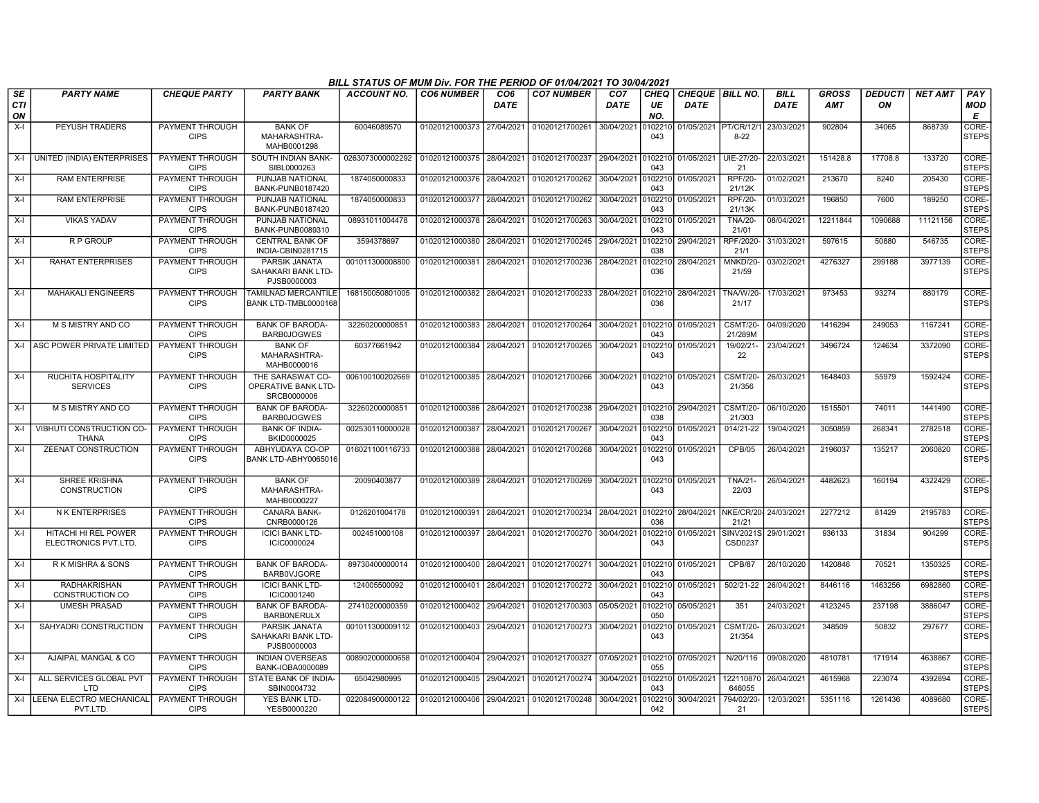|                  |                                              |                                       |                                                        | BILL STATUS OF MUM Div. FOR THE PERIOD OF 01/04/2021 TO 30/04/2021 |                           |                         |                                   |                                |                |                                       |                               |                     |                            |                      |                |                        |
|------------------|----------------------------------------------|---------------------------------------|--------------------------------------------------------|--------------------------------------------------------------------|---------------------------|-------------------------|-----------------------------------|--------------------------------|----------------|---------------------------------------|-------------------------------|---------------------|----------------------------|----------------------|----------------|------------------------|
| SE<br><b>CTI</b> | <b>PARTY NAME</b>                            | <b>CHEQUE PARTY</b>                   | <b>PARTY BANK</b>                                      | <b>ACCOUNT NO.</b>                                                 | <b>CO6 NUMBER</b>         | CO <sub>6</sub><br>DATE | <b>CO7 NUMBER</b>                 | CO <sub>7</sub><br><b>DATE</b> | CHEQ<br>UE     | <b>CHEQUE BILL NO.</b><br><b>DATE</b> |                               | <b>BILL</b><br>DATE | <b>GROSS</b><br><b>AMT</b> | <b>DEDUCTI</b><br>ΟN | <b>NET AMT</b> | PAY<br><b>MOD</b><br>E |
| ON<br>$X-I$      | PEYUSH TRADERS                               | PAYMENT THROUGH                       | <b>BANK OF</b>                                         | 60046089570                                                        | 01020121000373            | 27/04/2021              | 01020121700261                    | 30/04/2021                     | NO.<br>010221  | 01/05/2021                            | <b>PT/CR/12/1</b>             | 23/03/2021          | 902804                     | 34065                | 868739         | CORE-                  |
|                  |                                              | <b>CIPS</b>                           | MAHARASHTRA-<br>MAHB0001298                            |                                                                    |                           |                         |                                   |                                | 043            |                                       | $8 - 22$                      |                     |                            |                      |                | <b>STEPS</b>           |
| $X-I$            | UNITED (INDIA) ENTERPRISES                   | PAYMENT THROUGH<br><b>CIPS</b>        | SOUTH INDIAN BANK-<br>SIBL0000263                      | 0263073000002292                                                   | 01020121000375 28/04/2021 |                         | 01020121700237 29/04/2021         |                                | 0102210<br>043 | 01/05/2021                            | UIE-27/20<br>21               | 22/03/2021          | 151428.8                   | 17708.8              | 133720         | CORE-<br><b>STEPS</b>  |
| X-I              | <b>RAM ENTERPRISE</b>                        | PAYMENT THROUGH<br><b>CIPS</b>        | PUNJAB NATIONAL<br>BANK-PUNB0187420                    | 1874050000833                                                      | 01020121000376 28/04/2021 |                         | 01020121700262 30/04/2021 0102210 |                                | 043            | 01/05/2021                            | <b>RPF/20-</b><br>21/12K      | 01/02/2021          | 213670                     | 8240                 | 205430         | CORE-<br><b>STEPS</b>  |
| X-I              | <b>RAM ENTERPRISE</b>                        | PAYMENT THROUGH<br><b>CIPS</b>        | PUNJAB NATIONAL<br>BANK-PUNB0187420                    | 1874050000833                                                      | 01020121000377            | 28/04/2021              | 01020121700262                    | 30/04/2021                     | 102210<br>043  | 01/05/2021                            | <b>RPF/20-</b><br>21/13K      | 01/03/2021          | 196850                     | 7600                 | 189250         | CORE-<br>STEPS         |
| X-I              | <b>VIKAS YADAV</b>                           | PAYMENT THROUGH<br><b>CIPS</b>        | PUNJAB NATIONAL<br>BANK-PUNB0089310                    | 08931011004478                                                     | 01020121000378            | 28/04/2021              | 01020121700263 30/04/2021         |                                | 102210<br>043  | 01/05/2021                            | <b>TNA/20-</b><br>21/01       | 08/04/2021          | 12211844                   | 1090688              | 11121156       | CORE-<br><b>STEPS</b>  |
| $X-I$            | R P GROUP                                    | PAYMENT THROUGH<br><b>CIPS</b>        | <b>CENTRAL BANK OF</b><br>INDIA-CBIN0281715            | 3594378697                                                         | 01020121000380            | 28/04/2021              | 01020121700245 29/04/2021         |                                | 102210<br>038  | 29/04/2021                            | RPF/2020<br>21/1              | 31/03/2021          | 597615                     | 50880                | 546735         | CORE-<br><b>STEPS</b>  |
| X-I              | <b>RAHAT ENTERPRISES</b>                     | PAYMENT THROUGH<br><b>CIPS</b>        | PARSIK JANATA<br>SAHAKARI BANK LTD-<br>PJSB0000003     | 001011300008800                                                    | 01020121000381            | 28/04/2021              | 01020121700236                    | 28/04/2021                     | 0102210<br>036 | 28/04/2021                            | MNKD/20-<br>21/59             | 03/02/2021          | 4276327                    | 299188               | 3977139        | CORE-<br><b>STEPS</b>  |
| X-I              | <b>MAHAKALI ENGINEERS</b>                    | <b>PAYMENT THROUGH</b><br><b>CIPS</b> | TAMILNAD MERCANTILE<br>BANK LTD-TMBL0000168            | 168150050801005                                                    | 01020121000382 28/04/2021 |                         | 01020121700233 28/04/2021         |                                | 0102210<br>036 | 28/04/2021                            | TNA/W/20-<br>21/17            | 17/03/2021          | 973453                     | 93274                | 880179         | CORE-<br><b>STEPS</b>  |
| $X-I$            | M S MISTRY AND CO                            | PAYMENT THROUGH<br><b>CIPS</b>        | <b>BANK OF BARODA</b><br><b>BARB0JOGWES</b>            | 32260200000851                                                     | 01020121000383            | 28/04/2021              | 01020121700264 30/04/2021 0102210 |                                | 043            | 01/05/2021                            | <b>CSMT/20-</b><br>21/289M    | 04/09/2020          | 1416294                    | 249053               | 1167241        | CORE-<br><b>STEPS</b>  |
|                  | X-I ASC POWER PRIVATE LIMITED                | PAYMENT THROUGH<br><b>CIPS</b>        | <b>BANK OF</b><br>MAHARASHTRA-<br>MAHB0000016          | 60377661942                                                        | 01020121000384            | 28/04/2021              | 01020121700265 30/04/2021         |                                | 102210<br>043  | 01/05/2021                            | 19/02/21-<br>22               | 23/04/2021          | 3496724                    | 124634               | 3372090        | CORE-<br><b>STEPS</b>  |
| $X-I$            | RUCHITA HOSPITALITY<br><b>SERVICES</b>       | PAYMENT THROUGH<br><b>CIPS</b>        | THE SARASWAT CO-<br>OPERATIVE BANK LTD-<br>SRCB0000006 | 006100100202669                                                    | 01020121000385            | 28/04/2021              | 01020121700266 30/04/2021         |                                | 010221<br>043  | 01/05/2021                            | <b>CSMT/20-</b><br>21/356     | 26/03/2021          | 1648403                    | 55979                | 1592424        | CORE-<br><b>STEPS</b>  |
| $X-I$            | M S MISTRY AND CO                            | PAYMENT THROUGH<br><b>CIPS</b>        | <b>BANK OF BARODA-</b><br><b>BARB0JOGWES</b>           | 32260200000851                                                     | 01020121000386            | 28/04/2021              | 01020121700238 29/04/2021         |                                | 0102210<br>038 | 29/04/2021                            | <b>CSMT/20-</b><br>21/303     | 06/10/2020          | 1515501                    | 74011                | 1441490        | CORE-<br><b>STEPS</b>  |
| $X-I$            | VIBHUTI CONSTRUCTION CO-<br><b>THANA</b>     | <b>PAYMENT THROUGH</b><br><b>CIPS</b> | <b>BANK OF INDIA-</b><br>BKID0000025                   | 002530110000028                                                    | 01020121000387            | 28/04/2021              | 01020121700267                    | 30/04/2021                     | 0102210<br>043 | 01/05/2021                            | $014/21-22$                   | 19/04/2021          | 3050859                    | 268341               | 2782518        | CORE-<br><b>STEPS</b>  |
| $X-I$            | <b>ZEENAT CONSTRUCTION</b>                   | <b>PAYMENT THROUGH</b><br><b>CIPS</b> | ABHYUDAYA CO-OP<br>BANK LTD-ABHY0065016                | 016021100116733                                                    | 01020121000388            | 28/04/2021              | 01020121700268                    | 30/04/2021                     | 10221<br>043   | 01/05/2021                            | <b>CPB/05</b>                 | 26/04/2021          | 2196037                    | 135217               | 2060820        | CORE-<br><b>STEPS</b>  |
| $X-I$            | <b>SHREE KRISHNA</b><br><b>CONSTRUCTION</b>  | PAYMENT THROUGH<br><b>CIPS</b>        | <b>BANK OF</b><br>MAHARASHTRA-<br>MAHB0000227          | 20090403877                                                        | 01020121000389            | 28/04/2021              | 01020121700269 30/04/2021 0102210 |                                | 043            | 01/05/2021                            | <b>TNA/21-</b><br>22/03       | 26/04/2021          | 4482623                    | 160194               | 4322429        | CORE-<br><b>STEPS</b>  |
| $X-I$            | <b>NK ENTERPRISES</b>                        | PAYMENT THROUGH<br><b>CIPS</b>        | CANARA BANK-<br>CNRB0000126                            | 0126201004178                                                      | 01020121000391            | 28/04/2021              | 01020121700234                    | 28/04/2021                     | 0102210<br>036 | 28/04/2021                            | NKE/CR/20-24/03/2021<br>21/21 |                     | 2277212                    | 81429                | 2195783        | CORE-<br><b>STEPS</b>  |
| $X-I$            | HITACHI HI REL POWER<br>ELECTRONICS PVT.LTD. | PAYMENT THROUGH<br><b>CIPS</b>        | <b>ICICI BANK LTD-</b><br>ICIC0000024                  | 002451000108                                                       | 01020121000397            | 28/04/2021              | 01020121700270 30/04/2021         |                                | 102210<br>043  | 01/05/2021                            | <b>SINV2021S</b><br>CSD0237   | 29/01/2021          | 936133                     | 31834                | 904299         | CORE-<br><b>STEPS</b>  |
| $X-I$            | R K MISHRA & SONS                            | PAYMENT THROUGH<br><b>CIPS</b>        | <b>BANK OF BARODA</b><br><b>BARB0VJGORE</b>            | 89730400000014                                                     | 01020121000400            | 28/04/2021              | 01020121700271 30/04/2021         |                                | 0102210<br>043 | 01/05/2021                            | <b>CPB/87</b>                 | 26/10/2020          | 1420846                    | 70521                | 1350325        | CORE-<br><b>STEPS</b>  |
| X-I              | <b>RADHAKRISHAN</b><br>CONSTRUCTION CO       | PAYMENT THROUGH<br><b>CIPS</b>        | <b>ICICI BANK LTD-</b><br>ICIC0001240                  | 124005500092                                                       | 01020121000401            | 28/04/2021              | 01020121700272 30/04/2021         |                                | 102210<br>043  | 01/05/2021                            | 502/21-22                     | 26/04/2021          | 8446116                    | 1463256              | 6982860        | CORE-<br><b>STEPS</b>  |
| $X-I$            | <b>UMESH PRASAD</b>                          | PAYMENT THROUGH<br><b>CIPS</b>        | <b>BANK OF BARODA-</b><br><b>BARBONERULX</b>           | 27410200000359                                                     | 01020121000402            | 29/04/2021              | 01020121700303 05/05/2021         |                                | 0102210<br>050 | 05/05/2021                            | 351                           | 24/03/2021          | 4123245                    | 237198               | 3886047        | CORE-<br><b>STEPS</b>  |
| X-I              | SAHYADRI CONSTRUCTION                        | PAYMENT THROUGH<br><b>CIPS</b>        | PARSIK JANATA<br>SAHAKARI BANK LTD-<br>PJSB0000003     | 001011300009112                                                    | 01020121000403            | 29/04/2021              | 01020121700273 30/04/2021         |                                | 010221<br>043  | 01/05/2021                            | <b>CSMT/20-</b><br>21/354     | 26/03/2021          | 348509                     | 50832                | 297677         | CORE-<br><b>STEPS</b>  |
| $X-I$            | AJAIPAL MANGAL & CO                          | PAYMENT THROUGH<br><b>CIPS</b>        | <b>INDIAN OVERSEAS</b><br>BANK-IOBA0000089             | 008902000000658                                                    | 01020121000404 29/04/2021 |                         | 01020121700327 07/05/2021         |                                | 0102210<br>055 | 07/05/2021                            | N/20/116                      | 09/08/2020          | 4810781                    | 171914               | 4638867        | CORE-<br><b>STEPS</b>  |
| $X-I$            | ALL SERVICES GLOBAL PVT<br><b>LTD</b>        | <b>PAYMENT THROUGH</b><br><b>CIPS</b> | STATE BANK OF INDIA-<br>SBIN0004732                    | 65042980995                                                        | 01020121000405            | 29/04/2021              | 01020121700274 30/04/2021         |                                | 102210<br>043  | 01/05/2021                            | 122110870<br>646055           | 26/04/2021          | 4615968                    | 223074               | 4392894        | CORE-<br><b>STEPS</b>  |
|                  | X-I   LEENA ELECTRO MECHANICAL<br>PVT.LTD.   | <b>PAYMENT THROUGH</b><br><b>CIPS</b> | <b>YES BANK LTD-</b><br>YESB0000220                    | 022084900000122                                                    | 01020121000406 29/04/2021 |                         | 01020121700248 30/04/2021         |                                | 0102210<br>042 | 30/04/2021                            | 794/02/20-<br>21              | 12/03/2021          | 5351116                    | 1261436              | 4089680        | CORE-<br><b>STEPS</b>  |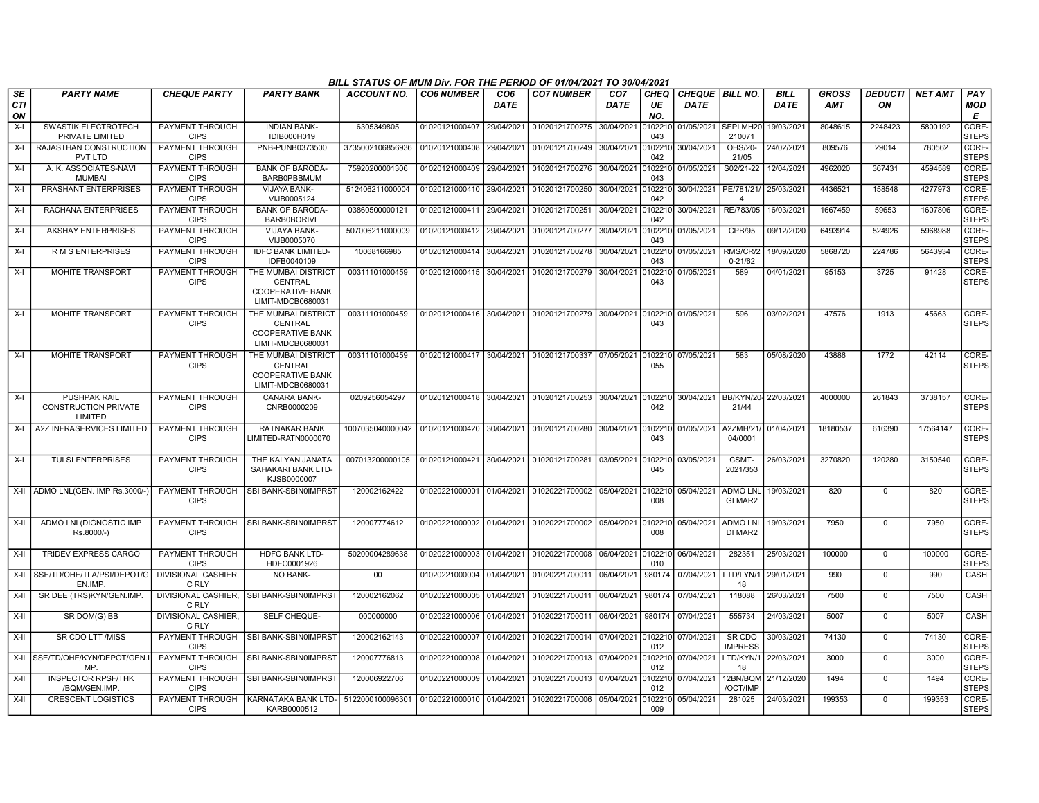|                        |                                                               |                                       |                                                                                | BILL STATUS OF MUM Div. FOR THE PERIOD OF 01/04/2021 TO 30/04/2021 |                           |                                |                                                             |                         |                          |                                      |                            |                     |                            |                      |                |                             |
|------------------------|---------------------------------------------------------------|---------------------------------------|--------------------------------------------------------------------------------|--------------------------------------------------------------------|---------------------------|--------------------------------|-------------------------------------------------------------|-------------------------|--------------------------|--------------------------------------|----------------------------|---------------------|----------------------------|----------------------|----------------|-----------------------------|
| SE<br><b>CTI</b><br>ON | <b>PARTY NAME</b>                                             | <b>CHEQUE PARTY</b>                   | <b>PARTY BANK</b>                                                              | <b>ACCOUNT NO.</b>                                                 | <b>CO6 NUMBER</b>         | CO <sub>6</sub><br><b>DATE</b> | <b>CO7 NUMBER</b>                                           | CO <sub>7</sub><br>DATE | <b>CHEQ</b><br>UE<br>NO. | <b>CHEQUE BILL NO</b><br><b>DATE</b> |                            | <b>BILL</b><br>DATE | <b>GROSS</b><br><b>AMT</b> | <b>DEDUCTI</b><br>ON | <b>NET AMT</b> | PAY<br><b>MOD</b><br>E      |
| $X-I$                  | SWASTIK ELECTROTECH                                           | PAYMENT THROUGH                       | <b>INDIAN BANK-</b>                                                            | 6305349805                                                         | 01020121000407            | 29/04/2021                     | 01020121700275                                              | 30/04/2021              | 0102210                  | 01/05/2021 SEPLMH20                  |                            | 19/03/2021          | 8048615                    | 2248423              | 5800192        | <b>CORE</b>                 |
|                        | PRIVATE LIMITED                                               | <b>CIPS</b>                           | IDIB000H019                                                                    |                                                                    |                           |                                |                                                             |                         | 043                      |                                      | 210071                     |                     |                            |                      |                | <b>STEPS</b>                |
| X-I                    | RAJASTHAN CONSTRUCTION<br>PVT LTD                             | <b>PAYMENT THROUGH</b><br><b>CIPS</b> | PNB-PUNB0373500                                                                | 3735002106856936                                                   | 01020121000408            | 29/04/2021                     | 01020121700249 30/04/2021                                   |                         | 102210<br>042            | 30/04/2021                           | OHS/20-<br>21/05           | 24/02/2021          | 809576                     | 29014                | 780562         | CORE-<br><b>STEPS</b>       |
| $X-I$                  | A. K. ASSOCIATES-NAVI<br><b>MUMBAI</b>                        | <b>PAYMENT THROUGH</b><br><b>CIPS</b> | <b>BANK OF BARODA-</b><br>BARB0PBBMUM                                          | 75920200001306                                                     | 01020121000409 29/04/2021 |                                | 01020121700276 30/04/2021                                   |                         | 0102210<br>043           | 01/05/2021                           | S02/21-22                  | 12/04/2021          | 4962020                    | 367431               | 4594589        | CORE-<br><b>STEPS</b>       |
| $X-I$                  | PRASHANT ENTERPRISES                                          | PAYMENT THROUGH<br><b>CIPS</b>        | <b>VIJAYA BANK-</b><br>VIJB0005124                                             | 512406211000004                                                    | 01020121000410            | 29/04/2021                     | 01020121700250                                              | 30/04/2021              | 102210<br>042            | 30/04/2021 PE/781/21/                | $\overline{\bf{4}}$        | 25/03/2021          | 4436521                    | 158548               | 4277973        | CORE-<br><b>STEPS</b>       |
| $X-I$                  | RACHANA ENTERPRISES                                           | PAYMENT THROUGH<br><b>CIPS</b>        | <b>BANK OF BARODA-</b><br><b>BARB0BORIVL</b>                                   | 03860500000121                                                     | 01020121000411            | 29/04/2021                     | 01020121700251                                              | 30/04/2021              | 102210<br>042            | 30/04/2021                           | RE/783/05                  | 16/03/2021          | 1667459                    | 59653                | 1607806        | CORE-<br><b>STEPS</b>       |
| $X-I$                  | <b>AKSHAY ENTERPRISES</b>                                     | PAYMENT THROUGH<br><b>CIPS</b>        | VIJAYA BANK-<br>VIJB0005070                                                    | 507006211000009                                                    | 01020121000412            | 29/04/2021                     | 01020121700277                                              | 30/04/2021              | 102210<br>043            | 01/05/2021                           | CPB/95                     | 09/12/2020          | 6493914                    | 524926               | 5968988        | CORE-<br><b>STEPS</b>       |
| X-I                    | <b>RMS ENTERPRISES</b>                                        | PAYMENT THROUGH<br><b>CIPS</b>        | <b>IDFC BANK LIMITED-</b><br>IDFB0040109                                       | 10068166985                                                        | 01020121000414            | 30/04/2021                     | 01020121700278                                              | 30/04/2021              | 102210<br>043            | 01/05/2021                           | RMS/CR/2<br>$0 - 21/62$    | 18/09/2020          | 5868720                    | 224786               | 5643934        | CORE-<br><b>STEPS</b>       |
| $X-I$                  | MOHITE TRANSPORT                                              | PAYMENT THROUGH<br><b>CIPS</b>        | THE MUMBAI DISTRICT<br>CENTRAL<br><b>COOPERATIVE BANK</b><br>LIMIT-MDCB0680031 | 00311101000459                                                     | 01020121000415            | 30/04/2021                     | 01020121700279                                              | 30/04/2021              | 102210<br>043            | 01/05/2021                           | 589                        | 04/01/2021          | 95153                      | 3725                 | 91428          | <b>CORE</b><br><b>STEPS</b> |
| X-I                    | <b>MOHITE TRANSPORT</b>                                       | PAYMENT THROUGH<br><b>CIPS</b>        | THE MUMBAI DISTRICT<br><b>CENTRAL</b><br>COOPERATIVE BANK<br>LIMIT-MDCB0680031 | 00311101000459                                                     |                           |                                | 01020121000416 30/04/2021 01020121700279 30/04/2021 0102210 |                         | 043                      | 01/05/2021                           | 596                        | 03/02/2021          | 47576                      | 1913                 | 45663          | CORE-<br><b>STEPS</b>       |
| $X-I$                  | <b>MOHITE TRANSPORT</b>                                       | PAYMENT THROUGH<br><b>CIPS</b>        | THE MUMBAI DISTRICT<br>CENTRAL<br><b>COOPERATIVE BANK</b><br>LIMIT-MDCB0680031 | 00311101000459                                                     |                           |                                | 01020121000417 30/04/2021 01020121700337 07/05/2021         |                         | 055                      | 0102210 07/05/2021                   | 583                        | 05/08/2020          | 43886                      | 1772                 | 42114          | CORE-<br><b>STEPS</b>       |
| $X-I$                  | <b>PUSHPAK RAIL</b><br><b>CONSTRUCTION PRIVATE</b><br>LIMITED | PAYMENT THROUGH<br><b>CIPS</b>        | <b>CANARA BANK-</b><br>CNRB0000209                                             | 0209256054297                                                      | 01020121000418 30/04/2021 |                                | 01020121700253                                              | 30/04/2021              | 0102210<br>042           | 30/04/2021                           | BB/KYN/20-<br>21/44        | 22/03/2021          | 4000000                    | 261843               | 3738157        | CORE-<br><b>STEPS</b>       |
| $X-I$                  | A2Z INFRASERVICES LIMITED                                     | PAYMENT THROUGH<br><b>CIPS</b>        | <b>RATNAKAR BANK</b><br>LIMITED-RATN0000070                                    | 1007035040000042 01020121000420 30/04/2021                         |                           |                                | 01020121700280 30/04/2021 0102210                           |                         | 043                      | 01/05/2021                           | A2ZMH/21/<br>04/0001       | 01/04/2021          | 18180537                   | 616390               | 17564147       | CORE-<br><b>STEPS</b>       |
| $X-I$                  | <b>TULSI ENTERPRISES</b>                                      | <b>PAYMENT THROUGH</b><br><b>CIPS</b> | THE KALYAN JANATA<br>SAHAKARI BANK LTD-<br>KJSB0000007                         | 007013200000105                                                    | 01020121000421            | 30/04/2021                     | 01020121700281                                              | 03/05/2021              | 0102210<br>045           | 03/05/2021                           | CSMT-<br>2021/353          | 26/03/2021          | 3270820                    | 120280               | 3150540        | CORE-<br><b>STEPS</b>       |
|                        | X-II ADMO LNL(GEN, IMP Rs.3000/-                              | PAYMENT THROUGH<br><b>CIPS</b>        | <b>SBI BANK-SBIN0IMPRST</b>                                                    | 120002162422                                                       | 01020221000001 01/04/2021 |                                | 01020221700002 05/04/2021                                   |                         | 0102210<br>008           | 05/04/2021                           | <b>ADMO LNL</b><br>GI MAR2 | 19/03/2021          | 820                        | $\Omega$             | 820            | CORE-<br>STEPS              |
| X-II                   | ADMO LNL(DIGNOSTIC IMP<br>Rs.8000/-)                          | PAYMENT THROUGH<br><b>CIPS</b>        | SBI BANK-SBIN0IMPRST                                                           | 120007774612                                                       | 01020221000002 01/04/2021 |                                | 01020221700002 05/04/2021                                   |                         | 0102210<br>008           | 05/04/2021                           | <b>ADMO LNL</b><br>DI MAR2 | 19/03/2021          | 7950                       | $\mathsf 0$          | 7950           | <b>CORE</b><br><b>STEPS</b> |
| X-II                   | <b>TRIDEV EXPRESS CARGO</b>                                   | PAYMENT THROUGH<br><b>CIPS</b>        | <b>HDFC BANK LTD-</b><br>HDFC0001926                                           | 50200004289638                                                     | 01020221000003 01/04/2021 |                                | 01020221700008 06/04/2021                                   |                         | 0102210<br>010           | 06/04/2021                           | 282351                     | 25/03/2021          | 100000                     | $\overline{0}$       | 100000         | CORE-<br><b>STEPS</b>       |
| X-II                   | SSE/TD/OHE/TLA/PSI/DEPOT/G<br>EN.IMP.                         | <b>DIVISIONAL CASHIER.</b><br>C RLY   | <b>NO BANK-</b>                                                                | 00                                                                 | 01020221000004            | 01/04/2021                     | 01020221700011 06/04/2021                                   |                         | 980174                   | 07/04/2021                           | LTD/LYN/1<br>18            | 29/01/2021          | 990                        | $\mathbf 0$          | 990            | CASH                        |
| $X-H$                  | SR DEE (TRS)KYN/GEN.IMP.                                      | C RLY                                 | DIVISIONAL CASHIER. ISBI BANK-SBIN0IMPRST                                      | 120002162062                                                       | 01020221000005            | 01/04/2021                     | 01020221700011                                              | 06/04/2021              | 980174                   | 07/04/2021                           | 118088                     | 26/03/2021          | 7500                       | $\mathbf 0$          | 7500           | CASH                        |
| $X-H$                  | SR DOM(G) BB                                                  | DIVISIONAL CASHIER,<br>C RLY          | SELF CHEQUE-                                                                   | 000000000                                                          | 01020221000006 01/04/2021 |                                | 01020221700011                                              | 06/04/2021              | 980174                   | 07/04/2021                           | 555734                     | 24/03/2021          | 5007                       | $\mathbf 0$          | 5007           | <b>CASH</b>                 |
| X-II                   | SR CDO LTT /MISS                                              | <b>CIPS</b>                           | PAYMENT THROUGH   SBI BANK-SBIN0IMPRST                                         | 120002162143                                                       | 01020221000007            | 01/04/2021                     | 01020221700014 07/04/2021                                   |                         | 0102210<br>012           | 07/04/2021                           | SR CDO<br><b>IMPRESS</b>   | 30/03/2021          | 74130                      | $\mathbf 0$          | 74130          | CORE-<br><b>STEPS</b>       |
|                        | X-II SSE/TD/OHE/KYN/DEPOT/GEN<br>MP.                          | <b>PAYMENT THROUGH</b><br><b>CIPS</b> | SBI BANK-SBIN0IMPRST                                                           | 120007776813                                                       | 01020221000008 01/04/2021 |                                | 01020221700013 07/04/2021                                   |                         | 012                      | 0102210 07/04/2021                   | LTD/KYN/1<br>18            | 22/03/2021          | 3000                       | $^{\circ}$           | 3000           | CORE-<br><b>STEPS</b>       |
| X-II                   | <b>INSPECTOR RPSF/THK</b><br>/BQM/GEN.IMP.                    | PAYMENT THROUGH<br><b>CIPS</b>        | <b>SBI BANK-SBIN0IMPRST</b>                                                    | 120006922706                                                       | 01020221000009            | 01/04/2021                     | 01020221700013                                              | 07/04/2021              | 102210<br>012            | 07/04/2021                           | 12BN/BQM<br>/OCT/IMP       | 21/12/2020          | 1494                       | $\mathbf 0$          | 1494           | <b>CORE</b><br><b>STEPS</b> |
| X-II                   | <b>CRESCENT LOGISTICS</b>                                     | PAYMENT THROUGH<br><b>CIPS</b>        | KARNATAKA BANK LTD-<br>KARB0000512                                             | 5122000100096301                                                   | 01020221000010 01/04/2021 |                                | 01020221700006 05/04/2021                                   |                         | 009                      | 102210 05/04/2021                    | 281025                     | 24/03/2021          | 199353                     | $\Omega$             | 199353         | CORE-<br><b>STEPS</b>       |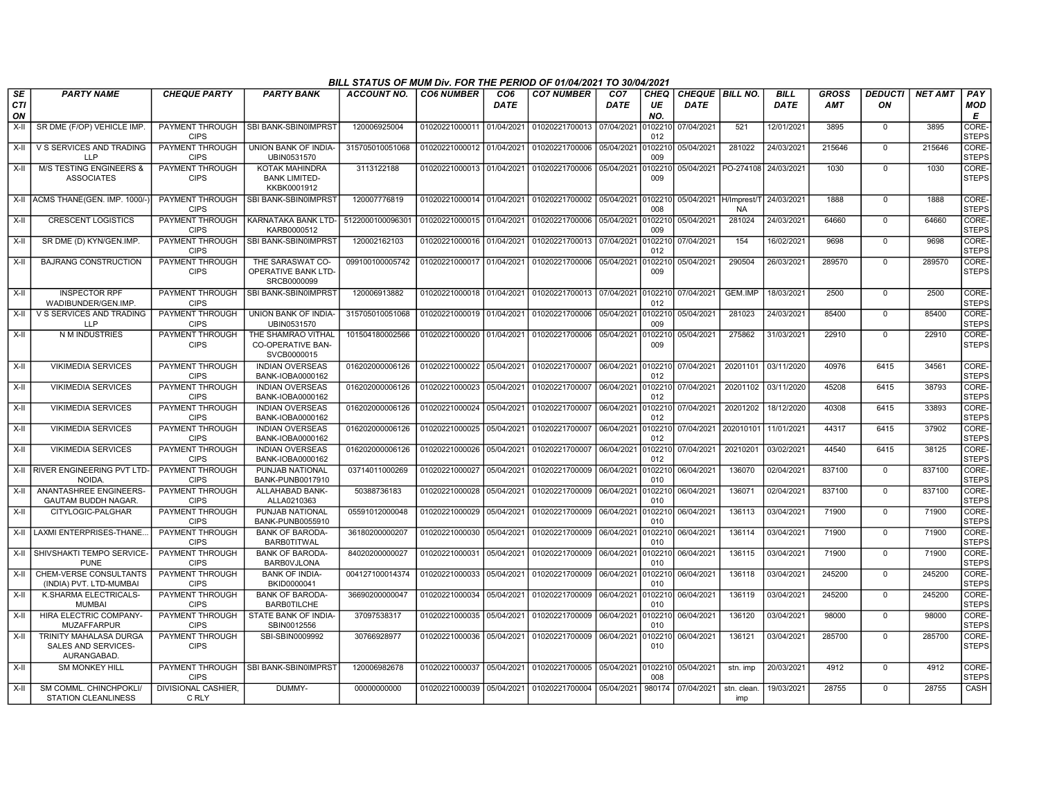|                        |                                                              |                                       |                                                               | BILL STATUS OF MUM Div. FOR THE PERIOD OF 01/04/2021 TO 30/04/2021 |                           |                         |                           |                                |                          |                                  |                        |                            |                            |                      |                |                        |
|------------------------|--------------------------------------------------------------|---------------------------------------|---------------------------------------------------------------|--------------------------------------------------------------------|---------------------------|-------------------------|---------------------------|--------------------------------|--------------------------|----------------------------------|------------------------|----------------------------|----------------------------|----------------------|----------------|------------------------|
| SE<br><b>CTI</b><br>ON | <b>PARTY NAME</b>                                            | <b>CHEQUE PARTY</b>                   | <b>PARTY BANK</b>                                             | ACCOUNT NO.                                                        | <b>CO6 NUMBER</b>         | CO <sub>6</sub><br>DATE | <b>CO7 NUMBER</b>         | CO <sub>7</sub><br><b>DATE</b> | <b>CHEQ</b><br>UE<br>NO. | CHEQUE   BILL NO.<br><b>DATE</b> |                        | <b>BILL</b><br><b>DATE</b> | <b>GROSS</b><br><b>AMT</b> | <b>DEDUCTI</b><br>ON | <b>NET AMT</b> | PAY<br><b>MOD</b><br>E |
| $X-H$                  | SR DME (F/OP) VEHICLE IMP                                    | PAYMENT THROUGH<br><b>CIPS</b>        | SBI BANK-SBIN0IMPRST                                          | 120006925004                                                       | 01020221000011 01/04/2021 |                         | 01020221700013 07/04/2021 |                                | 0102210<br>012           | 07/04/2021                       | 521                    | 12/01/2021                 | 3895                       | $\Omega$             | 3895           | CORE-<br><b>STEPS</b>  |
| X-II                   | V S SERVICES AND TRADING<br><b>LLP</b>                       | PAYMENT THROUGH<br><b>CIPS</b>        | <b>UNION BANK OF INDIA-</b><br>UBIN0531570                    | 315705010051068                                                    | 01020221000012 01/04/2021 |                         | 01020221700006            | 05/04/2021                     | 0102210<br>009           | 05/04/2021                       | 281022                 | 24/03/2021                 | 215646                     | $\mathbf 0$          | 215646         | CORE-<br><b>STEPS</b>  |
| X-II                   | <b>M/S TESTING ENGINEERS &amp;</b><br><b>ASSOCIATES</b>      | <b>PAYMENT THROUGH</b><br><b>CIPS</b> | <b>KOTAK MAHINDRA</b><br><b>BANK LIMITED-</b><br>KKBK0001912  | 3113122188                                                         | 01020221000013 01/04/2021 |                         | 01020221700006            | 05/04/2021                     | 0102210<br>009           |                                  | 05/04/2021   PO-274108 | 24/03/2021                 | 1030                       | $\mathbf 0$          | 1030           | CORE-<br><b>STEPS</b>  |
|                        | X-II ACMS THANE(GEN. IMP. 1000/-                             | PAYMENT THROUGH<br><b>CIPS</b>        | SBI BANK-SBIN0IMPRST                                          | 120007776819                                                       | 01020221000014 01/04/2021 |                         | 01020221700002 05/04/2021 |                                | 0102210<br>008           | 05/04/2021                       | H/Imprest/<br>NA       | 24/03/2021                 | 1888                       | $\Omega$             | 1888           | CORE-<br><b>STEPS</b>  |
| $X-H$                  | <b>CRESCENT LOGISTICS</b>                                    | <b>PAYMENT THROUGH</b><br><b>CIPS</b> | KARNATAKA BANK LTD-<br>KARB0000512                            | 5122000100096301                                                   | 01020221000015 01/04/2021 |                         | 01020221700006            | 05/04/2021                     | 0102210<br>009           | 05/04/2021                       | 281024                 | 24/03/2021                 | 64660                      | $\mathbf 0$          | 64660          | CORE-<br><b>STEPS</b>  |
| X-II                   | SR DME (D) KYN/GEN.IMP.                                      | PAYMENT THROUGH<br><b>CIPS</b>        | SBI BANK-SBIN0IMPRST                                          | 120002162103                                                       | 01020221000016 01/04/2021 |                         | 01020221700013            | 07/04/2021                     | 0102210<br>012           | 07/04/2021                       | 154                    | 16/02/2021                 | 9698                       | $\mathbf 0$          | 9698           | CORE-<br><b>STEPS</b>  |
| $X-I$                  | <b>BAJRANG CONSTRUCTION</b>                                  | PAYMENT THROUGH<br><b>CIPS</b>        | THE SARASWAT CO-<br><b>OPERATIVE BANK LTD-</b><br>SRCB0000099 | 099100100005742                                                    | 01020221000017 01/04/2021 |                         | 01020221700006            | 05/04/2021                     | 0102210<br>009           | 05/04/2021                       | 290504                 | 26/03/2021                 | 289570                     | $\Omega$             | 289570         | CORE-<br><b>STEPS</b>  |
| $X-H$                  | <b>INSPECTOR RPF</b><br>WADIBUNDER/GEN.IMP.                  | PAYMENT THROUGH<br><b>CIPS</b>        | SBI BANK-SBIN0IMPRST                                          | 120006913882                                                       | 01020221000018 01/04/2021 |                         | 01020221700013 07/04/2021 |                                | 0102210<br>012           | 07/04/2021                       | GEM.IMP                | 18/03/2021                 | 2500                       | $\Omega$             | 2500           | CORE-<br><b>STEPS</b>  |
| $X-H$                  | V S SERVICES AND TRADING<br><b>LLP</b>                       | PAYMENT THROUGH<br><b>CIPS</b>        | UNION BANK OF INDIA-<br>UBIN0531570                           | 315705010051068                                                    | 01020221000019 01/04/2021 |                         | 01020221700006            | 05/04/2021                     | 0102210<br>009           | 05/04/2021                       | 281023                 | 24/03/2021                 | 85400                      | $\mathbf 0$          | 85400          | CORE-<br><b>STEPS</b>  |
| $X-H$                  | N M INDUSTRIES                                               | PAYMENT THROUGH<br><b>CIPS</b>        | THE SHAMRAO VITHAL<br><b>CO-OPERATIVE BAN-</b><br>SVCB0000015 | 101504180002566                                                    | 01020221000020 01/04/2021 |                         | 01020221700006 05/04/2021 |                                | 0102210<br>009           | 05/04/2021                       | 275862                 | 31/03/2021                 | 22910                      | $\mathbf 0$          | 22910          | CORE-<br><b>STEPS</b>  |
| X-II                   | <b>VIKIMEDIA SERVICES</b>                                    | PAYMENT THROUGH<br><b>CIPS</b>        | <b>INDIAN OVERSEAS</b><br>BANK-IOBA0000162                    | 016202000006126                                                    | 01020221000022            | 05/04/2021              | 01020221700007            | 06/04/2021                     | 0102210<br>012           | 07/04/2021                       | 20201101               | 03/11/2020                 | 40976                      | 6415                 | 34561          | CORE-<br><b>STEPS</b>  |
| X-II                   | <b>VIKIMEDIA SERVICES</b>                                    | PAYMENT THROUGH<br><b>CIPS</b>        | <b>INDIAN OVERSEAS</b><br>BANK-IOBA0000162                    | 016202000006126                                                    | 01020221000023            | 05/04/2021              | 01020221700007            | 06/04/2021                     | 0102210<br>012           | 07/04/2021                       | 20201102               | 03/11/2020                 | 45208                      | 6415                 | 38793          | CORE-<br><b>STEPS</b>  |
| X-II                   | <b>VIKIMEDIA SERVICES</b>                                    | PAYMENT THROUGH<br><b>CIPS</b>        | <b>INDIAN OVERSEAS</b><br>BANK-IOBA0000162                    | 016202000006126                                                    | 01020221000024 05/04/2021 |                         | 01020221700007            | 06/04/2021                     | 012                      | 0102210 07/04/2021               | 20201202               | 18/12/2020                 | 40308                      | 6415                 | 33893          | CORE-<br><b>STEPS</b>  |
| X-II                   | <b>VIKIMEDIA SERVICES</b>                                    | <b>PAYMENT THROUGH</b><br><b>CIPS</b> | <b>INDIAN OVERSEAS</b><br>BANK-IOBA0000162                    | 016202000006126                                                    | 01020221000025 05/04/2021 |                         | 01020221700007            | 06/04/2021                     | 0102210<br>012           | 07/04/2021                       | 202010101              | 11/01/2021                 | 44317                      | 6415                 | 37902          | CORE-<br><b>STEPS</b>  |
| X-II                   | <b>VIKIMEDIA SERVICES</b>                                    | PAYMENT THROUGH<br><b>CIPS</b>        | <b>INDIAN OVERSEAS</b><br>BANK-IOBA0000162                    | 016202000006126                                                    | 01020221000026 05/04/2021 |                         | 01020221700007            | 06/04/2021                     | 0102210<br>012           | 07/04/2021                       | 20210201               | 03/02/2021                 | 44540                      | 6415                 | 38125          | CORE-<br><b>STEPS</b>  |
| X-II                   | <b>RIVER ENGINEERING PVT LTD</b><br>NOIDA.                   | PAYMENT THROUGH<br><b>CIPS</b>        | PUNJAB NATIONAL<br>BANK-PUNB0017910                           | 03714011000269                                                     | 01020221000027 05/04/2021 |                         | 01020221700009            | 06/04/2021                     | 0102210<br>010           | 06/04/2021                       | 136070                 | 02/04/2021                 | 837100                     | $\mathbf 0$          | 837100         | CORE-<br><b>STEPS</b>  |
| X-II                   | ANANTASHREE ENGINEERS-<br>GAUTAM BUDDH NAGAR.                | PAYMENT THROUGH<br><b>CIPS</b>        | ALLAHABAD BANK-<br>ALLA0210363                                | 50388736183                                                        | 01020221000028 05/04/2021 |                         | 01020221700009 06/04/2021 |                                | 0102210<br>010           | 06/04/2021                       | 136071                 | 02/04/2021                 | 837100                     | $\mathbf 0$          | 837100         | CORE-<br><b>STEPS</b>  |
| X-II                   | CITYLOGIC-PALGHAR                                            | PAYMENT THROUGH<br><b>CIPS</b>        | PUNJAB NATIONAL<br>BANK-PUNB0055910                           | 05591012000048                                                     | 01020221000029            | 05/04/2021              | 01020221700009            | 06/04/2021                     | 0102210<br>010           | 06/04/2021                       | 136113                 | 03/04/2021                 | 71900                      | $\mathbf 0$          | 71900          | CORE-<br><b>STEPS</b>  |
| $X-II$                 | <b>LAXMI ENTERPRISES-THANE</b>                               | PAYMENT THROUGH<br><b>CIPS</b>        | <b>BANK OF BARODA-</b><br><b>BARBOTITWAL</b>                  | 36180200000207                                                     | 01020221000030            | 05/04/2021              | 01020221700009            | 06/04/2021                     | 0102210<br>010           | 06/04/2021                       | 136114                 | 03/04/2021                 | 71900                      | $\Omega$             | 71900          | CORE-<br><b>STEPS</b>  |
| X-II                   | SHIVSHAKTI TEMPO SERVICE<br><b>PUNE</b>                      | PAYMENT THROUGH<br><b>CIPS</b>        | <b>BANK OF BARODA-</b><br><b>BARBOVJLONA</b>                  | 84020200000027                                                     | 01020221000031 05/04/2021 |                         | 01020221700009            | 06/04/2021                     | 0102210<br>010           | 06/04/2021                       | 136115                 | 03/04/2021                 | 71900                      | $\mathbf 0$          | 71900          | CORE-<br><b>STEPS</b>  |
| X-II                   | <b>CHEM-VERSE CONSULTANTS</b><br>(INDIA) PVT. LTD-MUMBAI     | <b>PAYMENT THROUGH</b><br><b>CIPS</b> | <b>BANK OF INDIA-</b><br>BKID0000041                          | 004127100014374                                                    | 01020221000033            | 05/04/2021              | 01020221700009            | 06/04/2021                     | 0102210<br>010           | 06/04/2021                       | 136118                 | 03/04/2021                 | 245200                     | $\mathbf 0$          | 245200         | CORE-<br><b>STEPS</b>  |
| $X-H$                  | K.SHARMA ELECTRICALS-<br><b>MUMBAI</b>                       | PAYMENT THROUGH<br><b>CIPS</b>        | <b>BANK OF BARODA-</b><br><b>BARBOTILCHE</b>                  | 36690200000047                                                     | 01020221000034 05/04/2021 |                         | 01020221700009            | 06/04/2021                     | 0102210<br>010           | 06/04/2021                       | 136119                 | 03/04/2021                 | 245200                     | $\mathbf 0$          | 245200         | CORE-<br><b>STEPS</b>  |
| $X-II$                 | HIRA ELECTRIC COMPANY-<br><b>MUZAFFARPUR</b>                 | PAYMENT THROUGH<br><b>CIPS</b>        | STATE BANK OF INDIA-<br>SBIN0012556                           | 37097538317                                                        | 01020221000035 05/04/2021 |                         | 01020221700009            | 06/04/2021                     | 0102210<br>010           | 06/04/2021                       | 136120                 | 03/04/2021                 | 98000                      | $\Omega$             | 98000          | CORE-<br><b>STEPS</b>  |
| X-II                   | TRINITY MAHALASA DURGA<br>SALES AND SERVICES-<br>AURANGABAD. | PAYMENT THROUGH<br><b>CIPS</b>        | SBI-SBIN0009992                                               | 30766928977                                                        | 01020221000036            | 05/04/2021              | 01020221700009            | 06/04/2021                     | 0102210<br>010           | 06/04/2021                       | 136121                 | 03/04/2021                 | 285700                     | $\Omega$             | 285700         | CORE-<br><b>STEPS</b>  |
| X-II                   | <b>SM MONKEY HILL</b>                                        | PAYMENT THROUGH<br><b>CIPS</b>        | SBI BANK-SBIN0IMPRST                                          | 120006982678                                                       | 01020221000037            | 05/04/2021              | 01020221700005            | 05/04/2021                     | 0102210<br>008           | 05/04/2021                       | stn. imp               | 20/03/2021                 | 4912                       | $\mathbf 0$          | 4912           | CORE-<br><b>STEPS</b>  |
| X-II                   | SM COMML. CHINCHPOKLI/<br><b>STATION CLEANLINESS</b>         | DIVISIONAL CASHIER,<br>C RLY          | DUMMY-                                                        | 00000000000                                                        | 01020221000039 05/04/2021 |                         | 01020221700004            | 05/04/2021                     | 980174                   | 07/04/2021                       | stn. clean<br>imp      | 19/03/2021                 | 28755                      | $\Omega$             | 28755          | CASH                   |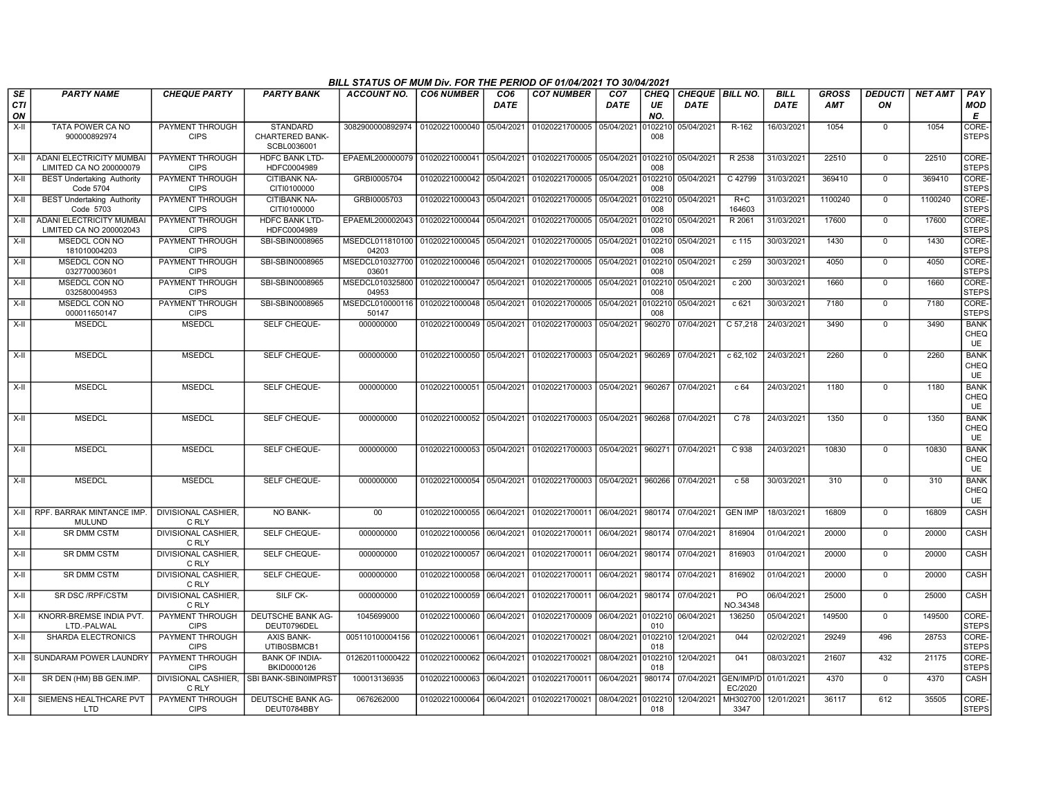|                        |                                                            |                                       |                                      | BILL STATUS OF MUM Div. FOR THE PERIOD OF 01/04/2021 TO 30/04/2021 |                           |             |                                   |                               |                          |                                  |                             |                     |                     |                      |                |                                  |
|------------------------|------------------------------------------------------------|---------------------------------------|--------------------------------------|--------------------------------------------------------------------|---------------------------|-------------|-----------------------------------|-------------------------------|--------------------------|----------------------------------|-----------------------------|---------------------|---------------------|----------------------|----------------|----------------------------------|
| SE<br><b>CTI</b><br>ON | <b>PARTY NAME</b>                                          | <b>CHEQUE PARTY</b>                   | <b>PARTY BANK</b>                    | ACCOUNT NO.                                                        | <b>CO6 NUMBER</b>         | CO6<br>DATE | <b>CO7 NUMBER</b>                 | CO <sub>7</sub><br>DATE       | <b>CHEQ</b><br>UE<br>NO. | CHEQUE   BILL NO.<br><b>DATE</b> |                             | <b>BILL</b><br>DATE | GROSS<br><b>AMT</b> | <b>DEDUCTI</b><br>ON | <b>NET AMT</b> | PAY<br>MOD<br>E                  |
| X-II                   | TATA POWER CA NO                                           | PAYMENT THROUGH                       | <b>STANDARD</b>                      | 3082900000892974   01020221000040   05/04/2021                     |                           |             | 01020221700005 05/04/2021         |                               | 010221                   | 05/04/2021                       | R-162                       | 16/03/2021          | 1054                | $\Omega$             | 1054           | CORE-                            |
|                        | 900000892974                                               | <b>CIPS</b>                           | CHARTERED BANK-<br>SCBL0036001       |                                                                    |                           |             |                                   |                               | 008                      |                                  |                             |                     |                     |                      |                | <b>STEPS</b>                     |
| X-II                   | ADANI ELECTRICITY MUMBAI<br>LIMITED CA NO 200000079        | PAYMENT THROUGH<br><b>CIPS</b>        | <b>HDFC BANK LTD-</b><br>HDFC0004989 | EPAEML200000079                                                    | 01020221000041 05/04/2021 |             | 01020221700005 05/04/2021 0102210 |                               | 008                      | 05/04/2021                       | R 2538                      | 31/03/2021          | 22510               | $\mathbf 0$          | 22510          | CORE-<br><b>STEPS</b>            |
| $X-H$                  | <b>BEST Undertaking Authority</b><br><b>Code 5704</b>      | PAYMENT THROUGH<br><b>CIPS</b>        | <b>CITIBANK NA-</b><br>CITI0100000   | GRBI0005704                                                        | 01020221000042 05/04/2021 |             | 01020221700005 05/04/2021 0102210 |                               | 008                      | 05/04/2021                       | C 42799                     | 31/03/2021          | 369410              | $\mathbf 0$          | 369410         | CORE-<br><b>STEPS</b>            |
| X-II                   | <b>BEST Undertaking Authority</b><br>Code 5703             | PAYMENT THROUGH<br><b>CIPS</b>        | CITIBANK NA-<br>CITI0100000          | GRBI0005703                                                        | 01020221000043            | 05/04/2021  | 01020221700005 05/04/2021         |                               | 0102210<br>008           | 05/04/2021                       | $R+C$<br>164603             | 31/03/2021          | 1100240             | $\mathbf 0$          | 1100240        | CORE-<br><b>STEPS</b>            |
| X-II                   | <b>ADANI ELECTRICITY MUMBAI</b><br>LIMITED CA NO 200002043 | PAYMENT THROUGH<br><b>CIPS</b>        | <b>HDFC BANK LTD-</b><br>HDFC0004989 | EPAEML200002043                                                    | 01020221000044 05/04/2021 |             | 01020221700005 05/04/2021         |                               | 0102210<br>008           | 05/04/2021                       | R 2061                      | 31/03/2021          | 17600               | $\overline{0}$       | 17600          | CORE-<br><b>STEPS</b>            |
| X-II                   | MSEDCL CON NO<br>181010004203                              | PAYMENT THROUGH<br><b>CIPS</b>        | SBI-SBIN0008965                      | MSEDCL011810100<br>04203                                           | 01020221000045            | 05/04/2021  | 01020221700005                    | 05/04/2021                    | 0102210<br>008           | 05/04/2021                       | c 115                       | 30/03/2021          | 1430                | $\Omega$             | 1430           | CORE-<br><b>STEPS</b>            |
| $X-H$                  | <b>MSEDCL CON NO</b><br>032770003601                       | PAYMENT THROUGH<br><b>CIPS</b>        | SBI-SBIN0008965                      | MSEDCL010327700<br>03601                                           | 01020221000046            | 05/04/2021  | 01020221700005 05/04/2021         |                               | 0102210<br>008           | 05/04/2021                       | c 259                       | 30/03/2021          | 4050                | $\mathbf{0}$         | 4050           | CORE-<br><b>STEPS</b>            |
| $X-H$                  | <b>MSEDCL CON NO</b><br>032580004953                       | PAYMENT THROUGH<br><b>CIPS</b>        | SBI-SBIN0008965                      | MSEDCL010325800<br>04953                                           | 01020221000047            | 05/04/2021  | 01020221700005 05/04/2021         |                               | 0102210<br>008           | 05/04/2021                       | c 200                       | 30/03/2021          | 1660                | $\Omega$             | 1660           | CORE-<br><b>STEPS</b>            |
| X-II                   | <b>MSEDCL CON NO</b><br>000011650147                       | <b>PAYMENT THROUGH</b><br><b>CIPS</b> | SBI-SBIN0008965                      | MSEDCL010000116<br>50147                                           | 01020221000048            | 05/04/2021  | 01020221700005                    | 05/04/2021                    | 010221<br>008            | 05/04/2021                       | c621                        | 30/03/2021          | 7180                | $\overline{0}$       | 7180           | CORE-<br><b>STEPS</b>            |
| X-II                   | <b>MSEDCL</b>                                              | <b>MSEDCL</b>                         | SELF CHEQUE-                         | 000000000                                                          | 01020221000049            | 05/04/2021  | 01020221700003                    | 05/04/2021                    | 960270                   | 07/04/2021                       | C 57,218                    | 24/03/2021          | 3490                | $\Omega$             | 3490           | <b>BANK</b><br>CHEQ<br>UE        |
| X-II                   | <b>MSEDCL</b>                                              | <b>MSEDCL</b>                         | SELF CHEQUE-                         | 000000000                                                          | 01020221000050            | 05/04/2021  | 01020221700003                    | 05/04/2021                    | 960269                   | 07/04/2021                       | c 62,102                    | 24/03/2021          | 2260                | $\mathbf 0$          | 2260           | <b>BANK</b><br>CHEQ<br>UE        |
| X-II                   | <b>MSEDCL</b>                                              | <b>MSEDCL</b>                         | SELF CHEQUE-                         | 000000000                                                          | 01020221000051            | 05/04/2021  | 01020221700003                    | 05/04/2021                    | 960267                   | 07/04/2021                       | c 64                        | 24/03/2021          | 1180                | $\mathbf 0$          | 1180           | <b>BANK</b><br>CHEQ<br>UE        |
| X-II                   | <b>MSEDCL</b>                                              | <b>MSEDCL</b>                         | SELF CHEQUE-                         | 000000000                                                          | 01020221000052            | 05/04/2021  | 01020221700003 05/04/2021         |                               | 960268                   | 07/04/2021                       | C 78                        | 24/03/2021          | 1350                | $\Omega$             | 1350           | <b>BANK</b><br>CHEQ<br><b>UE</b> |
| $X-H$                  | <b>MSEDCL</b>                                              | <b>MSEDCL</b>                         | SELF CHEQUE-                         | 000000000                                                          | 01020221000053 05/04/2021 |             | 01020221700003 05/04/2021         |                               | 960271                   | 07/04/2021                       | $C$ 938                     | 24/03/2021          | 10830               | 0                    | 10830          | <b>BANK</b><br>CHEQ<br>UE        |
| $X-II$                 | <b>MSEDCL</b>                                              | <b>MSEDCL</b>                         | SELF CHEQUE-                         | 000000000                                                          | 01020221000054 05/04/2021 |             | 01020221700003 05/04/2021         |                               | 960266                   | 07/04/2021                       | c 58                        | 30/03/2021          | 310                 | $\Omega$             | 310            | <b>BANK</b><br>CHEQ<br>UE        |
| X-II                   | RPF. BARRAK MINTANCE IMP.<br><b>MULUND</b>                 | <b>DIVISIONAL CASHIER.</b><br>C RLY   | NO BANK-                             | $00\,$                                                             | 01020221000055            | 06/04/2021  | 01020221700011 06/04/2021         |                               | 980174                   | 07/04/2021                       | <b>GEN IMP</b>              | 18/03/2021          | 16809               | $\mathbf 0$          | 16809          | CASH                             |
| X-II                   | SR DMM CSTM                                                | DIVISIONAL CASHIER,<br>C RLY          | SELF CHEQUE-                         | 000000000                                                          | 01020221000056            | 06/04/2021  | 01020221700011                    | 06/04/2021                    | 980174                   | 07/04/2021                       | 816904                      | 01/04/2021          | 20000               | $\overline{0}$       | 20000          | CASH                             |
| X-II                   | SR DMM CSTM                                                | DIVISIONAL CASHIER.<br>C RLY          | SELF CHEQUE-                         | 000000000                                                          | 01020221000057            | 06/04/2021  | 01020221700011 06/04/2021         |                               | 980174                   | 07/04/2021                       | 816903                      | 01/04/2021          | 20000               | $\mathbf 0$          | 20000          | <b>CASH</b>                      |
| $X-H$                  | <b>SR DMM CSTM</b>                                         | <b>DIVISIONAL CASHIER.</b><br>C RLY   | SELF CHEQUE-                         | 000000000                                                          | 01020221000058            | 06/04/2021  | 01020221700011 06/04/2021         |                               | 980174                   | 07/04/2021                       | 816902                      | 01/04/2021          | 20000               | $\mathbf 0$          | 20000          | <b>CASH</b>                      |
| X-II                   | SR DSC / RPF/CSTM                                          | DIVISIONAL CASHIER,<br>C RLY          | SILF CK-                             | 000000000                                                          | 01020221000059            | 06/04/2021  | 01020221700011 06/04/2021         |                               | 980174                   | 07/04/2021                       | PO<br>NO.34348              | 06/04/2021          | 25000               | 0                    | 25000          | CASH                             |
| $X-II$                 | KNORR-BREMSE INDIA PVT.<br>LTD.-PALWAL                     | PAYMENT THROUGH<br><b>CIPS</b>        | DEUTSCHE BANK AG-<br>DEUT0796DEL     | 1045699000                                                         | 01020221000060            | 06/04/2021  | 01020221700009                    | 06/04/2021 0102210 06/04/2021 | 010                      |                                  | 136250                      | 05/04/2021          | 149500              | $\Omega$             | 149500         | CORE-<br><b>STEPS</b>            |
| X-II                   | SHARDA ELECTRONICS                                         | PAYMENT THROUGH<br><b>CIPS</b>        | <b>AXIS BANK-</b><br>UTIB0SBMCB1     | 005110100004156                                                    | 01020221000061            | 06/04/2021  | 01020221700021                    | 08/04/2021                    | 010221<br>018            | 12/04/2021                       | 044                         | 02/02/2021          | 29249               | 496                  | 28753          | CORE-<br><b>STEPS</b>            |
| X-II                   | SUNDARAM POWER LAUNDRY                                     | PAYMENT THROUGH<br><b>CIPS</b>        | <b>BANK OF INDIA-</b><br>BKID0000126 | 012620110000422                                                    | 01020221000062 06/04/2021 |             | 01020221700021 08/04/2021         |                               | 0102210<br>018           | 12/04/2021                       | 041                         | 08/03/2021          | 21607               | 432                  | 21175          | CORE-<br><b>STEPS</b>            |
| X-II                   | SR DEN (HM) BB GEN.IMP.                                    | DIVISIONAL CASHIER,<br>C RLY          | SBI BANK-SBIN0IMPRST                 | 100013136935                                                       | 01020221000063            | 06/04/2021  | 01020221700011                    | 06/04/2021                    | 980174                   | 07/04/2021                       | GEN/IMP/D<br>EC/2020        | 01/01/2021          | 4370                | $\mathbf 0$          | 4370           | CASH                             |
| X-II                   | SIEMENS HEALTHCARE PVT<br>LTD                              | PAYMENT THROUGH<br><b>CIPS</b>        | DEUTSCHE BANK AG-<br>DEUT0784BBY     | 0676262000                                                         | 01020221000064 06/04/2021 |             | 01020221700021 08/04/2021         |                               | 0102210<br>018           | 12/04/2021                       | MH302700 12/01/2021<br>3347 |                     | 36117               | 612                  | 35505          | CORE-<br><b>STEPS</b>            |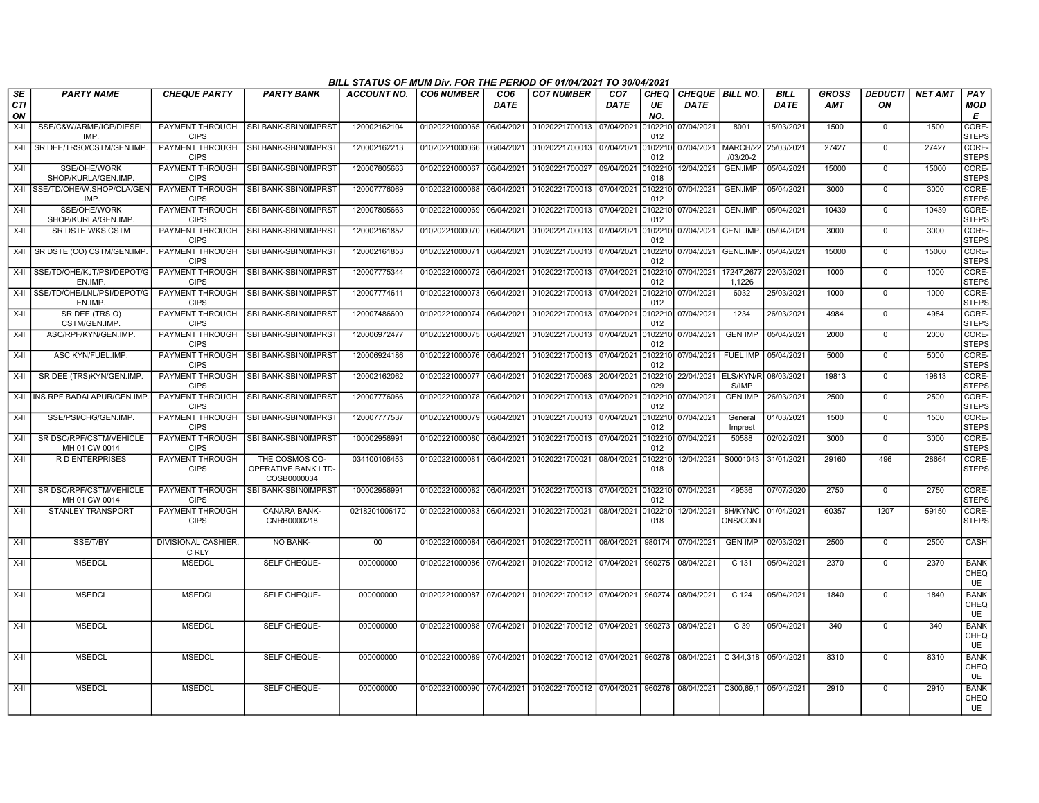|                         |                                          |                                       |                                                      | BILL STATUS OF MUM Div. FOR THE PERIOD OF 01/04/2021 TO 30/04/2021 |                           |             |                                                            |                                |                   |                                       |                      |                            |                            |                      |                |                             |
|-------------------------|------------------------------------------|---------------------------------------|------------------------------------------------------|--------------------------------------------------------------------|---------------------------|-------------|------------------------------------------------------------|--------------------------------|-------------------|---------------------------------------|----------------------|----------------------------|----------------------------|----------------------|----------------|-----------------------------|
| <b>SE</b><br><b>CTI</b> | <b>PARTY NAME</b>                        | <b>CHEQUE PARTY</b>                   | <b>PARTY BANK</b>                                    | <b>ACCOUNT NO.</b>                                                 | <b>CO6 NUMBER</b>         | CO6<br>DATE | <b>CO7 NUMBER</b>                                          | CO <sub>7</sub><br><b>DATE</b> | <b>CHEQ</b><br>UE | <b>CHEQUE BILL NO.</b><br><b>DATE</b> |                      | <b>BILL</b><br><b>DATE</b> | <b>GROSS</b><br><b>AMT</b> | <b>DEDUCTI</b><br>ON | <b>NET AMT</b> | PAY<br>MOD                  |
| ON                      |                                          |                                       |                                                      |                                                                    |                           |             |                                                            |                                | NO.               |                                       |                      |                            |                            |                      |                | Е                           |
| X-II                    | SSE/C&W/ARME/IGP/DIESEL<br>IMP.          | PAYMENT THROUGH<br><b>CIPS</b>        | SBI BANK-SBIN0IMPRST                                 | 120002162104                                                       | 01020221000065 06/04/2021 |             | 01020221700013 07/04/2021                                  |                                | 0102210<br>012    | 07/04/2021                            | 8001                 | 15/03/2021                 | 1500                       | $\mathbf 0$          | 1500           | CORE-<br><b>STEPS</b>       |
| $X-H$                   | SR.DEE/TRSO/CSTM/GEN.IMP.                | PAYMENT THROUGH<br><b>CIPS</b>        | SBI BANK-SBIN0IMPRST                                 | 120002162213                                                       | 01020221000066 06/04/2021 |             | 01020221700013 07/04/2021                                  |                                | 0102210<br>012    | 07/04/2021                            | MARCH/22<br>/03/20-2 | 25/03/2021                 | 27427                      | $\overline{0}$       | 27427          | CORE-<br><b>STEPS</b>       |
| $X-H$                   | SSE/OHE/WORK<br>SHOP/KURLA/GEN.IMP.      | PAYMENT THROUGH<br><b>CIPS</b>        | <b>SBI BANK-SBIN0IMPRST</b>                          | 120007805663                                                       | 01020221000067 06/04/2021 |             | 01020221700027                                             | 09/04/2021                     | 0102210<br>018    | 12/04/2021                            | GEN.IMP.             | 05/04/2021                 | 15000                      | $\Omega$             | 15000          | CORE-<br><b>STEPS</b>       |
| $X-H$                   | SSE/TD/OHE/W.SHOP/CLA/GEN<br>.IMP.       | PAYMENT THROUGH<br><b>CIPS</b>        | SBI BANK-SBIN0IMPRST                                 | 120007776069                                                       | 01020221000068 06/04/2021 |             | 01020221700013 07/04/2021                                  |                                | 0102210<br>012    | 07/04/2021                            | GEN.IMP.             | 05/04/2021                 | 3000                       | $\mathbf 0$          | 3000           | CORE-<br><b>STEPS</b>       |
| $X-II$                  | SSE/OHE/WORK<br>SHOP/KURLA/GEN.IMP       | PAYMENT THROUGH<br><b>CIPS</b>        | SBI BANK-SBIN0IMPRST                                 | 120007805663                                                       | 01020221000069 06/04/2021 |             | 01020221700013 07/04/2021                                  |                                | 0102210<br>012    | 07/04/2021                            | GEN.IMP.             | 05/04/2021                 | 10439                      | $\Omega$             | 10439          | CORE-<br><b>STEPS</b>       |
| X-II                    | SR DSTE WKS CSTM                         | PAYMENT THROUGH<br><b>CIPS</b>        | SBI BANK-SBIN0IMPRST                                 | 120002161852                                                       | 01020221000070 06/04/2021 |             | 01020221700013 07/04/2021                                  |                                | 0102210<br>012    | 07/04/2021                            | GENL.IMP.            | 05/04/2021                 | 3000                       | $\mathbf 0$          | 3000           | CORE-<br><b>STEPS</b>       |
| X-II                    | SR DSTE (CO) CSTM/GEN.IMP.               | PAYMENT THROUGH<br><b>CIPS</b>        | SBI BANK-SBIN0IMPRST                                 | 120002161853                                                       | 01020221000071 06/04/2021 |             | 01020221700013 07/04/2021                                  |                                | 0102210<br>012    | 07/04/2021                            | GENL.IMP.            | 05/04/2021                 | 15000                      | $\mathbf 0$          | 15000          | CORE-<br><b>STEPS</b>       |
| X-II                    | SSE/TD/OHE/KJT/PSI/DEPOT/G<br>EN.IMP.    | PAYMENT THROUGH<br><b>CIPS</b>        | SBI BANK-SBIN0IMPRST                                 | 120007775344                                                       | 01020221000072 06/04/2021 |             | 01020221700013 07/04/2021                                  |                                | 0102210<br>012    | 07/04/2021                            | 17247,2677<br>1,1226 | 22/03/2021                 | 1000                       | $\Omega$             | 1000           | CORE-<br><b>STEPS</b>       |
| X-II                    | SSE/TD/OHE/LNL/PSI/DEPOT/G<br>EN.IMP.    | PAYMENT THROUGH<br><b>CIPS</b>        | SBI BANK-SBIN0IMPRST                                 | 120007774611                                                       | 01020221000073 06/04/2021 |             | 01020221700013 07/04/2021                                  |                                | 0102210<br>012    | 07/04/2021                            | 6032                 | 25/03/2021                 | 1000                       | $\mathbf 0$          | 1000           | CORE-<br><b>STEPS</b>       |
| $X-H$                   | SR DEE (TRS O)<br>CSTM/GEN.IMP.          | <b>PAYMENT THROUGH</b><br><b>CIPS</b> | SBI BANK-SBIN0IMPRST                                 | 120007486600                                                       | 01020221000074 06/04/2021 |             | 01020221700013 07/04/2021                                  |                                | 0102210<br>012    | 07/04/2021                            | 1234                 | 26/03/2021                 | 4984                       | $\Omega$             | 4984           | CORE-<br><b>STEPS</b>       |
| X-II                    | ASC/RPF/KYN/GEN.IMP.                     | PAYMENT THROUGH<br><b>CIPS</b>        | SBI BANK-SBIN0IMPRST                                 | 120006972477                                                       | 01020221000075 06/04/2021 |             | 01020221700013 07/04/2021                                  |                                | 0102210<br>012    | 07/04/2021                            | <b>GEN IMP</b>       | 05/04/2021                 | 2000                       | $\Omega$             | 2000           | CORE-<br><b>STEPS</b>       |
| X-II                    | ASC KYN/FUEL.IMP.                        | PAYMENT THROUGH<br><b>CIPS</b>        | SBI BANK-SBIN0IMPRST                                 | 120006924186                                                       | 01020221000076 06/04/2021 |             | 01020221700013 07/04/2021                                  |                                | 0102210<br>012    | 07/04/2021                            | FUEL IMP             | 05/04/2021                 | 5000                       | $\Omega$             | 5000           | CORE-<br><b>STEPS</b>       |
| $X-II$                  | SR DEE (TRS)KYN/GEN.IMP                  | PAYMENT THROUGH<br><b>CIPS</b>        | SBI BANK-SBIN0IMPRST                                 | 120002162062                                                       | 01020221000077 06/04/2021 |             | 01020221700063                                             | 20/04/2021                     | 0102210<br>029    | 22/04/2021                            | ELS/KYN/R<br>S/IMP   | 08/03/2021                 | 19813                      | $\overline{0}$       | 19813          | CORE-<br><b>STEPS</b>       |
| $X-H$                   | INS.RPF BADALAPUR/GEN.IMP                | PAYMENT THROUGH<br><b>CIPS</b>        | SBI BANK-SBIN0IMPRST                                 | 120007776066                                                       | 01020221000078 06/04/2021 |             | 01020221700013 07/04/2021                                  |                                | 0102210<br>012    | 07/04/2021                            | GEN.IMP              | 26/03/2021                 | 2500                       | $\mathbf 0$          | 2500           | CORE-<br><b>STEPS</b>       |
| $X-H$                   | SSE/PSI/CHG/GEN.IMP.                     | <b>PAYMENT THROUGH</b><br><b>CIPS</b> | SBI BANK-SBIN0IMPRST                                 | 120007777537                                                       | 01020221000079 06/04/2021 |             | 01020221700013 07/04/2021                                  |                                | 0102210<br>012    | 07/04/2021                            | General<br>Imprest   | 01/03/2021                 | 1500                       | $\mathbf 0$          | 1500           | CORE-<br><b>STEPS</b>       |
| X-II                    | SR DSC/RPF/CSTM/VEHICLE<br>MH 01 CW 0014 | PAYMENT THROUGH<br><b>CIPS</b>        | SBI BANK-SBIN0IMPRST                                 | 100002956991                                                       | 01020221000080 06/04/2021 |             | 01020221700013                                             | 07/04/2021                     | 0102210<br>012    | 07/04/2021                            | 50588                | 02/02/2021                 | 3000                       | $\mathbf 0$          | 3000           | CORE-<br><b>STEPS</b>       |
| $X-II$                  | <b>RD ENTERPRISES</b>                    | PAYMENT THROUGH<br><b>CIPS</b>        | THE COSMOS CO-<br>OPERATIVE BANK LTD-<br>COSB0000034 | 034100106453                                                       | 01020221000081 06/04/2021 |             | 01020221700021 08/04/2021                                  |                                | 0102210<br>018    | 12/04/2021                            | S0001043             | 31/01/2021                 | 29160                      | 496                  | 28664          | CORE-<br><b>STEPS</b>       |
| $X-H$                   | SR DSC/RPF/CSTM/VEHICLE<br>MH 01 CW 0014 | PAYMENT THROUGH<br><b>CIPS</b>        | SBI BANK-SBIN0IMPRST                                 | 100002956991                                                       | 01020221000082 06/04/2021 |             | 01020221700013 07/04/2021                                  |                                | 0102210<br>012    | 07/04/2021                            | 49536                | 07/07/2020                 | 2750                       | $\mathbf 0$          | 2750           | <b>CORE</b><br><b>STEPS</b> |
| $X-II$                  | <b>STANLEY TRANSPORT</b>                 | PAYMENT THROUGH<br><b>CIPS</b>        | CANARA BANK-<br>CNRB0000218                          | 0218201006170                                                      | 01020221000083 06/04/2021 |             | 01020221700021                                             | 08/04/2021                     | 0102210<br>018    | 12/04/2021                            | 8H/KYN/C<br>ONS/CONT | 01/04/2021                 | 60357                      | 1207                 | 59150          | CORE-<br><b>STEPS</b>       |
| X-II                    | SSE/T/BY                                 | DIVISIONAL CASHIER.<br>C RLY          | <b>NO BANK-</b>                                      | 00                                                                 |                           |             | 01020221000084 06/04/2021 01020221700011 06/04/2021        |                                | 980174            | 07/04/2021                            | <b>GEN IMP</b>       | 02/03/2021                 | 2500                       | $\mathbf 0$          | 2500           | <b>CASH</b>                 |
| X-II                    | <b>MSEDCL</b>                            | <b>MSEDCL</b>                         | SELF CHEQUE-                                         | 000000000                                                          | 01020221000086 07/04/2021 |             | 01020221700012 07/04/2021                                  |                                | 960275            | 08/04/2021                            | C 131                | 05/04/2021                 | 2370                       | $\Omega$             | 2370           | <b>BANK</b><br>CHEQ<br>UE   |
| $X-H$                   | <b>MSEDCL</b>                            | <b>MSEDCL</b>                         | SELF CHEQUE-                                         | 000000000                                                          |                           |             | 01020221000087 07/04/2021 01020221700012 07/04/2021        |                                | 960274            | 08/04/2021                            | $C$ 124              | 05/04/2021                 | 1840                       | $\Omega$             | 1840           | <b>BANK</b><br>CHEQ<br>UE   |
| $X-H$                   | <b>MSEDCL</b>                            | <b>MSEDCL</b>                         | <b>SELF CHEQUE-</b>                                  | 000000000                                                          | 01020221000088 07/04/2021 |             | 01020221700012 07/04/2021                                  |                                | 960273            | 08/04/2021                            | C <sub>39</sub>      | 05/04/2021                 | 340                        | $\Omega$             | 340            | <b>BANK</b><br>CHEQ<br>UE   |
| X-II                    | <b>MSEDCL</b>                            | <b>MSEDCL</b>                         | SELF CHEQUE-                                         | 000000000                                                          | 01020221000089 07/04/2021 |             | 01020221700012 07/04/2021                                  |                                | 960278            | 08/04/2021                            | $C$ 344,318          | 05/04/2021                 | 8310                       | $\Omega$             | 8310           | <b>BANK</b><br>CHEQ<br>UE   |
| X-II                    | <b>MSEDCL</b>                            | <b>MSEDCL</b>                         | SELF CHEQUE-                                         | 000000000                                                          |                           |             | 01020221000090 07/04/2021 01020221700012 07/04/2021 960276 |                                |                   | 08/04/2021                            | C300,69,1            | 05/04/2021                 | 2910                       | $\mathbf 0$          | 2910           | <b>BANK</b><br>CHEQ<br>UE   |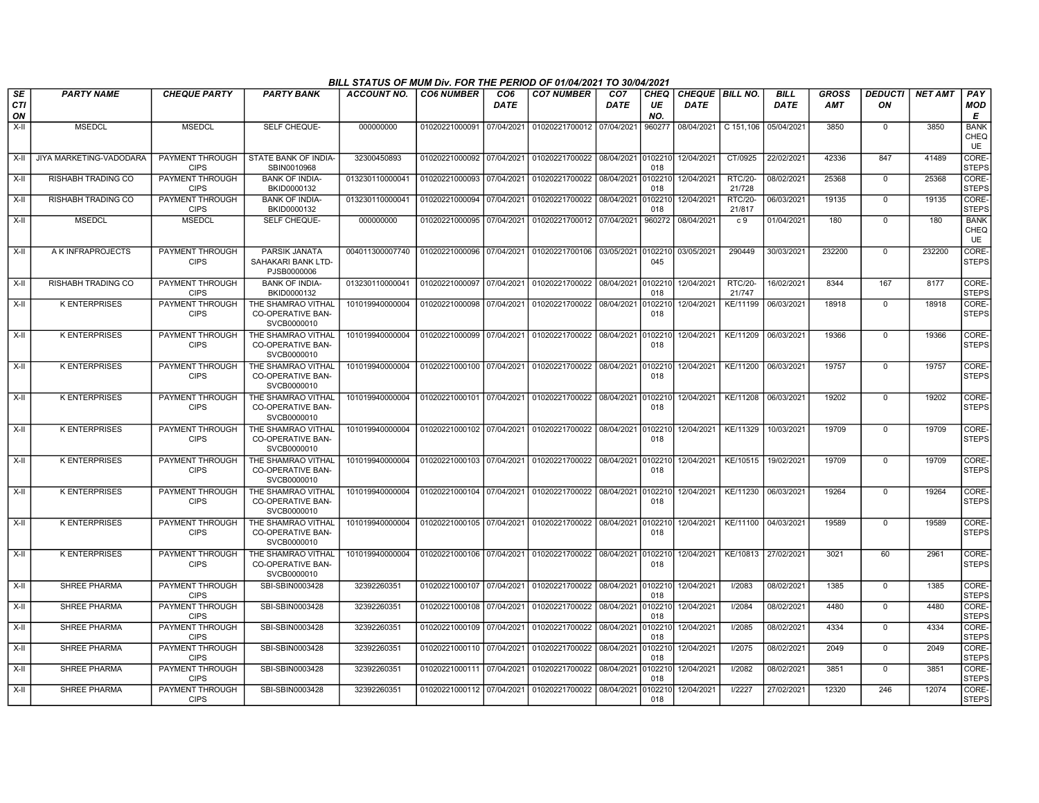|                        |                         |                                       |                                                               | BILL STATUS OF MUM Div. FOR THE PERIOD OF 01/04/2021 TO 30/04/2021 |                           |                         |                                                     |                                |                          |                                  |                          |                            |                            |                      |                |                                  |
|------------------------|-------------------------|---------------------------------------|---------------------------------------------------------------|--------------------------------------------------------------------|---------------------------|-------------------------|-----------------------------------------------------|--------------------------------|--------------------------|----------------------------------|--------------------------|----------------------------|----------------------------|----------------------|----------------|----------------------------------|
| SE<br><b>CTI</b><br>ON | <b>PARTY NAME</b>       | <b>CHEQUE PARTY</b>                   | <b>PARTY BANK</b>                                             | <b>ACCOUNT NO.</b>                                                 | <b>CO6 NUMBER</b>         | CO <sub>6</sub><br>DATE | <b>CO7 NUMBER</b>                                   | CO <sub>7</sub><br><b>DATE</b> | <b>CHEQ</b><br>UE<br>NO. | CHEQUE   BILL NO.<br><b>DATE</b> |                          | <b>BILL</b><br><b>DATE</b> | <b>GROSS</b><br><b>AMT</b> | <b>DEDUCTI</b><br>ON | <b>NET AMT</b> | PAY<br><b>MOD</b><br>E           |
| $X-H$                  | <b>MSEDCL</b>           | <b>MSEDCL</b>                         | SELF CHEQUE-                                                  | 000000000                                                          |                           |                         | 01020221000091 07/04/2021 01020221700012 07/04/2021 |                                | 960277                   |                                  | 08/04/2021 C 151.106     | 05/04/2021                 | 3850                       | $\Omega$             | 3850           | <b>BANK</b><br>CHEQ<br>UE        |
| X-II                   | JIYA MARKETING-VADODARA | PAYMENT THROUGH<br><b>CIPS</b>        | STATE BANK OF INDIA-<br>SBIN0010968                           | 32300450893                                                        | 01020221000092 07/04/2021 |                         | 01020221700022 08/04/2021 0102210                   |                                | 018                      | 12/04/2021                       | CT/0925                  | 22/02/2021                 | 42336                      | 847                  | 41489          | CORE-<br><b>STEPS</b>            |
| $X-II$                 | RISHABH TRADING CO      | PAYMENT THROUGH<br><b>CIPS</b>        | <b>BANK OF INDIA-</b><br>BKID0000132                          | 013230110000041                                                    | 01020221000093            | 07/04/2021              | 01020221700022 08/04/2021                           |                                | 0102210<br>018           | 12/04/2021                       | <b>RTC/20-</b><br>21/728 | 08/02/2021                 | 25368                      | $\mathbf 0$          | 25368          | CORE-<br><b>STEPS</b>            |
| X-II                   | RISHABH TRADING CO      | <b>PAYMENT THROUGH</b><br><b>CIPS</b> | <b>BANK OF INDIA-</b><br>BKID0000132                          | 013230110000041                                                    | 01020221000094            | 07/04/2021              | 01020221700022                                      | 08/04/2021                     | 0102210<br>018           | 12/04/2021                       | <b>RTC/20-</b><br>21/817 | 06/03/2021                 | 19135                      | $\mathbf 0$          | 19135          | CORE-<br><b>STEPS</b>            |
| X-II                   | <b>MSEDCL</b>           | <b>MSEDCL</b>                         | SELF CHEQUE-                                                  | 000000000                                                          | 01020221000095 07/04/2021 |                         | 01020221700012 07/04/2021                           |                                | 960272                   | 08/04/2021                       | c.9                      | 01/04/2021                 | 180                        | $\Omega$             | 180            | <b>BANK</b><br>CHEQ<br><b>UE</b> |
| $X-H$                  | A K INFRAPROJECTS       | PAYMENT THROUGH<br><b>CIPS</b>        | PARSIK JANATA<br>SAHAKARI BANK LTD-<br>PJSB0000006            | 004011300007740                                                    | 01020221000096 07/04/2021 |                         | 01020221700106 03/05/2021                           |                                | 045                      | 0102210 03/05/2021               | 290449                   | 30/03/2021                 | 232200                     | $\Omega$             | 232200         | CORE-<br><b>STEPS</b>            |
| $X-II$                 | RISHABH TRADING CO      | PAYMENT THROUGH<br><b>CIPS</b>        | <b>BANK OF INDIA-</b><br>BKID0000132                          | 013230110000041                                                    | 01020221000097 07/04/2021 |                         | 01020221700022 08/04/2021                           |                                | 0102210<br>018           | 12/04/2021                       | <b>RTC/20-</b><br>21/747 | 16/02/2021                 | 8344                       | 167                  | 8177           | CORE-<br><b>STEPS</b>            |
| X-II                   | <b>K ENTERPRISES</b>    | PAYMENT THROUGH<br><b>CIPS</b>        | THE SHAMRAO VITHAL<br><b>CO-OPERATIVE BAN-</b><br>SVCB0000010 | 101019940000004                                                    | 01020221000098 07/04/2021 |                         | 01020221700022 08/04/2021                           |                                | 010221<br>018            | 12/04/2021                       | KE/11199                 | 06/03/2021                 | 18918                      | $\Omega$             | 18918          | CORE-<br><b>STEPS</b>            |
| X-II                   | <b>K ENTERPRISES</b>    | PAYMENT THROUGH<br><b>CIPS</b>        | THE SHAMRAO VITHAL<br><b>CO-OPERATIVE BAN-</b><br>SVCB0000010 | 101019940000004                                                    | 01020221000099 07/04/2021 |                         | 01020221700022 08/04/2021                           |                                | 0102210<br>018           | 12/04/2021                       | KE/11209                 | 06/03/2021                 | 19366                      | $\Omega$             | 19366          | CORE-<br><b>STEPS</b>            |
| $X-H$                  | <b>K ENTERPRISES</b>    | <b>PAYMENT THROUGH</b><br><b>CIPS</b> | THE SHAMRAO VITHAL<br>CO-OPERATIVE BAN-<br>SVCB0000010        | 101019940000004                                                    | 01020221000100 07/04/2021 |                         | 01020221700022                                      | 08/04/2021                     | 0102210<br>018           | 12/04/2021                       | KE/11200                 | 06/03/2021                 | 19757                      | $\overline{0}$       | 19757          | CORE-<br><b>STEPS</b>            |
| X-II                   | <b>K ENTERPRISES</b>    | PAYMENT THROUGH<br><b>CIPS</b>        | THE SHAMRAO VITHAL<br><b>CO-OPERATIVE BAN-</b><br>SVCB0000010 | 101019940000004                                                    | 01020221000101 07/04/2021 |                         | 01020221700022                                      | 08/04/2021                     | 0102210<br>018           | 12/04/2021                       | KE/11208                 | 06/03/2021                 | 19202                      | $\Omega$             | 19202          | CORE-<br><b>STEPS</b>            |
| X-II                   | <b>K ENTERPRISES</b>    | PAYMENT THROUGH<br><b>CIPS</b>        | THE SHAMRAO VITHAL<br><b>CO-OPERATIVE BAN-</b><br>SVCB0000010 | 101019940000004                                                    | 01020221000102 07/04/2021 |                         | 01020221700022 08/04/2021 0102210                   |                                | 018                      | 12/04/2021                       | KE/11329                 | 10/03/2021                 | 19709                      | $\Omega$             | 19709          | CORE-<br><b>STEPS</b>            |
| $X-H$                  | <b>K ENTERPRISES</b>    | <b>PAYMENT THROUGH</b><br><b>CIPS</b> | THE SHAMRAO VITHAL<br><b>CO-OPERATIVE BAN-</b><br>SVCB0000010 | 101019940000004                                                    | 01020221000103 07/04/2021 |                         | 01020221700022 08/04/2021 0102210                   |                                | 018                      | 12/04/2021                       | KE/10515                 | 19/02/2021                 | 19709                      | $\mathbf 0$          | 19709          | CORE-<br><b>STEPS</b>            |
| $X-II$                 | <b>K ENTERPRISES</b>    | PAYMENT THROUGH<br><b>CIPS</b>        | THE SHAMRAO VITHAL<br><b>CO-OPERATIVE BAN-</b><br>SVCB0000010 | 101019940000004                                                    | 01020221000104 07/04/2021 |                         | 01020221700022 08/04/2021 0102210                   |                                | 018                      | 12/04/2021                       | KE/11230                 | 06/03/2021                 | 19264                      | $\Omega$             | 19264          | CORE-<br><b>STEPS</b>            |
| $X-II$                 | <b>K ENTERPRISES</b>    | PAYMENT THROUGH<br><b>CIPS</b>        | THE SHAMRAO VITHAL<br>CO-OPERATIVE BAN-<br>SVCB0000010        | 101019940000004                                                    | 01020221000105 07/04/2021 |                         | 01020221700022                                      | 08/04/2021                     | 0102210<br>018           | 12/04/2021                       | KE/11100                 | 04/03/2021                 | 19589                      | $\Omega$             | 19589          | CORE-<br><b>STEPS</b>            |
| $X-H$                  | <b>K ENTERPRISES</b>    | <b>PAYMENT THROUGH</b><br><b>CIPS</b> | THE SHAMRAO VITHAL<br><b>CO-OPERATIVE BAN-</b><br>SVCB0000010 | 101019940000004                                                    |                           |                         | 01020221000106 07/04/2021 01020221700022 08/04/2021 |                                | 0102210<br>018           | 12/04/2021                       | KE/10813                 | 27/02/2021                 | 3021                       | 60                   | 2961           | CORE-<br><b>STEPS</b>            |
| $X-H$                  | <b>SHREE PHARMA</b>     | PAYMENT THROUGH<br><b>CIPS</b>        | SBI-SBIN0003428                                               | 32392260351                                                        | 01020221000107 07/04/2021 |                         | 01020221700022 08/04/2021                           |                                | 0102210<br>018           | 12/04/2021                       | 1/2083                   | 08/02/2021                 | 1385                       | $\Omega$             | 1385           | CORE-<br><b>STEPS</b>            |
| X-II                   | <b>SHREE PHARMA</b>     | PAYMENT THROUGH<br><b>CIPS</b>        | SBI-SBIN0003428                                               | 32392260351                                                        | 01020221000108 07/04/2021 |                         | 01020221700022 08/04/2021                           |                                | 0102210<br>018           | 12/04/2021                       | I/2084                   | 08/02/2021                 | 4480                       | $\Omega$             | 4480           | CORE-<br><b>STEPS</b>            |
| X-II                   | <b>SHREE PHARMA</b>     | PAYMENT THROUGH<br><b>CIPS</b>        | SBI-SBIN0003428                                               | 32392260351                                                        | 01020221000109 07/04/2021 |                         | 01020221700022 08/04/2021                           |                                | 0102210<br>018           | 12/04/2021                       | I/2085                   | 08/02/2021                 | 4334                       | $\Omega$             | 4334           | CORE-<br><b>STEPS</b>            |
| $X-II$                 | SHREE PHARMA            | PAYMENT THROUGH<br><b>CIPS</b>        | SBI-SBIN0003428                                               | 32392260351                                                        | 01020221000110 07/04/2021 |                         | 01020221700022 08/04/2021                           |                                | 0102210<br>018           | 12/04/2021                       | I/2075                   | 08/02/2021                 | 2049                       | $\Omega$             | 2049           | CORE-<br><b>STEPS</b>            |
| $X-H$                  | SHREE PHARMA            | <b>PAYMENT THROUGH</b><br><b>CIPS</b> | SBI-SBIN0003428                                               | 32392260351                                                        | 01020221000111 07/04/2021 |                         | 01020221700022                                      | 08/04/2021                     | 0102210<br>018           | 12/04/2021                       | I/2082                   | 08/02/2021                 | 3851                       | $\Omega$             | 3851           | CORE-<br><b>STEPS</b>            |
| $X-H$                  | <b>SHREE PHARMA</b>     | <b>PAYMENT THROUGH</b><br><b>CIPS</b> | SBI-SBIN0003428                                               | 32392260351                                                        | 01020221000112 07/04/2021 |                         | 01020221700022                                      | 08/04/2021                     | 0102210<br>018           | 12/04/2021                       | 1/2227                   | 27/02/2021                 | 12320                      | 246                  | 12074          | CORE-<br><b>STEPS</b>            |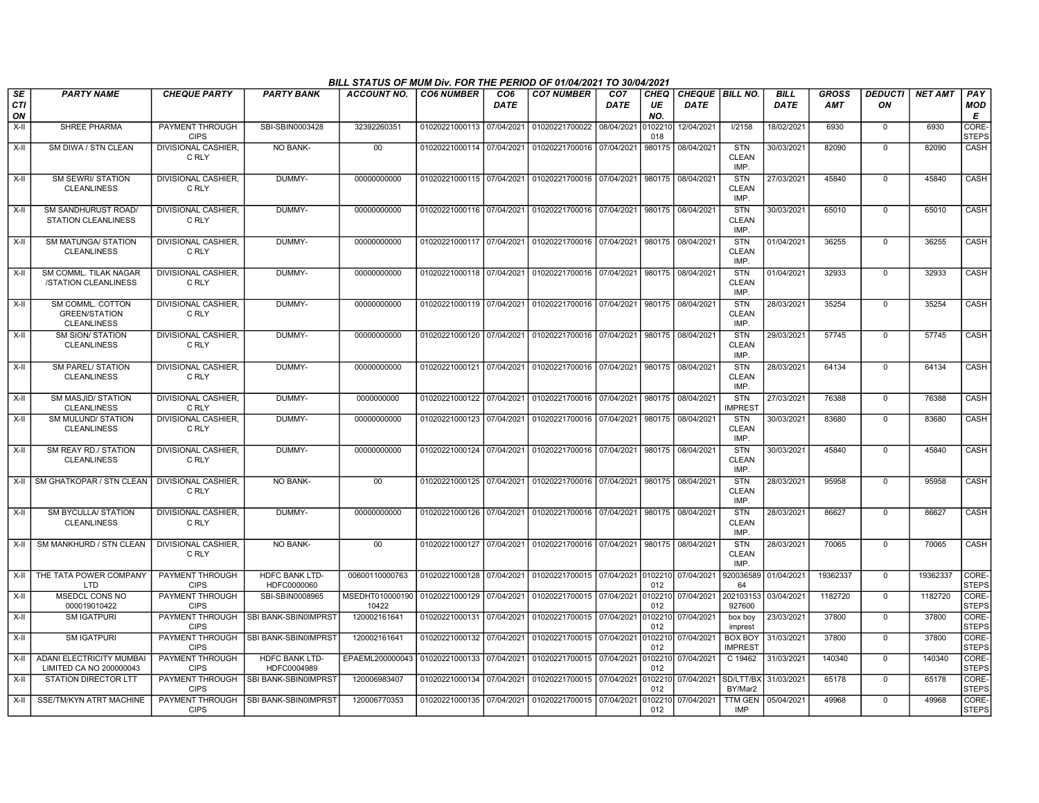|                        |                                                                |                                       |                                      | BILL STATUS OF MUM Div. FOR THE PERIOD OF 01/04/2021 TO 30/04/2021  |                           |                                |                                                                       |                                |                          |                                  |                                    |                            |                            |                      |                |                        |
|------------------------|----------------------------------------------------------------|---------------------------------------|--------------------------------------|---------------------------------------------------------------------|---------------------------|--------------------------------|-----------------------------------------------------------------------|--------------------------------|--------------------------|----------------------------------|------------------------------------|----------------------------|----------------------------|----------------------|----------------|------------------------|
| SE<br><b>CTI</b><br>ON | <b>PARTY NAME</b>                                              | <b>CHEQUE PARTY</b>                   | <b>PARTY BANK</b>                    | <b>ACCOUNT NO.</b>                                                  | <b>CO6 NUMBER</b>         | CO <sub>6</sub><br><b>DATE</b> | <b>CO7 NUMBER</b>                                                     | CO <sub>7</sub><br><b>DATE</b> | <b>CHEQ</b><br>UE<br>NO. | CHEQUE   BILL NO.<br><b>DATE</b> |                                    | <b>BILL</b><br><b>DATE</b> | <b>GROSS</b><br><b>AMT</b> | <b>DEDUCTI</b><br>ON | <b>NET AMT</b> | <b>PAY</b><br>MOD<br>E |
| $X-H$                  | <b>SHREE PHARMA</b>                                            | <b>PAYMENT THROUGH</b><br><b>CIPS</b> | SBI-SBIN0003428                      | 32392260351                                                         | 01020221000113 07/04/2021 |                                | 01020221700022 08/04/2021                                             |                                | 0102210<br>018           | 12/04/2021                       | 1/2158                             | 18/02/2021                 | 6930                       | $\mathbf 0$          | 6930           | CORE-<br><b>STEPS</b>  |
| $X-H$                  | SM DIWA / STN CLEAN                                            | <b>DIVISIONAL CASHIER.</b><br>C RLY   | <b>NO BANK-</b>                      | 00                                                                  | 01020221000114 07/04/2021 |                                | 01020221700016 07/04/2021                                             |                                | 980175                   | 08/04/2021                       | <b>STN</b><br><b>CLEAN</b><br>IMP. | 30/03/2021                 | 82090                      | $\mathbf 0$          | 82090          | CASH                   |
| $X-II$                 | <b>SM SEWRI/ STATION</b><br><b>CLEANLINESS</b>                 | <b>DIVISIONAL CASHIER.</b><br>C RLY   | DUMMY-                               | 00000000000                                                         |                           |                                | 01020221000115 07/04/2021 01020221700016 07/04/2021 980175 08/04/2021 |                                |                          |                                  | <b>STN</b><br><b>CLEAN</b><br>IMP. | 27/03/2021                 | 45840                      | $\mathbf 0$          | 45840          | CASH                   |
| X-II                   | SM SANDHURUST ROAD/<br><b>STATION CLEANLINESS</b>              | DIVISIONAL CASHIER,<br>C RLY          | DUMMY-                               | 00000000000                                                         |                           |                                | 01020221000116 07/04/2021 01020221700016 07/04/2021 980175 08/04/2021 |                                |                          |                                  | <b>STN</b><br><b>CLEAN</b><br>IMP. | 30/03/2021                 | 65010                      | $\Omega$             | 65010          | CASH                   |
| X-II                   | <b>SM MATUNGA/ STATION</b><br><b>CLEANLINESS</b>               | <b>DIVISIONAL CASHIER</b><br>C RLY    | DUMMY-                               | 00000000000                                                         | 01020221000117 07/04/2021 |                                | 01020221700016 07/04/2021 980175 08/04/2021                           |                                |                          |                                  | <b>STN</b><br><b>CLEAN</b><br>IMP. | 01/04/2021                 | 36255                      | $\mathbf 0$          | 36255          | CASH                   |
| $X-H$                  | SM COMML. TILAK NAGAR<br>/STATION CLEANLINESS                  | <b>DIVISIONAL CASHIER.</b><br>C RLY   | DUMMY-                               | 00000000000                                                         |                           |                                | 01020221000118 07/04/2021 01020221700016 07/04/2021                   |                                |                          | 980175 08/04/2021                | <b>STN</b><br><b>CLEAN</b><br>IMP. | 01/04/2021                 | 32933                      | $\mathbf 0$          | 32933          | CASH                   |
| $X-H$                  | SM COMML. COTTON<br><b>GREEN/STATION</b><br><b>CLEANLINESS</b> | <b>DIVISIONAL CASHIER.</b><br>C RLY   | DUMMY-                               | 00000000000                                                         | 01020221000119 07/04/2021 |                                | 01020221700016 07/04/2021                                             |                                |                          | 980175 08/04/2021                | STN<br><b>CLEAN</b><br>IMP.        | 28/03/2021                 | 35254                      | $\Omega$             | 35254          | CASH                   |
| $X-H$                  | <b>SM SION/ STATION</b><br><b>CLEANLINESS</b>                  | <b>DIVISIONAL CASHIER.</b><br>C RLY   | DUMMY-                               | 00000000000                                                         |                           |                                | 01020221000120 07/04/2021 01020221700016 07/04/2021 980175 08/04/2021 |                                |                          |                                  | <b>STN</b><br>CLEAN<br>IMP.        | 29/03/2021                 | 57745                      | $\overline{0}$       | 57745          | <b>CASH</b>            |
| $X-II$                 | <b>SM PAREL/ STATION</b><br><b>CLEANLINESS</b>                 | <b>DIVISIONAL CASHIER,</b><br>C RLY   | DUMMY-                               | 00000000000                                                         |                           |                                | 01020221000121 07/04/2021 01020221700016 07/04/2021 980175 08/04/2021 |                                |                          |                                  | <b>STN</b><br><b>CLEAN</b><br>IMP. | 28/03/2021                 | 64134                      | $\mathbf 0$          | 64134          | CASH                   |
| X-II                   | <b>SM MASJID/ STATION</b><br><b>CLEANLINESS</b>                | DIVISIONAL CASHIER,<br>C RLY          | DUMMY-                               | 0000000000                                                          |                           |                                | 01020221000122 07/04/2021 01020221700016 07/04/2021                   |                                |                          | 980175 08/04/2021                | <b>STN</b><br><b>IMPREST</b>       | 27/03/2021                 | 76388                      | $\mathbf 0$          | 76388          | CASH                   |
| $X-H$                  | SM MULUND/ STATION<br><b>CLEANLINESS</b>                       | DIVISIONAL CASHIER,<br>C RLY          | DUMMY-                               | 00000000000                                                         | 01020221000123 07/04/2021 |                                | 01020221700016 07/04/2021                                             |                                |                          | 980175 08/04/2021                | <b>STN</b><br><b>CLEAN</b><br>IMP. | 30/03/2021                 | 83680                      | $\Omega$             | 83680          | CASH                   |
| X-II                   | SM REAY RD./ STATION<br><b>CLEANLINESS</b>                     | DIVISIONAL CASHIER,<br>C RLY          | DUMMY-                               | 00000000000                                                         |                           |                                | 01020221000124 07/04/2021 01020221700016 07/04/2021 980175 08/04/2021 |                                |                          |                                  | <b>STN</b><br><b>CLEAN</b><br>IMP. | 30/03/2021                 | 45840                      | $\Omega$             | 45840          | CASH                   |
| $X-H$                  | SM GHATKOPAR / STN CLEAN   DIVISIONAL CASHIER,                 | C RLY                                 | NO BANK-                             | 00                                                                  | 01020221000125 07/04/2021 |                                | 01020221700016 07/04/2021 980175 08/04/2021                           |                                |                          |                                  | <b>STN</b><br><b>CLEAN</b><br>IMP. | 28/03/2021                 | 95958                      | $\mathbf 0$          | 95958          | <b>CASH</b>            |
| X-II                   | <b>SM BYCULLA/ STATION</b><br><b>CLEANLINESS</b>               | <b>DIVISIONAL CASHIER.</b><br>C RLY   | DUMMY-                               | 00000000000                                                         |                           |                                | 01020221000126 07/04/2021 01020221700016 07/04/2021                   |                                |                          | 980175 08/04/2021                | <b>STN</b><br>CLEAN<br>IMP.        | 28/03/2021                 | 86627                      | $\mathbf 0$          | 86627          | CASH                   |
| $X-II$                 | SM MANKHURD / STN CLEAN                                        | <b>DIVISIONAL CASHIER.</b><br>C RLY   | NO BANK-                             | 00                                                                  | 01020221000127 07/04/2021 |                                | 01020221700016 07/04/2021                                             |                                | 980175                   | 08/04/2021                       | <b>STN</b><br><b>CLEAN</b><br>IMP. | 28/03/2021                 | 70065                      | $\Omega$             | 70065          | CASH                   |
| $X-H$                  | THE TATA POWER COMPANY<br><b>LTD</b>                           | PAYMENT THROUGH<br><b>CIPS</b>        | <b>HDFC BANK LTD-</b><br>HDFC0000060 | 00600110000763                                                      | 01020221000128 07/04/2021 |                                | 01020221700015 07/04/2021 0102210 07/04/2021                          |                                | 012                      |                                  | 920036589<br>64                    | 01/04/2021                 | 19362337                   | $\overline{0}$       | 19362337       | CORE-<br><b>STEPS</b>  |
| X-II                   | <b>MSEDCL CONS NO</b><br>000019010422                          | PAYMENT THROUGH<br><b>CIPS</b>        | SBI-SBIN0008965                      | MSEDHT010000190 01020221000129 07/04/2021<br>10422                  |                           |                                | 01020221700015 07/04/2021                                             |                                | 0102210<br>012           | 07/04/2021                       | 927600                             | 202103153 03/04/2021       | 1182720                    | $\mathbf 0$          | 1182720        | CORE-<br><b>STEPS</b>  |
| $X-H$                  | <b>SM IGATPURI</b>                                             | PAYMENT THROUGH<br><b>CIPS</b>        | SBI BANK-SBIN0IMPRST                 | 120002161641                                                        | 01020221000131 07/04/2021 |                                | 01020221700015 07/04/2021                                             |                                | 0102210<br>012           | 07/04/2021                       | box boy<br>imprest                 | 23/03/2021                 | 37800                      | $\mathbf 0$          | 37800          | CORE-<br><b>STEPS</b>  |
| X-II                   | <b>SM IGATPURI</b>                                             | PAYMENT THROUGH<br><b>CIPS</b>        | SBI BANK-SBIN0IMPRST                 | 120002161641                                                        | 01020221000132 07/04/2021 |                                | 01020221700015 07/04/2021                                             |                                | 0102210<br>012           | 07/04/2021                       | <b>BOX BOY</b><br><b>IMPREST</b>   | 31/03/2021                 | 37800                      | $\mathbf 0$          | 37800          | CORE-<br><b>STEPS</b>  |
| $X-H$                  | <b>ADANI ELECTRICITY MUMBAI</b><br>LIMITED CA NO 200000043     | PAYMENT THROUGH<br><b>CIPS</b>        | <b>HDFC BANK LTD-</b><br>HDFC0004989 | EPAEML200000043 01020221000133 07/04/2021 01020221700015 07/04/2021 |                           |                                |                                                                       |                                | 012                      | 0102210 07/04/2021               | C 19462                            | 31/03/2021                 | 140340                     | $\mathbf 0$          | 140340         | CORE-<br><b>STEPS</b>  |
| X-II                   | STATION DIRECTOR LTT                                           | PAYMENT THROUGH<br><b>CIPS</b>        | SBI BANK-SBIN0IMPRST                 | 120006983407                                                        | 01020221000134 07/04/2021 |                                | 01020221700015 07/04/2021                                             |                                | 012                      | 0102210 07/04/2021               | SD/LTT/BX<br>BY/Mar2               | 31/03/2021                 | 65178                      | $\mathbf 0$          | 65178          | CORE-<br><b>STEPS</b>  |
| X-II                   | <b>SSE/TM/KYN ATRT MACHINE</b>                                 | PAYMENT THROUGH<br><b>CIPS</b>        | SBI BANK-SBIN0IMPRST                 | 120006770353                                                        | 01020221000135 07/04/2021 |                                | 01020221700015 07/04/2021                                             |                                | 012                      | 0102210 07/04/2021               | TTM GEN<br><b>IMP</b>              | 05/04/2021                 | 49968                      | $\Omega$             | 49968          | CORE-<br><b>STEPS</b>  |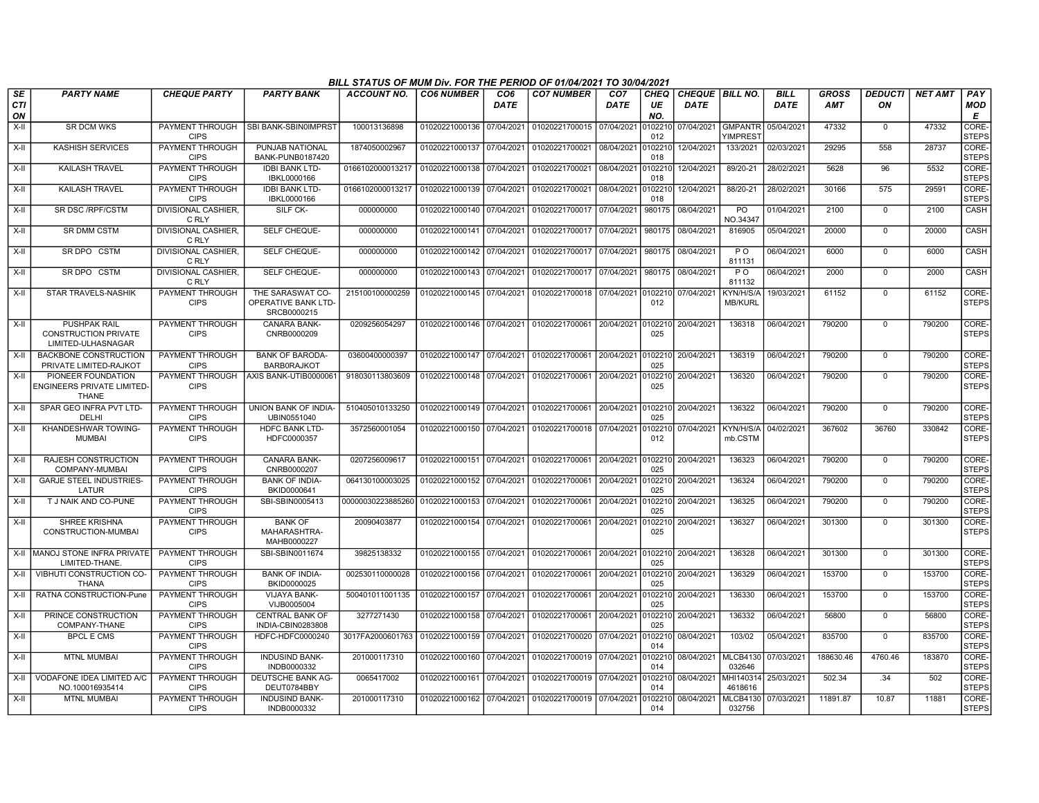|                 |                                                                          |                                       |                                                        | BILL STATUS OF MUM Div. FOR THE PERIOD OF 01/04/2021 TO 30/04/2021 |                           |                                |                                                     |                                |                          |                                       |                                        |                            |                            |                      |                |                       |
|-----------------|--------------------------------------------------------------------------|---------------------------------------|--------------------------------------------------------|--------------------------------------------------------------------|---------------------------|--------------------------------|-----------------------------------------------------|--------------------------------|--------------------------|---------------------------------------|----------------------------------------|----------------------------|----------------------------|----------------------|----------------|-----------------------|
| SE<br>CТI<br>ON | <b>PARTY NAME</b>                                                        | <b>CHEQUE PARTY</b>                   | <b>PARTY BANK</b>                                      | <b>ACCOUNT NO.</b>                                                 | <b>CO6 NUMBER</b>         | CO <sub>6</sub><br><b>DATE</b> | <b>CO7 NUMBER</b>                                   | CO <sub>7</sub><br><b>DATE</b> | <b>CHEO</b><br>UE<br>NO. | <b>CHEQUE BILL NO.</b><br><b>DATE</b> |                                        | <b>BILL</b><br><b>DATE</b> | <b>GROSS</b><br><b>AMT</b> | <b>DEDUCTI</b><br>ON | <b>NET AMT</b> | PAY<br>MOD<br>E       |
| X-II            | <b>SR DCM WKS</b>                                                        | PAYMENT THROUGH<br><b>CIPS</b>        | <b>SBI BANK-SBIN0IMPRST</b>                            | 100013136898                                                       | 01020221000136 07/04/2021 |                                | 01020221700015                                      | 07/04/2021                     | 0102210<br>012           | 07/04/2021                            | <b>GMPANTR</b><br>YIMPRES <sup>®</sup> | 05/04/2021                 | 47332                      | $\Omega$             | 47332          | CORE-<br><b>STEPS</b> |
| X-II            | <b>KASHISH SERVICES</b>                                                  | PAYMENT THROUGH<br><b>CIPS</b>        | PUNJAB NATIONAL<br>BANK-PUNB0187420                    | 1874050002967                                                      | 01020221000137 07/04/2021 |                                | 01020221700021                                      | 08/04/2021                     | 0102210<br>018           | 12/04/2021                            | 133/2021                               | 02/03/2021                 | 29295                      | 558                  | 28737          | CORE-<br><b>STEPS</b> |
| X-II            | <b>KAILASH TRAVEL</b>                                                    | PAYMENT THROUGH<br><b>CIPS</b>        | <b>IDBI BANK LTD-</b><br>IBKL0000166                   | 0166102000013217 01020221000138 07/04/2021                         |                           |                                | 01020221700021                                      | 08/04/2021                     | 0102210<br>018           | 12/04/2021                            | 89/20-21                               | 28/02/2021                 | 5628                       | 96                   | 5532           | CORE-<br><b>STEPS</b> |
| X-II            | <b>KAILASH TRAVEL</b>                                                    | PAYMENT THROUGH<br><b>CIPS</b>        | <b>IDBI BANK LTD-</b><br>IBKL0000166                   | 0166102000013217                                                   | 01020221000139 07/04/2021 |                                | 01020221700021                                      | 08/04/2021                     | 102210<br>018            | 12/04/2021                            | 88/20-21                               | 28/02/2021                 | 30166                      | 575                  | 29591          | CORE-<br><b>STEPS</b> |
| X-II            | SR DSC / RPF/CSTM                                                        | <b>DIVISIONAL CASHIER,</b><br>C RLY   | SILF CK-                                               | 000000000                                                          | 01020221000140 07/04/2021 |                                | 01020221700017                                      | 07/04/2021                     | 980175                   | 08/04/2021                            | P <sub>O</sub><br>NO.34347             | 01/04/2021                 | 2100                       | $\mathbf 0$          | 2100           | CASH                  |
| X-II            | <b>SR DMM CSTM</b>                                                       | <b>DIVISIONAL CASHIER.</b><br>C RLY   | SELF CHEQUE-                                           | 000000000                                                          | 01020221000141 07/04/2021 |                                | 01020221700017 07/04/2021                           |                                | 980175                   | 08/04/2021                            | 816905                                 | 05/04/2021                 | 20000                      | $\mathbf 0$          | 20000          | CASH                  |
| X-II            | SR DPO CSTM                                                              | <b>DIVISIONAL CASHIER.</b><br>C RLY   | <b>SELF CHEQUE-</b>                                    | 000000000                                                          | 01020221000142 07/04/2021 |                                | 01020221700017                                      | 07/04/2021                     | 980175                   | 08/04/2021                            | $\overline{P}$ O<br>811131             | 06/04/2021                 | 6000                       | $\overline{0}$       | 6000           | CASH                  |
| X-II            | SR DPO CSTM                                                              | DIVISIONAL CASHIER,<br>C RLY          | SELF CHEQUE-                                           | 000000000                                                          | 01020221000143            | 07/04/2021                     | 01020221700017                                      | 07/04/2021                     | 980175                   | 08/04/2021                            | PO.<br>811132                          | 06/04/2021                 | 2000                       | $\mathbf 0$          | 2000           | CASH                  |
| X-II            | <b>STAR TRAVELS-NASHIK</b>                                               | PAYMENT THROUGH<br><b>CIPS</b>        | THE SARASWAT CO-<br>OPERATIVE BANK LTD-<br>SRCB0000215 | 215100100000259                                                    | 01020221000145 07/04/2021 |                                | 01020221700018                                      | 07/04/2021 0102210             | 012                      | 07/04/2021                            | KYN/H/S/A<br><b>MB/KURL</b>            | 19/03/2021                 | 61152                      | $\Omega$             | 61152          | CORE-<br><b>STEPS</b> |
| $X-H$           | <b>PUSHPAK RAIL</b><br><b>CONSTRUCTION PRIVATE</b><br>LIMITED-ULHASNAGAR | PAYMENT THROUGH<br><b>CIPS</b>        | <b>CANARA BANK-</b><br>CNRB0000209                     | 0209256054297                                                      | 01020221000146 07/04/2021 |                                | 01020221700061                                      | 20/04/2021                     | 0102210<br>025           | 20/04/2021                            | 136318                                 | 06/04/2021                 | 790200                     | $\Omega$             | 790200         | CORE-<br><b>STEPS</b> |
| X-II            | <b>BACKBONE CONSTRUCTION</b><br>PRIVATE LIMITED-RAJKOT                   | <b>PAYMENT THROUGH</b><br><b>CIPS</b> | <b>BANK OF BARODA-</b><br><b>BARBORAJKOT</b>           | 03600400000397                                                     | 01020221000147 07/04/2021 |                                | 01020221700061                                      | 20/04/2021                     | 0102210<br>025           | 20/04/2021                            | 136319                                 | 06/04/2021                 | 790200                     | $\overline{0}$       | 790200         | CORE-<br><b>STEPS</b> |
| $X-H$           | PIONEER FOUNDATION<br>ENGINEERS PRIVATE LIMITED<br><b>THANE</b>          | PAYMENT THROUGH<br><b>CIPS</b>        | AXIS BANK-UTIB0000061                                  | 918030113803609                                                    | 01020221000148 07/04/2021 |                                | 01020221700061                                      | 20/04/2021                     | 102210<br>025            | 20/04/2021                            | 136320                                 | 06/04/2021                 | 790200                     | $\Omega$             | 790200         | CORE-<br><b>STEPS</b> |
| X-II            | SPAR GEO INFRA PVT LTD-<br>DELHI                                         | <b>PAYMENT THROUGH</b><br><b>CIPS</b> | UNION BANK OF INDIA-<br>UBIN0551040                    | 510405010133250                                                    |                           |                                | 01020221000149 07/04/2021 01020221700061            | 20/04/2021                     | 025                      | 0102210 20/04/2021                    | 136322                                 | 06/04/2021                 | 790200                     | $\Omega$             | 790200         | CORE-<br><b>STEPS</b> |
| X-II            | KHANDESHWAR TOWING-<br><b>MUMBAI</b>                                     | <b>PAYMENT THROUGH</b><br><b>CIPS</b> | HDFC BANK LTD-<br>HDFC0000357                          | 3572560001054                                                      | 01020221000150 07/04/2021 |                                | 01020221700018 07/04/2021                           |                                | 0102210<br>012           | 07/04/2021                            | KYN/H/S/A<br>mb.CSTM                   | 04/02/2021                 | 367602                     | 36760                | 330842         | CORE-<br><b>STEPS</b> |
| X-II            | <b>RAJESH CONSTRUCTION</b><br>COMPANY-MUMBAI                             | PAYMENT THROUGH<br><b>CIPS</b>        | <b>CANARA BANK-</b><br>CNRB0000207                     | 0207256009617                                                      | 01020221000151 07/04/2021 |                                | 01020221700061                                      | 20/04/2021                     | 0102210<br>025           | 20/04/2021                            | 136323                                 | 06/04/2021                 | 790200                     | $\Omega$             | 790200         | CORE-<br><b>STEPS</b> |
| X-II            | <b>GARJE STEEL INDUSTRIES-</b><br>LATUR                                  | PAYMENT THROUGH<br><b>CIPS</b>        | <b>BANK OF INDIA-</b><br>BKID0000641                   | 064130100003025                                                    | 01020221000152 07/04/2021 |                                | 01020221700061                                      | 20/04/2021                     | 025                      | 0102210 20/04/2021                    | 136324                                 | 06/04/2021                 | 790200                     | $\mathbf 0$          | 790200         | CORE-<br><b>STEPS</b> |
| X-II            | T J NAIK AND CO-PUNE                                                     | PAYMENT THROUGH<br><b>CIPS</b>        | SBI-SBIN0005413                                        | 00000030223885260                                                  | 01020221000153 07/04/2021 |                                | 01020221700061                                      | 20/04/2021                     | 025                      | 0102210 20/04/2021                    | 136325                                 | 06/04/2021                 | 790200                     | $\mathbf 0$          | 790200         | CORE-<br><b>STEPS</b> |
| $X-II$          | <b>SHREE KRISHNA</b><br>CONSTRUCTION-MUMBAI                              | PAYMENT THROUGH<br><b>CIPS</b>        | <b>BANK OF</b><br>MAHARASHTRA-<br>MAHB0000227          | 20090403877                                                        | 01020221000154 07/04/2021 |                                | 01020221700061                                      | 20/04/2021                     | 102210<br>025            | 20/04/2021                            | 136327                                 | 06/04/2021                 | 301300                     | $\Omega$             | 301300         | CORE-<br><b>STEPS</b> |
| X-II            | <b>MANOJ STONE INFRA PRIVATE</b><br>LIMITED-THANE.                       | PAYMENT THROUGH<br><b>CIPS</b>        | SBI-SBIN0011674                                        | 39825138332                                                        | 01020221000155 07/04/2021 |                                | 01020221700061                                      | 20/04/2021                     | 0102210<br>025           | 20/04/2021                            | 136328                                 | 06/04/2021                 | 301300                     | $\Omega$             | 301300         | CORE-<br><b>STEPS</b> |
| $X-H$           | VIBHUTI CONSTRUCTION CO-<br>THANA                                        | PAYMENT THROUGH<br><b>CIPS</b>        | <b>BANK OF INDIA-</b><br>BKID0000025                   | 002530110000028                                                    | 01020221000156 07/04/2021 |                                | 01020221700061                                      | 20/04/2021                     | 0102210<br>025           | 20/04/2021                            | 136329                                 | 06/04/2021                 | 153700                     | $\mathbf 0$          | 153700         | CORE-<br><b>STEPS</b> |
| X-II            | RATNA CONSTRUCTION-Pune                                                  | PAYMENT THROUGH<br><b>CIPS</b>        | VIJAYA BANK-<br>VIJB0005004                            | 500401011001135                                                    | 01020221000157 07/04/2021 |                                | 01020221700061                                      | 20/04/2021                     | 0102210<br>025           | 20/04/2021                            | 136330                                 | 06/04/2021                 | 153700                     | $\mathbf 0$          | 153700         | CORE-<br><b>STEPS</b> |
| X-II            | PRINCE CONSTRUCTION<br>COMPANY-THANE                                     | PAYMENT THROUGH<br><b>CIPS</b>        | <b>CENTRAL BANK OF</b><br>INDIA-CBIN0283808            | 3277271430                                                         | 01020221000158 07/04/2021 |                                | 01020221700061                                      | 20/04/2021                     | 0102210<br>025           | 20/04/2021                            | 136332                                 | 06/04/2021                 | 56800                      | $\overline{0}$       | 56800          | CORE-<br><b>STEPS</b> |
| $X-II$          | <b>BPCL E CMS</b>                                                        | PAYMENT THROUGH<br><b>CIPS</b>        | HDFC-HDFC0000240                                       | 3017FA2000601763 01020221000159 07/04/2021                         |                           |                                | 01020221700020 07/04/2021                           |                                | 0102210<br>014           | 08/04/2021                            | 103/02                                 | 05/04/2021                 | 835700                     | $\mathbf 0$          | 835700         | CORE-<br><b>STEPS</b> |
| X-II            | <b>MTNL MUMBAI</b>                                                       | PAYMENT THROUGH<br><b>CIPS</b>        | <b>INDUSIND BANK-</b><br>INDB0000332                   | 201000117310                                                       | 01020221000160 07/04/2021 |                                | 01020221700019 07/04/2021                           |                                | 0102210<br>014           | 08/04/2021                            | <b>MLCB4130</b><br>032646              | 07/03/2021                 | 188630.46                  | 4760.46              | 183870         | CORE-<br><b>STEPS</b> |
| X-II            | VODAFONE IDEA LIMITED A/C<br>NO.100016935414                             | PAYMENT THROUGH<br><b>CIPS</b>        | DEUTSCHE BANK AG-<br>DEUT0784BBY                       | 0065417002                                                         | 01020221000161 07/04/2021 |                                | 01020221700019                                      | 07/04/2021                     | 102210<br>014            | 08/04/2021                            | MHI140314<br>4618616                   | 25/03/2021                 | 502.34                     | .34                  | 502            | CORE-<br><b>STEPS</b> |
| $X-H$           | <b>MTNL MUMBAI</b>                                                       | PAYMENT THROUGH<br><b>CIPS</b>        | <b>INDUSIND BANK-</b><br>INDB0000332                   | 201000117310                                                       |                           |                                | 01020221000162 07/04/2021 01020221700019 07/04/2021 |                                | 0102210<br>014           | 08/04/2021                            | <b>MLCB4130</b><br>032756              | 07/03/2021                 | 11891.87                   | 10.87                | 11881          | CORE-<br><b>STEPS</b> |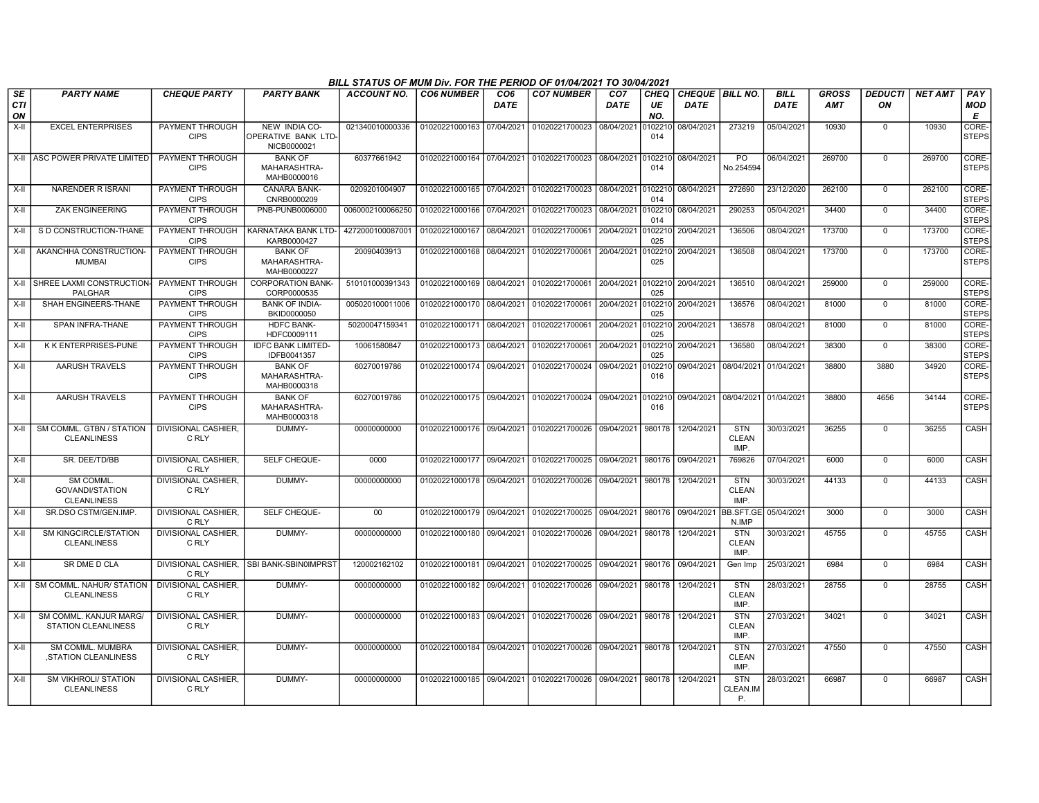|                        |                                                           |                                       |                                                    | BILL STATUS OF MUM Div. FOR THE PERIOD OF 01/04/2021 TO 30/04/2021 |                           |                                |                                                                       |                                |                          |                                  |                                     |                            |                            |                      |                |                        |
|------------------------|-----------------------------------------------------------|---------------------------------------|----------------------------------------------------|--------------------------------------------------------------------|---------------------------|--------------------------------|-----------------------------------------------------------------------|--------------------------------|--------------------------|----------------------------------|-------------------------------------|----------------------------|----------------------------|----------------------|----------------|------------------------|
| SE<br><b>CTI</b><br>ON | <b>PARTY NAME</b>                                         | <b>CHEQUE PARTY</b>                   | <b>PARTY BANK</b>                                  | ACCOUNT NO.                                                        | <b>CO6 NUMBER</b>         | CO <sub>6</sub><br><b>DATE</b> | <b>CO7 NUMBER</b>                                                     | CO <sub>7</sub><br><b>DATE</b> | <b>CHEQ</b><br>UE<br>NO. | CHEQUE   BILL NO.<br><b>DATE</b> |                                     | <b>BILL</b><br><b>DATE</b> | <b>GROSS</b><br><b>AMT</b> | <b>DEDUCTI</b><br>ON | <b>NET AMT</b> | PAY<br><b>MOD</b><br>E |
| $X-H$                  | <b>EXCEL ENTERPRISES</b>                                  | PAYMENT THROUGH<br><b>CIPS</b>        | NEW INDIA CO-<br>OPERATIVE BANK LTD<br>NICB0000021 | 021340010000336                                                    | 01020221000163 07/04/2021 |                                | 01020221700023 08/04/2021                                             |                                | 0102210<br>014           | 08/04/2021                       | 273219                              | 05/04/2021                 | 10930                      | $\Omega$             | 10930          | CORE-<br><b>STEPS</b>  |
|                        | X-II LASC POWER PRIVATE LIMITED                           | PAYMENT THROUGH<br><b>CIPS</b>        | <b>BANK OF</b><br>MAHARASHTRA-<br>MAHB0000016      | 60377661942                                                        |                           |                                | 01020221000164 07/04/2021 01020221700023 08/04/2021 0102210           |                                | 014                      | 08/04/2021                       | PO.<br>No.254594                    | 06/04/2021                 | 269700                     | $\Omega$             | 269700         | CORE-<br><b>STEPS</b>  |
| X-II                   | NARENDER R ISRANI                                         | PAYMENT THROUGH<br><b>CIPS</b>        | CANARA BANK-<br>CNRB0000209                        | 0209201004907                                                      | 01020221000165 07/04/2021 |                                | 01020221700023 08/04/2021 0102210 08/04/2021                          |                                | 014                      |                                  | 272690                              | 23/12/2020                 | 262100                     | $\mathbf 0$          | 262100         | CORE-<br><b>STEPS</b>  |
| X-II                   | <b>ZAK ENGINEERING</b>                                    | PAYMENT THROUGH<br><b>CIPS</b>        | PNB-PUNB0006000                                    | 0060002100066250                                                   | 01020221000166 07/04/2021 |                                | 01020221700023 08/04/2021                                             |                                | 0102210<br>014           | 08/04/2021                       | 290253                              | 05/04/2021                 | 34400                      | $\Omega$             | 34400          | CORE-<br><b>STEPS</b>  |
| $X-H$                  | S D CONSTRUCTION-THANE                                    | PAYMENT THROUGH<br><b>CIPS</b>        | KARNATAKA BANK LTD-<br>KARB0000427                 | 4272000100087001                                                   | 01020221000167 08/04/2021 |                                | 01020221700061                                                        | 20/04/2021                     | 0102210<br>025           | 20/04/2021                       | 136506                              | 08/04/2021                 | 173700                     | $\overline{0}$       | 173700         | CORE-<br><b>STEPS</b>  |
| X-II                   | AKANCHHA CONSTRUCTION-<br>MUMBAI                          | PAYMENT THROUGH<br><b>CIPS</b>        | <b>BANK OF</b><br>MAHARASHTRA-<br>MAHB0000227      | 20090403913                                                        | 01020221000168 08/04/2021 |                                | 01020221700061                                                        | 20/04/2021                     | 0102210<br>025           | 20/04/2021                       | 136508                              | 08/04/2021                 | 173700                     | $\mathbf 0$          | 173700         | CORE-<br><b>STEPS</b>  |
|                        | X-II I SHREE LAXMI CONSTRUCTION<br><b>PALGHAR</b>         | PAYMENT THROUGH<br><b>CIPS</b>        | <b>CORPORATION BANK-</b><br>CORP0000535            | 510101000391343                                                    | 01020221000169 08/04/2021 |                                | 01020221700061                                                        | 20/04/2021                     | 0102210<br>025           | 20/04/2021                       | 136510                              | 08/04/2021                 | 259000                     | $\Omega$             | 259000         | CORE-<br><b>STEPS</b>  |
| $X-II$                 | SHAH ENGINEERS-THANE                                      | PAYMENT THROUGH<br><b>CIPS</b>        | <b>BANK OF INDIA-</b><br>BKID0000050               | 005020100011006                                                    | 01020221000170 08/04/2021 |                                | 01020221700061                                                        | 20/04/2021                     | 0102210<br>025           | 20/04/2021                       | 136576                              | 08/04/2021                 | 81000                      | $\Omega$             | 81000          | CORE-<br><b>STEPS</b>  |
| X-II                   | SPAN INFRA-THANE                                          | PAYMENT THROUGH<br><b>CIPS</b>        | <b>HDFC BANK-</b><br>HDFC0009111                   | 50200047159341                                                     | 01020221000171 08/04/2021 |                                | 01020221700061                                                        | 20/04/2021                     | 0102210<br>025           | 20/04/2021                       | 136578                              | 08/04/2021                 | 81000                      | $\mathbf 0$          | 81000          | CORE-<br><b>STEPS</b>  |
| X-II                   | K K ENTERPRISES-PUNE                                      | PAYMENT THROUGH<br><b>CIPS</b>        | <b>IDFC BANK LIMITED-</b><br>IDFB0041357           | 10061580847                                                        | 01020221000173 08/04/2021 |                                | 01020221700061 20/04/2021 0102210 20/04/2021                          |                                | 025                      |                                  | 136580                              | 08/04/2021                 | 38300                      | $\mathbf 0$          | 38300          | CORE-<br><b>STEPS</b>  |
| X-II                   | <b>AARUSH TRAVELS</b>                                     | PAYMENT THROUGH<br><b>CIPS</b>        | <b>BANK OF</b><br>MAHARASHTRA-<br>MAHB0000318      | 60270019786                                                        | 01020221000174 09/04/2021 |                                | 01020221700024 09/04/2021                                             |                                | 0102210<br>016           | 09/04/2021                       | 08/04/2021                          | 01/04/2021                 | 38800                      | 3880                 | 34920          | CORE-<br><b>STEPS</b>  |
| $X-H$                  | <b>AARUSH TRAVELS</b>                                     | <b>PAYMENT THROUGH</b><br><b>CIPS</b> | <b>BANK OF</b><br>MAHARASHTRA-<br>MAHB0000318      | 60270019786                                                        | 01020221000175 09/04/2021 |                                | 01020221700024 09/04/2021 0102210                                     |                                | 016                      | 09/04/2021 08/04/2021            |                                     | 01/04/2021                 | 38800                      | 4656                 | 34144          | CORE-<br><b>STEPS</b>  |
| X-II                   | SM COMML. GTBN / STATION<br><b>CLEANLINESS</b>            | <b>DIVISIONAL CASHIER.</b><br>C RLY   | DUMMY-                                             | 00000000000                                                        |                           |                                | 01020221000176 09/04/2021 01020221700026 09/04/2021                   |                                | 980178                   | 12/04/2021                       | <b>STN</b><br><b>CLEAN</b><br>IMP.  | 30/03/2021                 | 36255                      | $\mathbf 0$          | 36255          | <b>CASH</b>            |
| X-II                   | SR. DEE/TD/BB                                             | DIVISIONAL CASHIER,<br>C RLY          | SELF CHEQUE-                                       | 0000                                                               | 01020221000177 09/04/2021 |                                | 01020221700025 09/04/2021                                             |                                | 980176                   | 09/04/2021                       | 769826                              | 07/04/2021                 | 6000                       | $\Omega$             | 6000           | CASH                   |
| $X-H$                  | SM COMML.<br><b>GOVANDI/STATION</b><br><b>CLEANLINESS</b> | <b>DIVISIONAL CASHIER.</b><br>C RLY   | DUMMY-                                             | 00000000000                                                        |                           |                                | 01020221000178 09/04/2021 01020221700026 09/04/2021                   |                                |                          | 980178 12/04/2021                | <b>STN</b><br><b>CLEAN</b><br>IMP.  | 30/03/2021                 | 44133                      | $\Omega$             | 44133          | CASH                   |
| X-II                   | SR.DSO CSTM/GEN.IMP.                                      | DIVISIONAL CASHIER,<br>C RLY          | SELF CHEQUE-                                       | $00\,$                                                             | 01020221000179 09/04/2021 |                                | 01020221700025 09/04/2021 980176                                      |                                |                          | 09/04/2021                       | BB.SFT.GE<br>N.IMP                  | 05/04/2021                 | 3000                       | $\mathbf 0$          | 3000           | CASH                   |
| $X-II$                 | SM KINGCIRCLE/STATION<br><b>CLEANLINESS</b>               | <b>DIVISIONAL CASHIER.</b><br>C RLY   | DUMMY-                                             | 00000000000                                                        | 01020221000180            | 09/04/2021                     | 01020221700026 09/04/2021                                             |                                | 980178                   | 12/04/2021                       | <b>STN</b><br><b>CLEAN</b><br>IMP.  | 30/03/2021                 | 45755                      | $\mathbf 0$          | 45755          | CASH                   |
| X-II                   | SR DME D CLA                                              | C RLY                                 | DIVISIONAL CASHIER, SBI BANK-SBIN0IMPRST           | 120002162102                                                       | 01020221000181 09/04/2021 |                                | 01020221700025 09/04/2021                                             |                                | 980176                   | 09/04/2021                       | Gen Imp                             | 25/03/2021                 | 6984                       | $\mathbf 0$          | 6984           | CASH                   |
|                        | X-II SM COMML. NAHUR/ STATION<br><b>CLEANLINESS</b>       | DIVISIONAL CASHIER,<br>C RLY          | DUMMY-                                             | 00000000000                                                        | 01020221000182 09/04/2021 |                                | 01020221700026                                                        | 09/04/2021                     | 980178                   | 12/04/2021                       | <b>STN</b><br><b>CLEAN</b><br>IMP.  | 28/03/2021                 | 28755                      | $\Omega$             | 28755          | CASH                   |
| X-II                   | SM COMML. KANJUR MARG/<br><b>STATION CLEANLINESS</b>      | DIVISIONAL CASHIER,<br>C RLY          | DUMMY-                                             | 00000000000                                                        | 01020221000183 09/04/2021 |                                | 01020221700026                                                        | 09/04/2021                     | 980178                   | 12/04/2021                       | <b>STN</b><br><b>CLEAN</b><br>IMP.  | 27/03/2021                 | 34021                      | $\mathbf 0$          | 34021          | CASH                   |
| X-II                   | SM COMML, MUMBRA<br>.STATION CLEANLINESS                  | DIVISIONAL CASHIER,<br>C RLY          | DUMMY-                                             | 00000000000                                                        |                           |                                | 01020221000184 09/04/2021 01020221700026                              | 09/04/2021 980178              |                          | 12/04/2021                       | <b>STN</b><br><b>CLEAN</b><br>IMP.  | 27/03/2021                 | 47550                      | $\mathbf 0$          | 47550          | CASH                   |
| X-II                   | <b>SM VIKHROLI/ STATION</b><br><b>CLEANLINESS</b>         | <b>DIVISIONAL CASHIER.</b><br>C RLY   | DUMMY-                                             | 00000000000                                                        |                           |                                | 01020221000185 09/04/2021 01020221700026 09/04/2021 980178 12/04/2021 |                                |                          |                                  | <b>STN</b><br>CLEAN.IM<br><b>P.</b> | 28/03/2021                 | 66987                      | $\Omega$             | 66987          | CASH                   |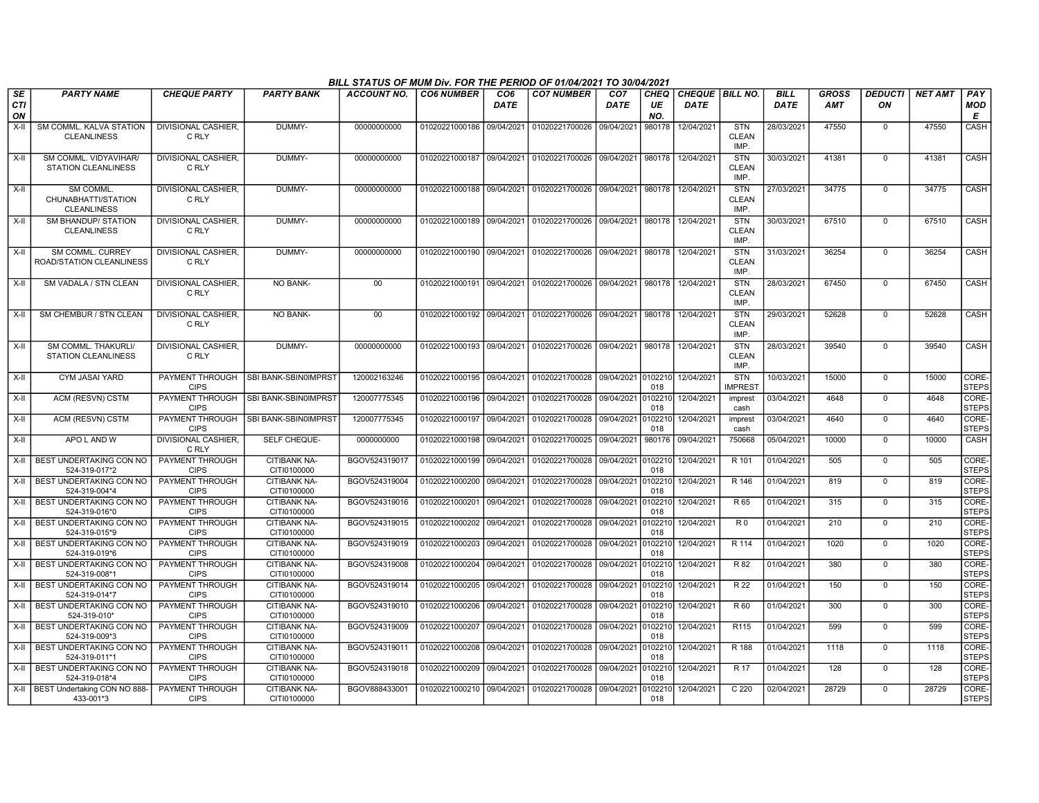|                        |                                                              |                                       |                                    | BILL STATUS OF MUM Div. FOR THE PERIOD OF 01/04/2021 TO 30/04/2021 |                           |                                |                                                     |                                |                          |                                  |                                    |                            |                            |                      |                  |                        |
|------------------------|--------------------------------------------------------------|---------------------------------------|------------------------------------|--------------------------------------------------------------------|---------------------------|--------------------------------|-----------------------------------------------------|--------------------------------|--------------------------|----------------------------------|------------------------------------|----------------------------|----------------------------|----------------------|------------------|------------------------|
| SE<br><b>CTI</b><br>ON | <b>PARTY NAME</b>                                            | <b>CHEQUE PARTY</b>                   | <b>PARTY BANK</b>                  | <b>ACCOUNT NO.</b>                                                 | <b>CO6 NUMBER</b>         | CO <sub>6</sub><br><b>DATE</b> | <b>CO7 NUMBER</b>                                   | CO <sub>7</sub><br><b>DATE</b> | <b>CHEQ</b><br>UE<br>NO. | CHEQUE   BILL NO.<br><b>DATE</b> |                                    | <b>BILL</b><br><b>DATE</b> | <b>GROSS</b><br><b>AMT</b> | <b>DEDUCTI</b><br>ON | <b>NET AMT</b>   | PAY<br><b>MOD</b><br>E |
| $X-H$                  | SM COMML, KALVA STATION<br><b>CLEANLINESS</b>                | <b>DIVISIONAL CASHIER.</b><br>C RLY   | DUMMY-                             | 00000000000                                                        | 01020221000186            | 09/04/2021                     | 01020221700026                                      | 09/04/2021                     | 980178                   | 12/04/2021                       | STN<br><b>CLEAN</b><br>IMP.        | 28/03/2021                 | 47550                      | $\Omega$             | 47550            | <b>CASH</b>            |
| X-II                   | SM COMML, VIDYAVIHAR/<br>STATION CLEANLINESS                 | DIVISIONAL CASHIER,<br>C RLY          | DUMMY-                             | 00000000000                                                        |                           |                                | 01020221000187 09/04/2021 01020221700026 09/04/2021 |                                | 980178                   | 12/04/2021                       | <b>STN</b><br><b>CLEAN</b><br>IMP. | 30/03/2021                 | 41381                      | $\mathbf 0$          | 41381            | CASH                   |
| X-II                   | <b>SM COMML</b><br>CHUNABHATTI/STATION<br><b>CLEANLINESS</b> | <b>DIVISIONAL CASHIER.</b><br>C RLY   | DUMMY-                             | 00000000000                                                        |                           |                                | 01020221000188 09/04/2021 01020221700026 09/04/2021 |                                | 980178                   | 12/04/2021                       | <b>STN</b><br><b>CLEAN</b><br>IMP. | 27/03/2021                 | 34775                      | $\mathbf 0$          | 34775            | <b>CASH</b>            |
| $X-II$                 | <b>SM BHANDUP/ STATION</b><br><b>CLEANLINESS</b>             | <b>DIVISIONAL CASHIER,</b><br>C RLY   | DUMMY-                             | 00000000000                                                        |                           |                                | 01020221000189 09/04/2021 01020221700026 09/04/2021 |                                |                          | 980178 12/04/2021                | <b>STN</b><br><b>CLEAN</b><br>IMP. | 30/03/2021                 | 67510                      | $\Omega$             | 67510            | CASH                   |
| X-II                   | SM COMML. CURREY<br>ROAD/STATION CLEANLINESS                 | DIVISIONAL CASHIER,<br>C RLY          | DUMMY-                             | 00000000000                                                        | 01020221000190            | 09/04/2021                     | 01020221700026                                      | 09/04/2021                     | 980178                   | 12/04/2021                       | <b>STN</b><br><b>CLEAN</b><br>IMP. | 31/03/2021                 | 36254                      | $\mathbf 0$          | 36254            | CASH                   |
| X-II                   | SM VADALA / STN CLEAN                                        | <b>DIVISIONAL CASHIER.</b><br>C RLY   | <b>NO BANK-</b>                    | 00                                                                 | 01020221000191            | 09/04/2021                     | 01020221700026                                      | 09/04/2021                     | 980178                   | 12/04/2021                       | STN<br><b>CLEAN</b><br>IMP.        | 28/03/2021                 | 67450                      | $\Omega$             | 67450            | <b>CASH</b>            |
| X-II                   | SM CHEMBUR / STN CLEAN                                       | <b>DIVISIONAL CASHIER.</b><br>C RLY   | <b>NO BANK-</b>                    | 00                                                                 | 01020221000192            | 09/04/2021                     | 01020221700026                                      | 09/04/2021                     | 980178                   | 12/04/2021                       | <b>STN</b><br><b>CLEAN</b><br>IMP. | 29/03/2021                 | 52628                      | $\Omega$             | 52628            | CASH                   |
| X-II                   | SM COMML. THAKURLI/<br>STATION CLEANLINESS                   | DIVISIONAL CASHIER.<br>C RLY          | DUMMY-                             | 00000000000                                                        | 01020221000193 09/04/2021 |                                | 01020221700026                                      | 09/04/2021                     | 980178                   | 12/04/2021                       | <b>STN</b><br><b>CLEAN</b><br>IMP. | 28/03/2021                 | 39540                      | $\Omega$             | 39540            | CASH                   |
| X-II                   | <b>CYM JASAI YARD</b>                                        | PAYMENT THROUGH<br><b>CIPS</b>        | <b>SBI BANK-SBIN0IMPRST</b>        | 120002163246                                                       | 01020221000195 09/04/2021 |                                | 01020221700028 09/04/2021 0102210                   |                                | 018                      | 12/04/2021                       | STN<br><b>IMPREST</b>              | 10/03/2021                 | 15000                      | $\mathbf{0}$         | 15000            | CORE-<br><b>STEPS</b>  |
| X-II                   | ACM (RESVN) CSTM                                             | PAYMENT THROUGH<br><b>CIPS</b>        | SBI BANK-SBIN0IMPRST               | 120007775345                                                       | 01020221000196            | 09/04/2021                     | 01020221700028                                      | 09/04/2021                     | 0102210<br>018           | 12/04/2021                       | imprest<br>cash                    | 03/04/2021                 | 4648                       | $\Omega$             | 4648             | CORE-<br><b>STEPS</b>  |
| X-II                   | ACM (RESVN) CSTM                                             | PAYMENT THROUGH<br><b>CIPS</b>        | <b>SBI BANK-SBIN0IMPRST</b>        | 120007775345                                                       | 01020221000197            | 09/04/2021                     | 01020221700028                                      | 09/04/2021                     | 0102210<br>018           | 12/04/2021                       | imprest<br>cash                    | 03/04/2021                 | 4640                       | $\mathbf{0}$         | 4640             | CORE-<br><b>STEPS</b>  |
| X-II                   | APO L AND W                                                  | <b>DIVISIONAL CASHIER</b><br>C RLY    | SELF CHEQUE-                       | 0000000000                                                         | 01020221000198            | 09/04/2021                     | 01020221700025                                      | 09/04/2021                     | 980176                   | 09/04/2021                       | 750668                             | 05/04/2021                 | 10000                      | $\Omega$             | 10000            | CASH                   |
|                        | X-II   BEST UNDERTAKING CON NO<br>524-319-017*2              | <b>PAYMENT THROUGH</b><br><b>CIPS</b> | <b>CITIBANK NA-</b><br>CITI0100000 | BGOV524319017                                                      | 01020221000199            | 09/04/2021                     | 01020221700028                                      | 09/04/2021                     | 0102210<br>018           | 12/04/2021                       | R 101                              | 01/04/2021                 | 505                        | $\mathbf 0$          | 505              | CORE-<br><b>STEPS</b>  |
| X-II                   | <b>I BEST UNDERTAKING CON NO</b><br>524-319-004*4            | PAYMENT THROUGH<br><b>CIPS</b>        | <b>CITIBANK NA-</b><br>CITI0100000 | BGOV524319004                                                      | 01020221000200            | 09/04/2021                     | 01020221700028                                      | 09/04/2021                     | 0102210<br>018           | 12/04/2021                       | R 146                              | 01/04/2021                 | 819                        | $\Omega$             | 819              | CORE-<br><b>STEPS</b>  |
|                        | X-II BEST UNDERTAKING CON NO<br>524-319-016*0                | <b>PAYMENT THROUGH</b><br><b>CIPS</b> | <b>CITIBANK NA-</b><br>CITI0100000 | BGOV524319016                                                      | 01020221000201            | 09/04/2021                     | 01020221700028                                      | 09/04/2021                     | 0102210<br>018           | 12/04/2021                       | R 65                               | 01/04/2021                 | 315                        | $\mathbf{0}$         | 315              | CORE-<br><b>STEPS</b>  |
| X-II                   | BEST UNDERTAKING CON NO<br>524-319-015*9                     | <b>PAYMENT THROUGH</b><br><b>CIPS</b> | <b>CITIBANK NA-</b><br>CITI0100000 | BGOV524319015                                                      | 01020221000202            | 09/04/2021                     | 01020221700028                                      | 09/04/2021                     | 0102210<br>018           | 12/04/2021                       | R <sub>0</sub>                     | 01/04/2021                 | 210                        | $\mathbf 0$          | $\overline{210}$ | CORE-<br><b>STEPS</b>  |
| X-II                   | <b>BEST UNDERTAKING CON NO</b><br>524-319-019*6              | <b>PAYMENT THROUGH</b><br><b>CIPS</b> | <b>CITIBANK NA-</b><br>CITI0100000 | BGOV524319019                                                      | 01020221000203            | 09/04/2021                     | 01020221700028                                      | 09/04/2021                     | 0102210<br>018           | 12/04/2021                       | R 114                              | 01/04/2021                 | 1020                       | $\overline{0}$       | 1020             | CORE-<br><b>STEPS</b>  |
| X-II                   | BEST UNDERTAKING CON NO<br>524-319-008*1                     | PAYMENT THROUGH<br><b>CIPS</b>        | <b>CITIBANK NA-</b><br>CITI0100000 | BGOV524319008                                                      | 01020221000204            | 09/04/2021                     | 01020221700028                                      | 09/04/2021                     | 0102210<br>018           | 12/04/2021                       | R 82                               | 01/04/2021                 | 380                        | $\mathbf 0$          | 380              | CORE-<br><b>STEPS</b>  |
| X-II                   | BEST UNDERTAKING CON NO<br>524-319-014*7                     | PAYMENT THROUGH<br><b>CIPS</b>        | <b>CITIBANK NA-</b><br>CITI0100000 | BGOV524319014                                                      | 01020221000205            | 09/04/2021                     | 01020221700028                                      | 09/04/2021                     | 0102210<br>018           | 12/04/2021                       | R 22                               | 01/04/2021                 | 150                        | $\mathbf 0$          | 150              | CORE-<br><b>STEPS</b>  |
| X-II                   | BEST UNDERTAKING CON NO<br>524-319-010*                      | PAYMENT THROUGH<br><b>CIPS</b>        | <b>CITIBANK NA-</b><br>CITI0100000 | BGOV524319010                                                      | 01020221000206            | 09/04/2021                     | 01020221700028                                      | 09/04/2021                     | 0102210<br>018           | 12/04/2021                       | R 60                               | 01/04/2021                 | 300                        | $\mathbf{0}$         | 300              | CORE-<br><b>STEPS</b>  |
|                        | X-II   BEST UNDERTAKING CON NO<br>524-319-009*3              | <b>PAYMENT THROUGH</b><br><b>CIPS</b> | CITIBANK NA-<br>CITI0100000        | BGOV524319009                                                      | 01020221000207            | 09/04/2021                     | 01020221700028 09/04/2021                           |                                | 0102210<br>018           | 12/04/2021                       | R <sub>115</sub>                   | 01/04/2021                 | 599                        | $\mathbf{0}$         | 599              | CORE-<br><b>STEPS</b>  |
| X-II                   | BEST UNDERTAKING CON NO<br>524-319-011*1                     | PAYMENT THROUGH<br><b>CIPS</b>        | CITIBANK NA-<br>CITI0100000        | BGOV524319011                                                      | 01020221000208            | 09/04/2021                     | 01020221700028                                      | 09/04/2021                     | 0102210<br>018           | 12/04/2021                       | R 188                              | 01/04/2021                 | 1118                       | $\Omega$             | 1118             | CORE-<br><b>STEPS</b>  |
| X-II                   | BEST UNDERTAKING CON NO<br>524-319-018*4                     | PAYMENT THROUGH<br><b>CIPS</b>        | CITIBANK NA-<br>CITI0100000        | BGOV524319018                                                      | 01020221000209            | 09/04/2021                     | 01020221700028                                      | 09/04/2021                     | 0102210<br>018           | 12/04/2021                       | R 17                               | 01/04/2021                 | 128                        | 0                    | 128              | CORE-<br><b>STEPS</b>  |
|                        | X-II   BEST Undertaking CON NO 888-<br>433-001*3             | PAYMENT THROUGH<br><b>CIPS</b>        | <b>CITIBANK NA-</b><br>CITI0100000 | BGOV888433001                                                      | 01020221000210 09/04/2021 |                                | 01020221700028                                      | 09/04/2021                     | 0102210<br>018           | 12/04/2021                       | C <sub>220</sub>                   | 02/04/2021                 | 28729                      | $\Omega$             | 28729            | CORE-<br><b>STEPS</b>  |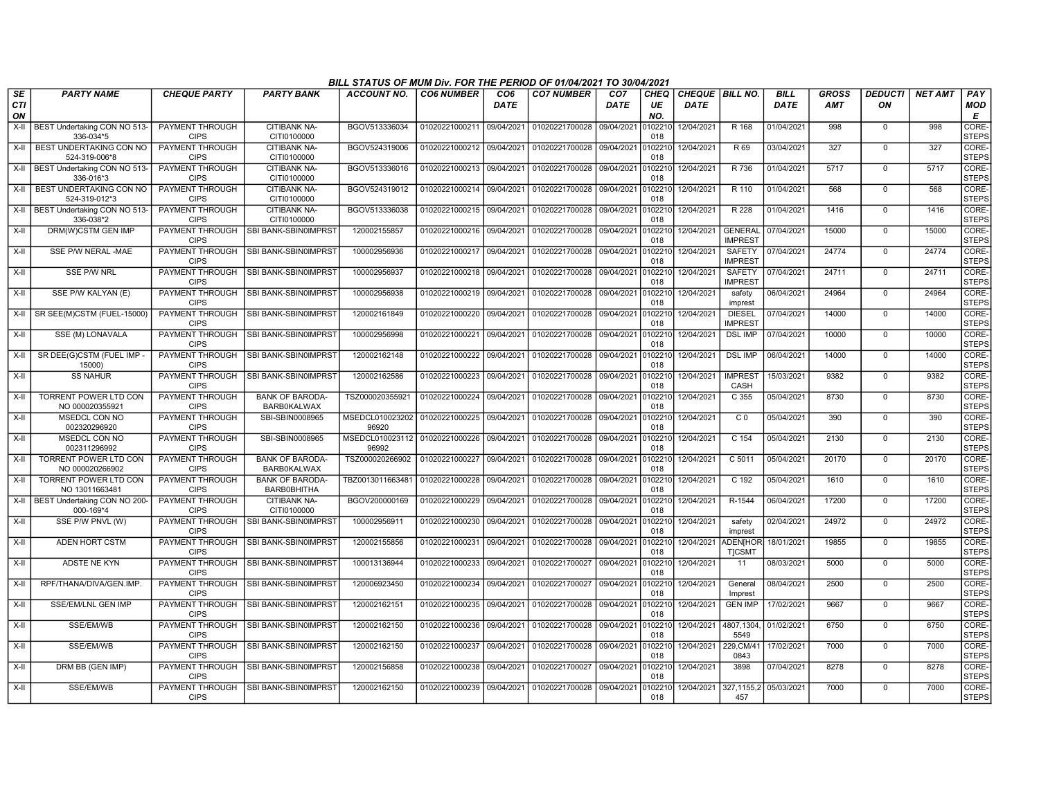|                        |                                                 |                                       |                                              | BILL STATUS OF MUM Div. FOR THE PERIOD OF 01/04/2021 TO 30/04/2021 |                           |                         |                           |                                |                          |                                  |                                  |                     |                     |                      |                  |                             |
|------------------------|-------------------------------------------------|---------------------------------------|----------------------------------------------|--------------------------------------------------------------------|---------------------------|-------------------------|---------------------------|--------------------------------|--------------------------|----------------------------------|----------------------------------|---------------------|---------------------|----------------------|------------------|-----------------------------|
| SE<br><b>CTI</b><br>ON | <b>PARTY NAME</b>                               | <b>CHEQUE PARTY</b>                   | <b>PARTY BANK</b>                            | <b>ACCOUNT NO.</b>                                                 | <b>CO6 NUMBER</b>         | CO <sub>6</sub><br>DATE | <b>CO7 NUMBER</b>         | CO <sub>7</sub><br><b>DATE</b> | <b>CHEQ</b><br>UE<br>NO. | CHEQUE   BILL NO.<br><b>DATE</b> |                                  | <b>BILL</b><br>DATE | <b>GROSS</b><br>AMT | <b>DEDUCTI</b><br>ON | <b>NET AMT</b>   | PAY<br>MOD<br>E             |
| $X-H$                  | BEST Undertaking CON NO 513-<br>336-034*5       | <b>PAYMENT THROUGH</b><br><b>CIPS</b> | <b>CITIBANK NA-</b><br>CITI0100000           | BGOV513336034                                                      | 01020221000211 09/04/2021 |                         | 01020221700028            | 09/04/2021                     | 010221<br>018            | 12/04/2021                       | R 168                            | 01/04/2021          | 998                 | $\Omega$             | 998              | <b>CORE</b><br><b>STEPS</b> |
| $X-H$                  | BEST UNDERTAKING CON NO<br>524-319-006*8        | <b>PAYMENT THROUGH</b><br><b>CIPS</b> | <b>CITIBANK NA-</b><br>CITI0100000           | BGOV524319006                                                      | 01020221000212 09/04/2021 |                         | 01020221700028            | 09/04/2021                     | 0102210<br>018           | 12/04/2021                       | R 69                             | 03/04/2021          | 327                 | $\Omega$             | $\overline{327}$ | CORE-<br><b>STEPS</b>       |
| $X-H$                  | BEST Undertaking CON NO 513-<br>336-016*3       | <b>PAYMENT THROUGH</b><br><b>CIPS</b> | <b>CITIBANK NA-</b><br>CITI0100000           | BGOV513336016                                                      | 01020221000213 09/04/2021 |                         | 01020221700028 09/04/2021 |                                | 0102210<br>018           | 12/04/2021                       | R 736                            | 01/04/2021          | 5717                | $\mathbf 0$          | 5717             | CORE-<br><b>STEPS</b>       |
| $X-H$                  | BEST UNDERTAKING CON NO<br>524-319-012*3        | PAYMENT THROUGH<br><b>CIPS</b>        | <b>CITIBANK NA-</b><br>CITI0100000           | BGOV524319012                                                      | 01020221000214 09/04/2021 |                         | 01020221700028            | 09/04/2021                     | 0102210<br>018           | 12/04/2021                       | R 110                            | 01/04/2021          | 568                 | $\mathbf 0$          | 568              | <b>CORE</b><br><b>STEPS</b> |
| $X-H$                  | BEST Undertaking CON NO 513-<br>336-038*2       | <b>PAYMENT THROUGH</b><br><b>CIPS</b> | <b>CITIBANK NA-</b><br>CITI0100000           | BGOV513336038                                                      | 01020221000215 09/04/2021 |                         | 01020221700028            | 09/04/2021                     | 0102210<br>018           | 12/04/2021                       | R 228                            | 01/04/2021          | 1416                | $\Omega$             | 1416             | CORE-<br><b>STEPS</b>       |
| $X-H$                  | DRM(W)CSTM GEN IMP                              | PAYMENT THROUGH<br><b>CIPS</b>        | SBI BANK-SBIN0IMPRST                         | 120002155857                                                       | 01020221000216 09/04/2021 |                         | 01020221700028            | 09/04/2021                     | 0102210<br>018           | 12/04/2021                       | <b>GENERAL</b><br><b>IMPREST</b> | 07/04/2021          | 15000               | $\mathbf 0$          | 15000            | CORE-<br><b>STEPS</b>       |
| $X-H$                  | SSE P/W NERAL -MAE                              | <b>PAYMENT THROUGH</b><br><b>CIPS</b> | SBI BANK-SBIN0IMPRST                         | 100002956936                                                       | 01020221000217            | 09/04/2021              | 01020221700028            | 09/04/2021                     | 0102210<br>018           | 12/04/2021                       | <b>SAFETY</b><br><b>IMPREST</b>  | 07/04/2021          | 24774               | $\mathbf 0$          | 24774            | CORE-<br><b>STEPS</b>       |
| $X-H$                  | SSE P/W NRL                                     | PAYMENT THROUGH<br><b>CIPS</b>        | SBI BANK-SBIN0IMPRST                         | 100002956937                                                       | 01020221000218 09/04/2021 |                         | 01020221700028            | 09/04/2021                     | 0102210<br>018           | 12/04/2021                       | <b>SAFETY</b><br><b>IMPREST</b>  | 07/04/2021          | 24711               | $\Omega$             | 24711            | CORE-<br><b>STEPS</b>       |
| $X-II$                 | SSE P/W KALYAN (E)                              | <b>PAYMENT THROUGH</b><br><b>CIPS</b> | SBI BANK-SBIN0IMPRST                         | 100002956938                                                       | 01020221000219 09/04/2021 |                         | 01020221700028            | 09/04/2021                     | 0102210<br>018           | 12/04/2021                       | safety<br>imprest                | 06/04/2021          | 24964               | $\mathbf 0$          | 24964            | CORE-<br><b>STEPS</b>       |
| X-II                   | SR SEE(M)CSTM (FUEL-15000)                      | <b>PAYMENT THROUGH</b><br><b>CIPS</b> | SBI BANK-SBIN0IMPRST                         | 120002161849                                                       | 01020221000220            | 09/04/2021              | 01020221700028            | 09/04/2021                     | 0102210<br>018           | 12/04/2021                       | <b>DIESEL</b><br><b>IMPREST</b>  | 07/04/2021          | 14000               | $\mathbf 0$          | 14000            | CORE-<br><b>STEPS</b>       |
| X-II                   | SSE (M) LONAVALA                                | PAYMENT THROUGH<br><b>CIPS</b>        | SBI BANK-SBIN0IMPRST                         | 100002956998                                                       | 01020221000221 09/04/2021 |                         | 01020221700028            | 09/04/2021                     | 0102210<br>018           | 12/04/2021                       | <b>DSL IMP</b>                   | 07/04/2021          | 10000               | $\Omega$             | 10000            | CORE-<br><b>STEPS</b>       |
| $X-H$                  | SR DEE(G)CSTM (FUEL IMP<br>15000                | PAYMENT THROUGH<br><b>CIPS</b>        | SBI BANK-SBIN0IMPRST                         | 120002162148                                                       | 01020221000222 09/04/2021 |                         | 01020221700028            | 09/04/2021                     | 0102210<br>018           | 12/04/2021                       | <b>DSL IMP</b>                   | 06/04/2021          | 14000               | $\Omega$             | 14000            | CORE-<br><b>STEPS</b>       |
| X-II                   | <b>SS NAHUR</b>                                 | PAYMENT THROUGH<br><b>CIPS</b>        | SBI BANK-SBIN0IMPRST                         | 120002162586                                                       | 01020221000223 09/04/2021 |                         | 01020221700028            | 09/04/2021                     | 0102210<br>018           | 12/04/2021                       | <b>IMPREST</b><br>CASH           | 15/03/2021          | 9382                | $\Omega$             | 9382             | CORE-<br><b>STEPS</b>       |
| $X-H$                  | <b>TORRENT POWER LTD CON</b><br>NO 000020355921 | PAYMENT THROUGH<br><b>CIPS</b>        | <b>BANK OF BARODA-</b><br><b>BARB0KALWAX</b> | TSZ000020355921                                                    | 01020221000224 09/04/2021 |                         | 01020221700028            | 09/04/2021                     | 0102210<br>018           | 12/04/2021                       | C <sub>355</sub>                 | 05/04/2021          | 8730                | $\Omega$             | 8730             | CORE-<br><b>STEPS</b>       |
| $X-H$                  | MSEDCL CON NO<br>002320296920                   | <b>PAYMENT THROUGH</b><br><b>CIPS</b> | SBI-SBIN0008965                              | MSEDCL010023202 01020221000225 09/04/2021<br>96920                 |                           |                         | 01020221700028            | 09/04/2021                     | 0102210<br>018           | 12/04/2021                       | $\overline{C}0$                  | 05/04/2021          | 390                 | $\mathbf 0$          | 390              | CORE-<br><b>STEPS</b>       |
| $X-H$                  | MSEDCL CON NO<br>002311296992                   | PAYMENT THROUGH<br><b>CIPS</b>        | SBI-SBIN0008965                              | MSEDCL010023112<br>96992                                           | 01020221000226            | 09/04/2021              | 01020221700028            | 09/04/2021                     | 0102210<br>018           | 12/04/2021                       | $C$ 154                          | 05/04/2021          | 2130                | $\Omega$             | 2130             | CORE-<br><b>STEPS</b>       |
| X-II                   | TORRENT POWER LTD CON<br>NO 000020266902        | PAYMENT THROUGH<br><b>CIPS</b>        | <b>BANK OF BARODA-</b><br><b>BARB0KALWAX</b> | TSZ000020266902                                                    | 01020221000227            | 09/04/2021              | 01020221700028            | 09/04/2021                     | 0102210<br>018           | 12/04/2021                       | C 5011                           | 05/04/2021          | 20170               | 0                    | 20170            | CORE-<br><b>STEPS</b>       |
| $X-II$                 | TORRENT POWER LTD CON<br>NO 13011663481         | PAYMENT THROUGH<br><b>CIPS</b>        | <b>BANK OF BARODA-</b><br><b>BARB0BHITHA</b> | TBZ0013011663481                                                   | 01020221000228            | 09/04/2021              | 01020221700028            | 09/04/2021                     | 0102210<br>018           | 12/04/2021                       | $C$ 192                          | 05/04/2021          | 1610                | $\mathbf 0$          | 1610             | CORE-<br><b>STEPS</b>       |
| X-II                   | BEST Undertaking CON NO 200-<br>000-169*4       | <b>PAYMENT THROUGH</b><br><b>CIPS</b> | CITIBANK NA-<br>CITI0100000                  | BGOV200000169                                                      | 01020221000229            | 09/04/2021              | 01020221700028            | 09/04/2021                     | 010221<br>018            | 12/04/2021                       | R-1544                           | 06/04/2021          | 17200               | $\mathbf 0$          | 17200            | CORE-<br><b>STEPS</b>       |
| $X-II$                 | SSE P/W PNVL (W)                                | PAYMENT THROUGH<br><b>CIPS</b>        | SBI BANK-SBIN0IMPRST                         | 100002956911                                                       | 01020221000230            | 09/04/2021              | 01020221700028            | 09/04/2021                     | 010221<br>018            | 12/04/2021                       | safety<br>imprest                | 02/04/2021          | 24972               | $\Omega$             | 24972            | CORE-<br><b>STEPS</b>       |
| $X-II$                 | <b>ADEN HORT CSTM</b>                           | PAYMENT THROUGH<br><b>CIPS</b>        | SBI BANK-SBIN0IMPRST                         | 120002155856                                                       | 01020221000231 09/04/2021 |                         | 01020221700028            | 09/04/2021                     | 0102210<br>018           | 12/04/2021                       | <b>ADEN[HOF</b><br><b>TICSMT</b> | 18/01/2021          | 19855               | $\mathbf 0$          | 19855            | CORE-<br><b>STEPS</b>       |
| X-II                   | <b>ADSTE NE KYN</b>                             | <b>PAYMENT THROUGH</b><br><b>CIPS</b> | SBI BANK-SBIN0IMPRST                         | 100013136944                                                       | 01020221000233 09/04/2021 |                         | 01020221700027            | 09/04/2021                     | 0102210<br>018           | 12/04/2021                       | 11                               | 08/03/2021          | 5000                | $\mathbf 0$          | 5000             | CORE-<br><b>STEPS</b>       |
| X-II                   | RPF/THANA/DIVA/GEN.IMP.                         | PAYMENT THROUGH<br><b>CIPS</b>        | SBI BANK-SBIN0IMPRST                         | 120006923450                                                       | 01020221000234            | 09/04/2021              | 01020221700027            | 09/04/2021                     | 010221<br>018            | 12/04/2021                       | General<br>Imprest               | 08/04/2021          | 2500                | $\Omega$             | 2500             | CORE-<br><b>STEPS</b>       |
| X-II                   | <b>SSE/EM/LNL GEN IMP</b>                       | <b>PAYMENT THROUGH</b><br><b>CIPS</b> | SBI BANK-SBIN0IMPRST                         | 120002162151                                                       | 01020221000235            | 09/04/2021              | 01020221700028            | 09/04/2021                     | 010221<br>018            | 12/04/2021                       | <b>GEN IMP</b>                   | 17/02/2021          | 9667                | $\mathbf 0$          | 9667             | <b>CORE</b><br><b>STEPS</b> |
| $X-II$                 | SSE/EM/WB                                       | PAYMENT THROUGH<br><b>CIPS</b>        | SBI BANK-SBIN0IMPRST                         | 120002162150                                                       | 01020221000236            | 09/04/2021              | 01020221700028            | 09/04/2021                     | 0102210<br>018           | 12/04/2021                       | 4807,1304,<br>5549               | 01/02/2021          | 6750                | $\mathbf 0$          | 6750             | CORE-<br><b>STEPS</b>       |
| $X-H$                  | SSE/EM/WB                                       | PAYMENT THROUGH<br><b>CIPS</b>        | SBI BANK-SBIN0IMPRST                         | 120002162150                                                       | 01020221000237            | 09/04/2021              | 01020221700028            | 09/04/2021                     | 0102210<br>018           | 12/04/2021                       | 229, CM/41<br>0843               | 17/02/2021          | 7000                | 0                    | 7000             | CORE-<br><b>STEPS</b>       |
| $X-H$                  | DRM BB (GEN IMP)                                | PAYMENT THROUGH<br><b>CIPS</b>        | SBI BANK-SBIN0IMPRST                         | 120002156858                                                       | 01020221000238            | 09/04/2021              | 01020221700027            | 09/04/2021                     | 0102210<br>018           | 12/04/2021                       | 3898                             | 07/04/2021          | 8278                | $\overline{0}$       | 8278             | CORE-<br><b>STEPS</b>       |
| $X-H$                  | SSE/EM/WB                                       | <b>PAYMENT THROUGH</b><br><b>CIPS</b> | <b>SBI BANK-SBIN0IMPRST</b>                  | 120002162150                                                       | 01020221000239 09/04/2021 |                         | 01020221700028 09/04/2021 |                                | 0102210<br>018           | 12/04/2021                       | 327,1155,2<br>457                | 05/03/2021          | 7000                | $\Omega$             | 7000             | CORE-<br><b>STEPS</b>       |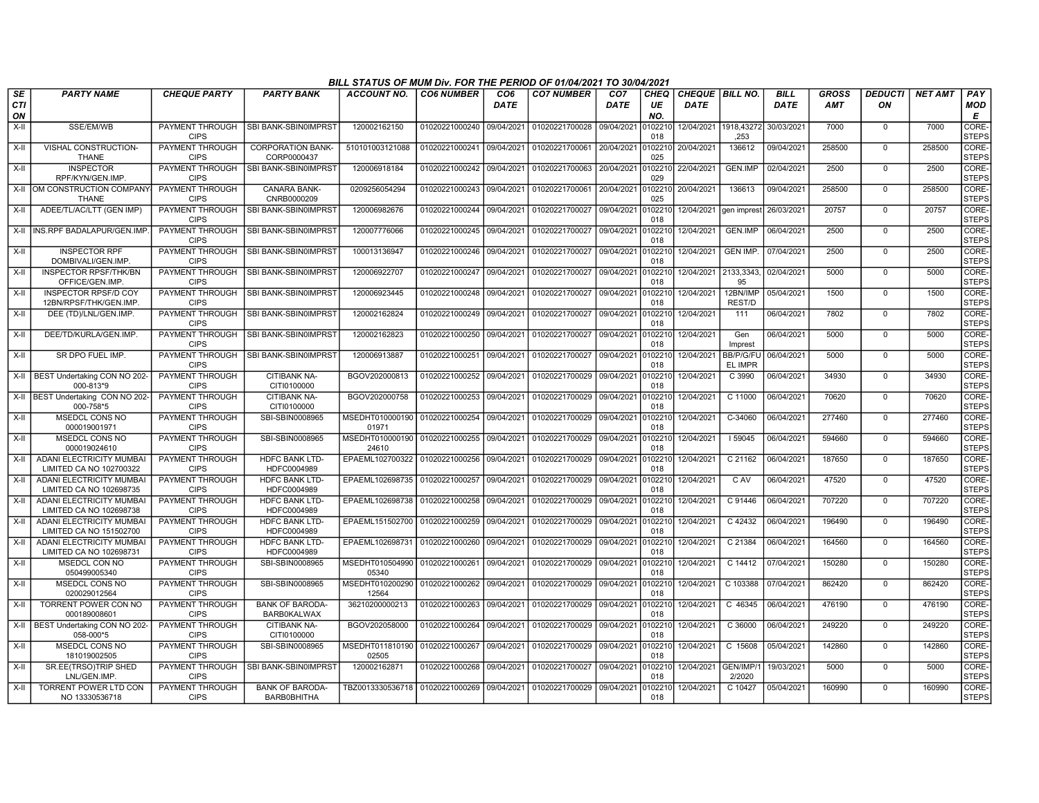|                        | BILL STATUS OF MUM Div. FOR THE PERIOD OF 01/04/2021 TO 30/04/2021<br><b>CO7 NUMBER</b><br>CHEQUE   BILL NO.<br><b>BILL</b><br><b>GROSS</b><br><b>DEDUCTI</b><br>PAY<br><b>PARTY NAME</b><br><b>CHEQUE PARTY</b><br><b>PARTY BANK</b><br>ACCOUNT NO.<br><b>CO6 NUMBER</b><br>CO <sub>6</sub><br>CO <sub>7</sub><br>CHEQ<br><b>NET AMT</b> |                                       |                                              |                                                |                           |             |                           |             |                |                     |                               |             |            |                |        |                       |
|------------------------|-------------------------------------------------------------------------------------------------------------------------------------------------------------------------------------------------------------------------------------------------------------------------------------------------------------------------------------------|---------------------------------------|----------------------------------------------|------------------------------------------------|---------------------------|-------------|---------------------------|-------------|----------------|---------------------|-------------------------------|-------------|------------|----------------|--------|-----------------------|
| SE<br><b>CTI</b><br>ΟN |                                                                                                                                                                                                                                                                                                                                           |                                       |                                              |                                                |                           | <b>DATE</b> |                           | <b>DATE</b> | UE<br>NO.      | <b>DATE</b>         |                               | <b>DATE</b> | <b>AMT</b> | ΟN             |        | <b>MOD</b><br>E       |
| $X-H$                  | SSE/EM/WB                                                                                                                                                                                                                                                                                                                                 | PAYMENT THROUGH<br><b>CIPS</b>        | SBI BANK-SBIN0IMPRST                         | 120002162150                                   | 01020221000240 09/04/2021 |             | 01020221700028            | 09/04/2021  | 102210<br>018  |                     | 12/04/2021 1918,43272<br>.253 | 30/03/2021  | 7000       | $\Omega$       | 7000   | CORE-<br><b>STEPS</b> |
| $X-II$                 | VISHAL CONSTRUCTION-<br><b>THANE</b>                                                                                                                                                                                                                                                                                                      | PAYMENT THROUGH<br><b>CIPS</b>        | <b>CORPORATION BANK-</b><br>CORP0000437      | 510101003121088                                | 01020221000241 09/04/2021 |             | 01020221700061            | 20/04/2021  | 102210<br>025  | 20/04/2021          | 136612                        | 09/04/2021  | 258500     | $\mathbf 0$    | 258500 | CORE-<br><b>STEPS</b> |
| X-II                   | <b>INSPECTOR</b><br>RPF/KYN/GEN.IMP.                                                                                                                                                                                                                                                                                                      | PAYMENT THROUGH<br><b>CIPS</b>        | <b>SBI BANK-SBIN0IMPRST</b>                  | 120006918184                                   | 01020221000242            | 09/04/2021  | 01020221700063            | 20/04/2021  | 102210<br>029  | 22/04/2021          | GEN.IMP                       | 02/04/2021  | 2500       | $\mathbf 0$    | 2500   | CORE-<br><b>STEPS</b> |
|                        | X-II OM CONSTRUCTION COMPANY<br><b>THANE</b>                                                                                                                                                                                                                                                                                              | PAYMENT THROUGH<br><b>CIPS</b>        | <b>CANARA BANK-</b><br>CNRB0000209           | 0209256054294                                  | 01020221000243            | 09/04/2021  | 01020221700061            | 20/04/2021  | 102210<br>025  | 20/04/2021          | 136613                        | 09/04/2021  | 258500     | $\Omega$       | 258500 | CORE-<br><b>STEPS</b> |
| X-II                   | ADEE/TL/AC/LTT (GEN IMP)                                                                                                                                                                                                                                                                                                                  | PAYMENT THROUGH<br><b>CIPS</b>        | SBI BANK-SBIN0IMPRST                         | 120006982676                                   | 01020221000244            | 09/04/2021  | 01020221700027            | 09/04/2021  | 0102210<br>018 |                     | 12/04/2021 gen imprest        | 26/03/2021  | 20757      | $\Omega$       | 20757  | CORE-<br><b>STEPS</b> |
|                        | X-II INS.RPF BADALAPUR/GEN.IMP                                                                                                                                                                                                                                                                                                            | PAYMENT THROUGH<br><b>CIPS</b>        | <b>SBI BANK-SBIN0IMPRST</b>                  | 120007776066                                   | 01020221000245            | 09/04/2021  | 01020221700027            | 09/04/2021  | 102210<br>018  | 12/04/2021          | <b>GEN.IMP</b>                | 06/04/2021  | 2500       | $\overline{0}$ | 2500   | CORE-<br><b>STEPS</b> |
| $X-H$                  | <b>INSPECTOR RPF</b><br>DOMBIVALI/GEN.IMP                                                                                                                                                                                                                                                                                                 | PAYMENT THROUGH<br><b>CIPS</b>        | <b>SBI BANK-SBIN0IMPRST</b>                  | 100013136947                                   | 01020221000246            | 09/04/2021  | 01020221700027            | 09/04/2021  | 102210<br>018  | 12/04/2021          | <b>GEN IMP.</b>               | 07/04/2021  | 2500       | $\overline{0}$ | 2500   | CORE-<br><b>STEPS</b> |
| $X-II$                 | <b>INSPECTOR RPSF/THK/BN</b><br>OFFICE/GEN.IMP.                                                                                                                                                                                                                                                                                           | PAYMENT THROUGH<br><b>CIPS</b>        | SBI BANK-SBIN0IMPRST                         | 120006922707                                   | 01020221000247            | 09/04/2021  | 01020221700027            | 09/04/2021  | 102210<br>018  | 12/04/2021          | 2133,3343,<br>95              | 02/04/2021  | 5000       | $\Omega$       | 5000   | CORE-<br><b>STEPS</b> |
| X-II                   | <b>INSPECTOR RPSF/D COY</b><br>12BN/RPSF/THK/GEN.IMP                                                                                                                                                                                                                                                                                      | <b>PAYMENT THROUGH</b><br><b>CIPS</b> | SBI BANK-SBIN0IMPRST                         | 120006923445                                   | 01020221000248            | 09/04/2021  | 01020221700027            | 09/04/2021  | 102210<br>018  | 12/04/2021          | 12BN/IMP<br>REST/D            | 05/04/2021  | 1500       | $\Omega$       | 1500   | CORE-<br><b>STEPS</b> |
| X-II                   | DEE (TD)/LNL/GEN.IMP.                                                                                                                                                                                                                                                                                                                     | PAYMENT THROUGH<br><b>CIPS</b>        | I SBI BANK-SBIN0IMPRST                       | 120002162824                                   | 01020221000249            | 09/04/2021  | 01020221700027            | 09/04/2021  | 102210<br>018  | 12/04/2021          | 111                           | 06/04/2021  | 7802       | $\Omega$       | 7802   | CORE-<br><b>STEPS</b> |
| X-II                   | DEE/TD/KURLA/GEN.IMP.                                                                                                                                                                                                                                                                                                                     | PAYMENT THROUGH<br><b>CIPS</b>        | <b>SBI BANK-SBIN0IMPRST</b>                  | 120002162823                                   | 01020221000250            | 09/04/2021  | 01020221700027            | 09/04/2021  | 102210<br>018  | 12/04/2021          | Gen<br>Imprest                | 06/04/2021  | 5000       | $\mathbf 0$    | 5000   | CORE-<br><b>STEPS</b> |
| X-II                   | SR DPO FUEL IMP.                                                                                                                                                                                                                                                                                                                          | PAYMENT THROUGH<br><b>CIPS</b>        | I SBI BANK-SBIN0IMPRST                       | 120006913887                                   | 01020221000251            | 09/04/2021  | 01020221700027            | 09/04/2021  | 102210<br>018  | 12/04/2021          | BB/P/G/FU<br>EL IMPR          | 06/04/2021  | 5000       | $\mathbf 0$    | 5000   | CORE-<br><b>STEPS</b> |
|                        | X-II   BEST Undertaking CON NO 202-<br>000-813*9                                                                                                                                                                                                                                                                                          | PAYMENT THROUGH<br><b>CIPS</b>        | CITIBANK NA-<br>CITI0100000                  | BGOV202000813                                  | 01020221000252            | 09/04/2021  | 01020221700029            | 09/04/2021  | 102210<br>018  | 12/04/2021          | C 3990                        | 06/04/2021  | 34930      | $\mathbf 0$    | 34930  | CORE-<br><b>STEPS</b> |
|                        | X-II   BEST Undertaking CON NO 202-<br>000-758*5                                                                                                                                                                                                                                                                                          | <b>PAYMENT THROUGH</b><br><b>CIPS</b> | <b>CITIBANK NA-</b><br>CITI0100000           | BGOV202000758                                  | 01020221000253            | 09/04/2021  | 01020221700029            | 09/04/2021  | 102210<br>018  | 12/04/2021          | C 11000                       | 06/04/2021  | 70620      | $\mathbf 0$    | 70620  | CORE-<br><b>STEPS</b> |
| X-II                   | <b>MSEDCL CONS NO</b><br>000019001971                                                                                                                                                                                                                                                                                                     | <b>PAYMENT THROUGH</b><br><b>CIPS</b> | SBI-SBIN0008965                              | MSEDHT010000190<br>01971                       | 01020221000254            | 09/04/2021  | 01020221700029            | 09/04/2021  | 102210<br>018  | 12/04/2021          | C-34060                       | 06/04/2021  | 277460     | $\mathbf 0$    | 277460 | CORE-<br>STEPS        |
| $X-II$                 | MSEDCL CONS NO<br>000019024610                                                                                                                                                                                                                                                                                                            | PAYMENT THROUGH<br><b>CIPS</b>        | SBI-SBIN0008965                              | MSEDHT010000190<br>24610                       | 01020221000255            | 09/04/2021  | 01020221700029            | 09/04/2021  | 102210<br>018  | 12/04/2021          | 59045                         | 06/04/2021  | 594660     | $\mathbf 0$    | 594660 | CORE-<br><b>STEPS</b> |
| X-II                   | <b>ADANI ELECTRICITY MUMBAL</b><br>LIMITED CA NO 102700322                                                                                                                                                                                                                                                                                | PAYMENT THROUGH<br><b>CIPS</b>        | <b>HDFC BANK LTD-</b><br>HDFC0004989         | EPAEML102700322                                | 01020221000256            | 09/04/2021  | 01020221700029            | 09/04/2021  | 102210<br>018  | 12/04/2021          | C 21162                       | 06/04/202   | 187650     | $\Omega$       | 187650 | CORE-<br><b>STEPS</b> |
| $X-H$                  | <b>ADANI ELECTRICITY MUMBAI</b><br>LIMITED CA NO 102698735                                                                                                                                                                                                                                                                                | PAYMENT THROUGH<br><b>CIPS</b>        | <b>HDFC BANK LTD-</b><br>HDFC0004989         | EPAEML102698735 01020221000257                 |                           | 09/04/2021  | 01020221700029            | 09/04/2021  | 0102210<br>018 | 12/04/2021          | $C$ AV                        | 06/04/2021  | 47520      | $\overline{0}$ | 47520  | CORE-<br><b>STEPS</b> |
| $X-H$                  | ADANI ELECTRICITY MUMBAI<br>LIMITED CA NO 102698738                                                                                                                                                                                                                                                                                       | PAYMENT THROUGH<br><b>CIPS</b>        | <b>HDFC BANK LTD-</b><br>HDFC0004989         | EPAEML102698738                                | 01020221000258            | 09/04/2021  | 01020221700029            | 09/04/2021  | 102210<br>018  | 12/04/2021          | C 91446                       | 06/04/2021  | 707220     | $\mathbf 0$    | 707220 | CORE-<br><b>STEPS</b> |
| $X-H$                  | <b>ADANI ELECTRICITY MUMBAI</b><br>LIMITED CA NO 151502700                                                                                                                                                                                                                                                                                | PAYMENT THROUGH<br><b>CIPS</b>        | <b>HDFC BANK LTD-</b><br>HDFC0004989         | EPAEML151502700                                | 01020221000259            | 09/04/2021  | 01020221700029            | 09/04/2021  | 102210<br>018  | 12/04/2021          | C 42432                       | 06/04/2021  | 196490     | $\mathbf 0$    | 196490 | CORE-<br><b>STEPS</b> |
| X-II                   | ADANI ELECTRICITY MUMBAI<br>LIMITED CA NO 102698731                                                                                                                                                                                                                                                                                       | PAYMENT THROUGH<br><b>CIPS</b>        | <b>HDFC BANK LTD-</b><br>HDFC0004989         | EPAEML102698731                                | 01020221000260            | 09/04/2021  | 01020221700029            | 09/04/2021  | 102210<br>018  | 12/04/2021          | C 21384                       | 06/04/2021  | 164560     | $\mathbf 0$    | 164560 | CORE-<br><b>STEPS</b> |
| $X-I$                  | <b>MSEDCL CON NO</b><br>050499005340                                                                                                                                                                                                                                                                                                      | <b>PAYMENT THROUGH</b><br><b>CIPS</b> | SBI-SBIN0008965                              | MSEDHT010504990<br>05340                       | 01020221000261            | 09/04/2021  | 01020221700029            | 09/04/2021  | 102210<br>018  | 12/04/2021          | C 14412                       | 07/04/2021  | 150280     | $\Omega$       | 150280 | CORE-<br><b>STEPS</b> |
| X-II                   | MSEDCL CONS NO<br>020029012564                                                                                                                                                                                                                                                                                                            | <b>PAYMENT THROUGH</b><br><b>CIPS</b> | SBI-SBIN0008965                              | MSEDHT010200290<br>12564                       | 01020221000262            | 09/04/2021  | 01020221700029            | 09/04/2021  | 102210<br>018  | 12/04/2021          | C 103388                      | 07/04/2021  | 862420     | $\overline{0}$ | 862420 | CORE-<br><b>STEPS</b> |
| X-II                   | TORRENT POWER CON NO<br>000189008601                                                                                                                                                                                                                                                                                                      | PAYMENT THROUGH<br><b>CIPS</b>        | <b>BANK OF BARODA-</b><br><b>BARB0KALWAX</b> | 36210200000213                                 | 01020221000263            | 09/04/2021  | 01020221700029            | 09/04/2021  | 102210<br>018  | 12/04/2021          | C 46345                       | 06/04/2021  | 476190     | $\Omega$       | 476190 | CORE-<br><b>STEPS</b> |
|                        | X-II   BEST Undertaking CON NO 202-<br>058-000*5                                                                                                                                                                                                                                                                                          | PAYMENT THROUGH<br><b>CIPS</b>        | CITIBANK NA-<br>CITI0100000                  | BGOV202058000                                  | 01020221000264            | 09/04/2021  | 01020221700029            | 09/04/2021  | 102210<br>018  | 12/04/2021          | C 36000                       | 06/04/2021  | 249220     | $\Omega$       | 249220 | CORE-<br><b>STEPS</b> |
| $X-II$                 | <b>MSEDCL CONS NO</b><br>181019002505                                                                                                                                                                                                                                                                                                     | PAYMENT THROUGH<br><b>CIPS</b>        | SBI-SBIN0008965                              | MSEDHT011810190<br>02505                       | 01020221000267            | 09/04/2021  | 01020221700029            | 09/04/2021  | 102210<br>018  | 12/04/2021          | C 15608                       | 05/04/2021  | 142860     | $\Omega$       | 142860 | CORE-<br><b>STEPS</b> |
| $X-II$                 | SR.EE(TRSO)TRIP SHED<br>LNL/GEN.IMP                                                                                                                                                                                                                                                                                                       | PAYMENT THROUGH<br><b>CIPS</b>        | SBI BANK-SBIN0IMPRST                         | 120002162871                                   | 01020221000268            | 09/04/2021  | 01020221700027            | 09/04/2021  | 102210<br>018  | 12/04/2021 GEN/IMP/ | 2/2020                        | 19/03/2021  | 5000       | $\Omega$       | 5000   | CORE-<br><b>STEPS</b> |
| X-II                   | TORRENT POWER LTD CON<br>NO 13330536718                                                                                                                                                                                                                                                                                                   | PAYMENT THROUGH<br><b>CIPS</b>        | <b>BANK OF BARODA-</b><br>BARB0BHITHA        | TBZ0013330536718   01020221000269   09/04/2021 |                           |             | 01020221700029 09/04/2021 |             | 102210<br>018  | 12/04/2021          | C 10427                       | 05/04/2021  | 160990     | $\mathbf 0$    | 160990 | CORE-<br><b>STEPS</b> |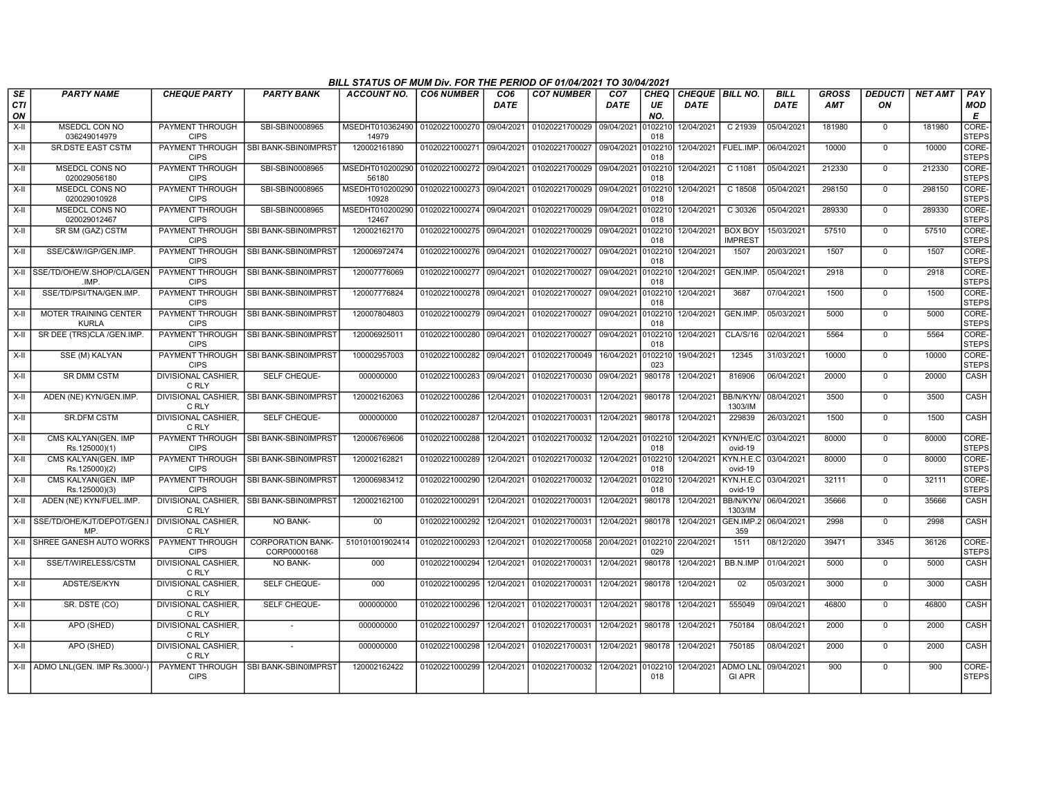|                        |                                       |                                       |                                          | BILL STATUS OF MUM Div. FOR THE PERIOD OF 01/04/2021 TO 30/04/2021 |                           |                         |                           |                                |                   |                                |                                  |                     |                     |                      |                |                       |
|------------------------|---------------------------------------|---------------------------------------|------------------------------------------|--------------------------------------------------------------------|---------------------------|-------------------------|---------------------------|--------------------------------|-------------------|--------------------------------|----------------------------------|---------------------|---------------------|----------------------|----------------|-----------------------|
| <b>SE</b><br>CTI<br>ON | <b>PARTY NAME</b>                     | <b>CHEQUE PARTY</b>                   | <b>PARTY BANK</b>                        | ACCOUNT NO.                                                        | <b>CO6 NUMBER</b>         | CO <sub>6</sub><br>DATE | <b>CO7 NUMBER</b>         | CO <sub>7</sub><br><b>DATE</b> | CHEQ<br>UE<br>NO. | CHEQUE BILL NO.<br><b>DATE</b> |                                  | <b>BILL</b><br>DATE | GROSS<br><b>AMT</b> | <b>DEDUCTI</b><br>ON | <b>NET AMT</b> | PAY<br>MOD<br>Е       |
| $X-H$                  | MSEDCL CON NO<br>036249014979         | <b>PAYMENT THROUGH</b><br><b>CIPS</b> | SBI-SBIN0008965                          | MSEDHT010362490<br>14979                                           | 01020221000270 09/04/2021 |                         | 01020221700029 09/04/2021 |                                | 0102210<br>018    | 12/04/2021                     | C 21939                          | 05/04/2021          | 181980              | $\mathbf 0$          | 181980         | CORE-<br><b>STEPS</b> |
| $X-H$                  | <b>SR.DSTE EAST CSTM</b>              | PAYMENT THROUGH<br><b>CIPS</b>        | SBI BANK-SBIN0IMPRST                     | 120002161890                                                       | 01020221000271 09/04/2021 |                         | 01020221700027            | 09/04/2021                     | 0102210<br>018    | 12/04/2021 FUEL.IMP.           |                                  | 06/04/2021          | 10000               | $\mathbf 0$          | 10000          | CORE-<br><b>STEPS</b> |
| $X-H$                  | <b>MSEDCL CONS NO</b><br>020029056180 | <b>PAYMENT THROUGH</b><br><b>CIPS</b> | SBI-SBIN0008965                          | MSEDHT010200290<br>56180                                           | 01020221000272 09/04/2021 |                         | 01020221700029 09/04/2021 |                                | 010221<br>018     | 12/04/2021                     | C 11081                          | 05/04/2021          | 212330              | $\mathbf 0$          | 212330         | CORE-<br><b>STEPS</b> |
| $X-H$                  | <b>MSEDCL CONS NO</b><br>020029010928 | PAYMENT THROUGH<br><b>CIPS</b>        | SBI-SBIN0008965                          | MSEDHT010200290<br>10928                                           | 01020221000273            | 09/04/2021              | 01020221700029 09/04/2021 |                                | 0102210<br>018    | 12/04/2021                     | C 18508                          | 05/04/2021          | 298150              | $\Omega$             | 298150         | CORE-<br><b>STEPS</b> |
| X-II                   | <b>MSEDCL CONS NO</b><br>020029012467 | PAYMENT THROUGH<br><b>CIPS</b>        | SBI-SBIN0008965                          | MSEDHT010200290 01020221000274<br>12467                            |                           | 09/04/2021              | 01020221700029 09/04/2021 |                                | 0102210<br>018    | 12/04/2021                     | C 30326                          | 05/04/2021          | 289330              | $\mathbf 0$          | 289330         | CORE-<br><b>STEPS</b> |
| X-II                   | SR SM (GAZ) CSTM                      | PAYMENT THROUGH<br><b>CIPS</b>        | SBI BANK-SBIN0IMPRST                     | 120002162170                                                       | 01020221000275 09/04/2021 |                         | 01020221700029 09/04/2021 |                                | 0102210<br>018    | 12/04/2021                     | <b>BOX BOY</b><br><b>IMPREST</b> | 15/03/2021          | 57510               | $^{\circ}$           | 57510          | CORE-<br><b>STEPS</b> |
| $X-H$                  | SSE/C&W/IGP/GEN.IMP.                  | PAYMENT THROUGH<br><b>CIPS</b>        | SBI BANK-SBIN0IMPRST                     | 120006972474                                                       | 01020221000276 09/04/2021 |                         | 01020221700027 09/04/2021 |                                | 010221<br>018     | 12/04/2021                     | 1507                             | 20/03/2021          | 1507                | $\mathbf 0$          | 1507           | CORE-<br><b>STEPS</b> |
| X-II                   | SSE/TD/OHE/W.SHOP/CLA/GEN<br>.IMP.    | PAYMENT THROUGH<br><b>CIPS</b>        | SBI BANK-SBIN0IMPRST                     | 120007776069                                                       | 01020221000277 09/04/2021 |                         | 01020221700027            | 09/04/2021                     | 0102210<br>018    | 12/04/2021                     | GEN.IMP.                         | 05/04/2021          | 2918                | $\Omega$             | 2918           | CORE-<br><b>STEPS</b> |
| $X-H$                  | SSE/TD/PSI/TNA/GEN.IMP.               | PAYMENT THROUGH<br><b>CIPS</b>        | <b>SBI BANK-SBIN0IMPRST</b>              | 120007776824                                                       | 01020221000278 09/04/2021 |                         | 01020221700027            | 09/04/2021                     | 0102210<br>018    | 12/04/2021                     | 3687                             | 07/04/2021          | 1500                | $\Omega$             | 1500           | CORE-<br><b>STEPS</b> |
| X-II                   | MOTER TRAINING CENTER<br><b>KURLA</b> | PAYMENT THROUGH<br><b>CIPS</b>        | <b>ISBI BANK-SBINOIMPRST</b>             | 120007804803                                                       | 01020221000279 09/04/2021 |                         | 01020221700027            | 09/04/2021                     | 0102210<br>018    | 12/04/2021                     | GEN.IMP.                         | 05/03/2021          | 5000                | $\Omega$             | 5000           | CORE-<br><b>STEPS</b> |
| $X-H$                  | SR DEE (TRS)CLA /GEN.IMP.             | PAYMENT THROUGH<br><b>CIPS</b>        | SBI BANK-SBIN0IMPRST                     | 120006925011                                                       | 01020221000280 09/04/2021 |                         | 01020221700027            | 09/04/2021                     | 0102210<br>018    | 12/04/2021                     | CLA/S/16                         | 02/04/2021          | 5564                | $\Omega$             | 5564           | CORE-<br><b>STEPS</b> |
| X-II                   | SSE (M) KALYAN                        | PAYMENT THROUGH<br><b>CIPS</b>        | SBI BANK-SBIN0IMPRST                     | 100002957003                                                       | 01020221000282 09/04/2021 |                         | 01020221700049            | 16/04/2021                     | 0102210<br>023    | 19/04/2021                     | 12345                            | 31/03/2021          | 10000               | $\mathbf 0$          | 10000          | CORE-<br><b>STEPS</b> |
| X-II                   | <b>SR DMM CSTM</b>                    | DIVISIONAL CASHIER,<br>C RLY          | SELF CHEQUE-                             | 000000000                                                          | 01020221000283            | 09/04/2021              | 01020221700030            | 09/04/2021                     | 980178            | 12/04/2021                     | 816906                           | 06/04/2021          | 20000               | $\mathbf 0$          | 20000          | CASH                  |
| X-II                   | ADEN (NE) KYN/GEN.IMP.                | DIVISIONAL CASHIER,<br>C RLY          | SBI BANK-SBIN0IMPRST                     | 120002162063                                                       | 01020221000286            | 12/04/2021              | 01020221700031            | 12/04/2021                     | 980178            | 12/04/2021                     | BB/N/KYN/<br>1303/IM             | 08/04/2021          | 3500                | $\mathbf 0$          | 3500           | CASH                  |
| X-II                   | <b>SR.DFM CSTM</b>                    | <b>DIVISIONAL CASHIER,</b><br>C RLY   | SELF CHEQUE-                             | 000000000                                                          | 01020221000287            | 12/04/2021              | 01020221700031            | 12/04/2021                     | 980178            | 12/04/2021                     | 229839                           | 26/03/2021          | 1500                | $\mathbf 0$          | 1500           | <b>CASH</b>           |
| X-II                   | CMS KALYAN(GEN. IMP<br>Rs.125000)(1)  | PAYMENT THROUGH<br><b>CIPS</b>        | SBI BANK-SBIN0IMPRST                     | 120006769606                                                       | 01020221000288            | 12/04/2021              | 01020221700032            | 12/04/2021 0102210             | 018               | 12/04/2021                     | KYN/H/E/C<br>ovid-19             | 03/04/2021          | 80000               | $\mathbf 0$          | 80000          | CORE-<br><b>STEPS</b> |
| X-II                   | CMS KALYAN(GEN. IMP<br>Rs.125000)(2)  | PAYMENT THROUGH<br><b>CIPS</b>        | SBI BANK-SBIN0IMPRST                     | 120002162821                                                       | 01020221000289            | 12/04/2021              | 01020221700032            | 12/04/2021                     | 0102210<br>018    | 12/04/2021                     | KYN.H.E.C<br>ovid-19             | 03/04/2021          | 80000               | $\overline{0}$       | 80000          | CORE-<br><b>STEPS</b> |
| X-II                   | CMS KALYAN(GEN. IMP<br>Rs.125000)(3)  | PAYMENT THROUGH<br><b>CIPS</b>        | SBI BANK-SBIN0IMPRST                     | 120006983412                                                       | 01020221000290            | 12/04/2021              | 01020221700032            | 12/04/2021                     | 0102210<br>018    | 12/04/2021                     | KYN.H.E.C<br>ovid-19             | 03/04/2021          | 32111               | $\mathbf 0$          | 32111          | CORE-<br><b>STEPS</b> |
| X-II                   | ADEN (NE) KYN/FUEL.IMP.               | C RLY                                 | DIVISIONAL CASHIER, SBI BANK-SBIN0IMPRST | 120002162100                                                       | 01020221000291            | 12/04/2021              | 01020221700031            | 12/04/2021                     | 980178            | 12/04/2021                     | <b>BB/N/KYN/</b><br>1303/IM      | 06/04/2021          | 35666               | $\overline{0}$       | 35666          | <b>CASH</b>           |
|                        | X-II SSE/TD/OHE/KJT/DEPOT/GEN.<br>MP. | <b>DIVISIONAL CASHIER,</b><br>C RLY   | NO BANK-                                 | $00\,$                                                             | 01020221000292            | 12/04/2021              | 01020221700031            | 12/04/2021                     | 980178            | 12/04/2021                     | GEN.IMP.2<br>359                 | 06/04/2021          | 2998                | $\mathbf 0$          | 2998           | CASH                  |
| X-II                   | <b>SHREE GANESH AUTO WORKS</b>        | <b>PAYMENT THROUGH</b><br><b>CIPS</b> | <b>CORPORATION BANK-</b><br>CORP0000168  | 510101001902414                                                    | 01020221000293            | 12/04/2021              | 01020221700058            | 20/04/2021                     | 0102210<br>029    | 22/04/2021                     | 1511                             | 08/12/2020          | 39471               | 3345                 | 36126          | CORE-<br><b>STEPS</b> |
| $X-II$                 | SSE/T/WIRELESS/CSTM                   | <b>DIVISIONAL CASHIER,</b><br>C RLY   | NO BANK-                                 | 000                                                                | 01020221000294            | 12/04/2021              | 01020221700031            | 12/04/2021                     | 980178            | 12/04/2021                     | BB.N.IMP                         | 01/04/2021          | 5000                | $\mathbf 0$          | 5000           | CASH                  |
| X-II                   | ADSTE/SE/KYN                          | <b>DIVISIONAL CASHIER,</b><br>C RLY   | SELF CHEQUE-                             | 000                                                                | 01020221000295            | 12/04/2021              | 01020221700031            | 12/04/2021                     | 980178            | 12/04/2021                     | 02                               | 05/03/2021          | 3000                | $\mathbf 0$          | 3000           | CASH                  |
| X-II                   | SR. DSTE (CO)                         | <b>DIVISIONAL CASHIER.</b><br>C RLY   | <b>SELF CHEQUE-</b>                      | 000000000                                                          | 01020221000296            | 12/04/2021              | 01020221700031            | 12/04/2021                     | 980178            | 12/04/2021                     | 555049                           | 09/04/2021          | 46800               | $\mathbf 0$          | 46800          | CASH                  |
| X-II                   | APO (SHED)                            | <b>DIVISIONAL CASHIER.</b><br>C RLY   | $\sim$                                   | 000000000                                                          | 01020221000297            | 12/04/2021              | 01020221700031            | 12/04/2021                     | 980178            | 12/04/2021                     | 750184                           | 08/04/2021          | 2000                | $\mathbf 0$          | 2000           | CASH                  |
| X-II                   | APO (SHED)                            | <b>DIVISIONAL CASHIER,</b><br>C RLY   |                                          | 000000000                                                          | 01020221000298            | 12/04/2021              | 01020221700031            | 12/04/2021                     | 980178            | 12/04/2021                     | 750185                           | 08/04/2021          | 2000                | $\mathbf 0$          | 2000           | CASH                  |
|                        | X-II   ADMO LNL(GEN. IMP Rs.3000/-    | <b>CIPS</b>                           | PAYMENT THROUGH ISBI BANK-SBIN0IMPRST    | 120002162422                                                       | 01020221000299            | 12/04/2021              | 01020221700032            | 12/04/2021                     | 010221<br>018     | 12/04/2021                     | <b>ADMO LNL</b><br><b>GI APR</b> | 09/04/2021          | 900                 | $\mathbf 0$          | 900            | CORE-<br><b>STEPS</b> |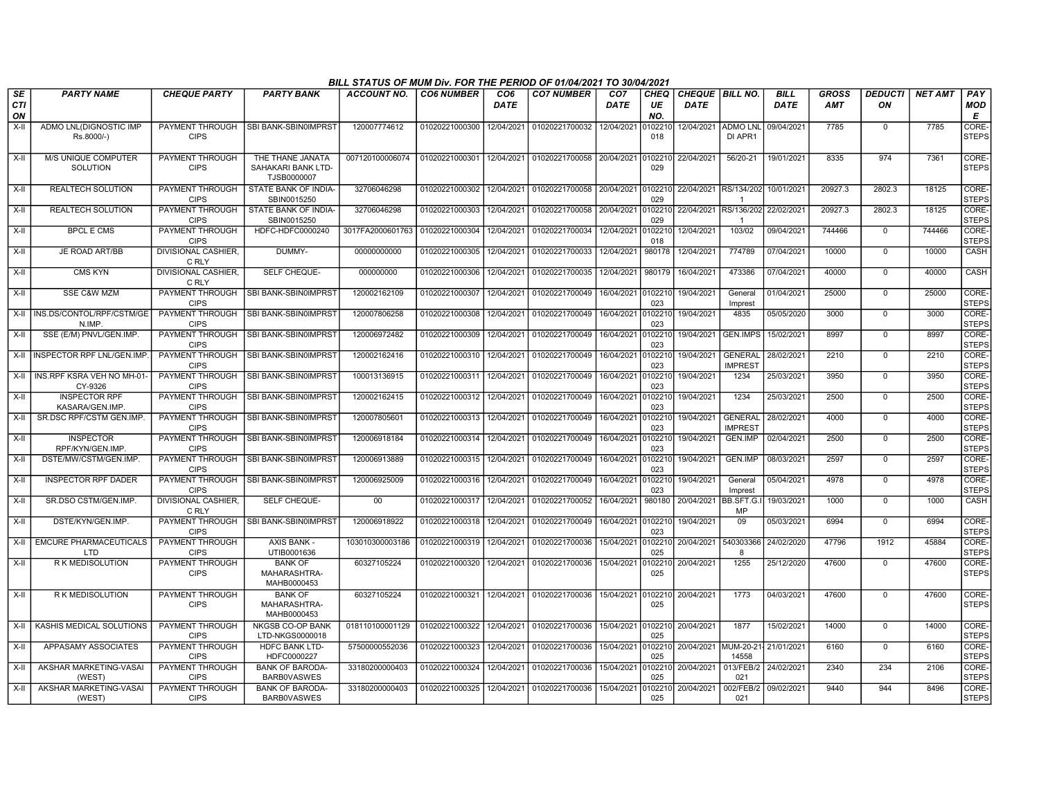|                        |                                           |                                       |                                                       | BILL STATUS OF MUM Div. FOR THE PERIOD OF 01/04/2021 TO 30/04/2021 |                   |                    |                                                     |                                |                          |                                         |                                  |                            |                            |                      |                |                             |
|------------------------|-------------------------------------------|---------------------------------------|-------------------------------------------------------|--------------------------------------------------------------------|-------------------|--------------------|-----------------------------------------------------|--------------------------------|--------------------------|-----------------------------------------|----------------------------------|----------------------------|----------------------------|----------------------|----------------|-----------------------------|
| SE<br><b>CTI</b><br>ON | <b>PARTY NAME</b>                         | <b>CHEQUE PARTY</b>                   | <b>PARTY BANK</b>                                     | <b>ACCOUNT NO.</b>                                                 | <b>CO6 NUMBER</b> | CO6<br><b>DATE</b> | <b>CO7 NUMBER</b>                                   | CO <sub>7</sub><br><b>DATE</b> | <b>CHEQ</b><br>UE<br>NO. | <b>CHEQUE   BILL NO.</b><br><b>DATE</b> |                                  | <b>BILL</b><br><b>DATE</b> | <b>GROSS</b><br><b>AMT</b> | <b>DEDUCTI</b><br>ON | <b>NET AMT</b> | PAY<br>MOD<br>E             |
| $X-H$                  | ADMO LNL(DIGNOSTIC IMP<br>Rs.8000/-)      | PAYMENT THROUGH<br><b>CIPS</b>        | SBI BANK-SBIN0IMPRST                                  | 120007774612                                                       | 01020221000300    | 12/04/2021         | 01020221700032                                      | 12/04/2021                     | 010221<br>018            |                                         | 12/04/2021 ADMO LNL<br>DI APR1   | 09/04/2021                 | 7785                       | $\Omega$             | 7785           | CORE-<br><b>STEPS</b>       |
| X-II                   | M/S UNIQUE COMPUTER<br>SOLUTION           | PAYMENT THROUGH<br><b>CIPS</b>        | THE THANE JANATA<br>SAHAKARI BANK LTD-<br>TJSB0000007 | 007120100006074                                                    | 01020221000301    |                    | 12/04/2021   01020221700058   20/04/2021 0102210    |                                | 029                      | 22/04/2021                              | 56/20-21                         | 19/01/2021                 | 8335                       | 974                  | 7361           | CORE-<br><b>STEPS</b>       |
| X-II                   | <b>REALTECH SOLUTION</b>                  | PAYMENT THROUGH<br><b>CIPS</b>        | STATE BANK OF INDIA-<br>SBIN0015250                   | 32706046298                                                        | 01020221000302    |                    | 12/04/2021 01020221700058 20/04/2021                |                                | 0102210<br>029           |                                         | 22/04/2021 RS/134/202            | 10/01/2021                 | 20927.3                    | 2802.3               | 18125          | CORE-<br><b>STEPS</b>       |
| X-II                   | <b>REALTECH SOLUTION</b>                  | PAYMENT THROUGH<br><b>CIPS</b>        | STATE BANK OF INDIA-<br>SBIN0015250                   | 32706046298                                                        | 01020221000303    | 12/04/2021         | 01020221700058                                      | 20/04/2021                     | 0102210<br>029           | 22/04/2021                              | RS/136/202<br>-1                 | 22/02/2021                 | 20927.3                    | 2802.3               | 18125          | CORE-<br><b>STEPS</b>       |
| $X-H$                  | <b>BPCL E CMS</b>                         | PAYMENT THROUGH<br><b>CIPS</b>        | HDFC-HDFC0000240                                      | 3017FA2000601763                                                   | 01020221000304    | 12/04/2021         | 01020221700034                                      | 12/04/2021                     | 0102210<br>018           | 12/04/2021                              | 103/02                           | 09/04/2021                 | 744466                     | $\overline{0}$       | 744466         | CORE-<br><b>STEPS</b>       |
| $X-II$                 | JE ROAD ART/BB                            | <b>DIVISIONAL CASHIER.</b><br>C RLY   | DUMMY-                                                | 00000000000                                                        | 01020221000305    | 12/04/2021         | 01020221700033                                      | 12/04/2021                     | 980178                   | 12/04/2021                              | 774789                           | 07/04/2021                 | 10000                      | $\mathbf 0$          | 10000          | <b>CASH</b>                 |
| X-II                   | <b>CMS KYN</b>                            | <b>DIVISIONAL CASHIER.</b><br>C RLY   | <b>SELF CHEQUE-</b>                                   | 000000000                                                          | 01020221000306    | 12/04/2021         | 01020221700035                                      | 12/04/2021                     | 980179                   | 16/04/2021                              | 473386                           | 07/04/2021                 | 40000                      | $\Omega$             | 40000          | <b>CASH</b>                 |
| X-II                   | <b>SSE C&amp;W MZM</b>                    | PAYMENT THROUGH<br><b>CIPS</b>        | SBI BANK-SBIN0IMPRST                                  | 120002162109                                                       | 01020221000307    | 12/04/2021         | 01020221700049                                      | 16/04/2021                     | 0102210<br>023           | 19/04/2021                              | General<br>Imprest               | 01/04/2021                 | 25000                      | $\Omega$             | 25000          | CORE-<br><b>STEPS</b>       |
|                        | X-II   INS.DS/CONTOL/RPF/CSTM/GE<br>N.IMP | <b>PAYMENT THROUGH</b><br><b>CIPS</b> | <b>SBI BANK-SBIN0IMPRST</b>                           | 120007806258                                                       | 01020221000308    | 12/04/2021         | 01020221700049                                      | 16/04/2021                     | 0102210<br>023           | 19/04/2021                              | 4835                             | 05/05/2020                 | 3000                       | $\mathbf 0$          | 3000           | CORE-<br><b>STEPS</b>       |
| X-II                   | SSE (E/M) PNVL/GEN.IMP.                   | PAYMENT THROUGH<br><b>CIPS</b>        | I SBI BANK-SBIN0IMPRST                                | 120006972482                                                       | 01020221000309    | 12/04/2021         | 01020221700049                                      | 16/04/2021                     | 0102210<br>023           | 19/04/2021                              | <b>GEN.IMPS</b>                  | 15/02/2021                 | 8997                       | $\Omega$             | 8997           | CORE-<br><b>STEPS</b>       |
|                        | X-II INSPECTOR RPF LNL/GEN.IMP            | <b>PAYMENT THROUGH</b><br><b>CIPS</b> | SBI BANK-SBIN0IMPRST                                  | 120002162416                                                       | 01020221000310    | 12/04/2021         | 01020221700049                                      | 16/04/2021                     | 0102210<br>023           | 19/04/2021                              | <b>GENERAL</b><br><b>IMPREST</b> | 28/02/2021                 | 2210                       | $\Omega$             | 2210           | CORE-<br><b>STEPS</b>       |
| X-II                   | I INS.RPF KSRA VEH NO MH-01<br>CY-9326    | <b>PAYMENT THROUGH</b><br><b>CIPS</b> | SBI BANK-SBIN0IMPRST                                  | 100013136915                                                       | 01020221000311    | 12/04/2021         | 01020221700049                                      | 16/04/2021                     | 0102210<br>023           | 19/04/2021                              | 1234                             | 25/03/2021                 | 3950                       | $\Omega$             | 3950           | CORE-<br><b>STEPS</b>       |
| X-II                   | <b>INSPECTOR RPF</b><br>KASARA/GEN.IMP    | PAYMENT THROUGH<br><b>CIPS</b>        | SBI BANK-SBIN0IMPRST                                  | 120002162415                                                       | 01020221000312    | 12/04/2021         | 01020221700049                                      | 16/04/2021                     | 0102210<br>023           | 19/04/2021                              | 1234                             | 25/03/2021                 | 2500                       | $\Omega$             | 2500           | CORE-<br><b>STEPS</b>       |
| X-II                   | SR.DSC RPF/CSTM GEN.IMP.                  | PAYMENT THROUGH<br><b>CIPS</b>        | <b>SBI BANK-SBIN0IMPRST</b>                           | 120007805601                                                       | 01020221000313    | 12/04/2021         | 01020221700049                                      | 16/04/2021                     | 0102210<br>023           | 19/04/2021                              | <b>GENERAL</b><br><b>IMPREST</b> | 28/02/2021                 | 4000                       | $\Omega$             | 4000           | CORE-<br><b>STEPS</b>       |
| X-II                   | <b>INSPECTOR</b><br>RPF/KYN/GEN.IMP.      | PAYMENT THROUGH<br><b>CIPS</b>        | <b>SBI BANK-SBIN0IMPRST</b>                           | 120006918184                                                       | 01020221000314    | 12/04/2021         | 01020221700049                                      | 16/04/2021                     | 0102210<br>023           | 19/04/2021                              | <b>GEN.IMP</b>                   | 02/04/2021                 | 2500                       | $\mathbf 0$          | 2500           | CORE-<br><b>STEPS</b>       |
| X-II                   | DSTE/MW/CSTM/GEN.IMP.                     | PAYMENT THROUGH<br><b>CIPS</b>        | <b>SBI BANK-SBIN0IMPRST</b>                           | 120006913889                                                       | 01020221000315    | 12/04/2021         | 01020221700049                                      | 16/04/2021                     | 0102210<br>023           | 19/04/2021                              | <b>GEN.IMP</b>                   | 08/03/2021                 | 2597                       | $\mathbf 0$          | 2597           | CORE-<br><b>STEPS</b>       |
| X-II                   | <b>INSPECTOR RPF DADER</b>                | PAYMENT THROUGH<br><b>CIPS</b>        | SBI BANK-SBIN0IMPRST                                  | 120006925009                                                       | 01020221000316    | 12/04/2021         | 01020221700049                                      | 16/04/2021                     | 0102210<br>023           | 19/04/2021                              | General<br>Imprest               | 05/04/2021                 | 4978                       | $\Omega$             | 4978           | <b>CORE</b><br><b>STEPS</b> |
| X-II                   | SR.DSO CSTM/GEN.IMP.                      | <b>DIVISIONAL CASHIER.</b><br>C RLY   | SELF CHEQUE-                                          | 00                                                                 | 01020221000317    | 12/04/2021         | 01020221700052                                      | 16/04/2021                     | 980180                   | 20/04/2021                              | BB.SFT.G<br><b>MP</b>            | 19/03/2021                 | 1000                       | $\mathbf 0$          | 1000           | <b>CASH</b>                 |
| X-II                   | DSTE/KYN/GEN.IMP.                         | PAYMENT THROUGH<br><b>CIPS</b>        | SBI BANK-SBIN0IMPRST                                  | 120006918922                                                       | 01020221000318    | 12/04/2021         | 01020221700049                                      | 16/04/2021                     | 0102210<br>023           | 19/04/2021                              | 09                               | 05/03/2021                 | 6994                       | $\mathbf 0$          | 6994           | CORE-<br><b>STEPS</b>       |
| X-II                   | EMCURE PHARMACEUTICALS<br><b>LTD</b>      | <b>PAYMENT THROUGH</b><br><b>CIPS</b> | <b>AXIS BANK -</b><br>UTIB0001636                     | 103010300003186                                                    | 01020221000319    | 12/04/2021         | 01020221700036                                      | 15/04/2021                     | 0102210<br>025           | 20/04/2021                              | 540303366<br>-8                  | 24/02/2020                 | 47796                      | 1912                 | 45884          | CORE-<br><b>STEPS</b>       |
| X-II                   | R K MEDISOLUTION                          | PAYMENT THROUGH<br><b>CIPS</b>        | <b>BANK OF</b><br>MAHARASHTRA-<br>MAHB0000453         | 60327105224                                                        | 01020221000320    | 12/04/2021         | 01020221700036                                      | 15/04/2021                     | 0102210<br>025           | 20/04/2021                              | 1255                             | 25/12/2020                 | 47600                      | $\mathbf 0$          | 47600          | CORE-<br><b>STEPS</b>       |
| X-II                   | <b>RK MEDISOLUTION</b>                    | <b>PAYMENT THROUGH</b><br><b>CIPS</b> | <b>BANK OF</b><br>MAHARASHTRA-<br>MAHB0000453         | 60327105224                                                        |                   |                    | 01020221000321 12/04/2021 01020221700036 15/04/2021 |                                | 0102210<br>025           | 20/04/2021                              | 1773                             | 04/03/2021                 | 47600                      | $\mathbf 0$          | 47600          | CORE-<br><b>STEPS</b>       |
|                        | X-II KASHIS MEDICAL SOLUTIONS             | <b>PAYMENT THROUGH</b><br><b>CIPS</b> | <b>NKGSB CO-OP BANK</b><br>LTD-NKGS0000018            | 018110100001129                                                    | 01020221000322    | 12/04/2021         | 01020221700036                                      | 15/04/2021 0102210             | 025                      | 20/04/2021                              | 1877                             | 15/02/2021                 | 14000                      | $\Omega$             | 14000          | CORE-<br><b>STEPS</b>       |
| X-II                   | APPASAMY ASSOCIATES                       | <b>PAYMENT THROUGH</b><br><b>CIPS</b> | HDFC BANK LTD-<br>HDFC0000227                         | 57500000552036                                                     | 01020221000323    | 12/04/2021         | 01020221700036                                      | 15/04/2021                     | 0102210<br>025           | 20/04/2021 MUM-20-21                    | 14558                            | 21/01/2021                 | 6160                       | $\Omega$             | 6160           | CORE-<br><b>STEPS</b>       |
| X-II                   | AKSHAR MARKETING-VASAI<br>(WEST)          | PAYMENT THROUGH<br><b>CIPS</b>        | <b>BANK OF BARODA-</b><br><b>BARBOVASWES</b>          | 33180200000403                                                     | 01020221000324    | 12/04/2021         | 01020221700036                                      | 15/04/2021                     | 0102210<br>025           | 20/04/2021                              | 013/FEB/2<br>021                 | 24/02/2021                 | 2340                       | 234                  | 2106           | CORE-<br><b>STEPS</b>       |
| X-II                   | AKSHAR MARKETING-VASAI<br>(WEST)          | PAYMENT THROUGH<br><b>CIPS</b>        | <b>BANK OF BARODA-</b><br><b>BARBOVASWES</b>          | 33180200000403                                                     | 01020221000325    | 12/04/2021         | 01020221700036                                      | 15/04/2021                     | 0102210<br>025           | 20/04/2021                              | 002/FEB/2<br>021                 | 09/02/2021                 | 9440                       | 944                  | 8496           | CORE-<br><b>STEPS</b>       |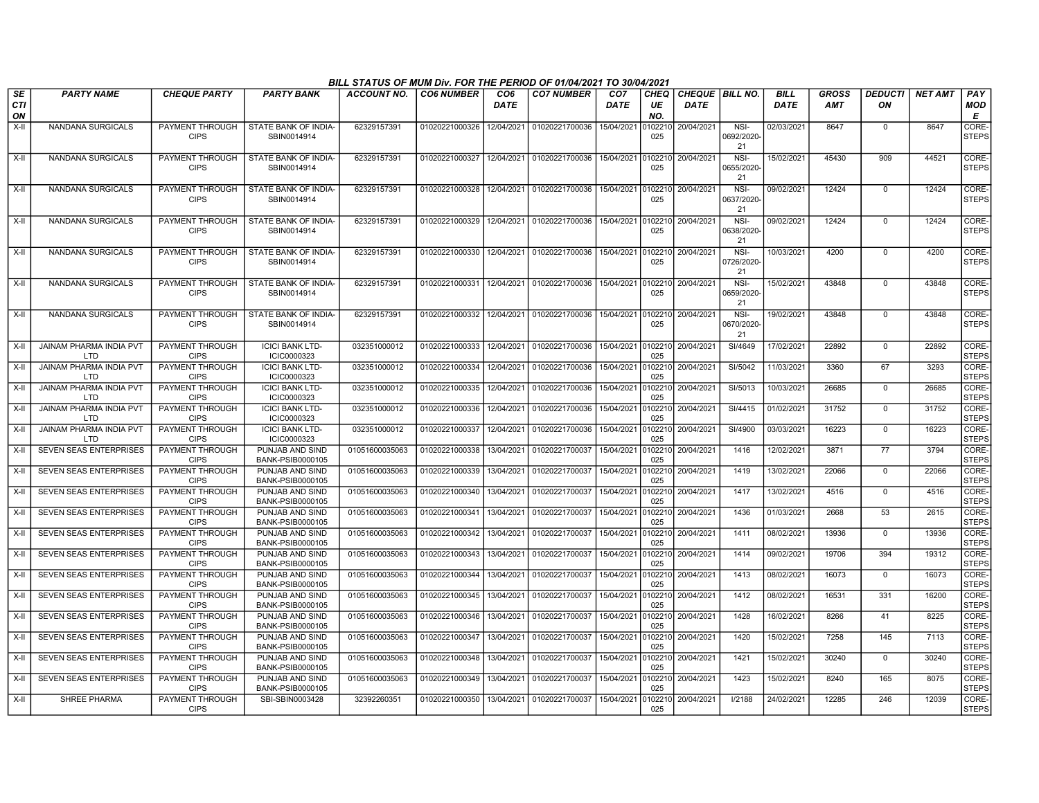|                               |                                       |                                       |                                                       | BILL STATUS OF MUM Div. FOR THE PERIOD OF 01/04/2021 TO 30/04/2021 |                   |                                |                           |                                |                          |                                       |                            |                            |                     |                      |                |                       |
|-------------------------------|---------------------------------------|---------------------------------------|-------------------------------------------------------|--------------------------------------------------------------------|-------------------|--------------------------------|---------------------------|--------------------------------|--------------------------|---------------------------------------|----------------------------|----------------------------|---------------------|----------------------|----------------|-----------------------|
| <b>SE</b><br><b>CTI</b><br>ON | <b>PARTY NAME</b>                     | <b>CHEQUE PARTY</b>                   | <b>PARTY BANK</b>                                     | <b>ACCOUNT NO.</b>                                                 | <b>CO6 NUMBER</b> | CO <sub>6</sub><br><b>DATE</b> | <b>CO7 NUMBER</b>         | CO <sub>7</sub><br><b>DATE</b> | <b>CHEQ</b><br>UE<br>NO. | <b>CHEQUE BILL NO.</b><br><b>DATE</b> |                            | <b>BILL</b><br><b>DATE</b> | GROSS<br><b>AMT</b> | <b>DEDUCTI</b><br>ΟN | <b>NET AMT</b> | PAY<br>MOD<br>Е       |
| X-II                          | NANDANA SURGICALS                     | PAYMENT THROUGH<br><b>CIPS</b>        | STATE BANK OF INDIA-<br>SBIN0014914                   | 62329157391                                                        | 01020221000326    | 12/04/2021                     | 01020221700036            | 15/04/2021                     | 0102210<br>025           | 20/04/2021                            | NSI-<br>0692/2020-<br>21   | 02/03/2021                 | 8647                | $\mathbf 0$          | 8647           | CORE-<br><b>STEPS</b> |
| X-II                          | NANDANA SURGICALS                     | PAYMENT THROUGH<br><b>CIPS</b>        | STATE BANK OF INDIA-<br>SBIN0014914                   | 62329157391                                                        | 01020221000327    | 12/04/2021                     | 01020221700036            | 15/04/2021                     | 0102210<br>025           | 20/04/2021                            | NSI-<br>0655/2020-<br>21   | 15/02/2021                 | 45430               | 909                  | 44521          | CORE-<br><b>STEPS</b> |
| X-II                          | <b>NANDANA SURGICALS</b>              | PAYMENT THROUGH<br><b>CIPS</b>        | STATE BANK OF INDIA-<br>SBIN0014914                   | 62329157391                                                        | 01020221000328    |                                | 12/04/2021 01020221700036 | 15/04/2021 0102210             | 025                      | 20/04/2021                            | $NSI-$<br>0637/2020-<br>21 | 09/02/2021                 | 12424               | $\mathbf 0$          | 12424          | CORE-<br><b>STEPS</b> |
| X-II                          | NANDANA SURGICALS                     | PAYMENT THROUGH<br><b>CIPS</b>        | STATE BANK OF INDIA-<br>SBIN0014914                   | 62329157391                                                        | 01020221000329    | 12/04/2021                     | 01020221700036            | 15/04/2021                     | 0102210<br>025           | 20/04/2021                            | NSI-<br>0638/2020-<br>21   | 09/02/2021                 | 12424               | $^{\circ}$           | 12424          | CORE-<br><b>STEPS</b> |
| X-II                          | NANDANA SURGICALS                     | PAYMENT THROUGH<br><b>CIPS</b>        | STATE BANK OF INDIA-<br>SBIN0014914                   | 62329157391                                                        | 01020221000330    | 12/04/2021                     | 01020221700036            | 15/04/2021                     | 0102210<br>025           | 20/04/2021                            | NSI-<br>0726/2020-<br>21   | 10/03/2021                 | 4200                | $\mathbf 0$          | 4200           | CORE-<br><b>STEPS</b> |
| X-II                          | <b>NANDANA SURGICALS</b>              | <b>CIPS</b>                           | PAYMENT THROUGH   STATE BANK OF INDIA-<br>SBIN0014914 | 62329157391                                                        | 01020221000331    |                                | 12/04/2021 01020221700036 | 15/04/2021 0102210             | 025                      | 20/04/2021                            | $NSI-$<br>0659/2020-<br>21 | 15/02/2021                 | 43848               | $\mathbf 0$          | 43848          | CORE-<br><b>STEPS</b> |
| X-II                          | NANDANA SURGICALS                     | PAYMENT THROUGH<br><b>CIPS</b>        | STATE BANK OF INDIA-<br>SBIN0014914                   | 62329157391                                                        | 01020221000332    | 12/04/2021                     | 01020221700036            | 15/04/2021 0102210             | 025                      | 20/04/2021                            | $NSI-$<br>0670/2020-<br>21 | 19/02/2021                 | 43848               | $\Omega$             | 43848          | CORE-<br><b>STEPS</b> |
| X-II                          | JAINAM PHARMA INDIA PVT<br><b>LTD</b> | PAYMENT THROUGH<br><b>CIPS</b>        | <b>ICICI BANK LTD-</b><br>ICIC0000323                 | 032351000012                                                       | 01020221000333    | 12/04/2021                     | 01020221700036            | 15/04/2021                     | 0102210<br>025           | 20/04/2021                            | SI/4649                    | 17/02/2021                 | 22892               | $\mathbf 0$          | 22892          | CORE-<br><b>STEPS</b> |
| $X-II$                        | <b>JAINAM PHARMA INDIA PVT</b><br>LTD | PAYMENT THROUGH<br><b>CIPS</b>        | <b>ICICI BANK LTD-</b><br>ICIC0000323                 | 032351000012                                                       | 01020221000334    | 12/04/2021                     | 01020221700036            | 15/04/2021                     | 0102210<br>025           | 20/04/2021                            | SI/5042                    | 11/03/2021                 | 3360                | 67                   | 3293           | CORE-<br><b>STEPS</b> |
| X-II                          | <b>JAINAM PHARMA INDIA PVT</b><br>LTD | <b>PAYMENT THROUGH</b><br><b>CIPS</b> | <b>ICICI BANK LTD-</b><br>ICIC0000323                 | 032351000012                                                       | 01020221000335    | 12/04/2021                     | 01020221700036            | 15/04/2021                     | 0102210<br>025           | 20/04/2021                            | SI/5013                    | 10/03/2021                 | 26685               | $\mathbf 0$          | 26685          | CORE-<br><b>STEPS</b> |
| X-II                          | <b>JAINAM PHARMA INDIA PVT</b><br>LTD | PAYMENT THROUGH<br><b>CIPS</b>        | <b>ICICI BANK LTD-</b><br>ICIC0000323                 | 032351000012                                                       | 01020221000336    | 12/04/2021                     | 01020221700036            | 15/04/2021                     | 0102210<br>025           | 20/04/2021                            | SI/4415                    | 01/02/2021                 | 31752               | $\overline{0}$       | 31752          | CORE-<br><b>STEPS</b> |
| $X-II$                        | <b>JAINAM PHARMA INDIA PVT</b><br>LTD | PAYMENT THROUGH<br><b>CIPS</b>        | <b>ICICI BANK LTD-</b><br>ICIC0000323                 | 032351000012                                                       | 01020221000337    | 12/04/2021                     | 01020221700036            | 15/04/2021                     | 0102210<br>025           | 20/04/2021                            | SI/4900                    | 03/03/2021                 | 16223               | $\Omega$             | 16223          | CORE-<br><b>STEPS</b> |
| X-II                          | <b>SEVEN SEAS ENTERPRISES</b>         | PAYMENT THROUGH<br><b>CIPS</b>        | PUNJAB AND SIND<br>BANK-PSIB0000105                   | 01051600035063                                                     | 01020221000338    | 13/04/2021                     | 01020221700037            | 15/04/2021                     | 0102210<br>025           | 20/04/2021                            | 1416                       | 12/02/2021                 | 3871                | 77                   | 3794           | CORE-<br><b>STEPS</b> |
| $X-H$                         | <b>SEVEN SEAS ENTERPRISES</b>         | <b>PAYMENT THROUGH</b><br><b>CIPS</b> | PUNJAB AND SIND<br>BANK-PSIB0000105                   | 01051600035063                                                     | 01020221000339    | 13/04/2021                     | 01020221700037            | 15/04/2021                     | 0102210<br>025           | 20/04/2021                            | 1419                       | 13/02/2021                 | 22066               | $\overline{0}$       | 22066          | CORE-<br><b>STEPS</b> |
| X-II                          | SEVEN SEAS ENTERPRISES                | <b>PAYMENT THROUGH</b><br><b>CIPS</b> | PUNJAB AND SIND<br>BANK-PSIB0000105                   | 01051600035063                                                     | 01020221000340    | 13/04/2021                     | 01020221700037            | 15/04/2021                     | 0102210<br>025           | 20/04/2021                            | 1417                       | 13/02/2021                 | 4516                | $\mathbf 0$          | 4516           | CORE-<br><b>STEPS</b> |
| X-II                          | <b>SEVEN SEAS ENTERPRISES</b>         | PAYMENT THROUGH<br><b>CIPS</b>        | PUNJAB AND SIND<br>BANK-PSIB0000105                   | 01051600035063                                                     | 01020221000341    | 13/04/2021                     | 01020221700037            | 15/04/2021                     | 0102210<br>025           | 20/04/2021                            | 1436                       | 01/03/2021                 | 2668                | 53                   | 2615           | CORE-<br><b>STEPS</b> |
| X-II                          | SEVEN SEAS ENTERPRISES                | PAYMENT THROUGH<br><b>CIPS</b>        | PUNJAB AND SIND<br>BANK-PSIB0000105                   | 01051600035063                                                     | 01020221000342    | 13/04/2021                     | 01020221700037            | 15/04/2021                     | 0102210<br>025           | 20/04/2021                            | 1411                       | 08/02/2021                 | 13936               | 0                    | 13936          | CORE-<br><b>STEPS</b> |
| X-II                          | SEVEN SEAS ENTERPRISES                | <b>PAYMENT THROUGH</b><br><b>CIPS</b> | PUNJAB AND SIND<br>BANK-PSIB0000105                   | 01051600035063                                                     | 01020221000343    | 13/04/2021                     | 01020221700037            | 15/04/2021                     | 0102210<br>025           | 20/04/2021                            | 1414                       | 09/02/2021                 | 19706               | 394                  | 19312          | CORE-<br><b>STEPS</b> |
| X-II                          | <b>SEVEN SEAS ENTERPRISES</b>         | <b>PAYMENT THROUGH</b><br><b>CIPS</b> | PUNJAB AND SIND<br>BANK-PSIB0000105                   | 01051600035063                                                     | 01020221000344    | 13/04/2021                     | 01020221700037            | 15/04/2021                     | 0102210<br>025           | 20/04/2021                            | 1413                       | 08/02/2021                 | 16073               | $\Omega$             | 16073          | CORE-<br><b>STEPS</b> |
| X-II                          | <b>SEVEN SEAS ENTERPRISES</b>         | PAYMENT THROUGH<br><b>CIPS</b>        | PUNJAB AND SIND<br>BANK-PSIB0000105                   | 01051600035063                                                     | 01020221000345    | 13/04/2021                     | 01020221700037            | 15/04/2021                     | 0102210<br>025           | 20/04/2021                            | 1412                       | 08/02/2021                 | 16531               | 331                  | 16200          | CORE-<br><b>STEPS</b> |
| X-II                          | SEVEN SEAS ENTERPRISES                | PAYMENT THROUGH<br><b>CIPS</b>        | PUNJAB AND SIND<br>BANK-PSIB0000105                   | 01051600035063                                                     | 01020221000346    | 13/04/2021                     | 01020221700037            | 15/04/2021                     | 0102210<br>025           | 20/04/2021                            | 1428                       | 16/02/2021                 | 8266                | 41                   | 8225           | CORE-<br><b>STEPS</b> |
| X-II                          | SEVEN SEAS ENTERPRISES                | <b>PAYMENT THROUGH</b><br><b>CIPS</b> | PUNJAB AND SIND<br>BANK-PSIB0000105                   | 01051600035063                                                     | 01020221000347    | 13/04/2021                     | 01020221700037            | 15/04/2021                     | 0102210<br>025           | 20/04/2021                            | 1420                       | 15/02/2021                 | 7258                | 145                  | 7113           | CORE-<br><b>STEPS</b> |
| X-II                          | SEVEN SEAS ENTERPRISES                | <b>PAYMENT THROUGH</b><br><b>CIPS</b> | PUNJAB AND SIND<br>BANK-PSIB0000105                   | 01051600035063                                                     | 01020221000348    | 13/04/2021                     | 01020221700037            | 15/04/2021                     | 0102210<br>025           | 20/04/2021                            | 1421                       | 15/02/2021                 | 30240               | $^{\circ}$           | 30240          | CORE-<br><b>STEPS</b> |
| X-II                          | <b>SEVEN SEAS ENTERPRISES</b>         | PAYMENT THROUGH<br><b>CIPS</b>        | PUNJAB AND SIND<br>BANK-PSIB0000105                   | 01051600035063                                                     | 01020221000349    | 13/04/2021                     | 01020221700037            | 15/04/2021                     | 0102210<br>025           | 20/04/2021                            | 1423                       | 15/02/2021                 | 8240                | 165                  | 8075           | CORE-<br>STEPS        |
| $X-H$                         | SHREE PHARMA                          | PAYMENT THROUGH<br><b>CIPS</b>        | SBI-SBIN0003428                                       | 32392260351                                                        | 01020221000350    | 13/04/2021                     | 01020221700037            | 15/04/2021                     | 025                      | 0102210 20/04/2021                    | I/2188                     | 24/02/2021                 | 12285               | 246                  | 12039          | CORE-<br><b>STEPS</b> |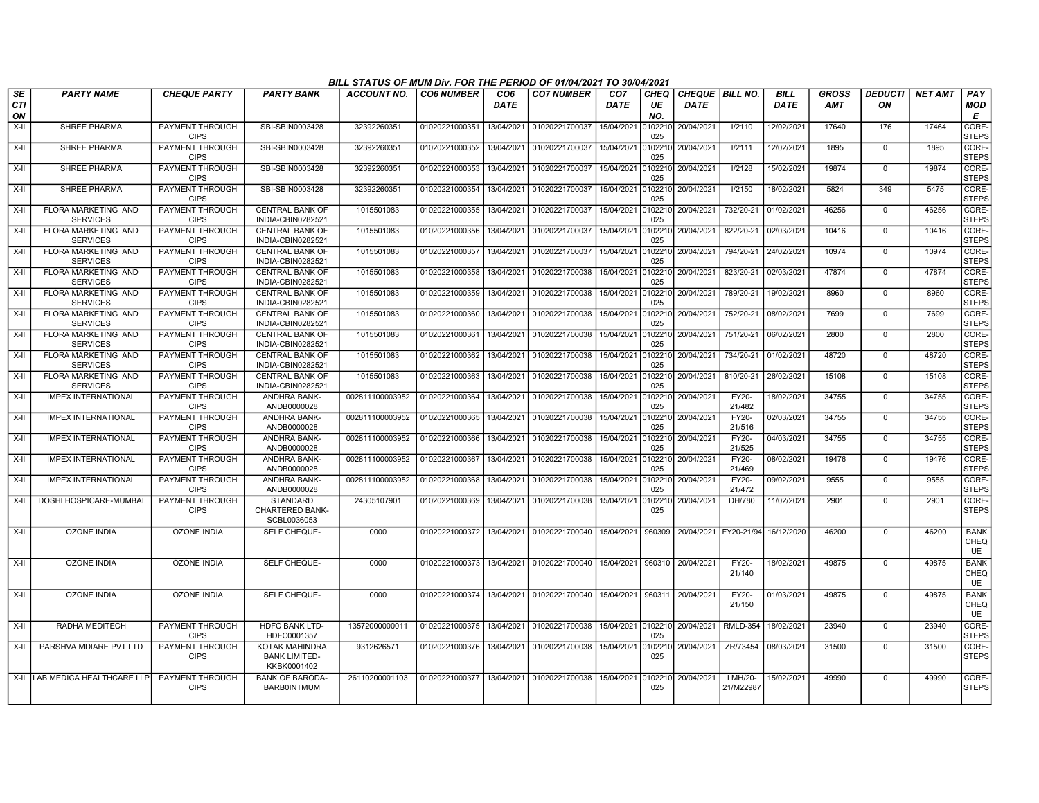|                 |                                               |                                       |                                                       | BILL STATUS OF MUM Div. FOR THE PERIOD OF 01/04/2021 TO 30/04/2021 |                           |                                |                                              |                                |                          |                                       |                        |                            |                            |                      |                |                                  |
|-----------------|-----------------------------------------------|---------------------------------------|-------------------------------------------------------|--------------------------------------------------------------------|---------------------------|--------------------------------|----------------------------------------------|--------------------------------|--------------------------|---------------------------------------|------------------------|----------------------------|----------------------------|----------------------|----------------|----------------------------------|
| SE<br>CTI<br>ON | <b>PARTY NAME</b>                             | <b>CHEQUE PARTY</b>                   | <b>PARTY BANK</b>                                     | ACCOUNT NO.                                                        | <b>CO6 NUMBER</b>         | CO <sub>6</sub><br><b>DATE</b> | <b>CO7 NUMBER</b>                            | CO <sub>7</sub><br><b>DATE</b> | <b>CHEO</b><br>UE<br>NO. | <b>CHEQUE BILL NO.</b><br><b>DATE</b> |                        | <b>BILL</b><br><b>DATE</b> | <b>GROSS</b><br><b>AMT</b> | <b>DEDUCTI</b><br>ON | <b>NET AMT</b> | PAY<br><b>MOD</b><br>E           |
| $X-H$           | <b>SHREE PHARMA</b>                           | PAYMENT THROUGH<br><b>CIPS</b>        | SBI-SBIN0003428                                       | 32392260351                                                        | 01020221000351            | 13/04/2021                     | 01020221700037                               | 15/04/2021                     | 0102210<br>025           | 20/04/2021                            | 1/2110                 | 12/02/2021                 | 17640                      | 176                  | 17464          | CORE-<br><b>STEPS</b>            |
| X-II            | <b>SHREE PHARMA</b>                           | PAYMENT THROUGH<br><b>CIPS</b>        | SBI-SBIN0003428                                       | 32392260351                                                        | 01020221000352            | 13/04/2021                     | 01020221700037                               | 15/04/2021                     | 102210<br>025            | 20/04/2021                            | 1/2111                 | 12/02/2021                 | 1895                       | $\mathbf 0$          | 1895           | CORE-<br><b>STEPS</b>            |
| X-II            | <b>SHREE PHARMA</b>                           | PAYMENT THROUGH<br><b>CIPS</b>        | SBI-SBIN0003428                                       | 32392260351                                                        | 01020221000353            | 13/04/2021                     | 01020221700037                               | 15/04/2021                     | 0102210<br>025           | 20/04/2021                            | 1/2128                 | 15/02/2021                 | 19874                      | $\mathbf 0$          | 19874          | CORE-<br><b>STEPS</b>            |
| X-II            | <b>SHREE PHARMA</b>                           | PAYMENT THROUGH<br><b>CIPS</b>        | SBI-SBIN0003428                                       | 32392260351                                                        | 01020221000354            | 13/04/2021                     | 01020221700037                               | 15/04/2021                     | 102210<br>025            | 20/04/2021                            | 1/2150                 | 18/02/2021                 | 5824                       | 349                  | 5475           | CORE-<br><b>STEPS</b>            |
| X-II            | FLORA MARKETING AND<br><b>SERVICES</b>        | PAYMENT THROUGH<br><b>CIPS</b>        | <b>CENTRAL BANK OF</b><br>INDIA-CBIN0282521           | 1015501083                                                         | 01020221000355            | 13/04/2021                     | 01020221700037                               | 15/04/2021                     | 0102210<br>025           | 20/04/2021                            | 732/20-21              | 01/02/2021                 | 46256                      | $\mathbf 0$          | 46256          | CORE-<br><b>STEPS</b>            |
| $X-II$          | FLORA MARKETING AND<br><b>SERVICES</b>        | PAYMENT THROUGH<br><b>CIPS</b>        | <b>CENTRAL BANK OF</b><br>INDIA-CBIN0282521           | 1015501083                                                         | 01020221000356            | 13/04/2021                     | 01020221700037                               | 15/04/2021                     | 102210<br>025            | 20/04/2021                            | 822/20-21              | 02/03/2021                 | 10416                      | $\Omega$             | 10416          | CORE-<br><b>STEPS</b>            |
| X-II            | <b>FLORA MARKETING AND</b><br><b>SERVICES</b> | PAYMENT THROUGH<br><b>CIPS</b>        | <b>CENTRAL BANK OF</b><br>INDIA-CBIN0282521           | 1015501083                                                         | 01020221000357            | 13/04/2021                     | 01020221700037                               | 15/04/2021                     | 0102210<br>025           | 20/04/2021                            | 794/20-21 24/02/2021   |                            | 10974                      | $\Omega$             | 10974          | CORE-<br><b>STEPS</b>            |
| $X-II$          | FLORA MARKETING AND<br><b>SERVICES</b>        | PAYMENT THROUGH<br><b>CIPS</b>        | <b>CENTRAL BANK OF</b><br>INDIA-CBIN0282521           | 1015501083                                                         | 01020221000358            | 13/04/2021                     | 01020221700038                               | 15/04/2021                     | 102210<br>025            | 20/04/2021                            | 823/20-21              | 02/03/2021                 | 47874                      | $\Omega$             | 47874          | CORE-<br><b>STEPS</b>            |
| X-II            | FLORA MARKETING AND<br><b>SERVICES</b>        | PAYMENT THROUGH<br><b>CIPS</b>        | <b>CENTRAL BANK OF</b><br>INDIA-CBIN0282521           | 1015501083                                                         | 01020221000359            | 13/04/2021                     | 01020221700038                               | 15/04/2021                     | 025                      | 0102210 20/04/2021                    | 789/20-21              | 19/02/2021                 | 8960                       | $\Omega$             | 8960           | CORE-<br><b>STEPS</b>            |
| $X-II$          | FLORA MARKETING AND<br><b>SERVICES</b>        | PAYMENT THROUGH<br><b>CIPS</b>        | <b>CENTRAL BANK OF</b><br>INDIA-CBIN0282521           | 1015501083                                                         | 01020221000360            | 13/04/2021                     | 01020221700038                               | 15/04/2021                     | 102210<br>025            | 20/04/2021                            | 752/20-21              | 08/02/2021                 | 7699                       | $\mathbf 0$          | 7699           | CORE-<br><b>STEPS</b>            |
| X-II            | FLORA MARKETING AND<br><b>SERVICES</b>        | PAYMENT THROUGH<br><b>CIPS</b>        | <b>CENTRAL BANK OF</b><br>INDIA-CBIN0282521           | 1015501083                                                         | 01020221000361            | 13/04/2021                     | 01020221700038                               |                                | 025                      | 15/04/2021 0102210 20/04/2021         | 751/20-21 06/02/2021   |                            | 2800                       | 0                    | 2800           | CORE-<br><b>STEPS</b>            |
| $X-II$          | FLORA MARKETING AND<br><b>SERVICES</b>        | PAYMENT THROUGH<br><b>CIPS</b>        | <b>CENTRAL BANK OF</b><br>INDIA-CBIN0282521           | 1015501083                                                         | 01020221000362            | 13/04/2021                     | 01020221700038                               | 15/04/2021                     | 102210<br>025            | 20/04/2021                            | 734/20-21              | 01/02/2021                 | 48720                      | $\mathbf 0$          | 48720          | CORE-<br><b>STEPS</b>            |
| X-II            | FLORA MARKETING AND<br><b>SERVICES</b>        | PAYMENT THROUGH<br><b>CIPS</b>        | <b>CENTRAL BANK OF</b><br>INDIA-CBIN0282521           | 1015501083                                                         | 01020221000363            | 13/04/2021                     | 01020221700038                               | 15/04/2021                     | 102210<br>025            | 20/04/2021                            | 810/20-21              | 26/02/2021                 | 15108                      | $\mathbf 0$          | 15108          | CORE-<br><b>STEPS</b>            |
| X-II            | <b>IMPEX INTERNATIONAL</b>                    | PAYMENT THROUGH<br><b>CIPS</b>        | <b>ANDHRA BANK-</b><br>ANDB0000028                    | 002811100003952                                                    | 01020221000364            | 13/04/2021                     | 01020221700038                               | 15/04/2021                     | 0102210<br>025           | 20/04/2021                            | <b>FY20-</b><br>21/482 | 18/02/2021                 | 34755                      | $\mathbf 0$          | 34755          | CORE-<br><b>STEPS</b>            |
| X-II            | <b>IMPEX INTERNATIONAL</b>                    | PAYMENT THROUGH<br><b>CIPS</b>        | <b>ANDHRA BANK-</b><br>ANDB0000028                    | 002811100003952                                                    | 01020221000365            | 13/04/2021                     | 01020221700038                               | 15/04/2021                     | 102210<br>025            | 20/04/2021                            | <b>FY20-</b><br>21/516 | 02/03/2021                 | 34755                      | $\mathbf 0$          | 34755          | CORE-<br><b>STEPS</b>            |
| X-II            | <b>IMPEX INTERNATIONAL</b>                    | PAYMENT THROUGH<br><b>CIPS</b>        | ANDHRA BANK-<br>ANDB0000028                           | 002811100003952                                                    | 01020221000366            | 13/04/2021                     | 01020221700038                               | 15/04/2021                     | 102210<br>025            | 20/04/2021                            | FY20-<br>21/525        | 04/03/2021                 | 34755                      | $\mathbf 0$          | 34755          | CORE-<br><b>STEPS</b>            |
| $X-II$          | <b>IMPEX INTERNATIONAL</b>                    | PAYMENT THROUGH<br><b>CIPS</b>        | ANDHRA BANK-<br>ANDB0000028                           | 002811100003952                                                    | 01020221000367            | 13/04/2021                     | 01020221700038                               | 15/04/2021                     | 102210<br>025            | 20/04/2021                            | FY20-<br>21/469        | 08/02/2021                 | 19476                      | $\Omega$             | 19476          | CORE-<br><b>STEPS</b>            |
| $X-II$          | <b>IMPEX INTERNATIONAL</b>                    | PAYMENT THROUGH<br><b>CIPS</b>        | ANDHRA BANK-<br>ANDB0000028                           | 002811100003952                                                    | 01020221000368            | 13/04/2021                     | 01020221700038                               | 15/04/2021                     | 102210<br>025            | 20/04/2021                            | <b>FY20-</b><br>21/472 | 09/02/2021                 | 9555                       | $\Omega$             | 9555           | CORE-<br><b>STEPS</b>            |
| X-II            | DOSHI HOSPICARE-MUMBA                         | PAYMENT THROUGH<br><b>CIPS</b>        | <b>STANDARD</b><br>CHARTERED BANK-<br>SCBL0036053     | 24305107901                                                        | 01020221000369            | 13/04/2021                     | 01020221700038                               | 15/04/2021                     | 102210<br>025            | 20/04/2021                            | DH/780                 | 11/02/2021                 | 2901                       | $\mathbf 0$          | 2901           | CORE-<br><b>STEPS</b>            |
| X-II            | <b>OZONE INDIA</b>                            | <b>OZONE INDIA</b>                    | SELF CHEQUE-                                          | 0000                                                               | 01020221000372            | 13/04/2021                     | 01020221700040                               | 15/04/2021                     | 960309                   | 20/04/2021 FY20-21/94                 |                        | 16/12/2020                 | 46200                      | $\Omega$             | 46200          | <b>BANK</b><br>CHEQ<br><b>UE</b> |
| $X-II$          | <b>OZONE INDIA</b>                            | <b>OZONE INDIA</b>                    | SELF CHEQUE-                                          | 0000                                                               | 01020221000373            | 13/04/2021                     | 01020221700040                               | 15/04/2021                     | 960310                   | 20/04/2021                            | FY20-<br>21/140        | 18/02/2021                 | 49875                      | $\Omega$             | 49875          | <b>BANK</b><br>CHEQ<br><b>UE</b> |
| X-II            | <b>OZONE INDIA</b>                            | <b>OZONE INDIA</b>                    | <b>SELF CHEQUE-</b>                                   | 0000                                                               |                           |                                | 01020221000374 13/04/2021 01020221700040     | 15/04/2021 960311 20/04/2021   |                          |                                       | FY20-<br>21/150        | 01/03/2021                 | 49875                      | $\Omega$             | 49875          | <b>BANK</b><br>CHEQ<br>UE        |
| $X-H$           | RADHA MEDITECH                                | PAYMENT THROUGH<br><b>CIPS</b>        | <b>HDFC BANK LTD-</b><br>HDFC0001357                  | 13572000000011                                                     | 01020221000375 13/04/2021 |                                | 01020221700038 15/04/2021 0102210 20/04/2021 |                                | 025                      |                                       | RMLD-354               | 18/02/2021                 | 23940                      | $\mathbf 0$          | 23940          | CORE-<br><b>STEPS</b>            |
| X-II            | PARSHVA MDIARE PVT LTD                        | <b>PAYMENT THROUGH</b><br><b>CIPS</b> | KOTAK MAHINDRA<br><b>BANK LIMITED-</b><br>KKBK0001402 | 9312626571                                                         | 01020221000376            |                                | 13/04/2021 01020221700038                    | 15/04/2021                     | 0102210<br>025           | 20/04/2021                            | ZR/73454               | 08/03/2021                 | 31500                      | 0                    | 31500          | CORE-<br><b>STEPS</b>            |
|                 | X-II LAB MEDICA HEALTHCARE LLP                | PAYMENT THROUGH<br><b>CIPS</b>        | <b>BANK OF BARODA-</b><br><b>BARB0INTMUM</b>          | 26110200001103                                                     |                           |                                | 01020221000377 13/04/2021 01020221700038     | 15/04/2021                     | 0102210<br>025           | 20/04/2021                            | LMH/20-<br>21/M22987   | 15/02/2021                 | 49990                      | $\mathbf 0$          | 49990          | CORE-<br><b>STEPS</b>            |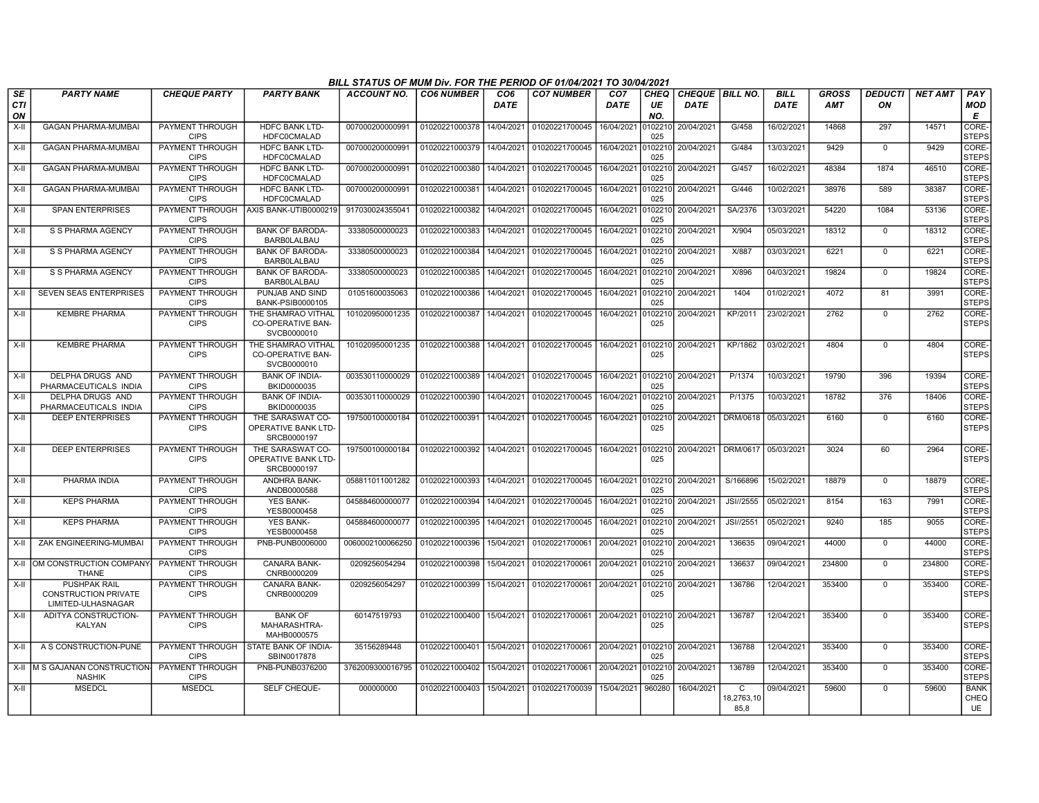|            |                                                                          |                                |                                                               | BILL STATUS OF MUM Div. FOR THE PERIOD OF 01/04/2021 TO 30/04/2021 |                   |             |                                              |                    |                |                        |                         |             |              |                |                |                           |
|------------|--------------------------------------------------------------------------|--------------------------------|---------------------------------------------------------------|--------------------------------------------------------------------|-------------------|-------------|----------------------------------------------|--------------------|----------------|------------------------|-------------------------|-------------|--------------|----------------|----------------|---------------------------|
| <b>SE</b>  | <b>PARTY NAME</b>                                                        | <b>CHEQUE PARTY</b>            | <b>PARTY BANK</b>                                             | <b>ACCOUNT NO.</b>                                                 | <b>CO6 NUMBER</b> | CO6         | <b>CO7 NUMBER</b>                            | CO <sub>7</sub>    | <b>CHEO</b>    | <b>CHEQUE BILL NO.</b> |                         | <b>BILL</b> | <b>GROSS</b> | <b>DEDUCTI</b> | <b>NET AMT</b> | PAY                       |
| <b>CTI</b> |                                                                          |                                |                                                               |                                                                    |                   | <b>DATE</b> |                                              | <b>DATE</b>        | UE             | <b>DATE</b>            |                         | <b>DATE</b> | <b>AMT</b>   | ON             |                | MOD                       |
| ON         |                                                                          |                                |                                                               |                                                                    |                   |             |                                              |                    | NO.            |                        |                         |             |              |                |                | Е                         |
| X-II       | <b>GAGAN PHARMA-MUMBAI</b>                                               | PAYMENT THROUGH<br><b>CIPS</b> | <b>HDFC BANK LTD-</b><br><b>HDFC0CMALAD</b>                   | 007000200000991                                                    | 01020221000378    | 14/04/2021  | 01020221700045                               | 16/04/2021         | 0102210<br>025 | 20/04/2021             | G/458                   | 16/02/2021  | 14868        | 297            | 14571          | CORE-<br><b>STEPS</b>     |
| $X-II$     | <b>GAGAN PHARMA-MUMBAI</b>                                               | PAYMENT THROUGH                | <b>HDFC BANK LTD-</b>                                         | 007000200000991                                                    | 01020221000379    | 14/04/2021  | 01020221700045 16/04/2021 0102210            |                    |                | 20/04/2021             | G/484                   | 13/03/2021  | 9429         | $\mathbf 0$    | 9429           | CORE-                     |
|            |                                                                          | <b>CIPS</b>                    | <b>HDFC0CMALAD</b>                                            |                                                                    |                   |             |                                              |                    | 025            |                        |                         |             |              |                |                | <b>STEPS</b>              |
| X-II       | <b>GAGAN PHARMA-MUMBAI</b>                                               | PAYMENT THROUGH<br><b>CIPS</b> | <b>HDFC BANK LTD-</b><br><b>HDFC0CMALAD</b>                   | 007000200000991                                                    | 01020221000380    | 14/04/2021  | 01020221700045 16/04/2021 0102210 20/04/2021 |                    | 025            |                        | G/457                   | 16/02/2021  | 48384        | 1874           | 46510          | CORE-<br><b>STEPS</b>     |
| X-II       | <b>GAGAN PHARMA-MUMBAI</b>                                               | PAYMENT THROUGH<br><b>CIPS</b> | <b>HDFC BANK LTD-</b><br><b>HDFC0CMALAD</b>                   | 007000200000991                                                    | 01020221000381    | 14/04/2021  | 01020221700045                               | 16/04/2021         | 0102210<br>025 | 20/04/2021             | G/446                   | 10/02/2021  | 38976        | 589            | 38387          | CORE-<br><b>STEPS</b>     |
| $X-II$     | <b>SPAN ENTERPRISES</b>                                                  | PAYMENT THROUGH<br><b>CIPS</b> | AXIS BANK-UTIB0000219                                         | 917030024355041                                                    | 01020221000382    | 14/04/2021  | 01020221700045                               | 16/04/2021         | 0102210<br>025 | 20/04/2021             | SA/2376                 | 13/03/2021  | 54220        | 1084           | 53136          | CORE-<br><b>STEPS</b>     |
| X-II       | S S PHARMA AGENCY                                                        | PAYMENT THROUGH<br><b>CIPS</b> | <b>BANK OF BARODA-</b><br><b>BARBOLALBAU</b>                  | 33380500000023                                                     | 01020221000383    | 14/04/2021  | 01020221700045 16/04/2021                    |                    | 0102210<br>025 | 20/04/2021             | X/904                   | 05/03/2021  | 18312        | $\mathbf 0$    | 18312          | CORE-<br><b>STEPS</b>     |
| X-II       | S S PHARMA AGENCY                                                        | PAYMENT THROUGH<br><b>CIPS</b> | <b>BANK OF BARODA-</b><br><b>BARBOLALBAU</b>                  | 33380500000023                                                     | 01020221000384    | 14/04/2021  | 01020221700045                               | 16/04/2021         | 0102210<br>025 | 20/04/2021             | <b>X/887</b>            | 03/03/2021  | 6221         | $\mathbf 0$    | 6221           | CORE-<br><b>STEPS</b>     |
| X-II       | S S PHARMA AGENCY                                                        | PAYMENT THROUGH<br><b>CIPS</b> | <b>BANK OF BARODA-</b><br><b>BARBOLALBAU</b>                  | 33380500000023                                                     | 01020221000385    | 14/04/2021  | 01020221700045                               | 16/04/2021         | 0102210<br>025 | 20/04/2021             | X/896                   | 04/03/2021  | 19824        | $\Omega$       | 19824          | CORE-<br><b>STEPS</b>     |
| X-II       | <b>SEVEN SEAS ENTERPRISES</b>                                            | PAYMENT THROUGH<br><b>CIPS</b> | PUNJAB AND SIND<br>BANK-PSIB0000105                           | 01051600035063                                                     | 01020221000386    | 14/04/2021  | 01020221700045                               | 16/04/2021         | 0102210<br>025 | 20/04/2021             | 1404                    | 01/02/2021  | 4072         | 81             | 3991           | CORE-<br><b>STEPS</b>     |
| X-II       | <b>KEMBRE PHARMA</b>                                                     | PAYMENT THROUGH<br><b>CIPS</b> | THE SHAMRAO VITHAL<br><b>CO-OPERATIVE BAN-</b><br>SVCB0000010 | 101020950001235                                                    | 01020221000387    | 14/04/2021  | 01020221700045                               | 16/04/2021         | 0102210<br>025 | 20/04/2021             | KP/2011                 | 23/02/2021  | 2762         | $\mathbf 0$    | 2762           | CORE-<br><b>STEPS</b>     |
| $X-II$     | <b>KEMBRE PHARMA</b>                                                     | PAYMENT THROUGH<br><b>CIPS</b> | THE SHAMRAO VITHAL<br><b>CO-OPERATIVE BAN-</b><br>SVCB0000010 | 101020950001235                                                    | 01020221000388    | 14/04/2021  | 01020221700045 16/04/2021                    |                    | 025            | 0102210 20/04/2021     | KP/1862                 | 03/02/2021  | 4804         | $\overline{0}$ | 4804           | CORE-<br><b>STEPS</b>     |
| X-II       | DELPHA DRUGS AND<br>PHARMACEUTICALS INDIA                                | PAYMENT THROUGH<br><b>CIPS</b> | <b>BANK OF INDIA-</b><br>BKID0000035                          | 003530110000029                                                    | 01020221000389    | 14/04/2021  | 01020221700045 16/04/2021                    |                    | 0102210<br>025 | 20/04/2021             | P/1374                  | 10/03/2021  | 19790        | 396            | 19394          | CORE-<br><b>STEPS</b>     |
| $X-II$     | DELPHA DRUGS AND<br>PHARMACEUTICALS INDIA                                | PAYMENT THROUGH<br><b>CIPS</b> | <b>BANK OF INDIA-</b><br>BKID0000035                          | 003530110000029                                                    | 01020221000390    | 14/04/2021  | 01020221700045 16/04/2021                    |                    | 0102210<br>025 | 20/04/2021             | P/1375                  | 10/03/2021  | 18782        | 376            | 18406          | CORE-<br><b>STEPS</b>     |
| X-II       | <b>DEEP ENTERPRISES</b>                                                  | PAYMENT THROUGH<br><b>CIPS</b> | THE SARASWAT CO-<br>OPERATIVE BANK LTD-<br>SRCB0000197        | 197500100000184                                                    | 01020221000391    | 14/04/2021  | 01020221700045 16/04/2021                    |                    | 0102210<br>025 | 20/04/2021             | DRM/0618                | 05/03/2021  | 6160         | $\mathbf 0$    | 6160           | CORE-<br><b>STEPS</b>     |
| X-II       | <b>DEEP ENTERPRISES</b>                                                  | PAYMENT THROUGH<br><b>CIPS</b> | THE SARASWAT CO-<br>OPERATIVE BANK LTD-<br>SRCB0000197        | 197500100000184                                                    | 01020221000392    | 14/04/2021  | 01020221700045 16/04/2021                    |                    | 0102210<br>025 | 20/04/2021             | DRM/0617                | 05/03/2021  | 3024         | 60             | 2964           | CORE-<br><b>STEPS</b>     |
| X-II       | PHARMA INDIA                                                             | PAYMENT THROUGH<br><b>CIPS</b> | <b>ANDHRA BANK-</b><br>ANDB0000588                            | 058811011001282                                                    | 01020221000393    | 14/04/2021  | 01020221700045                               | 16/04/2021 0102210 | 025            | 20/04/2021             | S/166896                | 15/02/2021  | 18879        | $\mathbf 0$    | 18879          | CORE-<br><b>STEPS</b>     |
| X-II       | <b>KEPS PHARMA</b>                                                       | PAYMENT THROUGH<br><b>CIPS</b> | <b>YES BANK-</b><br>YESB0000458                               | 045884600000077                                                    | 01020221000394    | 14/04/2021  | 01020221700045                               | 16/04/2021         | 025            | 0102210 20/04/2021     | JSI//2555               | 05/02/2021  | 8154         | 163            | 7991           | CORE-<br><b>STEPS</b>     |
| $X-II$     | <b>KEPS PHARMA</b>                                                       | PAYMENT THROUGH<br><b>CIPS</b> | <b>YES BANK-</b><br>YESB0000458                               | 045884600000077                                                    | 01020221000395    | 14/04/2021  | 01020221700045                               | 16/04/2021         | 0102210<br>025 | 20/04/2021             | JSI//2551               | 05/02/2021  | 9240         | 185            | 9055           | CORE-<br><b>STEPS</b>     |
| X-II       | ZAK ENGINEERING-MUMBAI                                                   | PAYMENT THROUGH<br><b>CIPS</b> | PNB-PUNB0006000                                               | 0060002100066250                                                   | 01020221000396    | 15/04/2021  | 01020221700061                               | 20/04/2021         | 0102210<br>025 | 20/04/2021             | 136635                  | 09/04/2021  | 44000        | $\mathbf 0$    | 44000          | CORE-<br><b>STEPS</b>     |
|            | X-II IOM CONSTRUCTION COMPANY<br><b>THANE</b>                            | PAYMENT THROUGH<br><b>CIPS</b> | <b>CANARA BANK-</b><br>CNRB0000209                            | 0209256054294                                                      | 01020221000398    | 15/04/2021  | 01020221700061                               | 20/04/2021         | 0102210<br>025 | 20/04/2021             | 136637                  | 09/04/2021  | 234800       | $\Omega$       | 234800         | CORE-<br><b>STEPS</b>     |
| X-II       | <b>PUSHPAK RAIL</b><br><b>CONSTRUCTION PRIVATE</b><br>LIMITED-ULHASNAGAR | PAYMENT THROUGH<br><b>CIPS</b> | CANARA BANK-<br>CNRB0000209                                   | 0209256054297                                                      | 01020221000399    | 15/04/2021  | 01020221700061                               | 20/04/2021         | 0102210<br>025 | 20/04/2021             | 136786                  | 12/04/2021  | 353400       | $\Omega$       | 353400         | CORE-<br><b>STEPS</b>     |
| $X-H$      | ADITYA CONSTRUCTION-<br><b>KALYAN</b>                                    | PAYMENT THROUGH<br><b>CIPS</b> | <b>BANK OF</b><br>MAHARASHTRA-<br>MAHB0000575                 | 60147519793                                                        | 01020221000400    | 15/04/2021  | 01020221700061                               | 20/04/2021 0102210 | 025            | 20/04/2021             | 136787                  | 12/04/2021  | 353400       | $\Omega$       | 353400         | CORE-<br><b>STEPS</b>     |
| $X-H$      | A S CONSTRUCTION-PUNE                                                    | <b>CIPS</b>                    | PAYMENT THROUGH ISTATE BANK OF INDIA-<br>SBIN0017878          | 35156289448                                                        | 01020221000401    | 15/04/2021  | 01020221700061                               | 20/04/2021 0102210 | 025            | 20/04/2021             | 136788                  | 12/04/2021  | 353400       | $\Omega$       | 353400         | CORE-<br><b>STEPS</b>     |
|            | X-II M S GAJANAN CONSTRUCTION-<br><b>NASHIK</b>                          | PAYMENT THROUGH<br><b>CIPS</b> | PNB-PUNB0376200                                               | 3762009300016795                                                   | 01020221000402    | 15/04/2021  | 01020221700061                               | 20/04/2021         | 0102210<br>025 | 20/04/2021             | 136789                  | 12/04/2021  | 353400       | $\Omega$       | 353400         | CORE-<br><b>STEPS</b>     |
| X-II       | <b>MSEDCL</b>                                                            | <b>MSEDCL</b>                  | SELF CHEQUE-                                                  | 000000000                                                          | 01020221000403    | 15/04/2021  | 01020221700039                               | 15/04/2021         | 960280         | 16/04/2021             | C<br>18,2763,10<br>85,8 | 09/04/2021  | 59600        | $\Omega$       | 59600          | <b>BANK</b><br>CHEQ<br>UE |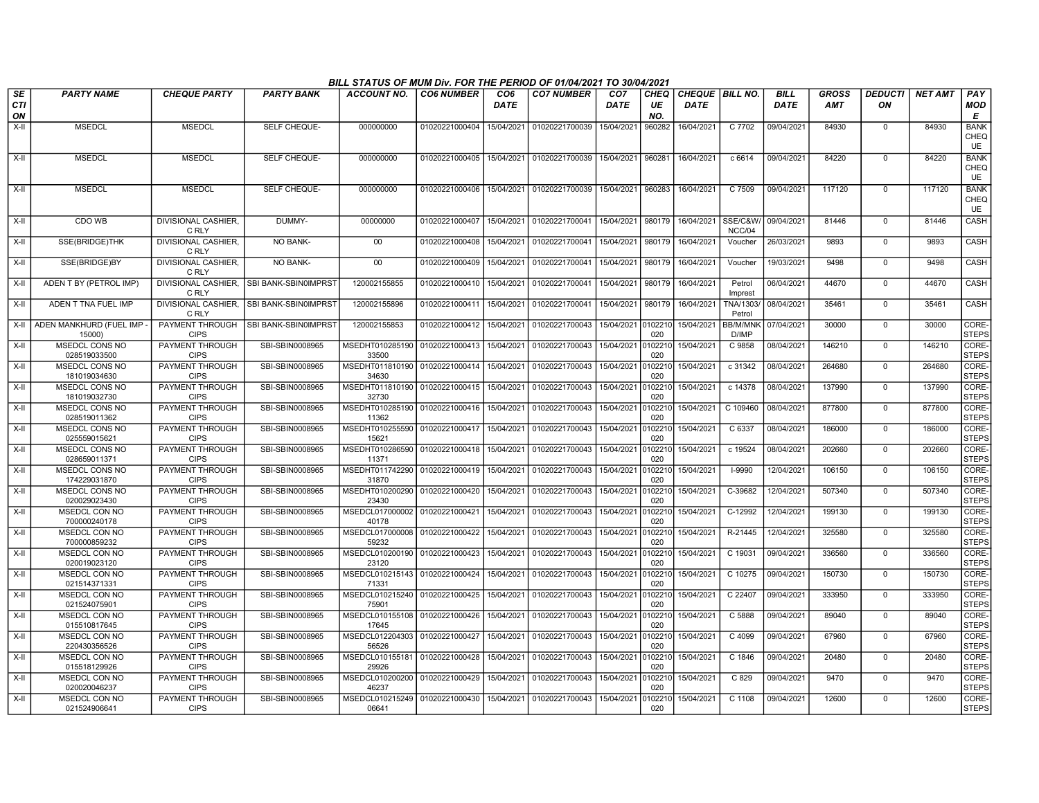|           |                                        |                                       |                                          | BILL STATUS OF MUM Div. FOR THE PERIOD OF 01/04/2021 TO 30/04/2021 |                   |                                |                           |                                |                   |                                       |                          |                            |                            |                      |                |                                  |
|-----------|----------------------------------------|---------------------------------------|------------------------------------------|--------------------------------------------------------------------|-------------------|--------------------------------|---------------------------|--------------------------------|-------------------|---------------------------------------|--------------------------|----------------------------|----------------------------|----------------------|----------------|----------------------------------|
| SE<br>CTI | <b>PARTY NAME</b>                      | <b>CHEQUE PARTY</b>                   | <b>PARTY BANK</b>                        | <b>ACCOUNT NO.</b>                                                 | <b>CO6 NUMBER</b> | CO <sub>6</sub><br><b>DATE</b> | <b>CO7 NUMBER</b>         | CO <sub>7</sub><br><b>DATE</b> | <b>CHEO</b><br>UE | <b>CHEQUE BILL NO.</b><br><b>DATE</b> |                          | <b>BILL</b><br><b>DATE</b> | <b>GROSS</b><br><b>AMT</b> | <b>DEDUCTI</b><br>ON | <b>NET AMT</b> | PAY<br>MOD                       |
| ON        |                                        |                                       |                                          |                                                                    |                   |                                |                           |                                | NO.               |                                       |                          |                            |                            |                      |                | Е                                |
| X-II      | <b>MSEDCL</b>                          | <b>MSEDCL</b>                         | SELF CHEQUE-                             | 000000000                                                          | 01020221000404    | 15/04/2021                     | 01020221700039            | 15/04/2021                     | 960282            | 16/04/2021                            | C 7702                   | 09/04/2021                 | 84930                      | $\mathbf 0$          | 84930          | <b>BANK</b><br>CHEQ<br><b>UE</b> |
| X-II      | <b>MSEDCL</b>                          | <b>MSEDCL</b>                         | SELF CHEQUE-                             | 000000000                                                          | 01020221000405    | 15/04/2021                     | 01020221700039 15/04/2021 |                                | 960281            | 16/04/2021                            | c 6614                   | 09/04/2021                 | 84220                      | $\Omega$             | 84220          | <b>BANK</b><br>CHEQ<br><b>UE</b> |
| $X-H$     | <b>MSEDCL</b>                          | <b>MSEDCL</b>                         | SELF CHEQUE-                             | 000000000                                                          | 01020221000406    | 15/04/2021                     | 01020221700039            | 15/04/2021                     | 960283            | 16/04/2021                            | C 7509                   | 09/04/2021                 | 117120                     | $\mathbf 0$          | 117120         | <b>BANK</b><br>CHEQ<br><b>UE</b> |
| X-II      | CDO WB                                 | DIVISIONAL CASHIER,<br>C RLY          | DUMMY-                                   | 00000000                                                           | 01020221000407    | 15/04/2021                     | 01020221700041            | 15/04/2021                     | 980179            | 16/04/2021                            | SSE/C&W<br>NCC/04        | 09/04/2021                 | 81446                      | $\mathbf 0$          | 81446          | CASH                             |
| X-II      | SSE(BRIDGE)THK                         | <b>DIVISIONAL CASHIER.</b><br>C RLY   | <b>NO BANK-</b>                          | 00                                                                 | 01020221000408    | 15/04/2021                     | 01020221700041            | 15/04/2021                     | 980179            | 16/04/2021                            | Voucher                  | 26/03/2021                 | 9893                       | $\mathbf 0$          | 9893           | <b>CASH</b>                      |
| X-II      | SSE(BRIDGE)BY                          | DIVISIONAL CASHIER.<br>C RLY          | <b>NO BANK-</b>                          | $00\,$                                                             | 01020221000409    | 15/04/2021                     | 01020221700041            | 15/04/2021                     | 980179            | 16/04/2021                            | Voucher                  | 19/03/2021                 | 9498                       | $\mathbf 0$          | 9498           | CASH                             |
| X-II      | ADEN T BY (PETROL IMP)                 | C RLY                                 | DIVISIONAL CASHIER, SBI BANK-SBIN0IMPRST | 120002155855                                                       | 01020221000410    | 15/04/2021                     | 01020221700041            | 15/04/2021                     | 980179            | 16/04/2021                            | Petrol<br>Imprest        | 06/04/2021                 | 44670                      | $\mathbf 0$          | 44670          | CASH                             |
| X-II      | ADEN T TNA FUEL IMP                    | C RLY                                 | DIVISIONAL CASHIER, SBI BANK-SBIN0IMPRST | 120002155896                                                       | 01020221000411    | 15/04/2021                     | 01020221700041            | 15/04/2021                     | 980179            | 16/04/2021                            | TNA/1303/<br>Petrol      | 08/04/2021                 | 35461                      | $\mathbf 0$          | 35461          | <b>CASH</b>                      |
|           | X-II ADEN MANKHURD (FUEL IMP<br>15000) | PAYMENT THROUGH<br><b>CIPS</b>        | SBI BANK-SBIN0IMPRST                     | 120002155853                                                       | 01020221000412    | 15/04/2021                     | 01020221700043            | 15/04/2021                     | 0102210<br>020    | 15/04/2021                            | <b>BB/M/MNK</b><br>D/IMP | 07/04/2021                 | 30000                      | $\mathbf 0$          | 30000          | CORE-<br><b>STEPS</b>            |
| X-II      | <b>MSEDCL CONS NO</b><br>028519033500  | <b>PAYMENT THROUGH</b><br><b>CIPS</b> | SBI-SBIN0008965                          | MSEDHT010285190 01020221000413<br>33500                            |                   | 15/04/2021                     | 01020221700043            | 15/04/2021                     | 102210<br>020     | 15/04/2021                            | C 9858                   | 08/04/2021                 | 146210                     | $\mathbf 0$          | 146210         | CORE-<br><b>STEPS</b>            |
| X-II      | MSEDCL CONS NO<br>181019034630         | PAYMENT THROUGH<br><b>CIPS</b>        | SBI-SBIN0008965                          | MSEDHT011810190<br>34630                                           | 01020221000414    | 15/04/2021                     | 01020221700043            | 15/04/2021                     | 0102210<br>020    | 15/04/2021                            | c 31342                  | 08/04/2021                 | 264680                     | $^{\circ}$           | 264680         | CORE-<br><b>STEPS</b>            |
| X-II      | MSEDCL CONS NO<br>181019032730         | PAYMENT THROUGH<br><b>CIPS</b>        | SBI-SBIN0008965                          | MSEDHT011810190 01020221000415<br>32730                            |                   | 15/04/2021                     | 01020221700043            | 15/04/2021                     | 102210<br>020     | 15/04/2021                            | c 14378                  | 08/04/2021                 | 137990                     | $\overline{0}$       | 137990         | CORE-<br><b>STEPS</b>            |
| X-II      | <b>MSEDCL CONS NO</b><br>028519011362  | PAYMENT THROUGH<br><b>CIPS</b>        | SBI-SBIN0008965                          | MSEDHT010285190 01020221000416<br>11362                            |                   | 15/04/2021                     | 01020221700043            | 15/04/2021                     | 0102210<br>020    | 15/04/2021                            | C 109460                 | 08/04/2021                 | 877800                     | $\mathbf 0$          | 877800         | CORE-<br><b>STEPS</b>            |
| X-II      | MSEDCL CONS NO<br>025559015621         | <b>PAYMENT THROUGH</b><br><b>CIPS</b> | SBI-SBIN0008965                          | MSEDHT010255590 01020221000417<br>15621                            |                   | 15/04/2021                     | 01020221700043            | 15/04/2021                     | 0102210<br>020    | 15/04/2021                            | C6337                    | 08/04/2021                 | 186000                     | $\mathbf 0$          | 186000         | CORE-<br><b>STEPS</b>            |
| X-II      | MSEDCL CONS NO<br>028659011371         | PAYMENT THROUGH<br><b>CIPS</b>        | SBI-SBIN0008965                          | MSEDHT010286590   01020221000418<br>11371                          |                   | 15/04/2021                     | 01020221700043            | 15/04/2021                     | 102210<br>020     | 15/04/2021                            | c 19524                  | 08/04/2021                 | 202660                     | $^{\circ}$           | 202660         | CORE-<br><b>STEPS</b>            |
| X-II      | MSEDCL CONS NO<br>174229031870         | <b>PAYMENT THROUGH</b><br><b>CIPS</b> | SBI-SBIN0008965                          | MSEDHT011742290<br>31870                                           | 01020221000419    | 15/04/2021                     | 01020221700043            | 15/04/2021                     | 102210<br>020     | 15/04/2021                            | I-9990                   | 12/04/2021                 | 106150                     | $\mathbf 0$          | 106150         | CORE-<br><b>STEPS</b>            |
| X-II      | <b>MSEDCL CONS NO</b><br>020029023430  | PAYMENT THROUGH<br><b>CIPS</b>        | SBI-SBIN0008965                          | MSEDHT010200290 01020221000420<br>23430                            |                   | 15/04/2021                     | 01020221700043            | 15/04/2021                     | 102210<br>020     | 15/04/2021                            | C-39682                  | 12/04/2021                 | 507340                     | $\mathbf 0$          | 507340         | CORE-<br><b>STEPS</b>            |
| X-II      | MSEDCL CON NO<br>700000240178          | <b>PAYMENT THROUGH</b><br><b>CIPS</b> | SBI-SBIN0008965                          | MSEDCL017000002 01020221000421<br>40178                            |                   | 15/04/2021                     | 01020221700043            | 15/04/2021                     | 0102210<br>020    | 15/04/2021                            | $C-12992$                | 12/04/2021                 | 199130                     | $\mathbf 0$          | 199130         | CORE-<br><b>STEPS</b>            |
| X-II      | MSEDCL CON NO<br>700000859232          | PAYMENT THROUGH<br><b>CIPS</b>        | SBI-SBIN0008965                          | MSEDCL017000008<br>59232                                           | 01020221000422    | 15/04/2021                     | 01020221700043            | 15/04/2021                     | 102210<br>020     | 15/04/2021                            | R-21445                  | 12/04/2021                 | 325580                     | $\mathbf 0$          | 325580         | CORE-<br><b>STEPS</b>            |
| X-II      | MSEDCL CON NO<br>020019023120          | PAYMENT THROUGH<br><b>CIPS</b>        | SBI-SBIN0008965                          | MSEDCL010200190 01020221000423<br>23120                            |                   | 15/04/2021                     | 01020221700043            | 15/04/2021                     | 020               | 0102210 15/04/2021                    | C 19031                  | 09/04/2021                 | 336560                     | $\mathbf 0$          | 336560         | CORE-<br><b>STEPS</b>            |
| X-II      | <b>MSEDCL CON NO</b><br>021514371331   | PAYMENT THROUGH<br><b>CIPS</b>        | SBI-SBIN0008965                          | MSEDCL010215143 01020221000424<br>71331                            |                   | 15/04/2021                     | 01020221700043            | 15/04/2021                     | 0102210<br>020    | 15/04/2021                            | C 10275                  | 09/04/2021                 | 150730                     | $\mathbf 0$          | 150730         | CORE-<br><b>STEPS</b>            |
| X-II      | MSEDCL CON NO<br>021524075901          | <b>PAYMENT THROUGH</b><br><b>CIPS</b> | SBI-SBIN0008965                          | MSEDCL010215240 01020221000425<br>75901                            |                   | 15/04/2021                     | 01020221700043            | 15/04/2021                     | 0102210<br>020    | 15/04/2021                            | C 22407                  | 09/04/2021                 | 333950                     | $\mathbf 0$          | 333950         | CORE-<br><b>STEPS</b>            |
| X-II      | MSEDCL CON NO<br>015510817645          | PAYMENT THROUGH<br><b>CIPS</b>        | SBI-SBIN0008965                          | MSEDCL010155108 01020221000426<br>17645                            |                   | 15/04/2021                     | 01020221700043            | 15/04/2021                     | 102210<br>020     | 15/04/2021                            | C 5888                   | 09/04/2021                 | 89040                      | $\mathbf 0$          | 89040          | CORE-<br><b>STEPS</b>            |
| X-II      | MSEDCL CON NO<br>220430356526          | PAYMENT THROUGH<br><b>CIPS</b>        | SBI-SBIN0008965                          | MSEDCL012204303<br>56526                                           | 01020221000427    | 15/04/2021                     | 01020221700043            | 15/04/2021                     | 102210<br>020     | 15/04/2021                            | C 4099                   | 09/04/2021                 | 67960                      | $\mathbf 0$          | 67960          | CORE-<br><b>STEPS</b>            |
| X-II      | <b>MSEDCL CON NO</b><br>015518129926   | PAYMENT THROUGH<br><b>CIPS</b>        | SBI-SBIN0008965                          | MSEDCL010155181<br>29926                                           | 01020221000428    | 15/04/2021                     | 01020221700043            | 15/04/2021                     | 102210<br>020     | 15/04/2021                            | C 1846                   | 09/04/2021                 | 20480                      | $\mathbf 0$          | 20480          | CORE-<br><b>STEPS</b>            |
| X-II      | <b>MSEDCL CON NO</b><br>020020046237   | <b>PAYMENT THROUGH</b><br><b>CIPS</b> | SBI-SBIN0008965                          | MSEDCL010200200 01020221000429<br>46237                            |                   | 15/04/2021                     | 01020221700043            | 15/04/2021                     | 102210<br>020     | 15/04/2021                            | C829                     | 09/04/2021                 | 9470                       | $\mathbf 0$          | 9470           | CORE-<br><b>STEPS</b>            |
| X-II      | MSEDCL CON NO<br>021524906641          | PAYMENT THROUGH<br><b>CIPS</b>        | SBI-SBIN0008965                          | MSEDCL010215249   01020221000430<br>06641                          |                   | 15/04/2021                     | 01020221700043            | 15/04/2021                     | 0102210<br>020    | 15/04/2021                            | C 1108                   | 09/04/2021                 | 12600                      | $^{\circ}$           | 12600          | CORE-<br><b>STEPS</b>            |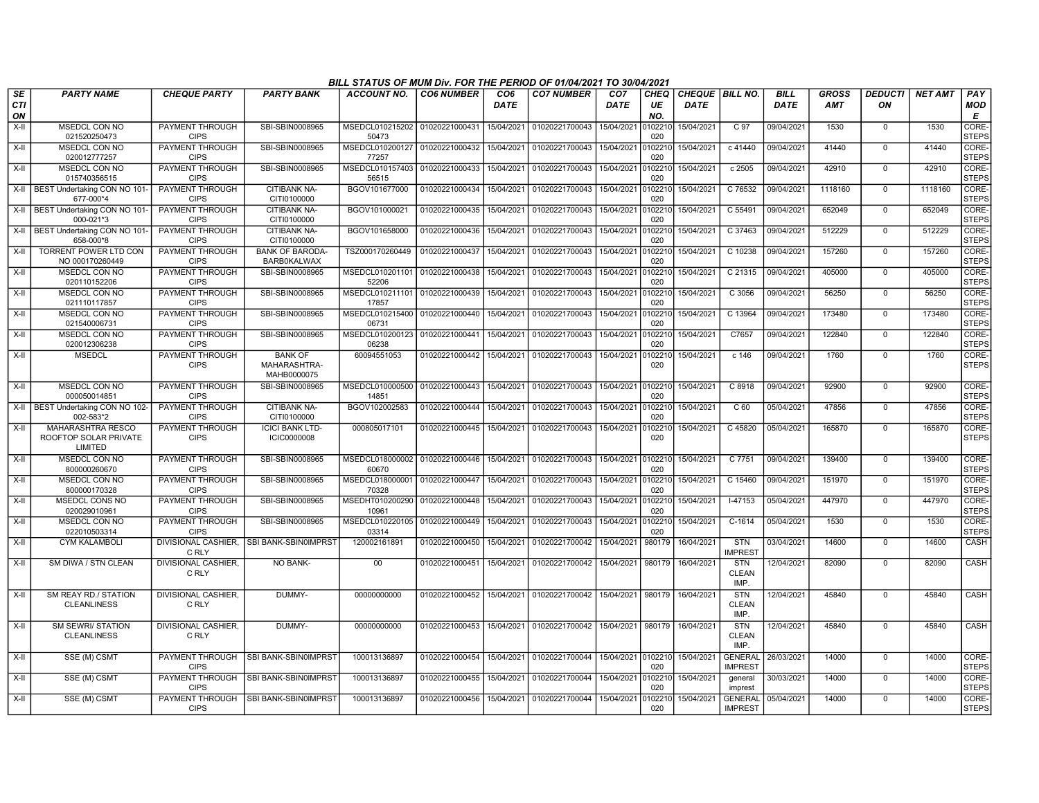|                         |                                                       |                                       |                                               | BILL STATUS OF MUM Div. FOR THE PERIOD OF 01/04/2021 TO 30/04/2021 |                   |                         |                           |                         |                      |                                |                                    |                     |                     |                      |                |                            |
|-------------------------|-------------------------------------------------------|---------------------------------------|-----------------------------------------------|--------------------------------------------------------------------|-------------------|-------------------------|---------------------------|-------------------------|----------------------|--------------------------------|------------------------------------|---------------------|---------------------|----------------------|----------------|----------------------------|
| <b>SE</b><br><b>CTI</b> | <b>PARTY NAME</b>                                     | <b>CHEQUE PARTY</b>                   | <b>PARTY BANK</b>                             | <b>ACCOUNT NO.</b>                                                 | <b>CO6 NUMBER</b> | CO <sub>6</sub><br>DATE | <b>CO7 NUMBER</b>         | CO <sub>7</sub><br>DATE | <b>CHEQ</b><br>UE    | CHEQUE BILL NO.<br><b>DATE</b> |                                    | <b>BILL</b><br>DATE | <b>GROSS</b><br>AMT | <b>DEDUCTI</b><br>ON | <b>NET AMT</b> | PAY<br><b>MOD</b>          |
| ON<br>X-II              | MSEDCL CON NO<br>021520250473                         | <b>PAYMENT THROUGH</b><br><b>CIPS</b> | SBI-SBIN0008965                               | MSEDCL010215202<br>50473                                           | 01020221000431    | 15/04/2021              | 01020221700043            | 15/04/2021              | NO.<br>010221<br>020 | 15/04/2021                     | C 97                               | 09/04/2021          | 1530                | $\mathbf 0$          | 1530           | E<br>CORE-<br><b>STEPS</b> |
| X-II                    | <b>MSEDCL CON NO</b><br>020012777257                  | PAYMENT THROUGH<br><b>CIPS</b>        | SBI-SBIN0008965                               | MSEDCL010200127 01020221000432<br>77257                            |                   | 15/04/2021              | 01020221700043            | 15/04/2021              | 0102210<br>020       | 15/04/2021                     | c 41440                            | 09/04/2021          | 41440               | $\overline{0}$       | 41440          | CORE-<br><b>STEPS</b>      |
| $X-H$                   | <b>MSEDCL CON NO</b><br>015740356515                  | <b>PAYMENT THROUGH</b><br><b>CIPS</b> | SBI-SBIN0008965                               | MSEDCL010157403<br>56515                                           | 01020221000433    | 15/04/2021              | 01020221700043            | 15/04/2021              | 0102210<br>020       | 15/04/2021                     | $c$ 2505                           | 09/04/2021          | 42910               | $\Omega$             | 42910          | CORE-<br><b>STEPS</b>      |
|                         | X-II   BEST Undertaking CON NO 101-<br>677-000*4      | PAYMENT THROUGH<br><b>CIPS</b>        | <b>CITIBANK NA-</b><br>CITI0100000            | BGOV101677000                                                      | 01020221000434    | 15/04/2021              | 01020221700043            | 15/04/2021              | 010221<br>020        | 15/04/2021                     | C 76532                            | 09/04/2021          | 1118160             | $\mathbf 0$          | 1118160        | CORE-<br><b>STEPS</b>      |
|                         | X-II BEST Undertaking CON NO 101<br>000-021*3         | PAYMENT THROUGH<br><b>CIPS</b>        | <b>CITIBANK NA-</b><br>CITI0100000            | BGOV101000021                                                      | 01020221000435    | 15/04/2021              | 01020221700043            | 15/04/2021              | 0102210<br>020       | 15/04/2021                     | C 55491                            | 09/04/2021          | 652049              | $\mathbf 0$          | 652049         | CORE-<br><b>STEPS</b>      |
|                         | X-II   BEST Undertaking CON NO 101<br>658-000*8       | <b>PAYMENT THROUGH</b><br><b>CIPS</b> | <b>CITIBANK NA-</b><br>CITI0100000            | BGOV101658000                                                      | 01020221000436    | 15/04/2021              | 01020221700043            | 15/04/2021              | 010221<br>020        | 15/04/2021                     | C 37463                            | 09/04/2021          | 512229              | $\mathbf 0$          | 512229         | CORE-<br><b>STEPS</b>      |
| $X-II$                  | <b>TORRENT POWER LTD CON</b><br>NO 000170260449       | PAYMENT THROUGH<br><b>CIPS</b>        | <b>BANK OF BARODA-</b><br><b>BARB0KALWAX</b>  | TSZ000170260449                                                    | 01020221000437    | 15/04/2021              | 01020221700043            | 15/04/2021              | 010221<br>020        | 15/04/2021                     | C 10238                            | 09/04/2021          | 157260              | $\Omega$             | 157260         | CORE-<br><b>STEPS</b>      |
| X-II                    | MSEDCL CON NO<br>020110152206                         | PAYMENT THROUGH<br><b>CIPS</b>        | SBI-SBIN0008965                               | MSEDCL010201101<br>52206                                           | 01020221000438    | 15/04/2021              | 01020221700043            | 15/04/2021              | 0102210<br>020       | 15/04/2021                     | C 21315                            | 09/04/2021          | 405000              | $\Omega$             | 405000         | CORE-<br><b>STEPS</b>      |
| X-II                    | MSEDCL CON NO<br>021110117857                         | PAYMENT THROUGH<br><b>CIPS</b>        | SBI-SBIN0008965                               | MSEDCL010211101 01020221000439<br>17857                            |                   | 15/04/2021              | 01020221700043            | 15/04/2021              | 0102210<br>020       | 15/04/2021                     | C 3056                             | 09/04/2021          | 56250               | $\overline{0}$       | 56250          | CORE-<br><b>STEPS</b>      |
| $X-H$                   | <b>MSEDCL CON NO</b><br>021540006731                  | PAYMENT THROUGH<br><b>CIPS</b>        | SBI-SBIN0008965                               | MSEDCL010215400<br>06731                                           | 01020221000440    | 15/04/2021              | 01020221700043            | 15/04/2021              | 0102210<br>020       | 15/04/2021                     | C 13964                            | 09/04/2021          | 173480              | $\Omega$             | 173480         | CORE-<br><b>STEPS</b>      |
| $X-H$                   | MSEDCL CON NO<br>020012306238                         | PAYMENT THROUGH<br><b>CIPS</b>        | SBI-SBIN0008965                               | MSEDCL010200123 01020221000441<br>06238                            |                   | 15/04/2021              | 01020221700043            | 15/04/2021              | 0102210<br>020       | 15/04/2021                     | C7657                              | 09/04/2021          | 122840              | $\mathbf 0$          | 122840         | CORE-<br><b>STEPS</b>      |
| X-II                    | <b>MSEDCL</b>                                         | PAYMENT THROUGH<br><b>CIPS</b>        | <b>BANK OF</b><br>MAHARASHTRA-<br>MAHB0000075 | 60094551053                                                        | 01020221000442    | 15/04/2021              | 01020221700043            | 15/04/2021              | 0102210<br>020       | 15/04/2021                     | c 146                              | 09/04/2021          | 1760                | $\mathbf 0$          | 1760           | CORE-<br><b>STEPS</b>      |
| $X-H$                   | <b>MSEDCL CON NO</b><br>000050014851                  | <b>PAYMENT THROUGH</b><br><b>CIPS</b> | SBI-SBIN0008965                               | MSEDCL010000500<br>14851                                           | 01020221000443    | 15/04/2021              | 01020221700043            | 15/04/2021              | 0102210<br>020       | 15/04/2021                     | C 8918                             | 09/04/2021          | 92900               | $\Omega$             | 92900          | CORE-<br><b>STEPS</b>      |
|                         | X-II   BEST Undertaking CON NO 102-<br>002-583*2      | <b>PAYMENT THROUGH</b><br><b>CIPS</b> | <b>CITIBANK NA-</b><br>CITI0100000            | BGOV102002583                                                      | 01020221000444    | 15/04/2021              | 01020221700043            | 15/04/2021              | 0102210<br>020       | 15/04/2021                     | C <sub>60</sub>                    | 05/04/2021          | 47856               | $\mathbf 0$          | 47856          | CORE-<br><b>STEPS</b>      |
| X-II                    | MAHARASHTRA RESCO<br>ROOFTOP SOLAR PRIVATE<br>LIMITED | PAYMENT THROUGH<br><b>CIPS</b>        | <b>ICICI BANK LTD-</b><br><b>ICIC0000008</b>  | 000805017101                                                       | 01020221000445    | 15/04/2021              | 01020221700043            | 15/04/2021              | 0102210<br>020       | 15/04/2021                     | C 45820                            | 05/04/2021          | 165870              | $\Omega$             | 165870         | CORE-<br><b>STEPS</b>      |
| $X-H$                   | <b>MSEDCL CON NO</b><br>800000260670                  | PAYMENT THROUGH<br><b>CIPS</b>        | SBI-SBIN0008965                               | MSEDCL018000002<br>60670                                           | 01020221000446    | 15/04/2021              | 01020221700043            | 15/04/2021              | 0102210<br>020       | 15/04/2021                     | C 7751                             | 09/04/2021          | 139400              | $\mathbf 0$          | 139400         | CORE-<br><b>STEPS</b>      |
| X-II                    | MSEDCL CON NO<br>800000170328                         | <b>PAYMENT THROUGH</b><br><b>CIPS</b> | SBI-SBIN0008965                               | MSEDCL018000001<br>70328                                           | 01020221000447    | 15/04/2021              | 01020221700043            | 15/04/2021              | 0102210<br>020       | 15/04/2021                     | C 15460                            | 09/04/2021          | 151970              | $\mathbf 0$          | 151970         | CORE-<br><b>STEPS</b>      |
| $X-II$                  | MSEDCL CONS NO<br>020029010961                        | PAYMENT THROUGH<br><b>CIPS</b>        | SBI-SBIN0008965                               | MSEDHT010200290<br>10961                                           | 01020221000448    | 15/04/2021              | 01020221700043            | 15/04/2021              | 0102210<br>020       | 15/04/2021                     | $I-47153$                          | 05/04/2021          | 447970              | $\Omega$             | 447970         | CORE-<br><b>STEPS</b>      |
| $X-II$                  | <b>MSEDCL CON NO</b><br>022010503314                  | PAYMENT THROUGH<br><b>CIPS</b>        | SBI-SBIN0008965                               | MSEDCL010220105 01020221000449<br>03314                            |                   | 15/04/2021              | 01020221700043            | 15/04/2021              | 0102210<br>020       | 15/04/2021                     | $C-1614$                           | 05/04/2021          | 1530                | $\mathbf 0$          | 1530           | CORE-<br><b>STEPS</b>      |
| $X-H$                   | <b>CYM KALAMBOLI</b>                                  | C RLY                                 | DIVISIONAL CASHIER. ISBI BANK-SBIN0IMPRST     | 120002161891                                                       | 01020221000450    | 15/04/2021              | 01020221700042            | 15/04/2021              | 980179               | 16/04/2021                     | <b>STN</b><br><b>IMPREST</b>       | 03/04/2021          | 14600               | $\mathbf 0$          | 14600          | CASH                       |
| $X-II$                  | SM DIWA / STN CLEAN                                   | <b>DIVISIONAL CASHIER.</b><br>C RLY   | <b>NO BANK-</b>                               | 00                                                                 | 01020221000451    | 15/04/2021              | 01020221700042            | 15/04/2021              | 980179               | 16/04/2021                     | <b>STN</b><br><b>CLEAN</b><br>IMP. | 12/04/2021          | 82090               | $\Omega$             | 82090          | CASH                       |
| X-II                    | <b>SM REAY RD./ STATION</b><br><b>CLEANLINESS</b>     | <b>DIVISIONAL CASHIER,</b><br>C RLY   | DUMMY-                                        | 00000000000                                                        | 01020221000452    | 15/04/2021              | 01020221700042            | 15/04/2021              | 980179               | 16/04/2021                     | STN<br><b>CLEAN</b><br>IMP.        | 12/04/2021          | 45840               | $\Omega$             | 45840          | CASH                       |
| $X-H$                   | <b>SM SEWRI/ STATION</b><br><b>CLEANLINESS</b>        | <b>DIVISIONAL CASHIER.</b><br>C RLY   | DUMMY-                                        | 00000000000                                                        | 01020221000453    | 15/04/2021              | 01020221700042            | 15/04/2021              | 980179               | 16/04/2021                     | <b>STN</b><br>CLEAN<br>IMP.        | 12/04/2021          | 45840               | $\Omega$             | 45840          | CASH                       |
| X-II                    | SSE (M) CSMT                                          | PAYMENT THROUGH<br><b>CIPS</b>        | SBI BANK-SBIN0IMPRST                          | 100013136897                                                       | 01020221000454    | 15/04/2021              | 01020221700044            | 15/04/2021 0102210      | 020                  | 15/04/2021                     | <b>GENERAL</b><br><b>IMPREST</b>   | 26/03/2021          | 14000               | $\Omega$             | 14000          | CORE-<br><b>STEPS</b>      |
| X-II                    | SSE (M) CSMT                                          | PAYMENT THROUGH<br><b>CIPS</b>        | <b>SBI BANK-SBIN0IMPRST</b>                   | 100013136897                                                       | 01020221000455    | 15/04/2021              | 01020221700044            | 15/04/2021              | 0102210<br>020       | 15/04/2021                     | general<br>imprest                 | 30/03/2021          | 14000               | $\mathbf 0$          | 14000          | CORE-<br><b>STEPS</b>      |
| $X-H$                   | SSE (M) CSMT                                          | <b>CIPS</b>                           | PAYMENT THROUGH ISBI BANK-SBIN0IMPRST         | 100013136897                                                       | 01020221000456    |                         | 15/04/2021 01020221700044 | 15/04/2021              | 0102210<br>020       | 15/04/2021                     | <b>GENERAL</b><br><b>IMPREST</b>   | 05/04/2021          | 14000               | $\Omega$             | 14000          | CORE-<br><b>STEPS</b>      |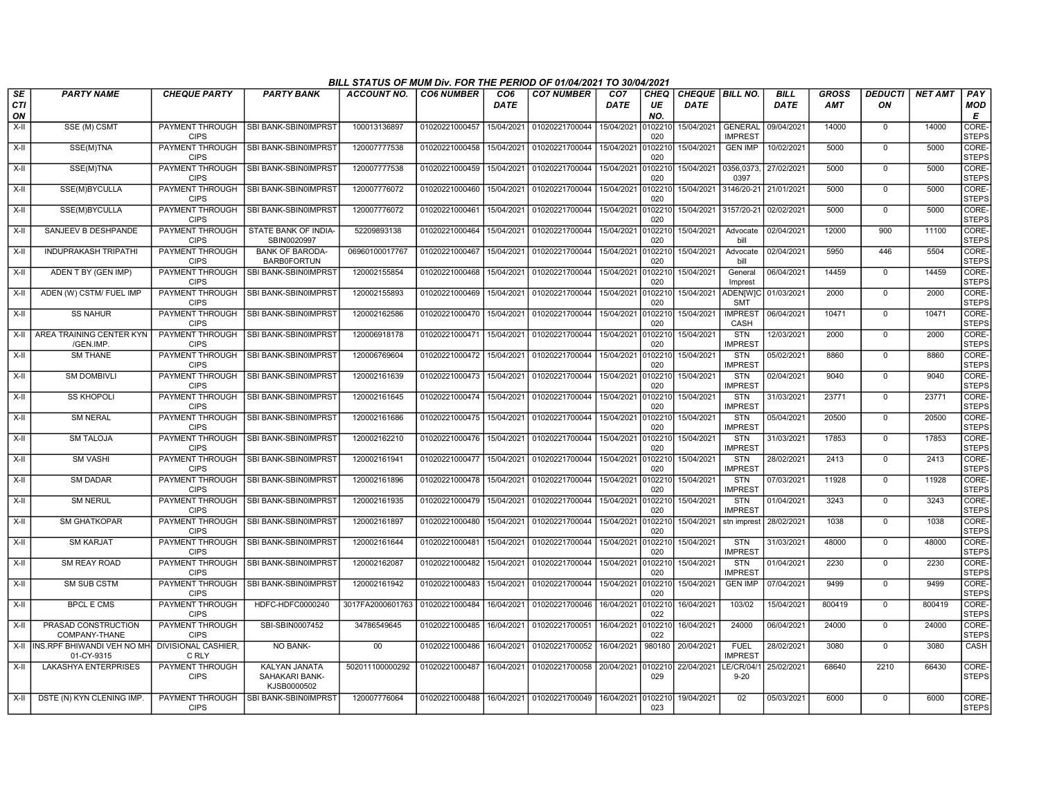|                        |                                           |                                       |                                                | BILL STATUS OF MUM Div. FOR THE PERIOD OF 01/04/2021 TO 30/04/2021 |                           |                         |                                   |                         |                          |                                       |                                  |                            |                            |                      |                |                             |
|------------------------|-------------------------------------------|---------------------------------------|------------------------------------------------|--------------------------------------------------------------------|---------------------------|-------------------------|-----------------------------------|-------------------------|--------------------------|---------------------------------------|----------------------------------|----------------------------|----------------------------|----------------------|----------------|-----------------------------|
| <b>SE</b><br>CTI<br>ON | <b>PARTY NAME</b>                         | <b>CHEQUE PARTY</b>                   | <b>PARTY BANK</b>                              | <b>ACCOUNT NO.</b>                                                 | <b>CO6 NUMBER</b>         | CO <sub>6</sub><br>DATE | <b>CO7 NUMBER</b>                 | CO <sub>7</sub><br>DATE | <b>CHEQ</b><br>UE<br>NO. | <b>CHEQUE BILL NO.</b><br><b>DATE</b> |                                  | <b>BILL</b><br><b>DATE</b> | <b>GROSS</b><br><b>AMT</b> | <b>DEDUCTI</b><br>ON | <b>NET AMT</b> | PAY<br>MOD<br>Е             |
| $X-II$                 | SSE (M) CSMT                              | <b>PAYMENT THROUGH</b><br><b>CIPS</b> | SBI BANK-SBIN0IMPRST                           | 100013136897                                                       | 01020221000457            | 15/04/2021              | 01020221700044                    | 15/04/2021              | 010221<br>020            | 15/04/2021                            | <b>GENERAL</b><br><b>IMPREST</b> | 09/04/2021                 | 14000                      | $\Omega$             | 14000          | <b>CORE</b><br><b>STEPS</b> |
| $X-H$                  | SSE(M)TNA                                 | PAYMENT THROUGH<br><b>CIPS</b>        | SBI BANK-SBIN0IMPRST                           | 120007777538                                                       | 01020221000458            | 15/04/2021              | 01020221700044                    | 15/04/2021              | 0102210<br>020           | 15/04/2021                            | <b>GEN IMP</b>                   | 10/02/2021                 | 5000                       | $\mathbf 0$          | 5000           | CORE-<br><b>STEPS</b>       |
| X-II                   | SSE(M)TNA                                 | <b>PAYMENT THROUGH</b><br><b>CIPS</b> | <b>SBI BANK-SBIN0IMPRST</b>                    | 120007777538                                                       | 01020221000459            | 15/04/2021              | 01020221700044                    | 15/04/2021              | 0102210<br>020           | 15/04/2021                            | 0356,0373,<br>0397               | 27/02/2021                 | 5000                       | $\mathbf 0$          | 5000           | CORE-<br><b>STEPS</b>       |
| $X-H$                  | SSE(M)BYCULLA                             | PAYMENT THROUGH<br><b>CIPS</b>        | SBI BANK-SBIN0IMPRST                           | 120007776072                                                       | 01020221000460            | 15/04/2021              | 01020221700044                    | 15/04/2021              | 0102210<br>020           | 15/04/2021                            | 3146/20-21                       | 21/01/2021                 | 5000                       | $\Omega$             | 5000           | CORE-<br><b>STEPS</b>       |
| X-II                   | SSE(M)BYCULLA                             | PAYMENT THROUGH<br><b>CIPS</b>        | SBI BANK-SBIN0IMPRST                           | 120007776072                                                       | 01020221000461            | 15/04/2021              | 01020221700044                    | 15/04/2021              | 0102210<br>020           | 15/04/2021                            | 3157/20-21                       | 02/02/2021                 | 5000                       | $\Omega$             | 5000           | CORE-<br><b>STEPS</b>       |
| $X-H$                  | SANJEEV B DESHPANDE                       | <b>PAYMENT THROUGH</b><br><b>CIPS</b> | STATE BANK OF INDIA-<br>SBIN0020997            | 52209893138                                                        | 01020221000464            | 15/04/2021              | 01020221700044                    | 15/04/2021              | 0102210<br>020           | 15/04/2021                            | Advocate<br>bill                 | 02/04/2021                 | 12000                      | 900                  | 11100          | CORE-<br><b>STEPS</b>       |
| X-II                   | <b>INDUPRAKASH TRIPATHI</b>               | <b>PAYMENT THROUGH</b><br><b>CIPS</b> | <b>BANK OF BARODA-</b><br><b>BARB0FORTUN</b>   | 06960100017767                                                     | 01020221000467            | 15/04/2021              | 01020221700044                    | 15/04/2021              | 010221<br>020            | 15/04/2021                            | Advocate<br>bill                 | 02/04/2021                 | 5950                       | 446                  | 5504           | CORE-<br><b>STEPS</b>       |
| X-II                   | ADEN T BY (GEN IMP)                       | PAYMENT THROUGH<br><b>CIPS</b>        | SBI BANK-SBIN0IMPRST                           | 120002155854                                                       | 01020221000468            | 15/04/2021              | 01020221700044                    | 15/04/2021              | 0102210<br>020           | 15/04/2021                            | General<br>Imprest               | 06/04/2021                 | 14459                      | $\Omega$             | 14459          | CORE-<br><b>STEPS</b>       |
| X-II                   | ADEN (W) CSTM/ FUEL IMP                   | PAYMENT THROUGH<br><b>CIPS</b>        | SBI BANK-SBIN0IMPRST                           | 120002155893                                                       | 01020221000469            | 15/04/2021              | 01020221700044                    | 15/04/2021              | 0102210<br>020           | 15/04/2021                            | <b>ADEN[W]C</b><br><b>SMT</b>    | 01/03/2021                 | 2000                       | $\mathbf 0$          | 2000           | CORE-<br><b>STEPS</b>       |
| $X-H$                  | <b>SS NAHUR</b>                           | <b>PAYMENT THROUGH</b><br><b>CIPS</b> | SBI BANK-SBIN0IMPRST                           | 120002162586                                                       | 01020221000470            | 15/04/2021              | 01020221700044                    | 15/04/2021              | 0102210<br>020           | 15/04/2021                            | <b>IMPREST</b><br>CASH           | 06/04/2021                 | 10471                      | $\mathbf 0$          | 10471          | CORE-<br><b>STEPS</b>       |
| $X-H$                  | AREA TRAINING CENTER KYN<br>/GEN.IMP.     | <b>PAYMENT THROUGH</b><br><b>CIPS</b> | SBI BANK-SBIN0IMPRST                           | 120006918178                                                       | 01020221000471            | 15/04/2021              | 01020221700044                    | 15/04/2021              | 0102210<br>020           | 15/04/2021                            | <b>STN</b><br><b>IMPREST</b>     | 12/03/2021                 | 2000                       | $\overline{0}$       | 2000           | CORE-<br><b>STEPS</b>       |
| X-II                   | <b>SM THANE</b>                           | PAYMENT THROUGH<br><b>CIPS</b>        | SBI BANK-SBIN0IMPRST                           | 120006769604                                                       | 01020221000472            | 15/04/2021              | 01020221700044                    | 15/04/2021              | 0102210<br>020           | 15/04/2021                            | <b>STN</b><br><b>IMPREST</b>     | 05/02/2021                 | 8860                       | $\mathbf 0$          | 8860           | CORE-<br><b>STEPS</b>       |
| $X-II$                 | <b>SM DOMBIVLI</b>                        | PAYMENT THROUGH<br><b>CIPS</b>        | SBI BANK-SBIN0IMPRST                           | 120002161639                                                       | 01020221000473            | 15/04/2021              | 01020221700044                    | 15/04/2021              | 0102210<br>020           | 15/04/2021                            | <b>STN</b><br><b>IMPREST</b>     | 02/04/2021                 | 9040                       | $\mathbf 0$          | 9040           | CORE-<br><b>STEPS</b>       |
| $X-H$                  | <b>SS KHOPOLI</b>                         | PAYMENT THROUGH<br><b>CIPS</b>        | SBI BANK-SBIN0IMPRST                           | 120002161645                                                       | 01020221000474            | 15/04/2021              | 01020221700044                    | 15/04/2021              | 010221<br>020            | 15/04/2021                            | <b>STN</b><br><b>IMPREST</b>     | 31/03/2021                 | 23771                      | 0                    | 23771          | CORE-<br><b>STEPS</b>       |
| X-II                   | <b>SM NERAL</b>                           | <b>PAYMENT THROUGH</b><br><b>CIPS</b> | SBI BANK-SBIN0IMPRST                           | 120002161686                                                       | 01020221000475            | 15/04/2021              | 01020221700044                    | 15/04/2021              | 0102210<br>020           | 15/04/2021                            | <b>STN</b><br><b>IMPREST</b>     | 05/04/2021                 | 20500                      | $\Omega$             | 20500          | <b>CORE</b><br><b>STEPS</b> |
| X-II                   | <b>SM TALOJA</b>                          | PAYMENT THROUGH<br><b>CIPS</b>        | SBI BANK-SBIN0IMPRST                           | 120002162210                                                       | 01020221000476            | 15/04/2021              | 01020221700044                    | 15/04/2021              | 0102210<br>020           | 15/04/2021                            | <b>STN</b><br><b>IMPREST</b>     | 31/03/2021                 | 17853                      | $\mathbf 0$          | 17853          | <b>CORE</b><br><b>STEPS</b> |
| $X-II$                 | <b>SM VASHI</b>                           | PAYMENT THROUGH<br><b>CIPS</b>        | SBI BANK-SBIN0IMPRST                           | 120002161941                                                       | 01020221000477            | 15/04/2021              | 01020221700044                    | 15/04/2021              | 0102210<br>020           | 15/04/2021                            | STN<br><b>IMPREST</b>            | 28/02/2021                 | 2413                       | $\mathbf 0$          | 2413           | CORE-<br><b>STEPS</b>       |
| $X-II$                 | <b>SM DADAR</b>                           | PAYMENT THROUGH<br><b>CIPS</b>        | SBI BANK-SBIN0IMPRST                           | 120002161896                                                       | 01020221000478            | 15/04/2021              | 01020221700044                    | 15/04/2021              | 0102210<br>020           | 15/04/2021                            | <b>STN</b><br><b>IMPREST</b>     | 07/03/2021                 | 11928                      | $\mathbf 0$          | 11928          | CORE-<br><b>STEPS</b>       |
| X-II                   | <b>SM NERUL</b>                           | PAYMENT THROUGH<br><b>CIPS</b>        | SBI BANK-SBIN0IMPRST                           | 120002161935                                                       | 01020221000479            | 15/04/2021              | 01020221700044                    | 15/04/2021              | 0102210<br>020           | 15/04/2021                            | <b>STN</b><br><b>IMPREST</b>     | 01/04/2021                 | 3243                       | $\Omega$             | 3243           | CORE-<br><b>STEPS</b>       |
| $X-II$                 | <b>SM GHATKOPAR</b>                       | PAYMENT THROUGH<br><b>CIPS</b>        | SBI BANK-SBIN0IMPRST                           | 120002161897                                                       | 01020221000480            | 15/04/2021              | 01020221700044                    | 15/04/2021              | 0102210<br>020           | 15/04/2021                            | stn imprest                      | 28/02/2021                 | 1038                       | $\Omega$             | 1038           | CORE-<br><b>STEPS</b>       |
| X-II                   | <b>SM KARJAT</b>                          | PAYMENT THROUGH<br><b>CIPS</b>        | SBI BANK-SBIN0IMPRST                           | 120002161644                                                       | 01020221000481            | 15/04/2021              | 01020221700044                    | 15/04/2021              | 0102210<br>020           | 15/04/2021                            | <b>STN</b><br><b>IMPREST</b>     | 31/03/2021                 | 48000                      | 0                    | 48000          | CORE-<br><b>STEPS</b>       |
| $X-II$                 | <b>SM REAY ROAD</b>                       | PAYMENT THROUGH<br><b>CIPS</b>        | SBI BANK-SBIN0IMPRST                           | 120002162087                                                       | 01020221000482            | 15/04/2021              | 01020221700044                    | 15/04/2021              | 010221<br>020            | 15/04/2021                            | <b>STN</b><br><b>IMPREST</b>     | 01/04/2021                 | 2230                       | $\Omega$             | 2230           | CORE-<br><b>STEPS</b>       |
| X-II                   | <b>SM SUB CSTM</b>                        | PAYMENT THROUGH<br><b>CIPS</b>        | SBI BANK-SBIN0IMPRST                           | 120002161942                                                       | 01020221000483            | 15/04/2021              | 01020221700044                    | 15/04/2021              | 0102210<br>020           | 15/04/2021                            | <b>GEN IMP</b>                   | 07/04/2021                 | 9499                       | $\mathbf 0$          | 9499           | CORE-<br><b>STEPS</b>       |
| X-II                   | <b>BPCL E CMS</b>                         | <b>PAYMENT THROUGH</b><br><b>CIPS</b> | HDFC-HDFC0000240                               | 3017FA2000601763                                                   | 01020221000484            | 16/04/2021              | 01020221700046                    | 16/04/2021              | 0102210<br>022           | 16/04/2021                            | 103/02                           | 15/04/2021                 | 800419                     | $\mathbf 0$          | 800419         | <b>CORE</b><br><b>STEPS</b> |
| $X-II$                 | PRASAD CONSTRUCTION<br>COMPANY-THANE      | PAYMENT THROUGH<br><b>CIPS</b>        | SBI-SBIN0007452                                | 34786549645                                                        | 01020221000485            | 16/04/2021              | 01020221700051                    | 16/04/2021              | 0102210<br>022           | 16/04/2021                            | 24000                            | 06/04/2021                 | 24000                      | $\mathbf{0}$         | 24000          | CORE-<br><b>STEPS</b>       |
| $X-H$                  | INS.RPF BHIWANDI VEH NO MH-<br>01-CY-9315 | <b>DIVISIONAL CASHIER.</b><br>C RLY   | NO BANK-                                       | 00                                                                 | 01020221000486            | 16/04/2021              | 01020221700052                    | 16/04/2021              | 980180                   | 20/04/2021                            | <b>FUEL</b><br><b>IMPREST</b>    | 28/02/2021                 | 3080                       | $\Omega$             | 3080           | CASH                        |
| $X-H$                  | <b>LAKASHYA ENTERPRISES</b>               | <b>PAYMENT THROUGH</b><br><b>CIPS</b> | KALYAN JANATA<br>SAHAKARI BANK-<br>KJSB0000502 | 502011100000292                                                    | 01020221000487            | 16/04/2021              | 01020221700058 20/04/2021 0102210 |                         | 029                      | 22/04/2021                            | LE/CR/04/1<br>$9 - 20$           | 25/02/2021                 | 68640                      | 2210                 | 66430          | CORE-<br><b>STEPS</b>       |
| $X-H$                  | DSTE (N) KYN CLENING IMP.                 | PAYMENT THROUGH<br><b>CIPS</b>        | SBI BANK-SBIN0IMPRST                           | 120007776064                                                       | 01020221000488 16/04/2021 |                         | 01020221700049                    | 16/04/2021              | 0102210<br>023           | 19/04/2021                            | 02                               | 05/03/2021                 | 6000                       | $\Omega$             | 6000           | CORE-<br><b>STEPS</b>       |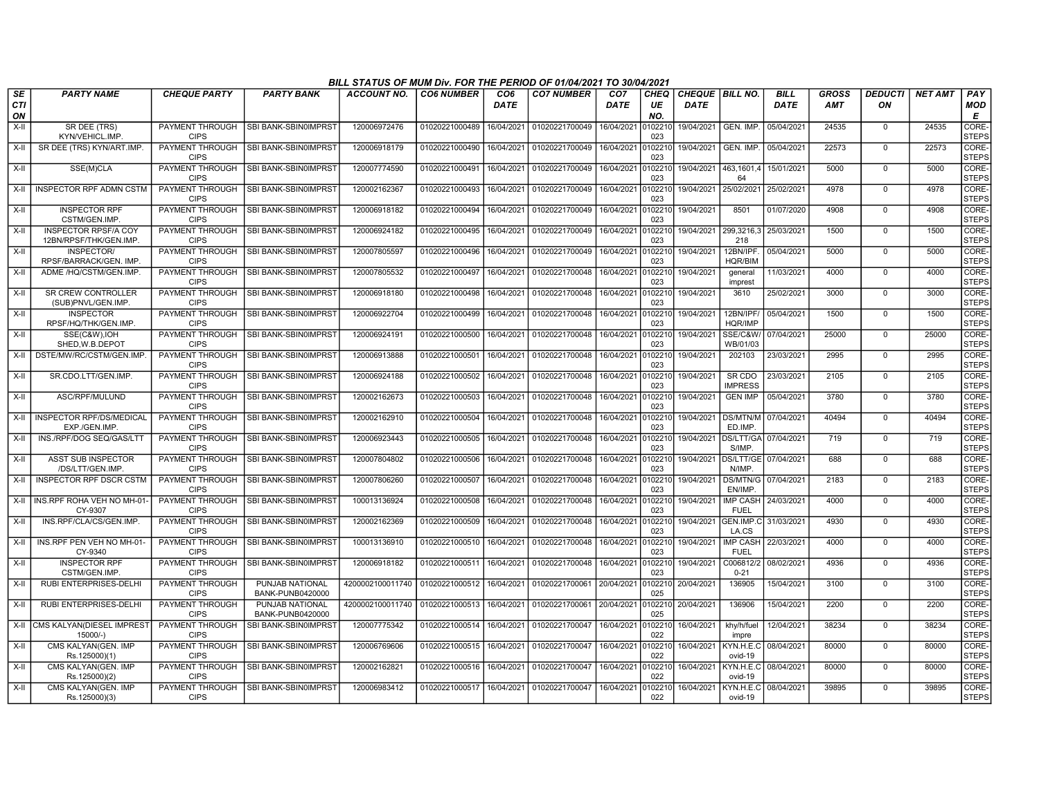|                        |                                                       |                                       |                                        | BILL STATUS OF MUM Div. FOR THE PERIOD OF 01/04/2021 TO 30/04/2021 |                   |                         |                   |                                |                   |                                  |                                |                            |                            |                      |                |                        |
|------------------------|-------------------------------------------------------|---------------------------------------|----------------------------------------|--------------------------------------------------------------------|-------------------|-------------------------|-------------------|--------------------------------|-------------------|----------------------------------|--------------------------------|----------------------------|----------------------------|----------------------|----------------|------------------------|
| SE<br><b>CTI</b><br>ON | <b>PARTY NAME</b>                                     | <b>CHEQUE PARTY</b>                   | <b>PARTY BANK</b>                      | ACCOUNT NO.                                                        | <b>CO6 NUMBER</b> | CO <sub>6</sub><br>DATE | <b>CO7 NUMBER</b> | CO <sub>7</sub><br><b>DATE</b> | CHEQ<br>UE<br>NO. | CHEQUE   BILL NO.<br><b>DATE</b> |                                | <b>BILL</b><br><b>DATE</b> | <b>GROSS</b><br><b>AMT</b> | <b>DEDUCTI</b><br>ON | <b>NET AMT</b> | PAY<br><b>MOD</b><br>E |
| $X-H$                  | SR DEE (TRS)<br>KYN/VEHICL.IMP.                       | PAYMENT THROUGH<br><b>CIPS</b>        | <b>SBI BANK-SBIN0IMPRST</b>            | 120006972476                                                       | 01020221000489    | 16/04/2021              | 01020221700049    | 16/04/2021                     | 010221<br>023     | 19/04/2021 GEN. IMP.             |                                | 05/04/2021                 | 24535                      | $\Omega$             | 24535          | CORE-<br><b>STEPS</b>  |
| X-II                   | SR DEE (TRS) KYN/ART.IMP.                             | <b>CIPS</b>                           | PAYMENT THROUGH   SBI BANK-SBIN0IMPRST | 120006918179                                                       | 01020221000490    | 16/04/2021              | 01020221700049    | 16/04/2021                     | 010221<br>023     | 19/04/2021                       | GEN. IMP.                      | 05/04/2021                 | 22573                      | $\mathbf 0$          | 22573          | CORE-<br><b>STEPS</b>  |
| X-II                   | SSE(M)CLA                                             | <b>PAYMENT THROUGH</b><br><b>CIPS</b> | I SBI BANK-SBIN0IMPRST                 | 120007774590                                                       | 01020221000491    | 16/04/2021              | 01020221700049    | 16/04/2021                     | 010221<br>023     | 19/04/2021                       | 463.1601.4<br>64               | 15/01/2021                 | 5000                       | $\mathbf 0$          | 5000           | CORE-<br><b>STEPS</b>  |
| $X-H$                  | <b>INSPECTOR RPF ADMN CSTM</b>                        | PAYMENT THROUGH<br><b>CIPS</b>        | SBI BANK-SBIN0IMPRST                   | 120002162367                                                       | 01020221000493    | 16/04/2021              | 01020221700049    | 16/04/2021                     | 10221<br>023      | 19/04/2021                       | 25/02/2021                     | 25/02/2021                 | 4978                       | $\mathbf 0$          | 4978           | CORE-<br><b>STEPS</b>  |
| X-II                   | <b>INSPECTOR RPF</b><br>CSTM/GEN.IMP.                 | <b>PAYMENT THROUGH</b><br><b>CIPS</b> | SBI BANK-SBIN0IMPRST                   | 120006918182                                                       | 01020221000494    | 16/04/2021              | 01020221700049    | 16/04/2021                     | 010221<br>023     | 19/04/2021                       | 8501                           | 01/07/2020                 | 4908                       | $\Omega$             | 4908           | CORE-<br><b>STEPS</b>  |
| X-II                   | <b>INSPECTOR RPSF/A COY</b><br>12BN/RPSF/THK/GEN.IMP. | PAYMENT THROUGH<br><b>CIPS</b>        | <b>SBI BANK-SBIN0IMPRST</b>            | 120006924182                                                       | 01020221000495    | 16/04/2021              | 01020221700049    | 16/04/2021                     | 0102210<br>023    | 19/04/2021                       | 299,3216,3<br>218              | 25/03/2021                 | 1500                       | $\mathbf 0$          | 1500           | CORE-<br><b>STEPS</b>  |
| $X-H$                  | INSPECTOR/<br>RPSF/BARRACK/GEN. IMP                   | PAYMENT THROUGH<br><b>CIPS</b>        | <b>SBI BANK-SBIN0IMPRST</b>            | 120007805597                                                       | 01020221000496    | 16/04/2021              | 01020221700049    | 16/04/2021                     | 010221<br>023     | 19/04/2021                       | 12BN/IPF.<br><b>HQR/BIM</b>    | 05/04/2021                 | 5000                       | $\overline{0}$       | 5000           | CORE-<br><b>STEPS</b>  |
| X-II                   | ADME /HQ/CSTM/GEN.IMP.                                | PAYMENT THROUGH<br><b>CIPS</b>        | SBI BANK-SBIN0IMPRS                    | 120007805532                                                       | 01020221000497    | 16/04/2021              | 01020221700048    | 16/04/2021                     | 10221<br>023      | 19/04/2021                       | general<br>imprest             | 11/03/2021                 | 4000                       | $\Omega$             | 4000           | CORE-<br><b>STEPS</b>  |
| $X-H$                  | SR CREW CONTROLLER<br>(SUB)PNVL/GEN.IMP.              | PAYMENT THROUGH<br><b>CIPS</b>        | <b>SBI BANK-SBIN0IMPRST</b>            | 120006918180                                                       | 01020221000498    | 16/04/2021              | 01020221700048    | 16/04/2021                     | 010221<br>023     | 19/04/2021                       | 3610                           | 25/02/2021                 | 3000                       | $\Omega$             | 3000           | CORE-<br><b>STEPS</b>  |
| X-II                   | <b>INSPECTOR</b><br>RPSF/HQ/THK/GEN.IMP.              | PAYMENT THROUGH<br><b>CIPS</b>        | <b>SBI BANK-SBIN0IMPRST</b>            | 120006922704                                                       | 01020221000499    | 16/04/2021              | 01020221700048    | 16/04/2021                     | 0102210<br>023    | 19/04/2021                       | 12BN/IPF/<br>HQR/IMP           | 05/04/2021                 | 1500                       | $\Omega$             | 1500           | CORE-<br><b>STEPS</b>  |
| X-II                   | SSE(C&W).IOH<br>SHED, W.B.DEPOT                       | PAYMENT THROUGH<br><b>CIPS</b>        | <b>SBI BANK-SBIN0IMPRST</b>            | 120006924191                                                       | 01020221000500    | 16/04/2021              | 01020221700048    | 16/04/2021                     | 010221<br>023     | 19/04/2021                       | SSE/C&W/<br>WB/01/03           | 07/04/2021                 | 25000                      | $\mathbf 0$          | 25000          | CORE-<br><b>STEPS</b>  |
| $X-H$                  | DSTE/MW/RC/CSTM/GEN.IMP                               | PAYMENT THROUGH<br><b>CIPS</b>        | SBI BANK-SBIN0IMPRST                   | 120006913888                                                       | 01020221000501    | 16/04/2021              | 01020221700048    | 16/04/2021                     | 010221<br>023     | 19/04/2021                       | 202103                         | 23/03/2021                 | 2995                       | $\mathbf 0$          | 2995           | CORE-<br><b>STEPS</b>  |
| $X-II$                 | SR.CDO.LTT/GEN.IMP.                                   | PAYMENT THROUGH<br><b>CIPS</b>        | SBI BANK-SBIN0IMPRST                   | 120006924188                                                       | 01020221000502    | 16/04/2021              | 01020221700048    | 16/04/2021                     | 0102210<br>023    | 19/04/2021                       | SR CDO<br><b>IMPRESS</b>       | 23/03/2021                 | 2105                       | $\mathbf 0$          | 2105           | CORE-<br><b>STEPS</b>  |
| X-II                   | ASC/RPF/MULUND                                        | PAYMENT THROUGH<br><b>CIPS</b>        | ISBI BANK-SBIN0IMPRST                  | 120002162673                                                       | 01020221000503    | 16/04/2021              | 01020221700048    | 16/04/2021                     | 010221<br>023     | 19/04/2021                       | <b>GEN IMP</b>                 | 05/04/2021                 | 3780                       | $\mathbf 0$          | 3780           | CORE-<br><b>STEPS</b>  |
| X-II                   | <b>INSPECTOR RPF/DS/MEDICAL</b><br>EXP./GEN.IMP       | <b>PAYMENT THROUGH</b><br><b>CIPS</b> | SBI BANK-SBIN0IMPRST                   | 120002162910                                                       | 01020221000504    | 16/04/2021              | 01020221700048    | 16/04/2021                     | 010221<br>023     | 19/04/2021                       | <b>DS/MTN/M</b><br>ED.IMP      | 07/04/2021                 | 40494                      | $\mathbf 0$          | 40494          | CORE-<br><b>STEPS</b>  |
| X-II                   | INS./RPF/DOG SEQ/GAS/LTT                              | PAYMENT THROUGH<br><b>CIPS</b>        | SBI BANK-SBIN0IMPRST                   | 120006923443                                                       | 01020221000505    | 16/04/2021              | 01020221700048    | 16/04/2021                     | 010221<br>023     | 19/04/2021                       | DS/LTT/GA<br>S/IMP             | 07/04/2021                 | 719                        | $\Omega$             | 719            | CORE-<br><b>STEPS</b>  |
| $X-II$                 | ASST SUB INSPECTOR<br>/DS/LTT/GEN.IMP                 | PAYMENT THROUGH<br><b>CIPS</b>        | SBI BANK-SBIN0IMPRST                   | 120007804802                                                       | 01020221000506    | 16/04/2021              | 01020221700048    | 16/04/2021                     | 010221<br>023     | 19/04/2021                       | DS/LTT/GE<br>N/IMP.            | 07/04/2021                 | 688                        | $\mathbf 0$          | 688            | CORE-<br><b>STEPS</b>  |
| $X-H$                  | INSPECTOR RPF DSCR CSTM                               | <b>PAYMENT THROUGH</b><br><b>CIPS</b> | <b>SBI BANK-SBIN0IMPRST</b>            | 120007806260                                                       | 01020221000507    | 16/04/2021              | 01020221700048    | 16/04/2021                     | 010221<br>023     | 19/04/2021                       | <b>DS/MTN/G</b><br>EN/IMP      | 07/04/2021                 | 2183                       | $\overline{0}$       | 2183           | CORE-<br><b>STEPS</b>  |
| X-II                   | I INS.RPF ROHA VEH NO MH-01<br>CY-9307                | PAYMENT THROUGH<br><b>CIPS</b>        | <b>SBI BANK-SBIN0IMPRST</b>            | 100013136924                                                       | 01020221000508    | 16/04/2021              | 01020221700048    | 16/04/2021                     | 010221<br>023     | 19/04/2021                       | <b>IMP CASH</b><br><b>FUEL</b> | 24/03/2021                 | 4000                       | $\mathbf 0$          | 4000           | CORE-<br><b>STEPS</b>  |
| X-II                   | INS.RPF/CLA/CS/GEN.IMP.                               | PAYMENT THROUGH<br><b>CIPS</b>        | SBI BANK-SBIN0IMPRST                   | 120002162369                                                       | 01020221000509    | 16/04/2021              | 01020221700048    | 16/04/2021                     | 010221<br>023     | 19/04/2021                       | GEN.IMP.O<br>LA.CS             | 31/03/2021                 | 4930                       | $\mathbf 0$          | 4930           | CORE-<br><b>STEPS</b>  |
| X-II                   | INS.RPF PEN VEH NO MH-01-<br>CY-9340                  | PAYMENT THROUGH<br><b>CIPS</b>        | SBI BANK-SBIN0IMPRST                   | 100013136910                                                       | 01020221000510    | 16/04/2021              | 01020221700048    | 16/04/2021                     | 10221<br>023      | 19/04/2021                       | <b>IMP CASH</b><br><b>FUEL</b> | 22/03/2021                 | 4000                       | 0                    | 4000           | CORE-<br><b>STEPS</b>  |
| X-II                   | <b>INSPECTOR RPF</b><br>CSTM/GEN.IMP                  | <b>PAYMENT THROUGH</b><br><b>CIPS</b> | SBI BANK-SBIN0IMPRST                   | 120006918182                                                       | 01020221000511    | 16/04/2021              | 01020221700048    | 16/04/2021                     | 0102210<br>023    | 19/04/2021                       | C006812/2<br>$0 - 21$          | 08/02/2021                 | 4936                       | $\mathbf 0$          | 4936           | CORE-<br><b>STEPS</b>  |
| X-II                   | RUBI ENTERPRISES-DELHI                                | PAYMENT THROUGH<br><b>CIPS</b>        | PUNJAB NATIONAL<br>BANK-PUNB0420000    | 4200002100011740                                                   | 01020221000512    | 16/04/2021              | 01020221700061    | 20/04/2021                     | 102210<br>025     | 20/04/2021                       | 136905                         | 15/04/2021                 | 3100                       | $\overline{0}$       | 3100           | CORE-<br><b>STEPS</b>  |
| $X-II$                 | RUBI ENTERPRISES-DELHI                                | PAYMENT THROUGH<br><b>CIPS</b>        | PUNJAB NATIONAL<br>BANK-PUNB0420000    | 4200002100011740                                                   | 01020221000513    | 16/04/2021              | 01020221700061    | 20/04/2021                     | 102210<br>025     | 20/04/2021                       | 136906                         | 15/04/2021                 | 2200                       | $\Omega$             | 2200           | CORE-<br><b>STEPS</b>  |
| X-II                   | CMS KALYAN(DIESEL IMPRES'<br>$15000/-$                | PAYMENT THROUGH<br><b>CIPS</b>        | SBI BANK-SBIN0IMPRST                   | 120007775342                                                       | 01020221000514    | 16/04/2021              | 01020221700047    | 16/04/2021                     | 10221<br>022      | 16/04/2021                       | khy/h/fuel<br>impre            | 12/04/2021                 | 38234                      | $\Omega$             | 38234          | CORE-<br><b>STEPS</b>  |
| $X-H$                  | CMS KALYAN(GEN. IMP<br>Rs.125000)(1)                  | PAYMENT THROUGH<br><b>CIPS</b>        | <b>SBI BANK-SBIN0IMPRST</b>            | 120006769606                                                       | 01020221000515    | 16/04/2021              | 01020221700047    | 16/04/2021                     | 0102210<br>022    | 16/04/2021                       | KYN.H.E.C<br>ovid-19           | 08/04/2021                 | 80000                      | $\Omega$             | 80000          | CORE-<br><b>STEPS</b>  |
| X-II                   | CMS KALYAN(GEN. IMP<br>Rs.125000)(2)                  | <b>PAYMENT THROUGH</b><br><b>CIPS</b> | ISBI BANK-SBIN0IMPRST                  | 120002162821                                                       | 01020221000516    | 16/04/2021              | 01020221700047    | 16/04/2021                     | 010221<br>022     | 16/04/2021                       | KYN.H.E.C<br>ovid-19           | 08/04/2021                 | 80000                      | $\mathbf 0$          | 80000          | CORE-<br><b>STEPS</b>  |
| X-II                   | CMS KALYAN(GEN. IMP<br>Rs.125000)(3)                  | PAYMENT THROUGH<br><b>CIPS</b>        | SBI BANK-SBIN0IMPRST                   | 120006983412                                                       | 01020221000517    | 16/04/2021              | 01020221700047    | 16/04/2021                     | 0102210<br>022    | 16/04/2021                       | KYN.H.E.C<br>ovid-19           | 08/04/2021                 | 39895                      | $\mathbf 0$          | 39895          | CORE-<br><b>STEPS</b>  |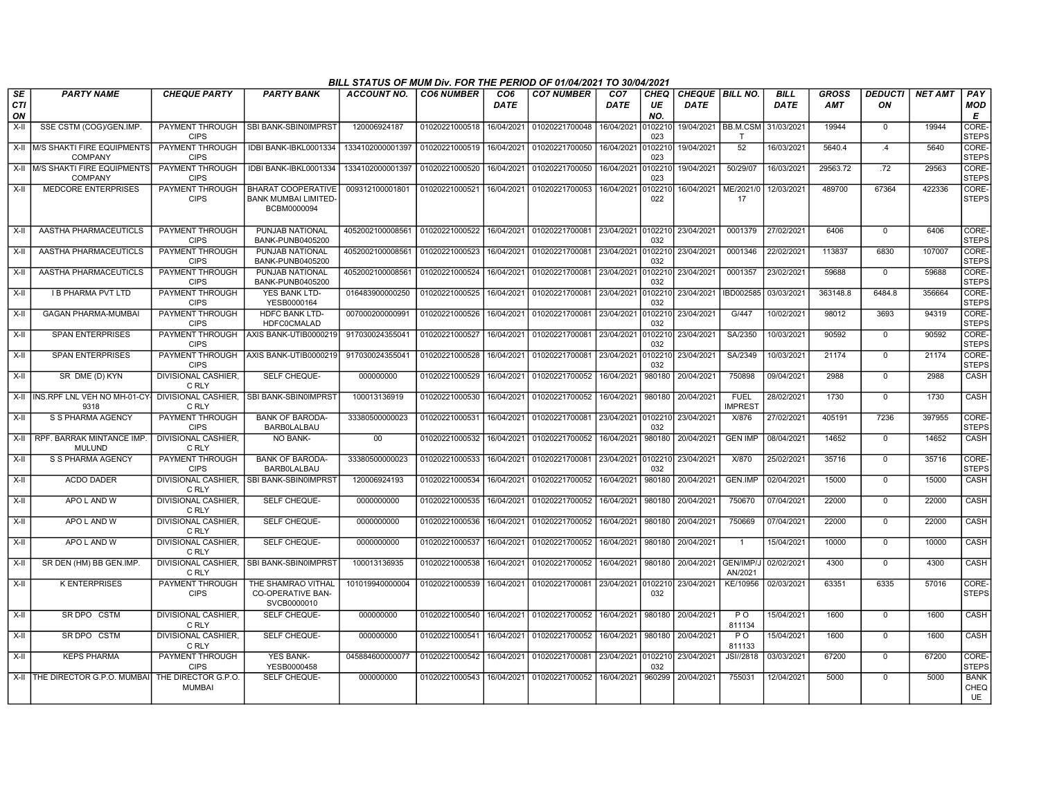|                        |                                                      |                                       |                                                                         | BILL STATUS OF MUM Div. FOR THE PERIOD OF 01/04/2021 TO 30/04/2021 |                   |                         |                           |                                |                          |                                  |                                    |                            |                     |                      |                |                                  |
|------------------------|------------------------------------------------------|---------------------------------------|-------------------------------------------------------------------------|--------------------------------------------------------------------|-------------------|-------------------------|---------------------------|--------------------------------|--------------------------|----------------------------------|------------------------------------|----------------------------|---------------------|----------------------|----------------|----------------------------------|
| SE<br><b>CTI</b><br>ON | <b>PARTY NAME</b>                                    | <b>CHEQUE PARTY</b>                   | <b>PARTY BANK</b>                                                       | <b>ACCOUNT NO.</b>                                                 | <b>CO6 NUMBER</b> | CO <sub>6</sub><br>DATE | <b>CO7 NUMBER</b>         | CO <sub>7</sub><br><b>DATE</b> | <b>CHEQ</b><br>UE<br>NO. | CHEQUE   BILL NO.<br><b>DATE</b> |                                    | <b>BILL</b><br><b>DATE</b> | GROSS<br><b>AMT</b> | <b>DEDUCTI</b><br>ΟN | <b>NET AMT</b> | PAY<br><b>MOD</b><br>E           |
| $X-H$                  | SSE CSTM (COG)/GEN.IMP.                              | PAYMENT THROUGH<br><b>CIPS</b>        | SBI BANK-SBIN0IMPRST                                                    | 120006924187                                                       | 01020221000518    | 16/04/2021              | 01020221700048            | 16/04/2021                     | 010221<br>023            |                                  | 19/04/2021   BB.M.CSM   31/03/2021 |                            | 19944               | $\mathbf 0$          | 19944          | CORE-<br><b>STEPS</b>            |
| X-II                   | <b>IM/S SHAKTI FIRE EQUIPMENTS</b><br><b>COMPANY</b> | PAYMENT THROUGH<br><b>CIPS</b>        | IDBI BANK-IBKL0001334                                                   | 1334102000001397 01020221000519                                    |                   | 16/04/2021              | 01020221700050            | 16/04/2021 010221              | 023                      | 19/04/2021                       | 52                                 | 16/03/2021                 | 5640.4              | .4                   | 5640           | CORE-<br><b>STEPS</b>            |
| X-II                   | <b>M/S SHAKTI FIRE EQUIPMENTS</b><br><b>COMPANY</b>  | <b>PAYMENT THROUGH</b><br><b>CIPS</b> | IDBI BANK-IBKL0001334                                                   | 1334102000001397                                                   | 01020221000520    | 16/04/2021              | 01020221700050            | 16/04/2021 010221              | 023                      | 19/04/2021                       | 50/29/07                           | 16/03/2021                 | 29563.72            | .72                  | 29563          | CORE-<br><b>STEPS</b>            |
| $X-H$                  | <b>MEDCORE ENTERPRISES</b>                           | PAYMENT THROUGH<br><b>CIPS</b>        | <b>BHARAT COOPERATIVE</b><br><b>BANK MUMBAI LIMITED-</b><br>BCBM0000094 | 009312100001801                                                    | 01020221000521    | 16/04/2021              | 01020221700053            | 16/04/2021                     | 10221<br>022             | 16/04/2021                       | ME/2021/0<br>17                    | 12/03/2021                 | 489700              | 67364                | 422336         | CORE-<br>STEPS                   |
| X-II                   | AASTHA PHARMACEUTICLS                                | PAYMENT THROUGH<br><b>CIPS</b>        | PUNJAB NATIONAL<br><b>BANK-PUNB0405200</b>                              | 4052002100008561                                                   | 01020221000522    | 16/04/2021              | 01020221700081 23/04/2021 |                                | 0102210<br>032           | 23/04/2021                       | 0001379                            | 27/02/2021                 | 6406                | $\mathbf 0$          | 6406           | CORE-<br><b>STEPS</b>            |
| $X-II$                 | AASTHA PHARMACEUTICLS                                | <b>PAYMENT THROUGH</b><br><b>CIPS</b> | PUNJAB NATIONAL<br><b>BANK-PUNB0405200</b>                              | 4052002100008561                                                   | 01020221000523    | 16/04/2021              | 01020221700081            | 23/04/2021                     | 0102210<br>032           | 23/04/2021                       | 0001346                            | 22/02/2021                 | 113837              | 6830                 | 107007         | CORE-<br><b>STEPS</b>            |
| $X-II$                 | AASTHA PHARMACEUTICLS                                | PAYMENT THROUGH<br><b>CIPS</b>        | PUNJAB NATIONAL<br><b>BANK-PUNB0405200</b>                              | 4052002100008561                                                   | 01020221000524    | 16/04/2021              | 01020221700081            | 23/04/2021                     | 0102210<br>032           | 23/04/2021                       | 0001357                            | 23/02/2021                 | 59688               | $\overline{0}$       | 59688          | CORE-<br><b>STEPS</b>            |
| $X-H$                  | <b>I B PHARMA PVT LTD</b>                            | <b>PAYMENT THROUGH</b><br><b>CIPS</b> | <b>YES BANK LTD-</b><br>YESB0000164                                     | 016483900000250                                                    | 01020221000525    | 16/04/2021              | 01020221700081            | 23/04/2021                     | 0102210<br>032           | 23/04/2021                       | IBD002585                          | 03/03/2021                 | 363148.8            | 6484.8               | 356664         | CORE-<br><b>STEPS</b>            |
| X-II                   | <b>GAGAN PHARMA-MUMBAI</b>                           | PAYMENT THROUGH<br><b>CIPS</b>        | HDFC BANK LTD-<br><b>HDFC0CMALAD</b>                                    | 007000200000991                                                    | 01020221000526    | 16/04/2021              | 01020221700081            | 23/04/2021                     | 0102210<br>032           | 23/04/2021                       | G/447                              | 10/02/2021                 | 98012               | 3693                 | 94319          | CORE-<br><b>STEPS</b>            |
| $X-II$                 | <b>SPAN ENTERPRISES</b>                              | PAYMENT THROUGH<br><b>CIPS</b>        | AXIS BANK-UTIB0000219                                                   | 917030024355041                                                    | 01020221000527    | 16/04/2021              | 01020221700081            | 23/04/2021                     | 0102210<br>032           | 23/04/2021                       | SA/2350                            | 10/03/2021                 | 90592               | $\Omega$             | 90592          | CORE-<br><b>STEPS</b>            |
| $X-I$                  | <b>SPAN ENTERPRISES</b>                              | PAYMENT THROUGH<br><b>CIPS</b>        | AXIS BANK-UTIB0000219                                                   | 91703002435504                                                     | 01020221000528    | 16/04/2021              | 01020221700081            | 23/04/2021                     | 0102210<br>032           | 23/04/2021                       | SA/2349                            | 10/03/2021                 | 21174               | $\mathbf 0$          | 21174          | CORE-<br><b>STEPS</b>            |
| X-II                   | SR DME (D) KYN                                       | <b>DIVISIONAL CASHIER,</b><br>C RLY   | SELF CHEQUE-                                                            | 000000000                                                          | 01020221000529    | 16/04/2021              | 01020221700052            | 16/04/2021                     | 980180                   | 20/04/2021                       | 750898                             | 09/04/2021                 | 2988                | $\mathbf 0$          | 2988           | CASH                             |
| $X-H$                  | INS.RPF LNL VEH NO MH-01-CY-<br>9318                 | <b>DIVISIONAL CASHIER.</b><br>C RLY   | SBI BANK-SBIN0IMPRST                                                    | 100013136919                                                       | 01020221000530    | 16/04/2021              | 01020221700052            | 16/04/2021                     | 980180                   | 20/04/2021                       | <b>FUEL</b><br><b>IMPREST</b>      | 28/02/2021                 | 1730                | $\mathbf 0$          | 1730           | CASH                             |
| X-II                   | S S PHARMA AGENCY                                    | PAYMENT THROUGH<br><b>CIPS</b>        | <b>BANK OF BARODA-</b><br><b>BARBOLALBAU</b>                            | 33380500000023                                                     | 01020221000531    | 16/04/2021              | 01020221700081            | 23/04/2021                     | 0102210<br>032           | 23/04/2021                       | X/876                              | 27/02/2021                 | 405191              | 7236                 | 397955         | CORE-<br>STEPS                   |
| $X-II$                 | RPF, BARRAK MINTANCE IMP<br><b>MULUND</b>            | DIVISIONAL CASHIER,<br>C RLY          | <b>NO BANK-</b>                                                         | 00                                                                 | 01020221000532    | 16/04/2021              | 01020221700052            | 16/04/2021                     | 980180                   | 20/04/2021                       | <b>GEN IMP</b>                     | 08/04/2021                 | 14652               | $\overline{0}$       | 14652          | CASH                             |
| X-II                   | S S PHARMA AGENCY                                    | <b>PAYMENT THROUGH</b><br><b>CIPS</b> | <b>BANK OF BARODA-</b><br><b>BARBOLALBAU</b>                            | 33380500000023                                                     | 01020221000533    | 16/04/2021              | 01020221700081            | 23/04/2021 010221              | 032                      | 23/04/2021                       | X/870                              | 25/02/2021                 | 35716               | $\mathbf 0$          | 35716          | CORE-<br><b>STEPS</b>            |
| $X-H$                  | <b>ACDO DADER</b>                                    | <b>DIVISIONAL CASHIER.</b><br>C RLY   | SBI BANK-SBIN0IMPRST                                                    | 120006924193                                                       | 01020221000534    | 16/04/2021              | 01020221700052            | 16/04/2021                     | 980180                   | 20/04/2021                       | <b>GEN.IMP</b>                     | 02/04/2021                 | 15000               | $\Omega$             | 15000          | <b>CASH</b>                      |
| X-II                   | APO L AND W                                          | <b>DIVISIONAL CASHIER.</b><br>C RLY   | SELF CHEQUE-                                                            | 0000000000                                                         | 01020221000535    | 16/04/2021              | 01020221700052            | 16/04/2021                     | 980180                   | 20/04/2021                       | 750670                             | 07/04/2021                 | 22000               | $\mathbf{0}$         | 22000          | CASH                             |
| X-II                   | APO L AND W                                          | <b>DIVISIONAL CASHIER.</b><br>C RLY   | SELF CHEQUE-                                                            | 0000000000                                                         | 01020221000536    | 16/04/2021              | 01020221700052            | 16/04/2021                     | 980180                   | 20/04/2021                       | 750669                             | 07/04/2021                 | 22000               | $\mathbf 0$          | 22000          | CASH                             |
| X-II                   | APO L AND W                                          | DIVISIONAL CASHIER,<br>C RLY          | SELF CHEQUE-                                                            | 0000000000                                                         | 01020221000537    | 16/04/2021              | 01020221700052            | 16/04/2021                     | 980180                   | 20/04/2021                       | $\overline{1}$                     | 15/04/2021                 | 10000               | 0                    | 10000          | CASH                             |
| $X-H$                  | SR DEN (HM) BB GEN.IMP.                              | <b>DIVISIONAL CASHIER.</b><br>C RLY   | SBI BANK-SBIN0IMPRST                                                    | 100013136935                                                       | 01020221000538    | 16/04/2021              | 01020221700052            | 16/04/2021                     | 980180                   | 20/04/2021                       | GEN/IMP/J<br>AN/2021               | 02/02/2021                 | 4300                | $\mathbf 0$          | 4300           | CASH                             |
| $X-H$                  | <b>K ENTERPRISES</b>                                 | PAYMENT THROUGH<br><b>CIPS</b>        | THE SHAMRAO VITHAL<br><b>CO-OPERATIVE BAN-</b><br>SVCB0000010           | 101019940000004                                                    | 01020221000539    | 16/04/2021              | 01020221700081            | 23/04/2021                     | 0102210<br>032           | 23/04/2021                       | KE/10956                           | 02/03/2021                 | 63351               | 6335                 | 57016          | CORE-<br><b>STEPS</b>            |
| $X-H$                  | SR DPO CSTM                                          | <b>DIVISIONAL CASHIER,</b><br>C RLY   | SELF CHEQUE-                                                            | 000000000                                                          | 01020221000540    | 16/04/2021              | 01020221700052            | 16/04/2021                     | 980180                   | 20/04/2021                       | PO<br>811134                       | 15/04/2021                 | 1600                | $\overline{0}$       | 1600           | <b>CASH</b>                      |
| X-II                   | SR DPO CSTM                                          | DIVISIONAL CASHIER,<br>C RLY          | SELF CHEQUE-                                                            | 000000000                                                          | 01020221000541    | 16/04/2021              | 01020221700052            | 16/04/2021                     | 980180                   | 20/04/2021                       | P <sub>O</sub><br>811133           | 15/04/2021                 | 1600                | $\mathbf 0$          | 1600           | CASH                             |
| X-II                   | <b>KEPS PHARMA</b>                                   | PAYMENT THROUGH<br><b>CIPS</b>        | YES BANK-<br>YESB0000458                                                | 045884600000077                                                    | 01020221000542    | 16/04/2021              | 01020221700081            | 23/04/2021 010221              | 032                      | 23/04/2021                       | JSI//2818                          | 03/03/202                  | 67200               | $\mathbf 0$          | 67200          | CORE-<br><b>STEPS</b>            |
|                        | X-II THE DIRECTOR G.P.O. MUMBAI                      | THE DIRECTOR G.P.O.<br><b>MUMBAI</b>  | SELF CHEQUE-                                                            | 000000000                                                          | 01020221000543    | 16/04/2021              | 01020221700052            | 16/04/2021                     | 960299                   | 20/04/2021                       | 755031                             | 12/04/2021                 | 5000                | $\Omega$             | 5000           | <b>BANK</b><br>CHEQ<br><b>UE</b> |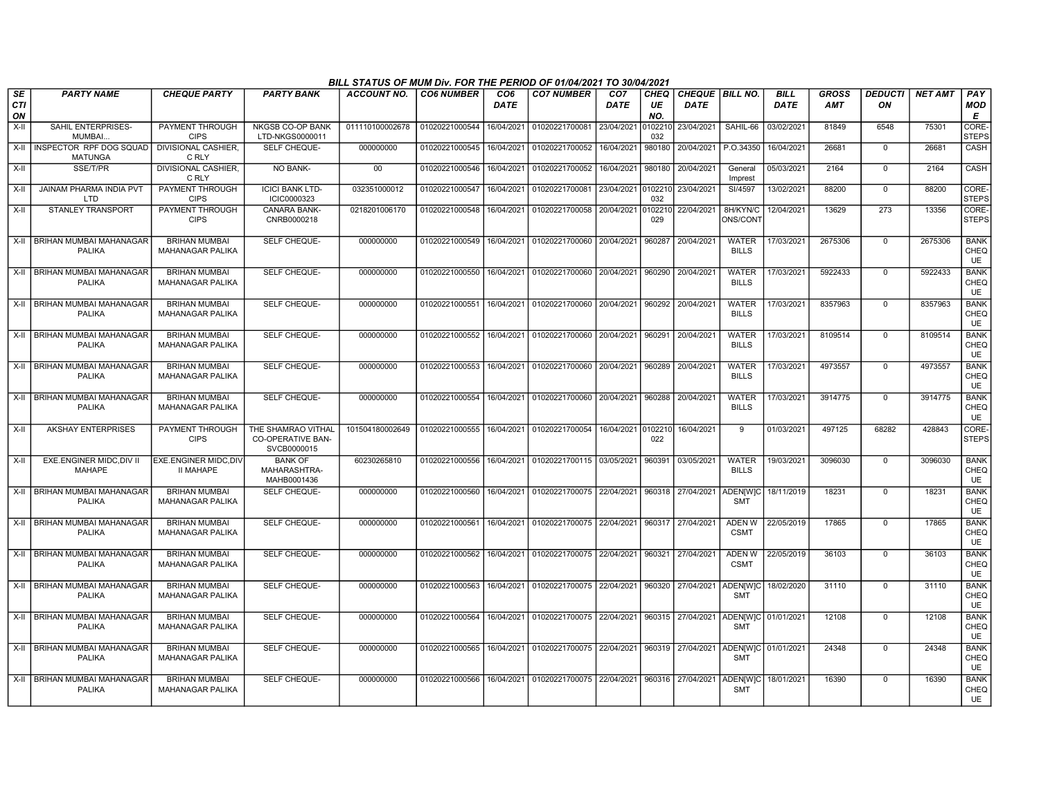|                        |                                                 |                                                 |                                                               | BILL STATUS OF MUM Div. FOR THE PERIOD OF 01/04/2021 TO 30/04/2021 |                   |                         |                                                                                 |                         |                   |                                  |                               |                            |                            |                      |                |                                  |
|------------------------|-------------------------------------------------|-------------------------------------------------|---------------------------------------------------------------|--------------------------------------------------------------------|-------------------|-------------------------|---------------------------------------------------------------------------------|-------------------------|-------------------|----------------------------------|-------------------------------|----------------------------|----------------------------|----------------------|----------------|----------------------------------|
| SE<br><b>CTI</b><br>ON | <b>PARTY NAME</b>                               | <b>CHEQUE PARTY</b>                             | <b>PARTY BANK</b>                                             | ACCOUNT NO.                                                        | <b>CO6 NUMBER</b> | CO <sub>6</sub><br>DATE | <b>CO7 NUMBER</b>                                                               | CO <sub>7</sub><br>DATE | CHEQ<br>UE<br>NO. | CHEQUE   BILL NO.<br><b>DATE</b> |                               | <b>BILL</b><br><b>DATE</b> | <b>GROSS</b><br><b>AMT</b> | <b>DEDUCTI</b><br>ON | <b>NET AMT</b> | PAY<br><b>MOD</b><br>Е           |
| $X-H$                  | SAHIL ENTERPRISES-<br>MUMBAI.                   | PAYMENT THROUGH<br><b>CIPS</b>                  | <b>NKGSB CO-OP BANK</b><br>LTD-NKGS0000011                    | 011110100002678                                                    | 01020221000544    | 16/04/2021              | 01020221700081 23/04/2021                                                       |                         | 0102210<br>032    | 23/04/2021                       | SAHIL-66                      | 03/02/2021                 | 81849                      | 6548                 | 75301          | CORE-<br><b>STEPS</b>            |
| X-II                   | INSPECTOR RPF DOG SQUAD<br><b>MATUNGA</b>       | DIVISIONAL CASHIER.<br>C RLY                    | SELF CHEQUE-                                                  | 000000000                                                          | 01020221000545    | 16/04/2021              | 01020221700052                                                                  | 16/04/2021              | 980180            | 20/04/2021                       | P.O.34350                     | 16/04/2021                 | 26681                      | $\mathbf 0$          | 26681          | <b>CASH</b>                      |
| X-II                   | SSE/T/PR                                        | DIVISIONAL CASHIER.<br>C RLY                    | NO BANK-                                                      | 00                                                                 | 01020221000546    | 16/04/2021              | 01020221700052                                                                  | 16/04/2021              | 980180            | 20/04/2021                       | General<br>Imprest            | 05/03/2021                 | 2164                       | $\mathbf 0$          | 2164           | CASH                             |
| X-II                   | <b>JAINAM PHARMA INDIA PVT</b><br><b>LTD</b>    | PAYMENT THROUGH<br><b>CIPS</b>                  | <b>ICICI BANK LTD-</b><br>ICIC0000323                         | 032351000012                                                       | 01020221000547    | 16/04/2021              | 01020221700081                                                                  | 23/04/2021              | 0102210<br>032    | 23/04/2021                       | SI/4597                       | 13/02/2021                 | 88200                      | $\mathbf 0$          | 88200          | CORE-<br><b>STEPS</b>            |
| X-II                   | STANLEY TRANSPORT                               | PAYMENT THROUGH<br><b>CIPS</b>                  | CANARA BANK-<br>CNRB0000218                                   | 0218201006170                                                      | 01020221000548    | 16/04/2021              | 01020221700058 20/04/2021                                                       |                         | 0102210<br>029    | 22/04/2021                       | 8H/KYN/C<br>ONS/CONT          | 12/04/2021                 | 13629                      | 273                  | 13356          | CORE-<br><b>STEPS</b>            |
|                        | X-II   BRIHAN MUMBAI MAHANAGAR<br><b>PALIKA</b> | <b>BRIHAN MUMBAI</b><br><b>MAHANAGAR PALIKA</b> | SELF CHEQUE-                                                  | 000000000                                                          | 01020221000549    | 16/04/2021              | 01020221700060 20/04/2021                                                       |                         | 960287            | 20/04/2021                       | <b>WATER</b><br><b>BILLS</b>  | 17/03/2021                 | 2675306                    | $\mathbf 0$          | 2675306        | <b>BANK</b><br>CHEQ<br>UE        |
|                        | X-II BRIHAN MUMBAI MAHANAGAR<br><b>PALIKA</b>   | <b>BRIHAN MUMBAI</b><br><b>MAHANAGAR PALIKA</b> | <b>SELF CHEQUE-</b>                                           | 000000000                                                          | 01020221000550    | 16/04/2021              | 01020221700060 20/04/2021                                                       |                         |                   | 960290 20/04/2021                | WATER<br><b>BILLS</b>         | 17/03/2021                 | 5922433                    | $\mathbf 0$          | 5922433        | <b>BANK</b><br>CHEQ<br><b>UE</b> |
|                        | X-II BRIHAN MUMBAI MAHANAGAR<br><b>PALIKA</b>   | <b>BRIHAN MUMBAI</b><br>MAHANAGAR PALIKA        | SELF CHEQUE-                                                  | 000000000                                                          | 01020221000551    | 16/04/2021              | 01020221700060 20/04/2021                                                       |                         | 960292            | 20/04/2021                       | <b>WATER</b><br><b>BILLS</b>  | 17/03/2021                 | 8357963                    | $\mathbf 0$          | 8357963        | <b>BANK</b><br>CHEQ<br>UE        |
|                        | X-II BRIHAN MUMBAI MAHANAGAR<br><b>PALIKA</b>   | <b>BRIHAN MUMBAI</b><br><b>MAHANAGAR PALIKA</b> | SELF CHEQUE-                                                  | 000000000                                                          | 01020221000552    | 16/04/2021              | 01020221700060 20/04/2021                                                       |                         | 960291            | 20/04/2021                       | <b>WATER</b><br><b>BILLS</b>  | 17/03/2021                 | 8109514                    | $\mathbf 0$          | 8109514        | <b>BANK</b><br>CHEQ<br><b>UE</b> |
|                        | X-II   BRIHAN MUMBAI MAHANAGAR<br>PALIKA        | <b>BRIHAN MUMBAI</b><br>MAHANAGAR PALIKA        | SELF CHEQUE-                                                  | 000000000                                                          | 01020221000553    | 16/04/2021              | 01020221700060 20/04/2021                                                       |                         | 960289            | 20/04/2021                       | <b>WATER</b><br><b>BILLS</b>  | 17/03/2021                 | 4973557                    | $\mathbf 0$          | 4973557        | <b>BANK</b><br>CHEQ<br>UE        |
|                        | X-II BRIHAN MUMBAI MAHANAGAR<br><b>PALIKA</b>   | <b>BRIHAN MUMBAI</b><br><b>MAHANAGAR PALIKA</b> | SELF CHEQUE-                                                  | 000000000                                                          | 01020221000554    | 16/04/2021              | 01020221700060 20/04/2021                                                       |                         | 960288            | 20/04/2021                       | <b>WATER</b><br><b>BILLS</b>  | 17/03/2021                 | 3914775                    | $\mathbf 0$          | 3914775        | <b>BANK</b><br>CHEQ<br>UE        |
| $X-H$                  | <b>AKSHAY ENTERPRISES</b>                       | PAYMENT THROUGH<br><b>CIPS</b>                  | THE SHAMRAO VITHAL<br><b>CO-OPERATIVE BAN-</b><br>SVCB0000015 | 101504180002649                                                    | 01020221000555    | 16/04/2021              | 01020221700054                                                                  | 16/04/2021              | 010221<br>022     | 16/04/2021                       | 9                             | 01/03/2021                 | 497125                     | 68282                | 428843         | CORE-<br>STEPS                   |
| X-II                   | EXE.ENGINER MIDC, DIV II<br><b>MAHAPE</b>       | EXE.ENGINER MIDC, DIV<br><b>II MAHAPE</b>       | <b>BANK OF</b><br>MAHARASHTRA-<br>MAHB0001436                 | 60230265810                                                        | 01020221000556    | 16/04/2021              | 01020221700115 03/05/2021                                                       |                         | 960391            | 03/05/2021                       | <b>WATER</b><br><b>BILLS</b>  | 19/03/2021                 | 3096030                    | $\mathbf 0$          | 3096030        | <b>BANK</b><br>CHEQ<br>UE        |
|                        | X-II BRIHAN MUMBAI MAHANAGAR<br><b>PALIKA</b>   | <b>BRIHAN MUMBAI</b><br><b>MAHANAGAR PALIKA</b> | SELF CHEQUE-                                                  | 000000000                                                          | 01020221000560    | 16/04/2021              | 01020221700075 22/04/2021                                                       |                         |                   | 960318 27/04/2021                | <b>ADEN[W]C</b><br><b>SMT</b> | 18/11/2019                 | 18231                      | $\mathbf 0$          | 18231          | <b>BANK</b><br>CHEQ<br>UE        |
|                        | X-II BRIHAN MUMBAI MAHANAGAR<br><b>PALIKA</b>   | <b>BRIHAN MUMBAI</b><br><b>MAHANAGAR PALIKA</b> | SELF CHEQUE-                                                  | 000000000                                                          | 01020221000561    | 16/04/2021              | 01020221700075 22/04/2021                                                       |                         | 960317            | 27/04/2021                       | ADEN W<br><b>CSMT</b>         | 22/05/2019                 | 17865                      | $\Omega$             | 17865          | <b>BANK</b><br>CHEQ<br><b>UE</b> |
|                        | X-II   BRIHAN MUMBAI MAHANAGAR<br>PALIKA        | <b>BRIHAN MUMBAI</b><br><b>MAHANAGAR PALIKA</b> | SELF CHEQUE-                                                  | 000000000                                                          | 01020221000562    | 16/04/2021              | 01020221700075 22/04/2021                                                       |                         | 960321            | 27/04/2021                       | <b>ADEN W</b><br><b>CSMT</b>  | 22/05/2019                 | 36103                      | $\mathbf 0$          | 36103          | <b>BANK</b><br>CHEQ<br><b>UE</b> |
|                        | X-II BRIHAN MUMBAI MAHANAGAR<br><b>PALIKA</b>   | <b>BRIHAN MUMBAI</b><br><b>MAHANAGAR PALIKA</b> | SELF CHEQUE-                                                  | 000000000                                                          | 01020221000563    | 16/04/2021              | 01020221700075 22/04/2021                                                       |                         | 960320            | 27/04/2021                       | <b>ADEN[W]C</b><br><b>SMT</b> | 18/02/2020                 | 31110                      | $\overline{0}$       | 31110          | <b>BANK</b><br>CHEQ<br>UE        |
|                        | X-II BRIHAN MUMBAI MAHANAGAR<br><b>PALIKA</b>   | <b>BRIHAN MUMBAI</b><br><b>MAHANAGAR PALIKA</b> | SELF CHEQUE-                                                  | 000000000                                                          | 01020221000564    | 16/04/2021              | 01020221700075 22/04/2021                                                       |                         |                   | 960315 27/04/2021                | <b>ADEN[W]C</b><br><b>SMT</b> | 01/01/2021                 | 12108                      | $\Omega$             | 12108          | <b>BANK</b><br>CHEQ<br><b>UE</b> |
|                        | X-II BRIHAN MUMBAI MAHANAGAR<br><b>PALIKA</b>   | <b>BRIHAN MUMBAI</b><br><b>MAHANAGAR PALIKA</b> | SELF CHEQUE-                                                  | 000000000                                                          |                   |                         | 01020221000565   16/04/2021   01020221700075   22/04/2021   960319   27/04/2021 |                         |                   |                                  | ADEN[W]C<br><b>SMT</b>        | 01/01/2021                 | 24348                      | $\Omega$             | 24348          | <b>BANK</b><br>CHEQ<br><b>UE</b> |
|                        | X-II BRIHAN MUMBAI MAHANAGAR<br><b>PALIKA</b>   | <b>BRIHAN MUMBAI</b><br><b>MAHANAGAR PALIKA</b> | <b>SELF CHEQUE-</b>                                           | 000000000                                                          | 01020221000566    |                         | 16/04/2021 01020221700075 22/04/2021 960316 27/04/2021                          |                         |                   |                                  | <b>ADEN[W]C</b><br><b>SMT</b> | 18/01/2021                 | 16390                      | $\mathbf 0$          | 16390          | <b>BANK</b><br>CHEQ<br><b>UE</b> |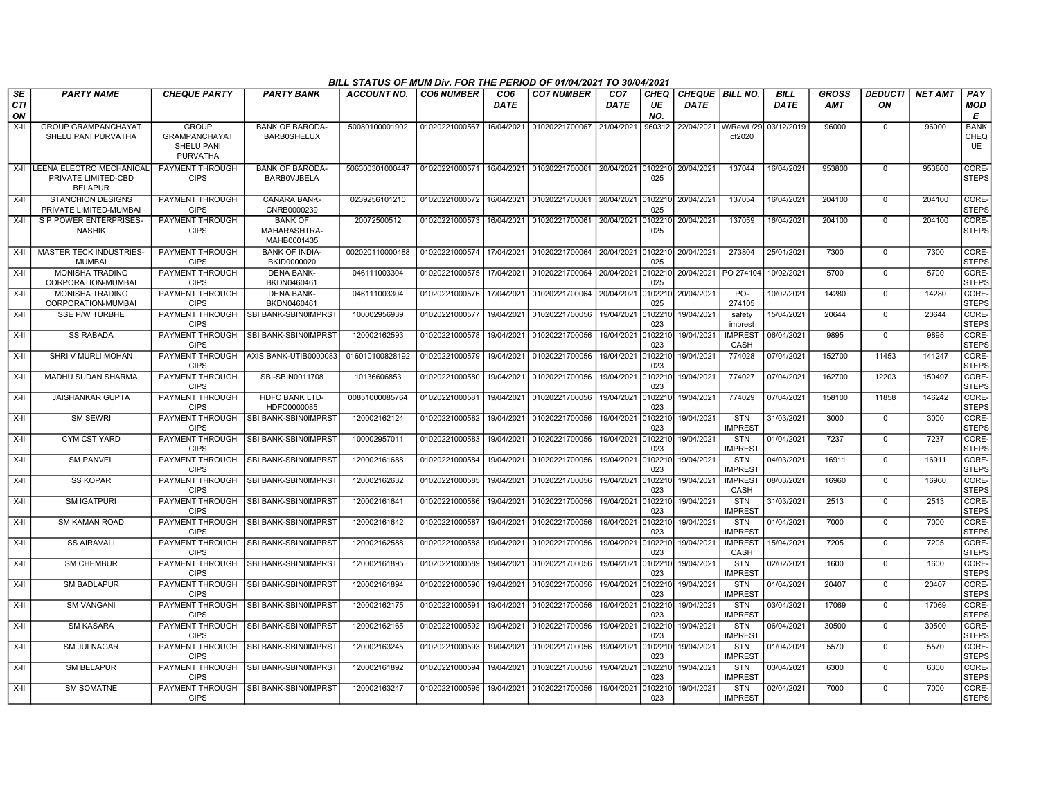|                               |                                                                    |                                                                              |                                               | BILL STATUS OF MUM Div. FOR THE PERIOD OF 01/04/2021 TO 30/04/2021 |                   |                    |                           |                                |                          |                                  |                               |                            |                     |                      |                |                                  |
|-------------------------------|--------------------------------------------------------------------|------------------------------------------------------------------------------|-----------------------------------------------|--------------------------------------------------------------------|-------------------|--------------------|---------------------------|--------------------------------|--------------------------|----------------------------------|-------------------------------|----------------------------|---------------------|----------------------|----------------|----------------------------------|
| <b>SE</b><br><b>CTI</b><br>ON | <b>PARTY NAME</b>                                                  | <b>CHEQUE PARTY</b>                                                          | <b>PARTY BANK</b>                             | <b>ACCOUNT NO.</b>                                                 | <b>CO6 NUMBER</b> | CO6<br><b>DATE</b> | <b>CO7 NUMBER</b>         | CO <sub>7</sub><br><b>DATE</b> | <b>CHEQ</b><br>UE<br>NO. | CHEQUE   BILL NO.<br><b>DATE</b> |                               | <b>BILL</b><br><b>DATE</b> | GROSS<br><b>AMT</b> | <b>DEDUCTI</b><br>ΟN | <b>NET AMT</b> | PAY<br><b>MOD</b><br>Е           |
| $X-H$                         | <b>GROUP GRAMPANCHAYAT</b><br>SHELU PANI PURVATHA                  | <b>GROUP</b><br><b>GRAMPANCHAYAT</b><br><b>SHELU PANI</b><br><b>PURVATHA</b> | <b>BANK OF BARODA-</b><br><b>BARB0SHELUX</b>  | 50080100001902                                                     | 01020221000567    | 16/04/2021         | 01020221700067            | 21/04/2021                     | 960312                   | 22/04/2021                       | W/Rev/L/29<br>of2020          | 03/12/2019                 | 96000               | $\Omega$             | 96000          | <b>BANK</b><br>CHEQ<br><b>UE</b> |
| X-II                          | LLEENA ELECTRO MECHANICAL<br>PRIVATE LIMITED-CBD<br><b>BELAPUR</b> | PAYMENT THROUGH<br><b>CIPS</b>                                               | <b>BANK OF BARODA-</b><br><b>BARBOVJBELA</b>  | 506300301000447                                                    | 01020221000571    | 16/04/2021         | 01020221700061            | 20/04/2021                     | 0102210<br>025           | 20/04/2021                       | 137044                        | 16/04/2021                 | 953800              | $\mathbf 0$          | 953800         | CORE-<br><b>STEPS</b>            |
| X-II                          | <b>STANCHION DESIGNS</b><br>PRIVATE LIMITED-MUMBAI                 | PAYMENT THROUGH<br><b>CIPS</b>                                               | CANARA BANK-<br>CNRB0000239                   | 0239256101210                                                      | 01020221000572    | 16/04/2021         | 01020221700061            | 20/04/2021                     | 0102210<br>025           | 20/04/2021                       | 137054                        | 16/04/2021                 | 204100              | $\mathbf 0$          | 204100         | CORE-<br><b>STEPS</b>            |
| X-II                          | S P POWER ENTERPRISES-<br><b>NASHIK</b>                            | PAYMENT THROUGH<br><b>CIPS</b>                                               | <b>BANK OF</b><br>MAHARASHTRA-<br>MAHB0001435 | 20072500512                                                        | 01020221000573    | 16/04/2021         | 01020221700061            | 20/04/2021                     | 0102210<br>025           | 20/04/2021                       | 137059                        | 16/04/2021                 | 204100              | $\Omega$             | 204100         | CORE-<br><b>STEPS</b>            |
| X-II                          | MASTER TECK INDUSTRIES-<br><b>MUMBAI</b>                           | PAYMENT THROUGH<br><b>CIPS</b>                                               | <b>BANK OF INDIA-</b><br>BKID0000020          | 002020110000488                                                    | 01020221000574    | 17/04/2021         | 01020221700064            | 20/04/2021                     | 0102210<br>025           | 20/04/2021                       | 273804                        | 25/01/2021                 | 7300                | $\mathbf 0$          | 7300           | CORE-<br><b>STEPS</b>            |
| X-II                          | <b>MONISHA TRADING</b><br>CORPORATION-MUMBAI                       | PAYMENT THROUGH<br><b>CIPS</b>                                               | <b>DENA BANK-</b><br>BKDN0460461              | 046111003304                                                       | 01020221000575    | 17/04/2021         | 01020221700064            | 20/04/2021                     | 0102210<br>025           | 20/04/2021                       | PO 274104                     | 10/02/2021                 | 5700                | $\mathbf 0$          | 5700           | CORE-<br>STEPS                   |
| $X-H$                         | <b>MONISHA TRADING</b><br>CORPORATION-MUMBAI                       | PAYMENT THROUGH<br><b>CIPS</b>                                               | <b>DENA BANK-</b><br>BKDN0460461              | 046111003304                                                       | 01020221000576    | 17/04/2021         | 01020221700064            | 20/04/2021                     | 0102210<br>025           | 20/04/2021                       | PO-<br>274105                 | 10/02/2021                 | 14280               | $\Omega$             | 14280          | CORE-<br>STEPS                   |
| X-II                          | <b>SSE P/W TURBHE</b>                                              | PAYMENT THROUGH<br><b>CIPS</b>                                               | SBI BANK-SBIN0IMPRST                          | 100002956939                                                       | 01020221000577    | 19/04/2021         | 01020221700056            | 19/04/2021                     | 0102210<br>023           | 19/04/2021                       | safety<br>imprest             | 15/04/2021                 | 20644               | $\Omega$             | 20644          | CORE-<br><b>STEPS</b>            |
| X-II                          | <b>SS RABADA</b>                                                   | PAYMENT THROUGH<br><b>CIPS</b>                                               | SBI BANK-SBIN0IMPRST                          | 120002162593                                                       | 01020221000578    | 19/04/2021         | 01020221700056            | 19/04/2021                     | 0102210<br>023           | 19/04/2021                       | <b>IMPREST</b><br><b>CASH</b> | 06/04/2021                 | 9895                | $\mathbf 0$          | 9895           | CORE-<br><b>STEPS</b>            |
| X-II                          | SHRI V MURLI MOHAN                                                 | PAYMENT THROUGH<br><b>CIPS</b>                                               | AXIS BANK-UTIB0000083                         | 016010100828192                                                    | 01020221000579    | 19/04/2021         | 01020221700056            | 19/04/2021                     | 0102210<br>023           | 19/04/2021                       | 774028                        | 07/04/2021                 | 152700              | 11453                | 141247         | CORE-<br><b>STEPS</b>            |
| X-II                          | <b>MADHU SUDAN SHARMA</b>                                          | PAYMENT THROUGH<br><b>CIPS</b>                                               | SBI-SBIN0011708                               | 10136606853                                                        | 01020221000580    | 19/04/2021         | 01020221700056            | 19/04/2021                     | 0102210<br>023           | 19/04/2021                       | 774027                        | 07/04/2021                 | 162700              | 12203                | 150497         | CORE-<br><b>STEPS</b>            |
| $X-II$                        | <b>JAISHANKAR GUPTA</b>                                            | PAYMENT THROUGH<br><b>CIPS</b>                                               | HDFC BANK LTD-<br>HDFC0000085                 | 00851000085764                                                     | 01020221000581    | 19/04/2021         | 01020221700056            | 19/04/2021                     | 0102210<br>023           | 19/04/2021                       | 774029                        | 07/04/2021                 | 158100              | 11858                | 146242         | CORE-<br><b>STEPS</b>            |
| X-II                          | <b>SM SEWRI</b>                                                    | <b>PAYMENT THROUGH</b><br><b>CIPS</b>                                        | SBI BANK-SBIN0IMPRST                          | 120002162124                                                       | 01020221000582    | 19/04/2021         | 01020221700056            | 19/04/2021                     | 0102210<br>023           | 19/04/2021                       | STN<br><b>IMPREST</b>         | 31/03/2021                 | 3000                | $\mathbf 0$          | 3000           | CORE-<br><b>STEPS</b>            |
| X-II                          | CYM CST YARD                                                       | PAYMENT THROUGH<br><b>CIPS</b>                                               | SBI BANK-SBIN0IMPRST                          | 100002957011                                                       | 01020221000583    | 19/04/2021         | 01020221700056            | 19/04/2021                     | 0102210<br>023           | 19/04/2021                       | <b>STN</b><br><b>IMPREST</b>  | 01/04/2021                 | 7237                | $\mathbf 0$          | 7237           | CORE-<br><b>STEPS</b>            |
| X-II                          | <b>SM PANVEL</b>                                                   | PAYMENT THROUGH<br><b>CIPS</b>                                               | SBI BANK-SBIN0IMPRST                          | 120002161688                                                       | 01020221000584    | 19/04/2021         | 01020221700056            | 19/04/2021                     | 0102210<br>023           | 19/04/2021                       | <b>STN</b><br><b>IMPREST</b>  | 04/03/2021                 | 16911               | $\Omega$             | 16911          | CORE-<br><b>STEPS</b>            |
| X-II                          | <b>SS KOPAR</b>                                                    | PAYMENT THROUGH<br><b>CIPS</b>                                               | SBI BANK-SBIN0IMPRST                          | 120002162632                                                       | 01020221000585    | 19/04/2021         | 01020221700056            | 19/04/2021                     | 0102210<br>023           | 19/04/2021                       | <b>IMPREST</b><br>CASH        | 08/03/2021                 | 16960               | $\Omega$             | 16960          | CORE-<br><b>STEPS</b>            |
| X-II                          | <b>SM IGATPURI</b>                                                 | PAYMENT THROUGH<br><b>CIPS</b>                                               | I SBI BANK-SBIN0IMPRST                        | 120002161641                                                       | 01020221000586    | 19/04/2021         | 01020221700056            | 19/04/2021                     | 0102210<br>023           | 19/04/2021                       | <b>STN</b><br><b>IMPREST</b>  | 31/03/2021                 | 2513                | $\mathbf 0$          | 2513           | CORE-<br><b>STEPS</b>            |
| X-II                          | <b>SM KAMAN ROAD</b>                                               | PAYMENT THROUGH<br><b>CIPS</b>                                               | SBI BANK-SBIN0IMPRST                          | 120002161642                                                       | 01020221000587    | 19/04/2021         | 01020221700056            | 19/04/2021                     | 0102210<br>023           | 19/04/2021                       | <b>STN</b><br><b>IMPREST</b>  | 01/04/2021                 | 7000                | $\Omega$             | 7000           | CORE-<br><b>STEPS</b>            |
| X-II                          | <b>SS AIRAVALI</b>                                                 | PAYMENT THROUGH<br><b>CIPS</b>                                               | SBI BANK-SBIN0IMPRST                          | 120002162588                                                       | 01020221000588    | 19/04/2021         | 01020221700056            | 19/04/2021                     | 0102210<br>023           | 19/04/2021                       | <b>IMPREST</b><br>CASH        | 15/04/2021                 | 7205                | $^{\circ}$           | 7205           | CORE-<br><b>STEPS</b>            |
| X-II                          | <b>SM CHEMBUR</b>                                                  | PAYMENT THROUGH<br><b>CIPS</b>                                               | SBI BANK-SBIN0IMPRST                          | 120002161895                                                       | 01020221000589    | 19/04/2021         | 01020221700056            | 19/04/2021                     | 0102210<br>023           | 19/04/2021                       | <b>STN</b><br><b>IMPREST</b>  | 02/02/2021                 | 1600                | $\mathbf 0$          | 1600           | CORE-<br><b>STEPS</b>            |
| X-II                          | <b>SM BADLAPUR</b>                                                 | PAYMENT THROUGH<br><b>CIPS</b>                                               | SBI BANK-SBIN0IMPRST                          | 120002161894                                                       | 01020221000590    | 19/04/2021         | 01020221700056            | 19/04/2021                     | 0102210<br>023           | 19/04/2021                       | <b>STN</b><br><b>IMPREST</b>  | 01/04/2021                 | 20407               | $\overline{0}$       | 20407          | CORE-<br><b>STEPS</b>            |
| X-II                          | <b>SM VANGANI</b>                                                  | PAYMENT THROUGH<br><b>CIPS</b>                                               | SBI BANK-SBIN0IMPRST                          | 120002162175                                                       | 01020221000591    | 19/04/2021         | 01020221700056            | 19/04/2021                     | 0102210<br>023           | 19/04/2021                       | STN<br><b>IMPREST</b>         | 03/04/2021                 | 17069               | $\mathbf 0$          | 17069          | CORE-<br><b>STEPS</b>            |
| X-II                          | <b>SM KASARA</b>                                                   | PAYMENT THROUGH<br><b>CIPS</b>                                               | SBI BANK-SBIN0IMPRST                          | 120002162165                                                       | 01020221000592    | 19/04/2021         | 01020221700056            | 19/04/2021                     | 0102210<br>023           | 19/04/2021                       | <b>STN</b><br><b>IMPREST</b>  | 06/04/2021                 | 30500               | $\Omega$             | 30500          | CORE-<br><b>STEPS</b>            |
| X-II                          | <b>SM JUI NAGAR</b>                                                | PAYMENT THROUGH<br><b>CIPS</b>                                               | SBI BANK-SBIN0IMPRST                          | 120002163245                                                       | 01020221000593    | 19/04/2021         | 01020221700056            | 19/04/2021                     | 0102210<br>023           | 19/04/2021                       | <b>STN</b><br>IMPREST         | 01/04/2021                 | 5570                | $\Omega$             | 5570           | CORE-<br><b>STEPS</b>            |
| X-II                          | <b>SM BELAPUR</b>                                                  | PAYMENT THROUGH<br><b>CIPS</b>                                               | SBI BANK-SBIN0IMPRST                          | 120002161892                                                       | 01020221000594    | 19/04/2021         | 01020221700056            | 19/04/2021                     | 0102210<br>023           | 19/04/2021                       | <b>STN</b><br><b>IMPREST</b>  | 03/04/2021                 | 6300                | $\mathbf 0$          | 6300           | CORE-<br><b>STEPS</b>            |
| X-II                          | <b>SM SOMATNE</b>                                                  | PAYMENT THROUGH<br><b>CIPS</b>                                               | SBI BANK-SBIN0IMPRST                          | 120002163247                                                       | 01020221000595    |                    | 19/04/2021 01020221700056 | 19/04/2021                     | 0102210<br>023           | 19/04/2021                       | <b>STN</b><br><b>IMPREST</b>  | 02/04/2021                 | 7000                | $^{\circ}$           | 7000           | CORE-<br><b>STEPS</b>            |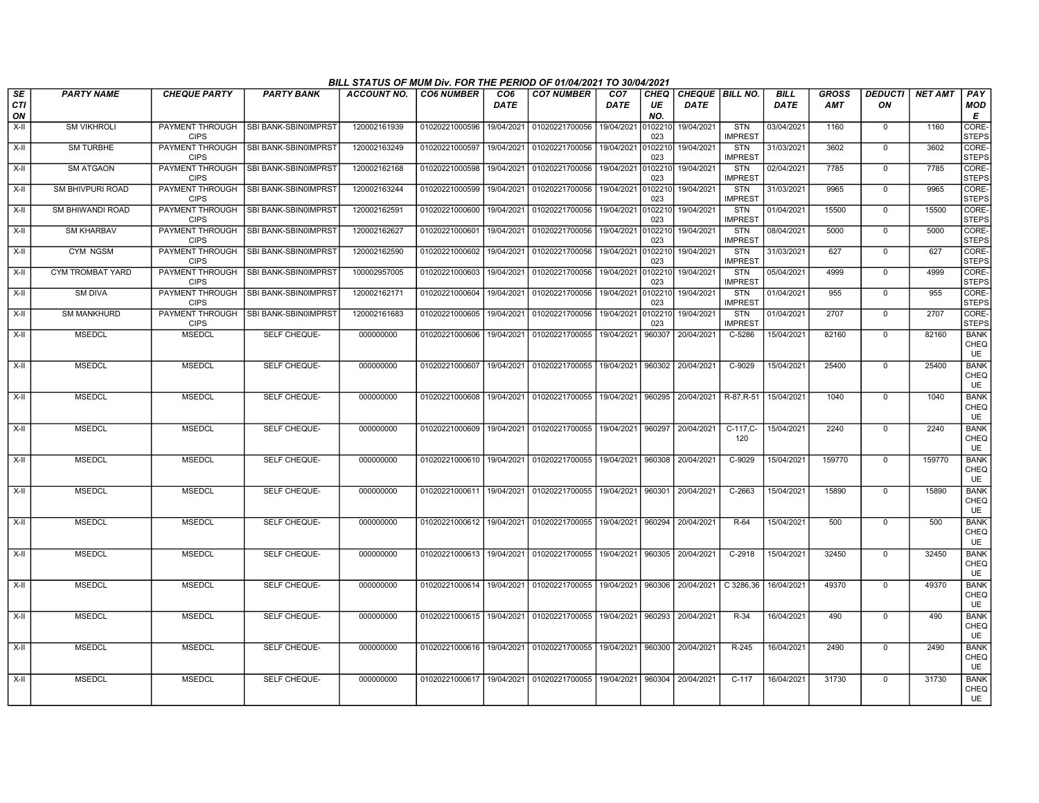|                        |                         |                                |                                       | BILL STATUS OF MUM Div. FOR THE PERIOD OF 01/04/2021 TO 30/04/2021 |                           |                         |                                                                       |                                |                   |                                  |                              |                            |                            |                      |                |                                  |
|------------------------|-------------------------|--------------------------------|---------------------------------------|--------------------------------------------------------------------|---------------------------|-------------------------|-----------------------------------------------------------------------|--------------------------------|-------------------|----------------------------------|------------------------------|----------------------------|----------------------------|----------------------|----------------|----------------------------------|
| SE<br><b>CTI</b><br>ON | <b>PARTY NAME</b>       | <b>CHEQUE PARTY</b>            | <b>PARTY BANK</b>                     | ACCOUNT NO.                                                        | <b>CO6 NUMBER</b>         | CO <sub>6</sub><br>DATE | <b>CO7 NUMBER</b>                                                     | CO <sub>7</sub><br><b>DATE</b> | CHEQ<br>UE<br>NO. | CHEQUE   BILL NO.<br><b>DATE</b> |                              | <b>BILL</b><br><b>DATE</b> | <b>GROSS</b><br><b>AMT</b> | <b>DEDUCTI</b><br>ON | <b>NET AMT</b> | PAY<br><b>MOD</b><br>E           |
| $X-H$                  | <b>SM VIKHROLI</b>      | PAYMENT THROUGH<br><b>CIPS</b> | SBI BANK-SBIN0IMPRST                  | 120002161939                                                       | 01020221000596            | 19/04/2021              | 01020221700056                                                        | 19/04/2021 010221              | 023               | 19/04/2021                       | <b>STN</b><br><b>IMPREST</b> | 03/04/2021                 | 1160                       | $\overline{0}$       | 1160           | CORE-<br><b>STEPS</b>            |
| X-II                   | <b>SM TURBHE</b>        | <b>CIPS</b>                    | PAYMENT THROUGH ISBI BANK-SBIN0IMPRST | 120002163249                                                       | 01020221000597            | 19/04/2021              | 01020221700056                                                        | 19/04/2021 010221              | 023               | 19/04/2021                       | STN<br><b>IMPREST</b>        | 31/03/2021                 | 3602                       | $\mathbf 0$          | 3602           | CORE-<br><b>STEPS</b>            |
| X-II                   | <b>SM ATGAON</b>        | PAYMENT THROUGH<br><b>CIPS</b> | SBI BANK-SBIN0IMPRST                  | 120002162168                                                       | 01020221000598            | 19/04/2021              | 01020221700056 19/04/2021 010221                                      |                                | 023               | 19/04/2021                       | STN<br><b>IMPREST</b>        | 02/04/2021                 | 7785                       | $\mathbf 0$          | 7785           | CORE-<br><b>STEPS</b>            |
| X-II                   | SM BHIVPURI ROAD        | PAYMENT THROUGH<br><b>CIPS</b> | SBI BANK-SBIN0IMPRST                  | 120002163244                                                       | 01020221000599            | 19/04/2021              | 01020221700056                                                        | 19/04/2021                     | 0102210<br>023    | 19/04/2021                       | STN<br><b>IMPREST</b>        | 31/03/2021                 | 9965                       | $\mathbf 0$          | 9965           | CORE-<br><b>STEPS</b>            |
| X-II                   | <b>SM BHIWANDI ROAD</b> | PAYMENT THROUGH<br><b>CIPS</b> | SBI BANK-SBIN0IMPRST                  | 120002162591                                                       | 01020221000600            | 19/04/2021              | 01020221700056                                                        | 19/04/2021                     | 0102210<br>023    | 19/04/2021                       | <b>STN</b><br><b>IMPREST</b> | 01/04/2021                 | 15500                      | $\mathbf 0$          | 15500          | CORE-<br><b>STEPS</b>            |
| $X-H$                  | <b>SM KHARBAV</b>       | PAYMENT THROUGH<br><b>CIPS</b> | SBI BANK-SBIN0IMPRST                  | 120002162627                                                       | 01020221000601            | 19/04/2021              | 01020221700056                                                        | 19/04/2021                     | 0102210<br>023    | 19/04/2021                       | <b>STN</b><br><b>IMPREST</b> | 08/04/2021                 | 5000                       | $\overline{0}$       | 5000           | CORE-<br><b>STEPS</b>            |
| X-II                   | <b>CYM NGSM</b>         | <b>CIPS</b>                    | PAYMENT THROUGH SBI BANK-SBIN0IMPRST  | 120002162590                                                       | 01020221000602            | 19/04/2021              | 01020221700056                                                        | 19/04/2021                     | 0102210<br>023    | 19/04/2021                       | STN<br><b>IMPREST</b>        | 31/03/2021                 | 627                        | $\mathbf 0$          | 627            | CORE-<br><b>STEPS</b>            |
| X-II                   | CYM TROMBAT YARD        | PAYMENT THROUGH<br><b>CIPS</b> | SBI BANK-SBIN0IMPRST                  | 100002957005                                                       | 01020221000603            | 19/04/2021              | 01020221700056                                                        | 19/04/2021                     | 0102210<br>023    | 19/04/2021                       | <b>STN</b><br><b>IMPREST</b> | 05/04/2021                 | 4999                       | $\mathbf 0$          | 4999           | CORE-<br><b>STEPS</b>            |
| X-II                   | SM DIVA                 | PAYMENT THROUGH<br><b>CIPS</b> | SBI BANK-SBIN0IMPRST                  | 120002162171                                                       | 01020221000604            | 19/04/2021              | 01020221700056                                                        | 19/04/2021                     | 0102210<br>023    | 19/04/2021                       | STN<br><b>IMPREST</b>        | 01/04/2021                 | 955                        | $\mathbf 0$          | 955            | CORE-<br><b>STEPS</b>            |
| X-II                   | <b>SM MANKHURD</b>      | PAYMENT THROUGH<br><b>CIPS</b> | <b>SBI BANK-SBIN0IMPRST</b>           | 120002161683                                                       | 01020221000605            | 19/04/2021              | 01020221700056                                                        | 19/04/2021 0102210             | 023               | 19/04/2021                       | <b>STN</b><br><b>IMPREST</b> | 01/04/2021                 | 2707                       | $\mathbf 0$          | 2707           | CORE-<br><b>STEPS</b>            |
| $X-H$                  | <b>MSEDCL</b>           | <b>MSEDCL</b>                  | <b>SELF CHEQUE-</b>                   | 000000000                                                          | 01020221000606            | 19/04/2021              | 01020221700055                                                        | 19/04/2021                     | 960307            | 20/04/2021                       | $C-5286$                     | 15/04/2021                 | 82160                      | $\mathbf 0$          | 82160          | <b>BANK</b><br>CHEQ<br><b>UE</b> |
| X-II                   | <b>MSEDCL</b>           | <b>MSEDCL</b>                  | SELF CHEQUE-                          | 000000000                                                          | 01020221000607            | 19/04/2021              | 01020221700055                                                        | 19/04/2021                     | 960302            | 20/04/2021                       | $C-9029$                     | 15/04/2021                 | 25400                      | $\overline{0}$       | 25400          | <b>BANK</b><br>CHEQ<br><b>UE</b> |
| X-II                   | <b>MSEDCL</b>           | <b>MSEDCL</b>                  | SELF CHEQUE-                          | 000000000                                                          | 01020221000608            | 19/04/2021              | 01020221700055                                                        | 19/04/2021                     | 960295            | 20/04/2021                       | R-87, R-51                   | 15/04/2021                 | 1040                       | $\mathbf 0$          | 1040           | <b>BANK</b><br>CHEQ<br><b>UE</b> |
| $X-H$                  | <b>MSEDCL</b>           | <b>MSEDCL</b>                  | <b>SELF CHEQUE-</b>                   | 000000000                                                          |                           |                         | 01020221000609  19/04/2021  01020221700055                            | 19/04/2021                     | 960297            | 20/04/2021                       | $C-117,C-$<br>120            | 15/04/2021                 | 2240                       | $\mathbf 0$          | 2240           | <b>BANK</b><br>CHEQ<br><b>UE</b> |
| $X-H$                  | <b>MSEDCL</b>           | <b>MSEDCL</b>                  | SELF CHEQUE-                          | 000000000                                                          |                           |                         | 01020221000610 19/04/2021 01020221700055 19/04/2021 960308 20/04/2021 |                                |                   |                                  | C-9029                       | 15/04/2021                 | 159770                     | $\mathbf 0$          | 159770         | <b>BANK</b><br>CHEQ<br><b>UE</b> |
| X-II                   | <b>MSEDCL</b>           | <b>MSEDCL</b>                  | SELF CHEQUE-                          | 000000000                                                          | 01020221000611 19/04/2021 |                         | 01020221700055 19/04/2021 960301 20/04/2021                           |                                |                   |                                  | C-2663                       | 15/04/2021                 | 15890                      | $\mathbf 0$          | 15890          | <b>BANK</b><br>CHEQ<br><b>UE</b> |
| X-II                   | <b>MSEDCL</b>           | <b>MSEDCL</b>                  | SELF CHEQUE-                          | 000000000                                                          | 01020221000612 19/04/2021 |                         | 01020221700055 19/04/2021 960294                                      |                                |                   | 20/04/2021                       | R-64                         | 15/04/2021                 | 500                        | $\mathbf 0$          | 500            | <b>BANK</b><br>CHEQ<br><b>UE</b> |
| $X-II$                 | <b>MSEDCL</b>           | <b>MSEDCL</b>                  | SELF CHEQUE-                          | 000000000                                                          |                           |                         | 01020221000613   19/04/2021   01020221700055   19/04/2021   960305    |                                |                   | 20/04/2021                       | $C-2918$                     | 15/04/2021                 | 32450                      | $\mathbf 0$          | 32450          | <b>BANK</b><br>CHEQ<br><b>UE</b> |
| X-II                   | <b>MSEDCL</b>           | <b>MSEDCL</b>                  | SELF CHEQUE-                          | 000000000                                                          | 01020221000614 19/04/2021 |                         | 01020221700055 19/04/2021                                             |                                | 960306            | 20/04/2021                       | C 3286,36                    | 16/04/2021                 | 49370                      | $\mathbf 0$          | 49370          | <b>BANK</b><br>CHEQ<br><b>UE</b> |
| X-II                   | <b>MSEDCL</b>           | <b>MSEDCL</b>                  | SELF CHEQUE-                          | 000000000                                                          | 01020221000615            | 19/04/2021              | 01020221700055                                                        | 19/04/2021                     | 960293            | 20/04/2021                       | R-34                         | 16/04/2021                 | 490                        | $\mathbf 0$          | 490            | <b>BANK</b><br>CHEQ<br><b>UE</b> |
| X-II                   | <b>MSEDCL</b>           | <b>MSEDCL</b>                  | SELF CHEQUE-                          | 000000000                                                          |                           |                         | 01020221000616 19/04/2021 01020221700055 19/04/2021                   |                                | 960300            | 20/04/2021                       | R-245                        | 16/04/2021                 | 2490                       | $\mathbf 0$          | 2490           | <b>BANK</b><br>CHEQ<br><b>UE</b> |
| $X-H$                  | <b>MSEDCL</b>           | <b>MSEDCL</b>                  | SELF CHEQUE-                          | 000000000                                                          |                           |                         | 01020221000617 19/04/2021 01020221700055 19/04/2021 960304 20/04/2021 |                                |                   |                                  | $C-117$                      | 16/04/2021                 | 31730                      | $\mathbf 0$          | 31730          | <b>BANK</b><br>CHEQ<br><b>UE</b> |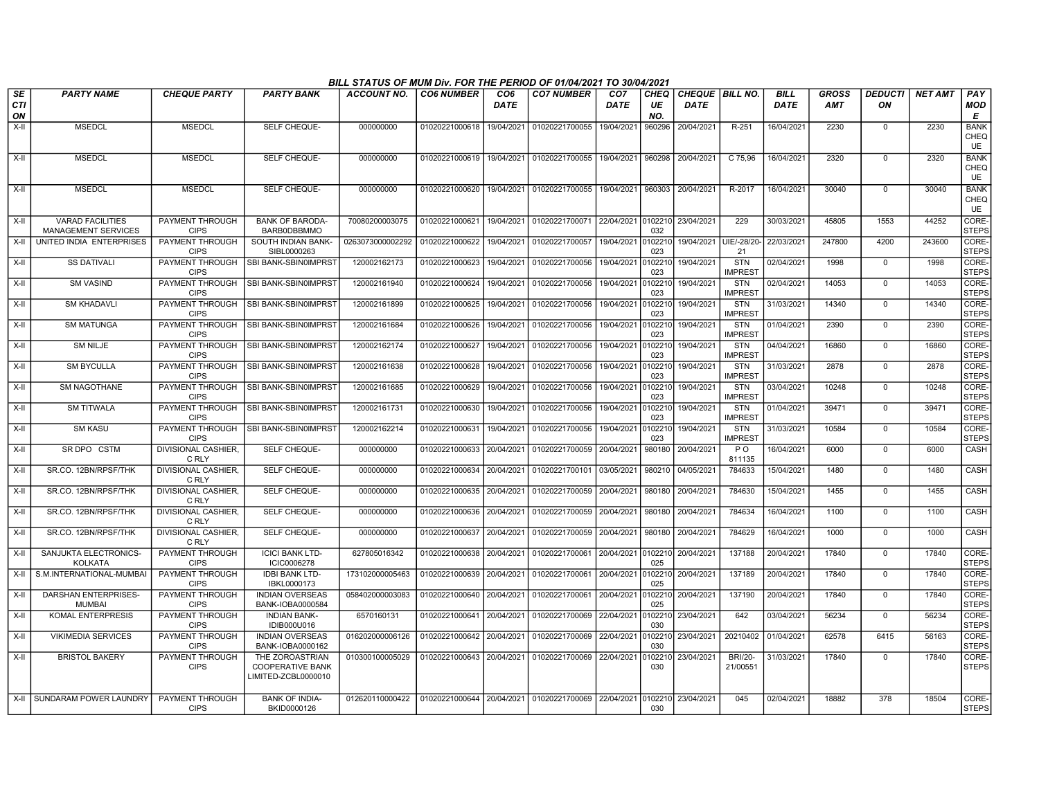|                  |                             |                                       |                                            | BILL STATUS OF MUM Div. FOR THE PERIOD OF 01/04/2021 TO 30/04/2021 |                           |                 |                           |                 |                |                          |                              |             |              |                |                |                       |
|------------------|-----------------------------|---------------------------------------|--------------------------------------------|--------------------------------------------------------------------|---------------------------|-----------------|---------------------------|-----------------|----------------|--------------------------|------------------------------|-------------|--------------|----------------|----------------|-----------------------|
| SE               | <b>PARTY NAME</b>           | <b>CHEQUE PARTY</b>                   | <b>PARTY BANK</b>                          | ACCOUNT NO.                                                        | <b>CO6 NUMBER</b>         | CO <sub>6</sub> | <b>CO7 NUMBER</b>         | CO <sub>7</sub> | <b>CHEO</b>    | <b>CHEQUE   BILL NO.</b> |                              | <b>BILL</b> | <b>GROSS</b> | <b>DEDUCTI</b> | <b>NET AMT</b> | PAY                   |
| <b>CTI</b><br>ON |                             |                                       |                                            |                                                                    |                           | <b>DATE</b>     |                           | <b>DATE</b>     | UE<br>NO.      | <b>DATE</b>              |                              | <b>DATE</b> | <b>AMT</b>   | ON             |                | MOD<br>Е              |
| $X-H$            | <b>MSEDCL</b>               | <b>MSEDCL</b>                         | SELF CHEQUE-                               | 000000000                                                          | 01020221000618            | 19/04/2021      | 01020221700055            | 19/04/2021      | 960296         | 20/04/2021               | $R-251$                      | 16/04/2021  | 2230         | $\mathbf 0$    | 2230           | <b>BANK</b>           |
|                  |                             |                                       |                                            |                                                                    |                           |                 |                           |                 |                |                          |                              |             |              |                |                | CHEQ                  |
|                  |                             |                                       |                                            |                                                                    |                           |                 |                           |                 |                |                          |                              |             |              |                |                | <b>UE</b>             |
| X-II             | <b>MSEDCL</b>               | <b>MSEDCL</b>                         | SELF CHEQUE-                               | 000000000                                                          | 01020221000619 19/04/2021 |                 | 01020221700055 19/04/2021 |                 | 960298         | 20/04/2021               | C 75,96                      | 16/04/2021  | 2320         | $\Omega$       | 2320           | <b>BANK</b><br>CHEQ   |
|                  |                             |                                       |                                            |                                                                    |                           |                 |                           |                 |                |                          |                              |             |              |                |                | UE                    |
| $X-H$            | <b>MSEDCL</b>               | <b>MSEDCL</b>                         | SELF CHEQUE-                               | 000000000                                                          | 01020221000620            | 19/04/2021      | 01020221700055 19/04/2021 |                 |                | 960303 20/04/2021        | R-2017                       | 16/04/2021  | 30040        | $\mathbf 0$    | 30040          | <b>BANK</b>           |
|                  |                             |                                       |                                            |                                                                    |                           |                 |                           |                 |                |                          |                              |             |              |                |                | CHEQ<br><b>UE</b>     |
| $X-H$            | <b>VARAD FACILITIES</b>     | PAYMENT THROUGH                       | <b>BANK OF BARODA-</b>                     | 70080200003075                                                     | 01020221000621            | 19/04/2021      | 01020221700071 22/04/2021 |                 |                | 0102210 23/04/2021       | 229                          | 30/03/2021  | 45805        | 1553           | 44252          | CORE-                 |
|                  | <b>MANAGEMENT SERVICES</b>  | <b>CIPS</b>                           | BARB0DBBMMO                                |                                                                    |                           |                 |                           |                 | 032            |                          |                              |             |              |                |                | <b>STEPS</b>          |
| X-II             | UNITED INDIA ENTERPRISES    | PAYMENT THROUGH<br><b>CIPS</b>        | SOUTH INDIAN BANK-<br>SIBL0000263          | 0263073000002292                                                   | 01020221000622            | 19/04/2021      | 01020221700057            | 19/04/2021      | 0102210<br>023 | 19/04/2021               | UIE/-28/20-<br>21            | 22/03/2021  | 247800       | 4200           | 243600         | CORE-<br><b>STEPS</b> |
| X-II             | <b>SS DATIVALI</b>          | PAYMENT THROUGH                       | SBI BANK-SBIN0IMPRST                       | 120002162173                                                       | 01020221000623            | 19/04/2021      | 01020221700056            | 19/04/2021      | 0102210        | 19/04/2021               | <b>STN</b>                   | 02/04/2021  | 1998         | $\Omega$       | 1998           | CORE-                 |
|                  |                             | <b>CIPS</b>                           |                                            |                                                                    |                           |                 |                           |                 | 023            |                          | <b>IMPREST</b>               |             |              |                |                | <b>STEPS</b>          |
| X-II             | <b>SM VASIND</b>            | PAYMENT THROUGH<br><b>CIPS</b>        | SBI BANK-SBIN0IMPRST                       | 120002161940                                                       | 01020221000624            | 19/04/2021      | 01020221700056            | 19/04/2021      | 0102210<br>023 | 19/04/2021               | <b>STN</b><br><b>IMPREST</b> | 02/04/2021  | 14053        | $\mathbf 0$    | 14053          | CORE-<br><b>STEPS</b> |
| X-II             | <b>SM KHADAVLI</b>          | PAYMENT THROUGH                       | <b>SBI BANK-SBIN0IMPRST</b>                | 120002161899                                                       | 01020221000625            | 19/04/2021      | 01020221700056            | 19/04/2021      | 0102210        | 19/04/2021               | <b>STN</b>                   | 31/03/2021  | 14340        | $\mathbf 0$    | 14340          | CORE-                 |
|                  |                             | <b>CIPS</b>                           |                                            |                                                                    |                           |                 |                           |                 | 023            |                          | <b>MPREST</b>                |             |              |                |                | <b>STEPS</b>          |
| $X-H$            | <b>SM MATUNGA</b>           | PAYMENT THROUGH<br><b>CIPS</b>        | <b>SBI BANK-SBIN0IMPRST</b>                | 120002161684                                                       | 01020221000626            | 19/04/2021      | 01020221700056            | 19/04/2021      | 102210<br>023  | 19/04/2021               | <b>STN</b><br><b>IMPRES</b>  | 01/04/2021  | 2390         | $\mathbf 0$    | 2390           | CORE-<br><b>STEPS</b> |
| X-II             | <b>SM NILJE</b>             |                                       | PAYMENT THROUGH ISBI BANK-SBIN0IMPRST      | 120002162174                                                       | 01020221000627            | 19/04/2021      | 01020221700056            | 19/04/2021      | 102210         | 19/04/2021               | STN                          | 04/04/2021  | 16860        | $\mathbf 0$    | 16860          | CORE-                 |
|                  |                             | <b>CIPS</b>                           |                                            |                                                                    |                           |                 |                           |                 | 023            |                          | <b>IMPREST</b>               |             |              |                |                | <b>STEPS</b>          |
| X-II             | <b>SM BYCULLA</b>           | PAYMENT THROUGH<br><b>CIPS</b>        | SBI BANK-SBIN0IMPRST                       | 120002161638                                                       | 01020221000628            | 19/04/2021      | 01020221700056            | 19/04/2021      | 0102210<br>023 | 19/04/2021               | <b>STN</b><br><b>IMPREST</b> | 31/03/2021  | 2878         | $^{\circ}$     | 2878           | CORE-<br><b>STEPS</b> |
| $X-H$            | <b>SM NAGOTHANE</b>         | PAYMENT THROUGH                       | SBI BANK-SBIN0IMPRST                       | 120002161685                                                       | 01020221000629            | 19/04/2021      | 01020221700056            | 19/04/2021      |                | 0102210 19/04/2021       | <b>STN</b>                   | 03/04/2021  | 10248        | $\overline{0}$ | 10248          | CORE-                 |
|                  |                             | <b>CIPS</b>                           |                                            |                                                                    |                           |                 |                           |                 | 023            |                          | <b>IMPREST</b>               |             |              |                |                | <b>STEPS</b>          |
| X-II             | <b>SM TITWALA</b>           | PAYMENT THROUGH<br><b>CIPS</b>        | <b>SBI BANK-SBIN0IMPRST</b>                | 120002161731                                                       | 01020221000630            | 19/04/2021      | 01020221700056            | 19/04/2021      | 0102210<br>023 | 19/04/2021               | <b>STN</b><br>IMPRES1        | 01/04/2021  | 39471        | $\mathbf 0$    | 39471          | CORE-<br><b>STEPS</b> |
| X-II             | <b>SM KASU</b>              |                                       | PAYMENT THROUGH ISBI BANK-SBIN0IMPRST      | 120002162214                                                       | 01020221000631            | 19/04/2021      | 01020221700056            | 19/04/2021      | 0102210        | 19/04/2021               | STN                          | 31/03/2021  | 10584        | $\mathbf 0$    | 10584          | CORE-                 |
|                  |                             | <b>CIPS</b>                           |                                            |                                                                    |                           |                 |                           |                 | 023            |                          | <b>IMPREST</b>               |             |              |                |                | <b>STEPS</b>          |
| X-II             | SR DPO CSTM                 | DIVISIONAL CASHIER,<br>C RLY          | SELF CHEQUE-                               | 000000000                                                          | 01020221000633            | 20/04/2021      | 01020221700059            | 20/04/2021      |                | 980180 20/04/2021        | P O<br>811135                | 16/04/2021  | 6000         | $\mathbf 0$    | 6000           | CASH                  |
| $X-II$           | SR.CO. 12BN/RPSF/THK        | DIVISIONAL CASHIER,                   | SELF CHEQUE-                               | 000000000                                                          | 01020221000634            | 20/04/2021      | 01020221700101            | 03/05/2021      | 980210         | 04/05/2021               | 784633                       | 15/04/2021  | 1480         | $\overline{0}$ | 1480           | CASH                  |
|                  |                             | C RLY                                 |                                            |                                                                    |                           |                 |                           |                 |                |                          |                              |             |              |                |                |                       |
| X-II             | SR.CO. 12BN/RPSF/THK        | <b>DIVISIONAL CASHIER.</b><br>C RLY   | SELF CHEQUE-                               | 000000000                                                          | 01020221000635            | 20/04/2021      | 01020221700059            | 20/04/2021      | 980180         | 20/04/2021               | 784630                       | 15/04/2021  | 1455         | $\mathbf 0$    | 1455           | <b>CASH</b>           |
| X-II             | SR.CO. 12BN/RPSF/THK        | <b>DIVISIONAL CASHIER.</b>            | <b>SELF CHEQUE-</b>                        | 000000000                                                          | 01020221000636            | 20/04/2021      | 01020221700059 20/04/2021 |                 |                | 980180 20/04/2021        | 784634                       | 16/04/2021  | 1100         | $\mathbf 0$    | 1100           | <b>CASH</b>           |
|                  |                             | C RLY                                 |                                            |                                                                    |                           |                 |                           |                 |                |                          |                              |             |              |                |                |                       |
| X-II             | SR.CO. 12BN/RPSF/THK        | <b>DIVISIONAL CASHIER,</b><br>C RLY   | SELF CHEQUE-                               | 000000000                                                          | 01020221000637            | 20/04/2021      | 01020221700059            | 20/04/2021      | 980180         | 20/04/2021               | 784629                       | 16/04/2021  | 1000         | $\mathbf 0$    | 1000           | CASH                  |
| X-II             | SANJUKTA ELECTRONICS-       | PAYMENT THROUGH                       | <b>ICICI BANK LTD-</b>                     | 627805016342                                                       | 01020221000638            | 20/04/2021      | 01020221700061 20/04/2021 |                 |                | 0102210 20/04/2021       | 137188                       | 20/04/2021  | 17840        | $\mathbf 0$    | 17840          | CORE-                 |
|                  | <b>KOLKATA</b>              | <b>CIPS</b>                           | ICIC0006278                                |                                                                    |                           |                 |                           |                 | 025            |                          |                              |             |              |                |                | <b>STEPS</b>          |
| X-II             | S.M.INTERNATIONAL-MUMBAI    | PAYMENT THROUGH<br><b>CIPS</b>        | <b>IDBI BANK LTD-</b><br>IBKL0000173       | 173102000005463                                                    | 01020221000639            | 20/04/2021      | 01020221700061            | 20/04/2021      | 025            | 102210 20/04/2021        | 137189                       | 20/04/2021  | 17840        | $\mathbf 0$    | 17840          | CORE-<br><b>STEPS</b> |
| X-II             | <b>DARSHAN ENTERPRISES-</b> | PAYMENT THROUGH                       | <b>INDIAN OVERSEAS</b>                     | 058402000003083                                                    | 01020221000640 20/04/2021 |                 | 01020221700061 20/04/2021 |                 |                | 0102210 20/04/2021       | 137190                       | 20/04/2021  | 17840        | $\mathbf 0$    | 17840          | CORE-                 |
|                  | <b>MUMBAI</b>               | <b>CIPS</b>                           | BANK-IOBA0000584                           |                                                                    |                           |                 |                           |                 | 025            |                          |                              |             |              |                |                | <b>STEPS</b>          |
| X-II             | <b>KOMAL ENTERPRESIS</b>    | PAYMENT THROUGH<br><b>CIPS</b>        | <b>INDIAN BANK-</b><br>IDIB000U016         | 6570160131                                                         | 01020221000641            | 20/04/2021      | 01020221700069            | 22/04/2021      | 030            | 0102210 23/04/2021       | 642                          | 03/04/2021  | 56234        | $\mathbf 0$    | 56234          | CORE-<br><b>STEPS</b> |
| X-II             | <b>VIKIMEDIA SERVICES</b>   | PAYMENT THROUGH                       | <b>INDIAN OVERSEAS</b>                     | 016202000006126                                                    | 01020221000642            | 20/04/2021      | 01020221700069            | 22/04/2021      |                | 102210 23/04/2021        | 20210402                     | 01/04/2021  | 62578        | 6415           | 56163          | CORE-                 |
|                  | <b>BRISTOL BAKERY</b>       | <b>CIPS</b><br><b>PAYMENT THROUGH</b> | BANK-IOBA0000162                           |                                                                    |                           |                 |                           |                 | 030            |                          | <b>BRI/20-</b>               |             | 17840        | $\Omega$       | 17840          | <b>STEPS</b><br>CORE- |
| $X-H$            |                             | <b>CIPS</b>                           | THE ZOROASTRIAN<br><b>COOPERATIVE BANK</b> | 010300100005029                                                    | 01020221000643 20/04/2021 |                 | 01020221700069            | 22/04/2021      | 102210<br>030  | 23/04/2021               | 21/00551                     | 31/03/2021  |              |                |                | <b>STEPS</b>          |
|                  |                             |                                       | LIMITED-ZCBL0000010                        |                                                                    |                           |                 |                           |                 |                |                          |                              |             |              |                |                |                       |
|                  |                             |                                       |                                            |                                                                    |                           |                 |                           |                 |                |                          |                              |             |              |                |                |                       |
|                  | X-II SUNDARAM POWER LAUNDRY | PAYMENT THROUGH<br><b>CIPS</b>        | <b>BANK OF INDIA-</b><br>BKID0000126       | 012620110000422                                                    | 01020221000644            | 20/04/2021      | 01020221700069            | 22/04/2021      | 030            | 0102210 23/04/2021       | 045                          | 02/04/2021  | 18882        | 378            | 18504          | CORE-<br><b>STEPS</b> |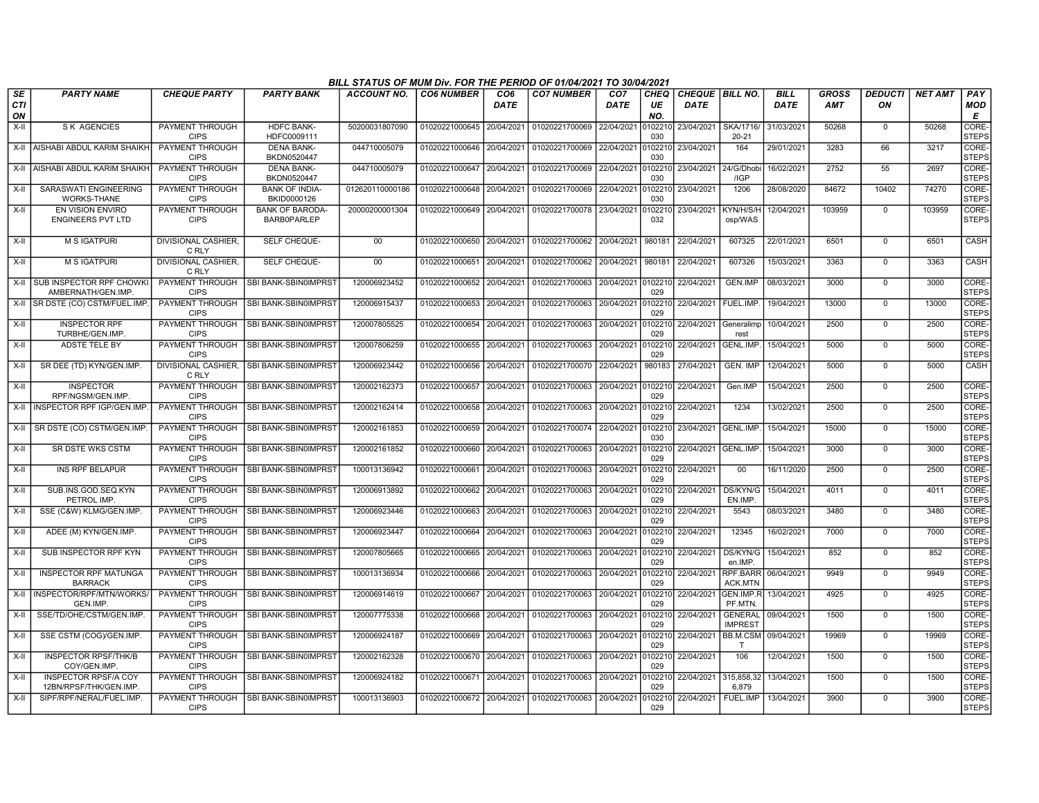|                  |                                                       |                                       |                                              | BILL STATUS OF MUM Div. FOR THE PERIOD OF 01/04/2021 TO 30/04/2021 |                           |                         |                                   |                                |                          |                                       |                                  |                     |                            |                      |                |                             |
|------------------|-------------------------------------------------------|---------------------------------------|----------------------------------------------|--------------------------------------------------------------------|---------------------------|-------------------------|-----------------------------------|--------------------------------|--------------------------|---------------------------------------|----------------------------------|---------------------|----------------------------|----------------------|----------------|-----------------------------|
| <b>SE</b><br>CTI | <b>PARTY NAME</b>                                     | <b>CHEQUE PARTY</b>                   | <b>PARTY BANK</b>                            | ACCOUNT NO.                                                        | <b>CO6 NUMBER</b>         | CO <sub>6</sub><br>DATE | <b>CO7 NUMBER</b>                 | CO <sub>7</sub><br><b>DATE</b> | <b>CHEQ</b><br>UE<br>NO. | <b>CHEQUE BILL NO.</b><br><b>DATE</b> |                                  | <b>BILL</b><br>DATE | <b>GROSS</b><br><b>AMT</b> | <b>DEDUCTI</b><br>ON | <b>NET AMT</b> | PAY<br><b>MOD</b><br>Е      |
| ON<br>$X-H$      | <b>SK AGENCIES</b>                                    | PAYMENT THROUGH                       | <b>HDFC BANK-</b>                            | 50200031807090                                                     | 01020221000645            | 20/04/2021              | 01020221700069                    | 22/04/2021                     | 010221                   | 23/04/2021                            | <b>SKA/1716/</b>                 | 31/03/2021          | 50268                      | $\mathbf 0$          | 50268          | <b>CORE</b>                 |
|                  | X-II AISHABI ABDUL KARIM SHAIKH                       | <b>CIPS</b><br>PAYMENT THROUGH        | HDFC0009111<br><b>DENA BANK-</b>             | 044710005079                                                       | 01020221000646            | 20/04/2021              | 01020221700069 22/04/2021         |                                | 030<br>0102210           | 23/04/2021                            | $20 - 21$<br>164                 | 29/01/2021          | 3283                       | 66                   | 3217           | <b>STEPS</b><br>CORE-       |
|                  |                                                       | <b>CIPS</b>                           | BKDN0520447                                  |                                                                    |                           |                         |                                   |                                | 030                      |                                       |                                  |                     |                            |                      |                | <b>STEPS</b>                |
|                  | X-II AISHABI ABDUL KARIM SHAIKH                       | PAYMENT THROUGH<br><b>CIPS</b>        | <b>DENA BANK-</b><br>BKDN0520447             | 044710005079                                                       | 01020221000647            | 20/04/2021              | 01020221700069                    | 22/04/2021                     | 0102210<br>030           | 23/04/2021                            | 24/G/Dhobi<br>/IGP               | 16/02/2021          | 2752                       | 55                   | 2697           | CORE-<br><b>STEPS</b>       |
| X-II             | SARASWATI ENGINEERING<br><b>WORKS-THANE</b>           | PAYMENT THROUGH<br><b>CIPS</b>        | <b>BANK OF INDIA-</b><br>BKID0000126         | 012620110000186                                                    | 01020221000648            | 20/04/2021              | 01020221700069                    | 22/04/2021                     | 010221<br>030            | 23/04/2021                            | 1206                             | 28/08/2020          | 84672                      | 10402                | 74270          | CORE-<br><b>STEPS</b>       |
| X-II             | EN VISION ENVIRO<br><b>ENGINEERS PVT LTD</b>          | PAYMENT THROUGH<br><b>CIPS</b>        | <b>BANK OF BARODA-</b><br><b>BARB0PARLEP</b> | 20000200001304                                                     | 01020221000649            | 20/04/2021              | 01020221700078 23/04/2021         |                                | 0102210<br>032           | 23/04/2021                            | KYN/H/S/H<br>osp/WAS             | 12/04/2021          | 103959                     | $\mathbf 0$          | 103959         | CORE-<br><b>STEPS</b>       |
| $X-H$            | <b>M S IGATPURI</b>                                   | DIVISIONAL CASHIER,<br>C RLY          | SELF CHEQUE-                                 | $00\,$                                                             | 01020221000650            | 20/04/2021              | 01020221700062 20/04/2021         |                                | 980181                   | 22/04/2021                            | 607325                           | 22/01/2021          | 6501                       | $\mathbf 0$          | 6501           | CASH                        |
| X-II             | <b>M S IGATPURI</b>                                   | <b>DIVISIONAL CASHIER.</b><br>C RLY   | SELF CHEQUE-                                 | 00                                                                 | 01020221000651            | 20/04/2021              | 01020221700062 20/04/2021         |                                | 980181                   | 22/04/2021                            | 607326                           | 15/03/2021          | 3363                       | $\Omega$             | 3363           | CASH                        |
|                  | X-II SUB INSPECTOR RPF CHOWKI<br>AMBERNATH/GEN.IMP.   | PAYMENT THROUGH<br><b>CIPS</b>        | SBI BANK-SBIN0IMPRST                         | 120006923452                                                       | 01020221000652            | 20/04/2021              | 01020221700063 20/04/2021 0102210 |                                | 029                      | 22/04/2021                            | <b>GEN.IMP</b>                   | 08/03/2021          | 3000                       | $\Omega$             | 3000           | <b>CORE</b><br><b>STEPS</b> |
|                  | X-II SR DSTE (CO) CSTM/FUEL.IMP                       | PAYMENT THROUGH<br><b>CIPS</b>        | <b>SBI BANK-SBIN0IMPRST</b>                  | 120006915437                                                       | 01020221000653            | 20/04/2021              | 01020221700063                    | 20/04/2021                     | 0102210<br>029           | 22/04/2021                            | FUEL.IMP.                        | 19/04/2021          | 13000                      | $\mathbf 0$          | 13000          | CORE-<br><b>STEPS</b>       |
| X-II             | <b>INSPECTOR RPF</b><br>TURBHE/GEN.IMP.               | PAYMENT THROUGH<br><b>CIPS</b>        | SBI BANK-SBIN0IMPRST                         | 120007805525                                                       | 01020221000654            | 20/04/2021              | 01020221700063                    | 20/04/2021                     | 010221<br>029            | 22/04/2021                            | Generalimp<br>rest               | 10/04/2021          | 2500                       | $\Omega$             | 2500           | CORE-<br><b>STEPS</b>       |
| X-II             | <b>ADSTE TELE BY</b>                                  | PAYMENT THROUGH<br><b>CIPS</b>        | <b>ISBI BANK-SBIN0IMPRST</b>                 | 120007806259                                                       | 01020221000655            | 20/04/2021              | 01020221700063                    | 20/04/2021                     | 010221<br>029            | 22/04/2021                            | GENL.IMP.                        | 15/04/2021          | 5000                       | $\mathbf 0$          | 5000           | CORE-<br><b>STEPS</b>       |
| X-II             | SR DEE (TD) KYN/GEN.IMP.                              | C RLY                                 | DIVISIONAL CASHIER. ISBI BANK-SBIN0IMPRST    | 120006923442                                                       | 01020221000656            | 20/04/2021              | 01020221700070 22/04/2021         |                                | 980183                   | 27/04/2021                            | <b>GEN. IMP</b>                  | 12/04/2021          | 5000                       | $\mathbf 0$          | 5000           | <b>CASH</b>                 |
| X-II             | <b>INSPECTOR</b><br>RPF/NGSM/GEN.IMP.                 | PAYMENT THROUGH<br><b>CIPS</b>        | <b>SBI BANK-SBIN0IMPRST</b>                  | 120002162373                                                       | 01020221000657            | 20/04/2021              | 01020221700063                    | 20/04/2021                     | 0102210<br>029           | 22/04/2021                            | Gen.IMP                          | 15/04/2021          | 2500                       | $\overline{0}$       | 2500           | CORE-<br><b>STEPS</b>       |
| X-II             | INSPECTOR RPF IGP/GEN.IMP                             | PAYMENT THROUGH<br><b>CIPS</b>        | <b>SBI BANK-SBIN0IMPRST</b>                  | 120002162414                                                       | 01020221000658            | 20/04/2021              | 01020221700063                    | 20/04/2021                     | 0102210<br>029           | 22/04/2021                            | 1234                             | 13/02/2021          | 2500                       | $\Omega$             | 2500           | CORE-<br><b>STEPS</b>       |
|                  | X-II SR DSTE (CO) CSTM/GEN.IMP                        | PAYMENT THROUGH<br><b>CIPS</b>        | <b>SBI BANK-SBIN0IMPRST</b>                  | 120002161853                                                       | 01020221000659            | 20/04/2021              | 01020221700074 22/04/2021         |                                | 010221<br>030            | 23/04/2021                            | GENL.IMP.                        | 15/04/2021          | 15000                      | $\Omega$             | 15000          | CORE-<br><b>STEPS</b>       |
| $X-II$           | <b>SR DSTE WKS CSTM</b>                               | PAYMENT THROUGH<br><b>CIPS</b>        | <b>SBI BANK-SBIN0IMPRST</b>                  | 120002161852                                                       | 01020221000660            | 20/04/2021              | 01020221700063                    | 20/04/2021                     | 0102210<br>029           | 22/04/2021                            | GENL.IMP                         | 15/04/2021          | 3000                       | $\Omega$             | 3000           | CORE-<br><b>STEPS</b>       |
| X-II             | INS RPF BELAPUR                                       | PAYMENT THROUGH<br><b>CIPS</b>        | SBI BANK-SBIN0IMPRST                         | 100013136942                                                       | 01020221000661            | 20/04/2021              | 01020221700063                    | 20/04/2021                     | 010221<br>029            | 22/04/2021                            | 00                               | 16/11/2020          | 2500                       | $\Omega$             | 2500           | CORE-<br><b>STEPS</b>       |
| X-II             | SUB.INS.GOD.SEQ.KYN<br>PETROL IMP                     | PAYMENT THROUGH<br><b>CIPS</b>        | <b>SBI BANK-SBIN0IMPRST</b>                  | 120006913892                                                       | 01020221000662            | 20/04/2021              | 01020221700063                    | 20/04/2021                     | 010221<br>029            | 22/04/2021                            | DS/KYN/G<br>EN.IMP               | 15/04/2021          | 4011                       | $\Omega$             | 4011           | <b>CORE</b><br><b>STEPS</b> |
| $X-H$            | SSE (C&W) KLMG/GEN.IMP.                               | PAYMENT THROUGH<br><b>CIPS</b>        | <b>SBI BANK-SBIN0IMPRST</b>                  | 120006923446                                                       | 01020221000663            | 20/04/2021              | 01020221700063                    | 20/04/2021                     | 010221<br>029            | 22/04/2021                            | 5543                             | 08/03/2021          | 3480                       | $\Omega$             | 3480           | <b>CORE</b><br><b>STEPS</b> |
| X-II             | ADEE (M) KYN/GEN.IMP.                                 | PAYMENT THROUGH<br><b>CIPS</b>        | <b>SBI BANK-SBIN0IMPRST</b>                  | 120006923447                                                       | 01020221000664            | 20/04/2021              | 01020221700063                    | 20/04/2021                     | 0102210<br>029           | 22/04/2021                            | 12345                            | 16/02/2021          | 7000                       | $\mathbf 0$          | 7000           | CORE-<br><b>STEPS</b>       |
| X-II             | SUB INSPECTOR RPF KYN                                 | PAYMENT THROUGH<br><b>CIPS</b>        | I SBI BANK-SBIN0IMPRST                       | 120007805665                                                       | 01020221000665            | 20/04/2021              | 01020221700063 20/04/2021         |                                | 0102210<br>029           | 22/04/2021                            | <b>DS/KYN/G</b><br>en.IMP.       | 15/04/2021          | 852                        | $\Omega$             | 852            | CORE-<br><b>STEPS</b>       |
| X-II             | <b>INSPECTOR RPF MATUNGA</b><br><b>BARRACK</b>        | PAYMENT THROUGH<br><b>CIPS</b>        | <b>SBI BANK-SBIN0IMPRST</b>                  | 100013136934                                                       | 01020221000666            | 20/04/2021              | 01020221700063                    | 20/04/2021                     | 010221<br>029            | 22/04/2021                            | RPF.BARR<br>ACK.MTN              | 06/04/2021          | 9949                       | $\Omega$             | 9949           | CORE-<br><b>STEPS</b>       |
| X-II             | INSPECTOR/RPF/MTN/WORKS<br>GEN.IMP.                   | PAYMENT THROUGH<br><b>CIPS</b>        | <b>SBI BANK-SBIN0IMPRST</b>                  | 120006914619                                                       | 01020221000667            | 20/04/2021              | 01020221700063                    | 20/04/2021                     | 0102210<br>029           | 22/04/2021                            | GEN.IMP.R<br>PF.MTN.             | 13/04/2021          | 4925                       | $\mathbf 0$          | 4925           | CORE-<br><b>STEPS</b>       |
| $X-II$           | SSE/TD/OHE/CSTM/GEN.IMP                               | PAYMENT THROUGH<br><b>CIPS</b>        | I SBI BANK-SBIN0IMPRST                       | 120007775338                                                       | 01020221000668            | 20/04/2021              | 01020221700063                    | 20/04/2021                     | 010221<br>029            | 22/04/2021                            | <b>GENERAL</b><br><b>IMPREST</b> | 09/04/2021          | 1500                       | $\mathbf 0$          | 1500           | CORE-<br><b>STEPS</b>       |
| X-II             | SSE CSTM (COG)/GEN.IMP.                               | PAYMENT THROUGH<br><b>CIPS</b>        | <b>SBI BANK-SBIN0IMPRST</b>                  | 120006924187                                                       | 01020221000669            | 20/04/2021              | 01020221700063                    | 20/04/2021                     | 010221<br>029            | 22/04/2021                            | <b>BB.M.CSM</b><br>$\mathsf{T}$  | 09/04/2021          | 19969                      | $\Omega$             | 19969          | CORE-<br><b>STEPS</b>       |
| X-II             | INSPECTOR RPSF/THK/B<br>COY/GEN.IMP.                  | <b>PAYMENT THROUGH</b><br><b>CIPS</b> | <b>SBI BANK-SBIN0IMPRST</b>                  | 120002162328                                                       | 01020221000670 20/04/2021 |                         | 01020221700063 20/04/2021 010221  |                                | 029                      | 22/04/2021                            | 106                              | 12/04/2021          | 1500                       | $\Omega$             | 1500           | CORE-<br><b>STEPS</b>       |
| X-II             | <b>INSPECTOR RPSF/A COY</b><br>12BN/RPSF/THK/GEN.IMP. | PAYMENT THROUGH<br><b>CIPS</b>        | SBI BANK-SBIN0IMPRST                         | 120006924182                                                       | 01020221000671            | 20/04/2021              | 01020221700063                    | 20/04/2021                     | 0102210<br>029           | 22/04/2021                            | 315,858,32<br>6,879              | 13/04/2021          | 1500                       | $\mathbf 0$          | 1500           | CORE-<br><b>STEPS</b>       |
| $X-H$            | SIPF/RPF/NERAL/FUEL.IMP                               | PAYMENT THROUGH<br><b>CIPS</b>        | <b>SBI BANK-SBIN0IMPRST</b>                  | 100013136903                                                       | 01020221000672            | 20/04/2021              | 01020221700063                    | 20/04/2021                     | 0102210<br>029           | 22/04/2021                            | <b>FUEL IMP</b>                  | 13/04/2021          | 3900                       | $\Omega$             | 3900           | CORE-<br><b>STEPS</b>       |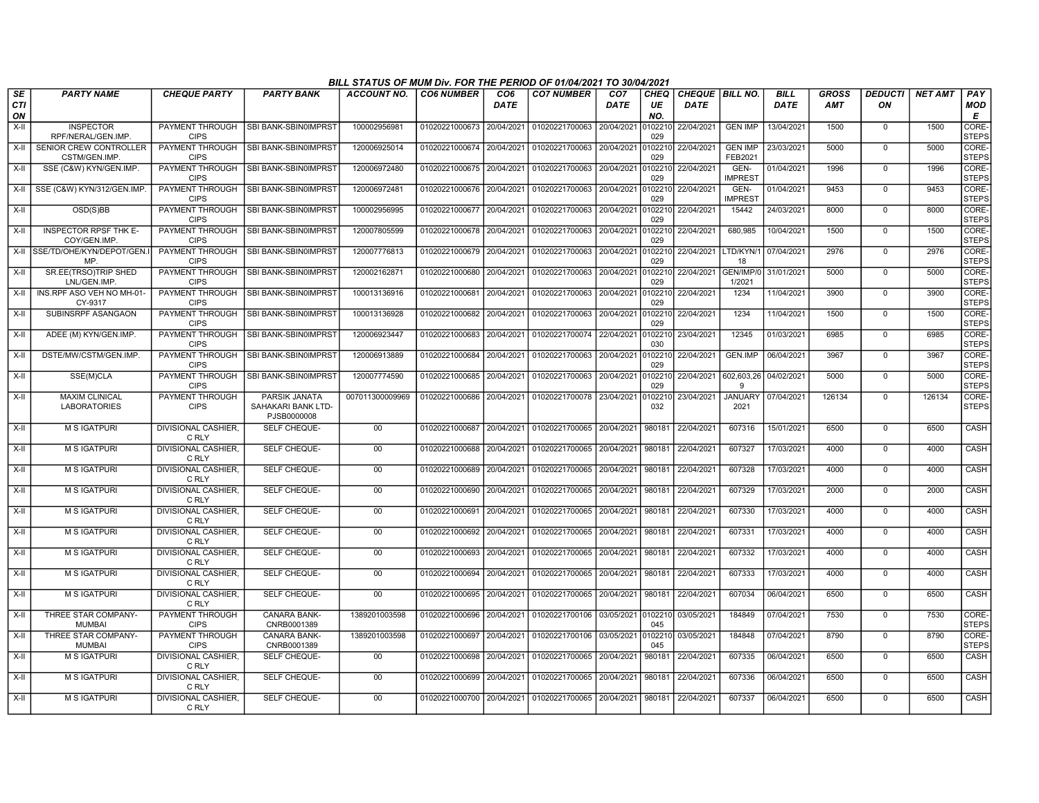|                  |                                              |                                       |                                                    | BILL STATUS OF MUM Div. FOR THE PERIOD OF 01/04/2021 TO 30/04/2021 |                           |                                |                                          |                                |                   |                                |                        |                            |                            |                      |                |                       |
|------------------|----------------------------------------------|---------------------------------------|----------------------------------------------------|--------------------------------------------------------------------|---------------------------|--------------------------------|------------------------------------------|--------------------------------|-------------------|--------------------------------|------------------------|----------------------------|----------------------------|----------------------|----------------|-----------------------|
| SE<br><b>CTI</b> | <b>PARTY NAME</b>                            | <b>CHEQUE PARTY</b>                   | <b>PARTY BANK</b>                                  | <b>ACCOUNT NO.</b>                                                 | <b>CO6 NUMBER</b>         | CO <sub>6</sub><br><b>DATE</b> | <b>CO7 NUMBER</b>                        | CO <sub>7</sub><br><b>DATE</b> | <b>CHEQ</b><br>UE | CHEQUE BILL NO.<br><b>DATE</b> |                        | <b>BILL</b><br><b>DATE</b> | <b>GROSS</b><br><b>AMT</b> | <b>DEDUCTI</b><br>ON | <b>NET AMT</b> | PAY<br><b>MOD</b>     |
| ON<br>X-II       | <b>INSPECTOR</b>                             | PAYMENT THROUGH                       | SBI BANK-SBIN0IMPRST                               | 100002956981                                                       | 01020221000673 20/04/2021 |                                | 01020221700063                           | 20/04/2021                     | NO.<br>0102210    | 22/04/2021                     | <b>GEN IMP</b>         | 13/04/2021                 | 1500                       | $\mathbf 0$          | 1500           | E<br>CORE-            |
|                  | RPF/NERAL/GEN.IMP.                           | <b>CIPS</b>                           |                                                    |                                                                    |                           |                                |                                          |                                | 029               |                                |                        |                            |                            |                      |                | <b>STEPS</b>          |
| X-II             | SENIOR CREW CONTROLLER                       | PAYMENT THROUGH                       | SBI BANK-SBIN0IMPRST                               | 120006925014                                                       | 01020221000674 20/04/2021 |                                | 01020221700063                           | 20/04/2021                     | 0102210           | 22/04/2021                     | <b>GEN IMP</b>         | 23/03/2021                 | 5000                       | $\mathbf 0$          | 5000           | CORE-                 |
| $X-H$            | CSTM/GEN.IMP.<br>SSE (C&W) KYN/GEN.IMP.      | <b>CIPS</b><br>PAYMENT THROUGH        | SBI BANK-SBIN0IMPRST                               | 120006972480                                                       | 01020221000675 20/04/2021 |                                | 01020221700063                           | 20/04/2021                     | 029<br>0102210    | 22/04/2021                     | FEB2021<br>GEN-        | 01/04/2021                 | 1996                       | $\mathbf 0$          | 1996           | <b>STEPS</b><br>CORE- |
|                  |                                              | <b>CIPS</b>                           |                                                    |                                                                    |                           |                                |                                          |                                | 029               |                                | <b>IMPREST</b>         |                            |                            |                      |                | <b>STEPS</b>          |
| $X-H$            | SSE (C&W) KYN/312/GEN.IMP                    | PAYMENT THROUGH<br><b>CIPS</b>        | SBI BANK-SBIN0IMPRST                               | 120006972481                                                       | 01020221000676 20/04/2021 |                                | 01020221700063                           | 20/04/2021                     | 0102210<br>029    | 22/04/2021                     | GEN-<br><b>IMPREST</b> | 01/04/2021                 | 9453                       | $\mathbf 0$          | 9453           | CORE-<br><b>STEPS</b> |
| X-II             | OSD(S)BB                                     | <b>PAYMENT THROUGH</b><br><b>CIPS</b> | SBI BANK-SBIN0IMPRST                               | 100002956995                                                       | 01020221000677 20/04/2021 |                                | 01020221700063                           | 20/04/2021                     | 0102210<br>029    | 22/04/2021                     | 15442                  | 24/03/2021                 | 8000                       | $\mathbf 0$          | 8000           | CORE-<br><b>STEPS</b> |
| $X-H$            | <b>INSPECTOR RPSF THK E-</b><br>COY/GEN.IMP. | <b>PAYMENT THROUGH</b><br><b>CIPS</b> | SBI BANK-SBIN0IMPRST                               | 120007805599                                                       | 01020221000678            | 20/04/2021                     | 01020221700063                           | 20/04/2021                     | 0102210<br>029    | 22/04/2021                     | 680,985                | 10/04/2021                 | 1500                       | $\mathbf 0$          | 1500           | CORE-<br><b>STEPS</b> |
| X-II             | SSE/TD/OHE/KYN/DEPOT/GEN.<br>MP              | PAYMENT THROUGH<br><b>CIPS</b>        | SBI BANK-SBIN0IMPRST                               | 120007776813                                                       | 01020221000679            | 20/04/2021                     | 01020221700063                           | 20/04/2021                     | 0102210<br>029    | 22/04/2021                     | LTD/KYN/<br>18         | 07/04/2021                 | 2976                       | $\mathbf 0$          | 2976           | CORE-<br><b>STEPS</b> |
| X-II             | SR.EE(TRSO)TRIP SHED<br>LNL/GEN.IMP          | PAYMENT THROUGH<br><b>CIPS</b>        | SBI BANK-SBIN0IMPRST                               | 120002162871                                                       | 01020221000680 20/04/2021 |                                | 01020221700063                           | 20/04/2021                     | 0102210<br>029    | 22/04/2021                     | GEN/IMP/<br>1/2021     | 31/01/2021                 | 5000                       | $\mathbf 0$          | 5000           | CORE-<br><b>STEPS</b> |
| X-II             | INS.RPF ASO VEH NO MH-01-<br>CY-9317         | PAYMENT THROUGH<br><b>CIPS</b>        | SBI BANK-SBIN0IMPRST                               | 100013136916                                                       | 01020221000681            | 20/04/2021                     | 01020221700063                           | 20/04/2021                     | 0102210<br>029    | 22/04/2021                     | 1234                   | 11/04/2021                 | 3900                       | $\mathbf 0$          | 3900           | CORE-<br><b>STEPS</b> |
| X-II             | SUBINSRPF ASANGAON                           | PAYMENT THROUGH<br><b>CIPS</b>        | SBI BANK-SBIN0IMPRST                               | 100013136928                                                       | 01020221000682 20/04/2021 |                                | 01020221700063                           | 20/04/2021                     | 0102210<br>029    | 22/04/2021                     | 1234                   | 11/04/2021                 | 1500                       | $\mathbf 0$          | 1500           | CORE-<br><b>STEPS</b> |
| X-II             | ADEE (M) KYN/GEN.IMP.                        | PAYMENT THROUGH<br><b>CIPS</b>        | SBI BANK-SBIN0IMPRST                               | 120006923447                                                       | 01020221000683 20/04/2021 |                                | 01020221700074 22/04/2021                |                                | 0102210<br>030    | 23/04/2021                     | 12345                  | 01/03/2021                 | 6985                       | $\mathbf 0$          | 6985           | CORE-<br><b>STEPS</b> |
| X-II             | DSTE/MW/CSTM/GEN.IMP.                        | PAYMENT THROUGH<br><b>CIPS</b>        | SBI BANK-SBIN0IMPRST                               | 120006913889                                                       | 01020221000684            | 20/04/2021                     | 01020221700063                           | 20/04/2021                     | 0102210<br>029    | 22/04/2021                     | <b>GEN.IMP</b>         | 06/04/2021                 | 3967                       | $\mathbf 0$          | 3967           | CORE-<br><b>STEPS</b> |
| $X-II$           | SSE(M)CLA                                    | PAYMENT THROUGH<br><b>CIPS</b>        | SBI BANK-SBIN0IMPRST                               | 120007774590                                                       | 01020221000685            | 20/04/2021                     | 01020221700063                           | 20/04/2021                     | 0102210<br>029    | 22/04/2021                     | 602,603,26<br>q        | 04/02/2021                 | 5000                       | $\mathbf 0$          | 5000           | CORE-<br><b>STEPS</b> |
| $X-H$            | <b>MAXIM CLINICAL</b><br><b>LABORATORIES</b> | PAYMENT THROUGH<br><b>CIPS</b>        | PARSIK JANATA<br>SAHAKARI BANK LTD-<br>PJSB0000008 | 007011300009969                                                    | 01020221000686 20/04/2021 |                                | 01020221700078                           | 23/04/2021                     | 0102210<br>032    | 23/04/2021                     | <b>JANUARY</b><br>2021 | 07/04/2021                 | 126134                     | $\Omega$             | 126134         | CORE-<br><b>STEPS</b> |
| X-II             | <b>M S IGATPURI</b>                          | DIVISIONAL CASHIER,<br>C RLY          | SELF CHEQUE-                                       | $00\,$                                                             | 01020221000687 20/04/2021 |                                | 01020221700065                           | 20/04/2021                     | 980181            | 22/04/2021                     | 607316                 | 15/01/2021                 | 6500                       | 0                    | 6500           | CASH                  |
| X-II             | M S IGATPURI                                 | <b>DIVISIONAL CASHIER,</b><br>C RLY   | SELF CHEQUE-                                       | 00                                                                 | 01020221000688            | 20/04/2021                     | 01020221700065                           | 20/04/2021                     | 980181            | 22/04/2021                     | 607327                 | 17/03/2021                 | 4000                       | 0                    | 4000           | <b>CASH</b>           |
| $X-H$            | <b>M S IGATPURI</b>                          | <b>DIVISIONAL CASHIER.</b><br>C RLY   | <b>SELF CHEQUE-</b>                                | 00                                                                 | 01020221000689            | 20/04/2021                     | 01020221700065                           | 20/04/2021                     | 980181            | 22/04/2021                     | 607328                 | 17/03/2021                 | 4000                       | $\Omega$             | 4000           | <b>CASH</b>           |
| X-II             | <b>M S IGATPURI</b>                          | DIVISIONAL CASHIER.<br>C RLY          | SELF CHEQUE-                                       | 00                                                                 | 01020221000690 20/04/2021 |                                | 01020221700065                           | 20/04/2021                     | 980181            | 22/04/2021                     | 607329                 | 17/03/2021                 | 2000                       | $\mathbf 0$          | 2000           | CASH                  |
| X-II             | M S IGATPURI                                 | DIVISIONAL CASHIER,<br>C RLY          | SELF CHEQUE-                                       | $00\,$                                                             | 01020221000691            | 20/04/2021                     | 01020221700065                           | 20/04/2021                     | 980181            | 22/04/2021                     | 607330                 | 17/03/2021                 | 4000                       | $\mathbf 0$          | 4000           | CASH                  |
| X-II             | <b>M S IGATPURI</b>                          | <b>DIVISIONAL CASHIER.</b><br>C RLY   | SELF CHEQUE-                                       | 00                                                                 | 01020221000692            | 20/04/2021                     | 01020221700065                           | 20/04/2021                     | 980181            | 22/04/2021                     | 607331                 | 17/03/2021                 | 4000                       | $\overline{0}$       | 4000           | <b>CASH</b>           |
| X-II             | <b>M S IGATPURI</b>                          | DIVISIONAL CASHIER.<br>C RLY          | SELF CHEQUE-                                       | 00                                                                 | 01020221000693 20/04/2021 |                                | 01020221700065                           | 20/04/2021                     | 980181            | 22/04/2021                     | 607332                 | 17/03/2021                 | 4000                       | $\mathbf 0$          | 4000           | CASH                  |
| X-II             | <b>M S IGATPURI</b>                          | <b>DIVISIONAL CASHIER,</b><br>C RLY   | <b>SELF CHEQUE-</b>                                | 00                                                                 | 01020221000694 20/04/2021 |                                | 01020221700065 20/04/2021                |                                | 980181            | 22/04/2021                     | 607333                 | 17/03/2021                 | 4000                       | $\mathbf 0$          | 4000           | <b>CASH</b>           |
| X-II             | M S IGATPURI                                 | <b>DIVISIONAL CASHIER,</b><br>C RLY   | SELF CHEQUE-                                       | $00\,$                                                             | 01020221000695            | 20/04/2021                     | 01020221700065                           | 20/04/2021                     | 980181            | 22/04/2021                     | 607034                 | 06/04/2021                 | 6500                       | $\mathbf 0$          | 6500           | CASH                  |
| $X-II$           | THREE STAR COMPANY-<br><b>MUMBAI</b>         | PAYMENT THROUGH<br><b>CIPS</b>        | CANARA BANK-<br>CNRB0001389                        | 1389201003598                                                      | 01020221000696            | 20/04/2021                     | 01020221700106                           | 03/05/2021                     | 0102210<br>045    | 03/05/2021                     | 184849                 | 07/04/2021                 | 7530                       | $\Omega$             | 7530           | CORE-<br><b>STEPS</b> |
| X-II             | THREE STAR COMPANY-<br><b>MUMBAI</b>         | PAYMENT THROUGH<br><b>CIPS</b>        | <b>CANARA BANK-</b><br>CNRB0001389                 | 1389201003598                                                      | 01020221000697 20/04/2021 |                                | 01020221700106 03/05/2021                |                                | 0102210<br>045    | 03/05/2021                     | 184848                 | 07/04/2021                 | 8790                       | $\mathbf 0$          | 8790           | CORE-<br><b>STEPS</b> |
| X-II             | <b>M S IGATPURI</b>                          | <b>DIVISIONAL CASHIER,</b><br>C RLY   | SELF CHEQUE-                                       | 00                                                                 | 01020221000698 20/04/2021 |                                | 01020221700065                           | 20/04/2021                     | 980181            | 22/04/2021                     | 607335                 | 06/04/2021                 | 6500                       | 0                    | 6500           | CASH                  |
| X-II             | M S IGATPURI                                 | DIVISIONAL CASHIER,<br>C RLY          | SELF CHEQUE-                                       | $00\,$                                                             | 01020221000699 20/04/2021 |                                | 01020221700065                           | 20/04/2021                     | 980181            | 22/04/2021                     | 607336                 | 06/04/2021                 | 6500                       | $\mathbf 0$          | 6500           | CASH                  |
| $X-II$           | <b>M S IGATPURI</b>                          | <b>DIVISIONAL CASHIER.</b><br>C RLY   | SELF CHEQUE-                                       | 00                                                                 |                           |                                | 01020221000700 20/04/2021 01020221700065 | 20/04/2021                     | 980181            | 22/04/2021                     | 607337                 | 06/04/2021                 | 6500                       | $\Omega$             | 6500           | CASH                  |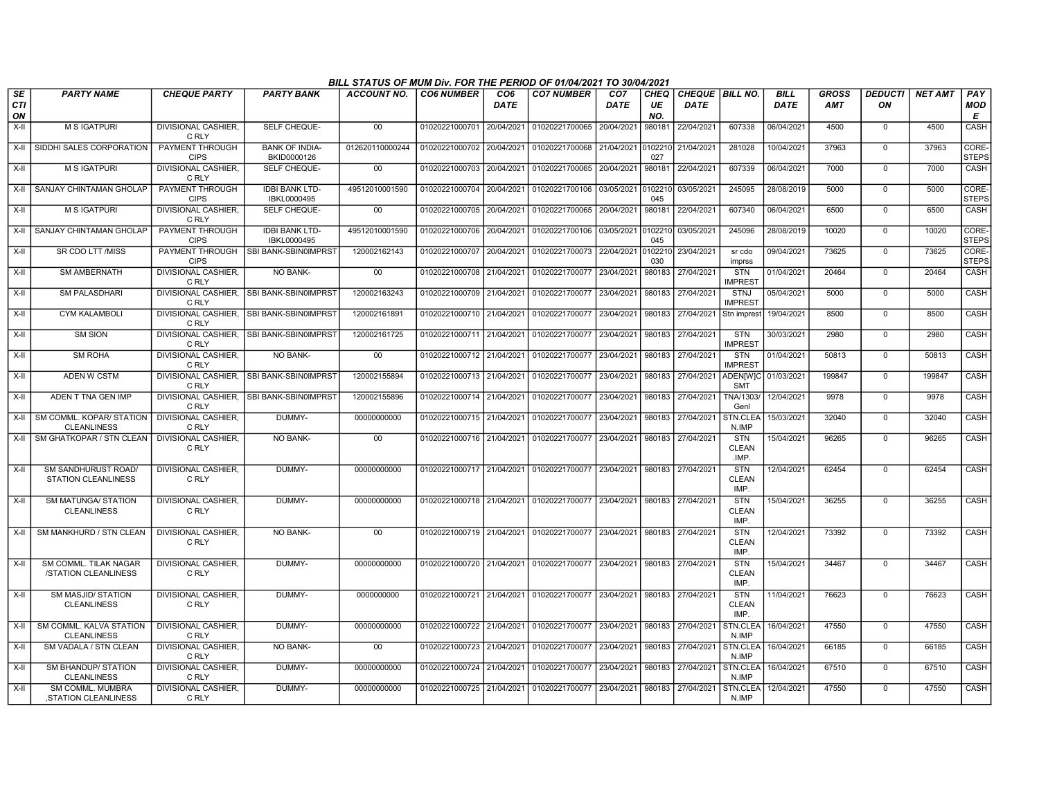|                        |                                                      |                                     |                                           | BILL STATUS OF MUM Div. FOR THE PERIOD OF 01/04/2021 TO 30/04/2021 |                           |             |                                                                       |                         |                          |                                  |                                     |                            |                            |                      |                |                               |
|------------------------|------------------------------------------------------|-------------------------------------|-------------------------------------------|--------------------------------------------------------------------|---------------------------|-------------|-----------------------------------------------------------------------|-------------------------|--------------------------|----------------------------------|-------------------------------------|----------------------------|----------------------------|----------------------|----------------|-------------------------------|
| SE<br><b>CTI</b><br>ON | <b>PARTY NAME</b>                                    | <b>CHEQUE PARTY</b>                 | <b>PARTY BANK</b>                         | <b>ACCOUNT NO.</b>                                                 | <b>CO6 NUMBER</b>         | CO6<br>DATE | <b>CO7 NUMBER</b>                                                     | CO <sub>7</sub><br>DATE | <b>CHEQ</b><br>UE<br>NO. | CHEQUE   BILL NO.<br><b>DATE</b> |                                     | <b>BILL</b><br><b>DATE</b> | <b>GROSS</b><br><b>AMT</b> | <b>DEDUCTI</b><br>ON | <b>NET AMT</b> | <b>PAY</b><br><b>MOD</b><br>E |
| X-II                   | <b>M S IGATPURI</b>                                  | <b>DIVISIONAL CASHIER.</b><br>C RLY | SELF CHEQUE-                              | 00                                                                 | 01020221000701 20/04/2021 |             | 01020221700065 20/04/2021                                             |                         | 980181                   | 22/04/2021                       | 607338                              | 06/04/2021                 | 4500                       | $\mathbf 0$          | 4500           | <b>CASH</b>                   |
|                        | X-II SIDDHI SALES CORPORATION                        | PAYMENT THROUGH<br><b>CIPS</b>      | <b>BANK OF INDIA-</b><br>BKID0000126      | 012620110000244                                                    | 01020221000702 20/04/2021 |             | 01020221700068 21/04/2021 0102210                                     |                         | 027                      | 21/04/2021                       | 281028                              | 10/04/2021                 | 37963                      | $\mathbf 0$          | 37963          | CORE-<br><b>STEPS</b>         |
| $X-H$                  | <b>M S IGATPURI</b>                                  | <b>DIVISIONAL CASHIER.</b><br>C RLY | <b>SELF CHEQUE-</b>                       | 00                                                                 | 01020221000703 20/04/2021 |             | 01020221700065 20/04/2021                                             |                         | 980181                   | 22/04/2021                       | 607339                              | 06/04/2021                 | 7000                       | $^{\circ}$           | 7000           | <b>CASH</b>                   |
|                        | X-II SANJAY CHINTAMAN GHOLAP                         | PAYMENT THROUGH<br><b>CIPS</b>      | <b>IDBI BANK LTD-</b><br>IBKL0000495      | 49512010001590                                                     | 01020221000704 20/04/2021 |             | 01020221700106                                                        | 03/05/2021              | 0102210<br>045           | 03/05/2021                       | 245095                              | 28/08/2019                 | 5000                       | $\Omega$             | 5000           | CORE-<br><b>STEPS</b>         |
| X-II                   | <b>M S IGATPURI</b>                                  | <b>DIVISIONAL CASHIER.</b><br>C RLY | SELF CHEQUE-                              | 00                                                                 | 01020221000705 20/04/2021 |             | 01020221700065 20/04/2021                                             |                         | 980181                   | 22/04/2021                       | 607340                              | 06/04/2021                 | 6500                       | $\mathbf 0$          | 6500           | <b>CASH</b>                   |
|                        | X-II SANJAY CHINTAMAN GHOLAP                         | PAYMENT THROUGH<br><b>CIPS</b>      | <b>IDBI BANK LTD-</b><br>IBKL0000495      | 49512010001590                                                     | 01020221000706 20/04/2021 |             | 01020221700106 03/05/2021 0102210                                     |                         | 045                      | 03/05/2021                       | 245096                              | 28/08/2019                 | 10020                      | $\mathbf 0$          | 10020          | CORE-<br><b>STEPS</b>         |
| X-II                   | SR CDO LTT /MISS                                     | <b>CIPS</b>                         | PAYMENT THROUGH ISBI BANK-SBIN0IMPRST     | 120002162143                                                       | 01020221000707 20/04/2021 |             | 01020221700073 22/04/2021                                             |                         | 0102210<br>030           | 23/04/2021                       | sr cdo<br>imprss                    | 09/04/2021                 | 73625                      | $\mathbf 0$          | 73625          | CORE-<br><b>STEPS</b>         |
| $X-H$                  | <b>SM AMBERNATH</b>                                  | <b>DIVISIONAL CASHIER.</b><br>C RLY | NO BANK-                                  | 00                                                                 | 01020221000708 21/04/2021 |             | 01020221700077 23/04/2021                                             |                         | 980183                   | 27/04/2021                       | <b>STN</b><br><b>IMPREST</b>        | 01/04/2021                 | 20464                      | $\mathbf 0$          | 20464          | CASH                          |
| $X-II$                 | <b>SM PALASDHARI</b>                                 | C RLY                               | DIVISIONAL CASHIER, SBI BANK-SBIN0IMPRST  | 120002163243                                                       | 01020221000709 21/04/2021 |             | 01020221700077 23/04/2021                                             |                         | 980183                   | 27/04/2021                       | <b>STNJ</b><br><b>IMPREST</b>       | 05/04/2021                 | 5000                       | $\mathbf 0$          | 5000           | CASH                          |
| $X-H$                  | <b>CYM KALAMBOLI</b>                                 | C RLY                               | DIVISIONAL CASHIER, SBI BANK-SBIN0IMPRST  | 120002161891                                                       | 01020221000710 21/04/2021 |             | 01020221700077                                                        | 23/04/2021              | 980183                   | 27/04/2021                       | Stn imprest                         | 19/04/2021                 | 8500                       | $\mathbf 0$          | 8500           | CASH                          |
| X-II                   | <b>SM SION</b>                                       | C RLY                               | DIVISIONAL CASHIER, SBI BANK-SBIN0IMPRST  | 120002161725                                                       | 01020221000711 21/04/2021 |             | 01020221700077                                                        | 23/04/2021              | 980183                   | 27/04/2021                       | <b>STN</b><br><b>IMPREST</b>        | 30/03/2021                 | 2980                       | $\Omega$             | 2980           | CASH                          |
| X-II                   | SM ROHA                                              | DIVISIONAL CASHIER,<br>C RLY        | <b>NO BANK-</b>                           | 00                                                                 | 01020221000712 21/04/2021 |             | 01020221700077                                                        | 23/04/2021              | 980183                   | 27/04/2021                       | <b>STN</b><br><b>IMPREST</b>        | 01/04/2021                 | 50813                      | $\Omega$             | 50813          | CASH                          |
| X-II                   | ADEN W CSTM                                          | C RLY                               | DIVISIONAL CASHIER. ISBI BANK-SBIN0IMPRST | 120002155894                                                       | 01020221000713 21/04/2021 |             | 01020221700077                                                        | 23/04/2021              | 980183                   | 27/04/2021                       | <b>ADEN[W]C</b><br><b>SMT</b>       | 01/03/2021                 | 199847                     | $\Omega$             | 199847         | CASH                          |
| X-II                   | ADEN T TNA GEN IMP                                   | C RLY                               | DIVISIONAL CASHIER. ISBI BANK-SBIN0IMPRST | 120002155896                                                       | 01020221000714 21/04/2021 |             | 01020221700077 23/04/2021                                             |                         | 980183                   | 27/04/2021                       | TNA/1303/<br>Genl                   | 12/04/2021                 | 9978                       | $\mathbf 0$          | 9978           | CASH                          |
|                        | X-II SM COMML. KOPAR/ STATION<br><b>CLEANLINESS</b>  | DIVISIONAL CASHIER,<br>C RLY        | DUMMY-                                    | 00000000000                                                        | 01020221000715 21/04/2021 |             | 01020221700077                                                        | 23/04/2021              | 980183                   | 27/04/2021                       | STN.CLEA<br>N.IMP                   | 15/03/2021                 | 32040                      | $\Omega$             | 32040          | CASH                          |
| X-II                   | <b>SM GHATKOPAR / STN CLEAN</b>                      | <b>DIVISIONAL CASHIER.</b><br>C RLY | <b>NO BANK-</b>                           | 00                                                                 | 01020221000716 21/04/2021 |             | 01020221700077                                                        | 23/04/2021              | 980183                   | 27/04/2021                       | <b>STN</b><br><b>CLEAN</b><br>.IMP. | 15/04/2021                 | 96265                      | $\Omega$             | 96265          | CASH                          |
| X-II                   | SM SANDHURUST ROAD/<br>STATION CLEANLINESS           | DIVISIONAL CASHIER.<br>C RLY        | DUMMY-                                    | 00000000000                                                        |                           |             | 01020221000717 21/04/2021 01020221700077 23/04/2021                   |                         | 980183                   | 27/04/2021                       | <b>STN</b><br><b>CLEAN</b><br>IMP.  | 12/04/2021                 | 62454                      | $\mathbf 0$          | 62454          | CASH                          |
| X-II                   | <b>SM MATUNGA/ STATION</b><br><b>CLEANLINESS</b>     | DIVISIONAL CASHIER,<br>C RLY        | DUMMY-                                    | 00000000000                                                        | 01020221000718 21/04/2021 |             | 01020221700077 23/04/2021                                             |                         |                          | 980183 27/04/2021                | <b>STN</b><br><b>CLEAN</b><br>IMP.  | 15/04/2021                 | 36255                      | $\overline{0}$       | 36255          | <b>CASH</b>                   |
| X-II                   | SM MANKHURD / STN CLEAN                              | DIVISIONAL CASHIER,<br>C RLY        | NO BANK-                                  | $00\,$                                                             | 01020221000719 21/04/2021 |             | 01020221700077                                                        | 23/04/2021              | 980183                   | 27/04/2021                       | <b>STN</b><br><b>CLEAN</b><br>IMP.  | 12/04/2021                 | 73392                      | $\mathbf 0$          | 73392          | CASH                          |
| X-II                   | <b>SM COMML. TILAK NAGAR</b><br>/STATION CLEANLINESS | <b>DIVISIONAL CASHIER.</b><br>C RLY | DUMMY-                                    | 00000000000                                                        |                           |             | 01020221000720 21/04/2021 01020221700077 23/04/2021 980183 27/04/2021 |                         |                          |                                  | <b>STN</b><br><b>CLEAN</b><br>IMP.  | 15/04/2021                 | 34467                      | $\mathbf 0$          | 34467          | CASH                          |
| $X-H$                  | <b>SM MASJID/ STATION</b><br><b>CLEANLINESS</b>      | <b>DIVISIONAL CASHIER.</b><br>C RLY | DUMMY-                                    | 0000000000                                                         |                           |             | 01020221000721 21/04/2021 01020221700077 23/04/2021 980183 27/04/2021 |                         |                          |                                  | <b>STN</b><br><b>CLEAN</b><br>IMP.  | 11/04/2021                 | 76623                      | $\Omega$             | 76623          | CASH                          |
| X-II                   | SM COMML. KALVA STATION<br><b>CLEANLINESS</b>        | <b>DIVISIONAL CASHIER.</b><br>C RLY | DUMMY-                                    | 00000000000                                                        | 01020221000722 21/04/2021 |             | 01020221700077 23/04/2021                                             |                         |                          | 980183 27/04/2021                | STN.CLEA<br>N.IMP                   | 16/04/2021                 | 47550                      | $\Omega$             | 47550          | CASH                          |
| $X-H$                  | SM VADALA / STN CLEAN                                | <b>DIVISIONAL CASHIER.</b><br>C RLY | <b>NO BANK-</b>                           | 00                                                                 | 01020221000723 21/04/2021 |             | 01020221700077 23/04/2021                                             |                         | 980183                   | 27/04/2021                       | STN.CLEA<br>N.IMP                   | 16/04/2021                 | 66185                      | $\mathbf 0$          | 66185          | CASH                          |
| $X-H$                  | <b>SM BHANDUP/ STATION</b><br><b>CLEANLINESS</b>     | <b>DIVISIONAL CASHIER,</b><br>C RLY | DUMMY-                                    | 00000000000                                                        | 01020221000724 21/04/2021 |             | 01020221700077 23/04/2021                                             |                         | 980183                   | 27/04/2021                       | STN.CLEA<br>N.IMP                   | 16/04/2021                 | 67510                      | $\mathbf 0$          | 67510          | CASH                          |
| X-II                   | SM COMML. MUMBRA<br>STATION CLEANLINESS              | <b>DIVISIONAL CASHIER,</b><br>C RLY | DUMMY-                                    | 00000000000                                                        |                           |             | 01020221000725 21/04/2021 01020221700077 23/04/2021                   |                         |                          | 980183 27/04/2021                | STN.CLEA<br>N.IMP                   | 12/04/2021                 | 47550                      | $\mathbf 0$          | 47550          | CASH                          |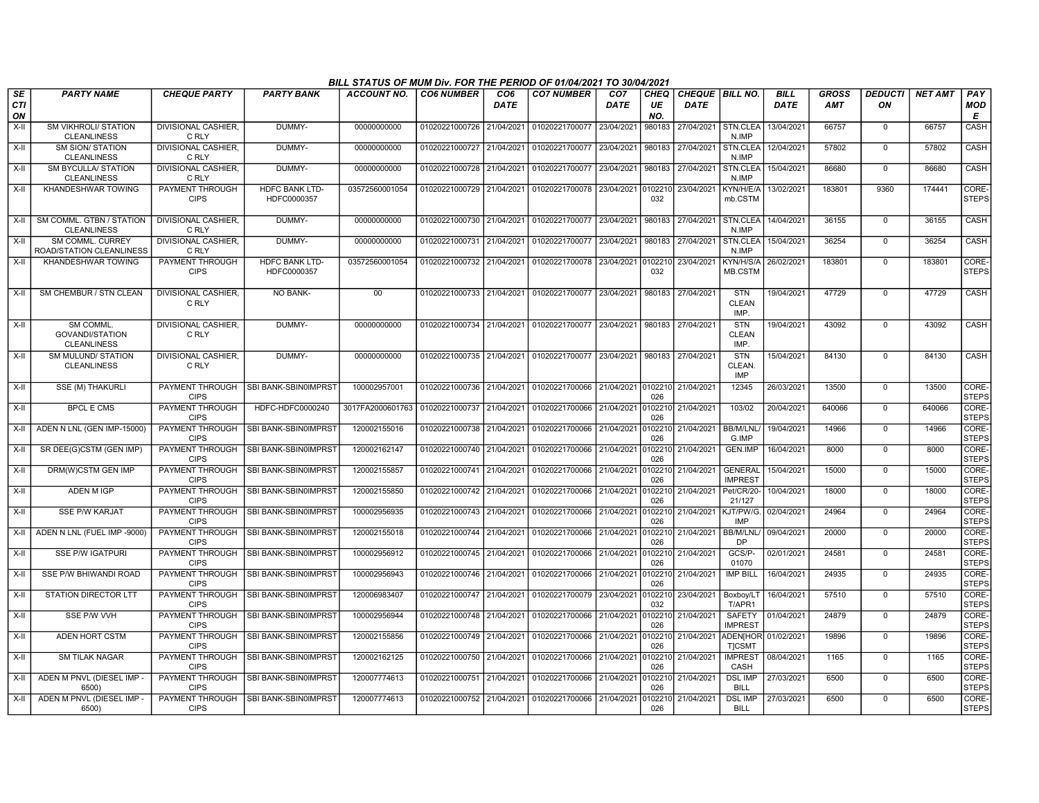|                        |                                                           |                                       |                                      | BILL STATUS OF MUM Div. FOR THE PERIOD OF 01/04/2021 TO 30/04/2021 |                           |                         |                                                                       |                                |                          |                                       |                                    |                            |                     |                      |                |                        |
|------------------------|-----------------------------------------------------------|---------------------------------------|--------------------------------------|--------------------------------------------------------------------|---------------------------|-------------------------|-----------------------------------------------------------------------|--------------------------------|--------------------------|---------------------------------------|------------------------------------|----------------------------|---------------------|----------------------|----------------|------------------------|
| SE<br><b>CTI</b><br>ON | <b>PARTY NAME</b>                                         | <b>CHEQUE PARTY</b>                   | <b>PARTY BANK</b>                    | <b>ACCOUNT NO.</b>                                                 | <b>CO6 NUMBER</b>         | CO <sub>6</sub><br>DATE | <b>CO7 NUMBER</b>                                                     | CO <sub>7</sub><br><b>DATE</b> | <b>CHEQ</b><br>UE<br>NO. | <b>CHEQUE BILL NO.</b><br><b>DATE</b> |                                    | <b>BILL</b><br><b>DATE</b> | GROSS<br><b>AMT</b> | <b>DEDUCTI</b><br>ON | <b>NET AMT</b> | PAY<br><b>MOD</b><br>Е |
| $X-H$                  | <b>SM VIKHROLI/ STATION</b><br><b>CLEANLINESS</b>         | <b>DIVISIONAL CASHIER.</b><br>C RLY   | DUMMY-                               | 00000000000                                                        | 01020221000726 21/04/2021 |                         | 01020221700077 23/04/2021                                             |                                | 980183                   | 27/04/2021                            | STN.CLEA<br>N.IMP                  | 13/04/2021                 | 66757               | $\mathbf 0$          | 66757          | CASH                   |
| X-II                   | <b>SM SION/ STATION</b><br><b>CLEANLINESS</b>             | DIVISIONAL CASHIER,<br>C RLY          | DUMMY-                               | 00000000000                                                        | 01020221000727 21/04/2021 |                         | 01020221700077                                                        | 23/04/2021                     | 980183                   | 27/04/2021                            | STN.CLEA<br>N.IMP                  | 12/04/2021                 | 57802               | $\mathbf 0$          | 57802          | CASH                   |
| $X-H$                  | <b>SM BYCULLA/ STATION</b><br><b>CLEANLINESS</b>          | <b>DIVISIONAL CASHIER.</b><br>C RLY   | DUMMY-                               | 00000000000                                                        | 01020221000728 21/04/2021 |                         | 01020221700077 23/04/2021                                             |                                | 980183                   | 27/04/2021                            | <b>STN.CLEA</b><br>N.IMP           | 15/04/2021                 | 86680               | $\mathbf 0$          | 86680          | CASH                   |
| X-II                   | KHANDESHWAR TOWING                                        | PAYMENT THROUGH<br><b>CIPS</b>        | HDFC BANK LTD-<br>HDFC0000357        | 03572560001054                                                     | 01020221000729 21/04/2021 |                         | 01020221700078 23/04/2021                                             |                                | 010221<br>032            | 23/04/2021                            | KYN/H/E/A<br>mb.CSTM               | 13/02/2021                 | 183801              | 9360                 | 174441         | CORE-<br><b>STEPS</b>  |
| $X-H$                  | SM COMML. GTBN / STATION<br><b>CLEANLINESS</b>            | <b>DIVISIONAL CASHIER,</b><br>C RLY   | DUMMY-                               | 00000000000                                                        | 01020221000730 21/04/2021 |                         | 01020221700077 23/04/2021                                             |                                | 980183                   | 27/04/2021                            | STN.CLEA<br>N.IMP                  | 14/04/2021                 | 36155               | $\mathbf 0$          | 36155          | CASH                   |
| X-II                   | SM COMML. CURREY<br>ROAD/STATION CLEANLINESS              | DIVISIONAL CASHIER.<br>C RLY          | DUMMY-                               | 00000000000                                                        | 01020221000731 21/04/2021 |                         | 01020221700077 23/04/2021                                             |                                | 980183                   | 27/04/2021                            | <b>STN.CLEA</b><br>N.IMP           | 15/04/2021                 | 36254               | $\Omega$             | 36254          | CASH                   |
| $X-II$                 | <b>KHANDESHWAR TOWING</b>                                 | PAYMENT THROUGH<br><b>CIPS</b>        | <b>HDFC BANK LTD-</b><br>HDFC0000357 | 03572560001054                                                     | 01020221000732 21/04/2021 |                         | 01020221700078 23/04/2021                                             |                                | 0102210<br>032           | 23/04/2021                            | KYN/H/S/A<br>MB.CSTM               | 26/02/2021                 | 183801              | $\Omega$             | 183801         | CORE-<br>STEPS         |
| X-II                   | SM CHEMBUR / STN CLEAN                                    | <b>DIVISIONAL CASHIER.</b><br>C RLY   | <b>NO BANK-</b>                      | 00                                                                 | 01020221000733 21/04/2021 |                         | 01020221700077 23/04/2021                                             |                                | 980183                   | 27/04/2021                            | <b>STN</b><br><b>CLEAN</b><br>IMP. | 19/04/2021                 | 47729               | $\Omega$             | 47729          | CASH                   |
| $X-H$                  | SM COMML.<br><b>GOVANDI/STATION</b><br><b>CLEANLINESS</b> | <b>DIVISIONAL CASHIER,</b><br>C RLY   | DUMMY-                               | 00000000000                                                        |                           |                         | 01020221000734 21/04/2021 01020221700077 23/04/2021 980183 27/04/2021 |                                |                          |                                       | <b>STN</b><br><b>CLEAN</b><br>IMP. | 19/04/2021                 | 43092               | $\mathbf 0$          | 43092          | CASH                   |
| $X-II$                 | <b>SM MULUND/ STATION</b><br><b>CLEANLINESS</b>           | DIVISIONAL CASHIER,<br>C RLY          | DUMMY-                               | 00000000000                                                        |                           |                         | 01020221000735 21/04/2021 01020221700077 23/04/2021                   |                                | 980183                   | 27/04/2021                            | <b>STN</b><br>CLEAN.<br><b>IMP</b> | 15/04/2021                 | 84130               | $\mathbf 0$          | 84130          | CASH                   |
| X-II                   | SSE (M) THAKURLI                                          | PAYMENT THROUGH<br><b>CIPS</b>        | SBI BANK-SBIN0IMPRST                 | 100002957001                                                       | 01020221000736 21/04/2021 |                         | 01020221700066 21/04/2021 0102210                                     |                                | በ26                      | 21/04/2021                            | 12345                              | 26/03/2021                 | 13500               | $\mathbf 0$          | 13500          | CORE-<br>STEPS         |
| X-II                   | <b>BPCL E CMS</b>                                         | PAYMENT THROUGH<br><b>CIPS</b>        | HDFC-HDFC0000240                     | 3017FA2000601763                                                   | 01020221000737 21/04/2021 |                         | 01020221700066 21/04/2021                                             |                                | 010221<br>026            | 21/04/2021                            | 103/02                             | 20/04/2021                 | 640066              | $\mathbf 0$          | 640066         | CORE-<br><b>STEPS</b>  |
| $X-H$                  | ADEN N LNL (GEN IMP-15000)                                | PAYMENT THROUGH<br><b>CIPS</b>        | SBI BANK-SBIN0IMPRST                 | 120002155016                                                       | 01020221000738 21/04/2021 |                         | 01020221700066 21/04/2021                                             |                                | 0102210<br>026           | 21/04/2021                            | BB/M/LNL/<br>G.IMP                 | 19/04/2021                 | 14966               | $\overline{0}$       | 14966          | CORE-<br>STEPS         |
| $X-H$                  | SR DEE(G)CSTM (GEN IMP)                                   | PAYMENT THROUGH<br><b>CIPS</b>        | SBI BANK-SBIN0IMPRST                 | 120002162147                                                       | 01020221000740 21/04/2021 |                         | 01020221700066 21/04/2021                                             |                                | 0102210<br>026           | 21/04/2021                            | <b>GEN.IMP</b>                     | 16/04/2021                 | 8000                | $\Omega$             | 8000           | CORE-<br><b>STEPS</b>  |
| X-II                   | DRM(W)CSTM GEN IMP                                        | <b>PAYMENT THROUGH</b><br><b>CIPS</b> | SBI BANK-SBIN0IMPRST                 | 120002155857                                                       | 01020221000741 21/04/2021 |                         | 01020221700066 21/04/2021                                             |                                | 0102210<br>026           | 21/04/2021                            | <b>GENERAL</b><br><b>IMPREST</b>   | 15/04/2021                 | 15000               | $\mathbf 0$          | 15000          | CORE-<br><b>STEPS</b>  |
| X-II                   | ADEN M IGP                                                | PAYMENT THROUGH<br><b>CIPS</b>        | SBI BANK-SBIN0IMPRST                 | 120002155850                                                       | 01020221000742 21/04/2021 |                         | 01020221700066 21/04/2021                                             |                                | 0102210<br>026           | 21/04/2021                            | Pet/CR/20-<br>21/127               | 10/04/2021                 | 18000               | $\mathbf 0$          | 18000          | CORE-<br><b>STEPS</b>  |
| $X-II$                 | <b>SSE P/W KARJAT</b>                                     | <b>PAYMENT THROUGH</b><br><b>CIPS</b> | SBI BANK-SBIN0IMPRST                 | 100002956935                                                       | 01020221000743            | 21/04/2021              | 01020221700066 21/04/2021                                             |                                | 010221<br>026            | 21/04/2021                            | KJT/PW/G<br>IMP                    | 02/04/202                  | 24964               | $\mathbf 0$          | 24964          | CORE-<br><b>STEPS</b>  |
| X-II                   | ADEN N LNL (FUEL IMP -9000)                               | PAYMENT THROUGH<br><b>CIPS</b>        | SBI BANK-SBIN0IMPRST                 | 120002155018                                                       | 01020221000744 21/04/2021 |                         | 01020221700066 21/04/2021                                             |                                | 010221<br>026            | 21/04/2021                            | BB/M/LNL/<br><b>DP</b>             | 09/04/2021                 | 20000               | $\mathbf 0$          | 20000          | CORE-<br><b>STEPS</b>  |
| X-II                   | <b>SSE P/W IGATPURI</b>                                   | PAYMENT THROUGH<br><b>CIPS</b>        | SBI BANK-SBIN0IMPRST                 | 100002956912                                                       | 01020221000745 21/04/2021 |                         | 01020221700066 21/04/2021                                             |                                | 0102210<br>026           | 21/04/2021                            | GCS/P-<br>01070                    | 02/01/2021                 | 24581               | $\mathbf 0$          | 24581          | CORE-<br><b>STEPS</b>  |
| $X-II$                 | SSE P/W BHIWANDI ROAD                                     | PAYMENT THROUGH<br><b>CIPS</b>        | SBI BANK-SBIN0IMPRST                 | 100002956943                                                       | 01020221000746 21/04/2021 |                         | 01020221700066                                                        | 21/04/2021                     | 0102210<br>026           | 21/04/2021                            | <b>IMP BILL</b>                    | 16/04/2021                 | 24935               | $\mathbf 0$          | 24935          | CORE-<br><b>STEPS</b>  |
| X-II                   | <b>STATION DIRECTOR LTT</b>                               | PAYMENT THROUGH<br><b>CIPS</b>        | SBI BANK-SBIN0IMPRST                 | 120006983407                                                       | 01020221000747 21/04/2021 |                         | 01020221700079 23/04/2021                                             |                                | 0102210<br>032           | 23/04/2021                            | Boxboy/LT<br>T/APR1                | 16/04/2021                 | 57510               | $\mathbf 0$          | 57510          | CORE-<br><b>STEPS</b>  |
| $X-H$                  | SSE P/W VVH                                               | PAYMENT THROUGH<br><b>CIPS</b>        | SBI BANK-SBIN0IMPRST                 | 100002956944                                                       | 01020221000748 21/04/2021 |                         | 01020221700066 21/04/2021                                             |                                | 0102210<br>026           | 21/04/2021                            | <b>SAFETY</b><br><b>IMPREST</b>    | 01/04/2021                 | 24879               | $\overline{0}$       | 24879          | CORE-<br><b>STEPS</b>  |
| X-II                   | <b>ADEN HORT CSTM</b>                                     | PAYMENT THROUGH<br><b>CIPS</b>        | SBI BANK-SBIN0IMPRST                 | 120002155856                                                       | 01020221000749 21/04/2021 |                         | 01020221700066 21/04/2021                                             |                                | 010221<br>026            | 21/04/2021                            | ADEN[HOR]<br><b>TICSMT</b>         | 01/02/2021                 | 19896               | $\mathbf 0$          | 19896          | CORE-<br><b>STEPS</b>  |
| $X-H$                  | <b>SM TILAK NAGAR</b>                                     | PAYMENT THROUGH<br><b>CIPS</b>        | SBI BANK-SBIN0IMPRST                 | 120002162125                                                       | 01020221000750 21/04/2021 |                         | 01020221700066 21/04/2021                                             |                                | 0102210<br>026           | 21/04/2021                            | <b>IMPREST</b><br>CASH             | 08/04/2021                 | 1165                | $\mathbf 0$          | 1165           | CORE-<br><b>STEPS</b>  |
| X-II                   | ADEN M PNVL (DIESEL IMP -<br>6500)                        | PAYMENT THROUGH<br><b>CIPS</b>        | SBI BANK-SBIN0IMPRST                 | 120007774613                                                       | 01020221000751 21/04/2021 |                         | 01020221700066 21/04/2021                                             |                                | 010221<br>026            | 21/04/2021                            | <b>DSL IMP</b><br><b>BILL</b>      | 27/03/2021                 | 6500                | $\mathbf 0$          | 6500           | CORE-<br><b>STEPS</b>  |
| $X-H$                  | ADEN M PNVL (DIESEL IMP -<br>6500)                        | PAYMENT THROUGH<br><b>CIPS</b>        | SBI BANK-SBIN0IMPRST                 | 120007774613                                                       | 01020221000752 21/04/2021 |                         | 01020221700066 21/04/2021                                             |                                | 0102210<br>026           | 21/04/2021                            | <b>DSL IMP</b><br><b>BILL</b>      | 27/03/2021                 | 6500                | $\Omega$             | 6500           | CORE-<br><b>STEPS</b>  |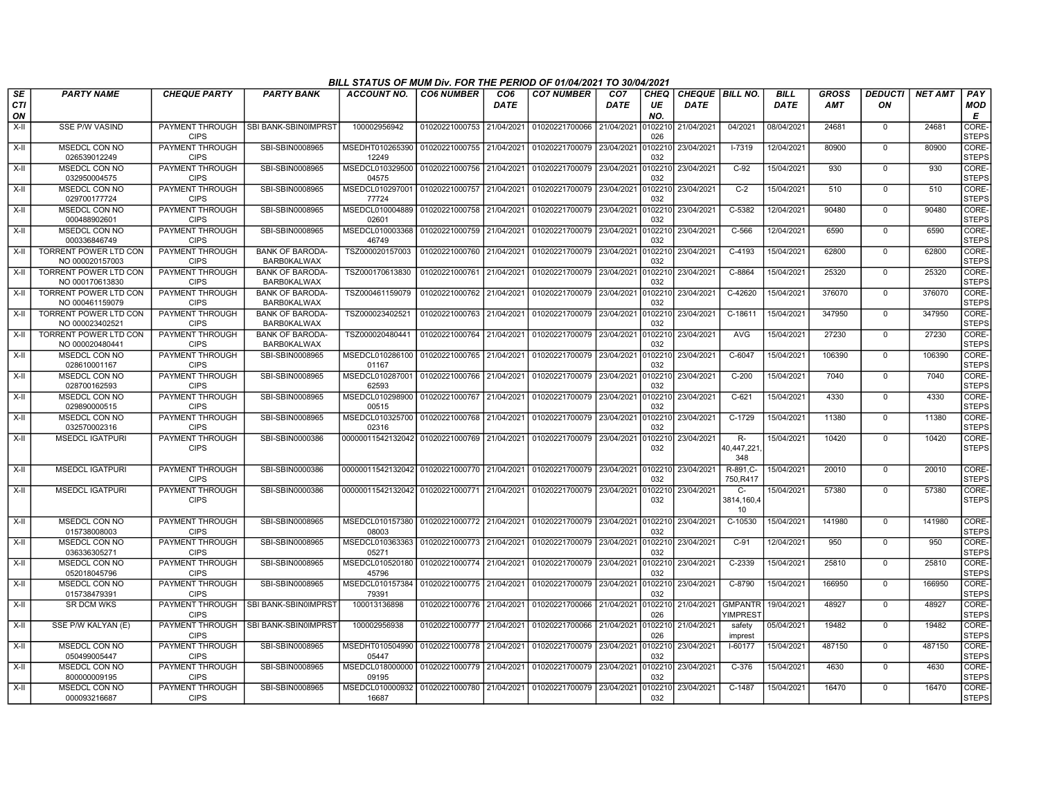|                 | BILL STATUS OF MUM Div. FOR THE PERIOD OF 01/04/2021 TO 30/04/2021<br><b>PARTY NAME</b><br><b>CO7 NUMBER</b><br>CHEQUE   BILL NO.<br><b>BILL</b><br><b>GROSS</b><br>DEDUCTI<br>PAY<br><b>CHEQUE PARTY</b><br><b>PARTY BANK</b><br>ACCOUNT NO.<br><b>CO6 NUMBER</b><br>CO6<br>CO <sub>7</sub><br><b>CHEQ</b><br><b>NET AMT</b> |                                       |                                              |                                                                         |                           |             |                |             |                |                    |                                       |             |            |                |        |                       |
|-----------------|-------------------------------------------------------------------------------------------------------------------------------------------------------------------------------------------------------------------------------------------------------------------------------------------------------------------------------|---------------------------------------|----------------------------------------------|-------------------------------------------------------------------------|---------------------------|-------------|----------------|-------------|----------------|--------------------|---------------------------------------|-------------|------------|----------------|--------|-----------------------|
| SE<br>CТI<br>ΟN |                                                                                                                                                                                                                                                                                                                               |                                       |                                              |                                                                         |                           | <b>DATE</b> |                | <b>DATE</b> | UE<br>NO.      | <b>DATE</b>        |                                       | <b>DATE</b> | <b>AMT</b> | ON             |        | <b>MOD</b><br>E       |
| $X-II$          | <b>SSE P/W VASIND</b>                                                                                                                                                                                                                                                                                                         | PAYMENT THROUGH<br><b>CIPS</b>        | SBI BANK-SBIN0IMPRST                         | 100002956942                                                            | 01020221000753 21/04/2021 |             | 01020221700066 | 21/04/2021  | 0102210<br>026 | 21/04/2021         | 04/2021                               | 08/04/2021  | 24681      | $\mathbf 0$    | 24681  | CORE-<br><b>STEPS</b> |
| X-II            | MSEDCL CON NO<br>026539012249                                                                                                                                                                                                                                                                                                 | PAYMENT THROUGH<br><b>CIPS</b>        | SBI-SBIN0008965                              | MSEDHT010265390   01020221000755   21/04/2021<br>12249                  |                           |             | 01020221700079 | 23/04/2021  | 0102210<br>032 | 23/04/2021         | $I - 7319$                            | 12/04/2021  | 80900      | $\mathbf 0$    | 80900  | CORE-<br><b>STEPS</b> |
| X-II            | MSEDCL CON NO<br>032950004575                                                                                                                                                                                                                                                                                                 | PAYMENT THROUGH<br><b>CIPS</b>        | SBI-SBIN0008965                              | MSEDCL010329500 01020221000756 21/04/2021<br>04575                      |                           |             | 01020221700079 | 23/04/2021  | 0102210<br>032 | 23/04/2021         | $C-92$                                | 15/04/2021  | 930        | 0              | 930    | CORE-<br><b>STEPS</b> |
| $X-II$          | MSEDCL CON NO<br>029700177724                                                                                                                                                                                                                                                                                                 | PAYMENT THROUGH<br><b>CIPS</b>        | SBI-SBIN0008965                              | MSEDCL010297001 01020221000757 21/04/2021<br>77724                      |                           |             | 01020221700079 | 23/04/2021  | 102210<br>032  | 23/04/2021         | $C-2$                                 | 15/04/2021  | 510        | $\mathbf 0$    | 510    | CORE-<br><b>STEPS</b> |
| X-II            | MSEDCL CON NO<br>000488902601                                                                                                                                                                                                                                                                                                 | PAYMENT THROUGH<br><b>CIPS</b>        | SBI-SBIN0008965                              | MSEDCL010004889 01020221000758 21/04/2021<br>02601                      |                           |             | 01020221700079 | 23/04/2021  | 0102210<br>032 | 23/04/2021         | C-5382                                | 12/04/2021  | 90480      | $\mathbf 0$    | 90480  | CORE-<br><b>STEPS</b> |
| X-II            | <b>MSEDCL CON NO</b><br>000336846749                                                                                                                                                                                                                                                                                          | <b>PAYMENT THROUGH</b><br><b>CIPS</b> | SBI-SBIN0008965                              | MSEDCL010003368 01020221000759<br>46749                                 |                           | 21/04/2021  | 01020221700079 | 23/04/2021  | 0102210<br>032 | 23/04/2021         | $C-566$                               | 12/04/2021  | 6590       | $\overline{0}$ | 6590   | CORE-<br><b>STEPS</b> |
| X-II            | TORRENT POWER LTD CON<br>NO 000020157003                                                                                                                                                                                                                                                                                      | <b>PAYMENT THROUGH</b><br><b>CIPS</b> | <b>BANK OF BARODA-</b><br><b>BARB0KALWAX</b> | TSZ000020157003                                                         | 01020221000760 21/04/2021 |             | 01020221700079 | 23/04/2021  | 0102210<br>032 | 23/04/2021         | C-4193                                | 15/04/2021  | 62800      | $\mathbf 0$    | 62800  | CORE-<br><b>STEPS</b> |
| X-II            | TORRENT POWER LTD CON<br>NO 000170613830                                                                                                                                                                                                                                                                                      | <b>PAYMENT THROUGH</b><br><b>CIPS</b> | <b>BANK OF BARODA-</b><br><b>BARB0KALWAX</b> | TSZ000170613830                                                         | 01020221000761            | 21/04/2021  | 01020221700079 | 23/04/2021  | 102210<br>032  | 23/04/2021         | $C-8864$                              | 15/04/2021  | 25320      | $\Omega$       | 25320  | CORE-<br><b>STEPS</b> |
| $X-H$           | <b>TORRENT POWER LTD CON</b><br>NO 000461159079                                                                                                                                                                                                                                                                               | <b>PAYMENT THROUGH</b><br><b>CIPS</b> | <b>BANK OF BARODA-</b><br><b>BARB0KALWAX</b> | TSZ000461159079                                                         | 01020221000762 21/04/2021 |             | 01020221700079 | 23/04/2021  | 0102210<br>032 | 23/04/2021         | C-42620                               | 15/04/2021  | 376070     | $\Omega$       | 376070 | CORE-<br><b>STEPS</b> |
| X-II            | <b>TORRENT POWER LTD CON</b><br>NO 000023402521                                                                                                                                                                                                                                                                               | <b>PAYMENT THROUGH</b><br><b>CIPS</b> | <b>BANK OF BARODA-</b><br><b>BARB0KALWAX</b> | TSZ000023402521                                                         | 01020221000763 21/04/2021 |             | 01020221700079 | 23/04/2021  | 0102210<br>032 | 23/04/2021         | $C-18611$                             | 15/04/2021  | 347950     | $\Omega$       | 347950 | CORE-<br><b>STEPS</b> |
| X-II            | TORRENT POWER LTD CON<br>NO 000020480441                                                                                                                                                                                                                                                                                      | <b>PAYMENT THROUGH</b><br><b>CIPS</b> | <b>BANK OF BARODA-</b><br><b>BARB0KALWAX</b> | TSZ000020480441                                                         | 01020221000764 21/04/2021 |             | 01020221700079 | 23/04/2021  | 032            | 0102210 23/04/2021 | AVG                                   | 15/04/2021  | 27230      | 0              | 27230  | CORE-<br><b>STEPS</b> |
| $X-H$           | MSEDCL CON NO<br>028610001167                                                                                                                                                                                                                                                                                                 | PAYMENT THROUGH<br><b>CIPS</b>        | SBI-SBIN0008965                              | MSEDCL010286100 01020221000765<br>01167                                 |                           | 21/04/2021  | 01020221700079 | 23/04/2021  | 0102210<br>032 | 23/04/2021         | $C-6047$                              | 15/04/2021  | 106390     | $\Omega$       | 106390 | CORE-<br><b>STEPS</b> |
| $X-II$          | MSEDCL CON NO<br>028700162593                                                                                                                                                                                                                                                                                                 | PAYMENT THROUGH<br><b>CIPS</b>        | SBI-SBIN0008965                              | MSEDCL010287001 01020221000766<br>62593                                 |                           | 21/04/2021  | 01020221700079 | 23/04/2021  | 0102210<br>032 | 23/04/2021         | $C-200$                               | 15/04/2021  | 7040       | $\overline{0}$ | 7040   | CORE-<br><b>STEPS</b> |
| $X-II$          | MSEDCL CON NO<br>029890000515                                                                                                                                                                                                                                                                                                 | <b>PAYMENT THROUGH</b><br><b>CIPS</b> | SBI-SBIN0008965                              | MSEDCL010298900 01020221000767 21/04/2021<br>00515                      |                           |             | 01020221700079 | 23/04/2021  | 0102210<br>032 | 23/04/2021         | $C-621$                               | 15/04/2021  | 4330       | $\overline{0}$ | 4330   | CORE-<br><b>STEPS</b> |
| X-II            | MSEDCL CON NO<br>032570002316                                                                                                                                                                                                                                                                                                 | <b>PAYMENT THROUGH</b><br><b>CIPS</b> | SBI-SBIN0008965                              | MSEDCL010325700 01020221000768<br>02316                                 |                           | 21/04/2021  | 01020221700079 | 23/04/2021  | 102210<br>032  | 23/04/2021         | C-1729                                | 15/04/2021  | 11380      | $\mathbf 0$    | 11380  | CORE-<br><b>STEPS</b> |
| X-II            | <b>MSEDCL IGATPURI</b>                                                                                                                                                                                                                                                                                                        | PAYMENT THROUGH<br><b>CIPS</b>        | SBI-SBIN0000386                              | 00000011542132042 01020221000769                                        |                           | 21/04/2021  | 01020221700079 | 23/04/2021  | 0102210<br>032 | 23/04/2021         | R-<br>10,447,221<br>348               | 15/04/2021  | 10420      | $\Omega$       | 10420  | CORE-<br><b>STEPS</b> |
| X-II            | <b>MSEDCL IGATPURI</b>                                                                                                                                                                                                                                                                                                        | PAYMENT THROUGH<br><b>CIPS</b>        | SBI-SBIN0000386                              | 00000011542132042 01020221000770 21/04/2021                             |                           |             | 01020221700079 | 23/04/2021  | 0102210<br>032 | 23/04/2021         | R-891, C-<br>750,R417                 | 15/04/2021  | 20010      | $\mathbf 0$    | 20010  | CORE-<br><b>STEPS</b> |
| $X-H$           | <b>MSEDCL IGATPURI</b>                                                                                                                                                                                                                                                                                                        | PAYMENT THROUGH<br><b>CIPS</b>        | SBI-SBIN0000386                              | 00000011542132042 01020221000771 21/04/2021                             |                           |             | 01020221700079 | 23/04/2021  | 0102210<br>032 | 23/04/2021         | $C-$<br>3814,160,4<br>10 <sup>°</sup> | 15/04/2021  | 57380      | $\Omega$       | 57380  | CORE-<br><b>STEPS</b> |
| X-II            | MSEDCL CON NO<br>015738008003                                                                                                                                                                                                                                                                                                 | PAYMENT THROUGH<br><b>CIPS</b>        | SBI-SBIN0008965                              | MSEDCL010157380   01020221000772   21/04/2021<br>08003                  |                           |             | 01020221700079 | 23/04/2021  | 0102210<br>032 | 23/04/2021         | C-10530                               | 15/04/2021  | 141980     | $\Omega$       | 141980 | CORE-<br><b>STEPS</b> |
| X-II            | <b>MSEDCL CON NO</b><br>036336305271                                                                                                                                                                                                                                                                                          | PAYMENT THROUGH<br><b>CIPS</b>        | SBI-SBIN0008965                              | MSEDCL010363363 01020221000773 21/04/2021<br>05271                      |                           |             | 01020221700079 | 23/04/2021  | 0102210<br>032 | 23/04/2021         | $C-91$                                | 12/04/2021  | 950        | $\mathbf 0$    | 950    | CORE-<br><b>STEPS</b> |
| X-II            | MSEDCL CON NO<br>052018045796                                                                                                                                                                                                                                                                                                 | PAYMENT THROUGH<br><b>CIPS</b>        | SBI-SBIN0008965                              | MSEDCL010520180 01020221000774 21/04/2021<br>45796                      |                           |             | 01020221700079 | 23/04/2021  | 0102210<br>032 | 23/04/2021         | C-2339                                | 15/04/2021  | 25810      | $\mathbf 0$    | 25810  | CORE-<br><b>STEPS</b> |
| X-II            | MSEDCL CON NO<br>015738479391                                                                                                                                                                                                                                                                                                 | PAYMENT THROUGH<br><b>CIPS</b>        | SBI-SBIN0008965                              | MSEDCL010157384 01020221000775 21/04/2021<br>79391                      |                           |             | 01020221700079 | 23/04/2021  | 102210<br>032  | 23/04/2021         | C-8790                                | 15/04/2021  | 166950     | $\overline{0}$ | 166950 | CORE-<br><b>STEPS</b> |
| X-II            | <b>SR DCM WKS</b>                                                                                                                                                                                                                                                                                                             | PAYMENT THROUGH<br><b>CIPS</b>        | SBI BANK-SBIN0IMPRST                         | 100013136898                                                            | 01020221000776 21/04/2021 |             | 01020221700066 | 21/04/2021  | 0102210<br>026 | 21/04/2021         | <b>GMPANTR</b><br>/IMPREST            | 19/04/2021  | 48927      | $\mathbf 0$    | 48927  | CORE-<br><b>STEPS</b> |
| $X-H$           | SSE P/W KALYAN (E)                                                                                                                                                                                                                                                                                                            | PAYMENT THROUGH<br><b>CIPS</b>        | SBI BANK-SBIN0IMPRST                         | 100002956938                                                            | 01020221000777 21/04/2021 |             | 01020221700066 | 21/04/2021  | 0102210<br>026 | 21/04/2021         | safety<br>imprest                     | 05/04/2021  | 19482      | $\Omega$       | 19482  | CORE-<br><b>STEPS</b> |
| X-II            | MSEDCL CON NO<br>050499005447                                                                                                                                                                                                                                                                                                 | PAYMENT THROUGH<br><b>CIPS</b>        | SBI-SBIN0008965                              | MSEDHT010504990 01020221000778 21/04/2021<br>05447                      |                           |             | 01020221700079 | 23/04/2021  | 0102210<br>032 | 23/04/2021         | I-60177                               | 15/04/2021  | 487150     | $\Omega$       | 487150 | CORE-<br><b>STEPS</b> |
| $X-H$           | MSEDCL CON NO<br>800000009195                                                                                                                                                                                                                                                                                                 | <b>PAYMENT THROUGH</b><br><b>CIPS</b> | SBI-SBIN0008965                              | MSEDCL018000000 01020221000779 21/04/2021<br>09195                      |                           |             | 01020221700079 | 23/04/2021  | 102210<br>032  | 23/04/2021         | $C-376$                               | 15/04/2021  | 4630       | $\Omega$       | 4630   | CORE-<br><b>STEPS</b> |
| X-II            | MSEDCL CON NO<br>000093216687                                                                                                                                                                                                                                                                                                 | PAYMENT THROUGH<br><b>CIPS</b>        | SBI-SBIN0008965                              | MSEDCL010000932   01020221000780   21/04/2021   01020221700079<br>16687 |                           |             |                | 23/04/2021  | 032            | 0102210 23/04/2021 | C-1487                                | 15/04/2021  | 16470      | $\mathbf{0}$   | 16470  | CORE-<br><b>STEPS</b> |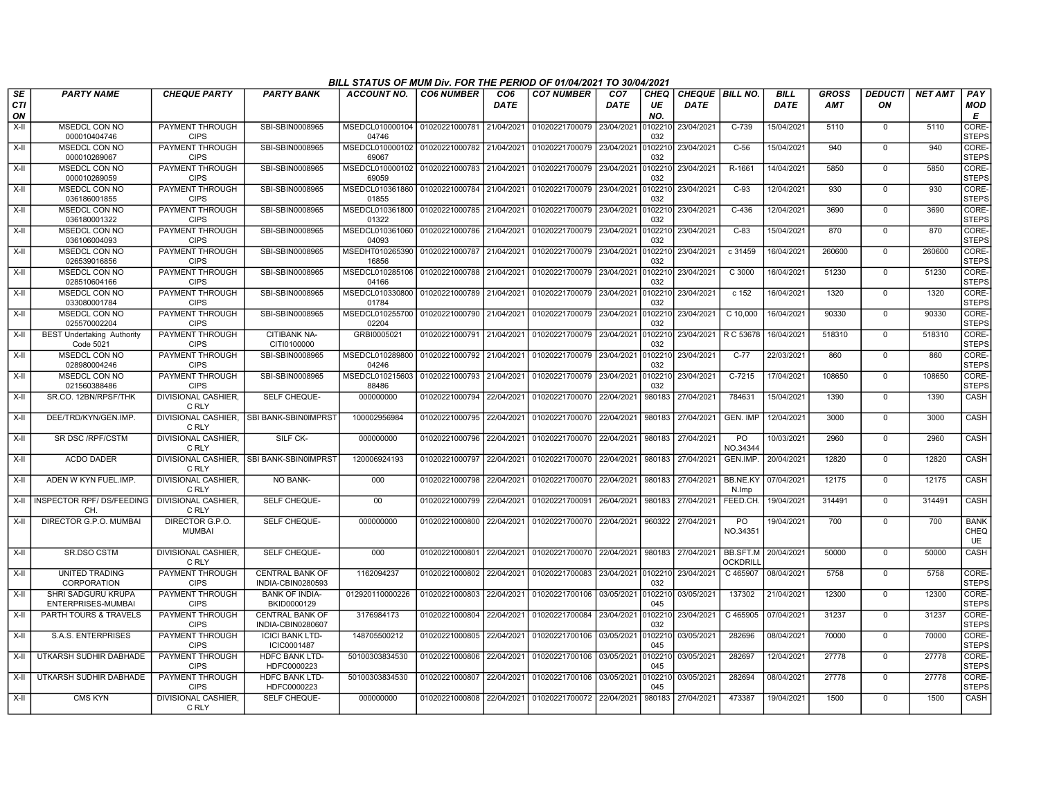|           |                                                 |                                       |                                             | BILL STATUS OF MUM Div. FOR THE PERIOD OF 01/04/2021 TO 30/04/2021 |                           |                    |                                              |                                |                   |                                       |                             |                            |                            |                      |                |                                  |
|-----------|-------------------------------------------------|---------------------------------------|---------------------------------------------|--------------------------------------------------------------------|---------------------------|--------------------|----------------------------------------------|--------------------------------|-------------------|---------------------------------------|-----------------------------|----------------------------|----------------------------|----------------------|----------------|----------------------------------|
| SE<br>CTI | <b>PARTY NAME</b>                               | <b>CHEQUE PARTY</b>                   | <b>PARTY BANK</b>                           | <b>ACCOUNT NO.</b>                                                 | <b>CO6 NUMBER</b>         | CO6<br><b>DATE</b> | <b>CO7 NUMBER</b>                            | CO <sub>7</sub><br><b>DATE</b> | <b>CHEQ</b><br>UE | <b>CHEQUE BILL NO.</b><br><b>DATE</b> |                             | <b>BILL</b><br><b>DATE</b> | <b>GROSS</b><br><b>AMT</b> | <b>DEDUCTI</b><br>ON | <b>NET AMT</b> | <b>PAY</b><br>MOD                |
| ON        |                                                 |                                       |                                             |                                                                    |                           |                    |                                              |                                | NO.               |                                       |                             |                            |                            |                      |                | E                                |
| $X-H$     | <b>MSEDCL CON NO</b><br>000010404746            | PAYMENT THROUGH<br><b>CIPS</b>        | SBI-SBIN0008965                             | MSEDCL010000104<br>04746                                           | 01020221000781 21/04/2021 |                    | 01020221700079                               | 23/04/2021                     | 0102210<br>032    | 23/04/2021                            | $C-739$                     | 15/04/2021                 | 5110                       | $\mathbf 0$          | 5110           | CORE-<br><b>STEPS</b>            |
| X-II      | <b>MSEDCL CON NO</b>                            | PAYMENT THROUGH                       | SBI-SBIN0008965                             | MSEDCL010000102 01020221000782 21/04/2021                          |                           |                    | 01020221700079                               | 23/04/2021                     | 0102210           | 23/04/2021                            | $C-56$                      | 15/04/2021                 | 940                        | $\overline{0}$       | 940            | CORE-                            |
|           | 000010269067                                    | <b>CIPS</b>                           |                                             | 69067                                                              |                           |                    |                                              |                                | 032               |                                       |                             |                            |                            |                      |                | <b>STEPS</b>                     |
| X-II      | <b>MSEDCL CON NO</b><br>000010269059            | PAYMENT THROUGH<br><b>CIPS</b>        | SBI-SBIN0008965                             | MSEDCL010000102 01020221000783 21/04/2021<br>69059                 |                           |                    | 01020221700079 23/04/2021 0102210 23/04/2021 |                                | 032               |                                       | R-1661                      | 14/04/2021                 | 5850                       | 0                    | 5850           | CORE-<br><b>STEPS</b>            |
| X-II      | MSEDCL CON NO<br>036186001855                   | PAYMENT THROUGH<br><b>CIPS</b>        | SBI-SBIN0008965                             | MSEDCL010361860<br>01855                                           | 01020221000784            | 21/04/2021         | 01020221700079 23/04/2021                    |                                | 0102210<br>032    | 23/04/2021                            | $C-93$                      | 12/04/2021                 | 930                        | $\mathbf 0$          | 930            | CORE-<br><b>STEPS</b>            |
| X-II      | MSEDCL CON NO<br>036180001322                   | PAYMENT THROUGH<br><b>CIPS</b>        | SBI-SBIN0008965                             | MSEDCL010361800<br>01322                                           | 01020221000785 21/04/2021 |                    | 01020221700079                               | 23/04/2021                     | 032               | 0102210 23/04/2021                    | $C-436$                     | 12/04/2021                 | 3690                       | $\mathbf 0$          | 3690           | CORE-<br><b>STEPS</b>            |
| X-II      | <b>MSEDCL CON NO</b><br>036106004093            | PAYMENT THROUGH<br><b>CIPS</b>        | SBI-SBIN0008965                             | MSEDCL010361060 01020221000786 21/04/2021<br>04093                 |                           |                    | 01020221700079                               | 23/04/2021                     | 0102210<br>032    | 23/04/2021                            | $C-83$                      | 15/04/2021                 | 870                        | $\Omega$             | 870            | CORE-<br><b>STEPS</b>            |
| $X-H$     | MSEDCL CON NO<br>026539016856                   | <b>PAYMENT THROUGH</b><br><b>CIPS</b> | SBI-SBIN0008965                             | MSEDHT010265390 01020221000787 21/04/2021<br>16856                 |                           |                    | 01020221700079                               | 23/04/2021                     | 0102210<br>032    | 23/04/2021                            | c31459                      | 16/04/2021                 | 260600                     | $\Omega$             | 260600         | CORE-<br><b>STEPS</b>            |
| X-II      | MSEDCL CON NO<br>028510604166                   | PAYMENT THROUGH<br><b>CIPS</b>        | SBI-SBIN0008965                             | MSEDCL010285106<br>04166                                           | 01020221000788            | 21/04/2021         | 01020221700079                               | 23/04/2021                     | 0102210<br>032    | 23/04/2021                            | C 3000                      | 16/04/2021                 | 51230                      | $\mathbf 0$          | 51230          | CORE-<br><b>STEPS</b>            |
| X-II      | MSEDCL CON NO<br>033080001784                   | PAYMENT THROUGH<br><b>CIPS</b>        | SBI-SBIN0008965                             | MSEDCL010330800<br>01784                                           | 01020221000789 21/04/2021 |                    | 01020221700079                               | 23/04/2021                     | 0102210<br>032    | 23/04/2021                            | c 152                       | 16/04/2021                 | 1320                       | $\mathbf 0$          | 1320           | CORE-<br><b>STEPS</b>            |
| X-II      | <b>MSEDCL CON NO</b><br>025570002204            | PAYMENT THROUGH<br><b>CIPS</b>        | SBI-SBIN0008965                             | MSEDCL010255700<br>02204                                           | 01020221000790 21/04/2021 |                    | 01020221700079                               | 23/04/2021                     | 0102210<br>032    | 23/04/2021                            | $C$ 10,000                  | 16/04/2021                 | 90330                      | $\Omega$             | 90330          | CORE-<br><b>STEPS</b>            |
| $X-II$    | <b>BEST Undertaking Authority</b><br>Code 5021  | PAYMENT THROUGH<br><b>CIPS</b>        | <b>CITIBANK NA-</b><br>CITI0100000          | GRBI0005021                                                        | 01020221000791 21/04/2021 |                    | 01020221700079 23/04/2021 0102210            |                                | 032               | 23/04/2021                            | R C 53678                   | 16/04/2021                 | 518310                     | $\Omega$             | 518310         | CORE-<br><b>STEPS</b>            |
| X-II      | MSEDCL CON NO<br>028980004246                   | PAYMENT THROUGH<br><b>CIPS</b>        | SBI-SBIN0008965                             | MSEDCL010289800<br>04246                                           | 01020221000792 21/04/2021 |                    | 01020221700079                               | 23/04/2021                     | 0102210<br>032    | 23/04/2021                            | $C-77$                      | 22/03/2021                 | 860                        | $\Omega$             | 860            | CORE-<br><b>STEPS</b>            |
| $X-II$    | MSEDCL CON NO<br>021560388486                   | PAYMENT THROUGH<br><b>CIPS</b>        | SBI-SBIN0008965                             | MSEDCL010215603<br>88486                                           | 01020221000793            | 21/04/2021         | 01020221700079                               | 23/04/2021                     | 0102210<br>032    | 23/04/2021                            | $C-7215$                    | 17/04/2021                 | 108650                     | $\mathbf 0$          | 108650         | CORE-<br><b>STEPS</b>            |
| X-II      | SR.CO. 12BN/RPSF/THK                            | <b>DIVISIONAL CASHIER.</b><br>C RLY   | SELF CHEQUE-                                | 000000000                                                          | 01020221000794            | 22/04/2021         | 01020221700070                               | 22/04/2021                     | 980183            | 27/04/2021                            | 784631                      | 15/04/2021                 | 1390                       | $\mathbf 0$          | 1390           | <b>CASH</b>                      |
| $X-H$     | DEE/TRD/KYN/GEN.IMP.                            | C RLY                                 | DIVISIONAL CASHIER. ISBI BANK-SBIN0IMPRST   | 100002956984                                                       | 01020221000795 22/04/2021 |                    | 01020221700070 22/04/2021                    |                                | 980183            | 27/04/2021                            | <b>GEN. IMP</b>             | 12/04/2021                 | 3000                       | $\mathbf 0$          | 3000           | CASH                             |
| $X-H$     | SR DSC/RPF/CSTM                                 | <b>DIVISIONAL CASHIER.</b><br>C RLY   | SILF CK-                                    | 000000000                                                          | 01020221000796            | 22/04/2021         | 01020221700070                               | 22/04/2021                     | 980183            | 27/04/2021                            | <b>PO</b><br>NO.34344       | 10/03/2021                 | 2960                       | $\Omega$             | 2960           | CASH                             |
| X-II      | <b>ACDO DADER</b>                               | C RLY                                 | DIVISIONAL CASHIER, SBI BANK-SBIN0IMPRST    | 120006924193                                                       | 01020221000797            | 22/04/2021         | 01020221700070                               | 22/04/2021                     | 980183            | 27/04/2021                            | GEN.IMP.                    | 20/04/2021                 | 12820                      | $\mathbf 0$          | 12820          | CASH                             |
| X-II      | ADEN W KYN FUEL.IMP.                            | <b>DIVISIONAL CASHIER,</b><br>C RLY   | <b>NO BANK-</b>                             | 000                                                                | 01020221000798            | 22/04/2021         | 01020221700070                               | 22/04/2021                     | 980183            | 27/04/2021                            | BB.NE.KY<br>N.Imp           | 07/04/2021                 | 12175                      | $\Omega$             | 12175          | CASH                             |
|           | X-II INSPECTOR RPF/DS/FEEDING<br>CH.            | <b>DIVISIONAL CASHIER.</b><br>C RLY   | SELF CHEQUE-                                | 00                                                                 | 01020221000799 22/04/2021 |                    | 01020221700091 26/04/2021 980183 27/04/2021  |                                |                   |                                       | FEED.CH.                    | 19/04/2021                 | 314491                     | $\mathbf 0$          | 314491         | <b>CASH</b>                      |
| $X-II$    | DIRECTOR G.P.O. MUMBAI                          | DIRECTOR G.P.O.<br><b>MUMBAI</b>      | SELF CHEQUE-                                | 000000000                                                          | 01020221000800            | 22/04/2021         | 01020221700070 22/04/2021                    |                                | 960322            | 27/04/2021                            | P <sub>O</sub><br>NO.34351  | 19/04/2021                 | 700                        | $\mathbf 0$          | 700            | <b>BANK</b><br>CHEQ<br><b>UE</b> |
| X-II      | <b>SR.DSO CSTM</b>                              | <b>DIVISIONAL CASHIER.</b><br>C RLY   | SELF CHEQUE-                                | 000                                                                | 01020221000801            | 22/04/2021         | 01020221700070 22/04/2021                    |                                | 980183            | 27/04/2021                            | BB.SFT.M<br><b>OCKDRILI</b> | 20/04/2021                 | 50000                      | $\mathbf 0$          | 50000          | <b>CASH</b>                      |
| $X-H$     | <b>UNITED TRADING</b><br>CORPORATION            | PAYMENT THROUGH<br><b>CIPS</b>        | <b>CENTRAL BANK OF</b><br>INDIA-CBIN0280593 | 1162094237                                                         | 01020221000802 22/04/2021 |                    | 01020221700083                               | 23/04/2021                     | 0102210<br>032    | 23/04/2021                            | C 465907                    | 08/04/2021                 | 5758                       | $\overline{0}$       | 5758           | CORE-<br><b>STEPS</b>            |
| $X-H$     | <b>SHRI SADGURU KRUPA</b><br>ENTERPRISES-MUMBAI | PAYMENT THROUGH<br><b>CIPS</b>        | <b>BANK OF INDIA-</b><br>BKID0000129        | 012920110000226                                                    | 01020221000803            | 22/04/2021         | 01020221700106                               | 03/05/2021                     | 045               | 0102210 03/05/2021                    | 137302                      | 21/04/2021                 | 12300                      | $\mathbf 0$          | 12300          | CORE-<br><b>STEPS</b>            |
| $X-II$    | PARTH TOURS & TRAVELS                           | PAYMENT THROUGH<br><b>CIPS</b>        | <b>CENTRAL BANK OF</b><br>INDIA-CBIN0280607 | 3176984173                                                         | 01020221000804            | 22/04/2021         | 01020221700084                               | 23/04/2021                     | 0102210<br>032    | 23/04/2021                            | C 465905                    | 07/04/2021                 | 31237                      | $\mathbf 0$          | 31237          | CORE-<br><b>STEPS</b>            |
| $X-H$     | <b>S.A.S. ENTERPRISES</b>                       | PAYMENT THROUGH<br><b>CIPS</b>        | <b>ICICI BANK LTD-</b><br>ICIC0001487       | 148705500212                                                       | 01020221000805            | 22/04/2021         | 01020221700106                               | 03/05/2021                     | 0102210<br>045    | 03/05/2021                            | 282696                      | 08/04/2021                 | 70000                      | $\mathbf 0$          | 70000          | CORE-<br><b>STEPS</b>            |
| X-II      | UTKARSH SUDHIR DABHADE                          | PAYMENT THROUGH<br><b>CIPS</b>        | <b>HDFC BANK LTD-</b><br>HDFC0000223        | 50100303834530                                                     | 01020221000806            | 22/04/2021         | 01020221700106                               | 03/05/2021                     | 0102210<br>045    | 03/05/2021                            | 282697                      | 12/04/2021                 | 27778                      | $\Omega$             | 27778          | CORE-<br><b>STEPS</b>            |
| X-II      | UTKARSH SUDHIR DABHADE                          | PAYMENT THROUGH<br><b>CIPS</b>        | HDFC BANK LTD-<br>HDFC0000223               | 50100303834530                                                     | 01020221000807            | 22/04/2021         | 01020221700106                               | 03/05/2021                     | 0102210<br>045    | 03/05/2021                            | 282694                      | 08/04/2021                 | 27778                      | $\Omega$             | 27778          | CORE-<br><b>STEPS</b>            |
| X-II      | <b>CMS KYN</b>                                  | DIVISIONAL CASHIER,<br>C RLY          | SELF CHEQUE-                                | 000000000                                                          | 01020221000808            | 22/04/2021         | 01020221700072 22/04/2021                    |                                | 980183            | 27/04/2021                            | 473387                      | 19/04/2021                 | 1500                       | $\mathbf 0$          | 1500           | <b>CASH</b>                      |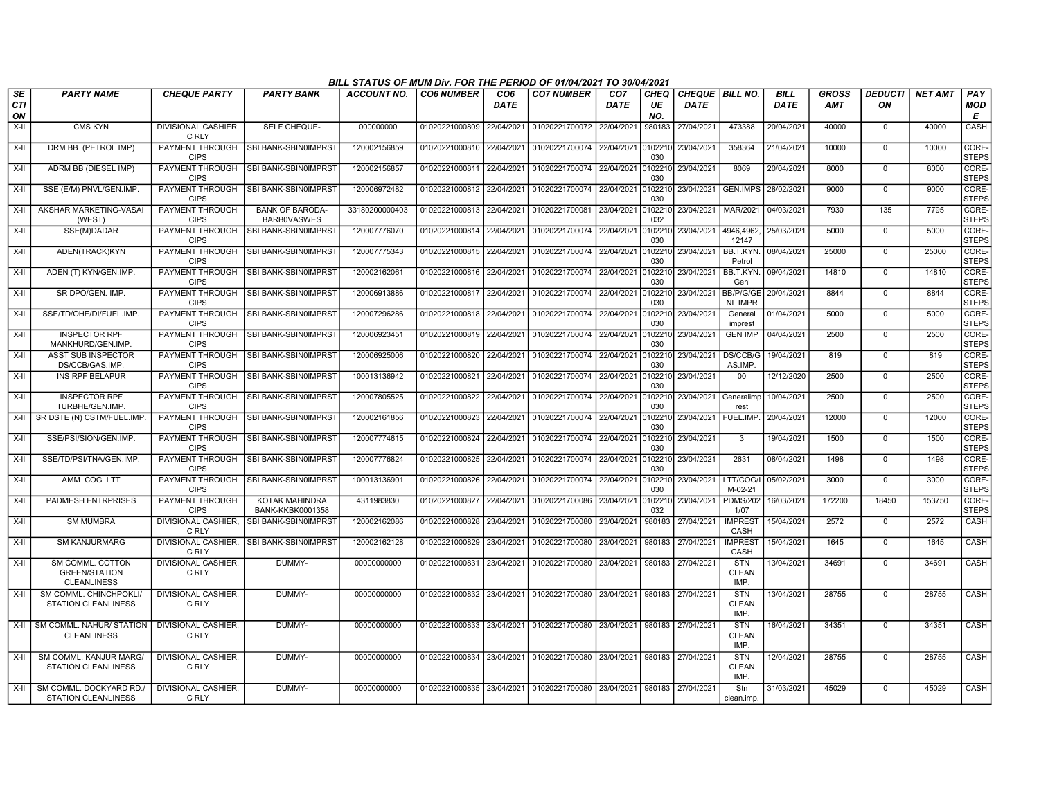|                        |                                                                |                                       |                                              | BILL STATUS OF MUM Div. FOR THE PERIOD OF 01/04/2021 TO 30/04/2021 |                           |                         |                                                     |                                |                          |                                  |                                    |                     |                            |                      |                |                       |
|------------------------|----------------------------------------------------------------|---------------------------------------|----------------------------------------------|--------------------------------------------------------------------|---------------------------|-------------------------|-----------------------------------------------------|--------------------------------|--------------------------|----------------------------------|------------------------------------|---------------------|----------------------------|----------------------|----------------|-----------------------|
| SE<br><b>CTI</b><br>ON | <b>PARTY NAME</b>                                              | <b>CHEQUE PARTY</b>                   | <b>PARTY BANK</b>                            | ACCOUNT NO.                                                        | <b>CO6 NUMBER</b>         | CO <sub>6</sub><br>DATE | <b>CO7 NUMBER</b>                                   | CO <sub>7</sub><br><b>DATE</b> | <b>CHEQ</b><br>UE<br>NO. | CHEQUE   BILL NO.<br><b>DATE</b> |                                    | <b>BILL</b><br>DATE | <b>GROSS</b><br><b>AMT</b> | <b>DEDUCTI</b><br>ON | <b>NET AMT</b> | PAY<br>MOD<br>E       |
| $X-H$                  | <b>CMS KYN</b>                                                 | <b>DIVISIONAL CASHIER.</b><br>C RLY   | SELF CHEQUE-                                 | 000000000                                                          | 01020221000809            | 22/04/2021              | 01020221700072 22/04/2021                           |                                | 980183                   | 27/04/2021                       | 473388                             | 20/04/2021          | 40000                      | $\Omega$             | 40000          | <b>CASH</b>           |
| X-II                   | DRM BB (PETROL IMP)                                            | <b>CIPS</b>                           | PAYMENT THROUGH   SBI BANK-SBIN0IMPRST       | 120002156859                                                       | 01020221000810 22/04/2021 |                         | 01020221700074 22/04/2021                           |                                | 0102210<br>030           | 23/04/2021                       | 358364                             | 21/04/2021          | 10000                      | $\mathbf 0$          | 10000          | CORE-<br><b>STEPS</b> |
| X-II                   | ADRM BB (DIESEL IMP)                                           | PAYMENT THROUGH<br><b>CIPS</b>        | SBI BANK-SBIN0IMPRST                         | 120002156857                                                       | 01020221000811 22/04/2021 |                         | 01020221700074 22/04/2021                           |                                | 0102210<br>030           | 23/04/2021                       | 8069                               | 20/04/2021          | 8000                       | 0                    | 8000           | CORE-<br><b>STEPS</b> |
| X-II                   | SSE (E/M) PNVL/GEN.IMP.                                        | PAYMENT THROUGH<br><b>CIPS</b>        | SBI BANK-SBIN0IMPRST                         | 120006972482                                                       | 01020221000812            | 22/04/2021              | 01020221700074                                      | 22/04/2021                     | 0102210<br>030           | 23/04/2021                       | <b>GEN.IMPS</b>                    | 28/02/2021          | 9000                       | $\mathbf 0$          | 9000           | CORE-<br><b>STEPS</b> |
| X-II                   | AKSHAR MARKETING-VASAI<br>(WEST)                               | <b>PAYMENT THROUGH</b><br><b>CIPS</b> | <b>BANK OF BARODA-</b><br><b>BARBOVASWES</b> | 33180200000403                                                     | 01020221000813            | 22/04/2021              | 01020221700081                                      | 23/04/2021                     | 0102210<br>032           | 23/04/2021                       | MAR/2021                           | 04/03/2021          | 7930                       | 135                  | 7795           | CORE-<br><b>STEPS</b> |
| X-II                   | SSE(M)DADAR                                                    | PAYMENT THROUGH<br><b>CIPS</b>        | SBI BANK-SBIN0IMPRST                         | 120007776070                                                       | 01020221000814 22/04/2021 |                         | 01020221700074                                      | 22/04/2021                     | 0102210<br>030           | 23/04/2021                       | 4946,4962,<br>12147                | 25/03/2021          | 5000                       | $\overline{0}$       | 5000           | CORE-<br><b>STEPS</b> |
| X-II                   | ADEN(TRACK)KYN                                                 | PAYMENT THROUGH<br><b>CIPS</b>        | SBI BANK-SBIN0IMPRST                         | 120007775343                                                       | 01020221000815            | 22/04/2021              | 01020221700074 22/04/2021                           |                                | 0102210<br>030           | 23/04/2021                       | BB.T.KYN.<br>Petrol                | 08/04/2021          | 25000                      | 0                    | 25000          | CORE-<br><b>STEPS</b> |
| X-II                   | ADEN (T) KYN/GEN.IMP.                                          | PAYMENT THROUGH<br><b>CIPS</b>        | SBI BANK-SBIN0IMPRST                         | 120002162061                                                       | 01020221000816            | 22/04/2021              | 01020221700074                                      | 22/04/2021                     | 0102210<br>030           | 23/04/2021                       | BB.T.KYN.<br>Genl                  | 09/04/2021          | 14810                      | $\Omega$             | 14810          | CORE-<br><b>STEPS</b> |
| $X-II$                 | SR DPO/GEN. IMP.                                               | PAYMENT THROUGH<br><b>CIPS</b>        | SBI BANK-SBIN0IMPRST                         | 120006913886                                                       | 01020221000817 22/04/2021 |                         | 01020221700074 22/04/2021                           |                                | 0102210<br>030           | 23/04/2021                       | BB/P/G/GE<br><b>NL IMPR</b>        | 20/04/2021          | 8844                       | $\Omega$             | 8844           | CORE-<br><b>STEPS</b> |
| X-II                   | SSE/TD/OHE/DI/FUEL.IMP.                                        | <b>PAYMENT THROUGH</b><br><b>CIPS</b> | <b>SBI BANK-SBIN0IMPRST</b>                  | 120007296286                                                       | 01020221000818            | 22/04/2021              | 01020221700074 22/04/2021                           |                                | 0102210<br>030           | 23/04/2021                       | General<br>imprest                 | 01/04/2021          | 5000                       | $\mathbf 0$          | 5000           | CORE-<br><b>STEPS</b> |
| X-II                   | <b>INSPECTOR RPF</b><br>MANKHURD/GEN.IMP                       | PAYMENT THROUGH<br><b>CIPS</b>        | <b>SBI BANK-SBIN0IMPRST</b>                  | 120006923451                                                       | 01020221000819            | 22/04/2021              | 01020221700074 22/04/2021                           |                                | 0102210<br>030           | 23/04/2021                       | <b>GEN IMP</b>                     | 04/04/2021          | 2500                       | 0                    | 2500           | CORE-<br><b>STEPS</b> |
| $X-H$                  | <b>ASST SUB INSPECTOR</b><br>DS/CCB/GAS.IMP                    | PAYMENT THROUGH<br><b>CIPS</b>        | SBI BANK-SBIN0IMPRST                         | 120006925006                                                       | 01020221000820            | 22/04/2021              | 01020221700074 22/04/2021                           |                                | 0102210<br>030           | 23/04/2021                       | DS/CCB/G<br>AS.IMP                 | 19/04/2021          | 819                        | $\Omega$             | 819            | CORE-<br><b>STEPS</b> |
| $X-II$                 | <b>INS RPF BELAPUR</b>                                         | PAYMENT THROUGH<br><b>CIPS</b>        | SBI BANK-SBIN0IMPRST                         | 100013136942                                                       | 01020221000821            | 22/04/2021              | 01020221700074 22/04/2021                           |                                | 0102210<br>030           | 23/04/2021                       | 00                                 | 12/12/2020          | 2500                       | $\Omega$             | 2500           | CORE-<br><b>STEPS</b> |
| $X-H$                  | <b>INSPECTOR RPF</b><br>TURBHE/GEN.IMP.                        | PAYMENT THROUGH<br><b>CIPS</b>        | SBI BANK-SBIN0IMPRST                         | 120007805525                                                       | 01020221000822            | 22/04/2021              | 01020221700074 22/04/2021                           |                                | 010221<br>030            | 23/04/2021                       | Generalimp<br>rest                 | 10/04/2021          | 2500                       | $\mathbf 0$          | 2500           | CORE-<br><b>STEPS</b> |
| X-II                   | SR DSTE (N) CSTM/FUEL.IMP.                                     | PAYMENT THROUGH<br><b>CIPS</b>        | SBI BANK-SBIN0IMPRST                         | 120002161856                                                       | 01020221000823            | 22/04/2021              | 01020221700074 22/04/2021                           |                                | 010221<br>030            | 23/04/2021                       | FUEL.IMP.                          | 20/04/2021          | 12000                      | $\mathbf 0$          | 12000          | CORE-<br><b>STEPS</b> |
| $X-II$                 | SSE/PSI/SION/GEN.IMP.                                          | PAYMENT THROUGH<br><b>CIPS</b>        | SBI BANK-SBIN0IMPRST                         | 120007774615                                                       | 01020221000824            | 22/04/2021              | 01020221700074 22/04/2021                           |                                | 010221<br>030            | 23/04/2021                       | 3                                  | 19/04/2021          | 1500                       | $\Omega$             | 1500           | CORE-<br><b>STEPS</b> |
| $X-II$                 | SSE/TD/PSI/TNA/GEN.IMP.                                        | PAYMENT THROUGH<br><b>CIPS</b>        | <b>SBI BANK-SBIN0IMPRST</b>                  | 120007776824                                                       | 01020221000825            | 22/04/2021              | 01020221700074 22/04/2021                           |                                | 0102210<br>030           | 23/04/2021                       | 2631                               | 08/04/2021          | 1498                       | $\mathbf 0$          | 1498           | CORE-<br><b>STEPS</b> |
| X-II                   | AMM COG LTT                                                    | PAYMENT THROUGH<br><b>CIPS</b>        | SBI BANK-SBIN0IMPRST                         | 100013136901                                                       | 01020221000826            | 22/04/2021              | 01020221700074 22/04/2021                           |                                | 0102210<br>030           | 23/04/2021                       | LTT/COG/I<br>M-02-21               | 05/02/2021          | 3000                       | $\Omega$             | 3000           | CORE-<br><b>STEPS</b> |
| X-II                   | <b>PADMESH ENTRPRISES</b>                                      | PAYMENT THROUGH<br><b>CIPS</b>        | <b>KOTAK MAHINDRA</b><br>BANK-KKBK0001358    | 4311983830                                                         | 01020221000827            | 22/04/2021              | 01020221700086                                      | 23/04/2021                     | 010221<br>032            | 23/04/2021                       | <b>PDMS/202</b><br>1/07            | 16/03/2021          | 172200                     | 18450                | 153750         | CORE-<br><b>STEPS</b> |
| X-II                   | <b>SM MUMBRA</b>                                               | DIVISIONAL CASHIER,<br>C RLY          | SBI BANK-SBIN0IMPRST                         | 120002162086                                                       | 01020221000828            | 23/04/2021              | 01020221700080                                      | 23/04/2021                     | 980183                   | 27/04/2021                       | <b>IMPREST</b><br>CASH             | 15/04/2021          | 2572                       | 0                    | 2572           | CASH                  |
| X-II                   | <b>SM KANJURMARG</b>                                           | C RLY                                 | DIVISIONAL CASHIER. ISBI BANK-SBIN0IMPRST    | 120002162128                                                       | 01020221000829            | 23/04/2021              | 01020221700080                                      | 23/04/2021                     | 980183                   | 27/04/2021                       | <b>IMPREST</b><br>CASH             | 15/04/2021          | 1645                       | $\overline{0}$       | 1645           | CASH                  |
| X-II                   | SM COMML. COTTON<br><b>GREEN/STATION</b><br><b>CLEANLINESS</b> | DIVISIONAL CASHIER,<br>C RLY          | DUMMY-                                       | 00000000000                                                        | 01020221000831 23/04/2021 |                         | 01020221700080                                      | 23/04/2021                     | 980183                   | 27/04/2021                       | <b>STN</b><br><b>CLEAN</b><br>IMP. | 13/04/2021          | 34691                      | $\mathbf 0$          | 34691          | <b>CASH</b>           |
| X-II                   | SM COMML. CHINCHPOKLI/<br><b>STATION CLEANLINESS</b>           | DIVISIONAL CASHIER,<br>C RLY          | DUMMY-                                       | 00000000000                                                        | 01020221000832 23/04/2021 |                         | 01020221700080                                      | 23/04/2021                     | 980183                   | 27/04/2021                       | <b>STN</b><br><b>CLEAN</b><br>IMP. | 13/04/2021          | 28755                      | $\Omega$             | 28755          | CASH                  |
| $X-H$                  | <b>SM COMML, NAHUR/ STATION</b><br><b>CLEANLINESS</b>          | <b>DIVISIONAL CASHIER.</b><br>C RLY   | DUMMY-                                       | 00000000000                                                        | 01020221000833 23/04/2021 |                         | 01020221700080                                      | 23/04/2021                     |                          | 980183 27/04/2021                | <b>STN</b><br><b>CLEAN</b><br>IMP. | 16/04/2021          | 34351                      | $\Omega$             | 34351          | CASH                  |
| X-II                   | SM COMML. KANJUR MARG/<br><b>STATION CLEANLINESS</b>           | DIVISIONAL CASHIER,<br>C RLY          | DUMMY-                                       | 00000000000                                                        |                           |                         | 01020221000834 23/04/2021 01020221700080 23/04/2021 |                                |                          | 980183 27/04/2021                | <b>STN</b><br><b>CLEAN</b><br>IMP. | 12/04/2021          | 28755                      | $\Omega$             | 28755          | CASH                  |
| X-II                   | SM COMML, DOCKYARD RD.<br><b>STATION CLEANLINESS</b>           | DIVISIONAL CASHIER,<br>C RLY          | DUMMY-                                       | 00000000000                                                        |                           |                         | 01020221000835 23/04/2021 01020221700080 23/04/2021 |                                |                          | 980183 27/04/2021                | Stn<br>clean.imp.                  | 31/03/2021          | 45029                      | $\Omega$             | 45029          | CASH                  |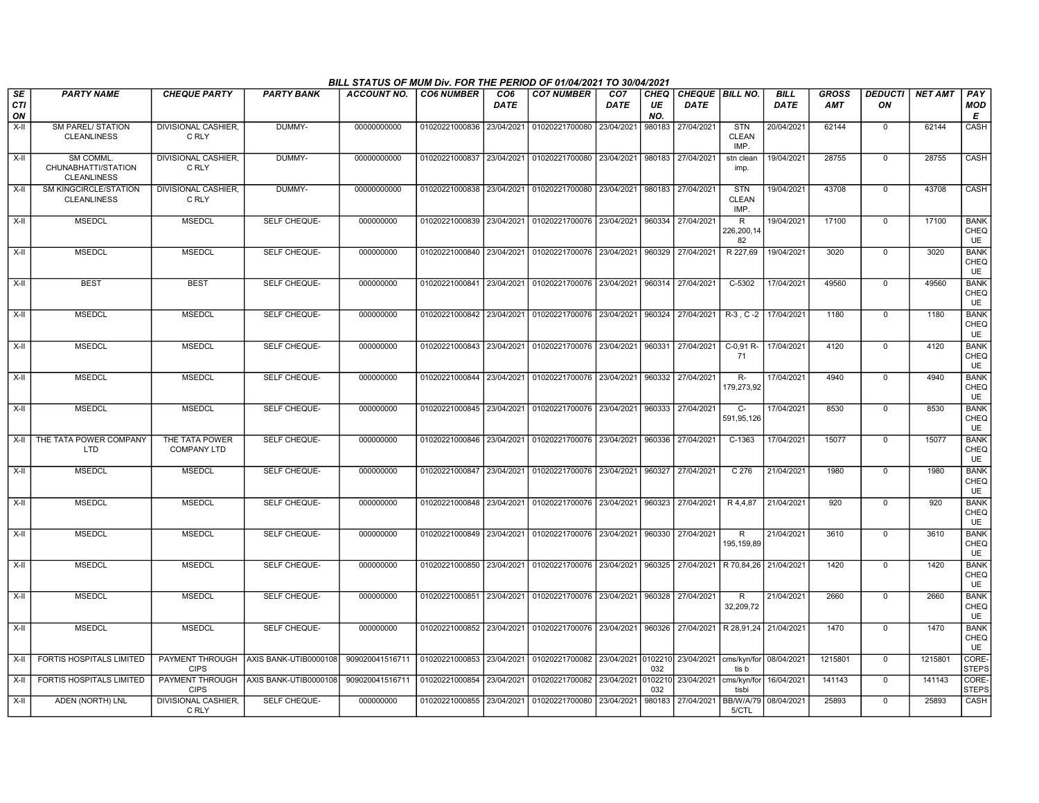|                        |                                                        |                                      |                       | BILL STATUS OF MUM Div. FOR THE PERIOD OF 01/04/2021 TO 30/04/2021 |                           |                         |                                                                       |                         |                   |                                           |                                    |                            |                            |                      |                |                                  |
|------------------------|--------------------------------------------------------|--------------------------------------|-----------------------|--------------------------------------------------------------------|---------------------------|-------------------------|-----------------------------------------------------------------------|-------------------------|-------------------|-------------------------------------------|------------------------------------|----------------------------|----------------------------|----------------------|----------------|----------------------------------|
| SE<br><b>CTI</b><br>ON | <b>PARTY NAME</b>                                      | <b>CHEQUE PARTY</b>                  | <b>PARTY BANK</b>     | <b>ACCOUNT NO.</b>                                                 | <b>CO6 NUMBER</b>         | CO <sub>6</sub><br>DATE | <b>CO7 NUMBER</b>                                                     | CO <sub>7</sub><br>DATE | CHEQ<br>UE<br>NO. | CHEQUE BILL NO.<br><b>DATE</b>            |                                    | <b>BILL</b><br><b>DATE</b> | <b>GROSS</b><br><b>AMT</b> | <b>DEDUCTI</b><br>ON | <b>NET AMT</b> | PAY<br>MOD<br>E                  |
| $X-H$                  | <b>SM PAREL/ STATION</b><br><b>CLEANLINESS</b>         | <b>DIVISIONAL CASHIER.</b><br>C RLY  | DUMMY-                | 00000000000                                                        | 01020221000836 23/04/2021 |                         | 01020221700080                                                        | 23/04/2021              | 980183            | 27/04/2021                                | <b>STN</b><br><b>CLEAN</b><br>IMP. | 20/04/2021                 | 62144                      | $\mathbf 0$          | 62144          | <b>CASH</b>                      |
| $X-II$                 | SM COMML.<br>CHUNABHATTI/STATION<br><b>CLEANLINESS</b> | <b>DIVISIONAL CASHIER,</b><br>C RLY  | DUMMY-                | 00000000000                                                        |                           |                         | 01020221000837 23/04/2021 01020221700080 23/04/2021 980183 27/04/2021 |                         |                   |                                           | stn clean<br>imp.                  | 19/04/2021                 | 28755                      | $\mathsf 0$          | 28755          | CASH                             |
| $X-H$                  | <b>SM KINGCIRCLE/STATION</b><br><b>CLEANLINESS</b>     | DIVISIONAL CASHIER,<br>C RLY         | DUMMY-                | 00000000000                                                        |                           |                         | 01020221000838 23/04/2021 01020221700080 23/04/2021 980183 27/04/2021 |                         |                   |                                           | <b>STN</b><br><b>CLEAN</b><br>IMP. | 19/04/2021                 | 43708                      | $\mathbf 0$          | 43708          | <b>CASH</b>                      |
| $X-II$                 | <b>MSEDCL</b>                                          | <b>MSEDCL</b>                        | SELF CHEQUE-          | 000000000                                                          | 01020221000839 23/04/2021 |                         | 01020221700076 23/04/2021                                             |                         | 960334            | 27/04/2021                                | R<br>226,200,14<br>82              | 19/04/2021                 | 17100                      | $\mathbf 0$          | 17100          | <b>BANK</b><br>CHEQ<br>UE        |
| $X-II$                 | <b>MSEDCL</b>                                          | <b>MSEDCL</b>                        | SELF CHEQUE-          | 000000000                                                          | 01020221000840 23/04/2021 |                         | 01020221700076 23/04/2021                                             |                         | 960329            | 27/04/2021                                | R 227,69                           | 19/04/2021                 | 3020                       | $\mathsf 0$          | 3020           | <b>BANK</b><br>CHEQ<br><b>UE</b> |
| $X-H$                  | <b>BEST</b>                                            | <b>BEST</b>                          | <b>SELF CHEQUE-</b>   | 000000000                                                          |                           |                         | 01020221000841 23/04/2021 01020221700076 23/04/2021 960314 27/04/2021 |                         |                   |                                           | $C-5302$                           | 17/04/2021                 | 49560                      | $\mathbf 0$          | 49560          | <b>BANK</b><br>CHEQ<br><b>UE</b> |
| $X-II$                 | <b>MSEDCL</b>                                          | <b>MSEDCL</b>                        | <b>SELF CHEQUE-</b>   | 000000000                                                          | 01020221000842 23/04/2021 |                         | 01020221700076 23/04/2021                                             |                         | 960324            | 27/04/2021 R-3, C-2 17/04/2021            |                                    |                            | 1180                       | $\Omega$             | 1180           | <b>BANK</b><br>CHEQ<br>UE        |
| X-II                   | <b>MSEDCL</b>                                          | <b>MSEDCL</b>                        | SELF CHEQUE-          | 000000000                                                          | 01020221000843 23/04/2021 |                         | 01020221700076 23/04/2021 960331                                      |                         |                   | 27/04/2021                                | C-0,91 R-<br>71                    | 17/04/2021                 | 4120                       | 0                    | 4120           | <b>BANK</b><br>CHEQ<br>UE        |
| X-II                   | <b>MSEDCL</b>                                          | <b>MSEDCL</b>                        | SELF CHEQUE-          | 000000000                                                          | 01020221000844            | 23/04/2021              | 01020221700076 23/04/2021                                             |                         |                   | 960332 27/04/2021                         | R-<br>179,273,92                   | 17/04/2021                 | 4940                       | $\mathbf 0$          | 4940           | <b>BANK</b><br>CHEQ<br><b>UE</b> |
| $X-II$                 | <b>MSEDCL</b>                                          | <b>MSEDCL</b>                        | <b>SELF CHEQUE-</b>   | 000000000                                                          |                           |                         | 01020221000845 23/04/2021 01020221700076 23/04/2021                   |                         |                   | 960333 27/04/2021                         | $C-$<br>591,95,126                 | 17/04/2021                 | 8530                       | $\mathbf 0$          | 8530           | <b>BANK</b><br>CHEQ<br>UE        |
| X-II                   | THE TATA POWER COMPANY<br><b>LTD</b>                   | THE TATA POWER<br><b>COMPANY LTD</b> | SELF CHEQUE-          | 000000000                                                          | 01020221000846 23/04/2021 |                         | 01020221700076 23/04/2021                                             |                         | 960336            | 27/04/2021                                | $C-1363$                           | 17/04/2021                 | 15077                      | $\overline{0}$       | 15077          | <b>BANK</b><br>CHEQ<br><b>UE</b> |
| X-II                   | <b>MSEDCL</b>                                          | <b>MSEDCL</b>                        | SELF CHEQUE-          | 000000000                                                          | 01020221000847            | 23/04/2021              | 01020221700076 23/04/2021                                             |                         | 960327            | 27/04/2021                                | C 276                              | 21/04/2021                 | 1980                       | $\mathbf 0$          | 1980           | <b>BANK</b><br>CHEQ<br><b>UE</b> |
| $X-II$                 | <b>MSEDCL</b>                                          | <b>MSEDCL</b>                        | <b>SELF CHEQUE-</b>   | 000000000                                                          | 01020221000848 23/04/2021 |                         | 01020221700076 23/04/2021 960323 27/04/2021                           |                         |                   |                                           | R 4,4,87                           | 21/04/2021                 | 920                        | $\mathbf 0$          | 920            | <b>BANK</b><br>CHEQ<br>UE        |
| $X-II$                 | <b>MSEDCL</b>                                          | <b>MSEDCL</b>                        | SELF CHEQUE-          | 000000000                                                          | 01020221000849 23/04/2021 |                         | 01020221700076 23/04/2021                                             |                         | 960330            | 27/04/2021                                | R<br>195.159.89                    | 21/04/2021                 | 3610                       | $\mathbf 0$          | 3610           | <b>BANK</b><br>CHEQ<br><b>UE</b> |
| X-II                   | <b>MSEDCL</b>                                          | <b>MSEDCL</b>                        | SELF CHEQUE-          | 000000000                                                          | 01020221000850 23/04/2021 |                         | 01020221700076 23/04/2021                                             |                         |                   | 960325 27/04/2021                         | R 70,84,26 21/04/2021              |                            | 1420                       | $\mathbf 0$          | 1420           | <b>BANK</b><br>CHEQ<br><b>UE</b> |
| $X-H$                  | <b>MSEDCL</b>                                          | <b>MSEDCL</b>                        | <b>SELF CHEQUE-</b>   | 000000000                                                          |                           |                         | 01020221000851 23/04/2021 01020221700076 23/04/2021 960328            |                         |                   | 27/04/2021                                | $\overline{R}$<br>32,209,72        | 21/04/2021                 | 2660                       | $\overline{0}$       | 2660           | <b>BANK</b><br>CHEQ<br><b>UE</b> |
| $X-II$                 | <b>MSEDCL</b>                                          | <b>MSEDCL</b>                        | SELF CHEQUE-          | 000000000                                                          | 01020221000852 23/04/2021 |                         | 01020221700076 23/04/2021                                             |                         |                   | 960326 27/04/2021   R 28,91,24 21/04/2021 |                                    |                            | 1470                       | $\mathbf 0$          | 1470           | <b>BANK</b><br>CHEQ<br>UE        |
| X-II                   | FORTIS HOSPITALS LIMITED                               | PAYMENT THROUGH<br><b>CIPS</b>       | AXIS BANK-UTIB0000108 | 909020041516711                                                    | 01020221000853            | 23/04/2021              | 01020221700082 23/04/2021 0102210                                     |                         | 032               | 23/04/2021                                | cms/kyn/for 08/04/2021  <br>tis b  |                            | 1215801                    | $\mathbf 0$          | 1215801        | CORE-<br>STEPS                   |
| $X-II$                 | FORTIS HOSPITALS LIMITED                               | PAYMENT THROUGH<br><b>CIPS</b>       | AXIS BANK-UTIB0000108 | 909020041516711                                                    | 01020221000854            | 23/04/2021              | 01020221700082                                                        | 23/04/2021              | 0102210<br>032    | 23/04/2021                                | cms/kyn/for<br>tisbi               | 16/04/2021                 | 141143                     | $\mathsf 0$          | 141143         | CORE-<br><b>STEPS</b>            |
| $X-H$                  | ADEN (NORTH) LNL                                       | <b>DIVISIONAL CASHIER.</b><br>C RLY  | SELF CHEQUE-          | 000000000                                                          |                           |                         | 01020221000855 23/04/2021 01020221700080 23/04/2021                   |                         |                   | 980183 27/04/2021                         | BB/W/A/79 08/04/2021<br>5/CTL      |                            | 25893                      | $\mathbf 0$          | 25893          | CASH                             |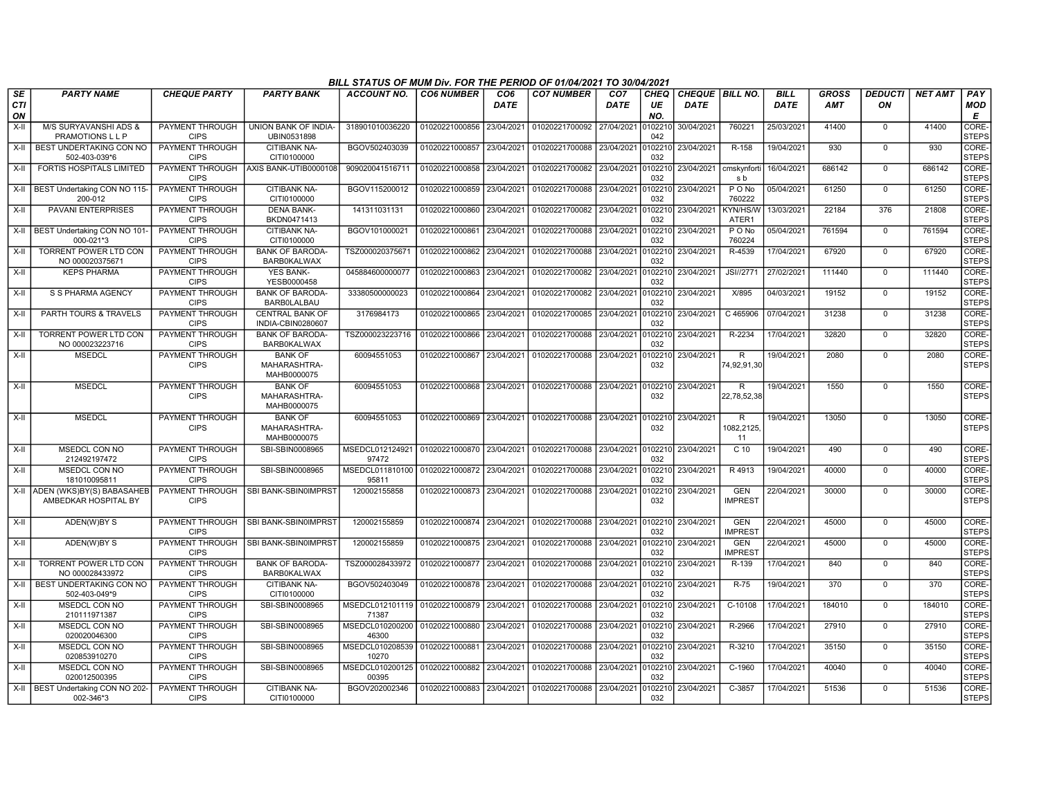|                        | BILL STATUS OF MUM Div. FOR THE PERIOD OF 01/04/2021 TO 30/04/2021<br><b>PARTY NAME</b><br><b>CHEQUE PARTY</b><br><b>CO6 NUMBER</b><br>CO <sub>6</sub><br><b>CO7 NUMBER</b><br>CHEQUE   BILL NO.<br><b>BILL</b><br><b>GROSS</b><br><b>DEDUCTI</b><br><b>NET AMT</b><br>PAY<br><b>PARTY BANK</b><br><b>ACCOUNT NO.</b><br>CO <sub>7</sub><br>CHEQ |                                       |                                               |                                         |                           |            |                           |             |                |                    |                              |             |            |                |        |                       |
|------------------------|--------------------------------------------------------------------------------------------------------------------------------------------------------------------------------------------------------------------------------------------------------------------------------------------------------------------------------------------------|---------------------------------------|-----------------------------------------------|-----------------------------------------|---------------------------|------------|---------------------------|-------------|----------------|--------------------|------------------------------|-------------|------------|----------------|--------|-----------------------|
| SE<br><b>CTI</b><br>ON |                                                                                                                                                                                                                                                                                                                                                  |                                       |                                               |                                         |                           | DATE       |                           | <b>DATE</b> | UE<br>NO.      | <b>DATE</b>        |                              | <b>DATE</b> | <b>AMT</b> | ΟN             |        | <b>MOD</b><br>Е       |
| $X-H$                  | M/S SURYAVANSHI ADS &<br>PRAMOTIONS L L P                                                                                                                                                                                                                                                                                                        | PAYMENT THROUGH<br><b>CIPS</b>        | UNION BANK OF INDIA-<br>UBIN0531898           | 318901010036220                         | 01020221000856            | 23/04/2021 | 01020221700092            | 27/04/2021  | 0102210<br>042 | 30/04/2021         | 760221                       | 25/03/2021  | 41400      | $\Omega$       | 41400  | CORE-<br><b>STEPS</b> |
| $X-H$                  | BEST UNDERTAKING CON NO<br>502-403-039*6                                                                                                                                                                                                                                                                                                         | PAYMENT THROUGH<br><b>CIPS</b>        | <b>CITIBANK NA-</b><br>CITI0100000            | BGOV502403039                           | 01020221000857            | 23/04/2021 | 01020221700088            | 23/04/2021  | 0102210<br>032 | 23/04/2021         | R-158                        | 19/04/2021  | 930        | $\mathbf 0$    | 930    | CORE-<br><b>STEPS</b> |
| X-II                   | FORTIS HOSPITALS LIMITED                                                                                                                                                                                                                                                                                                                         | <b>CIPS</b>                           | PAYMENT THROUGH AXIS BANK-UTIB0000108         | 909020041516711                         | 01020221000858            | 23/04/2021 | 01020221700082            | 23/04/2021  | 0102210<br>032 | 23/04/2021         | cmskynfort<br>s b            | 16/04/2021  | 686142     | $\mathbf 0$    | 686142 | CORE-<br><b>STEPS</b> |
|                        | X-II   BEST Undertaking CON NO 115<br>200-012                                                                                                                                                                                                                                                                                                    | PAYMENT THROUGH<br><b>CIPS</b>        | CITIBANK NA-<br>CITI0100000                   | BGOV115200012                           | 01020221000859            | 23/04/2021 | 01020221700088            | 23/04/2021  | 102210<br>032  | 23/04/2021         | P O No<br>760222             | 05/04/2021  | 61250      | $\mathbf 0$    | 61250  | CORE-<br><b>STEPS</b> |
| X-II                   | <b>PAVANI ENTERPRISES</b>                                                                                                                                                                                                                                                                                                                        | <b>PAYMENT THROUGH</b><br><b>CIPS</b> | <b>DENA BANK-</b><br>BKDN0471413              | 141311031131                            | 01020221000860            | 23/04/2021 | 01020221700082            | 23/04/2021  | 102210<br>032  | 23/04/2021         | <b>KYN/HS/W</b><br>ATER1     | 13/03/2021  | 22184      | 376            | 21808  | CORE-<br><b>STEPS</b> |
|                        | X-II   BEST Undertaking CON NO 101<br>000-021*3                                                                                                                                                                                                                                                                                                  | PAYMENT THROUGH<br><b>CIPS</b>        | <b>CITIBANK NA-</b><br>CITI0100000            | BGOV101000021                           | 01020221000861            | 23/04/2021 | 01020221700088            | 23/04/2021  | 102210<br>032  | 23/04/2021         | $P$ O No<br>760224           | 05/04/2021  | 761594     | $\overline{0}$ | 761594 | CORE-<br><b>STEPS</b> |
| X-II                   | <b>TORRENT POWER LTD CON</b><br>NO 000020375671                                                                                                                                                                                                                                                                                                  | PAYMENT THROUGH<br><b>CIPS</b>        | <b>BANK OF BARODA</b><br><b>BARB0KALWAX</b>   | TSZ000020375671                         | 01020221000862            | 23/04/2021 | 01020221700088            | 23/04/2021  | 102210<br>032  | 23/04/2021         | R-4539                       | 17/04/2021  | 67920      | $\Omega$       | 67920  | CORE-<br><b>STEPS</b> |
| X-II                   | <b>KEPS PHARMA</b>                                                                                                                                                                                                                                                                                                                               | PAYMENT THROUGH<br><b>CIPS</b>        | <b>YES BANK-</b><br>YESB0000458               | 045884600000077                         | 01020221000863            | 23/04/2021 | 01020221700082            | 23/04/2021  | 102210<br>032  | 23/04/2021         | JSI//2771                    | 27/02/2021  | 111440     | $\Omega$       | 111440 | CORE-<br><b>STEPS</b> |
| X-II                   | S S PHARMA AGENCY                                                                                                                                                                                                                                                                                                                                | <b>PAYMENT THROUGH</b><br><b>CIPS</b> | <b>BANK OF BARODA-</b><br><b>BARBOLALBAU</b>  | 33380500000023                          | 01020221000864            | 23/04/2021 | 01020221700082            | 23/04/2021  | 102210<br>032  | 23/04/2021         | X/895                        | 04/03/2021  | 19152      | $\mathbf 0$    | 19152  | CORE-<br><b>STEPS</b> |
| X-II                   | PARTH TOURS & TRAVELS                                                                                                                                                                                                                                                                                                                            | PAYMENT THROUGH<br><b>CIPS</b>        | <b>CENTRAL BANK OF</b><br>INDIA-CBIN0280607   | 3176984173                              | 01020221000865            | 23/04/2021 | 01020221700085            | 23/04/2021  | 102210<br>032  | 23/04/2021         | C 465906                     | 07/04/2021  | 31238      | $\mathbf 0$    | 31238  | CORE-<br><b>STEPS</b> |
| $X-H$                  | <b>TORRENT POWER LTD CON</b><br>NO 000023223716                                                                                                                                                                                                                                                                                                  | <b>PAYMENT THROUGH</b><br><b>CIPS</b> | <b>BANK OF BARODA-</b><br><b>BARB0KALWAX</b>  | TSZ000023223716                         | 01020221000866            | 23/04/2021 | 01020221700088            | 23/04/2021  | 032            | 0102210 23/04/2021 | R-2234                       | 17/04/2021  | 32820      | $\overline{0}$ | 32820  | CORE-<br><b>STEPS</b> |
| X-II                   | <b>MSEDCL</b>                                                                                                                                                                                                                                                                                                                                    | PAYMENT THROUGH<br><b>CIPS</b>        | <b>BANK OF</b><br>MAHARASHTRA-<br>MAHB0000075 | 60094551053                             | 01020221000867            | 23/04/2021 | 01020221700088            | 23/04/2021  | 102210<br>032  | 23/04/2021         | R.<br>74,92,91,30            | 19/04/2021  | 2080       | $\mathbf 0$    | 2080   | CORE-<br><b>STEPS</b> |
| X-II                   | <b>MSEDCL</b>                                                                                                                                                                                                                                                                                                                                    | PAYMENT THROUGH<br><b>CIPS</b>        | <b>BANK OF</b><br>MAHARASHTRA-<br>MAHB0000075 | 60094551053                             | 01020221000868            | 23/04/2021 | 01020221700088            | 23/04/2021  | 0102210<br>032 | 23/04/2021         | R<br>22,78,52,38             | 19/04/2021  | 1550       | $\Omega$       | 1550   | CORE-<br><b>STEPS</b> |
| $X-II$                 | <b>MSEDCL</b>                                                                                                                                                                                                                                                                                                                                    | PAYMENT THROUGH<br><b>CIPS</b>        | <b>BANK OF</b><br>MAHARASHTRA-<br>MAHB0000075 | 60094551053                             | 01020221000869            | 23/04/2021 | 01020221700088            | 23/04/2021  | 102210<br>032  | 23/04/2021         | R<br>1082,2125<br>11         | 19/04/2021  | 13050      | $\mathbf 0$    | 13050  | CORE-<br><b>STEPS</b> |
| X-II                   | MSEDCL CON NO<br>212492197472                                                                                                                                                                                                                                                                                                                    | PAYMENT THROUGH<br><b>CIPS</b>        | SBI-SBIN0008965                               | MSEDCL012124921<br>97472                | 01020221000870 23/04/2021 |            | 01020221700088            | 23/04/2021  | 102210<br>032  | 23/04/2021         | C 10                         | 19/04/2021  | 490        | $\Omega$       | 490    | CORE-<br><b>STEPS</b> |
| $X-H$                  | MSEDCL CON NO<br>181010095811                                                                                                                                                                                                                                                                                                                    | <b>PAYMENT THROUGH</b><br><b>CIPS</b> | SBI-SBIN0008965                               | MSEDCL011810100<br>95811                | 01020221000872 23/04/2021 |            | 01020221700088            | 23/04/2021  | 102210<br>032  | 23/04/2021         | R 4913                       | 19/04/2021  | 40000      | $\mathbf 0$    | 40000  | CORE-<br><b>STEPS</b> |
|                        | X-II ADEN (WKS)BY(S) BABASAHEB<br>AMBEDKAR HOSPITAL BY                                                                                                                                                                                                                                                                                           | PAYMENT THROUGH<br><b>CIPS</b>        | SBI BANK-SBIN0IMPRST                          | 120002155858                            | 01020221000873 23/04/2021 |            | 01020221700088 23/04/2021 |             | 0102210<br>032 | 23/04/2021         | <b>GEN</b><br><b>IMPREST</b> | 22/04/2021  | 30000      | $\mathbf 0$    | 30000  | CORE-<br><b>STEPS</b> |
| $X-II$                 | ADEN(W)BY S                                                                                                                                                                                                                                                                                                                                      | PAYMENT THROUGH<br><b>CIPS</b>        | SBI BANK-SBIN0IMPRST                          | 120002155859                            | 01020221000874            | 23/04/2021 | 01020221700088            | 23/04/2021  | 0102210<br>032 | 23/04/2021         | <b>GEN</b><br><b>IMPREST</b> | 22/04/2021  | 45000      | $\mathbf 0$    | 45000  | CORE-<br><b>STEPS</b> |
| X-II                   | ADEN(W)BY S                                                                                                                                                                                                                                                                                                                                      | PAYMENT THROUGH<br><b>CIPS</b>        | <b>SBI BANK-SBIN0IMPRST</b>                   | 120002155859                            | 01020221000875            | 23/04/2021 | 01020221700088            | 23/04/2021  | 102210<br>032  | 23/04/2021         | <b>GEN</b><br><b>IMPREST</b> | 22/04/2021  | 45000      | $\overline{0}$ | 45000  | CORE-<br><b>STEPS</b> |
| X-II                   | <b>TORRENT POWER LTD CON</b><br>NO 000028433972                                                                                                                                                                                                                                                                                                  | <b>PAYMENT THROUGH</b><br><b>CIPS</b> | <b>BANK OF BARODA-</b><br><b>BARB0KALWAX</b>  | TSZ000028433972                         | 01020221000877            | 23/04/2021 | 01020221700088 23/04/2021 |             | 102210<br>032  | 23/04/2021         | R-139                        | 17/04/2021  | 840        | $\Omega$       | 840    | CORE-<br><b>STEPS</b> |
| X-II                   | BEST UNDERTAKING CON NO<br>502-403-049*9                                                                                                                                                                                                                                                                                                         | PAYMENT THROUGH<br><b>CIPS</b>        | <b>CITIBANK NA-</b><br>CITI0100000            | BGOV502403049                           | 01020221000878            | 23/04/2021 | 01020221700088            | 23/04/2021  | 102210<br>032  | 23/04/2021         | $R-75$                       | 19/04/2021  | 370        | $\Omega$       | 370    | CORE-<br><b>STEPS</b> |
| $X-II$                 | MSEDCL CON NO<br>210111971387                                                                                                                                                                                                                                                                                                                    | PAYMENT THROUGH<br><b>CIPS</b>        | SBI-SBIN0008965                               | MSEDCL012101119<br>71387                | 01020221000879 23/04/2021 |            | 01020221700088            | 23/04/2021  | 0102210<br>032 | 23/04/2021         | C-10108                      | 17/04/2021  | 184010     | $\Omega$       | 184010 | CORE-<br><b>STEPS</b> |
| $X-H$                  | <b>MSEDCL CON NO</b><br>020020046300                                                                                                                                                                                                                                                                                                             | PAYMENT THROUGH<br><b>CIPS</b>        | SBI-SBIN0008965                               | MSEDCL010200200<br>46300                | 01020221000880            | 23/04/2021 | 01020221700088            | 23/04/2021  | 102210<br>032  | 23/04/2021         | R-2966                       | 17/04/2021  | 27910      | $\mathbf 0$    | 27910  | CORE-<br><b>STEPS</b> |
| X-II                   | MSEDCL CON NO<br>020853910270                                                                                                                                                                                                                                                                                                                    | <b>PAYMENT THROUGH</b><br><b>CIPS</b> | SBI-SBIN0008965                               | MSEDCL010208539 01020221000881<br>10270 |                           | 23/04/2021 | 01020221700088            | 23/04/2021  | 0102210<br>032 | 23/04/2021         | R-3210                       | 17/04/2021  | 35150      | $\mathbf 0$    | 35150  | CORE-<br><b>STEPS</b> |
| X-II                   | MSEDCL CON NO<br>020012500395                                                                                                                                                                                                                                                                                                                    | PAYMENT THROUGH<br><b>CIPS</b>        | SBI-SBIN0008965                               | MSEDCL010200125<br>00395                | 01020221000882            | 23/04/2021 | 01020221700088            | 23/04/2021  | 102210<br>032  | 23/04/2021         | C-1960                       | 17/04/2021  | 40040      | $\mathbf 0$    | 40040  | CORE-<br><b>STEPS</b> |
|                        | X-II   BEST Undertaking CON NO 202-<br>002-346*3                                                                                                                                                                                                                                                                                                 | PAYMENT THROUGH<br><b>CIPS</b>        | <b>CITIBANK NA-</b><br>CITI0100000            | BGOV202002346                           | 01020221000883            | 23/04/2021 | 01020221700088            | 23/04/2021  | 0102210<br>032 | 23/04/2021         | C-3857                       | 17/04/2021  | 51536      | $\Omega$       | 51536  | CORE-<br><b>STEPS</b> |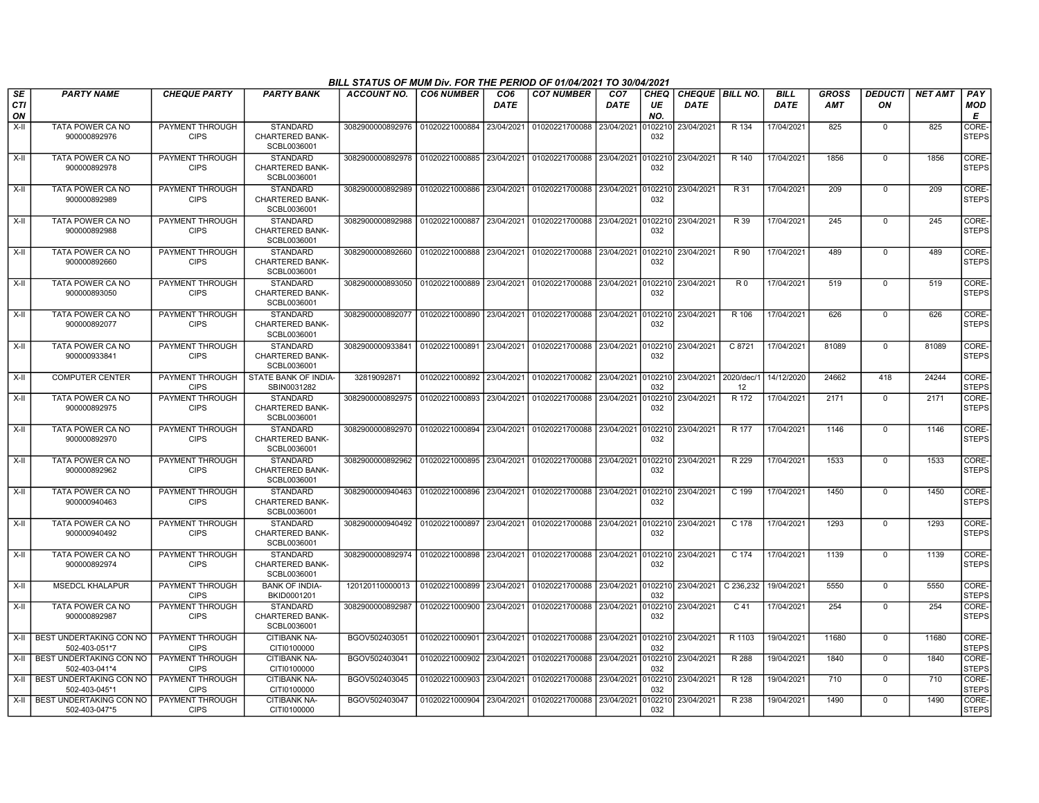|                               |                                          |                                       |                                                          | BILL STATUS OF MUM Div. FOR THE PERIOD OF 01/04/2021 TO 30/04/2021                    |                           |                                |                                   |                                |                          |                                       |                  |                            |                            |                      |                |                        |
|-------------------------------|------------------------------------------|---------------------------------------|----------------------------------------------------------|---------------------------------------------------------------------------------------|---------------------------|--------------------------------|-----------------------------------|--------------------------------|--------------------------|---------------------------------------|------------------|----------------------------|----------------------------|----------------------|----------------|------------------------|
| <b>SE</b><br><b>CTI</b><br>ON | <b>PARTY NAME</b>                        | <b>CHEQUE PARTY</b>                   | <b>PARTY BANK</b>                                        | <b>ACCOUNT NO.</b>                                                                    | <b>CO6 NUMBER</b>         | CO <sub>6</sub><br><b>DATE</b> | <b>CO7 NUMBER</b>                 | CO <sub>7</sub><br><b>DATE</b> | <b>CHEO</b><br>UE<br>NO. | <b>CHEQUE BILL NO.</b><br><b>DATE</b> |                  | <b>BILL</b><br><b>DATE</b> | <b>GROSS</b><br><b>AMT</b> | <b>DEDUCTI</b><br>ON | <b>NET AMT</b> | PAY<br><b>MOD</b><br>E |
| X-II                          | TATA POWER CA NO<br>900000892976         | PAYMENT THROUGH<br><b>CIPS</b>        | <b>STANDARD</b><br><b>CHARTERED BANK-</b><br>SCBL0036001 | 3082900000892976                                                                      | 01020221000884            | 23/04/2021                     | 01020221700088                    | 23/04/2021                     | 10221<br>032             | 23/04/2021                            | R 134            | 17/04/2021                 | 825                        | $\mathbf 0$          | 825            | CORE-<br><b>STEPS</b>  |
| X-II                          | TATA POWER CA NO<br>900000892978         | PAYMENT THROUGH<br><b>CIPS</b>        | <b>STANDARD</b><br>CHARTERED BANK-<br>SCBL0036001        |                                                                                       |                           |                                | 01020221700088 23/04/2021         |                                | 0102210<br>032           | 23/04/2021                            | R 140            | 17/04/2021                 | 1856                       | $\mathbf 0$          | 1856           | CORE-<br><b>STEPS</b>  |
| $X-H$                         | TATA POWER CA NO<br>900000892989         | PAYMENT THROUGH<br><b>CIPS</b>        | <b>STANDARD</b><br><b>CHARTERED BANK-</b><br>SCBL0036001 | 3082900000892989                                                                      | 01020221000886            | 23/04/2021                     | 01020221700088 23/04/2021         |                                | 0102210<br>032           | 23/04/2021                            | R 31             | 17/04/2021                 | 209                        | $\overline{0}$       | 209            | CORE-<br><b>STEPS</b>  |
| X-II                          | TATA POWER CA NO<br>900000892988         | PAYMENT THROUGH<br><b>CIPS</b>        | <b>STANDARD</b><br><b>CHARTERED BANK-</b><br>SCBL0036001 | 3082900000892988                                                                      | 01020221000887 23/04/2021 |                                | 01020221700088 23/04/2021 0102210 |                                | 032                      | 23/04/2021                            | R 39             | 17/04/2021                 | 245                        | $\Omega$             | 245            | CORE-<br><b>STEPS</b>  |
| X-II                          | <b>TATA POWER CA NO</b><br>900000892660  | PAYMENT THROUGH<br><b>CIPS</b>        | <b>STANDARD</b><br>CHARTERED BANK-<br>SCBL0036001        | 3082900000892660                                                                      | 01020221000888            | 23/04/2021                     | 01020221700088 23/04/2021         |                                | 102210<br>032            | 23/04/2021                            | R 90             | 17/04/2021                 | 489                        | $\mathbf 0$          | 489            | CORE-<br><b>STEPS</b>  |
| X-II                          | TATA POWER CA NO<br>900000893050         | <b>PAYMENT THROUGH</b><br><b>CIPS</b> | <b>STANDARD</b><br>CHARTERED BANK-<br>SCBL0036001        | 3082900000893050 01020221000889                                                       |                           | 23/04/2021                     | 01020221700088 23/04/2021 010221  |                                | 032                      | 23/04/2021                            | $\overline{R0}$  | 17/04/2021                 | 519                        | $\Omega$             | 519            | CORE-<br><b>STEPS</b>  |
| X-II                          | TATA POWER CA NO<br>900000892077         | PAYMENT THROUGH<br><b>CIPS</b>        | STANDARD<br><b>CHARTERED BANK-</b><br>SCBL0036001        | 3082900000892077                                                                      | 01020221000890 23/04/2021 |                                | 01020221700088 23/04/2021 0102210 |                                | 032                      | 23/04/2021                            | R 106            | 17/04/2021                 | 626                        | 0                    | 626            | CORE-<br><b>STEPS</b>  |
| X-II                          | TATA POWER CA NO<br>900000933841         | PAYMENT THROUGH<br><b>CIPS</b>        | STANDARD<br><b>CHARTERED BANK-</b><br>SCBL0036001        | 3082900000933841                                                                      | 01020221000891 23/04/2021 |                                | 01020221700088 23/04/2021         |                                | 0102210<br>032           | 23/04/2021                            | C 8721           | 17/04/2021                 | 81089                      | $\mathbf 0$          | 81089          | CORE-<br><b>STEPS</b>  |
| $X-H$                         | <b>COMPUTER CENTER</b>                   | PAYMENT THROUGH<br><b>CIPS</b>        | STATE BANK OF INDIA-<br>SBIN0031282                      | 32819092871                                                                           | 01020221000892            | 23/04/2021                     | 01020221700082 23/04/2021 0102210 |                                | 032                      | 23/04/2021                            | 2020/dec/1<br>12 | 14/12/2020                 | 24662                      | 418                  | 24244          | CORE-<br><b>STEPS</b>  |
| X-II                          | TATA POWER CA NO<br>900000892975         | PAYMENT THROUGH<br><b>CIPS</b>        | <b>STANDARD</b><br><b>CHARTERED BANK-</b><br>SCBL0036001 | 3082900000892975                                                                      | 01020221000893            | 23/04/2021                     | 01020221700088 23/04/2021         |                                | 102210<br>032            | 23/04/2021                            | R 172            | 17/04/2021                 | 2171                       | $\mathbf 0$          | 2171           | CORE-<br><b>STEPS</b>  |
| $X-H$                         | TATA POWER CA NO<br>900000892970         | <b>PAYMENT THROUGH</b><br><b>CIPS</b> | <b>STANDARD</b><br><b>CHARTERED BANK-</b><br>SCBL0036001 | 3082900000892970                                                                      | 01020221000894            | 23/04/2021                     | 01020221700088 23/04/2021         |                                | 010221<br>032            | 23/04/2021                            | R 177            | 17/04/2021                 | 1146                       | $\Omega$             | 1146           | CORE-<br>STEPS         |
| $X-H$                         | TATA POWER CA NO<br>900000892962         | PAYMENT THROUGH<br><b>CIPS</b>        | <b>STANDARD</b><br><b>CHARTERED BANK-</b><br>SCBL0036001 | 3082900000892962 01020221000895 23/04/2021                                            |                           |                                | 01020221700088 23/04/2021 0102210 |                                | 032                      | 23/04/2021                            | R 229            | 17/04/2021                 | 1533                       | $\mathbf 0$          | 1533           | CORE-<br><b>STEPS</b>  |
| X-II                          | TATA POWER CA NO<br>900000940463         | PAYMENT THROUGH<br><b>CIPS</b>        | STANDARD<br><b>CHARTERED BANK-</b><br>SCBL0036001        | 3082900000940463                                                                      | 01020221000896            | 23/04/2021                     | 01020221700088 23/04/2021         |                                | 0102210<br>032           | 23/04/2021                            | C 199            | 17/04/2021                 | 1450                       | $\mathbf 0$          | 1450           | CORE-<br><b>STEPS</b>  |
| X-II                          | TATA POWER CA NO<br>900000940492         | PAYMENT THROUGH<br><b>CIPS</b>        | <b>STANDARD</b><br>CHARTERED BANK-<br>SCBL0036001        | 3082900000940492   01020221000897   23/04/2021   01020221700088   23/04/2021  0102210 |                           |                                |                                   |                                | 032                      | 23/04/2021                            | C 178            | 17/04/2021                 | 1293                       | $\Omega$             | 1293           | CORE-<br><b>STEPS</b>  |
| X-II                          | TATA POWER CA NO<br>900000892974         | PAYMENT THROUGH<br><b>CIPS</b>        | <b>STANDARD</b><br><b>CHARTERED BANK-</b><br>SCBL0036001 | 3082900000892974 01020221000898 23/04/2021                                            |                           |                                | 01020221700088 23/04/2021 0102210 |                                | 032                      | 23/04/2021                            | $C$ 174          | 17/04/2021                 | 1139                       | $\mathbf 0$          | 1139           | CORE-<br><b>STEPS</b>  |
| X-II                          | <b>MSEDCL KHALAPUR</b>                   | PAYMENT THROUGH<br><b>CIPS</b>        | <b>BANK OF INDIA-</b><br>BKID0001201                     | 120120110000013                                                                       | 01020221000899            | 23/04/2021                     | 01020221700088 23/04/2021         |                                | 0102210<br>032           | 23/04/2021                            | C 236,232        | 19/04/2021                 | 5550                       | $\mathbf 0$          | 5550           | CORE-<br><b>STEPS</b>  |
| X-II                          | TATA POWER CA NO<br>900000892987         | PAYMENT THROUGH<br><b>CIPS</b>        | <b>STANDARD</b><br>CHARTERED BANK-<br>SCBL0036001        | 3082900000892987                                                                      | 01020221000900 23/04/2021 |                                | 01020221700088 23/04/2021         |                                | 102210<br>032            | 23/04/2021                            | C <sub>41</sub>  | 17/04/2021                 | 254                        | $\Omega$             | 254            | CORE-<br>STEPS         |
| X-II                          | BEST UNDERTAKING CON NO<br>502-403-051*7 | PAYMENT THROUGH<br><b>CIPS</b>        | CITIBANK NA-<br>CITI0100000                              | BGOV502403051                                                                         | 01020221000901            | 23/04/2021                     | 01020221700088 23/04/2021         |                                | 0102210<br>032           | 23/04/2021                            | R 1103           | 19/04/2021                 | 11680                      | $\overline{0}$       | 11680          | CORE-<br><b>STEPS</b>  |
| $X-II$                        | BEST UNDERTAKING CON NO<br>502-403-041*4 | PAYMENT THROUGH<br><b>CIPS</b>        | <b>CITIBANK NA-</b><br>CITI0100000                       | BGOV502403041                                                                         | 01020221000902            | 23/04/2021                     | 01020221700088 23/04/2021         |                                | 0102210<br>032           | 23/04/2021                            | R 288            | 19/04/2021                 | 1840                       | $\Omega$             | 1840           | CORE-<br><b>STEPS</b>  |
| X-II                          | BEST UNDERTAKING CON NO<br>502-403-045*1 | PAYMENT THROUGH<br><b>CIPS</b>        | CITIBANK NA-<br>CITI0100000                              | BGOV502403045                                                                         | 01020221000903            | 23/04/2021                     | 01020221700088 23/04/2021         |                                | 0102210<br>032           | 23/04/2021                            | R 128            | 19/04/2021                 | 710                        | $\mathbf 0$          | 710            | CORE-<br><b>STEPS</b>  |
| X-II                          | BEST UNDERTAKING CON NO<br>502-403-047*5 | <b>PAYMENT THROUGH</b><br><b>CIPS</b> | CITIBANK NA-<br>CITI0100000                              | BGOV502403047                                                                         | 01020221000904 23/04/2021 |                                | 01020221700088 23/04/2021         |                                | 0102210<br>032           | 23/04/2021                            | R 238            | 19/04/2021                 | 1490                       | $\mathbf 0$          | 1490           | CORE-<br><b>STEPS</b>  |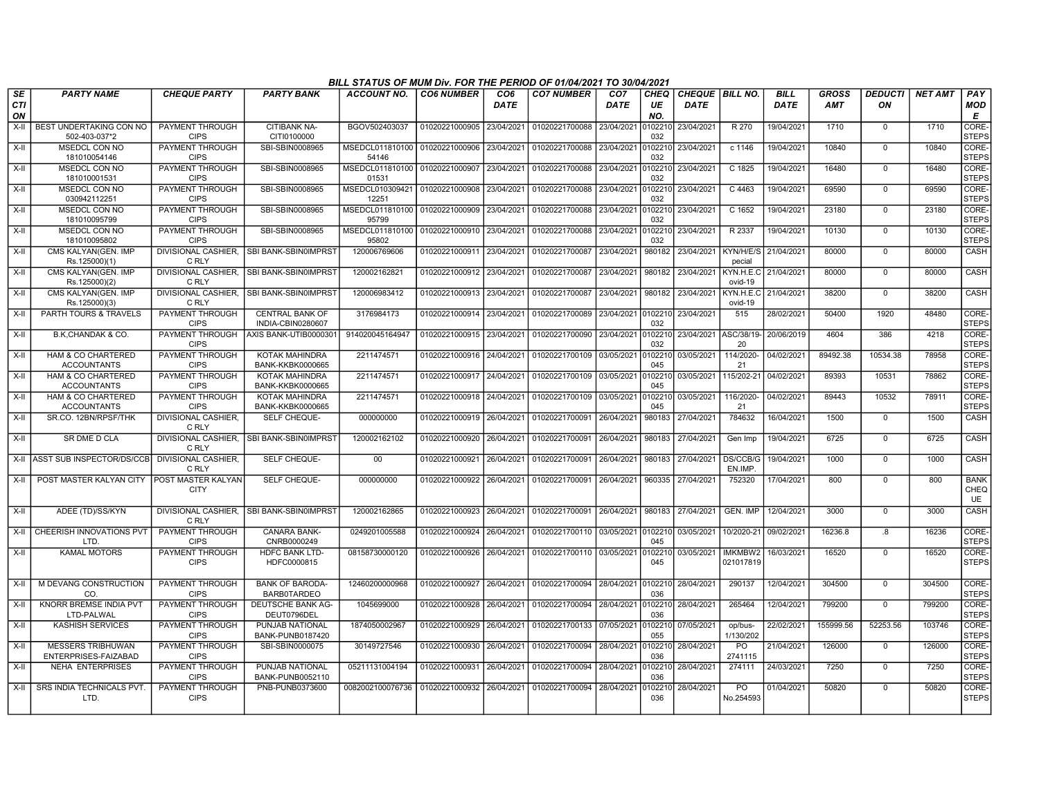|                  | BILL STATUS OF MUM Div. FOR THE PERIOD OF 01/04/2021 TO 30/04/2021<br><b>PARTY NAME</b><br>PAY<br><b>CHEQUE PARTY</b><br><b>PARTY BANK</b><br><b>ACCOUNT NO.</b><br><b>CO6 NUMBER</b><br>CO6<br><b>CO7 NUMBER</b><br>CO <sub>7</sub><br><b>CHEO</b><br><b>CHEQUE BILL NO.</b><br><b>BILL</b><br><b>GROSS</b><br><b>DEDUCTI</b><br><b>NET AMT</b> |                                          |                                                   |                                                    |                           |             |                                                                        |                    |                |                               |                      |             |            |                |        |                                  |
|------------------|--------------------------------------------------------------------------------------------------------------------------------------------------------------------------------------------------------------------------------------------------------------------------------------------------------------------------------------------------|------------------------------------------|---------------------------------------------------|----------------------------------------------------|---------------------------|-------------|------------------------------------------------------------------------|--------------------|----------------|-------------------------------|----------------------|-------------|------------|----------------|--------|----------------------------------|
| <b>SE</b><br>CTI |                                                                                                                                                                                                                                                                                                                                                  |                                          |                                                   |                                                    |                           | <b>DATE</b> |                                                                        | <b>DATE</b>        | UE             | <b>DATE</b>                   |                      | <b>DATE</b> | <b>AMT</b> | ON             |        | MOD                              |
| ON<br>$X-H$      | BEST UNDERTAKING CON NO                                                                                                                                                                                                                                                                                                                          | <b>PAYMENT THROUGH</b>                   | <b>CITIBANK NA-</b>                               | BGOV502403037                                      | 01020221000905 23/04/2021 |             | 01020221700088                                                         | 23/04/2021         | NO.            | 23/04/2021                    | R 270                | 19/04/2021  | 1710       | $\overline{0}$ | 1710   | E<br>CORE-                       |
|                  | 502-403-037*2                                                                                                                                                                                                                                                                                                                                    | <b>CIPS</b>                              | CITI0100000                                       |                                                    |                           |             |                                                                        |                    | 0102210<br>032 |                               |                      |             |            |                |        | <b>STEPS</b>                     |
| $X-H$            | <b>MSEDCL CON NO</b>                                                                                                                                                                                                                                                                                                                             | <b>PAYMENT THROUGH</b>                   | SBI-SBIN0008965                                   | MSEDCL011810100 01020221000906 23/04/2021          |                           |             | 01020221700088                                                         | 23/04/2021         | 102210         | 23/04/2021                    | $c$ 1146             | 19/04/2021  | 10840      | $\overline{0}$ | 10840  | CORE-                            |
|                  | 181010054146                                                                                                                                                                                                                                                                                                                                     | <b>CIPS</b>                              |                                                   | 54146                                              |                           |             |                                                                        |                    | 032            |                               |                      |             |            |                |        | <b>STEPS</b>                     |
| $X-H$            | <b>MSEDCL CON NO</b><br>181010001531                                                                                                                                                                                                                                                                                                             | PAYMENT THROUGH<br><b>CIPS</b>           | SBI-SBIN0008965                                   | MSEDCL011810100 01020221000907 23/04/2021<br>01531 |                           |             | 01020221700088 23/04/2021 0102210 23/04/2021                           |                    | 032            |                               | $C$ 1825             | 19/04/2021  | 16480      | 0              | 16480  | CORE-<br><b>STEPS</b>            |
| X-II             | MSEDCL CON NO<br>030942112251                                                                                                                                                                                                                                                                                                                    | PAYMENT THROUGH<br><b>CIPS</b>           | SBI-SBIN0008965                                   | MSEDCL010309421 01020221000908<br>12251            |                           | 23/04/2021  | 01020221700088                                                         | 23/04/2021         | 102210<br>032  | 23/04/2021                    | C 4463               | 19/04/2021  | 69590      | $\mathbf 0$    | 69590  | CORE-<br><b>STEPS</b>            |
| X-II             | MSEDCL CON NO<br>181010095799                                                                                                                                                                                                                                                                                                                    | PAYMENT THROUGH<br><b>CIPS</b>           | SBI-SBIN0008965                                   | MSEDCL011810100 01020221000909<br>95799            |                           | 23/04/2021  | 01020221700088                                                         | 23/04/2021         | 032            | 102210 23/04/2021             | C 1652               | 19/04/2021  | 23180      | $\mathbf 0$    | 23180  | CORE-<br><b>STEPS</b>            |
| $X-H$            | <b>MSEDCL CON NO</b><br>181010095802                                                                                                                                                                                                                                                                                                             | PAYMENT THROUGH<br><b>CIPS</b>           | SBI-SBIN0008965                                   | MSEDCL011810100 01020221000910 23/04/2021<br>95802 |                           |             | 01020221700088                                                         | 23/04/2021         | 0102210<br>032 | 23/04/2021                    | R 2337               | 19/04/2021  | 10130      | $\Omega$       | 10130  | CORE-<br><b>STEPS</b>            |
| $X-H$            | CMS KALYAN(GEN, IMP<br>Rs.125000)(1)                                                                                                                                                                                                                                                                                                             | C RLY                                    | DIVISIONAL CASHIER. ISBI BANK-SBIN0IMPRST         | 120006769606                                       | 01020221000911            | 23/04/2021  | 01020221700087                                                         | 23/04/2021         | 980182         | 23/04/2021                    | KYN/H/E/S<br>pecial  | 21/04/2021  | 80000      | $\mathbf 0$    | 80000  | CASH                             |
| X-II             | CMS KALYAN(GEN. IMP<br>Rs.125000)(2)                                                                                                                                                                                                                                                                                                             | C RLY                                    | DIVISIONAL CASHIER, SBI BANK-SBIN0IMPRST          | 120002162821                                       | 01020221000912            | 23/04/2021  | 01020221700087                                                         | 23/04/2021         | 980182         | 23/04/2021                    | KYN.H.E.C<br>ovid-19 | 21/04/2021  | 80000      | $\Omega$       | 80000  | CASH                             |
| X-II             | CMS KALYAN(GEN. IMP<br>Rs.125000)(3)                                                                                                                                                                                                                                                                                                             | C RLY                                    | DIVISIONAL CASHIER, SBI BANK-SBIN0IMPRST          | 120006983412                                       | 01020221000913            | 23/04/2021  | 01020221700087                                                         | 23/04/2021         | 980182         | 23/04/2021                    | KYN.H.E.C<br>ovid-19 | 21/04/2021  | 38200      | $\overline{0}$ | 38200  | CASH                             |
| $X-II$           | PARTH TOURS & TRAVELS                                                                                                                                                                                                                                                                                                                            | PAYMENT THROUGH<br><b>CIPS</b>           | <b>CENTRAL BANK OF</b><br>INDIA-CBIN0280607       | 3176984173                                         | 01020221000914            | 23/04/2021  | 01020221700089                                                         | 23/04/2021 0102210 | 032            | 23/04/2021                    | 515                  | 28/02/2021  | 50400      | 1920           | 48480  | CORE-<br><b>STEPS</b>            |
| $X-H$            | B.K.CHANDAK & CO.                                                                                                                                                                                                                                                                                                                                | PAYMENT THROUGH<br><b>CIPS</b>           | AXIS BANK-UTIB0000301                             | 914020045164947                                    | 01020221000915 23/04/2021 |             | 01020221700090                                                         | 23/04/2021         | 032            | 0102210 23/04/2021 ASC/38/19- | 20                   | 20/06/2019  | 4604       | 386            | 4218   | CORE-<br><b>STEPS</b>            |
| X-II             | HAM & CO CHARTERED<br><b>ACCOUNTANTS</b>                                                                                                                                                                                                                                                                                                         | PAYMENT THROUGH<br><b>CIPS</b>           | KOTAK MAHINDRA<br><b>BANK-KKBK0000665</b>         | 2211474571                                         | 01020221000916            | 24/04/2021  | 01020221700109                                                         | 03/05/2021         | 0102210<br>045 | 03/05/2021                    | 114/2020-<br>21      | 04/02/2021  | 89492.38   | 10534.38       | 78958  | CORE-<br><b>STEPS</b>            |
| $X-II$           | HAM & CO CHARTERED<br><b>ACCOUNTANTS</b>                                                                                                                                                                                                                                                                                                         | PAYMENT THROUGH<br><b>CIPS</b>           | KOTAK MAHINDRA<br><b>BANK-KKBK0000665</b>         | 2211474571                                         | 01020221000917            | 24/04/2021  | 01020221700109                                                         | 03/05/2021         | 102210<br>045  | 03/05/2021                    | 115/202-21           | 04/02/2021  | 89393      | 10531          | 78862  | CORE-<br><b>STEPS</b>            |
| X-II             | HAM & CO CHARTERED<br><b>ACCOUNTANTS</b>                                                                                                                                                                                                                                                                                                         | PAYMENT THROUGH<br><b>CIPS</b>           | KOTAK MAHINDRA<br><b>BANK-KKBK0000665</b>         | 2211474571                                         | 01020221000918            | 24/04/2021  | 01020221700109                                                         | 03/05/2021         | 102210<br>045  | 03/05/2021                    | 116/2020-<br>21      | 04/02/2021  | 89443      | 10532          | 78911  | CORE-<br><b>STEPS</b>            |
| $X-H$            | SR.CO. 12BN/RPSF/THK                                                                                                                                                                                                                                                                                                                             | <b>DIVISIONAL CASHIER.</b><br>C RLY      | <b>SELF CHEQUE-</b>                               | 000000000                                          |                           |             | 01020221000919 26/04/2021 01020221700091 26/04/2021                    |                    | 980183         | 27/04/2021                    | 784632               | 16/04/2021  | 1500       | $\mathbf 0$    | 1500   | <b>CASH</b>                      |
| X-II             | SR DME D CLA                                                                                                                                                                                                                                                                                                                                     | C RLY                                    | DIVISIONAL CASHIER. ISBI BANK-SBIN0IMPRST         | 120002162102                                       | 01020221000920            | 26/04/2021  | 01020221700091                                                         | 26/04/2021         | 980183         | 27/04/2021                    | Gen Imp              | 19/04/2021  | 6725       | $\Omega$       | 6725   | CASH                             |
|                  | X-II ASST SUB INSPECTOR/DS/CCB                                                                                                                                                                                                                                                                                                                   | <b>DIVISIONAL CASHIER,</b><br>C RLY      | SELF CHEQUE-                                      | 00                                                 | 01020221000921            | 26/04/2021  | 01020221700091                                                         | 26/04/2021         | 980183         | 27/04/2021                    | DS/CCB/G<br>EN.IMP   | 19/04/2021  | 1000       | $\overline{0}$ | 1000   | CASH                             |
| X-II I           | POST MASTER KALYAN CITY                                                                                                                                                                                                                                                                                                                          | <b>POST MASTER KALYAN</b><br><b>CITY</b> | SELF CHEQUE-                                      | 000000000                                          | 01020221000922 26/04/2021 |             | 01020221700091                                                         | 26/04/2021         | 960335         | 27/04/2021                    | 752320               | 17/04/2021  | 800        | $\Omega$       | 800    | <b>BANK</b><br>CHEQ<br><b>UE</b> |
| X-II             | ADEE (TD)/SS/KYN                                                                                                                                                                                                                                                                                                                                 | C RLY                                    | DIVISIONAL CASHIER. ISBI BANK-SBIN0IMPRST         | 120002162865                                       | 01020221000923 26/04/2021 |             | 01020221700091 26/04/2021                                              |                    |                | 980183 27/04/2021             | GEN. IMP             | 12/04/2021  | 3000       | $\mathbf 0$    | 3000   | CASH                             |
|                  | X-II CHEERISH INNOVATIONS PVT<br>LTD.                                                                                                                                                                                                                                                                                                            | PAYMENT THROUGH<br><b>CIPS</b>           | <b>CANARA BANK-</b><br>CNRB0000249                | 0249201005588                                      | 01020221000924            | 26/04/2021  | 01020221700110 03/05/2021                                              |                    | 0102210<br>045 | 03/05/2021                    | 10/2020-21           | 09/02/2021  | 16236.8    | .8             | 16236  | CORE-<br><b>STEPS</b>            |
| X-II             | <b>KAMAL MOTORS</b>                                                                                                                                                                                                                                                                                                                              | <b>PAYMENT THROUGH</b><br><b>CIPS</b>    | <b>HDFC BANK LTD-</b><br>HDFC0000815              | 08158730000120                                     |                           |             | 01020221000926 26/04/2021 01020221700110 03/05/2021                    |                    | 102210<br>045  | 03/05/2021                    | IMKMBW2<br>021017819 | 16/03/2021  | 16520      | $\Omega$       | 16520  | CORE-<br><b>STEPS</b>            |
| $X-H$            | M DEVANG CONSTRUCTION<br>CO.                                                                                                                                                                                                                                                                                                                     | PAYMENT THROUGH<br><b>CIPS</b>           | <b>BANK OF BARODA-</b><br><b>BARB0TARDEO</b>      | 12460200000968                                     | 01020221000927 26/04/2021 |             | 01020221700094 28/04/2021 0102210 28/04/2021                           |                    | 036            |                               | 290137               | 12/04/2021  | 304500     | $\mathbf 0$    | 304500 | CORE-<br><b>STEPS</b>            |
| $X-H$            | KNORR BREMSE INDIA PVT<br>LTD-PALWAL                                                                                                                                                                                                                                                                                                             | PAYMENT THROUGH<br><b>CIPS</b>           | DEUTSCHE BANK AG-<br>DEUT0796DEL                  | 1045699000                                         |                           |             | 01020221000928 26/04/2021 01020221700094 28/04/2021 0102210 28/04/2021 |                    | 036            |                               | 265464               | 12/04/2021  | 799200     | $\Omega$       | 799200 | CORE-<br><b>STEPS</b>            |
| X-II             | <b>KASHISH SERVICES</b>                                                                                                                                                                                                                                                                                                                          | PAYMENT THROUGH<br><b>CIPS</b>           | <b>PUNJAB NATIONAL</b><br><b>BANK-PUNB0187420</b> | 1874050002967                                      | 01020221000929            | 26/04/2021  | 01020221700133                                                         | 07/05/2021         | 055            | 0102210 07/05/2021            | op/bus-<br>1/130/202 | 22/02/2021  | 155999.56  | 52253.56       | 103746 | CORE-<br><b>STEPS</b>            |
| X-II             | <b>MESSERS TRIBHUWAN</b><br>ENTERPRISES-FAIZABAD                                                                                                                                                                                                                                                                                                 | PAYMENT THROUGH<br><b>CIPS</b>           | SBI-SBIN0000075                                   | 30149727546                                        | 01020221000930            | 26/04/2021  | 01020221700094                                                         | 28/04/2021         | 102210<br>036  | 28/04/2021                    | <b>PO</b><br>2741115 | 21/04/2021  | 126000     | $\Omega$       | 126000 | CORE-<br><b>STEPS</b>            |
| X-II             | <b>NEHA ENTERPRISES</b>                                                                                                                                                                                                                                                                                                                          | PAYMENT THROUGH<br><b>CIPS</b>           | PUNJAB NATIONAL<br><b>BANK-PUNB0052110</b>        | 05211131004194                                     | 01020221000931            | 26/04/2021  | 01020221700094                                                         | 28/04/2021         | 102210<br>036  | 28/04/2021                    | 274111               | 24/03/2021  | 7250       | $\Omega$       | 7250   | CORE-<br><b>STEPS</b>            |
| X-II I           | <b>SRS INDIA TECHNICALS PVT</b><br>LTD.                                                                                                                                                                                                                                                                                                          | PAYMENT THROUGH<br><b>CIPS</b>           | PNB-PUNB0373600                                   | 0082002100076736                                   | 01020221000932 26/04/2021 |             | 01020221700094                                                         | 28/04/2021         | 102210<br>036  | 28/04/2021                    | PO<br>No.254593      | 01/04/2021  | 50820      | $\Omega$       | 50820  | CORE-<br><b>STEPS</b>            |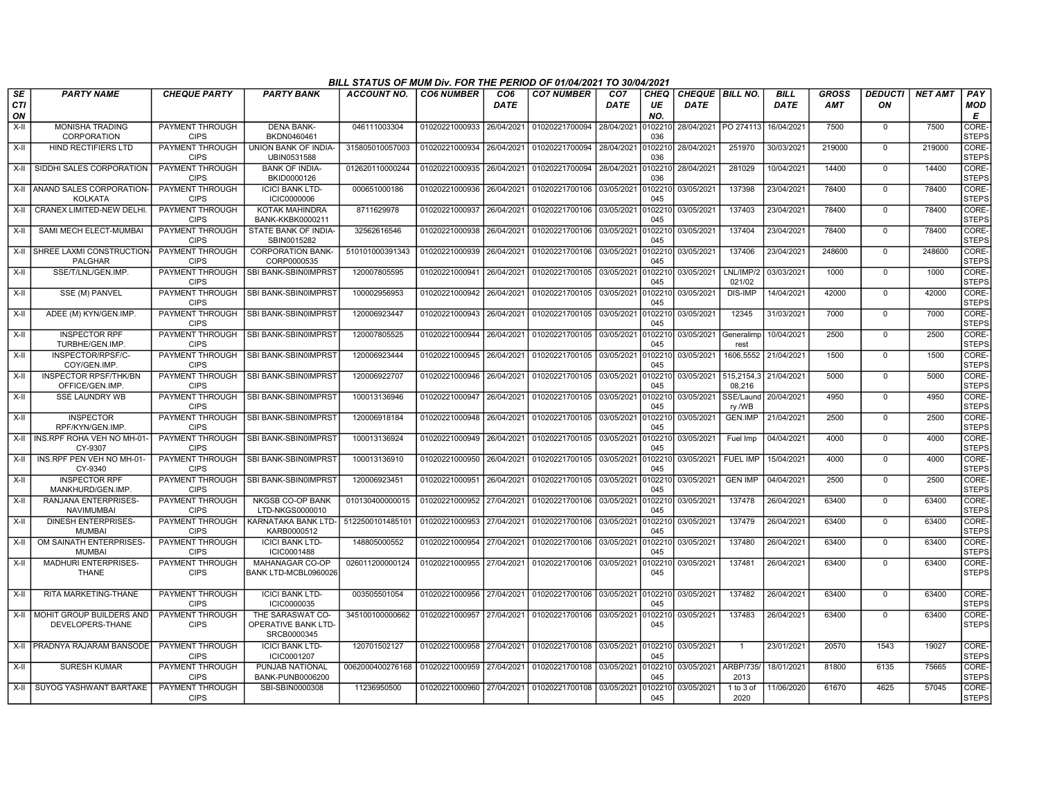|                        |                                                   |                                |                                                        | BILL STATUS OF MUM Div. FOR THE PERIOD OF 01/04/2021 TO 30/04/2021 |                           |                         |                                   |                                |                   |                                  |                      |                            |                            |                      |                |                        |
|------------------------|---------------------------------------------------|--------------------------------|--------------------------------------------------------|--------------------------------------------------------------------|---------------------------|-------------------------|-----------------------------------|--------------------------------|-------------------|----------------------------------|----------------------|----------------------------|----------------------------|----------------------|----------------|------------------------|
| SE<br><b>CTI</b><br>ON | <b>PARTY NAME</b>                                 | <b>CHEQUE PARTY</b>            | <b>PARTY BANK</b>                                      | <b>ACCOUNT NO.</b>                                                 | <b>CO6 NUMBER</b>         | CO <sub>6</sub><br>DATE | <b>CO7 NUMBER</b>                 | CO <sub>7</sub><br><b>DATE</b> | CHEQ<br>UE<br>NO. | CHEQUE   BILL NO.<br><b>DATE</b> |                      | <b>BILL</b><br><b>DATE</b> | <b>GROSS</b><br><b>AMT</b> | <b>DEDUCTI</b><br>ΟN | <b>NET AMT</b> | PAY<br><b>MOD</b><br>Е |
| $X-II$                 | <b>MONISHA TRADING</b><br>CORPORATION             | PAYMENT THROUGH<br><b>CIPS</b> | <b>DENA BANK-</b><br>BKDN0460461                       | 046111003304                                                       | 01020221000933 26/04/2021 |                         | 01020221700094                    | 28/04/2021                     | 0102210<br>036    | 28/04/2021 PO 274113             |                      | 16/04/2021                 | 7500                       | $\Omega$             | 7500           | CORE-<br><b>STEPS</b>  |
| X-II                   | <b>HIND RECTIFIERS LTD</b>                        | PAYMENT THROUGH<br><b>CIPS</b> | UNION BANK OF INDIA-<br>UBIN0531588                    | 315805010057003                                                    | 01020221000934            | 26/04/2021              | 01020221700094                    | 28/04/2021                     | 0102210<br>036    | 28/04/2021                       | 251970               | 30/03/2021                 | 219000                     | $\mathbf 0$          | 219000         | CORE-<br><b>STEPS</b>  |
|                        | X-II SIDDHI SALES CORPORATION                     | PAYMENT THROUGH<br><b>CIPS</b> | <b>BANK OF INDIA-</b><br>BKID0000126                   | 012620110000244                                                    | 01020221000935            | 26/04/2021              | 01020221700094 28/04/2021         |                                | 0102210<br>036    | 28/04/2021                       | 281029               | 10/04/2021                 | 14400                      | 0                    | 14400          | CORE-<br><b>STEPS</b>  |
|                        | X-II ANAND SALES CORPORATION<br><b>KOLKATA</b>    | PAYMENT THROUGH<br><b>CIPS</b> | <b>ICICI BANK LTD-</b><br><b>ICIC0000006</b>           | 000651000186                                                       | 01020221000936            | 26/04/2021              | 01020221700106                    | 03/05/2021                     | 102210<br>045     | 03/05/2021                       | 137398               | 23/04/2021                 | 78400                      | $\mathbf 0$          | 78400          | CORE-<br><b>STEPS</b>  |
| X-II                   | <b>CRANEX LIMITED-NEW DELHI</b>                   | PAYMENT THROUGH<br><b>CIPS</b> | KOTAK MAHINDRA<br>BANK-KKBK0000211                     | 8711629978                                                         | 01020221000937            | 26/04/2021              | 01020221700106 03/05/2021         |                                | 102210<br>045     | 03/05/2021                       | 137403               | 23/04/2021                 | 78400                      | $\Omega$             | 78400          | CORE-<br><b>STEPS</b>  |
| X-II                   | SAMI MECH ELECT-MUMBAI                            | PAYMENT THROUGH<br><b>CIPS</b> | STATE BANK OF INDIA-<br>SBIN0015282                    | 32562616546                                                        | 01020221000938            | 26/04/2021              | 01020221700106                    | 03/05/2021                     | 102210<br>045     | 03/05/2021                       | 137404               | 23/04/2021                 | 78400                      | $\overline{0}$       | 78400          | CORE-<br><b>STEPS</b>  |
|                        | X-II SHREE LAXMI CONSTRUCTION<br><b>PALGHAR</b>   | PAYMENT THROUGH<br><b>CIPS</b> | <b>CORPORATION BANK-</b><br>CORP0000535                | 510101000391343                                                    | 01020221000939            | 26/04/2021              | 01020221700106 03/05/2021         |                                | 102210<br>045     | 03/05/2021                       | 137406               | 23/04/2021                 | 248600                     | $\mathbf 0$          | 248600         | CORE-<br><b>STEPS</b>  |
| X-II                   | SSE/T/LNL/GEN.IMP                                 | PAYMENT THROUGH<br><b>CIPS</b> | <b>SBI BANK-SBIN0IMPRST</b>                            | 120007805595                                                       | 01020221000941            | 26/04/2021              | 01020221700105 03/05/2021         |                                | 102210<br>045     | 03/05/2021                       | LNL/IMP/2<br>021/02  | 03/03/2021                 | 1000                       | $\Omega$             | 1000           | CORE-<br><b>STEPS</b>  |
| X-II                   | SSE (M) PANVEL                                    | PAYMENT THROUGH<br><b>CIPS</b> | <b>SBI BANK-SBIN0IMPRST</b>                            | 100002956953                                                       | 01020221000942            | 26/04/2021              | 01020221700105 03/05/2021         |                                | 0102210<br>045    | 03/05/2021                       | DIS-IMP              | 14/04/2021                 | 42000                      | $\Omega$             | 42000          | CORE-<br><b>STEPS</b>  |
| X-II                   | ADEE (M) KYN/GEN.IMP.                             | <b>CIPS</b>                    | PAYMENT THROUGH   SBI BANK-SBIN0IMPRST                 | 120006923447                                                       | 01020221000943            | 26/04/2021              | 01020221700105                    | 03/05/2021                     | 0102210<br>045    | 03/05/2021                       | 12345                | 31/03/2021                 | 7000                       | $\mathbf 0$          | 7000           | CORE-<br><b>STEPS</b>  |
| X-II                   | <b>INSPECTOR RPF</b><br>TURBHE/GEN.IMP            | PAYMENT THROUGH<br><b>CIPS</b> | SBI BANK-SBIN0IMPRST                                   | 120007805525                                                       | 01020221000944            | 26/04/2021              | 01020221700105 03/05/2021         |                                | 0102210<br>045    | 03/05/2021                       | Generalimp<br>rest   | 10/04/2021                 | 2500                       | 0                    | 2500           | CORE-<br><b>STEPS</b>  |
| $X-H$                  | INSPECTOR/RPSF/C-<br>COY/GEN.IMP.                 | PAYMENT THROUGH<br><b>CIPS</b> | I SBI BANK-SBIN0IMPRST                                 | 120006923444                                                       | 01020221000945            | 26/04/2021              | 01020221700105                    | 03/05/2021                     | 0102210<br>045    | 03/05/2021                       | 1606,5552            | 21/04/2021                 | 1500                       | $\Omega$             | 1500           | CORE-<br><b>STEPS</b>  |
| X-II                   | <b>INSPECTOR RPSF/THK/BN</b><br>OFFICE/GEN.IMP    | PAYMENT THROUGH<br><b>CIPS</b> | SBI BANK-SBIN0IMPRST                                   | 120006922707                                                       | 01020221000946            | 26/04/2021              | 01020221700105                    | 03/05/2021                     | 0102210<br>045    | 03/05/2021                       | 515,2154,3<br>08,216 | 21/04/2021                 | 5000                       | $\mathbf 0$          | 5000           | CORE-<br><b>STEPS</b>  |
| $X-H$                  | <b>SSE LAUNDRY WB</b>                             | PAYMENT THROUGH<br><b>CIPS</b> | SBI BANK-SBIN0IMPRST                                   | 100013136946                                                       | 01020221000947            | 26/04/2021              | 01020221700105                    | 03/05/2021                     | 0102210<br>045    | 03/05/2021                       | SSE/Laund<br>ry /WB  | 20/04/2021                 | 4950                       | $\mathbf 0$          | 4950           | CORE-<br><b>STEPS</b>  |
| X-II                   | <b>INSPECTOR</b><br>RPF/KYN/GEN.IMP.              | PAYMENT THROUGH<br><b>CIPS</b> | <b>SBI BANK-SBIN0IMPRST</b>                            | 120006918184                                                       | 01020221000948            | 26/04/2021              | 01020221700105                    | 03/05/2021                     | 102210<br>045     | 03/05/2021                       | <b>GEN.IMP</b>       | 21/04/2021                 | 2500                       | $\mathbf 0$          | 2500           | CORE-<br><b>STEPS</b>  |
|                        | X-II   INS.RPF ROHA VEH NO MH-01<br>CY-9307       | PAYMENT THROUGH<br><b>CIPS</b> | SBI BANK-SBIN0IMPRST                                   | 100013136924                                                       | 01020221000949            | 26/04/2021              | 01020221700105                    | 03/05/2021                     | 0102210<br>045    | 03/05/2021                       | Fuel Imp             | 04/04/2021                 | 4000                       | $\Omega$             | 4000           | CORE-<br><b>STEPS</b>  |
| X-II                   | INS.RPF PEN VEH NO MH-01-<br>CY-9340              | PAYMENT THROUGH<br><b>CIPS</b> | <b>SBI BANK-SBIN0IMPRST</b>                            | 100013136910                                                       | 01020221000950            | 26/04/2021              | 01020221700105                    | 03/05/2021                     | 0102210<br>045    | 03/05/2021                       | <b>FUEL IMP</b>      | 15/04/2021                 | 4000                       | $\mathbf 0$          | 4000           | CORE-<br><b>STEPS</b>  |
| X-II                   | <b>INSPECTOR RPF</b><br>MANKHURD/GEN.IMP          | PAYMENT THROUGH<br><b>CIPS</b> | <b>SBI BANK-SBINOIMPRST</b>                            | 120006923451                                                       | 01020221000951            | 26/04/2021              | 01020221700105                    | 03/05/2021                     | 0102210<br>045    | 03/05/2021                       | <b>GEN IMP</b>       | 04/04/2021                 | 2500                       | $\mathbf 0$          | 2500           | CORE-<br><b>STEPS</b>  |
| X-II                   | RANJANA ENTERPRISES-<br>NAVIMUMBAI                | PAYMENT THROUGH<br><b>CIPS</b> | <b>NKGSB CO-OP BANK</b><br>LTD-NKGS0000010             | 010130400000015                                                    | 01020221000952            | 27/04/2021              | 01020221700106                    | 03/05/2021                     | 102210<br>045     | 03/05/2021                       | 137478               | 26/04/2021                 | 63400                      | $\mathbf 0$          | 63400          | CORE-<br><b>STEPS</b>  |
| X-II                   | DINESH ENTERPRISES-<br><b>MUMBAI</b>              | PAYMENT THROUGH<br><b>CIPS</b> | KARNATAKA BANK LTD-<br>KARB0000512                     | 5122500101485101                                                   | 01020221000953            | 27/04/2021              | 01020221700106                    | 03/05/2021                     | 102210<br>045     | 03/05/2021                       | 137479               | 26/04/2021                 | 63400                      | $\Omega$             | 63400          | CORE-<br><b>STEPS</b>  |
| X-II                   | OM SAINATH ENTERPRISES<br><b>MUMBAI</b>           | PAYMENT THROUGH<br><b>CIPS</b> | <b>ICICI BANK LTD-</b><br>ICIC0001488                  | 148805000552                                                       | 01020221000954            | 27/04/2021              | 01020221700106 03/05/2021         |                                | 102210<br>045     | 03/05/2021                       | 137480               | 26/04/2021                 | 63400                      | $\overline{0}$       | 63400          | CORE-<br><b>STEPS</b>  |
| X-II                   | <b>MADHURI ENTERPRISES</b><br><b>THANE</b>        | PAYMENT THROUGH<br><b>CIPS</b> | MAHANAGAR CO-OP<br>BANK LTD-MCBL0960026                | 026011200000124                                                    | 01020221000955 27/04/2021 |                         | 01020221700106 03/05/2021         |                                | 102210<br>045     | 03/05/2021                       | 137481               | 26/04/2021                 | 63400                      | $\Omega$             | 63400          | CORE-<br><b>STEPS</b>  |
| $X-II$                 | RITA MARKETING-THANE                              | PAYMENT THROUGH<br><b>CIPS</b> | <b>ICICI BANK LTD-</b><br>ICIC0000035                  | 003505501054                                                       | 01020221000956 27/04/2021 |                         | 01020221700106 03/05/2021         |                                | 0102210<br>045    | 03/05/2021                       | 137482               | 26/04/2021                 | 63400                      | $\Omega$             | 63400          | CORE-<br><b>STEPS</b>  |
|                        | X-II MOHIT GROUP BUILDERS AND<br>DEVELOPERS-THANE | PAYMENT THROUGH<br><b>CIPS</b> | THE SARASWAT CO-<br>OPERATIVE BANK LTD-<br>SRCB0000345 | 345100100000662                                                    | 01020221000957            | 27/04/2021              | 01020221700106                    | 03/05/2021                     | 0102210<br>045    | 03/05/2021                       | 137483               | 26/04/2021                 | 63400                      | $\Omega$             | 63400          | CORE-<br><b>STEPS</b>  |
|                        | X-II PRADNYA RAJARAM BANSODE                      | PAYMENT THROUGH<br><b>CIPS</b> | <b>ICICI BANK LTD-</b><br>ICIC0001207                  | 120701502127                                                       | 01020221000958 27/04/2021 |                         | 01020221700108 03/05/2021 0102210 |                                | 045               | 03/05/2021                       | $\overline{1}$       | 23/01/2021                 | 20570                      | 1543                 | 19027          | CORE-<br><b>STEPS</b>  |
| X-II                   | <b>SURESH KUMAR</b>                               | PAYMENT THROUGH<br><b>CIPS</b> | PUNJAB NATIONAL<br>BANK-PUNB0006200                    | 0062000400276168                                                   | 01020221000959            | 27/04/2021              | 01020221700108                    | 03/05/2021                     | 102210<br>045     | 03/05/2021                       | ARBP/735<br>2013     | 18/01/2021                 | 81800                      | 6135                 | 75665          | CORE-<br><b>STEPS</b>  |
|                        | X-II SUYOG YASHWANT BARTAKE                       | PAYMENT THROUGH<br><b>CIPS</b> | SBI-SBIN0000308                                        | 11236950500                                                        | 01020221000960 27/04/2021 |                         | 01020221700108                    | 03/05/2021                     | 0102210<br>045    | 03/05/2021                       | 1 to 3 of<br>2020    | 11/06/2020                 | 61670                      | 4625                 | 57045          | CORE-<br><b>STEPS</b>  |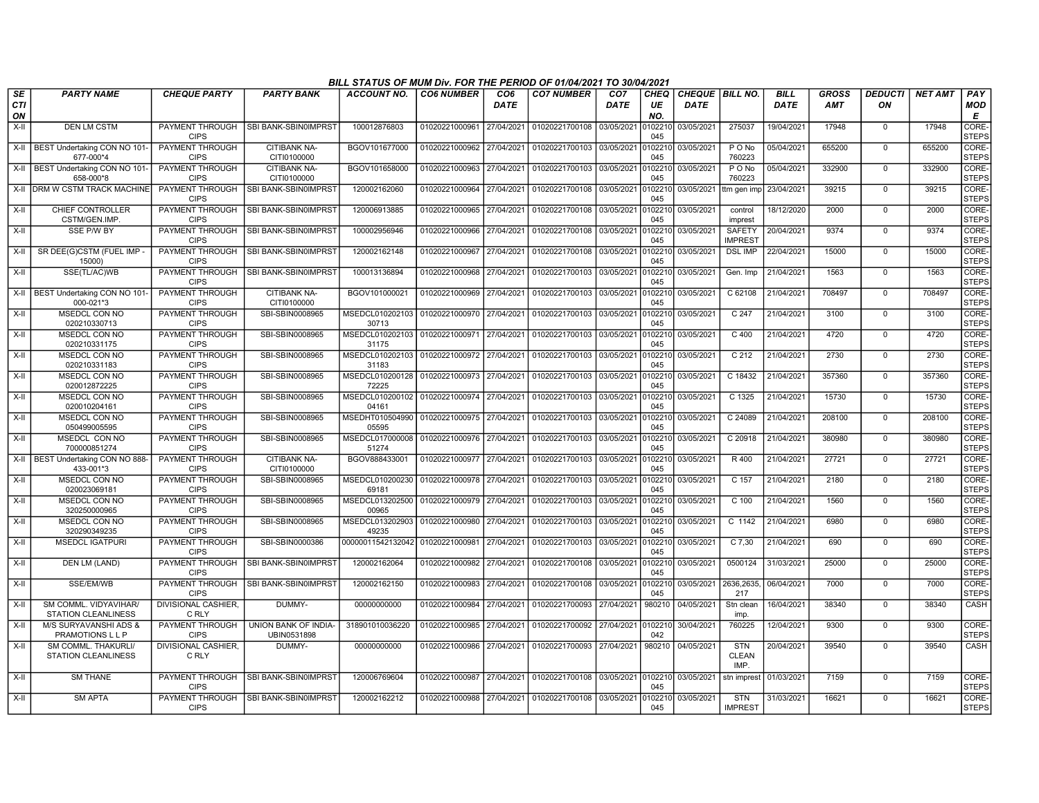|                         |                                                     |                                       |                                       | BILL STATUS OF MUM Div. FOR THE PERIOD OF 01/04/2021 TO 30/04/2021 |                           |                         |                                                     |                                |                          |                                |                                    |                     |                            |                      |                |                             |
|-------------------------|-----------------------------------------------------|---------------------------------------|---------------------------------------|--------------------------------------------------------------------|---------------------------|-------------------------|-----------------------------------------------------|--------------------------------|--------------------------|--------------------------------|------------------------------------|---------------------|----------------------------|----------------------|----------------|-----------------------------|
| <b>SE</b><br><b>CTI</b> | <b>PARTY NAME</b>                                   | <b>CHEQUE PARTY</b>                   | <b>PARTY BANK</b>                     | ACCOUNT NO.                                                        | <b>CO6 NUMBER</b>         | CO <sub>6</sub><br>DATE | <b>CO7 NUMBER</b>                                   | CO <sub>7</sub><br><b>DATE</b> | <b>CHEQ</b><br>UE<br>NO. | <b>CHEQUE BILL NO.</b><br>DATE |                                    | <b>BILL</b><br>DATE | <b>GROSS</b><br><b>AMT</b> | <b>DEDUCTI</b><br>ON | <b>NET AMT</b> | PAY<br>MOD<br>Е             |
| ON<br>X-II              | <b>DEN LM CSTM</b>                                  | PAYMENT THROUGH<br><b>CIPS</b>        | <b>SBI BANK-SBIN0IMPRST</b>           | 100012876803                                                       | 01020221000961            | 27/04/2021              | 01020221700108 03/05/2021                           |                                | 010221<br>045            | 03/05/2021                     | 275037                             | 19/04/2021          | 17948                      | $\mathbf 0$          | 17948          | <b>CORE</b><br><b>STEPS</b> |
|                         | X-II   BEST Undertaking CON NO 101-<br>677-000*4    | PAYMENT THROUGH<br><b>CIPS</b>        | <b>CITIBANK NA-</b><br>CITI0100000    | BGOV101677000                                                      | 01020221000962            | 27/04/2021              | 01020221700103 03/05/2021                           |                                | 0102210<br>045           | 03/05/2021                     | $P$ O No<br>760223                 | 05/04/2021          | 655200                     | $\overline{0}$       | 655200         | CORE-<br><b>STEPS</b>       |
|                         | X-II   BEST Undertaking CON NO 101<br>658-000*8     | PAYMENT THROUGH<br><b>CIPS</b>        | <b>CITIBANK NA-</b><br>CITI0100000    | BGOV101658000                                                      | 01020221000963            | 27/04/2021              | 01020221700103 03/05/2021                           |                                | 0102210<br>045           | 03/05/2021                     | PONo<br>760223                     | 05/04/2021          | 332900                     | $\Omega$             | 332900         | CORE-<br><b>STEPS</b>       |
|                         | X-II DRM W CSTM TRACK MACHINE                       | PAYMENT THROUGH<br><b>CIPS</b>        | <b>SBI BANK-SBINOIMPRST</b>           | 120002162060                                                       | 01020221000964            | 27/04/2021              | 01020221700108 03/05/2021                           |                                | 010221<br>045            | 03/05/2021                     | ttm gen imp                        | 23/04/2021          | 39215                      | $\Omega$             | 39215          | CORE-<br><b>STEPS</b>       |
| X-II                    | CHIEF CONTROLLER<br>CSTM/GEN.IMP.                   | PAYMENT THROUGH<br><b>CIPS</b>        | <b>SBI BANK-SBIN0IMPRST</b>           | 120006913885                                                       | 01020221000965            | 27/04/2021              | 01020221700108 03/05/2021                           |                                | 0102210<br>045           | 03/05/2021                     | control<br>imprest                 | 18/12/2020          | 2000                       | $\mathbf{0}$         | 2000           | CORE-<br><b>STEPS</b>       |
| $X-H$                   | <b>SSE P/W BY</b>                                   | PAYMENT THROUGH<br><b>CIPS</b>        | <b>SBI BANK-SBIN0IMPRST</b>           | 100002956946                                                       | 01020221000966            | 27/04/2021              | 01020221700108 03/05/2021                           |                                | 010221<br>045            | 03/05/2021                     | <b>SAFETY</b><br><b>IMPREST</b>    | 20/04/2021          | 9374                       | $\overline{0}$       | 9374           | CORE-<br><b>STEPS</b>       |
| X-II                    | SR DEE(G)CSTM (FUEL IMP -<br>15000)                 | PAYMENT THROUGH<br><b>CIPS</b>        | <b>SBI BANK-SBIN0IMPRST</b>           | 120002162148                                                       | 01020221000967            | 27/04/2021              | 01020221700108                                      | 03/05/2021                     | 010221<br>045            | 03/05/2021                     | <b>DSL IMP</b>                     | 22/04/2021          | 15000                      | $\mathbf 0$          | 15000          | CORE-<br><b>STEPS</b>       |
| X-II                    | SSE(TL/AC)WB                                        | PAYMENT THROUGH<br><b>CIPS</b>        | <b>SBI BANK-SBIN0IMPRST</b>           | 100013136894                                                       | 01020221000968            | 27/04/2021              | 01020221700103 03/05/2021                           |                                | 010221<br>045            | 03/05/2021                     | Gen. Imp                           | 21/04/2021          | 1563                       | $\Omega$             | 1563           | CORE-<br><b>STEPS</b>       |
|                         | X-II   BEST Undertaking CON NO 101<br>000-021*3     | PAYMENT THROUGH<br><b>CIPS</b>        | <b>CITIBANK NA-</b><br>CITI0100000    | BGOV101000021                                                      | 01020221000969            | 27/04/2021              | 01020221700103 03/05/2021                           |                                | 0102210<br>045           | 03/05/2021                     | C 62108                            | 21/04/2021          | 708497                     | $\mathbf 0$          | 708497         | CORE-<br><b>STEPS</b>       |
| X-II                    | <b>MSEDCL CON NO</b><br>020210330713                | PAYMENT THROUGH<br><b>CIPS</b>        | SBI-SBIN0008965                       | MSEDCL010202103<br>30713                                           | 01020221000970            | 27/04/2021              | 01020221700103 03/05/2021                           |                                | 0102210<br>045           | 03/05/2021                     | C <sub>247</sub>                   | 21/04/2021          | 3100                       | $\Omega$             | 3100           | CORE-<br><b>STEPS</b>       |
| $X-H$                   | <b>MSEDCL CON NO</b><br>020210331175                | <b>PAYMENT THROUGH</b><br><b>CIPS</b> | SBI-SBIN0008965                       | MSEDCL010202103<br>31175                                           | 01020221000971 27/04/2021 |                         | 01020221700103 03/05/2021 0102210                   |                                | 045                      | 03/05/2021                     | $C$ 400                            | 21/04/2021          | 4720                       | $\Omega$             | 4720           | CORE-<br><b>STEPS</b>       |
| X-II                    | MSEDCL CON NO<br>020210331183                       | PAYMENT THROUGH<br><b>CIPS</b>        | SBI-SBIN0008965                       | MSEDCL010202103<br>31183                                           | 01020221000972 27/04/2021 |                         | 01020221700103                                      | 03/05/2021                     | 0102210<br>045           | 03/05/2021                     | C 212                              | 21/04/2021          | 2730                       | $\mathbf 0$          | 2730           | CORE-<br><b>STEPS</b>       |
| $X-II$                  | MSEDCL CON NO<br>020012872225                       | PAYMENT THROUGH<br><b>CIPS</b>        | SBI-SBIN0008965                       | MSEDCL010200128<br>72225                                           | 01020221000973            | 27/04/2021              | 01020221700103                                      | 03/05/2021                     | 010221<br>045            | 03/05/2021                     | C 18432                            | 21/04/2021          | 357360                     | $\mathbf 0$          | 357360         | CORE-<br><b>STEPS</b>       |
| $X-H$                   | MSEDCL CON NO<br>020010204161                       | PAYMENT THROUGH<br><b>CIPS</b>        | SBI-SBIN0008965                       | MSEDCL010200102 01020221000974 27/04/2021<br>04161                 |                           |                         | 01020221700103 03/05/2021                           |                                | 010221<br>045            | 03/05/2021                     | C 1325                             | 21/04/2021          | 15730                      | $\overline{0}$       | 15730          | CORE-<br><b>STEPS</b>       |
| X-II                    | MSEDCL CON NO<br>050499005595                       | <b>PAYMENT THROUGH</b><br><b>CIPS</b> | SBI-SBIN0008965                       | MSEDHT010504990 01020221000975 27/04/2021<br>05595                 |                           |                         | 01020221700103 03/05/2021 010221                    |                                | 045                      | 03/05/2021                     | C 24089                            | 21/04/2021          | 208100                     | $\Omega$             | 208100         | CORE-<br><b>STEPS</b>       |
| X-II                    | MSEDCL CON NO<br>700000851274                       | PAYMENT THROUGH<br><b>CIPS</b>        | SBI-SBIN0008965                       | MSEDCL017000008<br>51274                                           | 01020221000976 27/04/2021 |                         | 01020221700103 03/05/2021                           |                                | 0102210<br>045           | 03/05/2021                     | C 20918                            | 21/04/2021          | 380980                     | $\mathbf 0$          | 380980         | CORE-<br><b>STEPS</b>       |
| $X-H$                   | BEST Undertaking CON NO 888-<br>433-001*3           | PAYMENT THROUGH<br><b>CIPS</b>        | <b>CITIBANK NA-</b><br>CITI0100000    | BGOV888433001                                                      | 01020221000977            | 27/04/2021              | 01020221700103 03/05/2021                           |                                | 0102210<br>045           | 03/05/2021                     | R 400                              | 21/04/2021          | 27721                      | $\Omega$             | 27721          | CORE-<br><b>STEPS</b>       |
| X-II                    | MSEDCL CON NO<br>020023069181                       | <b>PAYMENT THROUGH</b><br><b>CIPS</b> | SBI-SBIN0008965                       | MSEDCL010200230<br>69181                                           | 01020221000978 27/04/2021 |                         | 01020221700103 03/05/2021 0102210                   |                                | 045                      | 03/05/2021                     | C 157                              | 21/04/2021          | 2180                       | $\Omega$             | 2180           | CORE-<br><b>STEPS</b>       |
| $X-H$                   | <b>MSEDCL CON NO</b><br>320250000965                | <b>PAYMENT THROUGH</b><br><b>CIPS</b> | SBI-SBIN0008965                       | MSEDCL013202500<br>00965                                           | 01020221000979 27/04/2021 |                         | 01020221700103 03/05/2021                           |                                | 0102210<br>045           | 03/05/2021                     | $C$ 100                            | 21/04/2021          | 1560                       | $\mathbf{0}$         | 1560           | CORE-<br><b>STEPS</b>       |
| $X-II$                  | MSEDCL CON NO<br>320290349235                       | PAYMENT THROUGH<br><b>CIPS</b>        | SBI-SBIN0008965                       | MSEDCL013202903<br>49235                                           | 01020221000980            | 27/04/2021              | 01020221700103                                      | 03/05/2021                     | 010221<br>045            | 03/05/2021                     | C 1142                             | 21/04/2021          | 6980                       | $\Omega$             | 6980           | CORE-<br><b>STEPS</b>       |
| X-II                    | <b>MSEDCL IGATPURI</b>                              | PAYMENT THROUGH<br><b>CIPS</b>        | SBI-SBIN0000386                       | 00000011542132042 01020221000981                                   |                           | 27/04/2021              | 01020221700103                                      | 03/05/2021                     | 010221<br>045            | 03/05/2021                     | C 7,30                             | 21/04/2021          | 690                        | $\Omega$             | 690            | CORE-<br><b>STEPS</b>       |
| X-II                    | DEN LM (LAND)                                       | PAYMENT THROUGH<br><b>CIPS</b>        | <b>SBI BANK-SBINOIMPRST</b>           | 120002162064                                                       | 01020221000982            | 27/04/2021              | 01020221700108 03/05/2021                           |                                | 010221<br>045            | 03/05/2021                     | 0500124                            | 31/03/2021          | 25000                      | $\Omega$             | 25000          | CORE-<br><b>STEPS</b>       |
| X-II                    | SSE/EM/WB                                           | <b>PAYMENT THROUGH</b><br><b>CIPS</b> | <b>SBI BANK-SBIN0IMPRST</b>           | 120002162150                                                       | 01020221000983            | 27/04/2021              | 01020221700108 03/05/2021                           |                                | 0102210<br>045           | 03/05/2021                     | 2636,2635.<br>217                  | 06/04/2021          | 7000                       | 0                    | 7000           | CORE-<br><b>STEPS</b>       |
| $X-II$                  | SM COMML. VIDYAVIHAR/<br><b>STATION CLEANLINESS</b> | DIVISIONAL CASHIER,<br>C RLY          | DUMMY-                                | 00000000000                                                        | 01020221000984            | 27/04/2021              | 01020221700093 27/04/2021                           |                                | 980210                   | 04/05/2021                     | Stn clean<br>imp.                  | 16/04/2021          | 38340                      | $\mathbf 0$          | 38340          | CASH                        |
| $X-H$                   | M/S SURYAVANSHI ADS &<br>PRAMOTIONS L L P           | PAYMENT THROUGH<br><b>CIPS</b>        | UNION BANK OF INDIA-<br>UBIN0531898   | 318901010036220                                                    | 01020221000985            | 27/04/2021              | 01020221700092 27/04/2021 0102210                   |                                | 042                      | 30/04/2021                     | 760225                             | 12/04/2021          | 9300                       | $\Omega$             | 9300           | CORE-<br><b>STEPS</b>       |
| X-II                    | SM COMML. THAKURLI/<br>STATION CLEANLINESS          | DIVISIONAL CASHIER,<br>C RLY          | DUMMY-                                | 00000000000                                                        | 01020221000986            | 27/04/2021              | 01020221700093 27/04/2021                           |                                |                          | 980210 04/05/2021              | <b>STN</b><br><b>CLEAN</b><br>IMP. | 20/04/2021          | 39540                      | $\mathbf 0$          | 39540          | CASH                        |
| X-II                    | <b>SM THANE</b>                                     | PAYMENT THROUGH<br><b>CIPS</b>        | <b>SBI BANK-SBIN0IMPRST</b>           | 120006769604                                                       | 01020221000987            | 27/04/2021              | 01020221700108 03/05/2021 0102210                   |                                | 045                      | 03/05/2021                     | stn imprest                        | 01/03/2021          | 7159                       | $\mathbf 0$          | 7159           | CORE-<br><b>STEPS</b>       |
| $X-H$                   | <b>SM APTA</b>                                      | <b>CIPS</b>                           | PAYMENT THROUGH ISBI BANK-SBIN0IMPRST | 120002162212                                                       |                           |                         | 01020221000988 27/04/2021 01020221700108 03/05/2021 |                                | 0102210<br>045           | 03/05/2021                     | <b>STN</b><br><b>IMPREST</b>       | 31/03/2021          | 16621                      | $\Omega$             | 16621          | CORE-<br><b>STEPS</b>       |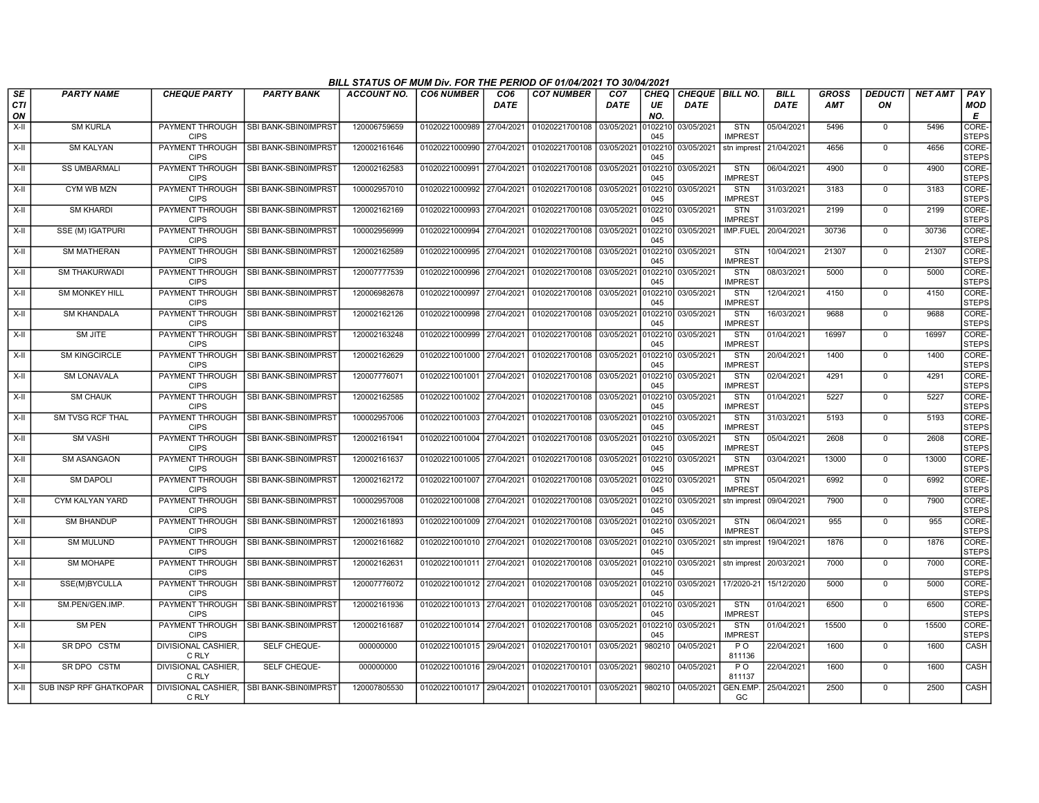|                        |                         |                                       |                                          | BILL STATUS OF MUM Div. FOR THE PERIOD OF 01/04/2021 TO 30/04/2021 |                           |                    |                           |                                |                   |                                         |                              |                            |                            |                      |                |                        |
|------------------------|-------------------------|---------------------------------------|------------------------------------------|--------------------------------------------------------------------|---------------------------|--------------------|---------------------------|--------------------------------|-------------------|-----------------------------------------|------------------------------|----------------------------|----------------------------|----------------------|----------------|------------------------|
| SE<br><b>CTI</b><br>ON | <b>PARTY NAME</b>       | <b>CHEQUE PARTY</b>                   | <b>PARTY BANK</b>                        | ACCOUNT NO.                                                        | <b>CO6 NUMBER</b>         | CO6<br><b>DATE</b> | <b>CO7 NUMBER</b>         | CO <sub>7</sub><br><b>DATE</b> | CHEQ<br>UE<br>NO. | <b>CHEQUE   BILL NO.</b><br><b>DATE</b> |                              | <b>BILL</b><br><b>DATE</b> | <b>GROSS</b><br><b>AMT</b> | <b>DEDUCTI</b><br>ΟN | <b>NET AMT</b> | PAY<br><b>MOD</b><br>E |
| $X-H$                  | <b>SM KURLA</b>         | <b>PAYMENT THROUGH</b><br><b>CIPS</b> | SBI BANK-SBIN0IMPRST                     | 120006759659                                                       | 01020221000989            | 27/04/2021         | 01020221700108            | 03/05/2021                     | 0102210<br>045    | 03/05/2021                              | <b>STN</b><br><b>IMPRES</b>  | 05/04/2021                 | 5496                       | $\mathbf 0$          | 5496           | CORE-<br><b>STEPS</b>  |
| X-II                   | <b>SM KALYAN</b>        | <b>PAYMENT THROUGH</b><br><b>CIPS</b> | SBI BANK-SBIN0IMPRST                     | 120002161646                                                       | 01020221000990            | 27/04/2021         | 01020221700108            | 03/05/2021                     | 0102210<br>045    | 03/05/2021                              | stn imprest                  | 21/04/2021                 | 4656                       | $\Omega$             | 4656           | CORE-<br><b>STEPS</b>  |
| X-II                   | <b>SS UMBARMALI</b>     | <b>PAYMENT THROUGH</b><br><b>CIPS</b> | <b>SBI BANK-SBIN0IMPRST</b>              | 120002162583                                                       | 01020221000991            | 27/04/2021         | 01020221700108 03/05/2021 |                                | 0102210<br>045    | 03/05/2021                              | <b>STN</b><br><b>IMPREST</b> | 06/04/2021                 | 4900                       | $\mathbf 0$          | 4900           | CORE-<br><b>STEPS</b>  |
| X-II                   | CYM WB MZN              | PAYMENT THROUGH<br><b>CIPS</b>        | SBI BANK-SBIN0IMPRST                     | 100002957010                                                       | 01020221000992            | 27/04/2021         | 01020221700108            | 03/05/2021                     | 0102210<br>045    | 03/05/2021                              | <b>STN</b><br><b>IMPREST</b> | 31/03/2021                 | 3183                       | $\mathbf 0$          | 3183           | CORE-<br><b>STEPS</b>  |
| X-II                   | <b>SM KHARDI</b>        | PAYMENT THROUGH<br><b>CIPS</b>        | SBI BANK-SBIN0IMPRST                     | 120002162169                                                       | 01020221000993            | 27/04/2021         | 01020221700108            | 03/05/2021                     | 0102210<br>045    | 03/05/2021                              | <b>STN</b><br><b>IMPREST</b> | 31/03/2021                 | 2199                       | $^{\circ}$           | 2199           | CORE-<br><b>STEPS</b>  |
| $X-H$                  | <b>SSE (M) IGATPURI</b> | <b>PAYMENT THROUGH</b><br><b>CIPS</b> | SBI BANK-SBIN0IMPRST                     | 100002956999                                                       | 01020221000994            | 27/04/2021         | 01020221700108            | 03/05/2021                     | 0102210<br>045    | 03/05/2021                              | <b>IMP.FUEL</b>              | 20/04/2021                 | 30736                      | $\mathbf 0$          | 30736          | CORE-<br><b>STEPS</b>  |
| $X-H$                  | <b>SM MATHERAN</b>      | <b>PAYMENT THROUGH</b><br><b>CIPS</b> | SBI BANK-SBIN0IMPRST                     | 120002162589                                                       | 01020221000995            | 27/04/2021         | 01020221700108            | 03/05/2021                     | 0102210<br>045    | 03/05/2021                              | STN<br><b>IMPREST</b>        | 10/04/2021                 | 21307                      | $\mathbf 0$          | 21307          | CORE-<br><b>STEPS</b>  |
| X-II                   | <b>SM THAKURWADI</b>    | PAYMENT THROUGH<br><b>CIPS</b>        | SBI BANK-SBIN0IMPRST                     | 120007777539                                                       | 01020221000996            | 27/04/2021         | 01020221700108            | 03/05/2021                     | 0102210<br>045    | 03/05/2021                              | <b>STN</b><br><b>IMPREST</b> | 08/03/2021                 | 5000                       | $\mathbf 0$          | 5000           | CORE-<br><b>STEPS</b>  |
| $X-II$                 | <b>SM MONKEY HILL</b>   | PAYMENT THROUGH<br><b>CIPS</b>        | SBI BANK-SBIN0IMPRST                     | 120006982678                                                       | 01020221000997            | 27/04/2021         | 01020221700108            | 03/05/2021                     | 0102210<br>045    | 03/05/2021                              | <b>STN</b><br><b>IMPREST</b> | 12/04/2021                 | 4150                       | $\mathbf 0$          | 4150           | CORE-<br><b>STEPS</b>  |
| $X-H$                  | <b>SM KHANDALA</b>      | PAYMENT THROUGH<br><b>CIPS</b>        | SBI BANK-SBIN0IMPRST                     | 120002162126                                                       | 01020221000998            | 27/04/2021         | 01020221700108            | 03/05/2021                     | 0102210<br>045    | 03/05/2021                              | <b>STN</b><br><b>IMPREST</b> | 16/03/2021                 | 9688                       | $\mathbf 0$          | 9688           | CORE-<br><b>STEPS</b>  |
| X-II                   | SM JITE                 | <b>PAYMENT THROUGH</b><br><b>CIPS</b> | SBI BANK-SBIN0IMPRST                     | 120002163248                                                       | 01020221000999            | 27/04/2021         | 01020221700108            | 03/05/2021                     | 0102210<br>045    | 03/05/2021                              | <b>STN</b><br><b>IMPREST</b> | 01/04/2021                 | 16997                      | $^{\circ}$           | 16997          | CORE-<br><b>STEPS</b>  |
| X-II                   | <b>SM KINGCIRCLE</b>    | PAYMENT THROUGH<br><b>CIPS</b>        | SBI BANK-SBIN0IMPRS                      | 120002162629                                                       | 01020221001000            | 27/04/2021         | 01020221700108            | 03/05/2021                     | 0102210<br>045    | 03/05/2021                              | <b>STN</b><br><b>IMPREST</b> | 20/04/2021                 | 1400                       | $\mathbf 0$          | 1400           | CORE-<br><b>STEPS</b>  |
| X-II                   | <b>SM LONAVALA</b>      | <b>PAYMENT THROUGH</b><br><b>CIPS</b> | <b>SBI BANK-SBIN0IMPRST</b>              | 120007776071                                                       | 01020221001001            | 27/04/2021         | 01020221700108            | 03/05/2021                     | 0102210<br>045    | 03/05/2021                              | <b>STN</b><br><b>IMPREST</b> | 02/04/2021                 | 4291                       | $^{\circ}$           | 4291           | CORE-<br><b>STEPS</b>  |
| X-II                   | <b>SM CHAUK</b>         | <b>PAYMENT THROUGH</b><br><b>CIPS</b> | <b>SBI BANK-SBIN0IMPRST</b>              | 120002162585                                                       | 01020221001002 27/04/2021 |                    | 01020221700108            | 03/05/2021                     | 0102210<br>045    | 03/05/2021                              | <b>STN</b><br><b>IMPREST</b> | 01/04/2021                 | 5227                       | $^{\circ}$           | 5227           | CORE-<br><b>STEPS</b>  |
| $X-H$                  | <b>SM TVSG RCF THAL</b> | <b>PAYMENT THROUGH</b><br><b>CIPS</b> | <b>SBI BANK-SBIN0IMPRST</b>              | 100002957006                                                       | 01020221001003 27/04/2021 |                    | 01020221700108            | 03/05/2021                     | 0102210<br>045    | 03/05/2021                              | STN<br><b>IMPREST</b>        | 31/03/2021                 | 5193                       | $\mathbf 0$          | 5193           | CORE-<br><b>STEPS</b>  |
| X-II                   | <b>SM VASHI</b>         | PAYMENT THROUGH<br><b>CIPS</b>        | SBI BANK-SBIN0IMPRST                     | 120002161941                                                       | 01020221001004            | 27/04/2021         | 01020221700108            | 03/05/2021                     | 0102210<br>045    | 03/05/2021                              | <b>STN</b><br><b>IMPREST</b> | 05/04/2021                 | 2608                       | $\mathbf 0$          | 2608           | CORE-<br><b>STEPS</b>  |
| X-II                   | <b>SM ASANGAON</b>      | <b>PAYMENT THROUGH</b><br><b>CIPS</b> | SBI BANK-SBIN0IMPRST                     | 120002161637                                                       | 01020221001005            | 27/04/2021         | 01020221700108            | 03/05/2021                     | 0102210<br>045    | 03/05/2021                              | <b>STN</b><br><b>MPREST</b>  | 03/04/2021                 | 13000                      | 0                    | 13000          | CORE-<br><b>STEPS</b>  |
| $X-H$                  | <b>SM DAPOLI</b>        | PAYMENT THROUGH<br><b>CIPS</b>        | SBI BANK-SBIN0IMPRST                     | 120002162172                                                       | 01020221001007            | 27/04/2021         | 01020221700108            | 03/05/2021                     | 0102210<br>045    | 03/05/2021                              | <b>STN</b><br><b>IMPREST</b> | 05/04/2021                 | 6992                       | $\mathbf 0$          | 6992           | CORE-<br><b>STEPS</b>  |
| X-II                   | CYM KALYAN YARD         | <b>PAYMENT THROUGH</b><br><b>CIPS</b> | SBI BANK-SBIN0IMPRST                     | 100002957008                                                       | 01020221001008            | 27/04/2021         | 01020221700108            | 03/05/2021                     | 0102210<br>045    | 03/05/2021                              | stn imprest                  | 09/04/2021                 | 7900                       | $\mathbf 0$          | 7900           | CORE-<br><b>STEPS</b>  |
| X-II                   | <b>SM BHANDUP</b>       | PAYMENT THROUGH<br><b>CIPS</b>        | SBI BANK-SBIN0IMPRST                     | 120002161893                                                       | 01020221001009            | 27/04/2021         | 01020221700108            | 03/05/2021                     | 0102210<br>045    | 03/05/2021                              | <b>STN</b><br><b>IMPRES</b>  | 06/04/2021                 | 955                        | $\Omega$             | 955            | CORE-<br><b>STEPS</b>  |
| X-II                   | <b>SM MULUND</b>        | PAYMENT THROUGH<br><b>CIPS</b>        | SBI BANK-SBIN0IMPRST                     | 120002161682                                                       | 01020221001010 27/04/2021 |                    | 01020221700108            | 03/05/2021                     | 0102210<br>045    | 03/05/2021                              | stn imprest                  | 19/04/2021                 | 1876                       | $\mathbf 0$          | 1876           | CORE-<br><b>STEPS</b>  |
| X-II                   | <b>SM MOHAPE</b>        | <b>PAYMENT THROUGH</b><br><b>CIPS</b> | SBI BANK-SBIN0IMPRST                     | 12000216263                                                        | 01020221001011 27/04/2021 |                    | 01020221700108            | 03/05/2021                     | 0102210<br>045    | 03/05/2021                              | stn imprest                  | 20/03/2021                 | 7000                       | $^{\circ}$           | 7000           | CORE-<br><b>STEPS</b>  |
| X-II                   | SSE(M)BYCULLA           | PAYMENT THROUGH<br><b>CIPS</b>        | SBI BANK-SBIN0IMPRST                     | 120007776072                                                       | 01020221001012 27/04/2021 |                    | 01020221700108            | 03/05/2021                     | 0102210<br>045    | 03/05/2021                              | 17/2020-21                   | 15/12/2020                 | 5000                       | 0                    | 5000           | CORE-<br><b>STEPS</b>  |
| X-II                   | SM.PEN/GEN.IMP.         | <b>PAYMENT THROUGH</b><br><b>CIPS</b> | SBI BANK-SBIN0IMPRST                     | 120002161936                                                       | 01020221001013 27/04/2021 |                    | 01020221700108            | 03/05/2021                     | 0102210<br>045    | 03/05/2021                              | <b>STN</b><br><b>IMPREST</b> | 01/04/2021                 | 6500                       | $\mathbf 0$          | 6500           | CORE-<br><b>STEPS</b>  |
| X-II                   | <b>SM PEN</b>           | PAYMENT THROUGH<br><b>CIPS</b>        | SBI BANK-SBIN0IMPRST                     | 120002161687                                                       | 01020221001014            | 27/04/2021         | 01020221700108            | 03/05/2021                     | 0102210<br>045    | 03/05/2021                              | <b>STN</b><br><b>IMPREST</b> | 01/04/2021                 | 15500                      | $\mathbf 0$          | 15500          | CORE-<br><b>STEPS</b>  |
| X-II                   | SR DPO CSTM             | DIVISIONAL CASHIER,<br>C RLY          | SELF CHEQUE-                             | 000000000                                                          | 01020221001015 29/04/2021 |                    | 01020221700101            | 03/05/2021                     | 980210            | 04/05/2021                              | $P$ O<br>811136              | 22/04/2021                 | 1600                       | 0                    | 1600           | CASH                   |
| $X-H$                  | SR DPO CSTM             | <b>DIVISIONAL CASHIER,</b><br>C RLY   | SELF CHEQUE-                             | 000000000                                                          | 01020221001016            | 29/04/2021         | 01020221700101            | 03/05/2021                     | 980210            | 04/05/2021                              | $P$ O<br>811137              | 22/04/2021                 | 1600                       | $\overline{0}$       | 1600           | <b>CASH</b>            |
| X-II                   | SUB INSP RPF GHATKOPAR  | C RLY                                 | DIVISIONAL CASHIER, SBI BANK-SBIN0IMPRST | 120007805530                                                       | 01020221001017            |                    | 29/04/2021 01020221700101 | 03/05/2021                     | 980210            | 04/05/2021                              | <b>GEN.EMP</b><br>GC         | 25/04/2021                 | 2500                       | $\Omega$             | 2500           | CASH                   |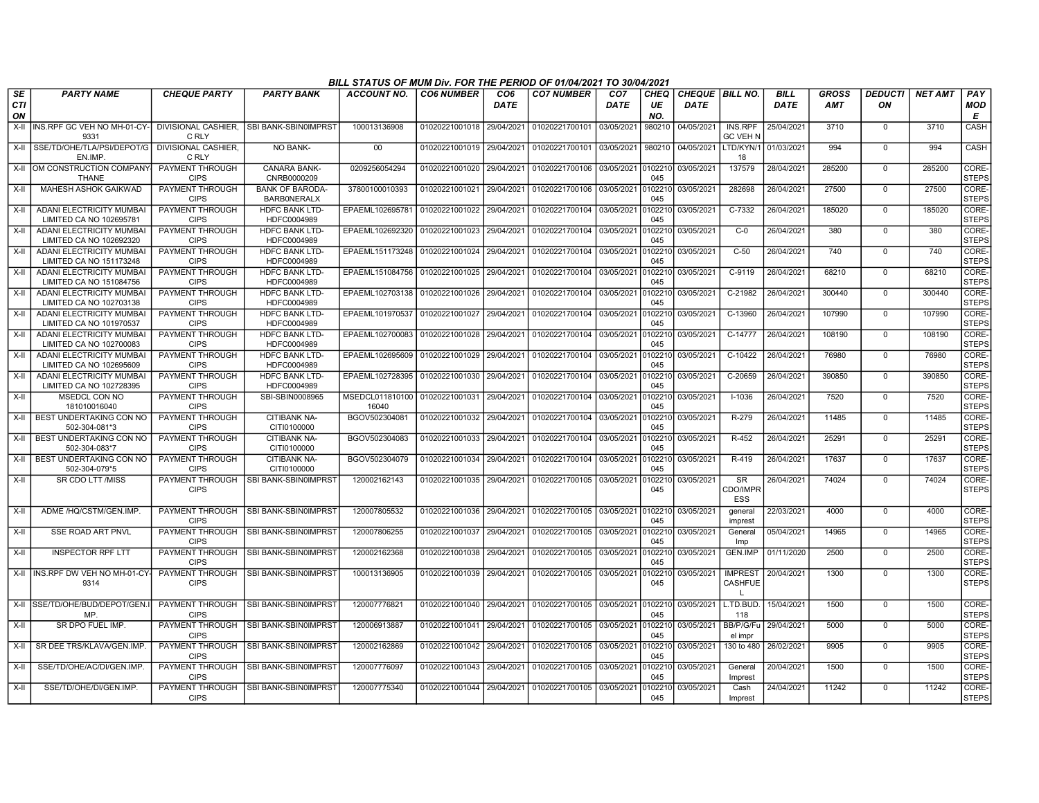|           |                                                            |                                       |                                              | BILL STATUS OF MUM Div. FOR THE PERIOD OF 01/04/2021 TO 30/04/2021 |                           |                                |                                          |                                |                   |                                         |                                           |                            |                            |                      |         |                          |
|-----------|------------------------------------------------------------|---------------------------------------|----------------------------------------------|--------------------------------------------------------------------|---------------------------|--------------------------------|------------------------------------------|--------------------------------|-------------------|-----------------------------------------|-------------------------------------------|----------------------------|----------------------------|----------------------|---------|--------------------------|
| SE<br>CТI | <b>PARTY NAME</b>                                          | <b>CHEQUE PARTY</b>                   | <b>PARTY BANK</b>                            | <b>ACCOUNT NO.</b>                                                 | <b>CO6 NUMBER</b>         | CO <sub>6</sub><br><b>DATE</b> | <b>CO7 NUMBER</b>                        | CO <sub>7</sub><br><b>DATE</b> | <b>CHEQ</b><br>UE | <b>CHEQUE   BILL NO.</b><br><b>DATE</b> |                                           | <b>BILL</b><br><b>DATE</b> | <b>GROSS</b><br><b>AMT</b> | <b>DEDUCTI</b><br>ON | NET AMT | <b>PAY</b><br><b>MOD</b> |
| ON        |                                                            |                                       |                                              |                                                                    |                           |                                |                                          |                                | NO.               |                                         |                                           |                            |                            |                      |         | E                        |
|           | X-II INS.RPF GC VEH NO MH-01-CY-                           | DIVISIONAL CASHIER,                   | SBI BANK-SBIN0IMPRST                         | 100013136908                                                       | 01020221001018 29/04/2021 |                                | 01020221700101                           | 03/05/2021                     | 980210            | 04/05/2021                              | INS.RPF                                   | 25/04/2021                 | 3710                       | $^{\circ}$           | 3710    | <b>CASH</b>              |
|           | 9331                                                       | C RLY<br>DIVISIONAL CASHIER.          | <b>NO BANK-</b>                              | $00\,$                                                             | 01020221001019            | 29/04/2021                     | 01020221700101                           | 03/05/2021                     | 980210            |                                         | <b>GC VEH N</b><br>04/05/2021 LTD/KYN/1   | 01/03/2021                 | 994                        |                      | 994     |                          |
|           | X-II SSE/TD/OHE/TLA/PSI/DEPOT/G<br>EN.IMP                  | C RLY                                 |                                              |                                                                    |                           |                                |                                          |                                |                   |                                         | 18                                        |                            |                            | $^{\circ}$           |         | CASH                     |
|           | X-II OM CONSTRUCTION COMPANY<br><b>THANE</b>               | <b>PAYMENT THROUGH</b><br><b>CIPS</b> | <b>CANARA BANK-</b><br>CNRB0000209           | 0209256054294                                                      | 01020221001020            |                                | 29/04/2021 01020221700106                | 03/05/2021                     | 0102210<br>045    | 03/05/2021                              | 137579                                    | 28/04/2021                 | 285200                     | $\mathbf 0$          | 285200  | CORE-<br><b>STEPS</b>    |
| X-II      | <b>MAHESH ASHOK GAIKWAD</b>                                | PAYMENT THROUGH<br><b>CIPS</b>        | <b>BANK OF BARODA-</b><br><b>BARBONERALX</b> | 37800100010393                                                     | 01020221001021            | 29/04/2021                     | 01020221700106                           | 03/05/2021                     | 102210<br>045     | 03/05/2021                              | 282698                                    | 26/04/2021                 | 27500                      | $\mathbf 0$          | 27500   | CORE-<br><b>STEPS</b>    |
| X-II      | ADANI ELECTRICITY MUMBAI<br>LIMITED CA NO 102695781        | <b>PAYMENT THROUGH</b><br><b>CIPS</b> | HDFC BANK LTD-<br>HDFC0004989                | EPAEML102695781                                                    | 01020221001022            | 29/04/2021                     | 01020221700104                           | 03/05/2021                     | 0102210<br>045    | 03/05/2021                              | C-7332                                    | 26/04/2021                 | 185020                     | 0                    | 185020  | CORE-<br><b>STEPS</b>    |
| $X-H$     | <b>ADANI ELECTRICITY MUMBAI</b><br>LIMITED CA NO 102692320 | <b>PAYMENT THROUGH</b><br><b>CIPS</b> | <b>HDFC BANK LTD-</b><br>HDFC0004989         | EPAEML102692320                                                    | 01020221001023            | 29/04/2021                     | 01020221700104                           | 03/05/2021                     | 0102210<br>045    | 03/05/2021                              | $C-0$                                     | 26/04/2021                 | 380                        | $\mathbf 0$          | 380     | CORE-<br><b>STEPS</b>    |
| X-II      | ADANI ELECTRICITY MUMBA<br>LIMITED CA NO 151173248         | <b>PAYMENT THROUGH</b><br><b>CIPS</b> | <b>HDFC BANK LTD-</b><br>HDFC0004989         | EPAEML151173248 01020221001024                                     |                           | 29/04/2021                     | 01020221700104                           | 03/05/2021                     | 0102210<br>045    | 03/05/2021                              | $C-50$                                    | 26/04/2021                 | 740                        | $\mathbf 0$          | 740     | CORE-<br><b>STEPS</b>    |
| X-II      | <b>ADANI ELECTRICITY MUMBAI</b><br>LIMITED CA NO 151084756 | PAYMENT THROUGH<br><b>CIPS</b>        | <b>HDFC BANK LTD-</b><br>HDFC0004989         | EPAEML151084756 01020221001025                                     |                           | 29/04/2021                     | 01020221700104                           | 03/05/2021                     | 0102210<br>045    | 03/05/2021                              | C-9119                                    | 26/04/2021                 | 68210                      | $^{\circ}$           | 68210   | CORE-<br><b>STEPS</b>    |
| X-II      | ADANI ELECTRICITY MUMBAI<br>LIMITED CA NO 102703138        | PAYMENT THROUGH<br><b>CIPS</b>        | <b>HDFC BANK LTD-</b><br>HDFC0004989         | EPAEML102703138   01020221001026                                   |                           | 29/04/2021                     | 01020221700104                           | 03/05/2021                     | 0102210<br>045    | 03/05/2021                              | C-21982                                   | 26/04/2021                 | 300440                     | $^{\circ}$           | 300440  | CORE-<br><b>STEPS</b>    |
| $X-II$    | <b>ADANI ELECTRICITY MUMBAI</b><br>LIMITED CA NO 101970537 | <b>PAYMENT THROUGH</b><br><b>CIPS</b> | <b>HDFC BANK LTD-</b><br>HDFC0004989         | EPAEML101970537                                                    | 01020221001027            | 29/04/2021                     | 01020221700104                           | 03/05/2021                     | 0102210<br>045    | 03/05/2021                              | C-13960                                   | 26/04/2021                 | 107990                     | $\mathbf 0$          | 107990  | CORE-<br><b>STEPS</b>    |
| X-II      | <b>ADANI ELECTRICITY MUMBAI</b><br>LIMITED CA NO 102700083 | <b>PAYMENT THROUGH</b><br><b>CIPS</b> | HDFC BANK LTD-<br>HDFC0004989                | EPAEML102700083 01020221001028                                     |                           | 29/04/2021                     | 01020221700104                           | 03/05/2021                     | 0102210<br>045    | 03/05/2021                              | $C-14777$                                 | 26/04/2021                 | 108190                     | $\mathbf 0$          | 108190  | CORE-<br><b>STEPS</b>    |
| $X-II$    | <b>ADANI ELECTRICITY MUMBAI</b><br>LIMITED CA NO 102695609 | PAYMENT THROUGH<br><b>CIPS</b>        | <b>HDFC BANK LTD-</b><br>HDFC0004989         | EPAEML102695609 01020221001029                                     |                           | 29/04/2021                     | 01020221700104                           | 03/05/2021                     | 0102210<br>045    | 03/05/2021                              | C-10422                                   | 26/04/2021                 | 76980                      | $\mathbf 0$          | 76980   | CORE-<br><b>STEPS</b>    |
| X-II      | ADANI ELECTRICITY MUMBA<br>LIMITED CA NO 102728395         | <b>PAYMENT THROUGH</b><br><b>CIPS</b> | <b>HDFC BANK LTD-</b><br>HDFC0004989         | EPAEML102728395   01020221001030                                   |                           | 29/04/2021                     | 01020221700104                           | 03/05/2021                     | 0102210<br>045    | 03/05/2021                              | C-20659                                   | 26/04/2021                 | 390850                     | $\overline{0}$       | 390850  | CORE-<br><b>STEPS</b>    |
| X-II      | <b>MSEDCL CON NO</b><br>181010016040                       | <b>PAYMENT THROUGH</b><br><b>CIPS</b> | SBI-SBIN0008965                              | MSEDCL011810100 01020221001031<br>16040                            |                           | 29/04/2021                     | 01020221700104                           | 03/05/2021                     | 0102210<br>045    | 03/05/2021                              | $I - 1036$                                | 26/04/2021                 | 7520                       | $\mathbf 0$          | 7520    | CORE-<br><b>STEPS</b>    |
| X-II      | I BEST UNDERTAKING CON NO<br>502-304-081*3                 | PAYMENT THROUGH<br><b>CIPS</b>        | CITIBANK NA-<br>CITI0100000                  | BGOV502304081                                                      | 01020221001032            | 29/04/2021                     | 01020221700104                           | 03/05/2021                     | 0102210<br>045    | 03/05/2021                              | R-279                                     | 26/04/2021                 | 11485                      | $\Omega$             | 11485   | CORE-<br><b>STEPS</b>    |
| X-II      | BEST UNDERTAKING CON NO<br>502-304-083*7                   | PAYMENT THROUGH<br><b>CIPS</b>        | <b>CITIBANK NA-</b><br>CITI0100000           | BGOV502304083                                                      | 01020221001033            | 29/04/2021                     | 01020221700104                           | 03/05/2021                     | 0102210<br>045    | 03/05/2021                              | R-452                                     | 26/04/2021                 | 25291                      | $\Omega$             | 25291   | CORE-<br>STEPS           |
| X-II      | I BEST UNDERTAKING CON NO<br>502-304-079*5                 | PAYMENT THROUGH<br><b>CIPS</b>        | <b>CITIBANK NA-</b><br>CITI0100000           | BGOV502304079                                                      | 01020221001034            | 29/04/2021                     | 01020221700104                           | 03/05/2021                     | 0102210<br>045    | 03/05/2021                              | R-419                                     | 26/04/2021                 | 17637                      | $\mathbf 0$          | 17637   | CORE-<br><b>STEPS</b>    |
| X-II      | SR CDO LTT /MISS                                           | PAYMENT THROUGH<br><b>CIPS</b>        | SBI BANK-SBIN0IMPRST                         | 120002162143                                                       |                           |                                | 01020221001035 29/04/2021 01020221700105 | 03/05/2021                     | 0102210<br>045    | 03/05/2021                              | <b>SR</b><br>CDO/IMPR<br><b>ESS</b>       | 26/04/2021                 | 74024                      | $\mathbf 0$          | 74024   | CORE-<br><b>STEPS</b>    |
| X-II      | ADME /HQ/CSTM/GEN.IMP.                                     | PAYMENT THROUGH<br><b>CIPS</b>        | SBI BANK-SBIN0IMPRST                         | 120007805532                                                       |                           |                                | 01020221001036 29/04/2021 01020221700105 | 03/05/2021                     | 0102210<br>045    | 03/05/2021                              | general<br>imprest                        | 22/03/2021                 | 4000                       | $^{\circ}$           | 4000    | CORE-<br><b>STEPS</b>    |
| X-II      | <b>SSE ROAD ART PNVL</b>                                   | PAYMENT THROUGH<br><b>CIPS</b>        | <b>SBI BANK-SBIN0IMPRST</b>                  | 120007806255                                                       | 01020221001037 29/04/2021 |                                | 01020221700105                           | 03/05/2021                     | 0102210<br>045    | 03/05/2021                              | General<br>Imp                            | 05/04/2021                 | 14965                      | $\mathbf 0$          | 14965   | CORE-<br><b>STEPS</b>    |
| X-II      | <b>INSPECTOR RPF LTT</b>                                   | PAYMENT THROUGH<br><b>CIPS</b>        | <b>SBI BANK-SBIN0IMPRST</b>                  | 120002162368                                                       | 01020221001038            | 29/04/2021                     | 01020221700105                           | 03/05/2021                     | 0102210<br>045    | 03/05/2021                              | <b>GEN.IMP</b>                            | 01/11/2020                 | 2500                       | $\overline{0}$       | 2500    | CORE-<br><b>STEPS</b>    |
|           | X-II INS.RPF DW VEH NO MH-01-CY<br>9314                    | <b>PAYMENT THROUGH</b><br><b>CIPS</b> | <b>SBI BANK-SBIN0IMPRST</b>                  | 100013136905                                                       | 01020221001039            | 29/04/2021                     | 01020221700105                           | 03/05/2021                     | 0102210<br>045    | 03/05/2021                              | <b>IMPREST</b><br>CASHFUE<br>$\mathbf{L}$ | 20/04/2021                 | 1300                       | $\mathbf 0$          | 1300    | CORE-<br><b>STEPS</b>    |
| X-II      | SSE/TD/OHE/BUD/DEPOT/GEN.<br>MP                            | <b>PAYMENT THROUGH</b><br><b>CIPS</b> | <b>SBI BANK-SBIN0IMPRST</b>                  | 120007776821                                                       | 01020221001040            | 29/04/2021                     | 01020221700105                           | 03/05/2021                     | 0102210<br>045    | 03/05/2021                              | L.TD.BUD.<br>118                          | 15/04/2021                 | 1500                       | $\mathbf 0$          | 1500    | CORE-<br><b>STEPS</b>    |
| X-II      | SR DPO FUEL IMP.                                           | PAYMENT THROUGH<br><b>CIPS</b>        | <b>SBI BANK-SBIN0IMPRST</b>                  | 120006913887                                                       | 01020221001041            | 29/04/2021                     | 01020221700105                           | 03/05/2021                     | 0102210<br>045    | 03/05/2021                              | BB/P/G/Fu<br>el impr                      | 29/04/2021                 | 5000                       | $\mathbf 0$          | 5000    | CORE-<br><b>STEPS</b>    |
| X-II      | SR DEE TRS/KLAVA/GEN.IMP                                   | PAYMENT THROUGH<br><b>CIPS</b>        | <b>SBI BANK-SBIN0IMPRST</b>                  | 120002162869                                                       | 01020221001042 29/04/2021 |                                | 01020221700105                           | 03/05/2021                     | 0102210<br>045    | 03/05/2021                              | 130 to 480                                | 26/02/2021                 | 9905                       | $\Omega$             | 9905    | CORE-<br> STEPS          |
| $X-H$     | SSE/TD/OHE/AC/DI/GEN.IMP                                   | PAYMENT THROUGH<br><b>CIPS</b>        | <b>SBI BANK-SBIN0IMPRST</b>                  | 120007776097                                                       | 01020221001043            | 29/04/2021                     | 01020221700105                           | 03/05/2021                     | 0102210<br>045    | 03/05/2021                              | General<br>Imprest                        | 20/04/2021                 | 1500                       | $\mathbf 0$          | 1500    | CORE-<br><b>STEPS</b>    |
| X-II      | SSE/TD/OHE/DI/GEN.IMP.                                     | PAYMENT THROUGH<br><b>CIPS</b>        | SBI BANK-SBIN0IMPRST                         | 120007775340                                                       |                           |                                | 01020221001044 29/04/2021 01020221700105 | 03/05/2021                     | 0102210<br>045    | 03/05/2021                              | Cash<br>Imprest                           | 24/04/2021                 | 11242                      | $^{\circ}$           | 11242   | CORE-<br><b>STEPS</b>    |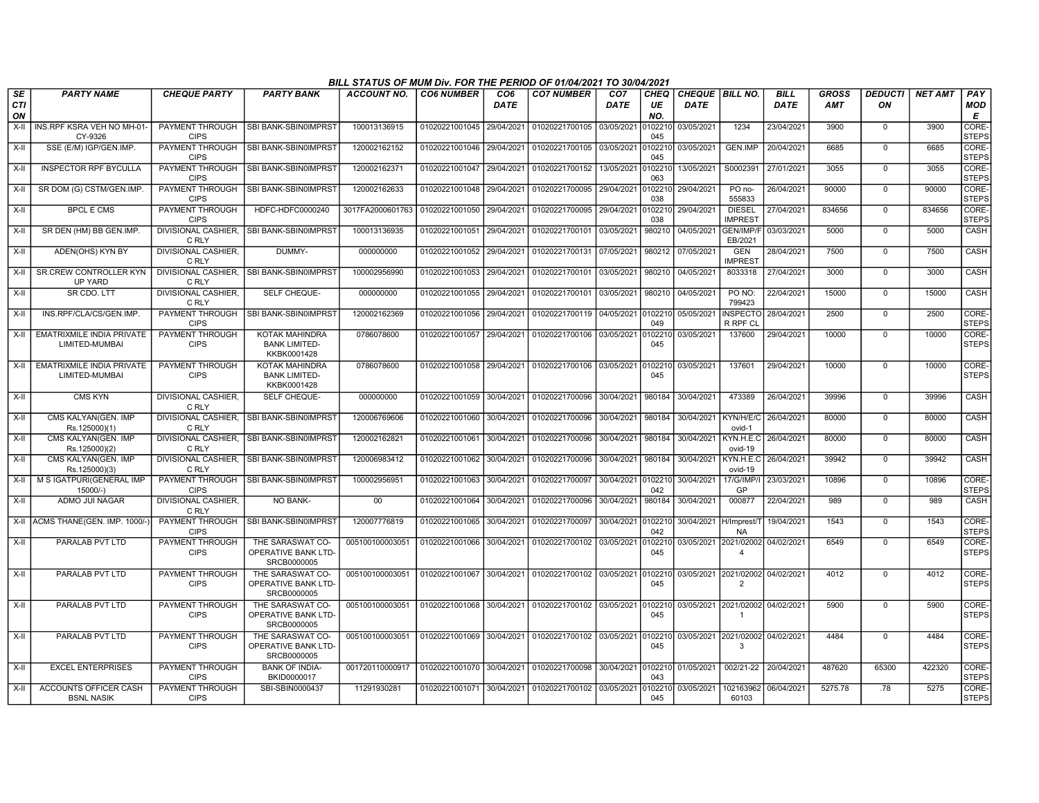|                        |                                                    |                                       |                                                               | BILL STATUS OF MUM Div. FOR THE PERIOD OF 01/04/2021 TO 30/04/2021 |                           |                         |                                   |                                |                          |                                  |                                                    |                            |                     |                      |                |                        |
|------------------------|----------------------------------------------------|---------------------------------------|---------------------------------------------------------------|--------------------------------------------------------------------|---------------------------|-------------------------|-----------------------------------|--------------------------------|--------------------------|----------------------------------|----------------------------------------------------|----------------------------|---------------------|----------------------|----------------|------------------------|
| SE<br><b>CTI</b><br>ON | <b>PARTY NAME</b>                                  | <b>CHEQUE PARTY</b>                   | <b>PARTY BANK</b>                                             | <b>ACCOUNT NO.</b>                                                 | <b>CO6 NUMBER</b>         | CO <sub>6</sub><br>DATE | <b>CO7 NUMBER</b>                 | CO <sub>7</sub><br><b>DATE</b> | <b>CHEQ</b><br>UE<br>NO. | CHEQUE   BILL NO.<br><b>DATE</b> |                                                    | <b>BILL</b><br><b>DATE</b> | GROSS<br><b>AMT</b> | <b>DEDUCTI</b><br>ON | <b>NET AMT</b> | PAY<br><b>MOD</b><br>Е |
| $X-H$                  | INS.RPF KSRA VEH NO MH-01<br>CY-9326               | PAYMENT THROUGH<br><b>CIPS</b>        | <b>SBI BANK-SBIN0IMPRST</b>                                   | 100013136915                                                       | 01020221001045 29/04/2021 |                         | 01020221700105 03/05/2021         |                                | 010221<br>045            | 03/05/2021                       | 1234                                               | 23/04/2021                 | 3900                | $\Omega$             | 3900           | CORE-<br><b>STEPS</b>  |
| X-II                   | SSE (E/M) IGP/GEN.IMP.                             | <b>CIPS</b>                           | PAYMENT THROUGH   SBI BANK-SBIN0IMPRST                        | 120002162152                                                       | 01020221001046 29/04/2021 |                         | 01020221700105 03/05/2021         |                                | 010221<br>045            | 03/05/2021                       | GEN.IMP                                            | 20/04/2021                 | 6685                | $\mathbf 0$          | 6685           | CORE-<br><b>STEPS</b>  |
| X-II                   | <b>INSPECTOR RPF BYCULLA</b>                       | <b>PAYMENT THROUGH</b><br><b>CIPS</b> | <b>SBI BANK-SBIN0IMPRST</b>                                   | 120002162371                                                       | 01020221001047 29/04/2021 |                         | 01020221700152                    | 13/05/2021                     | 010221<br>063            | 13/05/2021                       | S0002391                                           | 27/01/2021                 | 3055                | 0                    | 3055           | CORE-<br><b>STEPS</b>  |
| X-II                   | SR DOM (G) CSTM/GEN.IMP                            | PAYMENT THROUGH<br><b>CIPS</b>        | SBI BANK-SBIN0IMPRST                                          | 120002162633                                                       | 01020221001048            | 29/04/2021              | 01020221700095                    | 29/04/2021                     | 10221<br>038             | 29/04/2021                       | PO no-<br>555833                                   | 26/04/2021                 | 90000               | $\mathbf 0$          | 90000          | CORE-<br><b>STEPS</b>  |
| X-II                   | <b>BPCL E CMS</b>                                  | <b>PAYMENT THROUGH</b><br><b>CIPS</b> | HDFC-HDFC0000240                                              | 3017FA2000601763                                                   | 01020221001050            | 29/04/2021              | 01020221700095 29/04/2021         |                                | 0102210<br>038           | 29/04/2021                       | <b>DIESEL</b><br><b>IMPREST</b>                    | 27/04/2021                 | 834656              | $\mathbf 0$          | 834656         | CORE-<br><b>STEPS</b>  |
| X-II                   | SR DEN (HM) BB GEN.IMP.                            | C RLY                                 | DIVISIONAL CASHIER, SBI BANK-SBIN0IMPRST                      | 100013136935                                                       | 01020221001051            | 29/04/2021              | 01020221700101 03/05/2021         |                                | 980210                   | 04/05/2021                       | GEN/IMP/F<br>EB/2021                               | 03/03/2021                 | 5000                | $\overline{0}$       | 5000           | <b>CASH</b>            |
| X-II                   | ADEN(OHS) KYN BY                                   | DIVISIONAL CASHIER,<br>C RLY          | DUMMY-                                                        | 000000000                                                          | 01020221001052            | 29/04/2021              | 01020221700131 07/05/2021         |                                | 980212                   | 07/05/2021                       | GEN<br><b>IMPREST</b>                              | 28/04/2021                 | 7500                | $\mathbf 0$          | 7500           | CASH                   |
| X-II                   | <b>SR.CREW CONTROLLER KYN</b><br><b>UP YARD</b>    | <b>DIVISIONAL CASHIER.</b><br>C RLY   | SBI BANK-SBIN0IMPRST                                          | 100002956990                                                       | 01020221001053            | 29/04/2021              | 01020221700101                    | 03/05/2021                     | 980210                   | 04/05/2021                       | 8033318                                            | 27/04/2021                 | 3000                | $\Omega$             | 3000           | CASH                   |
| $X-H$                  | SR CDO. LTT                                        | <b>DIVISIONAL CASHIER.</b><br>C RLY   | SELF CHEQUE-                                                  | 000000000                                                          | 01020221001055            | 29/04/2021              | 01020221700101 03/05/2021         |                                | 980210                   | 04/05/2021                       | PO NO:<br>799423                                   | 22/04/2021                 | 15000               | $\Omega$             | 15000          | CASH                   |
| X-II                   | INS.RPF/CLA/CS/GEN.IMP.                            | <b>PAYMENT THROUGH</b><br><b>CIPS</b> | <b>SBI BANK-SBIN0IMPRST</b>                                   | 120002162369                                                       | 01020221001056            | 29/04/2021              | 01020221700119 04/05/2021         |                                | 0102210<br>049           | 05/05/2021                       | <b>INSPECTO</b><br>R RPF CL                        | 28/04/2021                 | 2500                | $\mathbf 0$          | 2500           | CORE-<br><b>STEPS</b>  |
| X-II                   | <b>EMATRIXMILE INDIA PRIVATE</b><br>LIMITED-MUMBAI | <b>PAYMENT THROUGH</b><br><b>CIPS</b> | KOTAK MAHINDRA<br><b>BANK LIMITED-</b><br>KKBK0001428         | 0786078600                                                         | 01020221001057 29/04/2021 |                         | 01020221700106 03/05/2021         |                                | 0102210<br>045           | 03/05/2021                       | 137600                                             | 29/04/2021                 | 10000               | 0                    | 10000          | CORE-<br><b>STEPS</b>  |
| X-II                   | <b>EMATRIXMILE INDIA PRIVATE</b><br>LIMITED-MUMBAI | PAYMENT THROUGH<br><b>CIPS</b>        | KOTAK MAHINDRA<br><b>BANK LIMITED-</b><br>KKBK0001428         | 0786078600                                                         | 01020221001058            | 29/04/2021              | 01020221700106 03/05/2021         |                                | 102210<br>045            | 03/05/2021                       | 137601                                             | 29/04/2021                 | 10000               | $\mathbf 0$          | 10000          | CORE-<br><b>STEPS</b>  |
| $X-II$                 | <b>CMS KYN</b>                                     | DIVISIONAL CASHIER.<br>C RLY          | SELF CHEQUE-                                                  | 000000000                                                          | 01020221001059            | 30/04/2021              | 01020221700096                    | 30/04/2021                     | 980184                   | 30/04/2021                       | 473389                                             | 26/04/2021                 | 39996               | $\mathbf 0$          | 39996          | CASH                   |
| X-II                   | CMS KALYAN(GEN. IMP<br>Rs.125000)(1)               | C RLY                                 | DIVISIONAL CASHIER, SBI BANK-SBIN0IMPRST                      | 120006769606                                                       | 01020221001060            | 30/04/2021              | 01020221700096                    | 30/04/2021                     | 980184                   | 30/04/2021                       | KYN/H/E/C<br>ovid-1                                | 26/04/2021                 | 80000               | $\mathbf 0$          | 80000          | CASH                   |
| $X-H$                  | CMS KALYAN(GEN. IMP<br>Rs.125000)(2)               | DIVISIONAL CASHIER,<br>C RLY          | SBI BANK-SBIN0IMPRST                                          | 120002162821                                                       | 01020221001061            | 30/04/2021              | 01020221700096                    | 30/04/2021                     | 980184                   | 30/04/2021                       | KYN.H.E.C<br>ovid-19                               | 26/04/2021                 | 80000               | $\mathbf 0$          | 80000          | CASH                   |
| $X-H$                  | CMS KALYAN(GEN, IMP<br>Rs.125000)(3)               | <b>DIVISIONAL CASHIER.</b><br>C RLY   | <b>SBI BANK-SBIN0IMPRST</b>                                   | 120006983412                                                       | 01020221001062            | 30/04/2021              | 01020221700096                    | 30/04/2021                     | 980184                   | 30/04/2021                       | KYN.H.E.C<br>ovid-19                               | 26/04/2021                 | 39942               | $\mathbf 0$          | 39942          | CASH                   |
| X-II                   | M S IGATPURI(GENERAL IMP<br>15000/-)               | PAYMENT THROUGH<br><b>CIPS</b>        | SBI BANK-SBIN0IMPRST                                          | 100002956951                                                       | 01020221001063            | 30/04/2021              | 01020221700097                    | 30/04/2021 0102210             | 042                      | 30/04/2021                       | 17/G/IMP/<br>GP                                    | 23/03/2021                 | 10896               | $\Omega$             | 10896          | CORE-<br><b>STEPS</b>  |
| X-II                   | ADMO JUI NAGAR                                     | <b>DIVISIONAL CASHIER.</b><br>C RLY   | <b>NO BANK-</b>                                               | 00                                                                 | 01020221001064            | 30/04/2021              | 01020221700096                    | 30/04/2021                     | 980184                   | 30/04/2021                       | 000877                                             | 22/04/2021                 | 989                 | $\mathbf 0$          | 989            | CASH                   |
|                        | X-II ACMS THANE(GEN. IMP. 1000/-                   | PAYMENT THROUGH<br><b>CIPS</b>        | <b>SBI BANK-SBIN0IMPRST</b>                                   | 120007776819                                                       | 01020221001065            | 30/04/2021              | 01020221700097                    | 30/04/2021                     | 0102210<br>042           | 30/04/2021                       | H/Imprest/T<br><b>NA</b>                           | 19/04/2021                 | 1543                | $\Omega$             | 1543           | CORE-<br><b>STEPS</b>  |
| X-II                   | PARALAB PVT LTD                                    | <b>PAYMENT THROUGH</b><br><b>CIPS</b> | THE SARASWAT CO-<br>OPERATIVE BANK LTD-<br>SRCB0000005        | 005100100003051                                                    | 01020221001066            | 30/04/2021              | 01020221700102 03/05/2021         |                                | 102210<br>045            | 03/05/2021                       | 2021/02002<br>$\overline{4}$                       | 04/02/2021                 | 6549                | $\mathbf 0$          | 6549           | CORE-<br><b>STEPS</b>  |
| $X-I$                  | PARALAB PVT LTD                                    | PAYMENT THROUGH<br><b>CIPS</b>        | THE SARASWAT CO-<br>OPERATIVE BANK LTD-<br>SRCB0000005        | 005100100003051                                                    | 01020221001067            | 30/04/2021              | 01020221700102 03/05/2021         |                                | 0102210<br>045           |                                  | 03/05/2021 2021/02002<br>$\overline{2}$            | 04/02/2021                 | 4012                | $\Omega$             | 4012           | CORE-<br><b>STEPS</b>  |
| X-II                   | PARALAB PVT LTD                                    | PAYMENT THROUGH<br><b>CIPS</b>        | THE SARASWAT CO-<br>OPERATIVE BANK LTD-<br>SRCB0000005        | 005100100003051                                                    | 01020221001068            | 30/04/2021              | 01020221700102 03/05/2021 0102210 |                                | 045                      |                                  | 03/05/2021 2021/02002 04/02/2021<br>$\overline{1}$ |                            | 5900                | $\mathbf 0$          | 5900           | CORE-<br><b>STEPS</b>  |
| X-II                   | PARALAB PVT LTD                                    | PAYMENT THROUGH<br><b>CIPS</b>        | THE SARASWAT CO-<br><b>OPERATIVE BANK LTD-</b><br>SRCB0000005 | 005100100003051                                                    | 01020221001069            | 30/04/2021              | 01020221700102 03/05/2021         |                                | 010221<br>045            | 03/05/2021 2021/02002            | 3                                                  | 04/02/2021                 | 4484                | $\mathbf 0$          | 4484           | CORE-<br><b>STEPS</b>  |
| X-II                   | <b>EXCEL ENTERPRISES</b>                           | PAYMENT THROUGH<br><b>CIPS</b>        | <b>BANK OF INDIA-</b><br>BKID0000017                          | 001720110000917                                                    | 01020221001070            | 30/04/2021              | 01020221700098                    | 30/04/2021                     | 0102210<br>043           | 01/05/2021                       | 002/21-22                                          | 20/04/2021                 | 487620              | 65300                | 422320         | CORE-<br><b>STEPS</b>  |
| X-II                   | ACCOUNTS OFFICER CASH<br><b>BSNL NASIK</b>         | <b>PAYMENT THROUGH</b><br><b>CIPS</b> | SBI-SBIN0000437                                               | 11291930281                                                        | 01020221001071 30/04/2021 |                         | 01020221700102 03/05/2021         |                                | 0102210<br>045           | 03/05/2021                       | 102163962 06/04/2021<br>60103                      |                            | 5275.78             | .78                  | 5275           | CORE-<br><b>STEPS</b>  |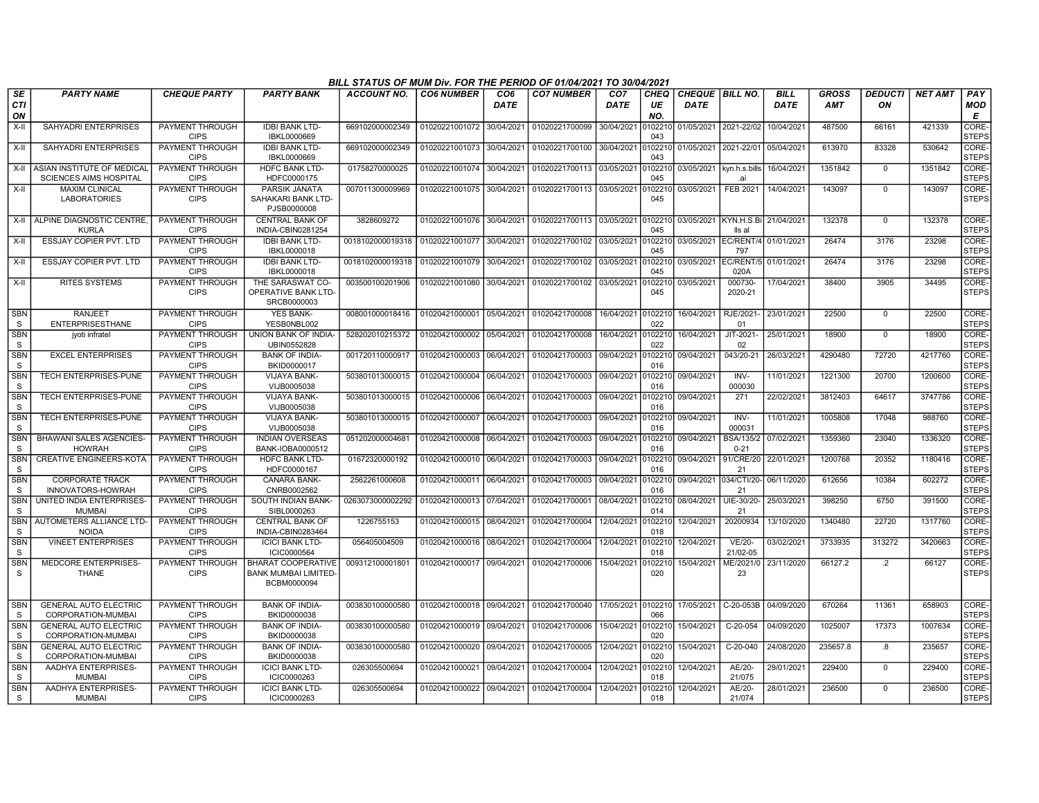|                            |                                                                  |                                       |                                                                         | BILL STATUS OF MUM Div. FOR THE PERIOD OF 01/04/2021 TO 30/04/2021 |                           |                         |                                   |                                |                   |                                  |                                 |                            |                            |                      |                |                        |
|----------------------------|------------------------------------------------------------------|---------------------------------------|-------------------------------------------------------------------------|--------------------------------------------------------------------|---------------------------|-------------------------|-----------------------------------|--------------------------------|-------------------|----------------------------------|---------------------------------|----------------------------|----------------------------|----------------------|----------------|------------------------|
| SE<br><b>CTI</b><br>ON     | <b>PARTY NAME</b>                                                | <b>CHEQUE PARTY</b>                   | <b>PARTY BANK</b>                                                       | <b>ACCOUNT NO.</b>                                                 | <b>CO6 NUMBER</b>         | CO <sub>6</sub><br>DATE | <b>CO7 NUMBER</b>                 | CO <sub>7</sub><br><b>DATE</b> | CHEQ<br>UE<br>NO. | CHEQUE   BILL NO.<br><b>DATE</b> |                                 | <b>BILL</b><br><b>DATE</b> | <b>GROSS</b><br><b>AMT</b> | <b>DEDUCTI</b><br>ON | <b>NET AMT</b> | PAY<br><b>MOD</b><br>Е |
| $X-II$                     | SAHYADRI ENTERPRISES                                             | PAYMENT THROUGH<br><b>CIPS</b>        | <b>IDBI BANK LTD-</b><br>IBKL0000669                                    | 669102000002349                                                    | 01020221001072 30/04/2021 |                         | 01020221700099                    | 30/04/2021                     | 102210<br>043     | 01/05/2021 2021-22/02            |                                 | 10/04/2021                 | 487500                     | 66161                | 421339         | CORE-<br><b>STEPS</b>  |
| X-II                       | SAHYADRI ENTERPRISES                                             | PAYMENT THROUGH<br><b>CIPS</b>        | <b>IDBI BANK LTD-</b><br>IBKL0000669                                    | 669102000002349                                                    | 01020221001073 30/04/2021 |                         | 01020221700100 30/04/2021         |                                | 0102210<br>043    | 01/05/2021 2021-22/01            |                                 | 05/04/2021                 | 613970                     | 83328                | 530642         | CORE-<br><b>STEPS</b>  |
|                            | X-II ASIAN INSTITUTE OF MEDICAL<br><b>SCIENCES AIMS HOSPITAL</b> | <b>PAYMENT THROUGH</b><br><b>CIPS</b> | <b>HDFC BANK LTD-</b><br>HDFC0000175                                    | 01758270000025                                                     | 01020221001074            | 30/04/2021              | 01020221700113 03/05/2021         |                                | 102210<br>045     |                                  | 03/05/2021 kyn.h.s.bills<br>.ai | 16/04/2021                 | 1351842                    | $\mathbf 0$          | 1351842        | CORE-<br><b>STEPS</b>  |
| X-II                       | <b>MAXIM CLINICAL</b><br><b>LABORATORIES</b>                     | PAYMENT THROUGH<br><b>CIPS</b>        | PARSIK JANATA<br>SAHAKARI BANK LTD-<br>PJSB0000008                      | 007011300009969                                                    | 01020221001075            | 30/04/2021              | 01020221700113 03/05/2021         |                                | 102210<br>045     | 03/05/2021                       | FEB 2021                        | 14/04/2021                 | 143097                     | $\mathbf 0$          | 143097         | CORE-<br><b>STEPS</b>  |
|                            | X-II ALPINE DIAGNOSTIC CENTRE,<br><b>KURLA</b>                   | <b>PAYMENT THROUGH</b><br><b>CIPS</b> | <b>CENTRAL BANK OF</b><br>INDIA-CBIN0281254                             | 3828609272                                                         | 01020221001076 30/04/2021 |                         | 01020221700113 03/05/2021         |                                | 0102210<br>045    | 03/05/2021 KYN.H.S.Bi            | lls al                          | 21/04/2021                 | 132378                     | $\overline{0}$       | 132378         | CORE-<br><b>STEPS</b>  |
| X-II                       | ESSJAY COPIER PVT. LTD                                           | PAYMENT THROUGH<br><b>CIPS</b>        | <b>IDBI BANK LTD-</b><br>IBKL0000018                                    | 0018102000019318                                                   | 01020221001077            | 30/04/2021              | 01020221700102                    | 03/05/2021                     | 102210<br>045     | 03/05/2021                       | EC/RENT/4<br>797                | 01/01/2021                 | 26474                      | 3176                 | 23298          | CORE-<br><b>STEPS</b>  |
| X-II                       | <b>ESSJAY COPIER PVT. LTD</b>                                    | PAYMENT THROUGH<br><b>CIPS</b>        | <b>IDBI BANK LTD-</b><br>IBKL0000018                                    | 0018102000019318                                                   | 01020221001079            | 30/04/2021              | 01020221700102                    | 03/05/2021                     | 102210<br>045     | 03/05/2021                       | EC/RENT/<br>020A                | 01/01/202                  | 26474                      | 3176                 | 23298          | CORE-<br><b>STEPS</b>  |
| $X-H$                      | <b>RITES SYSTEMS</b>                                             | PAYMENT THROUGH<br><b>CIPS</b>        | THE SARASWAT CO-<br>OPERATIVE BANK LTD-<br>SRCB0000003                  | 003500100201906                                                    | 01020221001080            | 30/04/2021              | 01020221700102                    | 03/05/2021                     | 102210<br>045     | 03/05/2021                       | 000730-<br>2020-21              | 17/04/2021                 | 38400                      | 3905                 | 34495          | CORE-<br><b>STEPS</b>  |
| <b>SBN</b><br>S            | <b>RANJEET</b><br><b>ENTERPRISESTHANE</b>                        | PAYMENT THROUGH<br><b>CIPS</b>        | <b>YES BANK-</b><br>YESB0NBL002                                         | 008001000018416                                                    | 01020421000001            | 05/04/2021              | 01020421700008                    | 16/04/2021                     | 0102210<br>022    | 16/04/2021                       | RJE/2021<br>01                  | 23/01/2021                 | 22500                      | $\mathbf 0$          | 22500          | CORE-<br><b>STEPS</b>  |
| <b>SBN</b><br>S            | jyoti infratel                                                   | PAYMENT THROUGH<br><b>CIPS</b>        | <b>UNION BANK OF INDIA-</b><br>UBIN0552828                              | 528202010215372                                                    | 01020421000002            | 05/04/2021              | 01020421700008                    | 16/04/2021                     | 0102210<br>022    | 16/04/2021                       | JIT-2021-<br>02                 | 25/01/2021                 | 18900                      | $\Omega$             | 18900          | CORE-<br><b>STEPS</b>  |
| <b>SBN</b><br>S            | <b>EXCEL ENTERPRISES</b>                                         | PAYMENT THROUGH<br><b>CIPS</b>        | <b>BANK OF INDIA-</b><br>BKID0000017                                    | 001720110000917                                                    | 01020421000003            | 06/04/2021              | 01020421700003                    | 09/04/2021                     | 0102210<br>016    | 09/04/2021                       | 043/20-21                       | 26/03/2021                 | 4290480                    | 72720                | 4217760        | CORE-<br><b>STEPS</b>  |
| SBN<br>S                   | TECH ENTERPRISES-PUNE                                            | PAYMENT THROUGH<br><b>CIPS</b>        | <b>VIJAYA BANK-</b><br>VIJB0005038                                      | 503801013000015                                                    | 01020421000004            | 06/04/2021              | 01020421700003                    | 09/04/2021                     | 102210<br>016     | 09/04/2021                       | INV-<br>000030                  | 11/01/2021                 | 1221300                    | 20700                | 1200600        | CORE-<br><b>STEPS</b>  |
| <b>SBN</b><br>S            | TECH ENTERPRISES-PUNE                                            | PAYMENT THROUGH<br><b>CIPS</b>        | <b>VIJAYA BANK-</b><br>VIJB0005038                                      | 503801013000015                                                    | 01020421000006            | 06/04/2021              | 01020421700003                    | 09/04/2021                     | 102210<br>016     | 09/04/2021                       | 271                             | 22/02/2021                 | 3812403                    | 64617                | 3747786        | CORE-<br><b>STEPS</b>  |
| <b>SBN</b><br><sub>S</sub> | TECH ENTERPRISES-PUNE                                            | PAYMENT THROUGH<br><b>CIPS</b>        | <b>VIJAYA BANK-</b><br>VIJB0005038                                      | 503801013000015                                                    | 01020421000007            | 06/04/2021              | 01020421700003                    | 09/04/2021                     | 102210<br>016     | 09/04/2021                       | INV-<br>000031                  | 11/01/202                  | 1005808                    | 17048                | 988760         | CORE-<br><b>STEPS</b>  |
| <b>SBN</b><br>S            | <b>BHAWANI SALES AGENCIES-</b><br><b>HOWRAH</b>                  | PAYMENT THROUGH<br><b>CIPS</b>        | <b>INDIAN OVERSEAS</b><br><b>BANK-IOBA0000512</b>                       | 051202000004681                                                    | 01020421000008            | 06/04/2021              | 01020421700003                    | 09/04/2021                     | 102210<br>016     | 09/04/2021                       | <b>BSA/135/2</b><br>$0 - 21$    | 07/02/2021                 | 1359360                    | 23040                | 1336320        | CORE-<br><b>STEPS</b>  |
| <b>SBN</b><br>S            | <b>CREATIVE ENGINEERS-KOTA</b>                                   | PAYMENT THROUGH<br><b>CIPS</b>        | <b>HDFC BANK LTD-</b><br>HDFC0000167                                    | 01672320000192                                                     | 01020421000010 06/04/2021 |                         | 01020421700003 09/04/2021         |                                | 102210<br>016     | 09/04/2021                       | 91/CRE/20<br>21                 | 22/01/2021                 | 1200768                    | 20352                | 1180416        | CORE-<br><b>STEPS</b>  |
| <b>SBN</b><br>S            | <b>CORPORATE TRACK</b><br>INNOVATORS-HOWRAH                      | PAYMENT THROUGH<br><b>CIPS</b>        | <b>CANARA BANK-</b><br>CNRB0002562                                      | 2562261000608                                                      | 01020421000011            | 06/04/2021              | 01020421700003                    | 09/04/2021                     | 102210<br>016     |                                  | 09/04/2021 034/CTI/20-<br>21    | 06/11/2020                 | 612656                     | 10384                | 602272         | CORE-<br><b>STEPS</b>  |
| <b>SBN</b><br>S            | UNITED INDIA ENTERPRISES-<br><b>MUMBAI</b>                       | PAYMENT THROUGH<br><b>CIPS</b>        | SOUTH INDIAN BANK-<br>SIBL0000263                                       | 0263073000002292                                                   | 01020421000013            | 07/04/2021              | 01020421700001                    | 08/04/2021                     | 102210<br>014     | 08/04/2021                       | UIE-30/20-<br>21                | 25/03/2021                 | 398250                     | 6750                 | 391500         | CORE-<br><b>STEPS</b>  |
| <b>SBN</b><br><sub>S</sub> | AUTOMETERS ALLIANCE LTD-<br><b>NOIDA</b>                         | <b>PAYMENT THROUGH</b><br><b>CIPS</b> | <b>CENTRAL BANK OF</b><br>INDIA-CBIN0283464                             | 1226755153                                                         | 01020421000015 08/04/2021 |                         | 01020421700004                    | 12/04/2021                     | 0102210<br>018    | 12/04/2021                       | 20200934                        | 13/10/2020                 | 1340480                    | 22720                | 1317760        | CORE-<br><b>STEPS</b>  |
| <b>SBN</b><br><sub>S</sub> | <b>VINEET ENTERPRISES</b>                                        | PAYMENT THROUGH<br><b>CIPS</b>        | <b>ICICI BANK LTD-</b><br>ICIC0000564                                   | 056405004509                                                       | 01020421000016            | 08/04/2021              | 01020421700004                    | 12/04/2021                     | 102210<br>018     | 12/04/2021                       | VE/20-<br>21/02-05              | 03/02/2021                 | 3733935                    | 313272               | 3420663        | CORE-<br><b>STEPS</b>  |
| SBN<br>S                   | MEDCORE ENTERPRISES-<br><b>THANE</b>                             | PAYMENT THROUGH<br><b>CIPS</b>        | <b>BHARAT COOPERATIVE</b><br><b>BANK MUMBAI LIMITED-</b><br>BCBM0000094 | 009312100001801                                                    | 01020421000017            | 09/04/2021              | 01020421700006                    | 15/04/2021                     | 102210<br>020     | 15/04/2021                       | ME/2021/0<br>23                 | 23/11/2020                 | 66127.2                    | $\cdot$              | 66127          | CORE-<br><b>STEPS</b>  |
| <b>SBN</b><br>S            | <b>GENERAL AUTO ELECTRIC</b><br>CORPORATION-MUMBAI               | PAYMENT THROUGH<br><b>CIPS</b>        | <b>BANK OF INDIA-</b><br>BKID0000038                                    | 003830100000580                                                    | 01020421000018 09/04/2021 |                         | 01020421700040 17/05/2021 0102210 |                                | 066               | 17/05/2021 C-20-053B             |                                 | 04/09/2020                 | 670264                     | 11361                | 658903         | CORE-<br><b>STEPS</b>  |
| <b>SBN</b><br>S            | <b>GENERAL AUTO ELECTRIC</b><br>CORPORATION-MUMBAI               | PAYMENT THROUGH<br><b>CIPS</b>        | <b>BANK OF INDIA-</b><br>BKID0000038                                    | 003830100000580                                                    | 01020421000019            | 09/04/2021              | 01020421700006                    | 15/04/2021                     | 102210<br>020     | 15/04/2021                       | C-20-054                        | 04/09/2020                 | 1025007                    | 17373                | 1007634        | CORE-<br><b>STEPS</b>  |
| <b>SBN</b><br>S            | <b>GENERAL AUTO ELECTRIC</b><br>CORPORATION-MUMBAI               | PAYMENT THROUGH<br><b>CIPS</b>        | <b>BANK OF INDIA-</b><br>BKID0000038                                    | 003830100000580                                                    | 01020421000020            | 09/04/2021              | 01020421700005                    | 12/04/2021                     | 102210<br>020     | 15/04/2021                       | C-20-040                        | 24/08/2020                 | 235657.8                   | .8                   | 235657         | CORE-<br><b>STEPS</b>  |
| <b>SBN</b><br>S            | AADHYA ENTERPRISES-<br><b>MUMBAI</b>                             | PAYMENT THROUGH<br><b>CIPS</b>        | <b>ICICI BANK LTD-</b><br>ICIC0000263                                   | 026305500694                                                       | 01020421000021            | 09/04/2021              | 01020421700004                    | 12/04/2021                     | 0102210<br>018    | 12/04/2021                       | AE/20-<br>21/075                | 29/01/2021                 | 229400                     | $\mathbf 0$          | 229400         | CORE-<br><b>STEPS</b>  |
| <b>SBN</b><br>S            | AADHYA ENTERPRISES-<br><b>MUMBAI</b>                             | PAYMENT THROUGH<br><b>CIPS</b>        | <b>ICICI BANK LTD-</b><br>ICIC0000263                                   | 026305500694                                                       | 01020421000022 09/04/2021 |                         | 01020421700004                    | 12/04/2021                     | 102210<br>018     | 12/04/2021                       | AE/20-<br>21/074                | 28/01/2021                 | 236500                     | $\Omega$             | 236500         | CORE-<br><b>STEPS</b>  |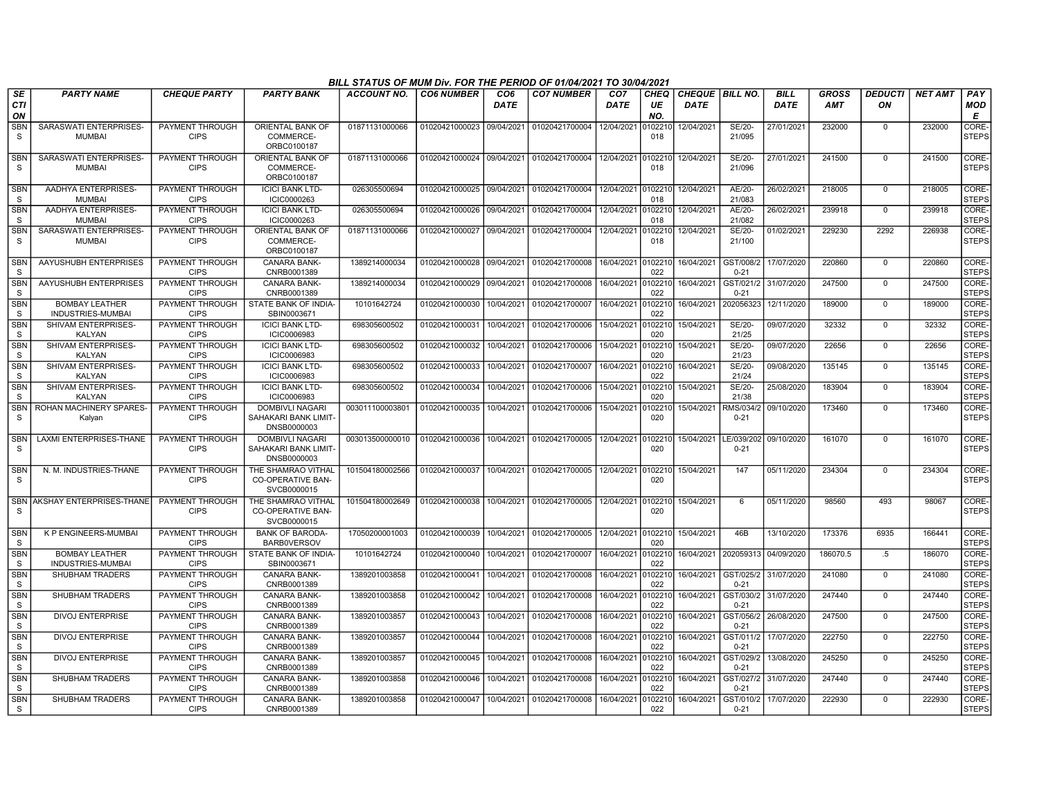|                            |                                                   |                                       |                                                               | BILL STATUS OF MUM Div. FOR THE PERIOD OF 01/04/2021 TO 30/04/2021 |                           |                         |                                   |                                |                           |                                  |                        |                            |                     |                      |                |                        |
|----------------------------|---------------------------------------------------|---------------------------------------|---------------------------------------------------------------|--------------------------------------------------------------------|---------------------------|-------------------------|-----------------------------------|--------------------------------|---------------------------|----------------------------------|------------------------|----------------------------|---------------------|----------------------|----------------|------------------------|
| SE<br><b>CTI</b><br>ON     | <b>PARTY NAME</b>                                 | <b>CHEQUE PARTY</b>                   | <b>PARTY BANK</b>                                             | <b>ACCOUNT NO.</b>                                                 | <b>CO6 NUMBER</b>         | CO <sub>6</sub><br>DATE | <b>CO7 NUMBER</b>                 | CO <sub>7</sub><br><b>DATE</b> | CHEQ<br>UE<br>NO.         | CHEQUE   BILL NO.<br><b>DATE</b> |                        | <b>BILL</b><br><b>DATE</b> | GROSS<br><b>AMT</b> | <b>DEDUCTI</b><br>ΟN | <b>NET AMT</b> | PAY<br><b>MOD</b><br>Е |
| <b>SBN</b><br>S            | SARASWATI ENTERPRISES<br><b>MUMBAI</b>            | PAYMENT THROUGH<br><b>CIPS</b>        | ORIENTAL BANK OF<br>COMMERCE-<br>ORBC0100187                  | 01871131000066                                                     | 01020421000023            | 09/04/2021              | 01020421700004                    | 12/04/2021                     | 010221<br>018             | 12/04/2021                       | SE/20-<br>21/095       | 27/01/2021                 | 232000              | $\Omega$             | 232000         | CORE-<br><b>STEPS</b>  |
| SBN<br><sub>S</sub>        | SARASWATI ENTERPRISES<br><b>MUMBAI</b>            | PAYMENT THROUGH<br><b>CIPS</b>        | ORIENTAL BANK OF<br>COMMERCE-<br>ORBC0100187                  | 01871131000066                                                     | 01020421000024 09/04/2021 |                         | 01020421700004 12/04/2021         |                                | 010221<br>018             | 12/04/2021                       | SE/20-<br>21/096       | 27/01/2021                 | 241500              | $\mathbf 0$          | 241500         | CORE-<br><b>STEPS</b>  |
| <b>SBN</b><br>S            | AADHYA ENTERPRISES-<br><b>MUMBAI</b>              | PAYMENT THROUGH<br><b>CIPS</b>        | <b>ICICI BANK LTD-</b><br>ICIC0000263                         | 026305500694                                                       | 01020421000025 09/04/2021 |                         | 01020421700004 12/04/2021 010221  |                                | 018                       | 12/04/2021                       | AE/20-<br>21/083       | 26/02/2021                 | 218005              | $\mathbf 0$          | 218005         | CORE-<br><b>STEPS</b>  |
| <b>SBN</b><br><sub>S</sub> | AADHYA ENTERPRISES-<br><b>MUMBAI</b>              | PAYMENT THROUGH<br><b>CIPS</b>        | <b>ICICI BANK LTD-</b><br>ICIC0000263                         | 026305500694                                                       | 01020421000026            | 09/04/2021              | 01020421700004                    | 12/04/2021                     | 010221<br>018             | 12/04/2021                       | AE/20-<br>21/082       | 26/02/2021                 | 239918              | $\mathbf 0$          | 239918         | CORE-<br><b>STEPS</b>  |
| <b>SBN</b><br>S.           | SARASWATI ENTERPRISES<br><b>MUMBAI</b>            | PAYMENT THROUGH<br><b>CIPS</b>        | ORIENTAL BANK OF<br>COMMERCE-<br>ORBC0100187                  | 01871131000066                                                     | 01020421000027            | 09/04/2021              | 01020421700004                    | 12/04/2021                     | 010221<br>018             | 12/04/2021                       | SE/20-<br>21/100       | 01/02/202                  | 229230              | 2292                 | 226938         | CORE-<br>STEPS         |
| SBN<br><sub>S</sub>        | AAYUSHUBH ENTERPRISES                             | PAYMENT THROUGH<br><b>CIPS</b>        | CANARA BANK-<br>CNRB0001389                                   | 1389214000034                                                      | 01020421000028 09/04/2021 |                         | 01020421700008                    | 16/04/2021 0102210             | 022                       | 16/04/2021                       | GST/008/2<br>$0 - 21$  | 17/07/2020                 | 220860              | $\Omega$             | 220860         | CORE-<br><b>STEPS</b>  |
| <b>SBN</b><br><sub>S</sub> | AAYUSHUBH ENTERPRISES                             | <b>PAYMENT THROUGH</b><br><b>CIPS</b> | CANARA BANK-<br>CNRB0001389                                   | 1389214000034                                                      | 01020421000029            | 09/04/2021              | 01020421700008                    | 16/04/2021                     | 010221<br>022             | 16/04/2021                       | GST/021/2<br>$0 - 21$  | 31/07/2020                 | 247500              | $\mathbf 0$          | 247500         | CORE-<br><b>STEPS</b>  |
| <b>SBN</b><br>S.           | <b>BOMBAY LEATHER</b><br><b>INDUSTRIES-MUMBAI</b> | PAYMENT THROUGH<br><b>CIPS</b>        | STATE BANK OF INDIA-<br>SBIN0003671                           | 10101642724                                                        | 01020421000030            | 10/04/2021              | 01020421700007                    | 16/04/2021                     | 010221<br>022             | 16/04/2021                       | 202056323              | 12/11/2020                 | 189000              | $\mathbf 0$          | 189000         | CORE-<br><b>STEPS</b>  |
| <b>SBN</b><br><sub>S</sub> | SHIVAM ENTERPRISES-<br><b>KALYAN</b>              | PAYMENT THROUGH<br><b>CIPS</b>        | <b>ICICI BANK LTD-</b><br>ICIC0006983                         | 698305600502                                                       | 01020421000031            | 10/04/2021              | 01020421700006                    | 15/04/2021                     | 010221<br>020             | 15/04/2021                       | SE/20-<br>21/25        | 09/07/2020                 | 32332               | $\mathbf 0$          | 32332          | CORE-<br><b>STEPS</b>  |
| <b>SBN</b><br>S            | SHIVAM ENTERPRISES-<br>KALYAN                     | PAYMENT THROUGH<br><b>CIPS</b>        | <b>ICICI BANK LTD-</b><br>ICIC0006983                         | 698305600502                                                       | 01020421000032            | 10/04/2021              | 01020421700006                    | 15/04/2021                     | 010221<br>020             | 15/04/2021                       | SE/20-<br>21/23        | 09/07/2020                 | 22656               | $\mathbf 0$          | 22656          | CORE-<br>STEPS         |
| <b>SBN</b><br>S.           | SHIVAM ENTERPRISES-<br><b>KALYAN</b>              | PAYMENT THROUGH<br><b>CIPS</b>        | <b>ICICI BANK LTD-</b><br>ICIC0006983                         | 698305600502                                                       | 01020421000033            | 10/04/2021              | 01020421700007                    | 16/04/2021                     | 010221<br>022             | 16/04/2021                       | SE/20-<br>21/24        | 09/08/2020                 | 135145              | $\mathbf 0$          | 135145         | CORE-<br><b>STEPS</b>  |
| <b>SBN</b><br>S.           | SHIVAM ENTERPRISES-<br><b>KALYAN</b>              | PAYMENT THROUGH<br><b>CIPS</b>        | <b>ICICI BANK LTD-</b><br>ICIC0006983                         | 698305600502                                                       | 01020421000034            | 10/04/2021              | 01020421700006                    | 15/04/2021                     | 102210<br>020             | 15/04/2021                       | SE/20-<br>21/38        | 25/08/2020                 | 183904              | $\overline{0}$       | 183904         | CORE-<br><b>STEPS</b>  |
| <b>SBN</b><br><sub>S</sub> | ROHAN MACHINERY SPARES-<br>Kalyan                 | PAYMENT THROUGH<br><b>CIPS</b>        | DOMBIVLI NAGARI<br>SAHAKARI BANK LIMIT-<br>DNSB0000003        | 003011100003801                                                    | 01020421000035            | 10/04/2021              | 01020421700006                    | 15/04/2021                     | 010221<br>020             | 15/04/2021                       | RMS/034/2<br>$0 - 21$  | 09/10/2020                 | 173460              | $\mathbf 0$          | 173460         | CORE-<br><b>STEPS</b>  |
| <b>SBN</b><br><sub>S</sub> | LAXMI ENTERPRISES-THANE                           | PAYMENT THROUGH<br><b>CIPS</b>        | <b>DOMBIVLI NAGARI</b><br>SAHAKARI BANK LIMIT-<br>DNSB0000003 | 003013500000010                                                    | 01020421000036            | 10/04/2021              | 01020421700005                    | 12/04/2021                     | 0102210<br>020            | 15/04/2021                       | LE/039/202<br>$0 - 21$ | 09/10/2020                 | 161070              | $\overline{0}$       | 161070         | CORE-<br><b>STEPS</b>  |
| SBN<br>-S                  | N. M. INDUSTRIES-THANE                            | PAYMENT THROUGH<br><b>CIPS</b>        | THE SHAMRAO VITHAL<br>CO-OPERATIVE BAN-<br>SVCB0000015        | 101504180002566                                                    | 01020421000037            | 10/04/2021              | 01020421700005 12/04/2021 010221  |                                | 020                       | 15/04/2021                       | 147                    | 05/11/2020                 | 234304              | $\Omega$             | 234304         | CORE-<br>STEPS         |
| <b>SBN</b><br><sub>S</sub> | AKSHAY ENTERPRISES-THANE                          | <b>PAYMENT THROUGH</b><br><b>CIPS</b> | THE SHAMRAO VITHAL<br><b>CO-OPERATIVE BAN-</b><br>SVCB0000015 | 101504180002649                                                    | 01020421000038            | 10/04/2021              | 01020421700005 12/04/2021 0102210 |                                | 020                       | 15/04/2021                       | 6                      | 05/11/2020                 | 98560               | 493                  | 98067          | CORE-<br><b>STEPS</b>  |
| <b>SBN</b><br><sub>S</sub> | K P ENGINEERS-MUMBAI                              | PAYMENT THROUGH<br><b>CIPS</b>        | <b>BANK OF BARODA-</b><br><b>BARBOVERSOV</b>                  | 17050200001003                                                     | 01020421000039            | 10/04/2021              | 01020421700005                    | 12/04/2021                     | 0102210<br>020            | 15/04/2021                       | 46B                    | 13/10/2020                 | 173376              | 6935                 | 166441         | CORE-<br><b>STEPS</b>  |
| <b>SBN</b><br>S            | <b>BOMBAY LEATHER</b><br><b>INDUSTRIES-MUMBAI</b> | <b>PAYMENT THROUGH</b><br><b>CIPS</b> | STATE BANK OF INDIA-<br>SBIN0003671                           | 10101642724                                                        | 01020421000040            | 10/04/2021              | 01020421700007                    | 16/04/2021                     | 0102210<br>በ22            | 16/04/2021                       | 202059313 04/09/2020   |                            | 186070.5            | .5                   | 186070         | CORE-<br><b>STEPS</b>  |
| <b>SBN</b><br>S            | <b>SHUBHAM TRADERS</b>                            | PAYMENT THROUGH<br><b>CIPS</b>        | <b>CANARA BANK-</b><br>CNRB0001389                            | 1389201003858                                                      | 01020421000041            | 10/04/2021              | 01020421700008 16/04/2021         |                                | 010221<br>02 <sub>2</sub> | 16/04/2021                       | GST/025/2<br>$0 - 21$  | 31/07/2020                 | 241080              | $\overline{0}$       | 241080         | CORE-<br><b>STEPS</b>  |
| SBN<br>S.                  | SHUBHAM TRADERS                                   | PAYMENT THROUGH<br><b>CIPS</b>        | CANARA BANK-<br>CNRB0001389                                   | 1389201003858                                                      | 01020421000042            | 10/04/2021              | 01020421700008                    | 16/04/2021                     | 010221<br>022             | 16/04/2021                       | GST/030/2<br>$0 - 21$  | 31/07/2020                 | 247440              | $\mathbf 0$          | 247440         | CORE-<br><b>STEPS</b>  |
| <b>SBN</b><br>S            | <b>DIVOJ ENTERPRISE</b>                           | PAYMENT THROUGH<br><b>CIPS</b>        | <b>CANARA BANK-</b><br>CNRB0001389                            | 1389201003857                                                      | 01020421000043            | 10/04/2021              | 01020421700008                    | 16/04/2021                     | 010221<br>022             | 16/04/2021                       | GST/056/2<br>$0 - 21$  | 26/08/2020                 | 247500              | $\mathbf 0$          | 247500         | CORE-<br><b>STEPS</b>  |
| <b>SBN</b><br>S            | <b>DIVOJ ENTERPRISE</b>                           | PAYMENT THROUGH<br><b>CIPS</b>        | CANARA BANK-<br>CNRB0001389                                   | 1389201003857                                                      | 01020421000044            | 10/04/2021              | 01020421700008                    | 16/04/2021                     | 10221<br>022              | 16/04/2021                       | GST/011/2<br>$0 - 21$  | 17/07/2020                 | 222750              | $\mathbf 0$          | 222750         | CORE-<br><b>STEPS</b>  |
| <b>SBN</b><br>S.           | <b>DIVOJ ENTERPRISE</b>                           | <b>PAYMENT THROUGH</b><br><b>CIPS</b> | <b>CANARA BANK-</b><br>CNRB0001389                            | 1389201003857                                                      | 01020421000045            | 10/04/2021              | 01020421700008                    | 16/04/2021                     | 010221<br>022             | 16/04/2021                       | GST/029/2<br>$0 - 21$  | 13/08/2020                 | 245250              | $\mathbf 0$          | 245250         | CORE-<br><b>STEPS</b>  |
| <b>SBN</b><br><b>S</b>     | SHUBHAM TRADERS                                   | PAYMENT THROUGH<br><b>CIPS</b>        | CANARA BANK-<br>CNRB0001389                                   | 1389201003858                                                      | 01020421000046            | 10/04/2021              | 01020421700008                    | 16/04/2021                     | 010221<br>022             | 16/04/2021                       | GST/027/2<br>$0 - 21$  | 31/07/2020                 | 247440              | $\Omega$             | 247440         | CORE-<br><b>STEPS</b>  |
| <b>SBN</b><br>S.           | <b>SHUBHAM TRADERS</b>                            | PAYMENT THROUGH<br><b>CIPS</b>        | <b>CANARA BANK-</b><br>CNRB0001389                            | 1389201003858                                                      | 01020421000047            | 10/04/2021              | 01020421700008                    | 16/04/2021                     | 0102210<br>022            | 16/04/2021                       | GST/010/2<br>$0 - 21$  | 17/07/2020                 | 222930              | $\Omega$             | 222930         | CORE-<br><b>STEPS</b>  |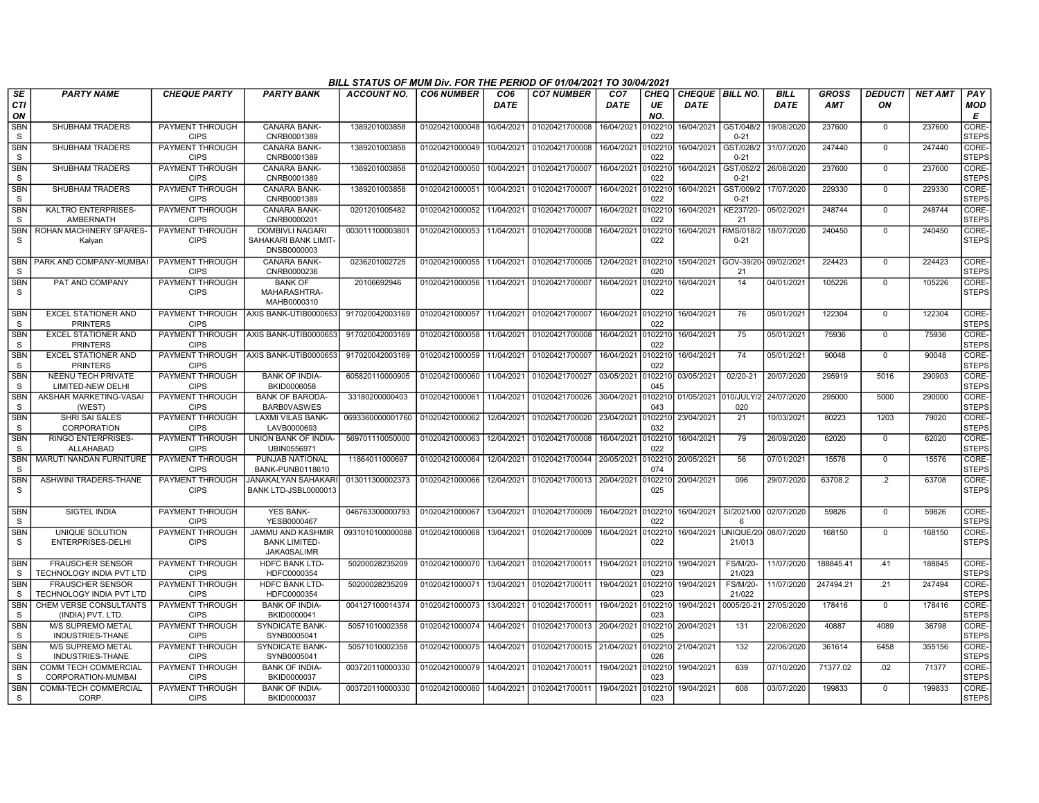|                            |                                                     |                                       |                                                                       | BILL STATUS OF MUM Div. FOR THE PERIOD OF 01/04/2021 TO 30/04/2021 |                           |                                |                   |                                |                          |                                         |                           |                            |                            |                      |                |                        |
|----------------------------|-----------------------------------------------------|---------------------------------------|-----------------------------------------------------------------------|--------------------------------------------------------------------|---------------------------|--------------------------------|-------------------|--------------------------------|--------------------------|-----------------------------------------|---------------------------|----------------------------|----------------------------|----------------------|----------------|------------------------|
| SE<br><b>CTI</b><br>ΟN     | <b>PARTY NAME</b>                                   | <b>CHEQUE PARTY</b>                   | <b>PARTY BANK</b>                                                     | ACCOUNT NO.                                                        | <b>CO6 NUMBER</b>         | CO <sub>6</sub><br><b>DATE</b> | <b>CO7 NUMBER</b> | CO <sub>7</sub><br><b>DATE</b> | <b>CHEQ</b><br>UE<br>NO. | <b>CHEQUE   BILL NO.</b><br><b>DATE</b> |                           | <b>BILL</b><br><b>DATE</b> | <b>GROSS</b><br><b>AMT</b> | <b>DEDUCTI</b><br>ON | <b>NET AMT</b> | PAY<br><b>MOD</b><br>Е |
| <b>SBN</b><br>S            | <b>SHUBHAM TRADERS</b>                              | PAYMENT THROUGH<br><b>CIPS</b>        | <b>CANARA BANK-</b><br>CNRB0001389                                    | 1389201003858                                                      | 01020421000048            | 10/04/2021                     | 01020421700008    | 16/04/2021                     | 0102210<br>022           | 16/04/2021                              | GST/048/2<br>$0 - 21$     | 19/08/2020                 | 237600                     | $\Omega$             | 237600         | CORE-<br><b>STEPS</b>  |
| SBN<br>s                   | <b>SHUBHAM TRADERS</b>                              | PAYMENT THROUGH<br><b>CIPS</b>        | <b>CANARA BANK-</b><br>CNRB0001389                                    | 1389201003858                                                      | 01020421000049            | 10/04/2021                     | 01020421700008    | 16/04/2021                     | 102210<br>022            | 16/04/2021                              | GST/028/2<br>$0 - 21$     | 31/07/2020                 | 247440                     | $\mathbf 0$          | 247440         | CORE-<br><b>STEPS</b>  |
| <b>SBN</b><br>S            | SHUBHAM TRADERS                                     | PAYMENT THROUGH<br><b>CIPS</b>        | CANARA BANK-<br>CNRB0001389                                           | 1389201003858                                                      | 01020421000050            | 10/04/2021                     | 01020421700007    | 16/04/2021                     | 0102210<br>022           | 16/04/2021                              | GST/052/2<br>$0 - 21$     | 26/08/2020                 | 237600                     | $\mathbf 0$          | 237600         | CORE-<br><b>STEPS</b>  |
| <b>SBN</b><br>s            | SHUBHAM TRADERS                                     | PAYMENT THROUGH<br><b>CIPS</b>        | CANARA BANK-<br>CNRB0001389                                           | 1389201003858                                                      | 01020421000051            | 10/04/2021                     | 01020421700007    | 16/04/2021                     | 102210<br>022            | 16/04/2021                              | GST/009/2<br>$0 - 21$     | 17/07/2020                 | 229330                     | $\mathbf 0$          | 229330         | CORE-<br><b>STEPS</b>  |
| <b>SBN</b><br>S            | KALTRO ENTERPRISES-<br>AMBERNATH                    | PAYMENT THROUGH<br><b>CIPS</b>        | <b>CANARA BANK-</b><br>CNRB0000201                                    | 0201201005482                                                      | 01020421000052            | 11/04/2021                     | 01020421700007    | 16/04/2021                     | 0102210<br>022           | 16/04/2021                              | KE237/20-<br>21           | 05/02/2021                 | 248744                     | $\mathbf 0$          | 248744         | CORE-<br><b>STEPS</b>  |
| <b>SBN</b><br>S            | ROHAN MACHINERY SPARES-<br>Kalyan                   | PAYMENT THROUGH<br><b>CIPS</b>        | <b>DOMBIVLI NAGARI</b><br>SAHAKARI BANK LIMIT<br>DNSB0000003          | 003011100003801                                                    | 01020421000053            | 11/04/2021                     | 01020421700008    | 16/04/2021                     | 102210<br>022            | 16/04/2021                              | RMS/018/2<br>$0 - 21$     | 18/07/2020                 | 240450                     | $\overline{0}$       | 240450         | CORE-<br><b>STEPS</b>  |
| SBN<br><sub>S</sub>        | PARK AND COMPANY-MUMBA                              | PAYMENT THROUGH<br><b>CIPS</b>        | CANARA BANK-<br>CNRB0000236                                           | 0236201002725                                                      | 01020421000055            | 11/04/2021                     | 01020421700005    | 12/04/2021                     | 0102210<br>020           | 15/04/2021                              | GOV-39/20<br>21           | 09/02/202                  | 224423                     | $\Omega$             | 224423         | CORE-<br><b>STEPS</b>  |
| <b>SBN</b><br>S            | PAT AND COMPANY                                     | PAYMENT THROUGH<br><b>CIPS</b>        | <b>BANK OF</b><br>MAHARASHTRA-<br>MAHB0000310                         | 20106692946                                                        | 01020421000056            | 11/04/2021                     | 01020421700007    | 16/04/2021                     | 102210<br>022            | 16/04/2021                              | 14                        | 04/01/2021                 | 105226                     | $\overline{0}$       | 105226         | CORE-<br><b>STEPS</b>  |
| <b>SBN</b><br>S            | <b>EXCEL STATIONER AND</b><br><b>PRINTERS</b>       | PAYMENT THROUGH<br><b>CIPS</b>        | AXIS BANK-UTIB0000653                                                 | 917020042003169                                                    | 01020421000057            | 11/04/2021                     | 01020421700007    | 16/04/2021                     | 0102210<br>022           | 16/04/2021                              | 76                        | 05/01/2021                 | 122304                     | $\mathbf 0$          | 122304         | CORE-<br><b>STEPS</b>  |
| SBN<br>S                   | <b>EXCEL STATIONER AND</b><br><b>PRINTERS</b>       | PAYMENT THROUGH<br><b>CIPS</b>        | AXIS BANK-UTIB0000653                                                 | 917020042003169                                                    | 01020421000058            | 11/04/2021                     | 01020421700008    | 16/04/2021                     | 0102210<br>022           | 16/04/2021                              | 75                        | 05/01/2021                 | 75936                      | $\mathbf 0$          | 75936          | CORE-<br><b>STEPS</b>  |
| <b>SBN</b><br>s            | <b>EXCEL STATIONER AND</b><br><b>PRINTERS</b>       | <b>PAYMENT THROUGH</b><br><b>CIPS</b> | AXIS BANK-UTIB0000653                                                 | 917020042003169                                                    | 01020421000059            | 11/04/2021                     | 01020421700007    | 16/04/2021                     | 0102210<br>022           | 16/04/2021                              | 74                        | 05/01/2021                 | 90048                      | $\overline{0}$       | 90048          | CORE-<br><b>STEPS</b>  |
| SBN<br><sub>S</sub>        | <b>NEENU TECH PRIVATE</b><br>LIMITED-NEW DELHI      | PAYMENT THROUGH<br><b>CIPS</b>        | <b>BANK OF INDIA-</b><br>BKID0006058                                  | 605820110000905                                                    | 01020421000060            | 11/04/2021                     | 01020421700027    | 03/05/2021                     | 102210<br>045            | 03/05/2021                              | 02/20-21                  | 20/07/2020                 | 295919                     | 5016                 | 290903         | CORE-<br><b>STEPS</b>  |
| <b>SBN</b><br>S            | AKSHAR MARKETING-VASAI<br>(WEST)                    | PAYMENT THROUGH<br><b>CIPS</b>        | <b>BANK OF BARODA</b><br><b>BARBOVASWES</b>                           | 33180200000403                                                     | 01020421000061            | 11/04/2021                     | 01020421700026    | 30/04/2021                     | 102210<br>043            | 01/05/2021                              | 010/JULY<br>020           | 24/07/2020                 | 295000                     | 5000                 | 290000         | CORE-<br><b>STEPS</b>  |
| <b>SBN</b><br>S            | <b>SHRI SAI SALES</b><br><b>CORPORATION</b>         | <b>PAYMENT THROUGH</b><br><b>CIPS</b> | LAXMI VILAS BANK-<br>LAVB0000693                                      | 0693360000001760                                                   | 01020421000062            | 12/04/2021                     | 01020421700020    | 23/04/2021                     | 102210<br>032            | 23/04/2021                              | 21                        | 10/03/2021                 | 80223                      | 1203                 | 79020          | CORE-<br><b>STEPS</b>  |
| <b>SBN</b><br>S            | <b>RINGO ENTERPRISES-</b><br>ALLAHABAD              | PAYMENT THROUGH<br><b>CIPS</b>        | UNION BANK OF INDIA-<br>UBIN0556971                                   | 569701110050000                                                    | 01020421000063            | 12/04/2021                     | 01020421700008    | 16/04/2021                     | 0102210<br>022           | 16/04/2021                              | 79                        | 26/09/2020                 | 62020                      | $\mathbf 0$          | 62020          | CORE-<br><b>STEPS</b>  |
| SBN<br>S                   | <b>MARUTI NANDAN FURNITURE</b>                      | PAYMENT THROUGH<br><b>CIPS</b>        | PUNJAB NATIONAL<br>BANK-PUNB0118610                                   | 11864011000697                                                     | 01020421000064            | 12/04/2021                     | 01020421700044    | 20/05/2021                     | 102210<br>074            | 20/05/2021                              | 56                        | 07/01/2021                 | 15576                      | $\mathbf 0$          | 15576          | CORE-<br><b>STEPS</b>  |
| <b>SBN</b><br>S            | ASHWINI TRADERS-THANE                               | PAYMENT THROUGH<br><b>CIPS</b>        | <b>JANAKALYAN SAHAKAF</b><br>BANK LTD-JSBL0000013                     | 013011300002373                                                    | 01020421000066            | 12/04/2021                     | 01020421700013    | 20/04/2021                     | 0102210<br>025           | 20/04/2021                              | 096                       | 29/07/2020                 | 63708.2                    | $\cdot$              | 63708          | CORE-<br><b>STEPS</b>  |
| <b>SBN</b><br>S            | SIGTEL INDIA                                        | PAYMENT THROUGH<br><b>CIPS</b>        | <b>YES BANK-</b><br>YESB0000467                                       | 046763300000793                                                    | 01020421000067 13/04/2021 |                                | 01020421700009    | 16/04/2021                     | 0102210<br>022           | 16/04/2021                              | SI/2021/00<br>-6          | 02/07/2020                 | 59826                      | $\mathbf 0$          | 59826          | CORE-<br><b>STEPS</b>  |
| <b>SBN</b><br>s            | UNIQUE SOLUTION<br>ENTERPRISES-DELHI                | <b>PAYMENT THROUGH</b><br><b>CIPS</b> | <b>JAMMU AND KASHMIR</b><br><b>BANK LIMITED</b><br><b>JAKA0SALIMR</b> | 0931010100000088                                                   | 01020421000068            | 13/04/2021                     | 01020421700009    | 16/04/2021                     | 102210<br>022            | 16/04/2021                              | UNIQUE/20<br>21/013       | 08/07/2020                 | 168150                     | $\Omega$             | 168150         | CORE-<br><b>STEPS</b>  |
| <b>SBN</b><br>-S           | <b>FRAUSCHER SENSOR</b><br>TECHNOLOGY INDIA PVT LTD | PAYMENT THROUGH<br><b>CIPS</b>        | <b>HDFC BANK LTD-</b><br>HDFC0000354                                  | 50200028235209                                                     | 01020421000070            | 13/04/2021                     | 01020421700011    | 19/04/2021                     | 0102210<br>023           | 19/04/2021                              | FS/M/20-<br>21/023        | 11/07/2020                 | 188845.41                  | .41                  | 188845         | CORE-<br><b>STEPS</b>  |
| <b>SBN</b><br><sub>S</sub> | <b>FRAUSCHER SENSOR</b><br>TECHNOLOGY INDIA PVT LTD | PAYMENT THROUGH<br><b>CIPS</b>        | <b>HDFC BANK LTD-</b><br>HDFC0000354                                  | 50200028235209                                                     | 01020421000071            | 13/04/2021                     | 01020421700011    | 19/04/2021                     | 102210<br>023            | 19/04/2021                              | <b>FS/M/20-</b><br>21/022 | 11/07/2020                 | 247494.21                  | .21                  | 247494         | CORE-<br><b>STEPS</b>  |
| <b>SBN</b><br>S            | CHEM VERSE CONSULTANTS<br>(INDIA) PVT. LTD          | PAYMENT THROUGH<br><b>CIPS</b>        | <b>BANK OF INDIA-</b><br>BKID0000041                                  | 004127100014374                                                    | 01020421000073            | 13/04/2021                     | 01020421700011    | 19/04/2021                     | 0102210<br>023           | 19/04/2021                              | 0005/20-21                | 27/05/2020                 | 178416                     | $\mathbf 0$          | 178416         | CORE-<br><b>STEPS</b>  |
| <b>SBN</b><br>S.           | <b>M/S SUPREMO METAL</b><br>INDUSTRIES-THANE        | <b>PAYMENT THROUGH</b><br><b>CIPS</b> | <b>SYNDICATE BANK-</b><br>SYNB0005041                                 | 50571010002358                                                     | 01020421000074            | 14/04/2021                     | 01020421700013    | 20/04/2021                     | 102210<br>025            | 20/04/2021                              | 131                       | 22/06/2020                 | 40887                      | 4089                 | 36798          | CORE-<br><b>STEPS</b>  |
| <b>SBN</b><br>S            | <b>M/S SUPREMO METAL</b><br>INDUSTRIES-THANE        | PAYMENT THROUGH<br><b>CIPS</b>        | <b>SYNDICATE BANK-</b><br>SYNB0005041                                 | 50571010002358                                                     | 01020421000075            | 14/04/2021                     | 01020421700015    | 21/04/2021                     | 026                      | 0102210 21/04/2021                      | 132                       | 22/06/2020                 | 361614                     | 6458                 | 355156         | CORE-<br><b>STEPS</b>  |
| SBN<br>S                   | <b>COMM TECH COMMERCIAL</b><br>CORPORATION-MUMBAI   | PAYMENT THROUGH<br><b>CIPS</b>        | <b>BANK OF INDIA-</b><br>BKID0000037                                  | 003720110000330                                                    | 01020421000079            | 14/04/2021                     | 01020421700011    | 19/04/2021                     | 0102210<br>023           | 19/04/2021                              | 639                       | 07/10/2020                 | 71377.02                   | .02                  | 71377          | CORE-<br><b>STEPS</b>  |
| <b>SBN</b><br>S.           | COMM-TECH COMMERCIAL<br>CORP.                       | PAYMENT THROUGH<br><b>CIPS</b>        | <b>BANK OF INDIA-</b><br>BKID0000037                                  | 003720110000330                                                    | 01020421000080            | 14/04/2021                     | 01020421700011    | 19/04/2021                     | 102210<br>023            | 19/04/2021                              | 608                       | 03/07/2020                 | 199833                     | $\Omega$             | 199833         | CORE-<br><b>STEPS</b>  |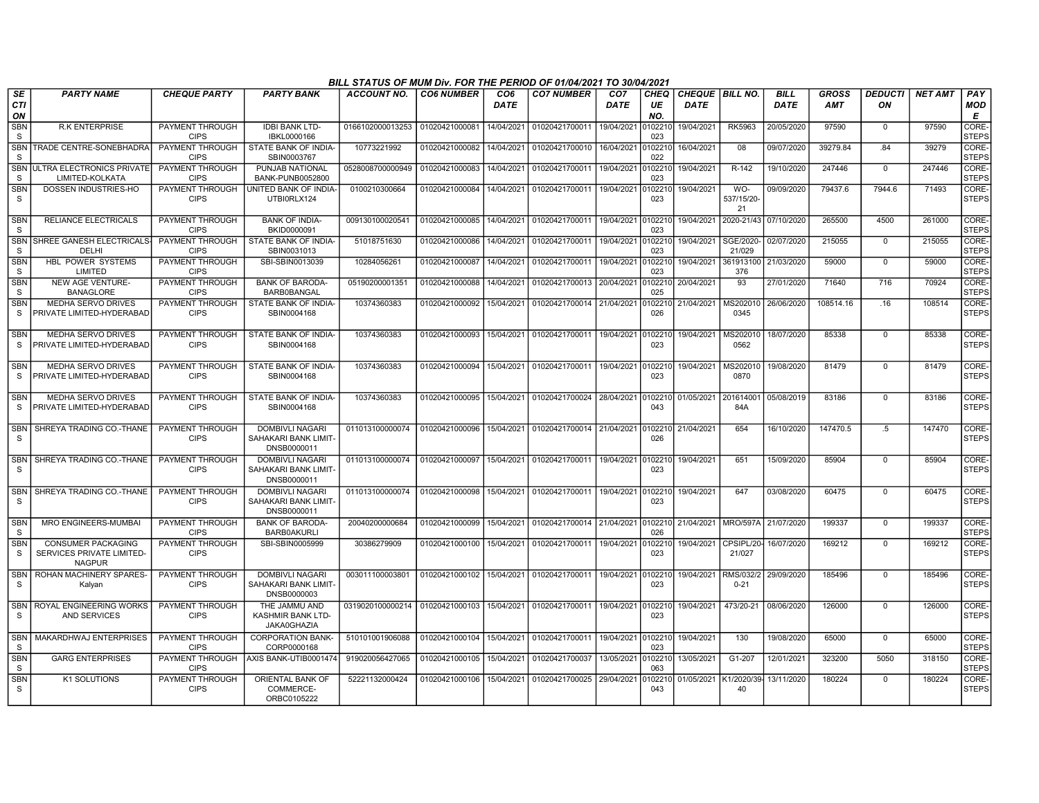|                            |                                                                        |                                       |                                                               | BILL STATUS OF MUM Div. FOR THE PERIOD OF 01/04/2021 TO 30/04/2021 |                   |                         |                                   |                                |                          |             |                        |                            |                            |                      |                |                        |
|----------------------------|------------------------------------------------------------------------|---------------------------------------|---------------------------------------------------------------|--------------------------------------------------------------------|-------------------|-------------------------|-----------------------------------|--------------------------------|--------------------------|-------------|------------------------|----------------------------|----------------------------|----------------------|----------------|------------------------|
| SE<br><b>CTI</b><br>ON     | <b>PARTY NAME</b>                                                      | <b>CHEQUE PARTY</b>                   | <b>PARTY BANK</b>                                             | <b>ACCOUNT NO.</b>                                                 | <b>CO6 NUMBER</b> | CO <sub>6</sub><br>DATE | <b>CO7 NUMBER</b>                 | CO <sub>7</sub><br><b>DATE</b> | <b>CHEQ</b><br>UE<br>NO. | <b>DATE</b> | CHEQUE   BILL NO.      | <b>BILL</b><br><b>DATE</b> | <b>GROSS</b><br><b>AMT</b> | <b>DEDUCTI</b><br>ON | <b>NET AMT</b> | PAY<br><b>MOD</b><br>E |
| <b>SBN</b><br>S            | <b>R.K ENTERPRISE</b>                                                  | PAYMENT THROUGH<br><b>CIPS</b>        | <b>IDBI BANK LTD-</b><br>IBKL0000166                          | 0166102000013253 01020421000081                                    |                   | 14/04/2021              | 01020421700011                    | 19/04/2021                     | 010221<br>023            | 19/04/2021  | <b>RK5963</b>          | 20/05/2020                 | 97590                      | $\Omega$             | 97590          | CORE-<br><b>STEPS</b>  |
| <b>SBN</b><br>S            | TRADE CENTRE-SONEBHADRA                                                | PAYMENT THROUGH<br><b>CIPS</b>        | STATE BANK OF INDIA-<br>SBIN0003767                           | 10773221992                                                        | 01020421000082    | 14/04/2021              | 01020421700010                    | 16/04/2021                     | 010221<br>022            | 16/04/2021  | 08                     | 09/07/2020                 | 39279.84                   | .84                  | 39279          | CORE-<br><b>STEPS</b>  |
| <b>SBN</b><br>S            | ULTRA ELECTRONICS PRIVATE<br>LIMITED-KOLKATA                           | <b>PAYMENT THROUGH</b><br><b>CIPS</b> | PUNJAB NATIONAL<br><b>BANK-PUNB0052800</b>                    | 0528008700000949                                                   | 01020421000083    | 14/04/2021              | 01020421700011                    | 19/04/2021                     | 010221<br>023            | 19/04/2021  | R-142                  | 19/10/2020                 | 247446                     | $\mathbf 0$          | 247446         | CORE-<br><b>STEPS</b>  |
| SBN<br>S                   | DOSSEN INDUSTRIES-HO                                                   | PAYMENT THROUGH<br><b>CIPS</b>        | UNITED BANK OF INDIA-<br>UTBI0RLX124                          | 0100210300664                                                      | 01020421000084    | 14/04/2021              | 01020421700011                    | 19/04/2021                     | 0102210<br>023           | 19/04/2021  | WO-<br>537/15/20<br>21 | 09/09/2020                 | 79437.6                    | 7944.6               | 71493          | CORE-<br><b>STEPS</b>  |
| <b>SBN</b><br><sub>S</sub> | RELIANCE ELECTRICALS                                                   | <b>PAYMENT THROUGH</b><br><b>CIPS</b> | <b>BANK OF INDIA-</b><br>BKID0000091                          | 009130100020541                                                    | 01020421000085    | 14/04/2021              | 01020421700011 19/04/2021         |                                | 0102210<br>023           | 19/04/2021  | 2020-21/43             | 07/10/2020                 | 265500                     | 4500                 | 261000         | CORE-<br><b>STEPS</b>  |
| <b>SBN</b><br>S            | SHREE GANESH ELECTRICAL<br>DELHI                                       | PAYMENT THROUGH<br><b>CIPS</b>        | STATE BANK OF INDIA-<br>SBIN0031013                           | 51018751630                                                        | 01020421000086    | 14/04/2021              | 01020421700011                    | 19/04/2021                     | 010221<br>023            | 19/04/2021  | SGE/2020-<br>21/029    | 02/07/2020                 | 215055                     | $\mathbf 0$          | 215055         | CORE-<br><b>STEPS</b>  |
| <b>SBN</b><br><sub>S</sub> | HBL POWER SYSTEMS<br>LIMITED                                           | PAYMENT THROUGH<br><b>CIPS</b>        | SBI-SBIN0013039                                               | 10284056261                                                        | 01020421000087    | 14/04/2021              | 01020421700011                    | 19/04/2021                     | 010221<br>023            | 19/04/2021  | 361913100<br>376       | 21/03/2020                 | 59000                      | $\Omega$             | 59000          | CORE-<br><b>STEPS</b>  |
| <b>SBN</b><br>S            | <b>NEW AGE VENTURE-</b><br><b>BANAGLORE</b>                            | PAYMENT THROUGH<br><b>CIPS</b>        | <b>BANK OF BARODA-</b><br><b>BARB0BANGAL</b>                  | 05190200001351                                                     | 01020421000088    | 14/04/2021              | 01020421700013 20/04/2021         |                                | 0102210<br>025           | 20/04/2021  | 93                     | 27/01/2020                 | 71640                      | 716                  | 70924          | CORE-<br><b>STEPS</b>  |
| <b>SBN</b><br>S            | <b>MEDHA SERVO DRIVES</b><br>PRIVATE LIMITED-HYDERABAD                 | <b>PAYMENT THROUGH</b><br><b>CIPS</b> | STATE BANK OF INDIA-<br>SBIN0004168                           | 10374360383                                                        | 01020421000092    | 15/04/2021              | 01020421700014 21/04/2021         |                                | 0102210<br>026           | 21/04/2021  | MS202010<br>0345       | 26/06/2020                 | 108514.16                  | .16                  | 108514         | CORE-<br><b>STEPS</b>  |
| <b>SBN</b><br><sub>S</sub> | <b>MEDHA SERVO DRIVES</b><br>PRIVATE LIMITED-HYDERABAD                 | PAYMENT THROUGH<br><b>CIPS</b>        | STATE BANK OF INDIA-<br>SBIN0004168                           | 10374360383                                                        | 01020421000093    | 15/04/2021              | 01020421700011                    | 19/04/2021                     | 0102210<br>023           | 19/04/2021  | MS202010<br>0562       | 18/07/2020                 | 85338                      | $\Omega$             | 85338          | CORE-<br><b>STEPS</b>  |
| <b>SBN</b><br><sub>S</sub> | MEDHA SERVO DRIVES<br>PRIVATE LIMITED-HYDERABAD                        | PAYMENT THROUGH<br><b>CIPS</b>        | STATE BANK OF INDIA-<br>SBIN0004168                           | 10374360383                                                        | 01020421000094    | 15/04/2021              | 01020421700011                    | 19/04/2021                     | 0102210<br>023           | 19/04/2021  | MS202010<br>0870       | 19/08/2020                 | 81479                      | $\mathbf 0$          | 81479          | CORE-<br><b>STEPS</b>  |
| <b>SBN</b><br>S            | <b>MEDHA SERVO DRIVES</b><br>PRIVATE LIMITED-HYDERABAD                 | <b>PAYMENT THROUGH</b><br><b>CIPS</b> | STATE BANK OF INDIA-<br>SBIN0004168                           | 10374360383                                                        | 01020421000095    | 15/04/2021              | 01020421700024 28/04/2021         |                                | 0102210<br>043           | 01/05/2021  | 201614001<br>84A       | 05/08/2019                 | 83186                      | $\Omega$             | 83186          | CORE-<br><b>STEPS</b>  |
| <b>SBN</b><br><b>S</b>     | SHREYA TRADING CO.-THANE                                               | PAYMENT THROUGH<br><b>CIPS</b>        | <b>DOMBIVLI NAGARI</b><br>SAHAKARI BANK LIMIT-<br>DNSB0000011 | 011013100000074                                                    | 01020421000096    | 15/04/2021              | 01020421700014 21/04/2021         |                                | 0102210<br>026           | 21/04/2021  | 654                    | 16/10/2020                 | 147470.5                   | $.5\,$               | 147470         | CORE-<br><b>STEPS</b>  |
| <b>SBN</b><br><b>S</b>     | SHREYA TRADING CO.-THANE                                               | <b>PAYMENT THROUGH</b><br><b>CIPS</b> | <b>DOMBIVLI NAGARI</b><br>SAHAKARI BANK LIMIT-<br>DNSB0000011 | 011013100000074                                                    | 01020421000097    | 15/04/2021              | 01020421700011 19/04/2021         |                                | 010221<br>023            | 19/04/2021  | 651                    | 15/09/2020                 | 85904                      | $\Omega$             | 85904          | CORE-<br><b>STEPS</b>  |
| <b>SBN</b><br>S            | SHREYA TRADING CO.-THANE                                               | PAYMENT THROUGH<br><b>CIPS</b>        | <b>DOMBIVLI NAGARI</b><br>SAHAKARI BANK LIMIT-<br>DNSB0000011 | 011013100000074                                                    | 01020421000098    | 15/04/2021              | 01020421700011                    | 19/04/2021 0102210             | 023                      | 19/04/2021  | 647                    | 03/08/2020                 | 60475                      | $\Omega$             | 60475          | CORE-<br><b>STEPS</b>  |
| <b>SBN</b><br>-S           | <b>MRO ENGINEERS-MUMBAI</b>                                            | PAYMENT THROUGH<br><b>CIPS</b>        | <b>BANK OF BARODA-</b><br><b>BARB0AKURLI</b>                  | 20040200000684                                                     | 01020421000099    | 15/04/2021              | 01020421700014 21/04/2021         |                                | 0102210<br>026           | 21/04/2021  | MRO/597A               | 21/07/2020                 | 199337                     | $\Omega$             | 199337         | CORE-<br><b>STEPS</b>  |
| <b>SBN</b><br>S            | <b>CONSUMER PACKAGING</b><br>SERVICES PRIVATE LIMITED<br><b>NAGPUR</b> | <b>PAYMENT THROUGH</b><br><b>CIPS</b> | SBI-SBIN0005999                                               | 30386279909                                                        | 01020421000100    | 15/04/2021              | 01020421700011 19/04/2021         |                                | 0102210<br>023           | 19/04/2021  | CPSIPL/20-<br>21/027   | 16/07/2020                 | 169212                     | $\mathbf 0$          | 169212         | CORE-<br><b>STEPS</b>  |
| <b>SBN</b><br>S            | ROHAN MACHINERY SPARES-<br>Kalyan                                      | PAYMENT THROUGH<br><b>CIPS</b>        | <b>DOMBIVLI NAGARI</b><br>SAHAKARI BANK LIMIT-<br>DNSB0000003 | 003011100003801                                                    | 01020421000102    | 15/04/2021              | 01020421700011 19/04/2021 0102210 |                                | 023                      | 19/04/2021  | RMS/032/2<br>$0 - 21$  | 29/09/2020                 | 185496                     | $\Omega$             | 185496         | CORE-<br><b>STEPS</b>  |
| SBN<br>S                   | ROYAL ENGINEERING WORKS<br>AND SERVICES                                | PAYMENT THROUGH<br><b>CIPS</b>        | THE JAMMU AND<br><b>KASHMIR BANK LTD-</b><br>JAKA0GHAZIA      | 0319020100000214                                                   | 01020421000103    | 15/04/2021              | 01020421700011                    | 19/04/2021                     | 0102210<br>023           | 19/04/2021  | 473/20-21              | 08/06/2020                 | 126000                     | $\Omega$             | 126000         | CORE-<br><b>STEPS</b>  |
| <b>SBN</b><br><b>S</b>     | MAKARDHWAJ ENTERPRISES                                                 | PAYMENT THROUGH<br><b>CIPS</b>        | <b>CORPORATION BANK-</b><br>CORP0000168                       | 510101001906088                                                    | 01020421000104    | 15/04/2021              | 01020421700011                    | 19/04/2021                     | 0102210<br>023           | 19/04/2021  | 130                    | 19/08/2020                 | 65000                      | $\mathbf 0$          | 65000          | CORE-<br><b>STEPS</b>  |
| <b>SBN</b><br><sub>S</sub> | <b>GARG ENTERPRISES</b>                                                | PAYMENT THROUGH<br><b>CIPS</b>        | AXIS BANK-UTIB0001474                                         | 919020056427065                                                    | 01020421000105    | 15/04/2021              | 01020421700037                    | 13/05/2021                     | 010221<br>063            | 13/05/2021  | G1-207                 | 12/01/2021                 | 323200                     | 5050                 | 318150         | CORE-<br><b>STEPS</b>  |
| <b>SBN</b><br>S            | <b>K1 SOLUTIONS</b>                                                    | PAYMENT THROUGH<br><b>CIPS</b>        | <b>ORIENTAL BANK OF</b><br>COMMERCE-<br>ORBC0105222           | 52221132000424                                                     | 01020421000106    | 15/04/2021              | 01020421700025                    | 29/04/2021                     | 010221<br>043            | 01/05/2021  | K1/2020/39<br>40       | 13/11/2020                 | 180224                     | $\Omega$             | 180224         | CORE-<br><b>STEPS</b>  |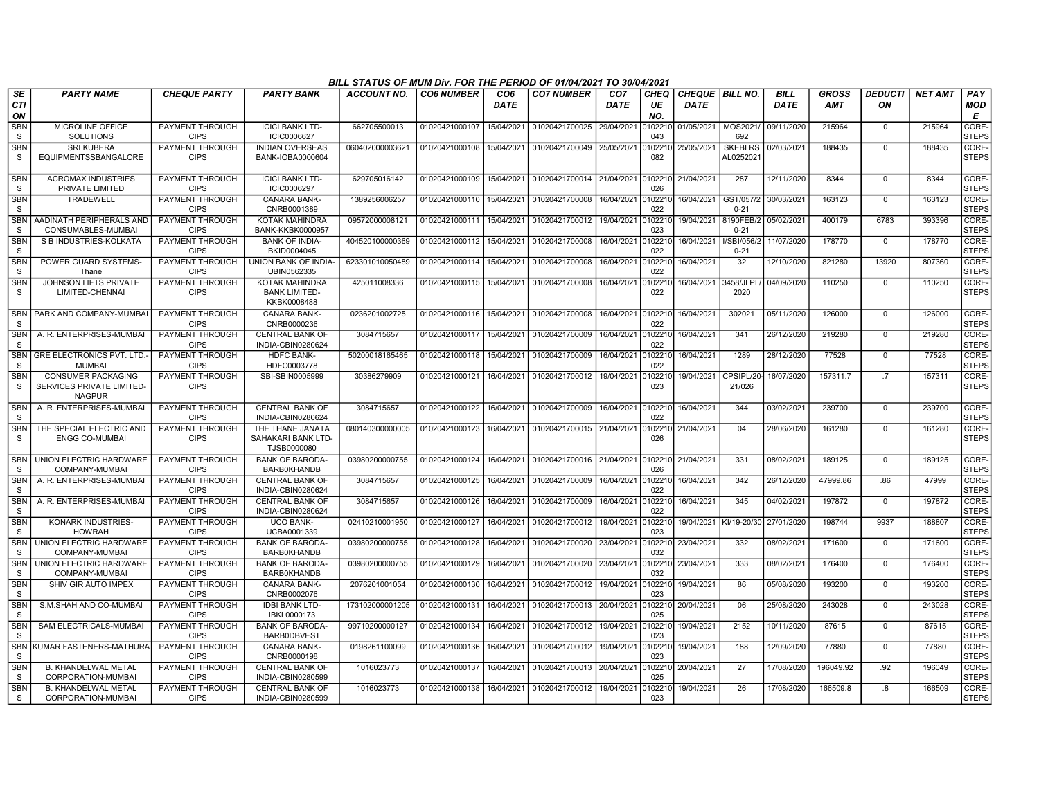|                            |                                                                         |                                       |                                                              | BILL STATUS OF MUM Div. FOR THE PERIOD OF 01/04/2021 TO 30/04/2021 |                   |                         |                           |                                |                   |                                  |                            |                            |                            |                      |                |                        |
|----------------------------|-------------------------------------------------------------------------|---------------------------------------|--------------------------------------------------------------|--------------------------------------------------------------------|-------------------|-------------------------|---------------------------|--------------------------------|-------------------|----------------------------------|----------------------------|----------------------------|----------------------------|----------------------|----------------|------------------------|
| SE<br><b>CTI</b><br>ΟN     | <b>PARTY NAME</b>                                                       | <b>CHEQUE PARTY</b>                   | <b>PARTY BANK</b>                                            | ACCOUNT NO.                                                        | <b>CO6 NUMBER</b> | CO <sub>6</sub><br>DATE | <b>CO7 NUMBER</b>         | CO <sub>7</sub><br><b>DATE</b> | CHEQ<br>UE<br>NO. | CHEQUE   BILL NO.<br><b>DATE</b> |                            | <b>BILL</b><br><b>DATE</b> | <b>GROSS</b><br><b>AMT</b> | <b>DEDUCTI</b><br>ΟN | <b>NET AMT</b> | PAY<br><b>MOD</b><br>Е |
| <b>SBN</b><br>S            | <b>MICROLINE OFFICE</b><br>SOLUTIONS                                    | PAYMENT THROUGH<br><b>CIPS</b>        | <b>ICICI BANK LTD-</b><br>ICIC0006627                        | 662705500013                                                       | 01020421000107    | 15/04/2021              | 01020421700025 29/04/2021 |                                | 010221<br>043     | 01/05/2021                       | MOS2021/<br>692            | 09/11/2020                 | 215964                     | $\Omega$             | 215964         | CORE-<br><b>STEPS</b>  |
| <b>SBN</b><br>S.           | <b>SRI KUBERA</b><br>EQUIPMENTSSBANGALORE                               | PAYMENT THROUGH<br><b>CIPS</b>        | <b>INDIAN OVERSEAS</b><br>BANK-IOBA0000604                   | 060402000003621                                                    | 01020421000108    | 15/04/2021              | 01020421700049 25/05/2021 |                                | 10221<br>082      | 25/05/2021                       | <b>SKEBLRS</b><br>AL025202 | 02/03/2021                 | 188435                     | $\mathbf 0$          | 188435         | CORE-<br><b>STEPS</b>  |
| <b>SBN</b><br>S            | <b>ACROMAX INDUSTRIES</b><br>PRIVATE LIMITED                            | PAYMENT THROUGH<br><b>CIPS</b>        | <b>ICICI BANK LTD-</b><br>ICIC0006297                        | 629705016142                                                       | 01020421000109    | 15/04/2021              | 01020421700014 21/04/2021 |                                | 0102210<br>026    | 21/04/2021                       | 287                        | 12/11/2020                 | 8344                       | $\mathbf 0$          | 8344           | CORE-<br><b>STEPS</b>  |
| <b>SBN</b><br><sub>S</sub> | <b>TRADEWELL</b>                                                        | PAYMENT THROUGH<br><b>CIPS</b>        | <b>CANARA BANK-</b><br>CNRB0001389                           | 1389256006257                                                      | 01020421000110    | 15/04/2021              | 01020421700008            | 16/04/2021                     | 10221<br>022      | 16/04/2021                       | GST/057/2<br>$0 - 21$      | 30/03/2021                 | 163123                     | $\mathbf 0$          | 163123         | CORE-<br><b>STEPS</b>  |
| <b>SBN</b><br><sub>S</sub> | AADINATH PERIPHERALS AND<br>CONSUMABLES-MUMBAI                          | <b>PAYMENT THROUGH</b><br><b>CIPS</b> | KOTAK MAHINDRA<br><b>BANK-KKBK0000957</b>                    | 09572000008121                                                     | 01020421000111    | 15/04/2021              | 01020421700012            | 19/04/2021                     | 10221<br>023      | 19/04/2021                       | 8190FEB/2<br>$0 - 21$      | 05/02/2021                 | 400179                     | 6783                 | 393396         | CORE-<br><b>STEPS</b>  |
| <b>SBN</b><br>S.           | S B INDUSTRIES-KOLKATA                                                  | PAYMENT THROUGH<br><b>CIPS</b>        | <b>BANK OF INDIA-</b><br>BKID0004045                         | 404520100000369                                                    | 01020421000112    | 15/04/2021              | 01020421700008            | 16/04/2021                     | 10221<br>022      | 16/04/2021                       | /SBI/056/2<br>$0 - 21$     | 11/07/2020                 | 178770                     | $\mathbf 0$          | 178770         | CORE-<br><b>STEPS</b>  |
| SBN<br>S                   | POWER GUARD SYSTEMS-<br>Thane                                           | PAYMENT THROUGH<br><b>CIPS</b>        | UNION BANK OF INDIA-<br>UBIN0562335                          | 623301010050489                                                    | 01020421000114    | 15/04/2021              | 01020421700008            | 16/04/2021                     | 10221<br>022      | 16/04/2021                       | 32                         | 12/10/2020                 | 821280                     | 13920                | 807360         | CORE-<br><b>STEPS</b>  |
| <b>SBN</b><br><sub>S</sub> | <b>JOHNSON LIFTS PRIVATE</b><br>LIMITED-CHENNAI                         | PAYMENT THROUGH<br><b>CIPS</b>        | <b>KOTAK MAHINDRA</b><br><b>BANK LIMITED-</b><br>KKBK0008488 | 425011008336                                                       | 01020421000115    | 15/04/2021              | 01020421700008            | 16/04/2021                     | 10221<br>022      | 16/04/2021                       | 3458/JLPL<br>2020          | 04/09/2020                 | 110250                     | $\mathbf 0$          | 110250         | CORE-<br>STEPS         |
| <b>SBN</b><br><sub>S</sub> | PARK AND COMPANY-MUMBA                                                  | PAYMENT THROUGH<br><b>CIPS</b>        | <b>CANARA BANK-</b><br>CNRB0000236                           | 0236201002725                                                      | 01020421000116    | 15/04/2021              | 01020421700008            | 16/04/2021                     | 010221<br>022     | 16/04/2021                       | 302021                     | 05/11/2020                 | 126000                     | $\mathbf 0$          | 126000         | CORE-<br><b>STEPS</b>  |
| <b>SBN</b><br>S            | A. R. ENTERPRISES-MUMBAI                                                | PAYMENT THROUGH<br><b>CIPS</b>        | <b>CENTRAL BANK OF</b><br>INDIA-CBIN0280624                  | 3084715657                                                         | 01020421000117    | 15/04/2021              | 01020421700009            | 16/04/2021                     | 102210<br>022     | 16/04/2021                       | 341                        | 26/12/2020                 | 219280                     | $\mathbf 0$          | 219280         | CORE-<br><b>STEPS</b>  |
| <b>SBN</b><br><sub>S</sub> | <b>GRE ELECTRONICS PVT. LTD.</b><br><b>MUMBAI</b>                       | <b>PAYMENT THROUGH</b><br><b>CIPS</b> | <b>HDFC BANK-</b><br>HDFC0003778                             | 50200018165465                                                     | 01020421000118    | 15/04/2021              | 01020421700009            | 16/04/2021                     | 0102210<br>022    | 16/04/2021                       | 1289                       | 28/12/2020                 | 77528                      | $\overline{0}$       | 77528          | CORE-<br><b>STEPS</b>  |
| SBN<br><sub>S</sub>        | <b>CONSUMER PACKAGING</b><br>SERVICES PRIVATE LIMITED-<br><b>NAGPUR</b> | <b>PAYMENT THROUGH</b><br><b>CIPS</b> | SBI-SBIN0005999                                              | 30386279909                                                        | 01020421000121    | 16/04/2021              | 01020421700012            | 19/04/2021                     | 10221<br>023      | 19/04/2021                       | CPSIPL/20<br>21/026        | 16/07/2020                 | 157311.7                   | .7                   | 157311         | CORE-<br><b>STEPS</b>  |
| <b>SBN</b><br>S.           | A. R. ENTERPRISES-MUMBAI                                                | PAYMENT THROUGH<br><b>CIPS</b>        | <b>CENTRAL BANK OF</b><br>INDIA-CBIN0280624                  | 3084715657                                                         | 01020421000122    | 16/04/2021              | 01020421700009            | 16/04/2021                     | 10221<br>022      | 16/04/2021                       | 344                        | 03/02/2021                 | 239700                     | $\overline{0}$       | 239700         | CORE-<br><b>STEPS</b>  |
| <b>SBN</b><br><sub>S</sub> | THE SPECIAL ELECTRIC AND<br><b>ENGG CO-MUMBAI</b>                       | PAYMENT THROUGH<br><b>CIPS</b>        | THE THANE JANATA<br>SAHAKARI BANK LTD-<br>TJSB0000080        | 080140300000005                                                    | 01020421000123    | 16/04/2021              | 01020421700015 21/04/2021 |                                | 10221<br>026      | 21/04/2021                       | 04                         | 28/06/2020                 | 161280                     | $\Omega$             | 161280         | CORE-<br>STEPS         |
| <b>SBN</b><br>S            | UNION ELECTRIC HARDWARE<br>COMPANY-MUMBAI                               | PAYMENT THROUGH<br><b>CIPS</b>        | <b>BANK OF BARODA</b><br><b>BARB0KHANDB</b>                  | 03980200000755                                                     | 01020421000124    | 16/04/2021              | 01020421700016 21/04/2021 |                                | 0102210<br>026    | 21/04/2021                       | 331                        | 08/02/2021                 | 189125                     | $\Omega$             | 189125         | CORE-<br><b>STEPS</b>  |
| <b>SBN</b><br><sub>S</sub> | A. R. ENTERPRISES-MUMBAI                                                | PAYMENT THROUGH<br><b>CIPS</b>        | <b>CENTRAL BANK OF</b><br>INDIA-CBIN0280624                  | 3084715657                                                         | 01020421000125    | 16/04/2021              | 01020421700009            | 16/04/2021                     | 010221<br>022     | 16/04/2021                       | 342                        | 26/12/2020                 | 47999.86                   | .86                  | 47999          | CORE-<br><b>STEPS</b>  |
| <b>SBN</b><br>S            | A. R. ENTERPRISES-MUMBAI                                                | PAYMENT THROUGH<br><b>CIPS</b>        | <b>CENTRAL BANK OF</b><br>INDIA-CBIN0280624                  | 3084715657                                                         | 01020421000126    | 16/04/2021              | 01020421700009            | 16/04/2021                     | 10221<br>022      | 16/04/2021                       | 345                        | 04/02/2021                 | 197872                     | $\mathbf 0$          | 197872         | CORE-<br><b>STEPS</b>  |
| <b>SBN</b><br>S            | <b>KONARK INDUSTRIES-</b><br><b>HOWRAH</b>                              | PAYMENT THROUGH<br><b>CIPS</b>        | <b>UCO BANK-</b><br>UCBA0001339                              | 02410210001950                                                     | 01020421000127    | 16/04/2021              | 01020421700012            | 19/04/2021                     | 102210<br>023     | 19/04/2021                       | KI/19-20/30                | 27/01/2020                 | 198744                     | 9937                 | 188807         | CORE-<br><b>STEPS</b>  |
| <b>SBN</b><br><b>S</b>     | UNION ELECTRIC HARDWARE<br>COMPANY-MUMBAI                               | PAYMENT THROUGH<br><b>CIPS</b>        | <b>BANK OF BARODA-</b><br><b>BARB0KHANDB</b>                 | 03980200000755                                                     | 01020421000128    | 16/04/2021              | 01020421700020 23/04/2021 |                                | 102210<br>032     | 23/04/2021                       | 332                        | 08/02/2021                 | 171600                     | $\overline{0}$       | 171600         | CORE-<br><b>STEPS</b>  |
| SBN<br>S.                  | UNION ELECTRIC HARDWARE<br>COMPANY-MUMBAI                               | PAYMENT THROUGH<br><b>CIPS</b>        | <b>BANK OF BARODA</b><br><b>BARB0KHANDB</b>                  | 03980200000755                                                     | 01020421000129    | 16/04/2021              | 01020421700020 23/04/2021 |                                | 102210<br>032     | 23/04/2021                       | 333                        | 08/02/2021                 | 176400                     | $\mathbf 0$          | 176400         | CORE-<br><b>STEPS</b>  |
| SBN<br>S                   | SHIV GIR AUTO IMPEX                                                     | PAYMENT THROUGH<br><b>CIPS</b>        | <b>CANARA BANK-</b><br>CNRB0002076                           | 2076201001054                                                      | 01020421000130    | 16/04/2021              | 01020421700012            | 19/04/2021                     | 102210<br>023     | 19/04/2021                       | 86                         | 05/08/2020                 | 193200                     | $\Omega$             | 193200         | CORE-<br><b>STEPS</b>  |
| <b>SBN</b><br>S            | S.M.SHAH AND CO-MUMBAI                                                  | PAYMENT THROUGH<br><b>CIPS</b>        | <b>IDBI BANK LTD-</b><br>IBKL0000173                         | 173102000001205                                                    | 01020421000131    | 16/04/2021              | 01020421700013 20/04/2021 |                                | 102210<br>025     | 20/04/2021                       | 06                         | 25/08/2020                 | 243028                     | $\Omega$             | 243028         | CORE-<br><b>STEPS</b>  |
| <b>SBN</b><br><sub>S</sub> | SAM ELECTRICALS-MUMBA                                                   | PAYMENT THROUGH<br><b>CIPS</b>        | <b>BANK OF BARODA-</b><br><b>BARB0DBVEST</b>                 | 99710200000127                                                     | 01020421000134    | 16/04/2021              | 01020421700012 19/04/2021 |                                | 10221<br>023      | 19/04/2021                       | 2152                       | 10/11/2020                 | 87615                      | $\mathbf 0$          | 87615          | CORE-<br><b>STEPS</b>  |
| S                          | SBN KUMAR FASTENERS-MATHURA                                             | PAYMENT THROUGH<br><b>CIPS</b>        | CANARA BANK-<br>CNRB0000198                                  | 0198261100099                                                      | 01020421000136    | 16/04/2021              | 01020421700012            | 19/04/2021                     | 0102210<br>023    | 19/04/2021                       | 188                        | 12/09/2020                 | 77880                      | $\mathbf 0$          | 77880          | CORE-<br><b>STEPS</b>  |
| SBN<br>S.                  | <b>B. KHANDELWAL METAL</b><br>CORPORATION-MUMBAI                        | PAYMENT THROUGH<br><b>CIPS</b>        | <b>CENTRAL BANK OF</b><br>INDIA-CBIN0280599                  | 1016023773                                                         | 01020421000137    | 16/04/2021              | 01020421700013            | 20/04/2021                     | 102210<br>025     | 20/04/2021                       | 27                         | 17/08/2020                 | 196049.92                  | .92                  | 196049         | CORE-<br><b>STEPS</b>  |
| <b>SBN</b><br>S.           | <b>B. KHANDELWAL METAL</b><br>CORPORATION-MUMBAI                        | PAYMENT THROUGH<br><b>CIPS</b>        | <b>CENTRAL BANK OF</b><br>INDIA-CBIN0280599                  | 1016023773                                                         | 01020421000138    | 16/04/2021              | 01020421700012            | 19/04/2021                     | 102210<br>023     | 19/04/2021                       | 26                         | 17/08/2020                 | 166509.8                   | .8                   | 166509         | CORE-<br><b>STEPS</b>  |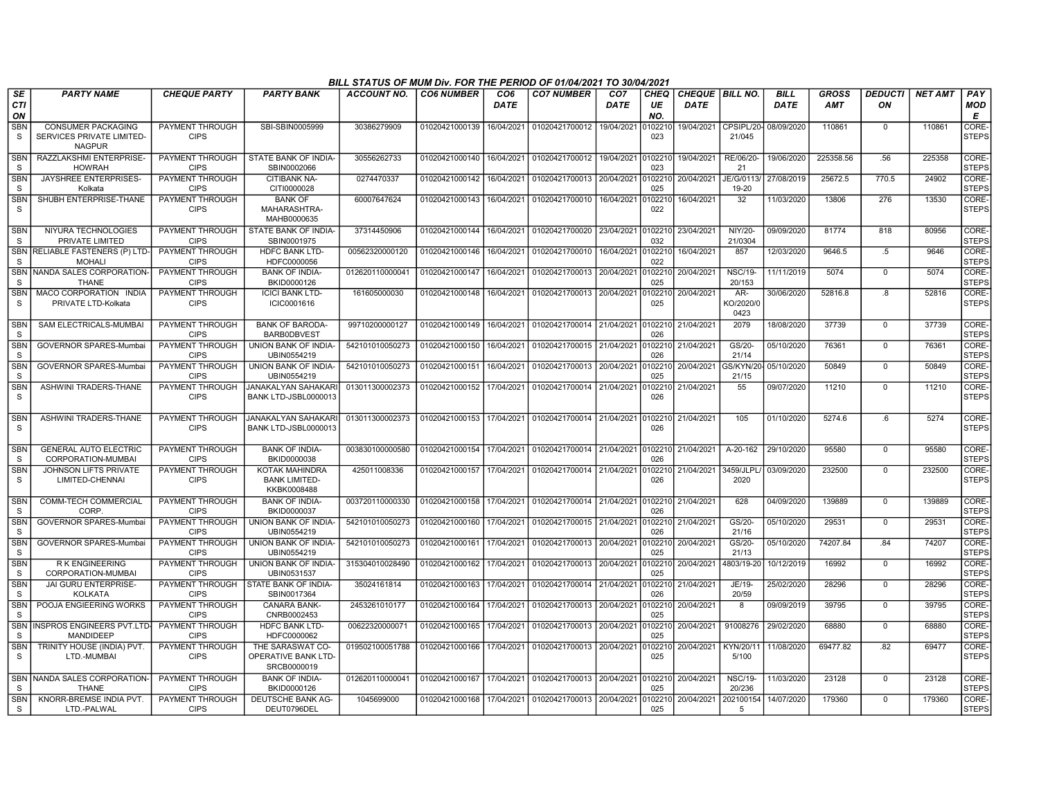|                            |                                                                         |                                       |                                                              | BILL STATUS OF MUM Div. FOR THE PERIOD OF 01/04/2021 TO 30/04/2021 |                           |                         |                                                     |                                |                   |                                       |                          |                            |                            |                      |                |                       |
|----------------------------|-------------------------------------------------------------------------|---------------------------------------|--------------------------------------------------------------|--------------------------------------------------------------------|---------------------------|-------------------------|-----------------------------------------------------|--------------------------------|-------------------|---------------------------------------|--------------------------|----------------------------|----------------------------|----------------------|----------------|-----------------------|
| <b>SE</b><br><b>CTI</b>    | <b>PARTY NAME</b>                                                       | <b>CHEQUE PARTY</b>                   | <b>PARTY BANK</b>                                            | <b>ACCOUNT NO.</b>                                                 | <b>CO6 NUMBER</b>         | CO <sub>6</sub><br>DATE | <b>CO7 NUMBER</b>                                   | CO <sub>7</sub><br><b>DATE</b> | <b>CHEQ</b><br>UE | <b>CHEQUE BILL NO.</b><br><b>DATE</b> |                          | <b>BILL</b><br><b>DATE</b> | <b>GROSS</b><br><b>AMT</b> | <b>DEDUCTI</b><br>ON | <b>NET AMT</b> | PAY<br><b>MOD</b>     |
| ON                         |                                                                         |                                       |                                                              |                                                                    |                           |                         |                                                     |                                | NO.               |                                       |                          |                            |                            |                      |                | Е                     |
| <b>SBN</b><br>S            | <b>CONSUMER PACKAGING</b><br>SERVICES PRIVATE LIMITED-<br><b>NAGPUR</b> | PAYMENT THROUGH<br><b>CIPS</b>        | SBI-SBIN0005999                                              | 30386279909                                                        | 01020421000139            | 16/04/2021              | 01020421700012                                      | 19/04/2021                     | )102210<br>023    | 19/04/2021                            | CPSIPL/20<br>21/045      | 08/09/2020                 | 110861                     | 0                    | 110861         | CORE-<br><b>STEPS</b> |
| <b>SBN</b><br>S            | RAZZLAKSHMI ENTERPRISE-<br><b>HOWRAH</b>                                | PAYMENT THROUGH<br><b>CIPS</b>        | STATE BANK OF INDIA-<br>SBIN0002066                          | 30556262733                                                        | 01020421000140            | 16/04/2021              | 01020421700012 19/04/2021 0102210                   |                                | 023               | 19/04/2021                            | RE/06/20-<br>21          | 19/06/2020                 | 225358.56                  | .56                  | 225358         | CORE-<br><b>STEPS</b> |
| <b>SBN</b><br>S            | JAYSHREE ENTERPRISES-<br>Kolkata                                        | <b>PAYMENT THROUGH</b><br><b>CIPS</b> | <b>CITIBANK NA-</b><br>CITI0000028                           | 0274470337                                                         | 01020421000142            | 16/04/2021              | 01020421700013 20/04/2021                           |                                | 102210<br>025     | 20/04/2021                            | JE/G/0113<br>19-20       | 27/08/2019                 | 25672.5                    | 770.5                | 24902          | CORE-<br><b>STEPS</b> |
| <b>SBN</b><br>S            | SHUBH ENTERPRISE-THANE                                                  | PAYMENT THROUGH<br><b>CIPS</b>        | <b>BANK OF</b><br>MAHARASHTRA-<br>MAHB0000635                | 60007647624                                                        | 01020421000143            | 16/04/2021              | 01020421700010                                      | 16/04/2021                     | 102210<br>022     | 16/04/2021                            | $\overline{32}$          | 11/03/2020                 | 13806                      | 276                  | 13530          | CORE-<br><b>STEPS</b> |
| <b>SBN</b><br>S.           | NIYURA TECHNOLOGIES<br>PRIVATE LIMITED                                  | PAYMENT THROUGH<br><b>CIPS</b>        | STATE BANK OF INDIA-<br>SBIN0001975                          | 37314450906                                                        | 01020421000144            | 16/04/2021              | 01020421700020                                      | 23/04/2021                     | 0102210<br>032    | 23/04/2021                            | NIY/20-<br>21/0304       | 09/09/2020                 | 81774                      | 818                  | 80956          | CORE-<br><b>STEPS</b> |
| <b>SBN</b><br>S            | <b>RELIABLE FASTENERS (P) LTD-</b><br><b>MOHALI</b>                     | <b>PAYMENT THROUGH</b><br><b>CIPS</b> | <b>HDFC BANK LTD-</b><br>HDFC0000056                         | 00562320000120                                                     | 01020421000146            | 16/04/2021              | 01020421700010                                      | 16/04/2021                     | 102210<br>022     | 16/04/2021                            | 857                      | 12/03/2020                 | 9646.5                     | $.5\,$               | 9646           | CORE-<br><b>STEPS</b> |
| S                          | SBN NANDA SALES CORPORATION<br><b>THANE</b>                             | PAYMENT THROUGH<br><b>CIPS</b>        | <b>BANK OF INDIA-</b><br>BKID0000126                         | 012620110000041                                                    | 01020421000147            | 16/04/2021              | 01020421700013 20/04/2021                           |                                | 102210<br>025     | 20/04/2021                            | <b>NSC/19-</b><br>20/153 | 11/11/2019                 | 5074                       | $\mathbf 0$          | 5074           | CORE-<br><b>STEPS</b> |
| <b>SBN</b><br>S            | MACO CORPORATION INDIA<br>PRIVATE LTD-Kolkata                           | PAYMENT THROUGH<br><b>CIPS</b>        | <b>ICICI BANK LTD-</b><br>ICIC0001616                        | 161605000030                                                       | 01020421000148            | 16/04/2021              | 01020421700013                                      | 20/04/2021                     | 102210<br>025     | 20/04/2021                            | AR-<br>KO/2020/0<br>0423 | 30/06/2020                 | 52816.8                    | .8                   | 52816          | CORE-<br><b>STEPS</b> |
| <b>SBN</b><br><sub>S</sub> | SAM ELECTRICALS-MUMBAI                                                  | PAYMENT THROUGH<br><b>CIPS</b>        | <b>BANK OF BARODA</b><br><b>BARBODBVEST</b>                  | 99710200000127                                                     | 01020421000149            | 16/04/2021              | 01020421700014 21/04/2021                           |                                | 102210<br>026     | 21/04/2021                            | 2079                     | 18/08/2020                 | 37739                      | $\mathbf 0$          | 37739          | CORE-<br><b>STEPS</b> |
| <b>SBN</b><br>-S           | <b>GOVERNOR SPARES-Mumbai</b>                                           | PAYMENT THROUGH<br><b>CIPS</b>        | <b>UNION BANK OF INDIA-</b><br>UBIN0554219                   | 542101010050273                                                    | 01020421000150            | 16/04/2021              | 01020421700015 21/04/2021                           |                                | 102210<br>026     | 21/04/2021                            | GS/20-<br>21/14          | 05/10/2020                 | 76361                      | $\mathbf 0$          | 76361          | CORE-<br><b>STEPS</b> |
| <b>SBN</b><br>S            | GOVERNOR SPARES-Mumba                                                   | PAYMENT THROUGH<br><b>CIPS</b>        | UNION BANK OF INDIA-<br>UBIN0554219                          | 542101010050273                                                    | 01020421000151            | 16/04/2021              | 01020421700013 20/04/2021                           |                                | 102210<br>025     | 20/04/2021                            | GS/KYN/20<br>21/15       | 05/10/2020                 | 50849                      | $\mathbf 0$          | 50849          | CORE-<br><b>STEPS</b> |
| <b>SBN</b><br><sub>S</sub> | ASHWINI TRADERS-THANE                                                   | PAYMENT THROUGH<br><b>CIPS</b>        | <b>JANAKALYAN SAHAKARI</b><br>BANK LTD-JSBL0000013           | 013011300002373                                                    | 01020421000152            | 17/04/2021              | 01020421700014 21/04/2021                           |                                | 102210<br>026     | 21/04/2021                            | 55                       | 09/07/2020                 | 11210                      | $\mathbf 0$          | 11210          | CORE-<br><b>STEPS</b> |
| <b>SBN</b><br>S.           | ASHWINI TRADERS-THANE                                                   | PAYMENT THROUGH<br><b>CIPS</b>        | <b>JANAKALYAN SAHAKAR</b><br>BANK LTD-JSBL0000013            | 013011300002373                                                    | 01020421000153            | 17/04/2021              | 01020421700014 21/04/2021                           |                                | 0102210<br>026    | 21/04/2021                            | 105                      | 01/10/2020                 | 5274.6                     | 6.6                  | 5274           | CORE-<br><b>STEPS</b> |
| <b>SBN</b><br>$\mathbf S$  | <b>GENERAL AUTO ELECTRIC</b><br>CORPORATION-MUMBAI                      | PAYMENT THROUGH<br><b>CIPS</b>        | <b>BANK OF INDIA-</b><br>BKID0000038                         | 003830100000580                                                    | 01020421000154 17/04/2021 |                         | 01020421700014 21/04/2021 0102210 21/04/2021        |                                | በ26               |                                       | A-20-162                 | 29/10/2020                 | 95580                      | $\mathbf 0$          | 95580          | CORE-<br><b>STEPS</b> |
| <b>SBN</b><br>S            | JOHNSON LIFTS PRIVATE<br>LIMITED-CHENNAI                                | PAYMENT THROUGH<br><b>CIPS</b>        | <b>KOTAK MAHINDRA</b><br><b>BANK LIMITED-</b><br>KKBK0008488 | 425011008336                                                       | 01020421000157            | 17/04/2021              | 01020421700014 21/04/2021                           |                                | 102210<br>026     | 21/04/2021                            | 3459/JLPL<br>2020        | 03/09/2020                 | 232500                     | $\Omega$             | 232500         | CORE-<br><b>STEPS</b> |
| <b>SBN</b><br>S.           | <b>COMM-TECH COMMERCIAL</b><br><b>CORP</b>                              | PAYMENT THROUGH<br><b>CIPS</b>        | <b>BANK OF INDIA-</b><br>BKID0000037                         | 003720110000330                                                    | 01020421000158 17/04/2021 |                         | 01020421700014 21/04/2021 0102210                   |                                | 026               | 21/04/2021                            | 628                      | 04/09/2020                 | 139889                     | $\Omega$             | 139889         | CORE-<br><b>STEPS</b> |
| <b>SBN</b><br>S            | GOVERNOR SPARES-Mumbai                                                  | PAYMENT THROUGH<br><b>CIPS</b>        | UNION BANK OF INDIA-<br>UBIN0554219                          | 542101010050273                                                    | 01020421000160            | 17/04/2021              | 01020421700015 21/04/2021                           |                                | 0102210<br>026    | 21/04/2021                            | GS/20-<br>21/16          | 05/10/2020                 | 29531                      | $\mathbf 0$          | 29531          | CORE-<br><b>STEPS</b> |
| <b>SBN</b><br>S            | GOVERNOR SPARES-Mumba                                                   | PAYMENT THROUGH<br><b>CIPS</b>        | UNION BANK OF INDIA-<br>UBIN0554219                          | 542101010050273                                                    | 01020421000161            | 17/04/2021              | 01020421700013                                      | 20/04/2021                     | 102210<br>025     | 20/04/2021                            | GS/20-<br>21/13          | 05/10/2020                 | 74207.84                   | .84                  | 74207          | CORE-<br>STEPS        |
| <b>SBN</b><br><sub>S</sub> | <b>RK ENGINEERING</b><br>CORPORATION-MUMBAI                             | PAYMENT THROUGH<br><b>CIPS</b>        | UNION BANK OF INDIA-<br>UBIN0531537                          | 315304010028490                                                    | 01020421000162            | 17/04/2021              | 01020421700013                                      | 20/04/2021                     | 102210<br>025     | 20/04/2021                            | 4803/19-20               | 10/12/2019                 | 16992                      | $\overline{0}$       | 16992          | CORE-<br><b>STEPS</b> |
| <b>SBN</b><br>S            | <b>JAI GURU ENTERPRISE-</b><br><b>KOLKATA</b>                           | PAYMENT THROUGH<br><b>CIPS</b>        | <b>STATE BANK OF INDIA-</b><br>SBIN0017364                   | 35024161814                                                        | 01020421000163            | 17/04/2021              | 01020421700014 21/04/2021                           |                                | 102210<br>026     | 21/04/2021                            | JE/19-<br>20/59          | 25/02/2020                 | 28296                      | $\mathbf 0$          | 28296          | CORE-<br><b>STEPS</b> |
| <b>SBN</b><br><sub>S</sub> | POOJA ENGIEERING WORKS                                                  | PAYMENT THROUGH<br><b>CIPS</b>        | <b>CANARA BANK-</b><br>CNRB0002453                           | 2453261010177                                                      | 01020421000164            | 17/04/2021              | 01020421700013 20/04/2021                           |                                | 0102210<br>025    | 20/04/2021                            | 8                        | 09/09/2019                 | 39795                      | $\mathbf 0$          | 39795          | CORE-<br><b>STEPS</b> |
| <b>SBN</b><br>S            | INSPROS ENGINEERS PVT.LTD-<br>MANDIDEEP                                 | PAYMENT THROUGH<br><b>CIPS</b>        | <b>HDFC BANK LTD-</b><br>HDFC0000062                         | 00622320000071                                                     | 01020421000165            | 17/04/2021              | 01020421700013 20/04/2021                           |                                | 102210<br>025     | 20/04/2021                            | 91008276                 | 29/02/2020                 | 68880                      | $\mathbf 0$          | 68880          | CORE-<br><b>STEPS</b> |
| <b>SBN</b><br>S            | TRINITY HOUSE (INDIA) PVT.<br>LTD.-MUMBAI                               | PAYMENT THROUGH<br><b>CIPS</b>        | THE SARASWAT CO-<br>OPERATIVE BANK LTD-<br>SRCB0000019       | 019502100051788                                                    | 01020421000166            | 17/04/2021              | 01020421700013 20/04/2021                           |                                | 102210<br>025     | 20/04/2021                            | KYN/20/11<br>5/100       | 11/08/2020                 | 69477.82                   | .82                  | 69477          | CORE-<br><b>STEPS</b> |
| -S                         | SBN NANDA SALES CORPORATION<br><b>THANE</b>                             | PAYMENT THROUGH<br><b>CIPS</b>        | <b>BANK OF INDIA-</b><br>BKID0000126                         | 012620110000041                                                    | 01020421000167            | 17/04/2021              | 01020421700013 20/04/2021                           |                                | 0102210<br>025    | 20/04/2021                            | <b>NSC/19-</b><br>20/236 | 11/03/2020                 | 23128                      | $\mathbf 0$          | 23128          | CORE-<br>STEPS        |
| <b>SBN</b><br>S.           | KNORR-BREMSE INDIA PVT.<br>LTD.-PALWAL                                  | PAYMENT THROUGH<br><b>CIPS</b>        | DEUTSCHE BANK AG-<br>DEUT0796DEL                             | 1045699000                                                         |                           |                         | 01020421000168 17/04/2021 01020421700013 20/04/2021 |                                | 025               | 0102210 20/04/2021                    | 202100154<br>-5          | 14/07/2020                 | 179360                     | $\Omega$             | 179360         | CORE-<br><b>STEPS</b> |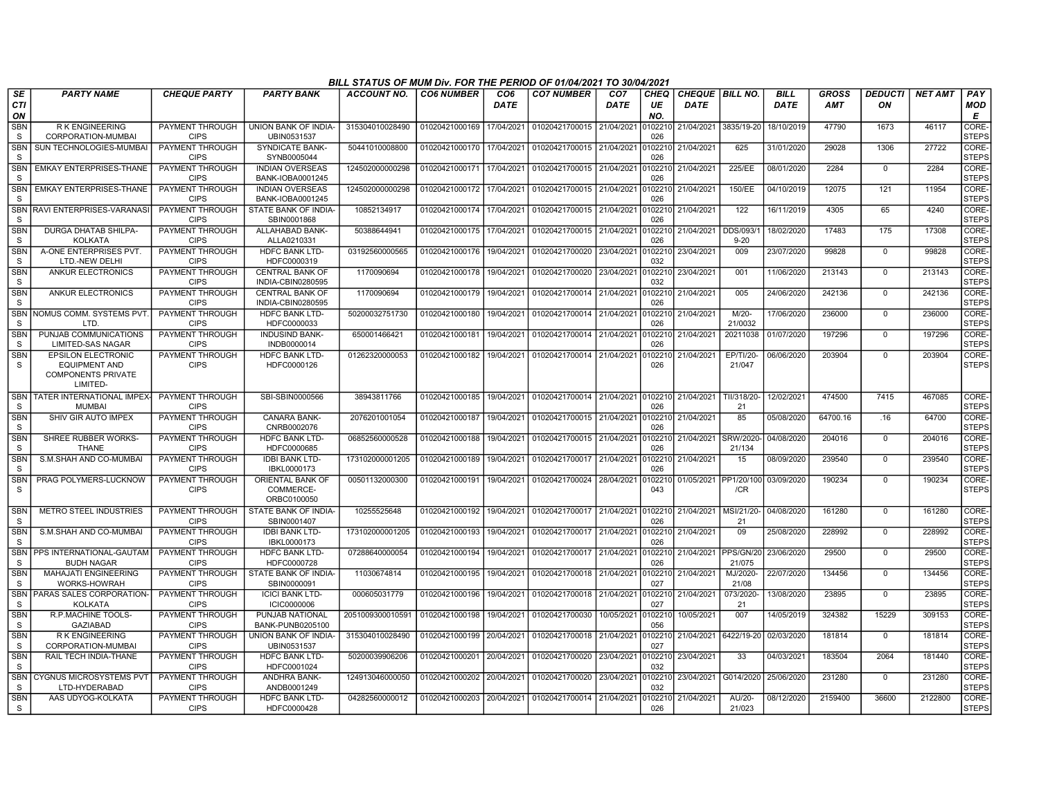|                            |                                                   |                                |                                             | BILL STATUS OF MUM Div. FOR THE PERIOD OF 01/04/2021 TO 30/04/2021 |                   |                         |                                                     |                                |                   |                                       |                     |                            |                            |                      |                |                             |
|----------------------------|---------------------------------------------------|--------------------------------|---------------------------------------------|--------------------------------------------------------------------|-------------------|-------------------------|-----------------------------------------------------|--------------------------------|-------------------|---------------------------------------|---------------------|----------------------------|----------------------------|----------------------|----------------|-----------------------------|
| <b>SE</b><br><b>CTI</b>    | <b>PARTY NAME</b>                                 | <b>CHEQUE PARTY</b>            | <b>PARTY BANK</b>                           | <b>ACCOUNT NO.</b>                                                 | <b>CO6 NUMBER</b> | CO <sub>6</sub><br>DATE | <b>CO7 NUMBER</b>                                   | CO <sub>7</sub><br><b>DATE</b> | <b>CHEQ</b><br>UE | <b>CHEQUE BILL NO.</b><br><b>DATE</b> |                     | <b>BILL</b><br><b>DATE</b> | <b>GROSS</b><br><b>AMT</b> | <b>DEDUCTI</b><br>ΟN | <b>NET AMT</b> | PAY<br>MOD                  |
| ON                         |                                                   |                                |                                             |                                                                    |                   |                         |                                                     |                                | NO.               |                                       |                     |                            |                            |                      |                | E                           |
| <b>SBN</b>                 | <b>RK ENGINEERING</b><br>CORPORATION-MUMBAI       | PAYMENT THROUGH<br><b>CIPS</b> | UNION BANK OF INDIA-<br>UBIN0531537         | 315304010028490                                                    | 01020421000169    | 17/04/2021              | 01020421700015                                      | 21/04/2021                     | )102210<br>026    | 21/04/2021                            | 3835/19-20          | 18/10/2019                 | 47790                      | 1673                 | 46117          | <b>CORE</b><br><b>STEPS</b> |
| S<br><b>SBN</b>            | SUN TECHNOLOGIES-MUMBAI                           | PAYMENT THROUGH                | SYNDICATE BANK-                             | 50441010008800                                                     | 01020421000170    | 17/04/2021              | 01020421700015 21/04/2021                           |                                | 102210            | 21/04/2021                            | 625                 | 31/01/2020                 | 29028                      | 1306                 | 27722          | CORE-                       |
| S                          |                                                   | <b>CIPS</b>                    | SYNB0005044                                 |                                                                    |                   |                         |                                                     |                                | 026               |                                       |                     |                            |                            |                      |                | <b>STEPS</b>                |
| <b>SBN</b>                 | <b>EMKAY ENTERPRISES-THANE</b>                    | <b>PAYMENT THROUGH</b>         | <b>INDIAN OVERSEAS</b>                      | 124502000000298                                                    | 01020421000171    | 17/04/2021              | 01020421700015 21/04/2021                           |                                | 0102210           | 21/04/2021                            | 225/EE              | 08/01/2020                 | 2284                       | $\Omega$             | 2284           | CORE-                       |
| <sub>S</sub>               |                                                   | <b>CIPS</b>                    | BANK-IOBA0001245                            |                                                                    |                   |                         |                                                     |                                | 026               |                                       |                     |                            |                            |                      |                | <b>STEPS</b>                |
| <b>SBN</b><br>S            | <b>EMKAY ENTERPRISES-THANE</b>                    | PAYMENT THROUGH<br><b>CIPS</b> | <b>INDIAN OVERSEAS</b><br>BANK-IOBA0001245  | 124502000000298                                                    | 01020421000172    | 17/04/2021              | 01020421700015 21/04/2021                           |                                | 102210<br>026     | 21/04/2021                            | 150/EE              | 04/10/2019                 | 12075                      | 121                  | 11954          | CORE-<br><b>STEPS</b>       |
| <b>SBN</b><br>S            | RAVI ENTERPRISES-VARANAS                          | PAYMENT THROUGH<br><b>CIPS</b> | STATE BANK OF INDIA<br>SBIN0001868          | 10852134917                                                        | 01020421000174    | 17/04/2021              | 01020421700015 21/04/2021                           |                                | 102210<br>026     | 21/04/2021                            | 122                 | 16/11/2019                 | 4305                       | 65                   | 4240           | CORE-<br><b>STEPS</b>       |
| <b>SBN</b>                 | <b>DURGA DHATAB SHILPA-</b>                       | <b>PAYMENT THROUGH</b>         | ALLAHABAD BANK-                             | 50388644941                                                        | 01020421000175    | 17/04/2021              | 01020421700015 21/04/2021                           |                                | 0102210           | 21/04/2021                            | <b>DDS/093/</b>     | 18/02/2020                 | 17483                      | 175                  | 17308          | CORE-                       |
| S                          | <b>KOLKATA</b>                                    | <b>CIPS</b>                    | ALLA0210331                                 |                                                                    |                   |                         |                                                     |                                | 026               |                                       | $9 - 20$            |                            |                            |                      |                | <b>STEPS</b>                |
| <b>SBN</b><br><sub>S</sub> | A-ONE ENTERPRISES PVT.<br>LTD.-NEW DELHI          | PAYMENT THROUGH<br><b>CIPS</b> | <b>HDFC BANK LTD-</b><br>HDFC0000319        | 03192560000565                                                     | 01020421000176    | 19/04/2021              | 01020421700020                                      | 23/04/2021                     | 102210<br>032     | 23/04/2021                            | 009                 | 23/07/2020                 | 99828                      | $\mathbf 0$          | 99828          | CORE-<br><b>STEPS</b>       |
| <b>SBN</b><br>S            | <b>ANKUR ELECTRONICS</b>                          | PAYMENT THROUGH<br><b>CIPS</b> | <b>CENTRAL BANK OF</b><br>INDIA-CBIN0280595 | 1170090694                                                         | 01020421000178    | 19/04/2021              | 01020421700020                                      | 23/04/2021                     | 102210<br>032     | 23/04/2021                            | 001                 | 11/06/2020                 | 213143                     | $\mathbf 0$          | 213143         | CORE-<br><b>STEPS</b>       |
| <b>SBN</b>                 | <b>ANKUR ELECTRONICS</b>                          | PAYMENT THROUGH                | <b>CENTRAL BANK OF</b>                      | 1170090694                                                         | 01020421000179    | 19/04/2021              | 01020421700014                                      | 21/04/2021                     |                   | 102210 21/04/2021                     | 005                 | 24/06/2020                 | 242136                     | $\mathbf 0$          | 242136         | CORE-                       |
| S                          |                                                   | <b>CIPS</b>                    | INDIA-CBIN0280595                           |                                                                    |                   |                         |                                                     |                                | 026               |                                       |                     |                            |                            |                      |                | <b>STEPS</b>                |
| SBN                        | NOMUS COMM. SYSTEMS PVT                           | <b>PAYMENT THROUGH</b>         | <b>HDFC BANK LTD-</b>                       | 50200032751730                                                     | 01020421000180    | 19/04/2021              | 01020421700014 21/04/2021                           |                                | 102210            | 21/04/2021                            | M/20                | 17/06/2020                 | 236000                     | $\Omega$             | 236000         | CORE-                       |
| S<br><b>SBN</b>            | LTD.<br>PUNJAB COMMUNICATIONS                     | <b>CIPS</b><br>PAYMENT THROUGH | HDFC0000033<br><b>INDUSIND BANK-</b>        | 650001466421                                                       | 01020421000181    | 19/04/2021              | 01020421700014 21/04/2021                           |                                | 026<br>102210     | 21/04/2021                            | 21/0032<br>20211038 | 01/07/2020                 | 197296                     | $\mathbf 0$          | 197296         | <b>STEPS</b><br>CORE-       |
| S                          | LIMITED-SAS NAGAR                                 | <b>CIPS</b>                    | INDB0000014                                 |                                                                    |                   |                         |                                                     |                                | 026               |                                       |                     |                            |                            |                      |                | <b>STEPS</b>                |
| <b>SBN</b><br>S            | <b>EPSILON ELECTRONIC</b><br><b>EQUIPMENT AND</b> | PAYMENT THROUGH<br><b>CIPS</b> | HDFC BANK LTD-<br>HDFC0000126               | 01262320000053                                                     | 01020421000182    | 19/04/2021              | 01020421700014                                      | 21/04/2021                     | 102210<br>026     | 21/04/2021                            | EP/TI/20-<br>21/047 | 06/06/2020                 | 203904                     | $^{\circ}$           | 203904         | CORE-<br><b>STEPS</b>       |
|                            | <b>COMPONENTS PRIVATE</b><br>LIMITED-             |                                |                                             |                                                                    |                   |                         |                                                     |                                |                   |                                       |                     |                            |                            |                      |                |                             |
| <b>SBN</b><br>S            | <b>TATER INTERNATIONAL IMPEX</b><br><b>MUMBAI</b> | PAYMENT THROUGH<br><b>CIPS</b> | SBI-SBIN0000566                             | 38943811766                                                        | 01020421000185    | 19/04/2021              | 01020421700014 21/04/2021                           |                                | 0102210<br>026    | 21/04/2021                            | TII/318/20-<br>21   | 12/02/2021                 | 474500                     | 7415                 | 467085         | CORE-<br><b>STEPS</b>       |
| SBN<br>S.                  | SHIV GIR AUTO IMPEX                               | PAYMENT THROUGH<br><b>CIPS</b> | <b>CANARA BANK-</b><br>CNRB0002076          | 2076201001054                                                      | 01020421000187    | 19/04/2021              | 01020421700015 21/04/2021                           |                                | 0102210<br>026    | 21/04/2021                            | 85                  | 05/08/2020                 | 64700.16                   | .16                  | 64700          | CORE-<br><b>STEPS</b>       |
| <b>SBN</b><br>S            | SHREE RUBBER WORKS-<br><b>THANE</b>               | PAYMENT THROUGH<br><b>CIPS</b> | <b>HDFC BANK LTD-</b><br>HDFC0000685        | 06852560000528                                                     | 01020421000188    | 19/04/2021              | 01020421700015 21/04/2021                           |                                | 102210<br>026     | 21/04/2021                            | SRW/2020-<br>21/134 | 04/08/2020                 | 204016                     | $\mathbf 0$          | 204016         | CORE-<br><b>STEPS</b>       |
| <b>SBN</b>                 | S.M.SHAH AND CO-MUMBAI                            | PAYMENT THROUGH                | <b>IDBI BANK LTD-</b>                       | 173102000001205                                                    | 01020421000189    | 19/04/2021              | 01020421700017                                      | 21/04/2021                     | 102210            | 21/04/2021                            | 15                  | 08/09/2020                 | 239540                     | $\overline{0}$       | 239540         | CORE-                       |
| <sub>S</sub><br><b>SBN</b> | PRAG POLYMERS-LUCKNOW                             | <b>CIPS</b><br>PAYMENT THROUGH | IBKL0000173<br>ORIENTAL BANK OF             | 00501132000300                                                     | 01020421000191    | 19/04/2021              | 01020421700024 28/04/2021                           |                                | 026<br>0102210    | 01/05/2021 PP1/20/100                 |                     | 03/09/2020                 | 190234                     | $\Omega$             | 190234         | <b>STEPS</b><br>CORE-       |
| S                          |                                                   | <b>CIPS</b>                    | COMMERCE-<br>ORBC0100050                    |                                                                    |                   |                         |                                                     |                                | 043               |                                       | /CR                 |                            |                            |                      |                | <b>STEPS</b>                |
| <b>SBN</b><br>S            | METRO STEEL INDUSTRIES                            | PAYMENT THROUGH<br><b>CIPS</b> | STATE BANK OF INDIA-<br>SBIN0001407         | 10255525648                                                        | 01020421000192    | 19/04/2021              | 01020421700017 21/04/2021                           |                                | 026               | 0102210 21/04/2021                    | MSI/21/20-<br>21    | 04/08/2020                 | 161280                     | $^{\circ}$           | 161280         | CORE-<br><b>STEPS</b>       |
| <b>SBN</b>                 | S.M.SHAH AND CO-MUMBAI                            | PAYMENT THROUGH                | <b>IDBI BANK LTD-</b>                       | 173102000001205                                                    | 01020421000193    | 19/04/2021              | 01020421700017 21/04/2021                           |                                | 102210            | 21/04/2021                            | 09                  | 25/08/2020                 | 228992                     | $\overline{0}$       | 228992         | CORE-                       |
| S                          |                                                   | <b>CIPS</b>                    | IBKL0000173                                 |                                                                    |                   |                         |                                                     |                                | 026               |                                       |                     |                            |                            |                      |                | <b>STEPS</b>                |
| SBN<br>S.                  | PPS INTERNATIONAL-GAUTAM<br><b>BUDH NAGAR</b>     | PAYMENT THROUGH<br><b>CIPS</b> | <b>HDFC BANK LTD-</b><br>HDFC0000728        | 07288640000054                                                     | 01020421000194    | 19/04/2021              | 01020421700017                                      | 21/04/2021                     | 102210<br>026     | 21/04/2021 PPS/GN/20                  | 21/075              | 23/06/2020                 | 29500                      | $\Omega$             | 29500          | CORE-<br><b>STEPS</b>       |
| <b>SBN</b><br>S            | <b>MAHAJATI ENGINEERING</b><br>WORKS-HOWRAH       | PAYMENT THROUGH<br><b>CIPS</b> | STATE BANK OF INDIA-<br>SBIN0000091         | 11030674814                                                        | 01020421000195    | 19/04/2021              | 01020421700018 21/04/2021                           |                                | 102210<br>027     | 21/04/2021                            | MJ/2020-<br>21/08   | 22/07/2020                 | 134456                     | $\mathbf 0$          | 134456         | CORE-<br><b>STEPS</b>       |
| <b>SBN</b>                 | PARAS SALES CORPORATION-                          | PAYMENT THROUGH                | <b>ICICI BANK LTD-</b>                      | 000605031779                                                       | 01020421000196    | 19/04/2021              | 01020421700018                                      | 21/04/2021                     | 102210            | 21/04/2021                            | 073/2020-           | 13/08/2020                 | 23895                      | $\mathbf 0$          | 23895          | CORE-                       |
| S                          | <b>KOLKATA</b>                                    | <b>CIPS</b>                    | <b>ICIC0000006</b>                          |                                                                    |                   |                         |                                                     |                                | 027               |                                       | 21                  |                            |                            |                      |                | <b>STEPS</b>                |
| <b>SBN</b><br>S            | R.P.MACHINE TOOLS-<br><b>GAZIABAD</b>             | PAYMENT THROUGH<br><b>CIPS</b> | PUNJAB NATIONAL<br>BANK-PUNB0205100         | 205100930001059                                                    | 01020421000198    | 19/04/2021              | 01020421700030                                      | 10/05/2021                     | 102210<br>056     | 10/05/2021                            | 007                 | 14/05/2019                 | 324382                     | 15229                | 309153         | CORE-<br><b>STEPS</b>       |
| <b>SBN</b>                 | <b>RK ENGINEERING</b>                             | PAYMENT THROUGH                | UNION BANK OF INDIA-                        | 315304010028490                                                    | 01020421000199    | 20/04/2021              | 01020421700018 21/04/2021                           |                                | 102210            | 21/04/2021 6422/19-20                 |                     | 02/03/2020                 | 181814                     | $\mathbf 0$          | 181814         | CORE-                       |
| S                          | CORPORATION-MUMBAI                                | <b>CIPS</b>                    | UBIN0531537                                 |                                                                    |                   |                         |                                                     |                                | 027               |                                       |                     |                            |                            |                      |                | <b>STEPS</b>                |
| <b>SBN</b><br>S            | RAIL TECH INDIA-THANE                             | PAYMENT THROUGH<br><b>CIPS</b> | <b>HDFC BANK LTD-</b><br>HDFC0001024        | 50200039906206                                                     | 01020421000201    | 20/04/2021              | 01020421700020                                      | 23/04/2021                     | 0102210<br>032    | 23/04/2021                            | 33                  | 04/03/2021                 | 183504                     | 2064                 | 181440         | CORE-<br><b>STEPS</b>       |
| <b>SBN</b><br><sub>S</sub> | <b>CYGNUS MICROSYSTEMS PVT</b><br>LTD-HYDERABAD   | PAYMENT THROUGH<br><b>CIPS</b> | ANDHRA BANK-<br>ANDB0001249                 | 124913046000050                                                    | 01020421000202    | 20/04/2021              | 01020421700020                                      | 23/04/2021                     | 102210<br>032     | 23/04/2021                            | G014/2020           | 25/06/2020                 | 231280                     | $\mathbf 0$          | 231280         | CORE-<br><b>STEPS</b>       |
| <b>SBN</b><br>S            | AAS UDYOG-KOLKATA                                 | PAYMENT THROUGH<br><b>CIPS</b> | <b>HDFC BANK LTD-</b><br>HDFC0000428        | 04282560000012                                                     |                   |                         | 01020421000203 20/04/2021 01020421700014 21/04/2021 |                                | 026               | 0102210 21/04/2021                    | AU/20-<br>21/023    | 08/12/2020                 | 2159400                    | 36600                | 2122800        | CORE-<br><b>STEPS</b>       |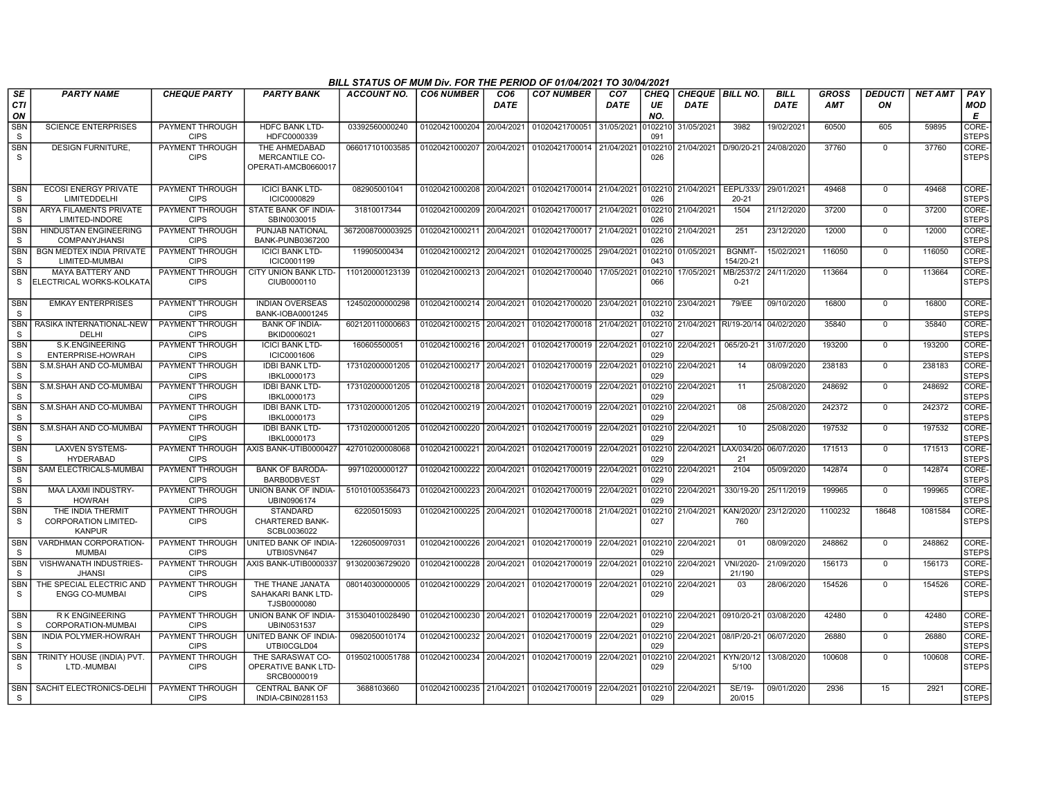|                            | BILL STATUS OF MUM Div. FOR THE PERIOD OF 01/04/2021 TO 30/04/2021<br><b>BILL</b><br><b>GROSS</b><br>PAY<br><b>PARTY NAME</b><br><b>CHEQUE PARTY</b><br><b>PARTY BANK</b><br><b>ACCOUNT NO.</b><br><b>CO6 NUMBER</b><br>CO <sub>6</sub><br><b>CO7 NUMBER</b><br>CO <sub>7</sub><br><b>CHEQ</b><br>CHEQUE   BILL NO.<br><b>DEDUCTI</b><br><b>NET AMT</b> |                                       |                                                               |                  |                           |             |                                                                        |             |                |                        |                            |             |         |                |         |                       |
|----------------------------|---------------------------------------------------------------------------------------------------------------------------------------------------------------------------------------------------------------------------------------------------------------------------------------------------------------------------------------------------------|---------------------------------------|---------------------------------------------------------------|------------------|---------------------------|-------------|------------------------------------------------------------------------|-------------|----------------|------------------------|----------------------------|-------------|---------|----------------|---------|-----------------------|
| SE<br><b>CTI</b><br>ON     |                                                                                                                                                                                                                                                                                                                                                         |                                       |                                                               |                  |                           | <b>DATE</b> |                                                                        | <b>DATE</b> | UE<br>NO.      | <b>DATE</b>            |                            | <b>DATE</b> | AMT     | ON             |         | <b>MOD</b><br>E       |
| <b>SBN</b><br><sub>S</sub> | <b>SCIENCE ENTERPRISES</b>                                                                                                                                                                                                                                                                                                                              | PAYMENT THROUGH<br><b>CIPS</b>        | <b>HDFC BANK LTD-</b><br>HDFC0000339                          | 03392560000240   | 01020421000204 20/04/2021 |             | 01020421700051                                                         | 31/05/2021  | 0102210<br>091 | 31/05/2021             | 3982                       | 19/02/2021  | 60500   | 605            | 59895   | CORE-<br><b>STEPS</b> |
| <b>SBN</b><br>S.           | <b>DESIGN FURNITURE.</b>                                                                                                                                                                                                                                                                                                                                | PAYMENT THROUGH<br><b>CIPS</b>        | THE AHMEDABAD<br>MERCANTILE CO-<br>OPERATI-AMCB0660017        | 066017101003585  | 01020421000207 20/04/2021 |             | 01020421700014 21/04/2021                                              |             | 0102210<br>026 | 21/04/2021 D/90/20-21  |                            | 24/08/2020  | 37760   | $\mathbf 0$    | 37760   | CORE-<br><b>STEPS</b> |
| <b>SBN</b><br>S.           | <b>ECOSI ENERGY PRIVATE</b><br>LIMITEDDELHI                                                                                                                                                                                                                                                                                                             | PAYMENT THROUGH<br><b>CIPS</b>        | <b>ICICI BANK LTD-</b><br>ICIC0000829                         | 082905001041     |                           |             | 01020421000208 20/04/2021 01020421700014 21/04/2021 0102210 21/04/2021 |             | 026            |                        | EEPL/333/<br>$20 - 21$     | 29/01/2021  | 49468   | $\Omega$       | 49468   | CORE-<br><b>STEPS</b> |
| <b>SBN</b><br><sub>S</sub> | ARYA FILAMENTS PRIVATE<br>LIMITED-INDORE                                                                                                                                                                                                                                                                                                                | PAYMENT THROUGH<br><b>CIPS</b>        | STATE BANK OF INDIA-<br>SBIN0030015                           | 31810017344      | 01020421000209 20/04/2021 |             | 01020421700017 21/04/2021                                              |             | 026            | 0102210 21/04/2021     | 1504                       | 21/12/2020  | 37200   | $\mathbf 0$    | 37200   | CORE-<br><b>STEPS</b> |
| SBN<br><sub>S</sub>        | HINDUSTAN ENGINEERING<br><b>COMPANYJHANSI</b>                                                                                                                                                                                                                                                                                                           | PAYMENT THROUGH<br><b>CIPS</b>        | PUNJAB NATIONAL<br>BANK-PUNB0367200                           | 3672008700003925 | 01020421000211 20/04/2021 |             | 01020421700017                                                         | 21/04/2021  | 026            | 0102210 21/04/2021     | 251                        | 23/12/2020  | 12000   | $\mathbf 0$    | 12000   | CORE-<br><b>STEPS</b> |
| <b>SBN</b><br><sub>S</sub> | <b>BGN MEDTEX INDIA PRIVATE</b><br>LIMITED-MUMBAI                                                                                                                                                                                                                                                                                                       | PAYMENT THROUGH<br><b>CIPS</b>        | <b>ICICI BANK LTD-</b><br>ICIC0001199                         | 119905000434     | 01020421000212 20/04/2021 |             | 01020421700025                                                         | 29/04/2021  | 0102210<br>043 | 01/05/2021             | <b>BGNMT-</b><br>154/20-21 | 15/02/2021  | 116050  | $\mathbf 0$    | 116050  | CORE-<br><b>STEPS</b> |
| <b>SBN</b><br><sub>S</sub> | <b>MAYA BATTERY AND</b><br>ELECTRICAL WORKS-KOLKATA                                                                                                                                                                                                                                                                                                     | PAYMENT THROUGH<br><b>CIPS</b>        | CITY UNION BANK LTD-<br>CIUB0000110                           | 110120000123139  | 01020421000213 20/04/2021 |             | 01020421700040                                                         | 17/05/2021  | 0102210<br>066 | 17/05/2021             | MB/2537/2<br>$0 - 21$      | 24/11/2020  | 113664  | $\mathbf 0$    | 113664  | CORE-<br><b>STEPS</b> |
| <b>SBN</b><br>S.           | <b>EMKAY ENTERPRISES</b>                                                                                                                                                                                                                                                                                                                                | PAYMENT THROUGH<br><b>CIPS</b>        | <b>INDIAN OVERSEAS</b><br>BANK-IOBA0001245                    | 124502000000298  | 01020421000214 20/04/2021 |             | 01020421700020                                                         | 23/04/2021  | 0102210<br>032 | 23/04/2021             | 79/EE                      | 09/10/2020  | 16800   | $\Omega$       | 16800   | CORE-<br><b>STEPS</b> |
| <b>SBN</b><br><sub>S</sub> | RASIKA INTERNATIONAL-NEW<br>DELHI                                                                                                                                                                                                                                                                                                                       | PAYMENT THROUGH<br><b>CIPS</b>        | <b>BANK OF INDIA-</b><br>BKID0006021                          | 602120110000663  | 01020421000215 20/04/2021 |             | 01020421700018 21/04/2021                                              |             | 027            | 0102210 21/04/2021     | RI/19-20/14                | 04/02/2020  | 35840   | $\Omega$       | 35840   | CORE-<br><b>STEPS</b> |
| <b>SBN</b><br><sub>S</sub> | S.K.ENGINEERING<br>ENTERPRISE-HOWRAH                                                                                                                                                                                                                                                                                                                    | PAYMENT THROUGH<br><b>CIPS</b>        | <b>ICICI BANK LTD-</b><br>ICIC0001606                         | 160605500051     | 01020421000216 20/04/2021 |             | 01020421700019 22/04/2021                                              |             | 0102210<br>029 | 22/04/2021             | 065/20-21                  | 31/07/2020  | 193200  | $\mathbf 0$    | 193200  | CORE-<br><b>STEPS</b> |
| <b>SBN</b><br><sub>S</sub> | S.M.SHAH AND CO-MUMBAI                                                                                                                                                                                                                                                                                                                                  | <b>PAYMENT THROUGH</b><br><b>CIPS</b> | <b>IDBI BANK LTD-</b><br>IBKL0000173                          | 173102000001205  | 01020421000217 20/04/2021 |             | 01020421700019 22/04/2021                                              |             | 0102210<br>029 | 22/04/2021             | 14                         | 08/09/2020  | 238183  | $\mathbf 0$    | 238183  | CORE-<br><b>STEPS</b> |
| <b>SBN</b><br><sub>S</sub> | S.M.SHAH AND CO-MUMBAI                                                                                                                                                                                                                                                                                                                                  | PAYMENT THROUGH<br><b>CIPS</b>        | <b>IDBI BANK LTD-</b><br>IBKL0000173                          | 173102000001205  | 01020421000218 20/04/2021 |             | 01020421700019                                                         | 22/04/2021  | 0102210<br>029 | 22/04/2021             | 11                         | 25/08/2020  | 248692  | $\Omega$       | 248692  | CORE-<br><b>STEPS</b> |
| <b>SBN</b><br>S            | S.M.SHAH AND CO-MUMBAI                                                                                                                                                                                                                                                                                                                                  | PAYMENT THROUGH<br><b>CIPS</b>        | <b>IDBI BANK LTD-</b><br>IBKL0000173                          | 173102000001205  | 01020421000219 20/04/2021 |             | 01020421700019 22/04/2021                                              |             | 0102210<br>029 | 22/04/2021             | 08                         | 25/08/2020  | 242372  | $\mathbf 0$    | 242372  | CORE-<br><b>STEPS</b> |
| <b>SBN</b><br><sub>S</sub> | S.M.SHAH AND CO-MUMBAI                                                                                                                                                                                                                                                                                                                                  | PAYMENT THROUGH<br><b>CIPS</b>        | <b>IDBI BANK LTD-</b><br>IBKL0000173                          | 173102000001205  | 01020421000220 20/04/2021 |             | 01020421700019 22/04/2021                                              |             | 0102210<br>029 | 22/04/2021             | 10                         | 25/08/2020  | 197532  | 0              | 197532  | CORE-<br><b>STEPS</b> |
| <b>SBN</b><br><sub>S</sub> | <b>LAXVEN SYSTEMS-</b><br><b>HYDERABAD</b>                                                                                                                                                                                                                                                                                                              | PAYMENT THROUGH<br><b>CIPS</b>        | AXIS BANK-UTIB0000427                                         | 427010200008068  | 01020421000221 20/04/2021 |             | 01020421700019 22/04/2021                                              |             | 0102210<br>029 | 22/04/2021             | LAX/034/20<br>21           | 06/07/2020  | 171513  | $\overline{0}$ | 171513  | CORE-<br><b>STEPS</b> |
| <b>SBN</b><br>S.           | SAM ELECTRICALS-MUMBAI                                                                                                                                                                                                                                                                                                                                  | PAYMENT THROUGH<br><b>CIPS</b>        | <b>BANK OF BARODA-</b><br><b>BARBODBVEST</b>                  | 99710200000127   | 01020421000222 20/04/2021 |             | 01020421700019 22/04/2021                                              |             | 0102210<br>029 | 22/04/2021             | 2104                       | 05/09/2020  | 142874  | $\mathbf 0$    | 142874  | CORE-<br><b>STEPS</b> |
| <b>SBN</b><br>S.           | MAA LAXMI INDUSTRY-<br><b>HOWRAH</b>                                                                                                                                                                                                                                                                                                                    | PAYMENT THROUGH<br><b>CIPS</b>        | UNION BANK OF INDIA-<br>UBIN0906174                           | 510101005356473  | 01020421000223 20/04/2021 |             | 01020421700019                                                         | 22/04/2021  | 0102210<br>029 | 22/04/2021             | 330/19-20                  | 25/11/2019  | 199965  | $\Omega$       | 199965  | CORE-<br><b>STEPS</b> |
| <b>SBN</b><br><sub>S</sub> | THE INDIA THERMIT<br><b>CORPORATION LIMITED-</b><br><b>KANPUR</b>                                                                                                                                                                                                                                                                                       | PAYMENT THROUGH<br><b>CIPS</b>        | <b>STANDARD</b><br><b>CHARTERED BANK-</b><br>SCBL0036022      | 62205015093      | 01020421000225 20/04/2021 |             | 01020421700018 21/04/2021                                              |             | 0102210<br>027 | 21/04/2021             | KAN/2020/<br>760           | 23/12/2020  | 1100232 | 18648          | 1081584 | CORE-<br><b>STEPS</b> |
| <b>SBN</b><br>S            | VARDHMAN CORPORATION-<br><b>MUMBAI</b>                                                                                                                                                                                                                                                                                                                  | <b>PAYMENT THROUGH</b><br><b>CIPS</b> | UNITED BANK OF INDIA-<br>UTBI0SVN647                          | 1226050097031    | 01020421000226 20/04/2021 |             | 01020421700019 22/04/2021                                              |             | 029            | 0102210 22/04/2021     | 01                         | 08/09/2020  | 248862  | $\mathbf 0$    | 248862  | CORE-<br><b>STEPS</b> |
| <b>SBN</b><br><sub>S</sub> | <b>VISHWANATH INDUSTRIES-</b><br><b>JHANSI</b>                                                                                                                                                                                                                                                                                                          | <b>PAYMENT THROUGH</b><br><b>CIPS</b> | AXIS BANK-UTIB0000337                                         | 913020036729020  | 01020421000228 20/04/2021 |             | 01020421700019 22/04/2021                                              |             | 0102210<br>029 | 22/04/2021             | VNI/2020-<br>21/190        | 21/09/2020  | 156173  | $\Omega$       | 156173  | CORE-<br><b>STEPS</b> |
| <b>SBN</b><br><sub>S</sub> | THE SPECIAL ELECTRIC AND<br><b>ENGG CO-MUMBAI</b>                                                                                                                                                                                                                                                                                                       | PAYMENT THROUGH<br><b>CIPS</b>        | THE THANE JANATA<br>SAHAKARI BANK LTD-<br>TJSB0000080         | 080140300000005  | 01020421000229 20/04/2021 |             | 01020421700019 22/04/2021                                              |             | 0102210<br>029 | 22/04/2021             | 03                         | 28/06/2020  | 154526  | $\mathbf 0$    | 154526  | CORE-<br><b>STEPS</b> |
| <b>SBN</b><br><sub>S</sub> | R K ENGINEERING<br>CORPORATION-MUMBAI                                                                                                                                                                                                                                                                                                                   | PAYMENT THROUGH<br><b>CIPS</b>        | UNION BANK OF INDIA-<br>UBIN0531537                           | 315304010028490  | 01020421000230 20/04/2021 |             | 01020421700019 22/04/2021 0102210                                      |             | 029            | 22/04/2021 0910/20-21  |                            | 03/08/2020  | 42480   | $\Omega$       | 42480   | CORE-<br><b>STEPS</b> |
| <b>SBN</b><br><sub>S</sub> | INDIA POLYMER-HOWRAH                                                                                                                                                                                                                                                                                                                                    | PAYMENT THROUGH<br><b>CIPS</b>        | UNITED BANK OF INDIA-<br>UTBI0CGLD04                          | 0982050010174    | 01020421000232 20/04/2021 |             | 01020421700019                                                         | 22/04/2021  | 0102210<br>029 | 22/04/2021 08/IP/20-21 |                            | 06/07/2020  | 26880   | $\mathbf 0$    | 26880   | CORE-<br><b>STEPS</b> |
| <b>SBN</b><br><sub>S</sub> | TRINITY HOUSE (INDIA) PVT.<br>LTD.-MUMBAI                                                                                                                                                                                                                                                                                                               | PAYMENT THROUGH<br><b>CIPS</b>        | THE SARASWAT CO-<br><b>OPERATIVE BANK LTD-</b><br>SRCB0000019 | 019502100051788  | 01020421000234            | 20/04/2021  | 01020421700019                                                         | 22/04/2021  | 0102210<br>029 | 22/04/2021             | KYN/20/12<br>5/100         | 13/08/2020  | 100608  | $\Omega$       | 100608  | CORE-<br><b>STEPS</b> |
| <b>SBN</b><br><b>S</b>     | SACHIT ELECTRONICS-DELHI                                                                                                                                                                                                                                                                                                                                | PAYMENT THROUGH<br><b>CIPS</b>        | <b>CENTRAL BANK OF</b><br>INDIA-CBIN0281153                   | 3688103660       | 01020421000235 21/04/2021 |             | 01020421700019 22/04/2021                                              |             | 0102210<br>029 | 22/04/2021             | SE/19-<br>20/015           | 09/01/2020  | 2936    | 15             | 2921    | CORE-<br><b>STEPS</b> |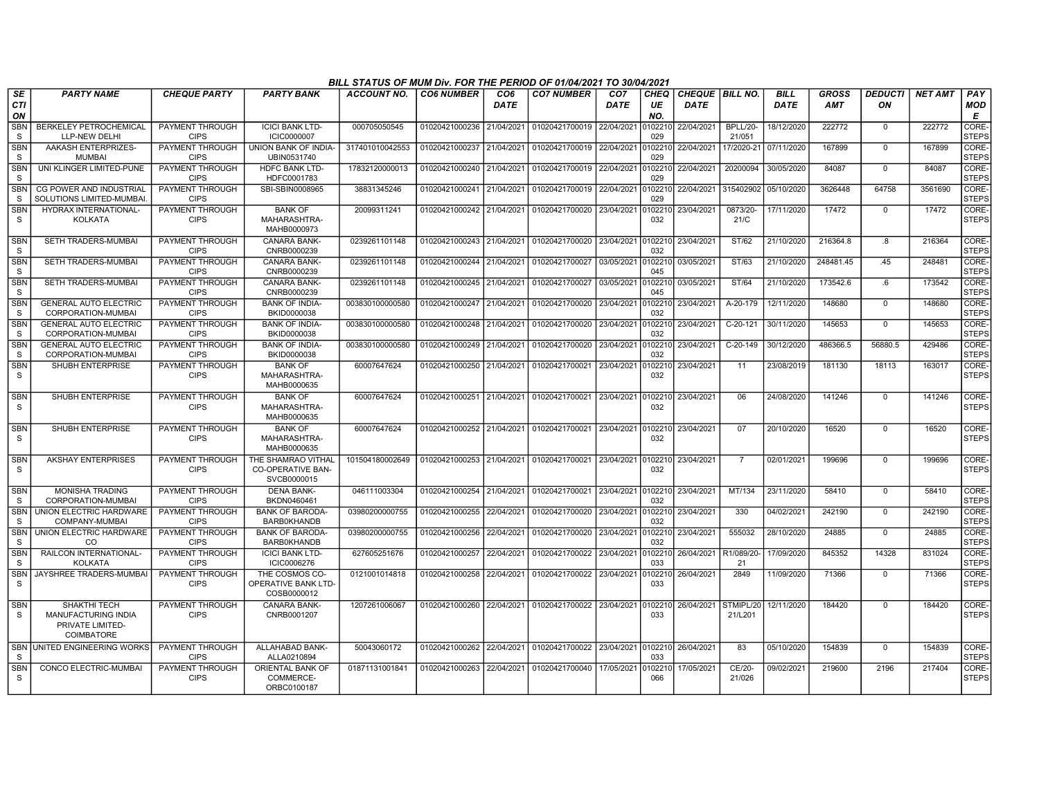|                               | BILL STATUS OF MUM Div. FOR THE PERIOD OF 01/04/2021 TO 30/04/2021<br><b>PARTY NAME</b><br><b>CHEQUE PARTY</b><br><b>ACCOUNT NO.</b><br><b>CO6 NUMBER</b><br>CO <sub>6</sub><br><b>CO7 NUMBER</b><br><b>CHEQUE BILL NO.</b><br><b>BILL</b><br><b>GROSS</b><br><b>DEDUCTI</b><br><b>NET AMT</b><br>PAY<br><b>PARTY BANK</b><br>CO <sub>7</sub><br>CHEQ |                                       |                                                               |                 |                           |            |                                                     |             |                |                    |                           |             |            |                |         |                       |
|-------------------------------|-------------------------------------------------------------------------------------------------------------------------------------------------------------------------------------------------------------------------------------------------------------------------------------------------------------------------------------------------------|---------------------------------------|---------------------------------------------------------------|-----------------|---------------------------|------------|-----------------------------------------------------|-------------|----------------|--------------------|---------------------------|-------------|------------|----------------|---------|-----------------------|
| <b>SE</b><br><b>CTI</b><br>ON |                                                                                                                                                                                                                                                                                                                                                       |                                       |                                                               |                 |                           | DATE       |                                                     | <b>DATE</b> | UE<br>NO.      | <b>DATE</b>        |                           | <b>DATE</b> | <b>AMT</b> | ON             |         | <b>MOD</b><br>E       |
| <b>SBN</b><br>S               | <b>BERKELEY PETROCHEMICAL</b><br>LLP-NEW DELHI                                                                                                                                                                                                                                                                                                        | PAYMENT THROUGH<br><b>CIPS</b>        | <b>ICICI BANK LTD-</b><br><b>ICIC0000007</b>                  | 000705050545    | 01020421000236 21/04/2021 |            | 01020421700019 22/04/2021                           |             | 102210<br>029  | 22/04/2021         | <b>BPLL/20-</b><br>21/051 | 18/12/2020  | 222772     | $\mathbf 0$    | 222772  | CORE-<br><b>STEPS</b> |
| <b>SBN</b><br>S.              | AAKASH ENTERPRIZES-<br><b>MUMBAI</b>                                                                                                                                                                                                                                                                                                                  | PAYMENT THROUGH<br><b>CIPS</b>        | <b>UNION BANK OF INDIA-</b><br>UBIN0531740                    | 317401010042553 | 01020421000237            | 21/04/2021 | 01020421700019                                      | 22/04/2021  | 0102210<br>029 | 22/04/2021         | 17/2020-21                | 07/11/2020  | 167899     | $\mathbf 0$    | 167899  | CORE-<br><b>STEPS</b> |
| <b>SBN</b><br>S               | UNI KLINGER LIMITED-PUNE                                                                                                                                                                                                                                                                                                                              | <b>PAYMENT THROUGH</b><br><b>CIPS</b> | HDFC BANK LTD-<br>HDFC0001783                                 | 17832120000013  | 01020421000240 21/04/2021 |            | 01020421700019                                      | 22/04/2021  | 0102210<br>029 | 22/04/2021         | 20200094                  | 30/05/2020  | 84087      | $\mathbf 0$    | 84087   | CORE-<br><b>STEPS</b> |
| SBN<br>S                      | CG POWER AND INDUSTRIAL<br>SOLUTIONS LIMITED-MUMBAI                                                                                                                                                                                                                                                                                                   | PAYMENT THROUGH<br><b>CIPS</b>        | SBI-SBIN0008965                                               | 38831345246     | 01020421000241            | 21/04/2021 | 01020421700019                                      | 22/04/2021  | 102210<br>029  | 22/04/2021         | 315402902                 | 05/10/2020  | 3626448    | 64758          | 3561690 | CORE-<br><b>STEPS</b> |
| <b>SBN</b><br>S               | HYDRAX INTERNATIONAL-<br><b>KOLKATA</b>                                                                                                                                                                                                                                                                                                               | PAYMENT THROUGH<br><b>CIPS</b>        | <b>BANK OF</b><br>MAHARASHTRA-<br>MAHB0000973                 | 20099311241     | 01020421000242 21/04/2021 |            | 01020421700020                                      | 23/04/2021  | 102210<br>032  | 23/04/2021         | 0873/20-<br>21/C          | 17/11/2020  | 17472      | $\mathbf 0$    | 17472   | CORE-<br><b>STEPS</b> |
| <b>SBN</b><br>S               | SETH TRADERS-MUMBAI                                                                                                                                                                                                                                                                                                                                   | PAYMENT THROUGH<br><b>CIPS</b>        | <b>CANARA BANK-</b><br>CNRB0000239                            | 0239261101148   | 01020421000243 21/04/2021 |            | 01020421700020 23/04/2021                           |             | 0102210<br>032 | 23/04/2021         | ST/62                     | 21/10/2020  | 216364.8   | .8             | 216364  | CORE-<br><b>STEPS</b> |
| <b>SBN</b><br>S.              | SETH TRADERS-MUMBAI                                                                                                                                                                                                                                                                                                                                   | PAYMENT THROUGH<br><b>CIPS</b>        | <b>CANARA BANK-</b><br>CNRB0000239                            | 0239261101148   | 01020421000244            | 21/04/2021 | 01020421700027                                      | 03/05/2021  | 102210<br>045  | 03/05/2021         | ST/63                     | 21/10/2020  | 248481.45  | .45            | 248481  | CORE-<br><b>STEPS</b> |
| <b>SBN</b><br><sub>S</sub>    | SETH TRADERS-MUMBAI                                                                                                                                                                                                                                                                                                                                   | PAYMENT THROUGH<br><b>CIPS</b>        | <b>CANARA BANK-</b><br>CNRB0000239                            | 0239261101148   | 01020421000245 21/04/2021 |            | 01020421700027                                      | 03/05/2021  | 0102210<br>045 | 03/05/2021         | ST/64                     | 21/10/2020  | 173542.6   | .6             | 173542  | CORE-<br><b>STEPS</b> |
| <b>SBN</b><br>S               | <b>GENERAL AUTO ELECTRIC</b><br>CORPORATION-MUMBAI                                                                                                                                                                                                                                                                                                    | PAYMENT THROUGH<br><b>CIPS</b>        | <b>BANK OF INDIA-</b><br>BKID0000038                          | 003830100000580 | 01020421000247            | 21/04/2021 | 01020421700020                                      | 23/04/2021  | 102210<br>032  | 23/04/2021         | A-20-179                  | 12/11/2020  | 148680     | $\mathbf 0$    | 148680  | CORE-<br><b>STEPS</b> |
| <b>SBN</b><br>S               | <b>GENERAL AUTO ELECTRIC</b><br>CORPORATION-MUMBAI                                                                                                                                                                                                                                                                                                    | PAYMENT THROUGH<br><b>CIPS</b>        | <b>BANK OF INDIA-</b><br>BKID0000038                          | 003830100000580 | 01020421000248 21/04/2021 |            | 01020421700020                                      | 23/04/2021  | 102210<br>032  | 23/04/2021         | C-20-121                  | 30/11/2020  | 145653     | $\Omega$       | 145653  | CORE-<br><b>STEPS</b> |
| <b>SBN</b><br>S               | <b>GENERAL AUTO ELECTRIC</b><br>CORPORATION-MUMBAI                                                                                                                                                                                                                                                                                                    | PAYMENT THROUGH<br><b>CIPS</b>        | <b>BANK OF INDIA-</b><br>BKID0000038                          | 003830100000580 | 01020421000249            | 21/04/2021 | 01020421700020                                      | 23/04/2021  | 102210<br>032  | 23/04/2021         | C-20-149                  | 30/12/2020  | 486366.5   | 56880.5        | 429486  | CORE-<br><b>STEPS</b> |
| <b>SBN</b><br>S               | SHUBH ENTERPRISE                                                                                                                                                                                                                                                                                                                                      | PAYMENT THROUGH<br><b>CIPS</b>        | <b>BANK OF</b><br>MAHARASHTRA-<br>MAHB0000635                 | 60007647624     | 01020421000250 21/04/2021 |            | 01020421700021 23/04/2021                           |             | 0102210<br>032 | 23/04/2021         | 11                        | 23/08/2019  | 181130     | 18113          | 163017  | CORE-<br><b>STEPS</b> |
| <b>SBN</b><br>S.              | SHUBH ENTERPRISE                                                                                                                                                                                                                                                                                                                                      | PAYMENT THROUGH<br><b>CIPS</b>        | <b>BANK OF</b><br>MAHARASHTRA-<br>MAHB0000635                 | 60007647624     | 01020421000251            | 21/04/2021 | 01020421700021                                      | 23/04/2021  | 0102210<br>032 | 23/04/2021         | 06                        | 24/08/2020  | 141246     | $\Omega$       | 141246  | CORE-<br><b>STEPS</b> |
| <b>SBN</b><br>S.              | <b>SHUBH ENTERPRISE</b>                                                                                                                                                                                                                                                                                                                               | PAYMENT THROUGH<br><b>CIPS</b>        | <b>BANK OF</b><br>MAHARASHTRA-<br>MAHB0000635                 | 60007647624     |                           |            | 01020421000252 21/04/2021 01020421700021 23/04/2021 |             | 0102210<br>032 | 23/04/2021         | 07                        | 20/10/2020  | 16520      | $\Omega$       | 16520   | CORE-<br><b>STEPS</b> |
| <b>SBN</b><br>S               | <b>AKSHAY ENTERPRISES</b>                                                                                                                                                                                                                                                                                                                             | PAYMENT THROUGH<br><b>CIPS</b>        | THE SHAMRAO VITHAL<br><b>CO-OPERATIVE BAN-</b><br>SVCB0000015 | 101504180002649 | 01020421000253            | 21/04/2021 | 01020421700021                                      | 23/04/2021  | 102210<br>032  | 23/04/2021         | $\overline{7}$            | 02/01/2021  | 199696     | $\Omega$       | 199696  | CORE-<br><b>STEPS</b> |
| <b>SBN</b><br><sub>S</sub>    | <b>MONISHA TRADING</b><br>CORPORATION-MUMBAI                                                                                                                                                                                                                                                                                                          | PAYMENT THROUGH<br><b>CIPS</b>        | <b>DENA BANK-</b><br>BKDN0460461                              | 046111003304    | 01020421000254            | 21/04/2021 | 01020421700021                                      | 23/04/2021  | 102210<br>032  | 23/04/2021         | MT/134                    | 23/11/2020  | 58410      | $\Omega$       | 58410   | CORE-<br><b>STEPS</b> |
| <b>SBN</b><br><sub>S</sub>    | UNION ELECTRIC HARDWARE<br>COMPANY-MUMBAI                                                                                                                                                                                                                                                                                                             | PAYMENT THROUGH<br><b>CIPS</b>        | <b>BANK OF BARODA-</b><br><b>BARB0KHANDB</b>                  | 03980200000755  | 01020421000255 22/04/2021 |            | 01020421700020                                      | 23/04/2021  | 102210<br>032  | 23/04/2021         | 330                       | 04/02/2021  | 242190     | $\overline{0}$ | 242190  | CORE-<br><b>STEPS</b> |
| <b>SBN</b><br>S               | UNION ELECTRIC HARDWARE<br>CO                                                                                                                                                                                                                                                                                                                         | <b>PAYMENT THROUGH</b><br><b>CIPS</b> | <b>BANK OF BARODA-</b><br><b>BARB0KHANDB</b>                  | 03980200000755  | 01020421000256            | 22/04/2021 | 01020421700020                                      | 23/04/2021  | 102210<br>032  | 23/04/2021         | 555032                    | 28/10/2020  | 24885      | $\overline{0}$ | 24885   | CORE-<br><b>STEPS</b> |
| <b>SBN</b><br><sub>S</sub>    | RAILCON INTERNATIONAL-<br><b>KOLKATA</b>                                                                                                                                                                                                                                                                                                              | PAYMENT THROUGH<br><b>CIPS</b>        | <b>ICICI BANK LTD-</b><br>ICIC0006276                         | 627605251676    | 01020421000257            | 22/04/2021 | 01020421700022                                      | 23/04/2021  | 102210<br>033  | 26/04/2021         | R1/089/20<br>21           | 17/09/2020  | 845352     | 14328          | 831024  | CORE-<br><b>STEPS</b> |
| <b>SBN</b><br><sub>S</sub>    | JAYSHREE TRADERS-MUMBAI                                                                                                                                                                                                                                                                                                                               | PAYMENT THROUGH<br><b>CIPS</b>        | THE COSMOS CO-<br><b>OPERATIVE BANK LTD-</b><br>COSB0000012   | 0121001014818   | 01020421000258            | 22/04/2021 | 01020421700022                                      | 23/04/2021  | 102210<br>033  | 26/04/2021         | 2849                      | 11/09/2020  | 71366      | $\mathbf 0$    | 71366   | CORE-<br><b>STEPS</b> |
| <b>SBN</b><br>S               | SHAKTHI TECH<br>MANUFACTURING INDIA<br>PRIVATE LIMITED-<br>COIMBATORE                                                                                                                                                                                                                                                                                 | <b>PAYMENT THROUGH</b><br><b>CIPS</b> | <b>CANARA BANK-</b><br>CNRB0001207                            | 1207261006067   |                           |            | 01020421000260 22/04/2021 01020421700022 23/04/2021 |             | 0102210<br>033 | 26/04/2021         | STMIPL/20<br>21/L201      | 12/11/2020  | 184420     | $\Omega$       | 184420  | CORE-<br><b>STEPS</b> |
| S                             | SBN UNITED ENGINEERING WORKS                                                                                                                                                                                                                                                                                                                          | PAYMENT THROUGH<br><b>CIPS</b>        | ALLAHABAD BANK-<br>ALLA0210894                                | 50043060172     | 01020421000262            |            | 22/04/2021 01020421700022                           | 23/04/2021  | 033            | 0102210 26/04/2021 | 83                        | 05/10/2020  | 154839     | $\mathbf 0$    | 154839  | CORE-<br><b>STEPS</b> |
| <b>SBN</b><br><sub>S</sub>    | CONCO ELECTRIC-MUMBAI                                                                                                                                                                                                                                                                                                                                 | PAYMENT THROUGH<br><b>CIPS</b>        | ORIENTAL BANK OF<br>COMMERCE-<br>ORBC0100187                  | 01871131001841  | 01020421000263 22/04/2021 |            | 01020421700040                                      | 17/05/2021  | 102210<br>066  | 17/05/2021         | CE/20-<br>21/026          | 09/02/2021  | 219600     | 2196           | 217404  | CORE-<br><b>STEPS</b> |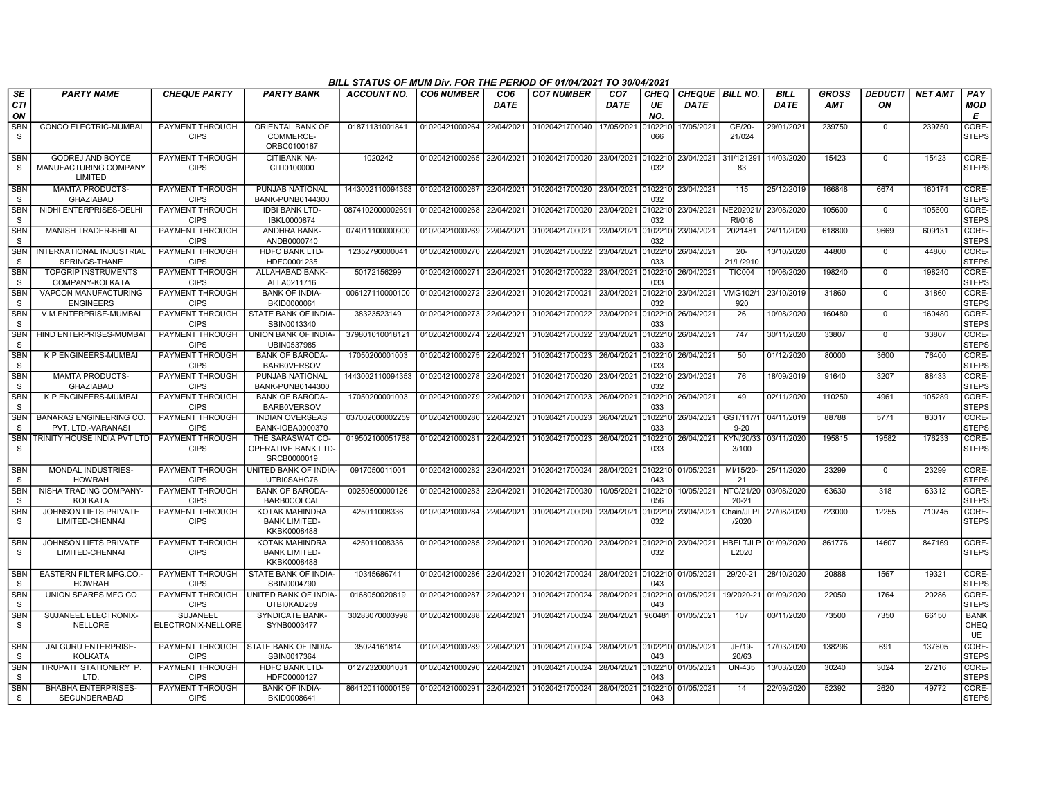|                            | BILL STATUS OF MUM Div. FOR THE PERIOD OF 01/04/2021 TO 30/04/2021<br><b>PARTY NAME</b><br><b>CO7 NUMBER</b><br>CHEQUE   BILL NO.<br><b>BILL</b><br><b>GROSS</b><br><b>DEDUCTI</b><br><b>NET AMT</b><br>PAY<br><b>CHEQUE PARTY</b><br><b>PARTY BANK</b><br><b>ACCOUNT NO.</b><br><b>CO6 NUMBER</b><br>CO <sub>6</sub><br>CO <sub>7</sub><br>CHEQ |                                       |                                                              |                                            |                           |            |                                              |             |                |                       |                                     |             |            |             |        |                                  |
|----------------------------|--------------------------------------------------------------------------------------------------------------------------------------------------------------------------------------------------------------------------------------------------------------------------------------------------------------------------------------------------|---------------------------------------|--------------------------------------------------------------|--------------------------------------------|---------------------------|------------|----------------------------------------------|-------------|----------------|-----------------------|-------------------------------------|-------------|------------|-------------|--------|----------------------------------|
| SE<br><b>CTI</b><br>ON     |                                                                                                                                                                                                                                                                                                                                                  |                                       |                                                              |                                            |                           | DATE       |                                              | <b>DATE</b> | UE<br>NO.      | <b>DATE</b>           |                                     | <b>DATE</b> | <b>AMT</b> | ΟN          |        | <b>MOD</b><br>Е                  |
| <b>SBN</b><br>S            | CONCO ELECTRIC-MUMBAI                                                                                                                                                                                                                                                                                                                            | PAYMENT THROUGH<br><b>CIPS</b>        | <b>ORIENTAL BANK OF</b><br>COMMERCE-<br>ORBC0100187          | 01871131001841                             | 01020421000264            | 22/04/2021 | 01020421700040                               | 17/05/2021  | 102210<br>066  | 17/05/2021            | CE/20-<br>21/024                    | 29/01/2021  | 239750     | $\Omega$    | 239750 | CORE-<br><b>STEPS</b>            |
| <b>SBN</b><br>S            | GODREJ AND BOYCE<br>MANUFACTURING COMPANY<br>LIMITED                                                                                                                                                                                                                                                                                             | PAYMENT THROUGH<br><b>CIPS</b>        | <b>CITIBANK NA-</b><br>CITI0100000                           | 1020242                                    | 01020421000265 22/04/2021 |            | 01020421700020 23/04/2021 0102210            |             | 032            | 23/04/2021 31I/121291 | 83                                  | 14/03/2020  | 15423      | $\Omega$    | 15423  | CORE-<br><b>STEPS</b>            |
| <b>SBN</b><br>S            | <b>MAMTA PRODUCTS-</b><br><b>GHAZIABAD</b>                                                                                                                                                                                                                                                                                                       | PAYMENT THROUGH<br><b>CIPS</b>        | PUNJAB NATIONAL<br>BANK-PUNB0144300                          | 1443002110094353 01020421000267 22/04/2021 |                           |            | 01020421700020 23/04/2021                    |             | 032            | 0102210 23/04/2021    | 115                                 | 25/12/2019  | 166848     | 6674        | 160174 | CORE-<br><b>STEPS</b>            |
| <b>SBN</b><br>S            | NIDHI ENTERPRISES-DELHI                                                                                                                                                                                                                                                                                                                          | PAYMENT THROUGH<br><b>CIPS</b>        | <b>IDBI BANK LTD-</b><br>IBKL0000874                         | 0874102000002691                           | 01020421000268            | 22/04/2021 | 01020421700020                               | 23/04/2021  | 102210<br>032  | 23/04/2021            | NE202021<br>RI/018                  | 23/08/2020  | 105600     | $\Omega$    | 105600 | CORE-<br><b>STEPS</b>            |
| <b>SBN</b><br>S            | <b>MANISH TRADER-BHILAI</b>                                                                                                                                                                                                                                                                                                                      | PAYMENT THROUGH<br><b>CIPS</b>        | <b>ANDHRA BANK-</b><br>ANDB0000740                           | 074011100000900                            | 01020421000269            | 22/04/2021 | 01020421700021                               | 23/04/2021  | 102210<br>032  | 23/04/2021            | 2021481                             | 24/11/2020  | 618800     | 9669        | 609131 | CORE-<br><b>STEPS</b>            |
| <b>SBN</b><br>S            | INTERNATIONAL INDUSTRIAL<br>SPRINGS-THANE                                                                                                                                                                                                                                                                                                        | PAYMENT THROUGH<br><b>CIPS</b>        | <b>HDFC BANK LTD-</b><br>HDFC0001235                         | 12352790000041                             | 01020421000270            | 22/04/2021 | 01020421700022 23/04/2021                    |             | 0102210<br>033 | 26/04/2021            | $20 -$<br>21/L/2910                 | 13/10/2020  | 44800      | $\mathbf 0$ | 44800  | CORE-<br><b>STEPS</b>            |
| <b>SBN</b><br><sub>S</sub> | <b>TOPGRIP INSTRUMENTS</b><br>COMPANY-KOLKATA                                                                                                                                                                                                                                                                                                    | <b>PAYMENT THROUGH</b><br><b>CIPS</b> | ALLAHABAD BANK-<br>ALLA0211716                               | 50172156299                                | 01020421000271            | 22/04/2021 | 01020421700022                               | 23/04/2021  | 102210<br>033  | 26/04/2021            | <b>TIC004</b>                       | 10/06/2020  | 198240     | $\Omega$    | 198240 | CORE-<br><b>STEPS</b>            |
| SBN<br>S                   | <b>VAPCON MANUFACTURING</b><br><b>ENGINEERS</b>                                                                                                                                                                                                                                                                                                  | PAYMENT THROUGH<br><b>CIPS</b>        | <b>BANK OF INDIA-</b><br>BKID0000061                         | 006127110000100                            | 01020421000272            | 22/04/2021 | 01020421700021                               | 23/04/2021  | 102210<br>032  | 23/04/2021            | VMG102/1<br>920                     | 23/10/2019  | 31860      | $\Omega$    | 31860  | CORE-<br><b>STEPS</b>            |
| <b>SBN</b><br>S            | V.M.ENTERPRISE-MUMBAI                                                                                                                                                                                                                                                                                                                            | PAYMENT THROUGH<br><b>CIPS</b>        | STATE BANK OF INDIA-<br>SBIN0013340                          | 38323523149                                | 01020421000273            | 22/04/2021 | 01020421700022 23/04/2021                    |             | 102210<br>033  | 26/04/2021            | 26                                  | 10/08/2020  | 160480     | $\Omega$    | 160480 | CORE-<br><b>STEPS</b>            |
| SBN<br>S                   | HIND ENTERPRISES-MUMBAI                                                                                                                                                                                                                                                                                                                          | PAYMENT THROUGH<br><b>CIPS</b>        | UNION BANK OF INDIA-<br>UBIN0537985                          | 379801010018121                            | 01020421000274            | 22/04/2021 | 01020421700022                               | 23/04/2021  | 0102210<br>033 | 26/04/2021            | 747                                 | 30/11/2020  | 33807      | $\mathbf 0$ | 33807  | CORE-<br><b>STEPS</b>            |
| <b>SBN</b><br>S            | <b>K P ENGINEERS-MUMBAI</b>                                                                                                                                                                                                                                                                                                                      | <b>PAYMENT THROUGH</b><br><b>CIPS</b> | <b>BANK OF BARODA-</b><br><b>BARBOVERSOV</b>                 | 17050200001003                             | 01020421000275            | 22/04/2021 | 01020421700023                               | 26/04/2021  | 0102210<br>033 | 26/04/2021            | 50                                  | 01/12/2020  | 80000      | 3600        | 76400  | CORE-<br><b>STEPS</b>            |
| SBN<br>S                   | <b>MAMTA PRODUCTS-</b><br><b>GHAZIABAD</b>                                                                                                                                                                                                                                                                                                       | PAYMENT THROUGH<br><b>CIPS</b>        | PUNJAB NATIONAL<br>BANK-PUNB0144300                          | 1443002110094353                           | 01020421000278            | 22/04/2021 | 01020421700020                               | 23/04/2021  | 102210<br>032  | 23/04/2021            | 76                                  | 18/09/2019  | 91640      | 3207        | 88433  | CORE-<br><b>STEPS</b>            |
| <b>SBN</b><br>S            | K P ENGINEERS-MUMBAI                                                                                                                                                                                                                                                                                                                             | PAYMENT THROUGH<br><b>CIPS</b>        | <b>BANK OF BARODA-</b><br><b>BARBOVERSOV</b>                 | 17050200001003                             | 01020421000279            | 22/04/2021 | 01020421700023                               | 26/04/2021  | 102210<br>033  | 26/04/2021            | 49                                  | 02/11/2020  | 110250     | 4961        | 105289 | CORE-<br><b>STEPS</b>            |
| <b>SBN</b><br><sub>S</sub> | <b>BANARAS ENGINEERING CO</b><br>PVT. LTD.-VARANASI                                                                                                                                                                                                                                                                                              | <b>PAYMENT THROUGH</b><br><b>CIPS</b> | <b>INDIAN OVERSEAS</b><br>BANK-IOBA0000370                   | 037002000002259                            | 01020421000280            | 22/04/2021 | 01020421700023                               | 26/04/2021  | 102210<br>033  | 26/04/2021            | GST/117/1<br>$9 - 20$               | 04/11/2019  | 88788      | 5771        | 83017  | CORE-<br><b>STEPS</b>            |
| <b>SBN</b><br>S            | TRINITY HOUSE INDIA PVT LTD                                                                                                                                                                                                                                                                                                                      | PAYMENT THROUGH<br><b>CIPS</b>        | THE SARASWAT CO-<br>OPERATIVE BANK LTD-<br>SRCB0000019       | 019502100051788                            | 01020421000281            | 22/04/2021 | 01020421700023                               | 26/04/2021  | 0102210<br>033 | 26/04/2021            | KYN/20/33<br>3/100                  | 03/11/2020  | 195815     | 19582       | 176233 | CORE-<br><b>STEPS</b>            |
| <b>SBN</b><br>S.           | MONDAL INDUSTRIES-<br><b>HOWRAH</b>                                                                                                                                                                                                                                                                                                              | PAYMENT THROUGH<br><b>CIPS</b>        | <b>UNITED BANK OF INDIA-</b><br>UTBI0SAHC76                  | 0917050011001                              | 01020421000282 22/04/2021 |            | 01020421700024 28/04/2021 0102210            |             | 043            | 01/05/2021            | MI/15/20-<br>21                     | 25/11/2020  | 23299      | $\mathbf 0$ | 23299  | CORE-<br><b>STEPS</b>            |
| <b>SBN</b><br>S            | NISHA TRADING COMPANY-<br><b>KOLKATA</b>                                                                                                                                                                                                                                                                                                         | PAYMENT THROUGH<br><b>CIPS</b>        | <b>BANK OF BARODA-</b><br><b>BARB0COLCAL</b>                 | 00250500000126                             | 01020421000283            | 22/04/2021 | 01020421700030                               | 10/05/2021  | 0102210<br>056 |                       | 10/05/2021   NTC/21/20<br>$20 - 21$ | 03/08/2020  | 63630      | 318         | 63312  | CORE-<br><b>STEPS</b>            |
| SBN<br>S                   | JOHNSON LIFTS PRIVATE<br>LIMITED-CHENNAI                                                                                                                                                                                                                                                                                                         | PAYMENT THROUGH<br><b>CIPS</b>        | <b>KOTAK MAHINDRA</b><br><b>BANK LIMITED-</b><br>KKBK0008488 | 425011008336                               | 01020421000284            | 22/04/2021 | 01020421700020                               | 23/04/2021  | 102210<br>032  | 23/04/2021            | Chain/JLPL<br>/2020                 | 27/08/2020  | 723000     | 12255       | 710745 | CORE-<br><b>STEPS</b>            |
| <b>SBN</b><br>S            | JOHNSON LIFTS PRIVATE<br>LIMITED-CHENNAI                                                                                                                                                                                                                                                                                                         | PAYMENT THROUGH<br><b>CIPS</b>        | KOTAK MAHINDRA<br><b>BANK LIMITED-</b><br>KKBK0008488        | 425011008336                               | 01020421000285 22/04/2021 |            | 01020421700020 23/04/2021                    |             | 102210<br>032  | 23/04/2021            | <b>HBELTJLP</b><br>L2020            | 01/09/2020  | 861776     | 14607       | 847169 | CORE-<br><b>STEPS</b>            |
| <b>SBN</b><br>S            | EASTERN FILTER MFG.CO.<br><b>HOWRAH</b>                                                                                                                                                                                                                                                                                                          | PAYMENT THROUGH<br><b>CIPS</b>        | STATE BANK OF INDIA-<br>SBIN0004790                          | 10345686741                                | 01020421000286            | 22/04/2021 | 01020421700024                               | 28/04/2021  | 102210<br>043  | 01/05/2021            | 29/20-21                            | 28/10/2020  | 20888      | 1567        | 19321  | CORE-<br><b>STEPS</b>            |
| <b>SBN</b><br><sub>S</sub> | UNION SPARES MFG CO                                                                                                                                                                                                                                                                                                                              | <b>PAYMENT THROUGH</b><br><b>CIPS</b> | <b>UNITED BANK OF INDIA-</b><br>UTBI0KAD259                  | 0168050020819                              | 01020421000287            | 22/04/2021 | 01020421700024                               | 28/04/2021  | 102210<br>043  | 01/05/2021            | 19/2020-21                          | 01/09/2020  | 22050      | 1764        | 20286  | CORE-<br><b>STEPS</b>            |
| <b>SBN</b><br>S            | SUJANEEL ELECTRONIX-<br><b>NELLORE</b>                                                                                                                                                                                                                                                                                                           | SUJANEEL<br>ELECTRONIX-NELLORE        | <b>SYNDICATE BANK-</b><br>SYNB0003477                        | 30283070003998                             | 01020421000288 22/04/2021 |            | 01020421700024 28/04/2021                    |             | 960481         | 01/05/2021            | 107                                 | 03/11/2020  | 73500      | 7350        | 66150  | <b>BANK</b><br>CHEQ<br><b>UE</b> |
| <b>SBN</b><br>S            | JAI GURU ENTERPRISE-<br><b>KOLKATA</b>                                                                                                                                                                                                                                                                                                           | PAYMENT THROUGH<br><b>CIPS</b>        | <b>STATE BANK OF INDIA-</b><br>SBIN0017364                   | 35024161814                                | 01020421000289 22/04/2021 |            | 01020421700024 28/04/2021 0102210 01/05/2021 |             | 043            |                       | JE/19-<br>20/63                     | 17/03/2020  | 138296     | 691         | 137605 | CORE-<br><b>STEPS</b>            |
| <b>SBN</b><br>S            | TIRUPATI STATIONERY P.<br>I TD                                                                                                                                                                                                                                                                                                                   | PAYMENT THROUGH<br><b>CIPS</b>        | HDFC BANK LTD-<br>HDFC0000127                                | 01272320001031                             | 01020421000290            | 22/04/2021 | 01020421700024 28/04/2021                    |             | 102210<br>043  | 01/05/2021            | <b>UN-435</b>                       | 13/03/2020  | 30240      | 3024        | 27216  | CORE-<br><b>STEPS</b>            |
| <b>SBN</b><br>S            | <b>BHABHA ENTERPRISES-</b><br>SECUNDERABAD                                                                                                                                                                                                                                                                                                       | PAYMENT THROUGH<br><b>CIPS</b>        | <b>BANK OF INDIA-</b><br>BKID0008641                         | 864120110000159                            | 01020421000291            | 22/04/2021 | 01020421700024   28/04/2021                  |             | 043            | 0102210 01/05/2021    | 14                                  | 22/09/2020  | 52392      | 2620        | 49772  | CORE-<br><b>STEPS</b>            |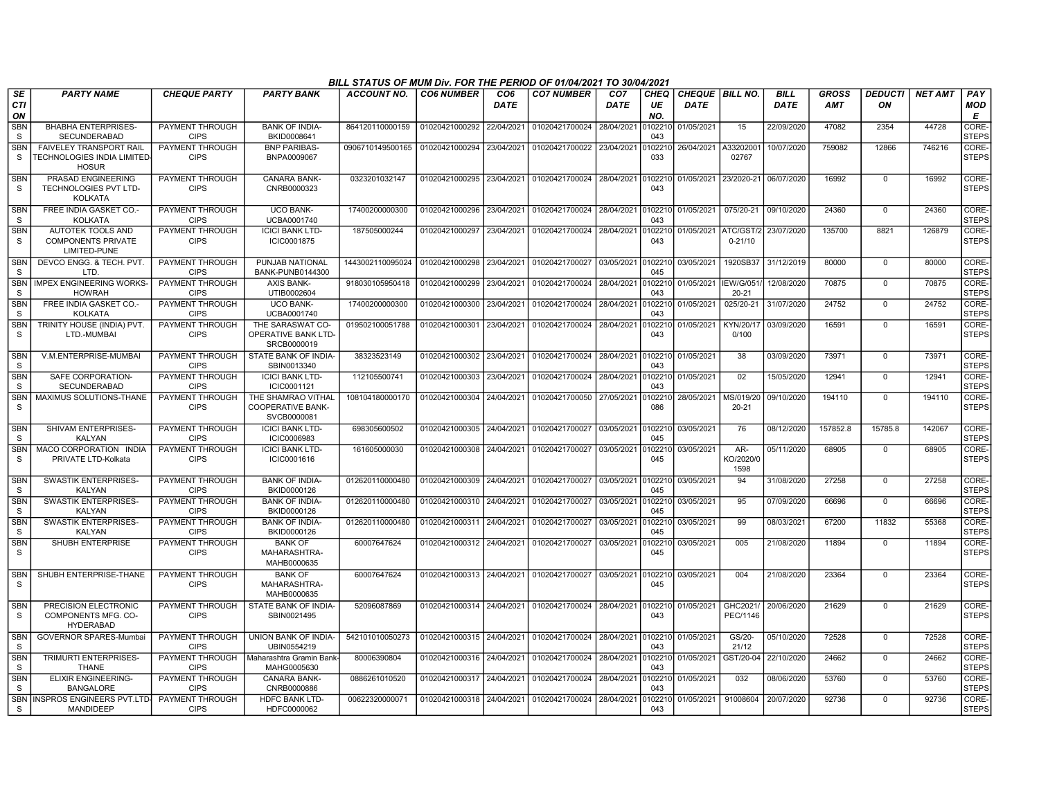|                               | BILL STATUS OF MUM Div. FOR THE PERIOD OF 01/04/2021 TO 30/04/2021<br><b>PARTY NAME</b><br><b>CHEQUE PARTY</b><br><b>PARTY BANK</b><br><b>ACCOUNT NO.</b><br><b>CO6 NUMBER</b><br>CO <sub>6</sub><br><b>CO7 NUMBER</b><br>CO <sub>7</sub><br><b>CHEQ</b><br><b>CHEQUE BILL NO</b><br><b>BILL</b><br><b>GROSS</b><br><b>DEDUCTI</b><br><b>NET AMT</b><br>PAY |                                       |                                                               |                  |                           |            |                                                     |             |                |                      |                          |             |            |             |        |                             |
|-------------------------------|-------------------------------------------------------------------------------------------------------------------------------------------------------------------------------------------------------------------------------------------------------------------------------------------------------------------------------------------------------------|---------------------------------------|---------------------------------------------------------------|------------------|---------------------------|------------|-----------------------------------------------------|-------------|----------------|----------------------|--------------------------|-------------|------------|-------------|--------|-----------------------------|
| <b>SE</b><br><b>CTI</b><br>ON |                                                                                                                                                                                                                                                                                                                                                             |                                       |                                                               |                  |                           | DATE       |                                                     | <b>DATE</b> | UE<br>NO.      | <b>DATE</b>          |                          | <b>DATE</b> | <b>AMT</b> | ON          |        | <b>MOD</b><br>E             |
| <b>SBN</b><br>S               | <b>BHABHA ENTERPRISES-</b><br><b>SECUNDERABAD</b>                                                                                                                                                                                                                                                                                                           | PAYMENT THROUGH<br><b>CIPS</b>        | <b>BANK OF INDIA-</b><br>BKID0008641                          | 864120110000159  | 01020421000292            | 22/04/2021 | 01020421700024                                      | 28/04/2021  | 102210<br>043  | 01/05/2021           | 15                       | 22/09/2020  | 47082      | 2354        | 44728  | <b>CORE</b><br><b>STEPS</b> |
| <b>SBN</b><br><b>S</b>        | <b>FAIVELEY TRANSPORT RAIL</b><br>TECHNOLOGIES INDIA LIMITED-<br><b>HOSUR</b>                                                                                                                                                                                                                                                                               | PAYMENT THROUGH<br><b>CIPS</b>        | <b>BNP PARIBAS-</b><br>BNPA0009067                            | 0906710149500165 | 01020421000294            | 23/04/2021 | 01020421700022                                      | 23/04/2021  | 102210<br>033  | 26/04/2021           | A3320200<br>02767        | 10/07/2020  | 759082     | 12866       | 746216 | CORE-<br><b>STEPS</b>       |
| <b>SBN</b><br>S               | PRASAD ENGINEERING<br>TECHNOLOGIES PVT LTD-<br><b>KOLKATA</b>                                                                                                                                                                                                                                                                                               | PAYMENT THROUGH<br><b>CIPS</b>        | <b>CANARA BANK-</b><br>CNRB0000323                            | 0323201032147    |                           |            | 01020421000295 23/04/2021 01020421700024 28/04/2021 |             | 0102210<br>043 | 01/05/2021           | 23/2020-21               | 06/07/2020  | 16992      | $\mathbf 0$ | 16992  | CORE-<br><b>STEPS</b>       |
| SBN<br><sub>S</sub>           | FREE INDIA GASKET CO.<br><b>KOLKATA</b>                                                                                                                                                                                                                                                                                                                     | PAYMENT THROUGH<br><b>CIPS</b>        | <b>UCO BANK-</b><br>UCBA0001740                               | 17400200000300   | 01020421000296 23/04/2021 |            | 01020421700024 28/04/2021 0102210                   |             | 043            | 01/05/2021           | 075/20-21                | 09/10/2020  | 24360      | $\Omega$    | 24360  | l CORE:<br><b>STEPS</b>     |
| <b>SBN</b><br>S               | AUTOTEK TOOLS AND<br><b>COMPONENTS PRIVATE</b><br>LIMITED-PUNE                                                                                                                                                                                                                                                                                              | PAYMENT THROUGH<br><b>CIPS</b>        | <b>ICICI BANK LTD-</b><br>ICIC0001875                         | 187505000244     | 01020421000297            | 23/04/2021 | 01020421700024                                      | 28/04/2021  | 102210<br>043  | 01/05/2021           | ATC/GST/2<br>$0 - 21/10$ | 23/07/2020  | 135700     | 8821        | 126879 | CORE-<br><b>STEPS</b>       |
| <b>SBN</b><br><sub>S</sub>    | DEVCO ENGG, & TECH, PVT<br>LTD.                                                                                                                                                                                                                                                                                                                             | PAYMENT THROUGH<br><b>CIPS</b>        | PUNJAB NATIONAL<br><b>BANK-PUNB0144300</b>                    | 1443002110095024 | 01020421000298 23/04/2021 |            | 01020421700027                                      | 03/05/2021  | 0102210<br>045 | 03/05/2021           | 1920SB37                 | 31/12/2019  | 80000      | $\mathbf 0$ | 80000  | CORE-<br>STEPS              |
| <b>SBN</b><br>S               | <b>IMPEX ENGINEERING WORKS</b><br><b>HOWRAH</b>                                                                                                                                                                                                                                                                                                             | PAYMENT THROUGH<br><b>CIPS</b>        | <b>AXIS BANK-</b><br>UTIB0002604                              | 918030105950418  | 01020421000299            | 23/04/2021 | 01020421700024                                      | 28/04/2021  | 102210<br>043  | 01/05/2021 IEW/G/051 | 20-21                    | 12/08/2020  | 70875      | $\mathbf 0$ | 70875  | CORE-<br><b>STEPS</b>       |
| <b>SBN</b><br><sub>S</sub>    | FREE INDIA GASKET CO.-<br><b>KOLKATA</b>                                                                                                                                                                                                                                                                                                                    | PAYMENT THROUGH<br><b>CIPS</b>        | <b>UCO BANK-</b><br>UCBA0001740                               | 17400200000300   | 01020421000300 23/04/2021 |            | 01020421700024                                      | 28/04/2021  | 102210<br>043  | 01/05/2021           | 025/20-21                | 31/07/2020  | 24752      | $\mathbf 0$ | 24752  | CORE-<br><b>STEPS</b>       |
| <b>SBN</b><br>S               | TRINITY HOUSE (INDIA) PVT<br>LTD.-MUMBAI                                                                                                                                                                                                                                                                                                                    | <b>PAYMENT THROUGH</b><br><b>CIPS</b> | THE SARASWAT CO-<br>OPERATIVE BANK LTD-<br>SRCB0000019        | 019502100051788  | 01020421000301            | 23/04/2021 | 01020421700024                                      | 28/04/2021  | 102210<br>043  | 01/05/2021           | KYN/20/17<br>0/100       | 03/09/2020  | 16591      | $\mathbf 0$ | 16591  | CORE-<br><b>STEPS</b>       |
| <b>SBN</b><br>S               | V.M.ENTERPRISE-MUMBAI                                                                                                                                                                                                                                                                                                                                       | PAYMENT THROUGH<br><b>CIPS</b>        | STATE BANK OF INDIA-<br>SBIN0013340                           | 38323523149      | 01020421000302 23/04/2021 |            | 01020421700024 28/04/2021 0102210                   |             | 043            | 01/05/2021           | 38                       | 03/09/2020  | 73971      | $\mathbf 0$ | 73971  | CORE-<br><b>STEPS</b>       |
| <b>SBN</b><br>S.              | SAFE CORPORATION-<br><b>SECUNDERABAD</b>                                                                                                                                                                                                                                                                                                                    | <b>PAYMENT THROUGH</b><br><b>CIPS</b> | <b>ICICI BANK LTD-</b><br>ICIC0001121                         | 112105500741     | 01020421000303            | 23/04/2021 | 01020421700024                                      | 28/04/2021  | 102210<br>043  | 01/05/2021           | 02                       | 15/05/2020  | 12941      | $\mathbf 0$ | 12941  | CORE-<br><b>STEPS</b>       |
| <b>SBN</b><br>S               | MAXIMUS SOLUTIONS-THANE                                                                                                                                                                                                                                                                                                                                     | <b>PAYMENT THROUGH</b><br><b>CIPS</b> | THE SHAMRAO VITHAL<br><b>COOPERATIVE BANK-</b><br>SVCB0000081 | 108104180000170  | 01020421000304            | 24/04/2021 | 01020421700050                                      | 27/05/2021  | 102210<br>086  | 28/05/2021           | MS/019/20<br>$20 - 21$   | 09/10/2020  | 194110     | $\mathbf 0$ | 194110 | CORE-<br><b>STEPS</b>       |
| <b>SBN</b><br>S               | SHIVAM ENTERPRISES-<br><b>KALYAN</b>                                                                                                                                                                                                                                                                                                                        | PAYMENT THROUGH<br><b>CIPS</b>        | <b>ICICI BANK LTD-</b><br>ICIC0006983                         | 698305600502     | 01020421000305 24/04/2021 |            | 01020421700027 03/05/2021                           |             | 0102210<br>045 | 03/05/2021           | 76                       | 08/12/2020  | 157852.8   | 15785.8     | 142067 | CORE-<br><b>STEPS</b>       |
| <b>SBN</b><br><sub>S</sub>    | MACO CORPORATION INDIA<br>PRIVATE LTD-Kolkata                                                                                                                                                                                                                                                                                                               | <b>PAYMENT THROUGH</b><br><b>CIPS</b> | <b>ICICI BANK LTD-</b><br>ICIC0001616                         | 161605000030     |                           |            | 01020421000308 24/04/2021 01020421700027 03/05/2021 |             | 102210<br>045  | 03/05/2021           | AR-<br>KO/2020/0<br>1598 | 05/11/2020  | 68905      | 0           | 68905  | CORE-<br><b>STEPS</b>       |
| SBN<br>S.                     | SWASTIK ENTERPRISES-<br><b>KALYAN</b>                                                                                                                                                                                                                                                                                                                       | PAYMENT THROUGH<br><b>CIPS</b>        | <b>BANK OF INDIA-</b><br>BKID0000126                          | 012620110000480  | 01020421000309            | 24/04/2021 | 01020421700027                                      | 03/05/2021  | 102210<br>045  | 03/05/2021           | 94                       | 31/08/2020  | 27258      | $\mathbf 0$ | 27258  | CORE-<br><b>STEPS</b>       |
| SBN<br>S                      | <b>SWASTIK ENTERPRISES-</b><br><b>KALYAN</b>                                                                                                                                                                                                                                                                                                                | PAYMENT THROUGH<br><b>CIPS</b>        | <b>BANK OF INDIA-</b><br>BKID0000126                          | 012620110000480  | 01020421000310            | 24/04/2021 | 01020421700027                                      | 03/05/2021  | 102210<br>045  | 03/05/2021           | 95                       | 07/09/2020  | 66696      | $\mathbf 0$ | 66696  | CORE-<br><b>STEPS</b>       |
| <b>SBN</b><br>S               | <b>SWASTIK ENTERPRISES-</b><br><b>KALYAN</b>                                                                                                                                                                                                                                                                                                                | <b>PAYMENT THROUGH</b><br><b>CIPS</b> | <b>BANK OF INDIA-</b><br>BKID0000126                          | 012620110000480  | 01020421000311            | 24/04/2021 | 01020421700027                                      | 03/05/2021  | 102210<br>045  | 03/05/2021           | 99                       | 08/03/2021  | 67200      | 11832       | 55368  | CORE-<br><b>STEPS</b>       |
| <b>SBN</b><br>S               | SHUBH ENTERPRISE                                                                                                                                                                                                                                                                                                                                            | PAYMENT THROUGH<br><b>CIPS</b>        | <b>BANK OF</b><br>MAHARASHTRA-<br>MAHB0000635                 | 60007647624      | 01020421000312 24/04/2021 |            | 01020421700027                                      | 03/05/2021  | 102210<br>045  | 03/05/2021           | 005                      | 21/08/2020  | 11894      | $\mathbf 0$ | 11894  | CORE-<br><b>STEPS</b>       |
| <b>SBN</b><br>S               | SHUBH ENTERPRISE-THANE                                                                                                                                                                                                                                                                                                                                      | PAYMENT THROUGH<br><b>CIPS</b>        | <b>BANK OF</b><br>MAHARASHTRA-<br>MAHB0000635                 | 60007647624      | 01020421000313 24/04/2021 |            | 01020421700027 03/05/2021                           |             | 0102210<br>045 | 03/05/2021           | 004                      | 21/08/2020  | 23364      | $\mathbf 0$ | 23364  | CORE-<br><b>STEPS</b>       |
| <b>SBN</b><br>S               | PRECISION ELECTRONIC<br>COMPONENTS MFG. CO-<br><b>HYDERABAD</b>                                                                                                                                                                                                                                                                                             | <b>PAYMENT THROUGH</b><br><b>CIPS</b> | STATE BANK OF INDIA-<br>SBIN0021495                           | 52096087869      | 01020421000314            | 24/04/2021 | 01020421700024                                      | 28/04/2021  | 0102210<br>043 | 01/05/2021           | GHC2021/<br>PEC/1146     | 20/06/2020  | 21629      | $\mathbf 0$ | 21629  | CORE-<br><b>STEPS</b>       |
| <b>SBN</b><br>S               | <b>GOVERNOR SPARES-Mumbai</b>                                                                                                                                                                                                                                                                                                                               | PAYMENT THROUGH<br><b>CIPS</b>        | UNION BANK OF INDIA-<br>UBIN0554219                           | 542101010050273  | 01020421000315 24/04/2021 |            | 01020421700024                                      | 28/04/2021  | 0102210<br>043 | 01/05/2021           | GS/20-<br>21/12          | 05/10/2020  | 72528      | $\mathbf 0$ | 72528  | CORE-<br><b>STEPS</b>       |
| SBN<br>S.                     | TRIMURTI ENTERPRISES-<br><b>THANE</b>                                                                                                                                                                                                                                                                                                                       | PAYMENT THROUGH<br><b>CIPS</b>        | Maharashtra Gramin Bank<br>MAHG0005630                        | 80006390804      | 01020421000316 24/04/2021 |            | 01020421700024 28/04/2021                           |             | 0102210<br>043 | 01/05/2021           | GST/20-04                | 22/10/2020  | 24662      | $\mathbf 0$ | 24662  | CORE-<br><b>STEPS</b>       |
| <b>SBN</b><br>S               | <b>ELIXIR ENGINEERING-</b><br><b>BANGALORE</b>                                                                                                                                                                                                                                                                                                              | PAYMENT THROUGH<br><b>CIPS</b>        | <b>CANARA BANK-</b><br>CNRB0000886                            | 0886261010520    | 01020421000317            | 24/04/2021 | 01020421700024                                      | 28/04/2021  | 102210<br>043  | 01/05/2021           | 032                      | 08/06/2020  | 53760      | $^{\circ}$  | 53760  | <b>CORE</b><br><b>STEPS</b> |
| S.                            | SBN INSPROS ENGINEERS PVT.LTD-<br><b>MANDIDEEP</b>                                                                                                                                                                                                                                                                                                          | PAYMENT THROUGH<br><b>CIPS</b>        | <b>HDFC BANK LTD-</b><br>HDFC0000062                          | 00622320000071   | 01020421000318 24/04/2021 |            | 01020421700024 28/04/2021                           |             | 043            | 0102210 01/05/2021   | 91008604                 | 20/07/2020  | 92736      | $\Omega$    | 92736  | CORE-<br><b>STEPS</b>       |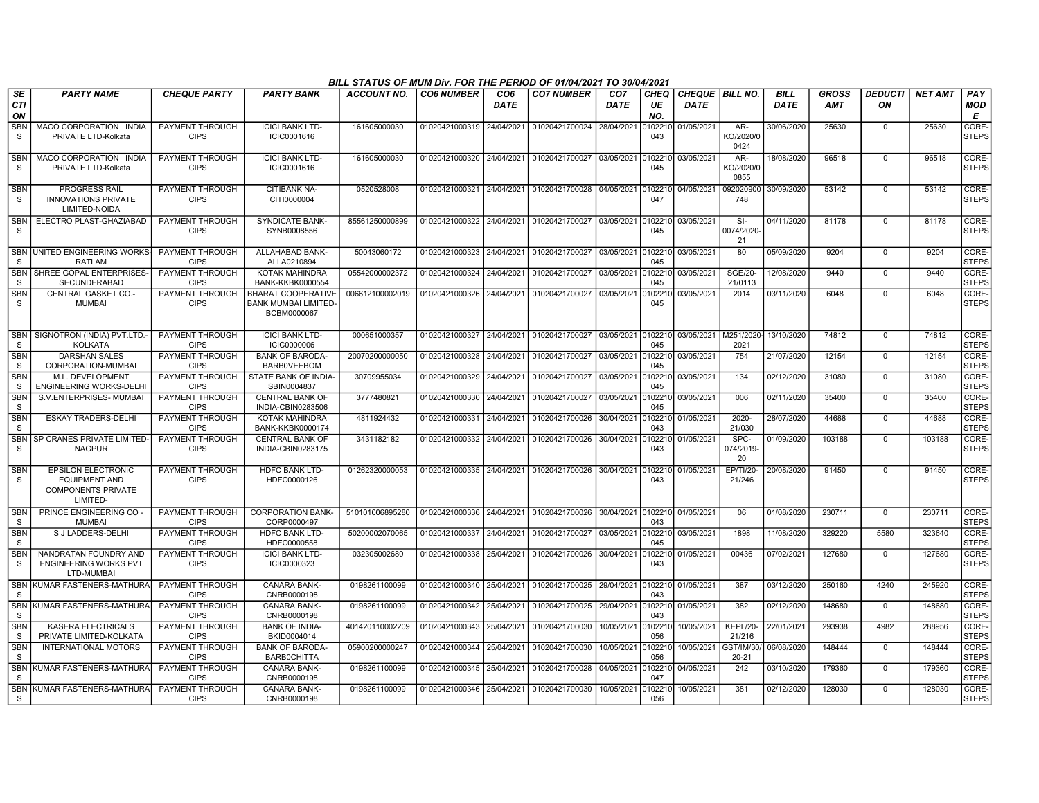|                            | BILL STATUS OF MUM Div. FOR THE PERIOD OF 01/04/2021 TO 30/04/2021<br><b>PARTY NAME</b><br><b>CO6 NUMBER</b><br><b>CO7 NUMBER</b><br>CHEQUE   BILL NO.<br><b>BILL</b><br><b>GROSS</b><br><b>DEDUCTI</b><br><b>NET AMT</b><br>PAY<br><b>CHEQUE PARTY</b><br><b>PARTY BANK</b><br><b>ACCOUNT NO.</b><br>CO <sub>6</sub><br>CO <sub>7</sub><br>CHEQ |                                       |                                                                         |                 |                           |            |                                                             |             |                |             |                           |            |            |                |        |                       |
|----------------------------|--------------------------------------------------------------------------------------------------------------------------------------------------------------------------------------------------------------------------------------------------------------------------------------------------------------------------------------------------|---------------------------------------|-------------------------------------------------------------------------|-----------------|---------------------------|------------|-------------------------------------------------------------|-------------|----------------|-------------|---------------------------|------------|------------|----------------|--------|-----------------------|
| SE<br><b>CTI</b><br>ON     |                                                                                                                                                                                                                                                                                                                                                  |                                       |                                                                         |                 |                           | DATE       |                                                             | <b>DATE</b> | UE<br>NO.      | <b>DATE</b> |                           | DATE       | <b>AMT</b> | ON             |        | <b>MOD</b><br>Е       |
| <b>SBN</b><br>S            | MACO CORPORATION INDIA<br>PRIVATE LTD-Kolkata                                                                                                                                                                                                                                                                                                    | PAYMENT THROUGH<br><b>CIPS</b>        | <b>ICICI BANK LTD-</b><br>ICIC0001616                                   | 161605000030    | 01020421000319 24/04/2021 |            | 01020421700024 28/04/2021                                   |             | 102210<br>043  | 01/05/2021  | AR-<br>KO/2020/0<br>0424  | 30/06/2020 | 25630      | $\Omega$       | 25630  | CORE-<br><b>STEPS</b> |
| SBN<br><sub>S</sub>        | MACO CORPORATION INDIA<br>PRIVATE LTD-Kolkata                                                                                                                                                                                                                                                                                                    | PAYMENT THROUGH<br><b>CIPS</b>        | <b>ICICI BANK LTD-</b><br>ICIC0001616                                   | 161605000030    |                           |            | 01020421000320 24/04/2021 01020421700027 03/05/2021 0102210 |             | 045            | 03/05/2021  | AR-<br>KO/2020/0<br>0855  | 18/08/2020 | 96518      | $\mathbf 0$    | 96518  | CORE-<br><b>STEPS</b> |
| <b>SBN</b><br>S.           | <b>PROGRESS RAIL</b><br><b>INNOVATIONS PRIVATE</b><br>LIMITED-NOIDA                                                                                                                                                                                                                                                                              | PAYMENT THROUGH<br><b>CIPS</b>        | <b>CITIBANK NA-</b><br>CITI0000004                                      | 0520528008      |                           |            | 01020421000321 24/04/2021 01020421700028 04/05/2021         |             | 0102210<br>047 | 04/05/2021  | 092020900<br>748          | 30/09/2020 | 53142      | $\mathbf 0$    | 53142  | CORE-<br><b>STEPS</b> |
| <b>SBN</b><br>S            | ELECTRO PLAST-GHAZIABAD                                                                                                                                                                                                                                                                                                                          | PAYMENT THROUGH<br><b>CIPS</b>        | <b>SYNDICATE BANK-</b><br>SYNB0008556                                   | 85561250000899  | 01020421000322 24/04/2021 |            | 01020421700027                                              | 03/05/2021  | 0102210<br>045 | 03/05/2021  | $SI-$<br>0074/2020<br>21  | 04/11/2020 | 81178      | $\overline{0}$ | 81178  | CORE-<br><b>STEPS</b> |
| S                          | SBN UNITED ENGINEERING WORKS<br><b>RATLAM</b>                                                                                                                                                                                                                                                                                                    | PAYMENT THROUGH<br><b>CIPS</b>        | ALLAHABAD BANK-<br>ALLA0210894                                          | 50043060172     | 01020421000323            | 24/04/2021 | 01020421700027                                              | 03/05/2021  | 0102210<br>045 | 03/05/2021  | 80                        | 05/09/2020 | 9204       | $\mathbf 0$    | 9204   | CORE-<br><b>STEPS</b> |
| <b>SBN</b><br><sub>S</sub> | SHREE GOPAL ENTERPRISES-<br><b>SECUNDERABAD</b>                                                                                                                                                                                                                                                                                                  | PAYMENT THROUGH<br><b>CIPS</b>        | <b>KOTAK MAHINDRA</b><br><b>BANK-KKBK0000554</b>                        | 05542000002372  | 01020421000324            | 24/04/2021 | 01020421700027                                              | 03/05/2021  | 102210<br>045  | 03/05/2021  | <b>SGE/20-</b><br>21/0113 | 12/08/2020 | 9440       | $\Omega$       | 9440   | CORE-<br><b>STEPS</b> |
| <b>SBN</b><br>S            | CENTRAL GASKET CO.-<br>MUMBAI                                                                                                                                                                                                                                                                                                                    | PAYMENT THROUGH<br><b>CIPS</b>        | <b>BHARAT COOPERATIVE</b><br><b>BANK MUMBAI LIMITED-</b><br>BCBM0000067 | 006612100002019 |                           |            | 01020421000326 24/04/2021 01020421700027 03/05/2021         |             | 102210<br>045  | 03/05/2021  | 2014                      | 03/11/2020 | 6048       | $\Omega$       | 6048   | CORE-<br><b>STEPS</b> |
| <b>SBN</b><br>S            | SIGNOTRON (INDIA) PVT.LTD.<br><b>KOLKATA</b>                                                                                                                                                                                                                                                                                                     | PAYMENT THROUGH<br><b>CIPS</b>        | <b>ICICI BANK LTD-</b><br><b>ICIC0000006</b>                            | 000651000357    | 01020421000327 24/04/2021 |            | 01020421700027 03/05/2021                                   |             | 0102210<br>045 | 03/05/2021  | M251/2020-<br>2021        | 13/10/2020 | 74812      | $\overline{0}$ | 74812  | CORE-<br><b>STEPS</b> |
| <b>SBN</b><br>S            | <b>DARSHAN SALES</b><br>CORPORATION-MUMBAI                                                                                                                                                                                                                                                                                                       | PAYMENT THROUGH<br><b>CIPS</b>        | <b>BANK OF BARODA-</b><br><b>BARBOVEEBOM</b>                            | 20070200000050  | 01020421000328 24/04/2021 |            | 01020421700027                                              | 03/05/2021  | 0102210<br>045 | 03/05/2021  | 754                       | 21/07/2020 | 12154      | $\overline{0}$ | 12154  | CORE-<br><b>STEPS</b> |
| <b>SBN</b><br>S            | M.L. DEVELOPMENT<br><b>ENGINEERING WORKS-DELHI</b>                                                                                                                                                                                                                                                                                               | <b>PAYMENT THROUGH</b><br><b>CIPS</b> | STATE BANK OF INDIA-<br>SBIN0004837                                     | 30709955034     | 01020421000329            | 24/04/2021 | 01020421700027                                              | 03/05/2021  | 102210<br>045  | 03/05/2021  | 134                       | 02/12/2020 | 31080      | $\mathbf 0$    | 31080  | CORE-<br><b>STEPS</b> |
| SBN<br>S                   | S.V.ENTERPRISES-MUMBAI                                                                                                                                                                                                                                                                                                                           | PAYMENT THROUGH<br><b>CIPS</b>        | <b>CENTRAL BANK OF</b><br>INDIA-CBIN0283506                             | 3777480821      | 01020421000330            | 24/04/2021 | 01020421700027                                              | 03/05/2021  | 102210<br>045  | 03/05/2021  | 006                       | 02/11/2020 | 35400      | $\Omega$       | 35400  | CORE-<br><b>STEPS</b> |
| <b>SBN</b><br><sub>S</sub> | <b>ESKAY TRADERS-DELHI</b>                                                                                                                                                                                                                                                                                                                       | PAYMENT THROUGH<br><b>CIPS</b>        | KOTAK MAHINDRA<br><b>BANK-KKBK0000174</b>                               | 4811924432      | 01020421000331            | 24/04/2021 | 01020421700026                                              | 30/04/2021  | 102210<br>043  | 01/05/2021  | 2020-<br>21/030           | 28/07/2020 | 44688      | $\mathbf 0$    | 44688  | CORE-<br><b>STEPS</b> |
| <b>SBN</b><br>S            | SP CRANES PRIVATE LIMITED<br><b>NAGPUR</b>                                                                                                                                                                                                                                                                                                       | <b>PAYMENT THROUGH</b><br><b>CIPS</b> | <b>CENTRAL BANK OF</b><br>INDIA-CBIN0283175                             | 3431182182      |                           |            | 01020421000332 24/04/2021 01020421700026                    | 30/04/2021  | 0102210<br>043 | 01/05/2021  | SPC-<br>074/2019-<br>20   | 01/09/2020 | 103188     | $\mathbf 0$    | 103188 | CORE-<br><b>STEPS</b> |
| <b>SBN</b><br>S.           | <b>EPSILON ELECTRONIC</b><br><b>EQUIPMENT AND</b><br><b>COMPONENTS PRIVATE</b><br>LIMITED-                                                                                                                                                                                                                                                       | PAYMENT THROUGH<br><b>CIPS</b>        | <b>HDFC BANK LTD-</b><br>HDFC0000126                                    | 01262320000053  |                           |            | 01020421000335 24/04/2021 01020421700026 30/04/2021 0102210 |             | 043            | 01/05/2021  | EP/TI/20-<br>21/246       | 20/08/2020 | 91450      | $\mathbf 0$    | 91450  | CORE-<br><b>STEPS</b> |
| SBN<br>S                   | PRINCE ENGINEERING CO<br><b>MUMBAI</b>                                                                                                                                                                                                                                                                                                           | PAYMENT THROUGH<br><b>CIPS</b>        | <b>CORPORATION BANK-</b><br>CORP0000497                                 | 510101006895280 | 01020421000336 24/04/2021 |            | 01020421700026 30/04/2021 0102210 01/05/2021                |             | 043            |             | 06                        | 01/08/2020 | 230711     | $\mathbf 0$    | 230711 | CORE-<br><b>STEPS</b> |
| <b>SBN</b><br>S            | S J LADDERS-DELHI                                                                                                                                                                                                                                                                                                                                | PAYMENT THROUGH<br><b>CIPS</b>        | <b>HDFC BANK LTD-</b><br>HDFC0000558                                    | 50200002070065  | 01020421000337            | 24/04/2021 | 01020421700027                                              | 03/05/2021  | 102210<br>045  | 03/05/2021  | 1898                      | 11/08/2020 | 329220     | 5580           | 323640 | CORE-<br><b>STEPS</b> |
| <b>SBN</b><br>S            | NANDRATAN FOUNDRY AND<br><b>ENGINEERING WORKS PVT</b><br>LTD-MUMBAI                                                                                                                                                                                                                                                                              | <b>PAYMENT THROUGH</b><br><b>CIPS</b> | <b>ICICI BANK LTD-</b><br>ICIC0000323                                   | 032305002680    | 01020421000338            | 25/04/2021 | 01020421700026                                              | 30/04/2021  | 102210<br>043  | 01/05/2021  | 00436                     | 07/02/2021 | 127680     | $\mathbf 0$    | 127680 | CORE-<br><b>STEPS</b> |
| <b>SBN</b><br>S.           | KUMAR FASTENERS-MATHURA                                                                                                                                                                                                                                                                                                                          | PAYMENT THROUGH<br><b>CIPS</b>        | <b>CANARA BANK-</b><br>CNRB0000198                                      | 0198261100099   | 01020421000340            | 25/04/2021 | 01020421700025 29/04/2021                                   |             | 102210<br>043  | 01/05/2021  | 387                       | 03/12/2020 | 250160     | 4240           | 245920 | CORE-<br><b>STEPS</b> |
| S                          | SBN KUMAR FASTENERS-MATHURA                                                                                                                                                                                                                                                                                                                      | PAYMENT THROUGH<br><b>CIPS</b>        | <b>CANARA BANK-</b><br>CNRB0000198                                      | 0198261100099   | 01020421000342 25/04/2021 |            | 01020421700025                                              | 29/04/2021  | 102210<br>043  | 01/05/2021  | 382                       | 02/12/2020 | 148680     | $\mathbf 0$    | 148680 | CORE-<br><b>STEPS</b> |
| <b>SBN</b><br>S            | KASERA ELECTRICALS<br>PRIVATE LIMITED-KOLKATA                                                                                                                                                                                                                                                                                                    | PAYMENT THROUGH<br><b>CIPS</b>        | <b>BANK OF INDIA-</b><br>BKID0004014                                    | 401420110002209 | 01020421000343            | 25/04/2021 | 01020421700030                                              | 10/05/2021  | 0102210<br>056 | 10/05/2021  | KEPL/20-<br>21/216        | 22/01/2021 | 293938     | 4982           | 288956 | CORE-<br><b>STEPS</b> |
| <b>SBN</b><br>S            | <b>INTERNATIONAL MOTORS</b>                                                                                                                                                                                                                                                                                                                      | PAYMENT THROUGH<br><b>CIPS</b>        | <b>BANK OF BARODA-</b><br><b>BARBOCHITTA</b>                            | 05900200000247  | 01020421000344            | 25/04/2021 | 01020421700030                                              | 10/05/2021  | 102210<br>056  | 10/05/2021  | GST/IM/30/<br>$20 - 21$   | 06/08/2020 | 148444     | $\mathbf 0$    | 148444 | CORE-<br><b>STEPS</b> |
| <b>SBN</b><br><sub>S</sub> | KUMAR FASTENERS-MATHUR                                                                                                                                                                                                                                                                                                                           | PAYMENT THROUGH<br><b>CIPS</b>        | CANARA BANK-<br>CNRB0000198                                             | 0198261100099   | 01020421000345            | 25/04/2021 | 01020421700028                                              | 04/05/2021  | 102210<br>047  | 04/05/2021  | 242                       | 03/10/2020 | 179360     | $\mathbf 0$    | 179360 | CORE-<br><b>STEPS</b> |
| S                          | SBN KUMAR FASTENERS-MATHURA                                                                                                                                                                                                                                                                                                                      | PAYMENT THROUGH<br><b>CIPS</b>        | CANARA BANK-<br>CNRB0000198                                             | 0198261100099   | 01020421000346            | 25/04/2021 | 01020421700030                                              | 10/05/2021  | 102210<br>056  | 10/05/2021  | 381                       | 02/12/2020 | 128030     | $\Omega$       | 128030 | CORE-<br><b>STEPS</b> |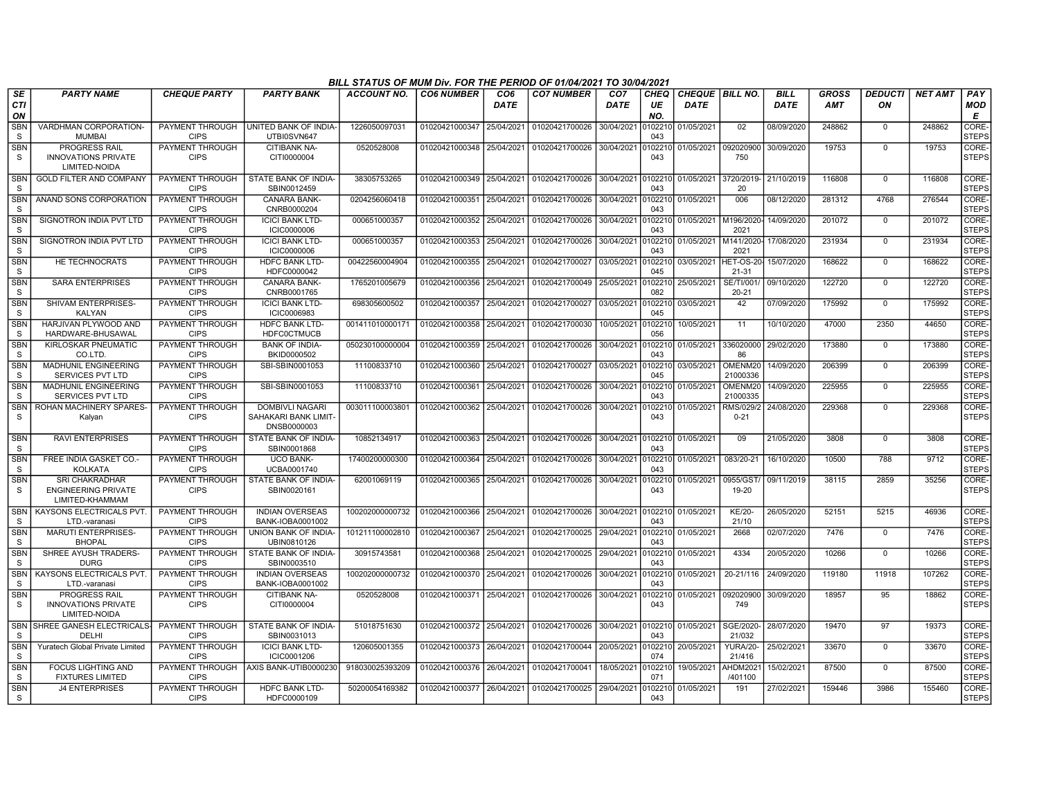|                            | BILL STATUS OF MUM Div. FOR THE PERIOD OF 01/04/2021 TO 30/04/2021<br><b>PARTY NAME</b><br><b>CO7 NUMBER</b><br>CHEQUE   BILL NO.<br><b>BILL</b><br><b>GROSS</b><br><b>DEDUCTI</b><br><b>NET AMT</b><br>PAY<br><b>CHEQUE PARTY</b><br><b>PARTY BANK</b><br>ACCOUNT NO.<br><b>CO6 NUMBER</b><br>CO <sub>6</sub><br>CO <sub>7</sub><br><b>CHEQ</b> |                                       |                                                               |                 |                           |            |                                   |             |                |             |                           |             |            |                |        |                       |
|----------------------------|--------------------------------------------------------------------------------------------------------------------------------------------------------------------------------------------------------------------------------------------------------------------------------------------------------------------------------------------------|---------------------------------------|---------------------------------------------------------------|-----------------|---------------------------|------------|-----------------------------------|-------------|----------------|-------------|---------------------------|-------------|------------|----------------|--------|-----------------------|
| SE<br><b>CTI</b><br>ON     |                                                                                                                                                                                                                                                                                                                                                  |                                       |                                                               |                 |                           | DATE       |                                   | <b>DATE</b> | UE<br>NO.      | <b>DATE</b> |                           | <b>DATE</b> | <b>AMT</b> | ON             |        | <b>MOD</b><br>Е       |
| <b>SBN</b><br>S            | VARDHMAN CORPORATION-<br><b>MUMBAI</b>                                                                                                                                                                                                                                                                                                           | <b>CIPS</b>                           | PAYMENT THROUGH UNITED BANK OF INDIA-<br>UTBI0SVN647          | 1226050097031   | 01020421000347            | 25/04/2021 | 01020421700026 30/04/2021         |             | 010221<br>043  | 01/05/2021  | 02                        | 08/09/2020  | 248862     | $\Omega$       | 248862 | CORE-<br><b>STEPS</b> |
| <b>SBN</b><br>-S           | <b>PROGRESS RAIL</b><br><b>INNOVATIONS PRIVATE</b><br><b>LIMITED-NOIDA</b>                                                                                                                                                                                                                                                                       | PAYMENT THROUGH<br><b>CIPS</b>        | <b>CITIBANK NA-</b><br>CITI0000004                            | 0520528008      | 01020421000348            | 25/04/2021 | 01020421700026                    | 30/04/2021  | 10221<br>043   | 01/05/2021  | 092020900<br>750          | 30/09/2020  | 19753      | $\mathbf 0$    | 19753  | CORE-<br><b>STEPS</b> |
| <b>SBN</b><br>S            | <b>GOLD FILTER AND COMPANY</b>                                                                                                                                                                                                                                                                                                                   | PAYMENT THROUGH<br><b>CIPS</b>        | STATE BANK OF INDIA-<br>SBIN0012459                           | 38305753265     | 01020421000349            | 25/04/2021 | 01020421700026 30/04/2021 0102210 |             | 043            | 01/05/2021  | 3720/2019-<br>20          | 21/10/2019  | 116808     | $\Omega$       | 116808 | CORE-<br><b>STEPS</b> |
| <b>SBN</b><br>S            | ANAND SONS CORPORATION                                                                                                                                                                                                                                                                                                                           | PAYMENT THROUGH<br><b>CIPS</b>        | <b>CANARA BANK-</b><br>CNRB0000204                            | 0204256060418   | 01020421000351            | 25/04/2021 | 01020421700026                    | 30/04/2021  | 102210<br>043  | 01/05/2021  | 006                       | 08/12/2020  | 281312     | 4768           | 276544 | CORE-<br>STEPS        |
| <b>SBN</b><br>S.           | SIGNOTRON INDIA PVT LTD                                                                                                                                                                                                                                                                                                                          | <b>PAYMENT THROUGH</b><br><b>CIPS</b> | <b>ICICI BANK LTD-</b><br>ICIC0000006                         | 000651000357    | 01020421000352            | 25/04/2021 | 01020421700026                    | 30/04/2021  | 102210<br>043  | 01/05/2021  | M196/2020<br>2021         | 14/09/2020  | 201072     | $\overline{0}$ | 201072 | CORE-<br>STEPS        |
| <b>SBN</b><br><sub>S</sub> | SIGNOTRON INDIA PVT LTD                                                                                                                                                                                                                                                                                                                          | PAYMENT THROUGH<br><b>CIPS</b>        | <b>ICICI BANK LTD-</b><br><b>ICIC0000006</b>                  | 000651000357    | 01020421000353            | 25/04/2021 | 01020421700026                    | 30/04/2021  | 102210<br>043  | 01/05/2021  | M141/2020<br>2021         | 17/08/2020  | 231934     | $\mathbf 0$    | 231934 | CORE-<br><b>STEPS</b> |
| <b>SBN</b><br>S.           | HE TECHNOCRATS                                                                                                                                                                                                                                                                                                                                   | PAYMENT THROUGH<br><b>CIPS</b>        | <b>HDFC BANK LTD-</b><br>HDFC0000042                          | 00422560004904  | 01020421000355            | 25/04/2021 | 01020421700027                    | 03/05/2021  | 10221<br>045   | 03/05/2021  | HET-OS-20<br>$21 - 31$    | 15/07/2020  | 168622     | $\Omega$       | 168622 | CORE-<br><b>STEPS</b> |
| <b>SBN</b><br>S            | <b>SARA ENTERPRISES</b>                                                                                                                                                                                                                                                                                                                          | PAYMENT THROUGH<br><b>CIPS</b>        | <b>CANARA BANK-</b><br>CNRB0001765                            | 1765201005679   | 01020421000356            | 25/04/2021 | 01020421700049 25/05/2021         |             | 10221<br>082   | 25/05/2021  | SE/TI/001<br>$20 - 21$    | 09/10/2020  | 122720     | $\mathbf 0$    | 122720 | CORE-<br><b>STEPS</b> |
| <b>SBN</b><br>S            | SHIVAM ENTERPRISES-<br><b>KALYAN</b>                                                                                                                                                                                                                                                                                                             | PAYMENT THROUGH<br><b>CIPS</b>        | <b>ICICI BANK LTD-</b><br>ICIC0006983                         | 698305600502    | 01020421000357            | 25/04/2021 | 01020421700027 03/05/2021         |             | 10221<br>045   | 03/05/2021  | 42                        | 07/09/2020  | 175992     | $\Omega$       | 175992 | CORE-<br><b>STEPS</b> |
| <b>SBN</b><br>S            | HARJIVAN PLYWOOD AND<br>HARDWARE-BHUSAWAL                                                                                                                                                                                                                                                                                                        | PAYMENT THROUGH<br><b>CIPS</b>        | <b>HDFC BANK LTD-</b><br><b>HDFC0CTMUCB</b>                   | 00141101000017  | 01020421000358            | 25/04/2021 | 01020421700030                    | 10/05/2021  | 010221<br>056  | 10/05/2021  | 11                        | 10/10/2020  | 47000      | 2350           | 44650  | CORE-<br><b>STEPS</b> |
| <b>SBN</b><br>S            | KIRLOSKAR PNEUMATIC<br>CO.LTD.                                                                                                                                                                                                                                                                                                                   | PAYMENT THROUGH<br><b>CIPS</b>        | <b>BANK OF INDIA-</b><br>BKID0000502                          | 050230100000004 | 01020421000359            | 25/04/2021 | 01020421700026 30/04/2021         |             | 0102210<br>043 | 01/05/2021  | 336020000<br>86           | 29/02/2020  | 173880     | $\overline{0}$ | 173880 | CORE-<br><b>STEPS</b> |
| <b>SBN</b><br>-S           | <b>MADHUNIL ENGINEERING</b><br><b>SERVICES PVT LTD</b>                                                                                                                                                                                                                                                                                           | PAYMENT THROUGH<br><b>CIPS</b>        | SBI-SBIN0001053                                               | 11100833710     | 01020421000360            | 25/04/2021 | 01020421700027 03/05/2021         |             | 0102210<br>045 | 03/05/2021  | OMENM20<br>21000336       | 14/09/2020  | 206399     | $\overline{0}$ | 206399 | CORE-<br>STEPS        |
| <b>SBN</b><br>S.           | <b>MADHUNIL ENGINEERING</b><br><b>SERVICES PVT LTD</b>                                                                                                                                                                                                                                                                                           | PAYMENT THROUGH<br><b>CIPS</b>        | SBI-SBIN0001053                                               | 11100833710     | 01020421000361            | 25/04/2021 | 01020421700026                    | 30/04/2021  | 0102210<br>043 | 01/05/2021  | OMENM20<br>21000335       | 14/09/2020  | 225955     | $\Omega$       | 225955 | CORE-<br><b>STEPS</b> |
| <b>SBN</b><br>S.           | ROHAN MACHINERY SPARES-<br>Kalyan                                                                                                                                                                                                                                                                                                                | PAYMENT THROUGH<br><b>CIPS</b>        | <b>DOMBIVLI NAGARI</b><br>SAHAKARI BANK LIMIT-<br>DNSB0000003 | 003011100003801 | 01020421000362            | 25/04/2021 | 01020421700026 30/04/2021         |             | 102210<br>043  | 01/05/2021  | RMS/029/2<br>$0 - 21$     | 24/08/2020  | 229368     | $\Omega$       | 229368 | CORE-<br><b>STEPS</b> |
| <b>SBN</b><br>S.           | <b>RAVI ENTERPRISES</b>                                                                                                                                                                                                                                                                                                                          | PAYMENT THROUGH<br><b>CIPS</b>        | STATE BANK OF INDIA-<br>SBIN0001868                           | 10852134917     | 01020421000363            | 25/04/2021 | 01020421700026 30/04/2021 0102210 |             | 043            | 01/05/2021  | 09                        | 21/05/2020  | 3808       | $\mathbf 0$    | 3808   | CORE-<br><b>STEPS</b> |
| <b>SBN</b><br>S            | FREE INDIA GASKET CO.<br><b>KOLKATA</b>                                                                                                                                                                                                                                                                                                          | PAYMENT THROUGH<br><b>CIPS</b>        | <b>UCO BANK-</b><br>UCBA0001740                               | 17400200000300  | 01020421000364            | 25/04/2021 | 01020421700026 30/04/2021         |             | 10221<br>043   | 01/05/2021  | 083/20-21                 | 16/10/2020  | 10500      | 788            | 9712   | CORE-<br><b>STEPS</b> |
| SBN<br>S                   | <b>SRI CHAKRADHAR</b><br><b>ENGINEERING PRIVATE</b><br>LIMITED-KHAMMAM                                                                                                                                                                                                                                                                           | PAYMENT THROUGH<br><b>CIPS</b>        | STATE BANK OF INDIA-<br>SBIN0020161                           | 62001069119     | 01020421000365            | 25/04/2021 | 01020421700026                    | 30/04/2021  | 102210<br>043  | 01/05/2021  | 0955/GST<br>19-20         | 09/11/2019  | 38115      | 2859           | 35256  | CORE-<br><b>STEPS</b> |
| <b>SBN</b><br>S.           | <b>KAYSONS ELECTRICALS PVT</b><br>LTD-varanasi                                                                                                                                                                                                                                                                                                   | <b>PAYMENT THROUGH</b><br><b>CIPS</b> | <b>INDIAN OVERSEAS</b><br>BANK-IOBA0001002                    | 100202000000732 | 01020421000366            | 25/04/2021 | 01020421700026 30/04/2021         |             | 0102210<br>043 | 01/05/2021  | <b>KE/20-</b><br>21/10    | 26/05/2020  | 52151      | 5215           | 46936  | CORE-<br><b>STEPS</b> |
| <b>SBN</b><br><sub>S</sub> | MARUTI ENTERPRISES-<br><b>BHOPAL</b>                                                                                                                                                                                                                                                                                                             | PAYMENT THROUGH<br><b>CIPS</b>        | UNION BANK OF INDIA-<br>UBIN0810126                           | 101211100002810 | 01020421000367            | 25/04/2021 | 01020421700025                    | 29/04/2021  | 10221<br>043   | 01/05/2021  | 2668                      | 02/07/2020  | 7476       | $\mathbf 0$    | 7476   | CORE-<br><b>STEPS</b> |
| <b>SBN</b><br>S.           | SHREE AYUSH TRADERS-<br><b>DURG</b>                                                                                                                                                                                                                                                                                                              | <b>PAYMENT THROUGH</b><br><b>CIPS</b> | STATE BANK OF INDIA-<br>SBIN0003510                           | 30915743581     | 01020421000368            | 25/04/2021 | 01020421700025 29/04/2021         |             | 10221<br>043   | 01/05/2021  | 4334                      | 20/05/2020  | 10266      | $\mathbf 0$    | 10266  | CORE-<br><b>STEPS</b> |
| <b>SBN</b><br>S.           | <b>KAYSONS ELECTRICALS PVT</b><br>LTD.-varanasi                                                                                                                                                                                                                                                                                                  | PAYMENT THROUGH<br><b>CIPS</b>        | <b>INDIAN OVERSEAS</b><br>BANK-IOBA0001002                    | 100202000000732 | 01020421000370            | 25/04/2021 | 01020421700026 30/04/2021         |             | 0102210<br>043 | 01/05/2021  | 20-21/116                 | 24/09/2020  | 119180     | 11918          | 107262 | CORE-<br><b>STEPS</b> |
| <b>SBN</b><br>S            | <b>PROGRESS RAIL</b><br><b>INNOVATIONS PRIVATE</b><br>LIMITED-NOIDA                                                                                                                                                                                                                                                                              | PAYMENT THROUGH<br><b>CIPS</b>        | CITIBANK NA-<br>CITI0000004                                   | 0520528008      | 01020421000371 25/04/2021 |            | 01020421700026 30/04/2021         |             | 102210<br>043  | 01/05/2021  | 092020900<br>749          | 30/09/2020  | 18957      | 95             | 18862  | CORE-<br><b>STEPS</b> |
| <b>SBN</b><br>S            | SHREE GANESH ELECTRICALS<br>DELHI                                                                                                                                                                                                                                                                                                                | PAYMENT THROUGH<br><b>CIPS</b>        | STATE BANK OF INDIA-<br>SBIN0031013                           | 51018751630     | 01020421000372            | 25/04/2021 | 01020421700026 30/04/2021         |             | 0102210<br>043 | 01/05/2021  | SGE/2020-<br>21/032       | 28/07/2020  | 19470      | 97             | 19373  | CORE-<br><b>STEPS</b> |
| SBN<br>S                   | Yuratech Global Private Limited                                                                                                                                                                                                                                                                                                                  | <b>PAYMENT THROUGH</b><br><b>CIPS</b> | <b>ICICI BANK LTD-</b><br>ICIC0001206                         | 120605001355    | 01020421000373            | 26/04/2021 | 01020421700044                    | 20/05/2021  | 102210<br>074  | 20/05/2021  | <b>YURA/20-</b><br>21/416 | 25/02/2021  | 33670      | $\mathbf 0$    | 33670  | CORE-<br><b>STEPS</b> |
| SBN<br>S.                  | <b>FOCUS LIGHTING AND</b><br><b>FIXTURES LIMITED</b>                                                                                                                                                                                                                                                                                             | PAYMENT THROUGH<br><b>CIPS</b>        | AXIS BANK-UTIB0000230                                         | 918030025393209 | 01020421000376            | 26/04/2021 | 01020421700041                    | 18/05/2021  | 10221<br>071   | 19/05/2021  | AHDM202<br>/401100        | 15/02/2021  | 87500      | $\mathbf 0$    | 87500  | CORE-<br><b>STEPS</b> |
| <b>SBN</b><br>S            | <b>J4 ENTERPRISES</b>                                                                                                                                                                                                                                                                                                                            | PAYMENT THROUGH<br><b>CIPS</b>        | <b>HDFC BANK LTD-</b><br>HDFC0000109                          | 50200054169382  | 01020421000377 26/04/2021 |            | 01020421700025 29/04/2021         |             | 102210<br>043  | 01/05/2021  | 191                       | 27/02/2021  | 159446     | 3986           | 155460 | CORE-<br><b>STEPS</b> |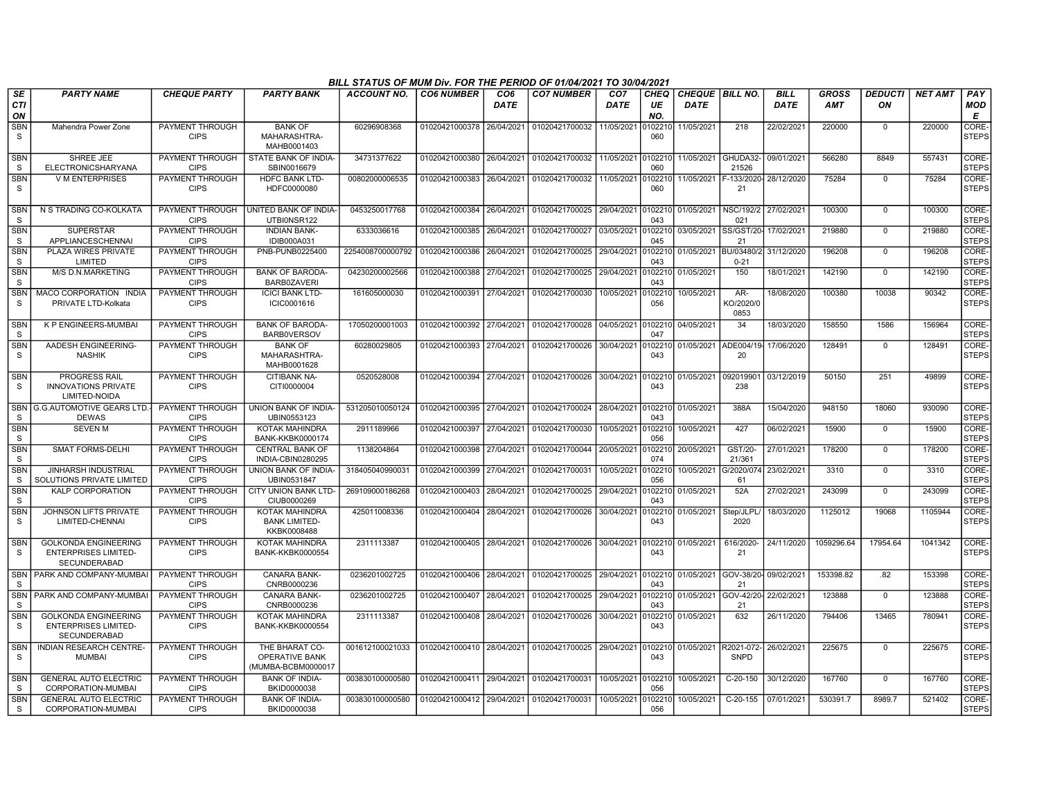|                               | BILL STATUS OF MUM Div. FOR THE PERIOD OF 01/04/2021 TO 30/04/2021<br><b>PARTY NAME</b><br><b>CHEQUE PARTY</b><br><b>PARTY BANK</b><br><b>ACCOUNT NO.</b><br><b>CO6 NUMBER</b><br>CO <sub>6</sub><br><b>CO7 NUMBER</b><br>CO <sub>7</sub><br><b>CHEQ</b><br>CHEQUE BILL NO.<br><b>BILL</b><br><b>GROSS</b><br><b>DEDUCTI</b><br><b>NET AMT</b><br>PAY |                                       |                                                               |                  |                           |             |                                                                                  |             |                |                      |                          |             |            |             |         |                       |
|-------------------------------|-------------------------------------------------------------------------------------------------------------------------------------------------------------------------------------------------------------------------------------------------------------------------------------------------------------------------------------------------------|---------------------------------------|---------------------------------------------------------------|------------------|---------------------------|-------------|----------------------------------------------------------------------------------|-------------|----------------|----------------------|--------------------------|-------------|------------|-------------|---------|-----------------------|
| <b>SE</b><br><b>CTI</b><br>ON |                                                                                                                                                                                                                                                                                                                                                       |                                       |                                                               |                  |                           | <b>DATE</b> |                                                                                  | <b>DATE</b> | UE<br>NO.      | <b>DATE</b>          |                          | <b>DATE</b> | <b>AMT</b> | ON          |         | <b>MOD</b><br>Е       |
| <b>SBN</b><br>S               | Mahendra Power Zone                                                                                                                                                                                                                                                                                                                                   | PAYMENT THROUGH<br><b>CIPS</b>        | <b>BANK OF</b><br>MAHARASHTRA-<br>MAHB0001403                 | 60296908368      | 01020421000378            | 26/04/2021  | 01020421700032                                                                   | 11/05/2021  | )102210<br>060 | 11/05/2021           | 218                      | 22/02/2021  | 220000     | 0           | 220000  | CORE-<br><b>STEPS</b> |
| <b>SBN</b><br>S               | SHREE JEE<br>ELECTRONICSHARYANA                                                                                                                                                                                                                                                                                                                       | PAYMENT THROUGH<br><b>CIPS</b>        | STATE BANK OF INDIA-<br>SBIN0016679                           | 34731377622      | 01020421000380            | 26/04/2021  | 01020421700032                                                                   | 11/05/2021  | 0102210<br>060 | 11/05/2021           | GHUDA32<br>21526         | 09/01/2021  | 566280     | 8849        | 557431  | CORE-<br><b>STEPS</b> |
| <b>SBN</b><br>S               | <b>V M ENTERPRISES</b>                                                                                                                                                                                                                                                                                                                                | PAYMENT THROUGH<br><b>CIPS</b>        | <b>HDFC BANK LTD-</b><br>HDFC0000080                          | 00802000006535   | 01020421000383            | 26/04/2021  | 01020421700032                                                                   | 11/05/2021  | 102210<br>060  | 11/05/2021           | F-133/2020<br>21         | 28/12/2020  | 75284      | $\Omega$    | 75284   | CORE-<br><b>STEPS</b> |
| <b>SBN</b><br>S               | N S TRADING CO-KOLKATA                                                                                                                                                                                                                                                                                                                                | PAYMENT THROUGH<br><b>CIPS</b>        | <b>UNITED BANK OF INDIA-</b><br>UTBI0NSR122                   | 0453250017768    | 01020421000384            | 26/04/2021  | 01020421700025 29/04/2021                                                        |             | 0102210<br>043 | 01/05/2021           | NSC/192/2<br>021         | 27/02/2021  | 100300     | $\mathbf 0$ | 100300  | CORE-<br><b>STEPS</b> |
| <b>SBN</b><br>S               | <b>SUPERSTAR</b><br><b>APPLIANCESCHENNAI</b>                                                                                                                                                                                                                                                                                                          | PAYMENT THROUGH<br><b>CIPS</b>        | <b>INDIAN BANK-</b><br>IDIB000A031                            | 6333036616       | 01020421000385            | 26/04/2021  | 01020421700027                                                                   | 03/05/2021  | 102210<br>045  | 03/05/2021           | SS/GST/20<br>21          | 17/02/2021  | 219880     | $\mathbf 0$ | 219880  | CORE-<br><b>STEPS</b> |
| <b>SBN</b><br>S               | PLAZA WIRES PRIVATE<br>LIMITED                                                                                                                                                                                                                                                                                                                        | <b>PAYMENT THROUGH</b><br><b>CIPS</b> | PNB-PUNB0225400                                               | 2254008700000792 | 01020421000386            | 26/04/2021  | 01020421700025                                                                   | 29/04/2021  | 102210<br>043  | 01/05/2021           | BU/03480/<br>$0 - 21$    | 31/12/2020  | 196208     | $\mathbf 0$ | 196208  | CORE-<br><b>STEPS</b> |
| <b>SBN</b><br>S               | M/S D.N.MARKETING                                                                                                                                                                                                                                                                                                                                     | <b>PAYMENT THROUGH</b><br><b>CIPS</b> | <b>BANK OF BARODA-</b><br>BARB0ZAVERI                         | 04230200002566   | 01020421000388 27/04/2021 |             | 01020421700025                                                                   | 29/04/2021  | 0102210<br>043 | 01/05/2021           | 150                      | 18/01/2021  | 142190     | 0           | 142190  | CORE-<br><b>STEPS</b> |
| <b>SBN</b><br>-S              | MACO CORPORATION INDIA<br>PRIVATE LTD-Kolkata                                                                                                                                                                                                                                                                                                         | PAYMENT THROUGH<br><b>CIPS</b>        | <b>ICICI BANK LTD-</b><br>ICIC0001616                         | 161605000030     | 01020421000391            | 27/04/2021  | 01020421700030                                                                   | 10/05/2021  | 102210<br>056  | 10/05/2021           | AR-<br>KO/2020/0<br>0853 | 18/08/2020  | 100380     | 10038       | 90342   | CORE-<br><b>STEPS</b> |
| <b>SBN</b><br>S               | <b>K P ENGINEERS-MUMBAI</b>                                                                                                                                                                                                                                                                                                                           | <b>PAYMENT THROUGH</b><br><b>CIPS</b> | <b>BANK OF BARODA</b><br><b>BARBOVERSOV</b>                   | 17050200001003   | 01020421000392            | 27/04/2021  | 01020421700028                                                                   | 04/05/2021  | 0102210<br>047 | 04/05/2021           | 34                       | 18/03/2020  | 158550     | 1586        | 156964  | CORE-<br><b>STEPS</b> |
| <b>SBN</b><br>S               | AADESH ENGINEERING-<br><b>NASHIK</b>                                                                                                                                                                                                                                                                                                                  | PAYMENT THROUGH<br><b>CIPS</b>        | <b>BANK OF</b><br>MAHARASHTRA-<br>MAHB0001628                 | 60280029805      | 01020421000393 27/04/2021 |             | 01020421700026 30/04/2021                                                        |             | 0102210<br>043 | 01/05/2021 ADE004/19 | 20                       | 17/06/2020  | 128491     | $\mathbf 0$ | 128491  | CORE-<br><b>STEPS</b> |
| <b>SBN</b><br>S               | <b>PROGRESS RAIL</b><br><b>INNOVATIONS PRIVATE</b><br>LIMITED-NOIDA                                                                                                                                                                                                                                                                                   | PAYMENT THROUGH<br><b>CIPS</b>        | <b>CITIBANK NA-</b><br>CITI0000004                            | 0520528008       |                           |             | 01020421000394 27/04/2021 01020421700026 30/04/2021 0102210 01/05/2021 092019901 |             | 043            |                      | 238                      | 03/12/2019  | 50150      | 251         | 49899   | CORE-<br><b>STEPS</b> |
| <sub>S</sub>                  | SBN   G.G.AUTOMOTIVE GEARS LTD<br><b>DEWAS</b>                                                                                                                                                                                                                                                                                                        | PAYMENT THROUGH<br><b>CIPS</b>        | UNION BANK OF INDIA-<br>UBIN0553123                           | 531205010050124  | 01020421000395            | 27/04/2021  | 01020421700024                                                                   | 28/04/2021  | 102210<br>043  | 01/05/2021           | 388A                     | 15/04/2020  | 948150     | 18060       | 930090  | CORE-<br><b>STEPS</b> |
| <b>SBN</b><br>S               | <b>SEVEN M</b>                                                                                                                                                                                                                                                                                                                                        | PAYMENT THROUGH<br><b>CIPS</b>        | <b>KOTAK MAHINDRA</b><br><b>BANK-KKBK0000174</b>              | 2911189966       | 01020421000397            | 27/04/2021  | 01020421700030                                                                   | 10/05/2021  | 102210<br>056  | 10/05/2021           | 427                      | 06/02/2021  | 15900      | $\mathbf 0$ | 15900   | CORE-<br><b>STEPS</b> |
| <b>SBN</b><br><sub>S</sub>    | <b>SMAT FORMS-DELHI</b>                                                                                                                                                                                                                                                                                                                               | PAYMENT THROUGH<br><b>CIPS</b>        | <b>CENTRAL BANK OF</b><br>INDIA-CBIN0280295                   | 1138204864       | 01020421000398 27/04/2021 |             | 01020421700044                                                                   | 20/05/2021  | 102210<br>074  | 20/05/2021           | GST/20-<br>21/361        | 27/01/2021  | 178200     | $\mathbf 0$ | 178200  | CORE-<br><b>STEPS</b> |
| <b>SBN</b><br>S               | JINHARSH INDUSTRIAL<br>SOLUTIONS PRIVATE LIMITED                                                                                                                                                                                                                                                                                                      | PAYMENT THROUGH<br><b>CIPS</b>        | UNION BANK OF INDIA-<br>UBIN0531847                           | 318405040990031  | 01020421000399            | 27/04/2021  | 01020421700031                                                                   | 10/05/2021  | 102210<br>056  | 10/05/2021           | G/2020/074<br>61         | 23/02/2021  | 3310       | $\mathbf 0$ | 3310    | CORE-<br><b>STEPS</b> |
| <b>SBN</b><br>S               | <b>KALP CORPORATION</b>                                                                                                                                                                                                                                                                                                                               | PAYMENT THROUGH<br><b>CIPS</b>        | <b>CITY UNION BANK LTD-</b><br>CIUB0000269                    | 269109000186268  | 01020421000403            | 28/04/2021  | 01020421700025                                                                   | 29/04/2021  | 102210<br>043  | 01/05/2021           | 52A                      | 27/02/2021  | 243099     | $\mathbf 0$ | 243099  | CORE-<br><b>STEPS</b> |
| <b>SBN</b><br>S               | JOHNSON LIFTS PRIVATE<br>LIMITED-CHENNAI                                                                                                                                                                                                                                                                                                              | PAYMENT THROUGH<br><b>CIPS</b>        | <b>KOTAK MAHINDRA</b><br><b>BANK LIMITED-</b><br>KKBK0008488  | 425011008336     | 01020421000404            | 28/04/2021  | 01020421700026                                                                   | 30/04/2021  | 0102210<br>043 | 01/05/2021           | Step/JLPL<br>2020        | 18/03/2020  | 1125012    | 19068       | 1105944 | CORE-<br><b>STEPS</b> |
| SBN<br>S                      | <b>GOLKONDA ENGINEERING</b><br><b>ENTERPRISES LIMITED-</b><br>SECUNDERABAD                                                                                                                                                                                                                                                                            | PAYMENT THROUGH<br><b>CIPS</b>        | KOTAK MAHINDRA<br><b>BANK-KKBK0000554</b>                     | 2311113387       | 01020421000405 28/04/2021 |             | 01020421700026                                                                   | 30/04/2021  | 102210<br>043  | 01/05/2021           | 616/2020-<br>21          | 24/11/2020  | 1059296.64 | 17954.64    | 1041342 | CORE-<br><b>STEPS</b> |
| <b>SBN</b><br>S               | I PARK AND COMPANY-MUMBA                                                                                                                                                                                                                                                                                                                              | PAYMENT THROUGH<br><b>CIPS</b>        | <b>CANARA BANK-</b><br>CNRB0000236                            | 0236201002725    | 01020421000406            | 28/04/2021  | 01020421700025                                                                   | 29/04/2021  | 0102210<br>043 | 01/05/2021 GOV-38/20 | 21                       | 09/02/2021  | 153398.82  | .82         | 153398  | CORE-<br><b>STEPS</b> |
| <b>SBN</b><br><sub>S</sub>    | PARK AND COMPANY-MUMBA                                                                                                                                                                                                                                                                                                                                | PAYMENT THROUGH<br><b>CIPS</b>        | <b>CANARA BANK-</b><br>CNRB0000236                            | 0236201002725    | 01020421000407            | 28/04/2021  | 01020421700025                                                                   | 29/04/2021  | 102210<br>043  | 01/05/2021           | GOV-42/20-<br>21         | 22/02/2021  | 123888     | $\Omega$    | 123888  | CORE-<br>STEPS        |
| <b>SBN</b><br>$\mathbf S$     | <b>GOLKONDA ENGINEERING</b><br><b>ENTERPRISES LIMITED-</b><br>SECUNDERABAD                                                                                                                                                                                                                                                                            | PAYMENT THROUGH<br><b>CIPS</b>        | KOTAK MAHINDRA<br><b>BANK-KKBK0000554</b>                     | 2311113387       | 01020421000408            | 28/04/2021  | 01020421700026                                                                   | 30/04/2021  | 102210<br>043  | 01/05/2021           | 632                      | 26/11/2020  | 794406     | 13465       | 780941  | CORE-<br><b>STEPS</b> |
| <b>SBN</b><br>S.              | <b>INDIAN RESEARCH CENTRE-</b><br>MUMBAI                                                                                                                                                                                                                                                                                                              | PAYMENT THROUGH<br><b>CIPS</b>        | THE BHARAT CO-<br><b>OPERATIVE BANK</b><br>(MUMBA-BCBM0000017 | 001612100021033  | 01020421000410            | 28/04/2021  | 01020421700025                                                                   | 29/04/2021  | 0102210<br>043 | 01/05/2021           | R2021-072-<br>SNPD       | 26/02/2021  | 225675     | $\Omega$    | 225675  | CORE-<br><b>STEPS</b> |
| <b>SBN</b><br>S               | <b>GENERAL AUTO ELECTRIC</b><br>CORPORATION-MUMBAI                                                                                                                                                                                                                                                                                                    | PAYMENT THROUGH<br><b>CIPS</b>        | <b>BANK OF INDIA-</b><br>BKID0000038                          | 003830100000580  | 01020421000411            | 29/04/2021  | 01020421700031                                                                   | 10/05/2021  | 102210<br>056  | 10/05/2021           | C-20-150                 | 30/12/2020  | 167760     | $\mathbf 0$ | 167760  | CORE-<br>STEPS        |
| <b>SBN</b><br>S.              | <b>GENERAL AUTO ELECTRIC</b><br>CORPORATION-MUMBAI                                                                                                                                                                                                                                                                                                    | PAYMENT THROUGH<br><b>CIPS</b>        | <b>BANK OF INDIA-</b><br>BKID0000038                          | 003830100000580  | 01020421000412 29/04/2021 |             | 01020421700031                                                                   | 10/05/2021  | 102210<br>056  | 10/05/2021           | $C-20-155$               | 07/01/2021  | 530391.7   | 8989.7      | 521402  | CORE-<br><b>STEPS</b> |